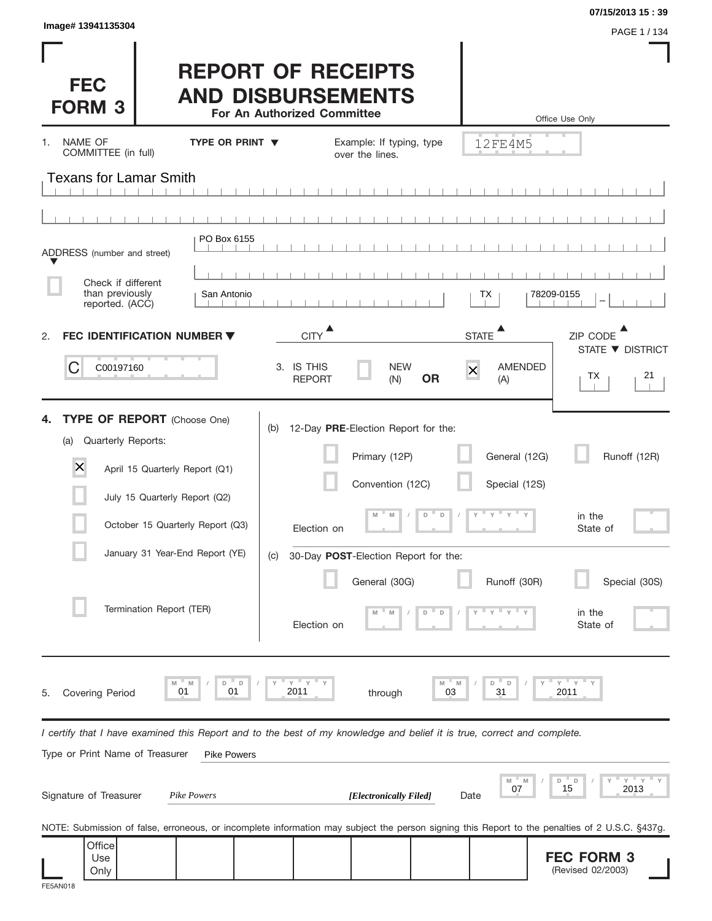| Image# 13941135304<br><b>FEC</b><br><b>FORM 3</b>                                                                                                                                                                                                       | <b>REPORT OF RECEIPTS</b><br><b>AND DISBURSEMENTS</b><br>For An Authorized Committee |                                                                                                                                                                                               |                                                               | 07/15/2013 15:39<br>PAGE 1 / 134<br>Office Use Only                       |
|---------------------------------------------------------------------------------------------------------------------------------------------------------------------------------------------------------------------------------------------------------|--------------------------------------------------------------------------------------|-----------------------------------------------------------------------------------------------------------------------------------------------------------------------------------------------|---------------------------------------------------------------|---------------------------------------------------------------------------|
| NAME OF<br>1.<br>COMMITTEE (in full)                                                                                                                                                                                                                    | TYPE OR PRINT ▼                                                                      | Example: If typing, type<br>over the lines.                                                                                                                                                   | 12FE4M5                                                       |                                                                           |
| <b>Texans for Lamar Smith</b>                                                                                                                                                                                                                           |                                                                                      |                                                                                                                                                                                               |                                                               |                                                                           |
|                                                                                                                                                                                                                                                         |                                                                                      |                                                                                                                                                                                               |                                                               |                                                                           |
| ADDRESS (number and street)                                                                                                                                                                                                                             | PO Box 6155                                                                          |                                                                                                                                                                                               |                                                               |                                                                           |
| Check if different                                                                                                                                                                                                                                      |                                                                                      |                                                                                                                                                                                               |                                                               |                                                                           |
| than previously<br>reported. (ACC)                                                                                                                                                                                                                      | San Antonio                                                                          |                                                                                                                                                                                               | ТX                                                            | 78209-0155                                                                |
| FEC IDENTIFICATION NUMBER ▼<br>2.                                                                                                                                                                                                                       | <b>CITY</b>                                                                          | $\blacktriangle$                                                                                                                                                                              | <b>STATE</b>                                                  | ZIP CODE<br>STATE ▼ DISTRICT                                              |
| C<br>C00197160                                                                                                                                                                                                                                          | 3. IS THIS<br><b>REPORT</b>                                                          | <b>NEW</b><br><b>OR</b><br>(N)                                                                                                                                                                | AMENDED<br>$\overline{\mathsf{x}}$<br>(A)                     | 21<br>ТX                                                                  |
| <b>TYPE OF REPORT</b> (Choose One)<br>4.<br>Quarterly Reports:<br>(a)<br>$\times$<br>April 15 Quarterly Report (Q1)<br>July 15 Quarterly Report (Q2)<br>October 15 Quarterly Report (Q3)<br>January 31 Year-End Report (YE)<br>Termination Report (TER) | (b)<br>(C)                                                                           | 12-Day PRE-Election Report for the:<br>Primary (12P)<br>Convention (12C)<br>D<br>$\Box$<br>M<br>Election on<br>30-Day POST-Election Report for the:<br>General (30G)<br>D<br>D<br>Election on | General (12G)<br>Special (12S)<br>$y = y + y$<br>Runoff (30R) | Runoff (12R)<br>in the<br>State of<br>Special (30S)<br>in the<br>State of |
| M<br>01<br><b>Covering Period</b><br>5.                                                                                                                                                                                                                 | $Y$ $Y$<br>D<br>D<br>M<br>01<br>2011                                                 | M<br>through                                                                                                                                                                                  | $\Box$<br>D<br>31<br>03                                       | $Y$ $Y$<br>2011                                                           |
| I certify that I have examined this Report and to the best of my knowledge and belief it is true, correct and complete.<br>Type or Print Name of Treasurer                                                                                              | <b>Pike Powers</b>                                                                   |                                                                                                                                                                                               |                                                               |                                                                           |
| Signature of Treasurer                                                                                                                                                                                                                                  | Pike Powers                                                                          | [Electronically Filed]                                                                                                                                                                        | M<br>$- M$<br>07<br>Date                                      | Y<br>D<br>$\Box$<br>15<br>2013                                            |
| NOTE: Submission of false, erroneous, or incomplete information may subject the person signing this Report to the penalties of 2 U.S.C. §437g.                                                                                                          |                                                                                      |                                                                                                                                                                                               |                                                               |                                                                           |
| Office<br>Use<br>Only                                                                                                                                                                                                                                   |                                                                                      |                                                                                                                                                                                               |                                                               | <b>FEC FORM 3</b><br>(Revised 02/2003)                                    |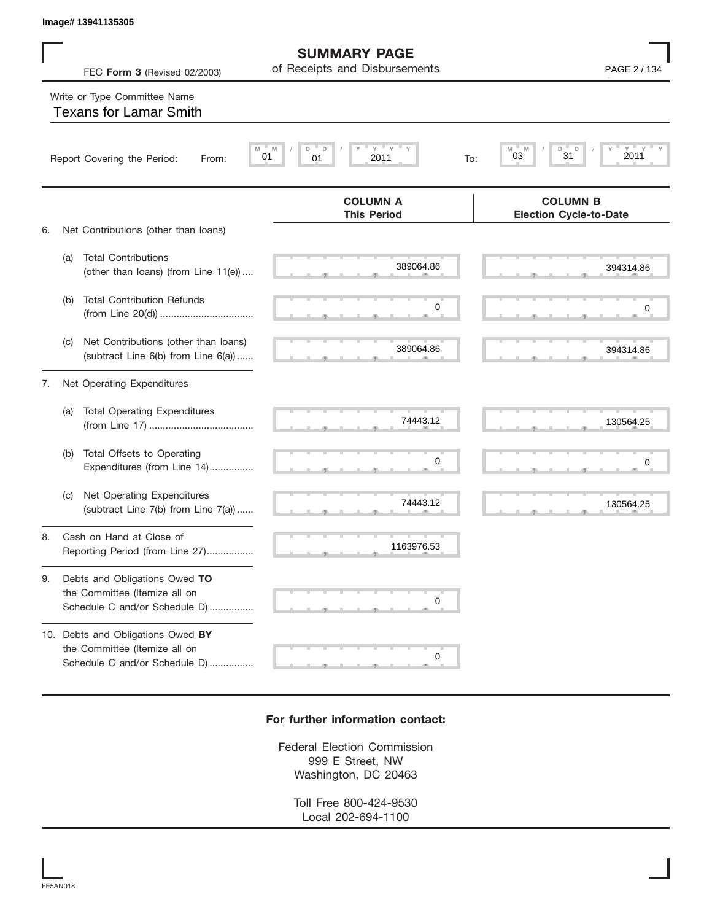|    |     | Image# 13941135305                                                                                  |                                                      |                                                  |
|----|-----|-----------------------------------------------------------------------------------------------------|------------------------------------------------------|--------------------------------------------------|
|    |     | FEC Form 3 (Revised 02/2003)                                                                        | <b>SUMMARY PAGE</b><br>of Receipts and Disbursements | PAGE 2 / 134                                     |
|    |     | Write or Type Committee Name<br><b>Texans for Lamar Smith</b>                                       |                                                      |                                                  |
|    |     | Report Covering the Period:<br>From:                                                                | <b>ΓΥ</b><br>Y<br>D<br>D<br>01<br>2011<br>01<br>To:  | D<br>D<br>M<br>M<br>2011<br>03<br>31             |
|    |     |                                                                                                     | <b>COLUMN A</b><br><b>This Period</b>                | <b>COLUMN B</b><br><b>Election Cycle-to-Date</b> |
| 6. |     | Net Contributions (other than loans)                                                                |                                                      |                                                  |
|    | (a) | <b>Total Contributions</b><br>(other than loans) (from Line 11(e))                                  | 389064.86                                            | 394314.86                                        |
|    | (b) | <b>Total Contribution Refunds</b>                                                                   | 0                                                    | 0                                                |
|    | (c) | Net Contributions (other than loans)<br>(subtract Line 6(b) from Line 6(a))                         | 389064.86                                            | 394314.86                                        |
| 7. |     | Net Operating Expenditures                                                                          |                                                      |                                                  |
|    | (a) | <b>Total Operating Expenditures</b>                                                                 | 74443.12                                             | 130564.25                                        |
|    | (b) | Total Offsets to Operating<br>Expenditures (from Line 14)                                           | 0                                                    | 0                                                |
|    | (c) | Net Operating Expenditures<br>(subtract Line 7(b) from Line 7(a))                                   | 74443.12                                             | 130564.25                                        |
| 8. |     | Cash on Hand at Close of<br>Reporting Period (from Line 27)                                         | 1163976.53                                           |                                                  |
| 9. |     | Debts and Obligations Owed TO<br>the Committee (Itemize all on<br>Schedule C and/or Schedule D)     | 0                                                    |                                                  |
|    |     | 10. Debts and Obligations Owed BY<br>the Committee (Itemize all on<br>Schedule C and/or Schedule D) | 0                                                    |                                                  |

## **For further information contact:**

Federal Election Commission 999 E Street, NW Washington, DC 20463

> Toll Free 800-424-9530 Local 202-694-1100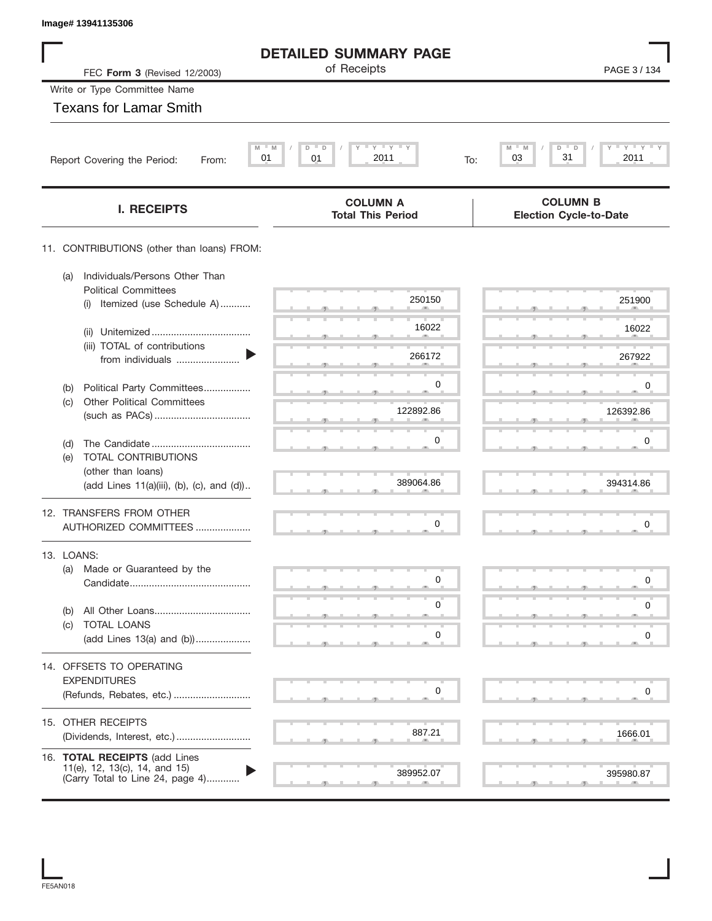| Image# 13941135306                                                                                 |                                                         |                                                  |
|----------------------------------------------------------------------------------------------------|---------------------------------------------------------|--------------------------------------------------|
|                                                                                                    | <b>DETAILED SUMMARY PAGE</b>                            |                                                  |
| FEC Form 3 (Revised 12/2003)                                                                       | of Receipts                                             | PAGE 3/134                                       |
| Write or Type Committee Name                                                                       |                                                         |                                                  |
| <b>Texans for Lamar Smith</b>                                                                      |                                                         |                                                  |
| M<br>01<br>Report Covering the Period:<br>From:                                                    | $Y$ $Y$ $Y$ $Y$<br>$- M$<br>D<br>D<br>01<br>2011<br>To: | $Y'$ $Y'$ $Y$<br>M<br>D<br>31<br>03<br>2011      |
|                                                                                                    |                                                         |                                                  |
| <b>I. RECEIPTS</b>                                                                                 | <b>COLUMN A</b><br><b>Total This Period</b>             | <b>COLUMN B</b><br><b>Election Cycle-to-Date</b> |
| 11. CONTRIBUTIONS (other than loans) FROM:                                                         |                                                         |                                                  |
| Individuals/Persons Other Than<br>(a)<br><b>Political Committees</b>                               |                                                         |                                                  |
| Itemized (use Schedule A)<br>(i)                                                                   | 250150                                                  | 251900                                           |
| (ii)<br>(iii) TOTAL of contributions                                                               | 16022                                                   | 16022                                            |
| from individuals                                                                                   | 266172                                                  | 267922                                           |
| Political Party Committees<br>(b)                                                                  | 0                                                       | 0                                                |
| <b>Other Political Committees</b><br>(c)                                                           | 122892.86                                               | 126392.86                                        |
| (d)                                                                                                | 0                                                       | 0                                                |
| TOTAL CONTRIBUTIONS<br>(e)                                                                         |                                                         |                                                  |
| (other than loans)<br>(add Lines 11(a)(iii), (b), (c), and (d))                                    | 389064.86                                               | 394314.86                                        |
| 12. TRANSFERS FROM OTHER                                                                           |                                                         |                                                  |
| AUTHORIZED COMMITTEES                                                                              | 0                                                       | $\mathbf 0$                                      |
| 13. LOANS:<br>(a) Made or Guaranteed by the                                                        |                                                         |                                                  |
|                                                                                                    | 0                                                       | 0                                                |
| (b)                                                                                                | 0                                                       | 0                                                |
| TOTAL LOANS<br>(C)<br>(add Lines 13(a) and (b))                                                    | 0                                                       | 0                                                |
| 14. OFFSETS TO OPERATING                                                                           |                                                         |                                                  |
| <b>EXPENDITURES</b>                                                                                |                                                         |                                                  |
| (Refunds, Rebates, etc.)                                                                           | 0                                                       | 0                                                |
| 15. OTHER RECEIPTS                                                                                 |                                                         |                                                  |
|                                                                                                    | 887.21                                                  | 1666.01                                          |
| 16. TOTAL RECEIPTS (add Lines<br>11(e), 12, 13(c), 14, and 15)<br>(Carry Total to Line 24, page 4) | 389952.07                                               | 395980.87                                        |

I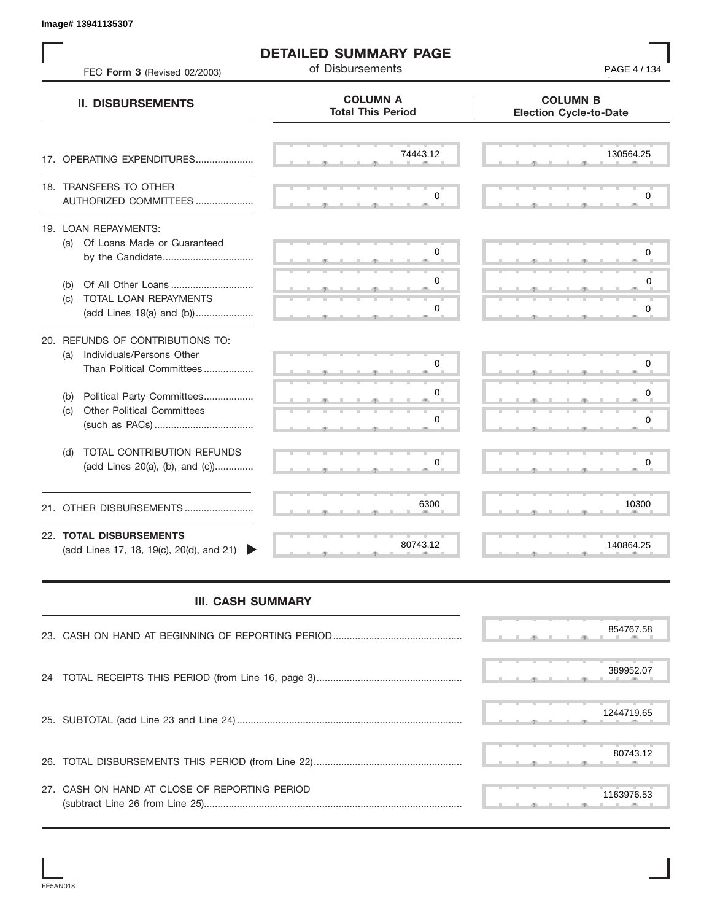$\frac{130564.}{9}$  S S S , , . S S S , , . S S S , , . S S S , , . S S S , , . S S S , , . S S S , , . S S S , , . S S S , , . S S S , , . S S S , , . S S S , , . S S S , , . S S S , , . S S S , , . S S S , , . S S S , , . S S S , , . . با المادة المسلم المسلم المسلم المسلم المسلم المسلم المسلم المسلم المسلم المسلم المسلم المسلم المسلم المسلم ا<br>المسلم المسلم المسلم المسلم المسلم المسلم المسلم المسلم المسلم المسلم المسلم المسلم المسلم المسلم المسلم المس **COLUMN B Election Cycle-to-Date COLUMN A Total This Period** 17. OPERATING EXPENDITURES.................... 18. TRANSFERS TO OTHER AUTHORIZED COMMITTEES ..................... 19. LOAN REPAYMENTS: (a) Of Loans Made or Guaranteed by the Candidate ................................. (b) Of All Other Loans .............................. (c) TOTAL LOAN REPAYMENTS (add Lines 19(a) and (b)).................... 20. REFUNDS OF CONTRIBUTIONS TO: (a) Individuals/Persons Other Than Political Committees ................. (b) Political Party Committees.................. (c) Other Political Committees (such as PACs) .................................... (d) TOTAL CONTRIBUTION REFUNDS (add Lines 20(a), (b), and (c)).............. 21. OTHER DISBURSEMENTS ......................... 22. **TOTAL DISBURSEMENTS**   $(\text{add Lines 17}, 18, 19(c), 20(d), \text{and } 21)$ **II. DISBURSEMENTS DETAILED SUMMARY PAGE** FEC Form 3 (Revised 02/2003) **Page 12 Contract Contract Page 24** Of Disbursements , , . , , . 1163976.53 80743.120 0  $\begin{array}{|c|c|} \hline 0 & 0 \ \hline 0 & 0 \ \hline 0 & 0 \ \hline 6300 & 10300 \ \hline 80743.12 & 140864.25 \ \hline \end{array}$ 0 0 0 0  $\overline{0}$ PAGE 4 / 134  $130564.25$ <br>0<br>0<br>0<br>0<br>0<br>0  $\begin{array}{|c|c|c|c|c|}\hline \text{\textbf{0}} & \text{\textbf{0}} & \text{\textbf{0}} & \text{\textbf{0}} & \text{\textbf{0}} & \text{\textbf{0}} & \text{\textbf{0}} & \text{\textbf{0}} & \text{\textbf{0}} & \text{\textbf{0}} & \text{\textbf{0}} & \text{\textbf{0}} & \text{\textbf{0}} & \text{\textbf{0}} & \text{\textbf{0}} & \text{\textbf{0}} & \text{\textbf{0}} & \text{\textbf{0}} & \text{\textbf{0}} & \text{\textbf{0}} & \text{\textbf{0}} & \text{\textbf{0}} & \text{\$  $\begin{array}{|c|c|c|c|c|} \hline \rule{0pt}{2.5ex} \rule{0pt}{2.5ex} \rule{0pt}{2.5ex} \rule{0pt}{2.5ex} \rule{0pt}{2.5ex} \rule{0pt}{2.5ex} \rule{0pt}{2.5ex} \rule{0pt}{2.5ex} \rule{0pt}{2.5ex} \rule{0pt}{2.5ex} \rule{0pt}{2.5ex} \rule{0pt}{2.5ex} \rule{0pt}{2.5ex} \rule{0pt}{2.5ex} \rule{0pt}{2.5ex} \rule{0pt}{2.5ex} \rule{0pt}{2.5ex} \rule{0pt}{2.5ex} \rule$ 0 0<br>0<br>10300<br>140864.25<br>1244767.58<br>389952.07<br>1244719.65 0  $\begin{array}{|c|c|} \hline \rule{0.2cm}{0.2cm} \rule{0.2cm}{0.2cm} \rule{0.2cm}{0.2cm} \rule{0.2cm}{0.2cm} \rule{0.2cm}{0.2cm} \rule{0.2cm}{0.2cm} \rule{0.2cm}{0.2cm} \rule{0.2cm}{0.2cm} \rule{0.2cm}{0.2cm} \rule{0.2cm}{0.2cm} \rule{0.2cm}{0.2cm} \rule{0.2cm}{0.2cm} \rule{0.2cm}{0.2cm} \rule{0.2cm}{0.2cm} \rule{0.2cm}{0.2cm} \rule{0.2cm}{0.2$  $\begin{array}{c|c} \n0 & 0 \\
0 & 0 \\
\hline\n0 & 0 \\
0 & 0 \\
0 & 0\n\end{array}$ 140864.25

## **III. CASH SUMMARY**

|                                               |  |  |  | 854767.58  |
|-----------------------------------------------|--|--|--|------------|
|                                               |  |  |  | 389952.07  |
|                                               |  |  |  | 1244719.65 |
|                                               |  |  |  | 80743.12   |
| 27. CASH ON HAND AT CLOSE OF REPORTING PERIOD |  |  |  | 1163976.53 |

**Image# 13941135307**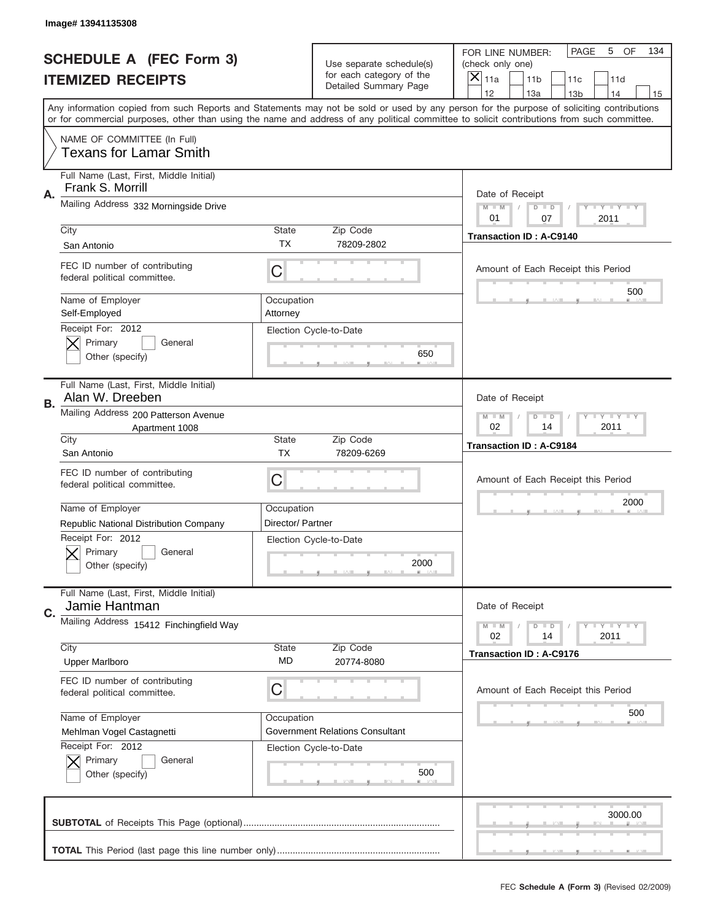|                                                            | Image# 13941135308                                            |                                                              |                                                   |                                                                                                                                                                                                                                                                                         |  |  |  |  |  |
|------------------------------------------------------------|---------------------------------------------------------------|--------------------------------------------------------------|---------------------------------------------------|-----------------------------------------------------------------------------------------------------------------------------------------------------------------------------------------------------------------------------------------------------------------------------------------|--|--|--|--|--|
| <b>SCHEDULE A (FEC Form 3)</b><br><b>ITEMIZED RECEIPTS</b> |                                                               | Use separate schedule(s)                                     |                                                   |                                                                                                                                                                                                                                                                                         |  |  |  |  |  |
|                                                            |                                                               |                                                              | for each category of the<br>Detailed Summary Page | $\boldsymbol{\times}$<br>11a<br>11 <sub>b</sub><br>11c<br>11d                                                                                                                                                                                                                           |  |  |  |  |  |
|                                                            |                                                               |                                                              |                                                   | 12<br>13a<br>14<br>13 <sub>b</sub><br>15                                                                                                                                                                                                                                                |  |  |  |  |  |
|                                                            |                                                               |                                                              |                                                   | Any information copied from such Reports and Statements may not be sold or used by any person for the purpose of soliciting contributions<br>or for commercial purposes, other than using the name and address of any political committee to solicit contributions from such committee. |  |  |  |  |  |
|                                                            | NAME OF COMMITTEE (In Full)<br><b>Texans for Lamar Smith</b>  |                                                              |                                                   |                                                                                                                                                                                                                                                                                         |  |  |  |  |  |
|                                                            | Full Name (Last, First, Middle Initial)<br>Frank S. Morrill   |                                                              |                                                   |                                                                                                                                                                                                                                                                                         |  |  |  |  |  |
| Α.                                                         | Mailing Address 332 Morningside Drive                         |                                                              |                                                   | Date of Receipt<br><b>LEY LEY LEY</b><br>$M - M$<br>$D$ $D$<br>01<br>07<br>2011                                                                                                                                                                                                         |  |  |  |  |  |
|                                                            | City                                                          | State                                                        | Zip Code                                          | <b>Transaction ID: A-C9140</b>                                                                                                                                                                                                                                                          |  |  |  |  |  |
|                                                            | San Antonio                                                   | TX.                                                          | 78209-2802                                        |                                                                                                                                                                                                                                                                                         |  |  |  |  |  |
|                                                            | FEC ID number of contributing<br>federal political committee. | C                                                            |                                                   | Amount of Each Receipt this Period                                                                                                                                                                                                                                                      |  |  |  |  |  |
|                                                            | Name of Employer<br>Self-Employed                             | Occupation<br>Attorney                                       |                                                   | 500                                                                                                                                                                                                                                                                                     |  |  |  |  |  |
|                                                            | Receipt For: 2012<br>Primary<br>General<br>Other (specify)    |                                                              | Election Cycle-to-Date<br>650                     |                                                                                                                                                                                                                                                                                         |  |  |  |  |  |
| В.                                                         | Full Name (Last, First, Middle Initial)<br>Alan W. Dreeben    |                                                              |                                                   | Date of Receipt                                                                                                                                                                                                                                                                         |  |  |  |  |  |
|                                                            | Mailing Address 200 Patterson Avenue<br>Apartment 1008        | $M - M$<br>$D$ $D$<br><b>LEY LEY LEY</b><br>02<br>14<br>2011 |                                                   |                                                                                                                                                                                                                                                                                         |  |  |  |  |  |
|                                                            | City<br>San Antonio                                           | <b>State</b><br><b>TX</b>                                    | Zip Code<br>78209-6269                            | <b>Transaction ID: A-C9184</b>                                                                                                                                                                                                                                                          |  |  |  |  |  |
|                                                            | FEC ID number of contributing<br>federal political committee. | С                                                            |                                                   | Amount of Each Receipt this Period                                                                                                                                                                                                                                                      |  |  |  |  |  |
|                                                            | Name of Employer                                              | Occupation                                                   |                                                   | 2000                                                                                                                                                                                                                                                                                    |  |  |  |  |  |
|                                                            | Republic National Distribution Company                        | Director/ Partner                                            |                                                   |                                                                                                                                                                                                                                                                                         |  |  |  |  |  |
|                                                            | Receipt For: 2012<br>General<br>Primary<br>Other (specify)    |                                                              | Election Cycle-to-Date<br>2000                    |                                                                                                                                                                                                                                                                                         |  |  |  |  |  |
| C.                                                         | Full Name (Last, First, Middle Initial)<br>Jamie Hantman      |                                                              |                                                   | Date of Receipt                                                                                                                                                                                                                                                                         |  |  |  |  |  |
|                                                            | Mailing Address 15412 Finchingfield Way                       |                                                              |                                                   | <b>LYLYLY</b><br>$M - M$<br>$D$ $D$                                                                                                                                                                                                                                                     |  |  |  |  |  |
|                                                            | City                                                          | State                                                        | Zip Code                                          | 02<br>2011<br>14                                                                                                                                                                                                                                                                        |  |  |  |  |  |
|                                                            | <b>Upper Marlboro</b>                                         | MD                                                           | 20774-8080                                        | <b>Transaction ID: A-C9176</b>                                                                                                                                                                                                                                                          |  |  |  |  |  |
|                                                            | FEC ID number of contributing<br>federal political committee. | С                                                            |                                                   | Amount of Each Receipt this Period                                                                                                                                                                                                                                                      |  |  |  |  |  |
|                                                            | Name of Employer                                              | Occupation                                                   |                                                   | 500                                                                                                                                                                                                                                                                                     |  |  |  |  |  |
|                                                            | Mehlman Vogel Castagnetti                                     |                                                              | <b>Government Relations Consultant</b>            |                                                                                                                                                                                                                                                                                         |  |  |  |  |  |
|                                                            | Receipt For: 2012<br>Primary<br>General<br>Other (specify)    |                                                              | Election Cycle-to-Date<br>500                     |                                                                                                                                                                                                                                                                                         |  |  |  |  |  |
|                                                            |                                                               |                                                              |                                                   | 3000.00                                                                                                                                                                                                                                                                                 |  |  |  |  |  |
|                                                            |                                                               |                                                              |                                                   |                                                                                                                                                                                                                                                                                         |  |  |  |  |  |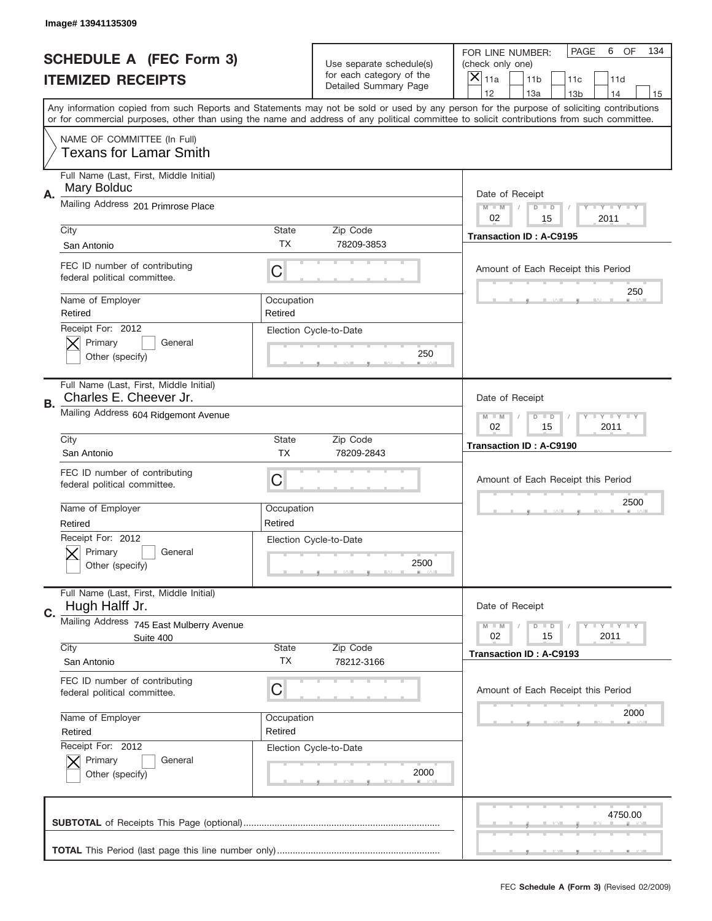|                                                            | Image# 13941135309                                                |                               |                                                   |                                                                                                                                                                                                                                                                                                                                     |  |  |  |  |
|------------------------------------------------------------|-------------------------------------------------------------------|-------------------------------|---------------------------------------------------|-------------------------------------------------------------------------------------------------------------------------------------------------------------------------------------------------------------------------------------------------------------------------------------------------------------------------------------|--|--|--|--|
| <b>SCHEDULE A (FEC Form 3)</b><br><b>ITEMIZED RECEIPTS</b> |                                                                   | Use separate schedule(s)      |                                                   | <b>PAGE</b><br>6<br>OF<br>134<br>FOR LINE NUMBER:<br>(check only one)                                                                                                                                                                                                                                                               |  |  |  |  |
|                                                            |                                                                   |                               | for each category of the<br>Detailed Summary Page | ×<br>11a<br>11 <sub>b</sub><br>11c<br>11d                                                                                                                                                                                                                                                                                           |  |  |  |  |
|                                                            |                                                                   |                               |                                                   | 12<br>13a<br>14<br>13 <sub>b</sub><br>15<br>Any information copied from such Reports and Statements may not be sold or used by any person for the purpose of soliciting contributions<br>or for commercial purposes, other than using the name and address of any political committee to solicit contributions from such committee. |  |  |  |  |
|                                                            | NAME OF COMMITTEE (In Full)<br><b>Texans for Lamar Smith</b>      |                               |                                                   |                                                                                                                                                                                                                                                                                                                                     |  |  |  |  |
| Α.                                                         | Full Name (Last, First, Middle Initial)<br>Mary Bolduc            |                               |                                                   | Date of Receipt                                                                                                                                                                                                                                                                                                                     |  |  |  |  |
|                                                            | Mailing Address 201 Primrose Place                                |                               |                                                   | $M - M$<br><b>THEY THEY</b><br>$D$ $D$<br>02<br>15<br>2011                                                                                                                                                                                                                                                                          |  |  |  |  |
|                                                            | City<br>San Antonio                                               | <b>State</b><br>TX            | Zip Code<br>78209-3853                            | <b>Transaction ID: A-C9195</b>                                                                                                                                                                                                                                                                                                      |  |  |  |  |
|                                                            | FEC ID number of contributing<br>federal political committee.     | C                             |                                                   | Amount of Each Receipt this Period<br>250                                                                                                                                                                                                                                                                                           |  |  |  |  |
|                                                            | Name of Employer<br>Retired<br>Receipt For: 2012                  | Occupation<br>Retired         |                                                   |                                                                                                                                                                                                                                                                                                                                     |  |  |  |  |
|                                                            | Primary<br>General<br>Other (specify)                             | Election Cycle-to-Date<br>250 |                                                   |                                                                                                                                                                                                                                                                                                                                     |  |  |  |  |
| В.                                                         | Full Name (Last, First, Middle Initial)<br>Charles E. Cheever Jr. |                               |                                                   | Date of Receipt                                                                                                                                                                                                                                                                                                                     |  |  |  |  |
|                                                            | Mailing Address 604 Ridgemont Avenue                              |                               |                                                   | <b>LY LY LY</b><br>$M - M$<br>$D$ $D$<br>02<br>15<br>2011                                                                                                                                                                                                                                                                           |  |  |  |  |
|                                                            | City<br>San Antonio                                               | <b>State</b><br><b>TX</b>     | Zip Code<br>78209-2843                            | <b>Transaction ID: A-C9190</b>                                                                                                                                                                                                                                                                                                      |  |  |  |  |
|                                                            | FEC ID number of contributing<br>federal political committee.     | C                             |                                                   | Amount of Each Receipt this Period                                                                                                                                                                                                                                                                                                  |  |  |  |  |
|                                                            | Name of Employer<br>Retired                                       | Occupation<br>Retired         |                                                   | 2500                                                                                                                                                                                                                                                                                                                                |  |  |  |  |
|                                                            | Receipt For: 2012<br>General<br>Primary<br>Other (specify)        |                               | Election Cycle-to-Date<br>2500                    |                                                                                                                                                                                                                                                                                                                                     |  |  |  |  |
| C.                                                         | Full Name (Last, First, Middle Initial)<br>Hugh Halff Jr.         |                               |                                                   | Date of Receipt                                                                                                                                                                                                                                                                                                                     |  |  |  |  |
|                                                            | Mailing Address 745 East Mulberry Avenue<br>Suite 400             |                               |                                                   | $T + Y = Y + Y$<br>$M - M$<br>$D$ $D$<br>02<br>2011<br>15                                                                                                                                                                                                                                                                           |  |  |  |  |
|                                                            | City<br>San Antonio                                               | <b>State</b><br>ТX            | Zip Code<br>78212-3166                            | <b>Transaction ID: A-C9193</b>                                                                                                                                                                                                                                                                                                      |  |  |  |  |
|                                                            | FEC ID number of contributing<br>federal political committee.     | C                             |                                                   | Amount of Each Receipt this Period                                                                                                                                                                                                                                                                                                  |  |  |  |  |
|                                                            | Name of Employer<br>Retired<br>Receipt For: 2012                  | Occupation<br>Retired         |                                                   | 2000                                                                                                                                                                                                                                                                                                                                |  |  |  |  |
|                                                            | Primary<br>General<br>Other (specify)                             |                               | Election Cycle-to-Date<br>2000                    |                                                                                                                                                                                                                                                                                                                                     |  |  |  |  |
|                                                            |                                                                   |                               |                                                   | 4750.00                                                                                                                                                                                                                                                                                                                             |  |  |  |  |
|                                                            |                                                                   |                               |                                                   |                                                                                                                                                                                                                                                                                                                                     |  |  |  |  |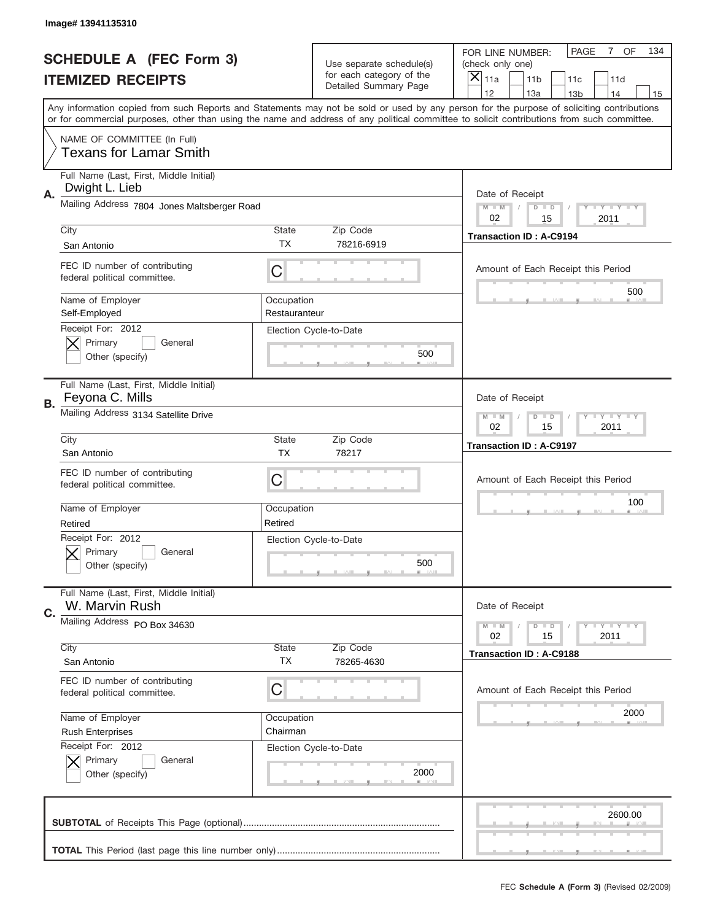|                                                            | Image# 13941135310                                            |                                                    |                                                   |                                                                                                                                                                                                                                                                                                                                     |  |  |
|------------------------------------------------------------|---------------------------------------------------------------|----------------------------------------------------|---------------------------------------------------|-------------------------------------------------------------------------------------------------------------------------------------------------------------------------------------------------------------------------------------------------------------------------------------------------------------------------------------|--|--|
| <b>SCHEDULE A (FEC Form 3)</b><br><b>ITEMIZED RECEIPTS</b> |                                                               |                                                    | Use separate schedule(s)                          | <b>PAGE</b><br>7 OF<br>134<br>FOR LINE NUMBER:<br>(check only one)                                                                                                                                                                                                                                                                  |  |  |
|                                                            |                                                               |                                                    | for each category of the<br>Detailed Summary Page | ×<br>11a<br>11 <sub>b</sub><br>11c<br>11d                                                                                                                                                                                                                                                                                           |  |  |
|                                                            |                                                               |                                                    |                                                   | 12<br>13a<br>14<br>13 <sub>b</sub><br>15<br>Any information copied from such Reports and Statements may not be sold or used by any person for the purpose of soliciting contributions<br>or for commercial purposes, other than using the name and address of any political committee to solicit contributions from such committee. |  |  |
|                                                            | NAME OF COMMITTEE (In Full)<br><b>Texans for Lamar Smith</b>  |                                                    |                                                   |                                                                                                                                                                                                                                                                                                                                     |  |  |
| А.                                                         | Full Name (Last, First, Middle Initial)<br>Dwight L. Lieb     |                                                    |                                                   | Date of Receipt                                                                                                                                                                                                                                                                                                                     |  |  |
|                                                            | Mailing Address 7804 Jones Maltsberger Road                   |                                                    |                                                   | $M$ $M$<br>Y I Y I Y I Y<br>$D$ $D$<br>02<br>15<br>2011                                                                                                                                                                                                                                                                             |  |  |
|                                                            | City<br>San Antonio                                           | State<br>ТX                                        | Zip Code<br>78216-6919                            | <b>Transaction ID: A-C9194</b>                                                                                                                                                                                                                                                                                                      |  |  |
|                                                            | FEC ID number of contributing<br>federal political committee. | C                                                  |                                                   | Amount of Each Receipt this Period<br>500                                                                                                                                                                                                                                                                                           |  |  |
|                                                            | Name of Employer<br>Self-Employed                             | Occupation<br>Restauranteur                        |                                                   |                                                                                                                                                                                                                                                                                                                                     |  |  |
|                                                            | Primary<br>General<br>Other (specify)                         | Receipt For: 2012<br>Election Cycle-to-Date<br>500 |                                                   |                                                                                                                                                                                                                                                                                                                                     |  |  |
| В.                                                         | Full Name (Last, First, Middle Initial)<br>Feyona C. Mills    |                                                    |                                                   | Date of Receipt                                                                                                                                                                                                                                                                                                                     |  |  |
|                                                            | Mailing Address 3134 Satellite Drive                          |                                                    |                                                   | $T$ $Y$ $T$ $Y$ $T$ $Y$<br>$M - M$<br>$D$ $D$<br>02<br>15<br>2011                                                                                                                                                                                                                                                                   |  |  |
|                                                            | City<br>San Antonio                                           | State<br><b>TX</b>                                 | Zip Code<br>78217                                 | <b>Transaction ID: A-C9197</b>                                                                                                                                                                                                                                                                                                      |  |  |
|                                                            | FEC ID number of contributing<br>federal political committee. | C                                                  |                                                   | Amount of Each Receipt this Period                                                                                                                                                                                                                                                                                                  |  |  |
|                                                            | Name of Employer<br>Retired                                   | Occupation<br>Retired                              |                                                   | 100                                                                                                                                                                                                                                                                                                                                 |  |  |
|                                                            | Receipt For: 2012<br>General<br>Primary<br>Other (specify)    |                                                    | Election Cycle-to-Date<br>500                     |                                                                                                                                                                                                                                                                                                                                     |  |  |
| C.                                                         | Full Name (Last, First, Middle Initial)<br>W. Marvin Rush     |                                                    |                                                   | Date of Receipt                                                                                                                                                                                                                                                                                                                     |  |  |
|                                                            | Mailing Address PO Box 34630                                  |                                                    |                                                   | <b>LY LY LY</b><br>$M - M$<br>$D$ $D$<br>02<br>2011<br>15                                                                                                                                                                                                                                                                           |  |  |
|                                                            | City<br>San Antonio                                           | State<br><b>TX</b>                                 | Zip Code<br>78265-4630                            | <b>Transaction ID: A-C9188</b>                                                                                                                                                                                                                                                                                                      |  |  |
|                                                            | FEC ID number of contributing<br>federal political committee. | C                                                  |                                                   | Amount of Each Receipt this Period                                                                                                                                                                                                                                                                                                  |  |  |
|                                                            | Name of Employer<br><b>Rush Enterprises</b>                   | Occupation<br>Chairman                             |                                                   | 2000                                                                                                                                                                                                                                                                                                                                |  |  |
|                                                            | Receipt For: 2012<br>Primary<br>General<br>Other (specify)    |                                                    | Election Cycle-to-Date<br>2000                    |                                                                                                                                                                                                                                                                                                                                     |  |  |
|                                                            |                                                               |                                                    |                                                   | 2600.00                                                                                                                                                                                                                                                                                                                             |  |  |
|                                                            |                                                               |                                                    |                                                   |                                                                                                                                                                                                                                                                                                                                     |  |  |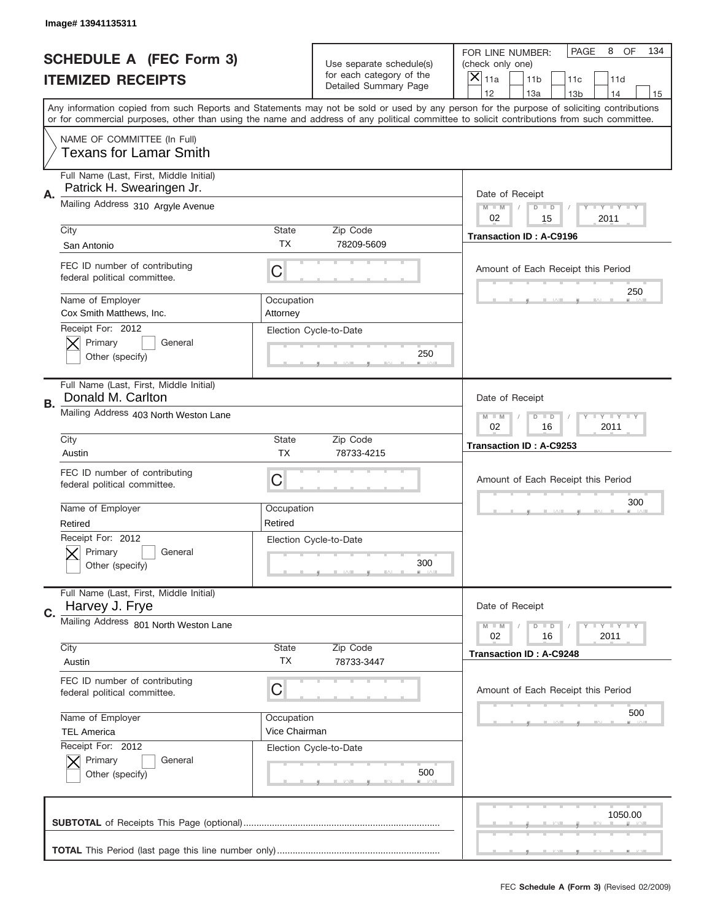|                                                            | Image# 13941135311                                                   |                                                              |                                                   |                                                                                                                                                                                       |  |  |  |  |  |
|------------------------------------------------------------|----------------------------------------------------------------------|--------------------------------------------------------------|---------------------------------------------------|---------------------------------------------------------------------------------------------------------------------------------------------------------------------------------------|--|--|--|--|--|
| <b>SCHEDULE A (FEC Form 3)</b><br><b>ITEMIZED RECEIPTS</b> |                                                                      | Use separate schedule(s)                                     |                                                   | PAGE<br>8<br><b>OF</b><br>134<br>FOR LINE NUMBER:<br>(check only one)                                                                                                                 |  |  |  |  |  |
|                                                            |                                                                      |                                                              | for each category of the<br>Detailed Summary Page | $\boldsymbol{\times}$<br>11 <sub>b</sub><br>11a<br>11c<br>11d                                                                                                                         |  |  |  |  |  |
|                                                            |                                                                      |                                                              |                                                   | 12<br>13a<br>14<br>13 <sub>b</sub><br>15<br>Any information copied from such Reports and Statements may not be sold or used by any person for the purpose of soliciting contributions |  |  |  |  |  |
|                                                            |                                                                      |                                                              |                                                   | or for commercial purposes, other than using the name and address of any political committee to solicit contributions from such committee.                                            |  |  |  |  |  |
|                                                            | NAME OF COMMITTEE (In Full)<br><b>Texans for Lamar Smith</b>         |                                                              |                                                   |                                                                                                                                                                                       |  |  |  |  |  |
| А.                                                         | Full Name (Last, First, Middle Initial)<br>Patrick H. Swearingen Jr. |                                                              |                                                   | Date of Receipt                                                                                                                                                                       |  |  |  |  |  |
|                                                            | Mailing Address 310 Argyle Avenue                                    |                                                              |                                                   | $M - M$<br><b>LEY LEY LEY</b><br>$D$ $D$<br>02<br>15<br>2011                                                                                                                          |  |  |  |  |  |
|                                                            | City<br>San Antonio                                                  | State<br><b>TX</b>                                           | Zip Code<br>78209-5609                            | <b>Transaction ID: A-C9196</b>                                                                                                                                                        |  |  |  |  |  |
|                                                            | FEC ID number of contributing<br>federal political committee.        | C                                                            |                                                   | Amount of Each Receipt this Period                                                                                                                                                    |  |  |  |  |  |
|                                                            | Name of Employer<br>Cox Smith Matthews, Inc.                         | Occupation<br>Attorney                                       |                                                   | 250                                                                                                                                                                                   |  |  |  |  |  |
|                                                            | Receipt For: 2012<br>Primary<br>General<br>Other (specify)           |                                                              | Election Cycle-to-Date<br>250                     |                                                                                                                                                                                       |  |  |  |  |  |
| В.                                                         | Full Name (Last, First, Middle Initial)<br>Donald M. Carlton         |                                                              |                                                   | Date of Receipt                                                                                                                                                                       |  |  |  |  |  |
|                                                            | Mailing Address 403 North Weston Lane                                | $M - M$<br>$D$ $D$<br><b>LEY LEY LEY</b><br>02<br>16<br>2011 |                                                   |                                                                                                                                                                                       |  |  |  |  |  |
|                                                            | City<br>Austin                                                       | <b>State</b><br><b>TX</b>                                    | Zip Code<br>78733-4215                            | Transaction ID: A-C9253                                                                                                                                                               |  |  |  |  |  |
|                                                            | FEC ID number of contributing<br>federal political committee.        | С                                                            |                                                   | Amount of Each Receipt this Period                                                                                                                                                    |  |  |  |  |  |
|                                                            | Name of Employer<br>Retired                                          | Occupation<br>Retired                                        |                                                   | 300                                                                                                                                                                                   |  |  |  |  |  |
|                                                            | Receipt For: 2012<br>General<br>Primary<br>Other (specify)           |                                                              | Election Cycle-to-Date<br>300                     |                                                                                                                                                                                       |  |  |  |  |  |
| C.                                                         | Full Name (Last, First, Middle Initial)<br>Harvey J. Frye            |                                                              |                                                   | Date of Receipt                                                                                                                                                                       |  |  |  |  |  |
|                                                            | Mailing Address 801 North Weston Lane                                |                                                              |                                                   | <b>LY LY LY</b><br>$M - M$<br>$D$ $D$<br>02<br>2011<br>16                                                                                                                             |  |  |  |  |  |
|                                                            | City<br>Austin                                                       | State<br>ТX                                                  | Zip Code<br>78733-3447                            | <b>Transaction ID: A-C9248</b>                                                                                                                                                        |  |  |  |  |  |
|                                                            | FEC ID number of contributing<br>federal political committee.        | С                                                            |                                                   | Amount of Each Receipt this Period                                                                                                                                                    |  |  |  |  |  |
|                                                            | Name of Employer<br><b>TEL America</b>                               | Occupation<br>Vice Chairman                                  |                                                   | 500                                                                                                                                                                                   |  |  |  |  |  |
|                                                            | Receipt For: 2012<br>Primary<br>General<br>Other (specify)           |                                                              | Election Cycle-to-Date<br>500                     |                                                                                                                                                                                       |  |  |  |  |  |
|                                                            |                                                                      |                                                              |                                                   | 1050.00                                                                                                                                                                               |  |  |  |  |  |
|                                                            |                                                                      |                                                              |                                                   |                                                                                                                                                                                       |  |  |  |  |  |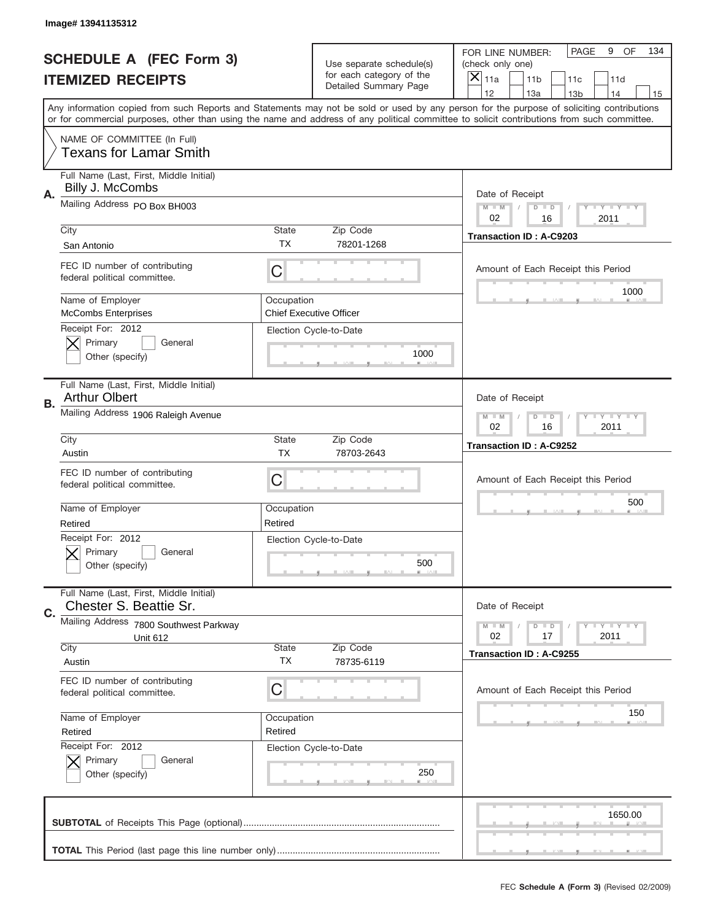|                                                            | Image# 13941135312                                                  |                           |                                                          |                                                                                                                                                                                                                                                                                                                                     |
|------------------------------------------------------------|---------------------------------------------------------------------|---------------------------|----------------------------------------------------------|-------------------------------------------------------------------------------------------------------------------------------------------------------------------------------------------------------------------------------------------------------------------------------------------------------------------------------------|
| <b>SCHEDULE A (FEC Form 3)</b><br><b>ITEMIZED RECEIPTS</b> |                                                                     | Use separate schedule(s)  |                                                          | <b>PAGE</b><br>9<br>OF<br>134<br>FOR LINE NUMBER:<br>(check only one)                                                                                                                                                                                                                                                               |
|                                                            |                                                                     |                           | for each category of the<br>Detailed Summary Page        | ×<br>11a<br>11 <sub>b</sub><br>11c<br>11d                                                                                                                                                                                                                                                                                           |
|                                                            |                                                                     |                           |                                                          | 12<br>13a<br>14<br>13 <sub>b</sub><br>15<br>Any information copied from such Reports and Statements may not be sold or used by any person for the purpose of soliciting contributions<br>or for commercial purposes, other than using the name and address of any political committee to solicit contributions from such committee. |
|                                                            | NAME OF COMMITTEE (In Full)<br><b>Texans for Lamar Smith</b>        |                           |                                                          |                                                                                                                                                                                                                                                                                                                                     |
| Α.                                                         | Full Name (Last, First, Middle Initial)<br>Billy J. McCombs         |                           |                                                          | Date of Receipt                                                                                                                                                                                                                                                                                                                     |
|                                                            | Mailing Address PO Box BH003                                        |                           |                                                          | $M - M$<br><b>THEY THEY</b><br>$D$ $D$<br>02<br>16<br>2011                                                                                                                                                                                                                                                                          |
|                                                            | City<br>San Antonio                                                 | <b>State</b><br>TX        | Zip Code<br>78201-1268                                   | <b>Transaction ID: A-C9203</b>                                                                                                                                                                                                                                                                                                      |
|                                                            | FEC ID number of contributing<br>federal political committee.       | C                         |                                                          | Amount of Each Receipt this Period<br>1000                                                                                                                                                                                                                                                                                          |
|                                                            | Name of Employer<br><b>McCombs Enterprises</b><br>Receipt For: 2012 | Occupation                | <b>Chief Executive Officer</b><br>Election Cycle-to-Date |                                                                                                                                                                                                                                                                                                                                     |
|                                                            | Primary<br>General<br>Other (specify)                               |                           | 1000                                                     |                                                                                                                                                                                                                                                                                                                                     |
| В.                                                         | Full Name (Last, First, Middle Initial)<br><b>Arthur Olbert</b>     |                           |                                                          | Date of Receipt                                                                                                                                                                                                                                                                                                                     |
|                                                            | Mailing Address 1906 Raleigh Avenue                                 |                           |                                                          | <b>LY LY LY</b><br>$M - M$<br>$D$ $D$<br>02<br>16<br>2011                                                                                                                                                                                                                                                                           |
|                                                            | City<br>Austin                                                      | <b>State</b><br><b>TX</b> | Zip Code<br>78703-2643                                   | <b>Transaction ID: A-C9252</b>                                                                                                                                                                                                                                                                                                      |
|                                                            | FEC ID number of contributing<br>federal political committee.       | C                         |                                                          | Amount of Each Receipt this Period<br>500                                                                                                                                                                                                                                                                                           |
|                                                            | Name of Employer<br>Retired                                         | Occupation<br>Retired     |                                                          |                                                                                                                                                                                                                                                                                                                                     |
|                                                            | Receipt For: 2012<br>General<br>Primary<br>Other (specify)          |                           | Election Cycle-to-Date<br>500                            |                                                                                                                                                                                                                                                                                                                                     |
| C.                                                         | Full Name (Last, First, Middle Initial)<br>Chester S. Beattie Sr.   |                           |                                                          | Date of Receipt                                                                                                                                                                                                                                                                                                                     |
|                                                            | Mailing Address 7800 Southwest Parkway<br><b>Unit 612</b>           |                           |                                                          | $T + Y = Y + Y$<br>$M - M$<br>$D$ $D$<br>02<br>17<br>2011                                                                                                                                                                                                                                                                           |
|                                                            | City<br>Austin                                                      | <b>State</b><br>ТX        | Zip Code<br>78735-6119                                   | Transaction ID: A-C9255                                                                                                                                                                                                                                                                                                             |
|                                                            | FEC ID number of contributing<br>federal political committee.       | C                         |                                                          | Amount of Each Receipt this Period                                                                                                                                                                                                                                                                                                  |
|                                                            | Name of Employer<br>Retired<br>Receipt For: 2012                    | Occupation<br>Retired     |                                                          | 150                                                                                                                                                                                                                                                                                                                                 |
|                                                            | Primary<br>General<br>Other (specify)                               |                           | Election Cycle-to-Date<br>250                            |                                                                                                                                                                                                                                                                                                                                     |
|                                                            |                                                                     |                           |                                                          | 1650.00                                                                                                                                                                                                                                                                                                                             |
|                                                            |                                                                     |                           |                                                          |                                                                                                                                                                                                                                                                                                                                     |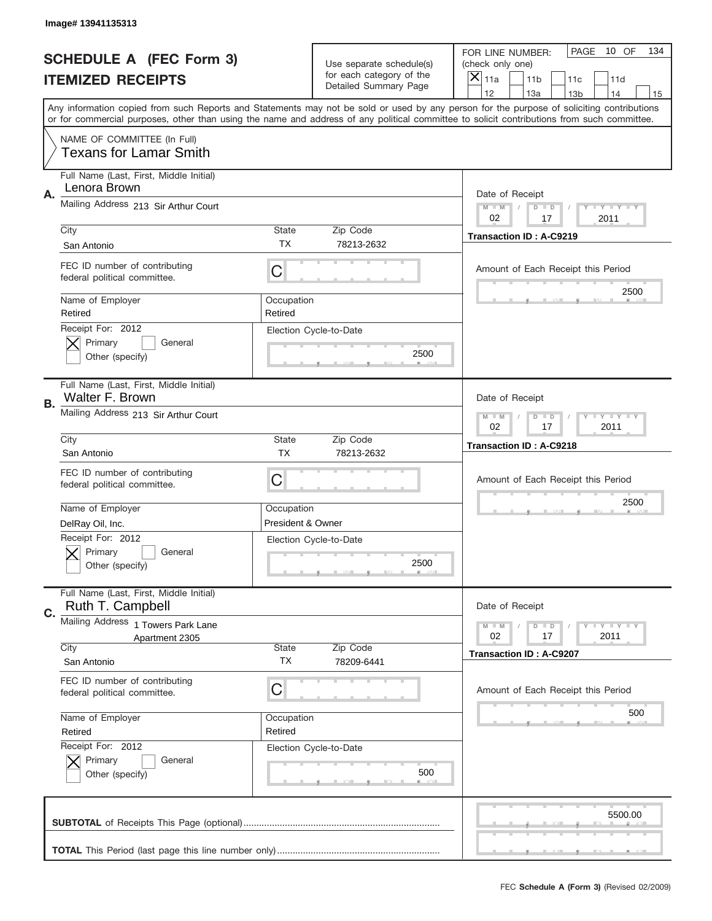|                                                            | Image# 13941135313                                            |                                                     |                                                   |                                                                                                                                                                                                                                                                                                                                     |  |  |  |  |  |
|------------------------------------------------------------|---------------------------------------------------------------|-----------------------------------------------------|---------------------------------------------------|-------------------------------------------------------------------------------------------------------------------------------------------------------------------------------------------------------------------------------------------------------------------------------------------------------------------------------------|--|--|--|--|--|
| <b>SCHEDULE A (FEC Form 3)</b><br><b>ITEMIZED RECEIPTS</b> |                                                               | Use separate schedule(s)                            |                                                   | PAGE<br>10 OF<br>134<br>FOR LINE NUMBER:<br>(check only one)                                                                                                                                                                                                                                                                        |  |  |  |  |  |
|                                                            |                                                               |                                                     | for each category of the<br>Detailed Summary Page | ×<br>11a<br>11 <sub>b</sub><br>11c<br>11d                                                                                                                                                                                                                                                                                           |  |  |  |  |  |
|                                                            |                                                               |                                                     |                                                   | 12<br>13a<br>14<br>13 <sub>b</sub><br>15<br>Any information copied from such Reports and Statements may not be sold or used by any person for the purpose of soliciting contributions<br>or for commercial purposes, other than using the name and address of any political committee to solicit contributions from such committee. |  |  |  |  |  |
|                                                            | NAME OF COMMITTEE (In Full)<br><b>Texans for Lamar Smith</b>  |                                                     |                                                   |                                                                                                                                                                                                                                                                                                                                     |  |  |  |  |  |
| Α.                                                         | Full Name (Last, First, Middle Initial)<br>Lenora Brown       |                                                     |                                                   | Date of Receipt                                                                                                                                                                                                                                                                                                                     |  |  |  |  |  |
|                                                            | Mailing Address 213 Sir Arthur Court                          |                                                     |                                                   | Y TY TY TY<br>$M - M$<br>$D$ $D$<br>02<br>2011<br>17                                                                                                                                                                                                                                                                                |  |  |  |  |  |
|                                                            | City<br>San Antonio                                           | <b>State</b><br>TX                                  | Zip Code<br>78213-2632                            | <b>Transaction ID: A-C9219</b>                                                                                                                                                                                                                                                                                                      |  |  |  |  |  |
|                                                            | FEC ID number of contributing<br>federal political committee. | C                                                   |                                                   | Amount of Each Receipt this Period<br>2500                                                                                                                                                                                                                                                                                          |  |  |  |  |  |
|                                                            | Name of Employer<br>Retired                                   | Occupation<br>Retired                               |                                                   |                                                                                                                                                                                                                                                                                                                                     |  |  |  |  |  |
|                                                            | Primary<br>General<br>Other (specify)                         | Receipt For: 2012<br>Election Cycle-to-Date<br>2500 |                                                   |                                                                                                                                                                                                                                                                                                                                     |  |  |  |  |  |
| В.                                                         | Full Name (Last, First, Middle Initial)<br>Walter F. Brown    |                                                     |                                                   | Date of Receipt                                                                                                                                                                                                                                                                                                                     |  |  |  |  |  |
|                                                            | Mailing Address 213 Sir Arthur Court                          |                                                     |                                                   | $T$ $Y$ $T$ $Y$ $T$ $Y$<br>$D$ $D$<br>$M - M$<br>02<br>17<br>2011                                                                                                                                                                                                                                                                   |  |  |  |  |  |
|                                                            | City<br>San Antonio                                           | <b>State</b><br><b>TX</b>                           | Zip Code<br>78213-2632                            | <b>Transaction ID: A-C9218</b>                                                                                                                                                                                                                                                                                                      |  |  |  |  |  |
|                                                            | FEC ID number of contributing<br>federal political committee. | C                                                   |                                                   | Amount of Each Receipt this Period                                                                                                                                                                                                                                                                                                  |  |  |  |  |  |
|                                                            | Name of Employer                                              | Occupation                                          |                                                   | 2500                                                                                                                                                                                                                                                                                                                                |  |  |  |  |  |
|                                                            | DelRay Oil, Inc.                                              | President & Owner                                   |                                                   |                                                                                                                                                                                                                                                                                                                                     |  |  |  |  |  |
|                                                            | Receipt For: 2012<br>General<br>Primary<br>Other (specify)    |                                                     | Election Cycle-to-Date<br>2500                    |                                                                                                                                                                                                                                                                                                                                     |  |  |  |  |  |
| C.                                                         | Full Name (Last, First, Middle Initial)<br>Ruth T. Campbell   |                                                     |                                                   | Date of Receipt                                                                                                                                                                                                                                                                                                                     |  |  |  |  |  |
|                                                            | Mailing Address 1 Towers Park Lane<br>Apartment 2305          |                                                     |                                                   | <b>TEY TEY TEY</b><br>$M - M$<br>$D$ $D$<br>02<br>2011<br>17                                                                                                                                                                                                                                                                        |  |  |  |  |  |
|                                                            | City<br>San Antonio                                           | <b>State</b><br>ТX                                  | Zip Code<br>78209-6441                            | <b>Transaction ID: A-C9207</b>                                                                                                                                                                                                                                                                                                      |  |  |  |  |  |
|                                                            | FEC ID number of contributing<br>federal political committee. | C                                                   |                                                   | Amount of Each Receipt this Period                                                                                                                                                                                                                                                                                                  |  |  |  |  |  |
|                                                            | Name of Employer<br>Retired                                   | Occupation<br>Retired                               |                                                   | 500                                                                                                                                                                                                                                                                                                                                 |  |  |  |  |  |
|                                                            | Receipt For: 2012<br>Primary<br>General<br>Other (specify)    |                                                     | Election Cycle-to-Date<br>500                     |                                                                                                                                                                                                                                                                                                                                     |  |  |  |  |  |
|                                                            |                                                               |                                                     |                                                   | 5500.00                                                                                                                                                                                                                                                                                                                             |  |  |  |  |  |
|                                                            |                                                               |                                                     |                                                   |                                                                                                                                                                                                                                                                                                                                     |  |  |  |  |  |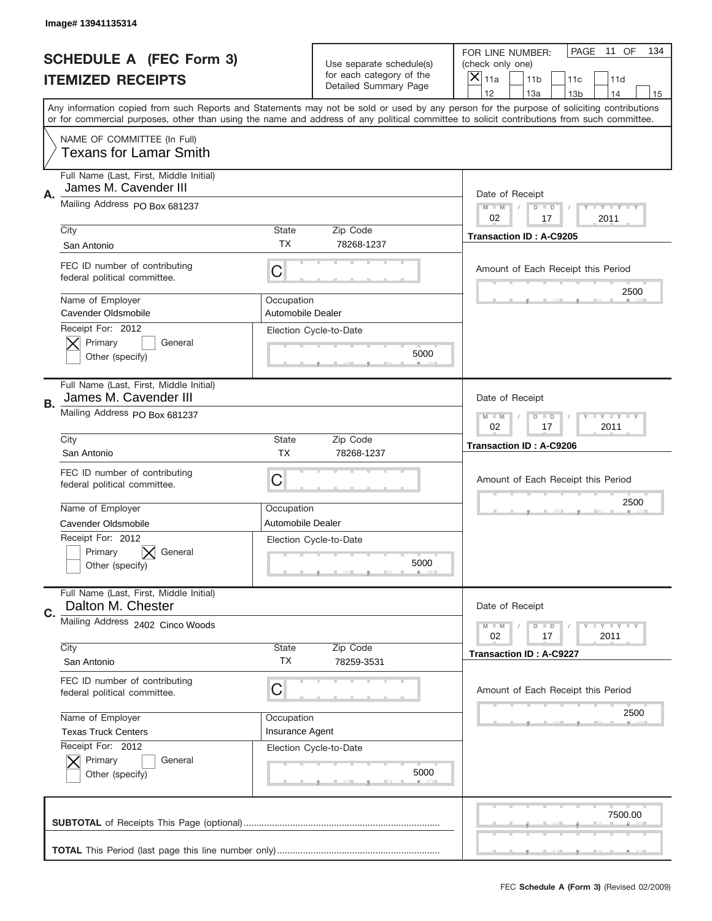|                                                            | Image# 13941135314                                                                                                                         |                                 |                                                   |                                |                                                       |                 |                            |    |  |
|------------------------------------------------------------|--------------------------------------------------------------------------------------------------------------------------------------------|---------------------------------|---------------------------------------------------|--------------------------------|-------------------------------------------------------|-----------------|----------------------------|----|--|
| <b>SCHEDULE A (FEC Form 3)</b><br><b>ITEMIZED RECEIPTS</b> |                                                                                                                                            | Use separate schedule(s)        |                                                   |                                | PAGE<br>11 OF<br>FOR LINE NUMBER:<br>(check only one) |                 |                            |    |  |
|                                                            |                                                                                                                                            |                                 | for each category of the<br>Detailed Summary Page | $\boldsymbol{\times}$<br>11a   | 11 <sub>b</sub>                                       | 11c             | 11d                        |    |  |
|                                                            | Any information copied from such Reports and Statements may not be sold or used by any person for the purpose of soliciting contributions  |                                 |                                                   | 12                             | 13a                                                   | 13 <sub>b</sub> | 14                         | 15 |  |
|                                                            | or for commercial purposes, other than using the name and address of any political committee to solicit contributions from such committee. |                                 |                                                   |                                |                                                       |                 |                            |    |  |
|                                                            | NAME OF COMMITTEE (In Full)<br><b>Texans for Lamar Smith</b>                                                                               |                                 |                                                   |                                |                                                       |                 |                            |    |  |
| Α.                                                         | Full Name (Last, First, Middle Initial)<br>James M. Cavender III                                                                           |                                 |                                                   | Date of Receipt                |                                                       |                 |                            |    |  |
|                                                            | Mailing Address PO Box 681237                                                                                                              |                                 |                                                   | $M - M$<br>02                  | $D$ $D$<br>17                                         |                 | <b>LEY LEY LEY</b><br>2011 |    |  |
|                                                            | City<br>San Antonio                                                                                                                        | State<br><b>TX</b>              | Zip Code<br>78268-1237                            |                                | Transaction ID: A-C9205                               |                 |                            |    |  |
|                                                            | FEC ID number of contributing<br>federal political committee.                                                                              | C                               |                                                   |                                | Amount of Each Receipt this Period                    |                 |                            |    |  |
|                                                            | Name of Employer<br>Cavender Oldsmobile                                                                                                    | Occupation<br>Automobile Dealer | Election Cycle-to-Date                            |                                |                                                       |                 | 2500                       |    |  |
|                                                            | Receipt For: 2012<br>Primary<br>General<br>Other (specify)                                                                                 |                                 |                                                   |                                |                                                       |                 |                            |    |  |
| В.                                                         | Full Name (Last, First, Middle Initial)<br>James M. Cavender III                                                                           |                                 |                                                   | Date of Receipt                |                                                       |                 |                            |    |  |
|                                                            | Mailing Address PO Box 681237                                                                                                              | $M - M$<br>02                   | $D$ $D$<br>17                                     |                                | <b>LY LY LY</b><br>2011                               |                 |                            |    |  |
|                                                            | City<br>San Antonio                                                                                                                        | <b>State</b><br><b>TX</b>       | Zip Code<br>78268-1237                            | <b>Transaction ID: A-C9206</b> |                                                       |                 |                            |    |  |
|                                                            | FEC ID number of contributing<br>federal political committee.                                                                              | С                               |                                                   |                                | Amount of Each Receipt this Period                    |                 |                            |    |  |
|                                                            | Name of Employer                                                                                                                           | Occupation                      |                                                   |                                |                                                       |                 | 2500                       |    |  |
|                                                            | Cavender Oldsmobile                                                                                                                        | Automobile Dealer               |                                                   |                                |                                                       |                 |                            |    |  |
|                                                            | Receipt For: 2012<br>Primary<br>General<br>Other (specify)                                                                                 |                                 | Election Cycle-to-Date<br>5000                    |                                |                                                       |                 |                            |    |  |
| C.                                                         | Full Name (Last, First, Middle Initial)<br>Dalton M. Chester                                                                               |                                 |                                                   | Date of Receipt                |                                                       |                 |                            |    |  |
|                                                            | Mailing Address 2402 Cinco Woods                                                                                                           |                                 |                                                   |                                | $D$ $D$<br>17                                         |                 | <b>LY LY LY</b><br>2011    |    |  |
|                                                            | City<br>San Antonio                                                                                                                        | <b>State</b><br>ТX              | Zip Code<br>78259-3531                            |                                | <b>Transaction ID: A-C9227</b>                        |                 |                            |    |  |
|                                                            | FEC ID number of contributing<br>federal political committee.                                                                              | С                               |                                                   |                                | Amount of Each Receipt this Period                    |                 |                            |    |  |
|                                                            | Name of Employer                                                                                                                           | Occupation                      |                                                   |                                |                                                       |                 | 2500                       |    |  |
|                                                            | <b>Texas Truck Centers</b>                                                                                                                 | Insurance Agent                 |                                                   |                                |                                                       |                 |                            |    |  |
|                                                            | Receipt For: 2012<br>Primary<br>General<br>Other (specify)                                                                                 |                                 | Election Cycle-to-Date<br>5000                    |                                |                                                       |                 |                            |    |  |
|                                                            |                                                                                                                                            |                                 |                                                   |                                |                                                       |                 | 7500.00                    |    |  |
|                                                            |                                                                                                                                            |                                 |                                                   |                                |                                                       |                 |                            |    |  |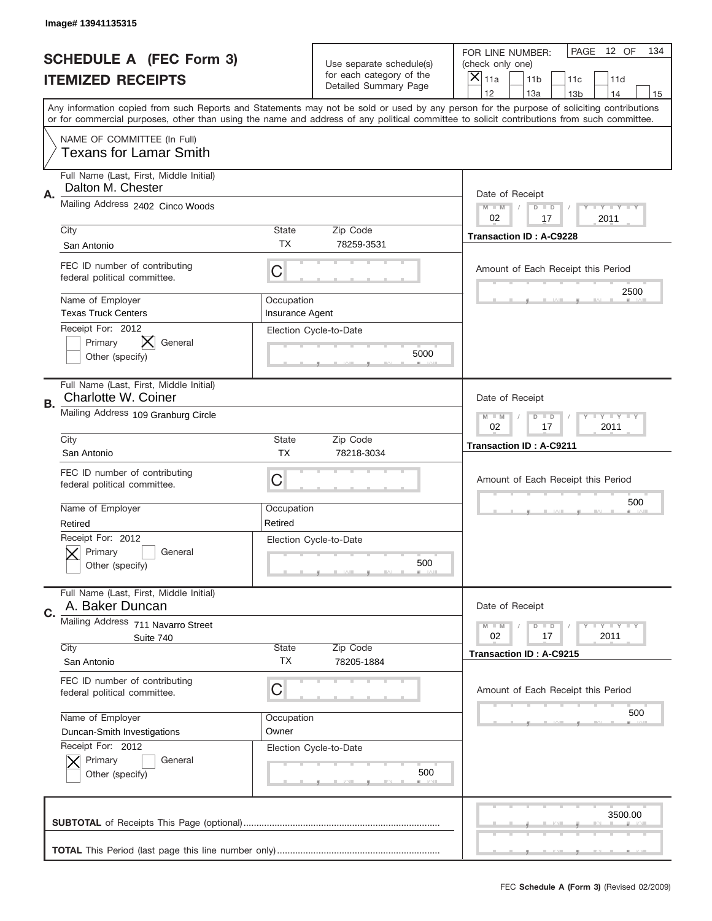|                                | Image# 13941135315                                                    |                                                         |                                                      |                                                                                                                                                                                                                                                                                         |  |  |  |  |
|--------------------------------|-----------------------------------------------------------------------|---------------------------------------------------------|------------------------------------------------------|-----------------------------------------------------------------------------------------------------------------------------------------------------------------------------------------------------------------------------------------------------------------------------------------|--|--|--|--|
| <b>SCHEDULE A (FEC Form 3)</b> |                                                                       |                                                         | Use separate schedule(s)<br>for each category of the | PAGE<br>12 OF<br>134<br>FOR LINE NUMBER:<br>(check only one)<br>×                                                                                                                                                                                                                       |  |  |  |  |
|                                | <b>ITEMIZED RECEIPTS</b>                                              |                                                         | Detailed Summary Page                                | 11a<br>11 <sub>b</sub><br>11c<br>11d<br>12<br>13a<br>14<br>13 <sub>b</sub><br>15                                                                                                                                                                                                        |  |  |  |  |
|                                |                                                                       |                                                         |                                                      | Any information copied from such Reports and Statements may not be sold or used by any person for the purpose of soliciting contributions<br>or for commercial purposes, other than using the name and address of any political committee to solicit contributions from such committee. |  |  |  |  |
|                                | NAME OF COMMITTEE (In Full)<br><b>Texans for Lamar Smith</b>          |                                                         |                                                      |                                                                                                                                                                                                                                                                                         |  |  |  |  |
| Α.                             | Full Name (Last, First, Middle Initial)<br>Dalton M. Chester          |                                                         |                                                      | Date of Receipt                                                                                                                                                                                                                                                                         |  |  |  |  |
|                                | Mailing Address 2402 Cinco Woods                                      | $M$ M<br>Y I Y I Y I Y<br>$D$ $D$<br>02<br>17<br>2011   |                                                      |                                                                                                                                                                                                                                                                                         |  |  |  |  |
|                                | City<br>San Antonio                                                   | State<br><b>TX</b>                                      | Zip Code<br>78259-3531                               | <b>Transaction ID: A-C9228</b>                                                                                                                                                                                                                                                          |  |  |  |  |
|                                | FEC ID number of contributing<br>federal political committee.         | C                                                       |                                                      | Amount of Each Receipt this Period<br>2500                                                                                                                                                                                                                                              |  |  |  |  |
|                                | Name of Employer<br><b>Texas Truck Centers</b>                        | Occupation<br>Insurance Agent                           |                                                      |                                                                                                                                                                                                                                                                                         |  |  |  |  |
|                                | X<br>Primary<br>General<br>Other (specify)                            | Receipt For: 2012<br>Election Cycle-to-Date<br>5000     |                                                      |                                                                                                                                                                                                                                                                                         |  |  |  |  |
| В.                             | Full Name (Last, First, Middle Initial)<br><b>Charlotte W. Coiner</b> |                                                         |                                                      | Date of Receipt                                                                                                                                                                                                                                                                         |  |  |  |  |
|                                | Mailing Address 109 Granburg Circle                                   |                                                         |                                                      | $T$ $Y$ $T$ $Y$ $T$ $Y$<br>$M - M$<br>$D$ $D$<br>02<br>17<br>2011                                                                                                                                                                                                                       |  |  |  |  |
|                                | City<br>San Antonio                                                   | State<br><b>TX</b>                                      | Zip Code<br>78218-3034                               | <b>Transaction ID: A-C9211</b>                                                                                                                                                                                                                                                          |  |  |  |  |
|                                | FEC ID number of contributing<br>federal political committee.         | C                                                       |                                                      | Amount of Each Receipt this Period                                                                                                                                                                                                                                                      |  |  |  |  |
|                                | Name of Employer<br>Retired                                           | Occupation<br>Retired                                   |                                                      | 500                                                                                                                                                                                                                                                                                     |  |  |  |  |
|                                | Receipt For: 2012<br>General<br>Primary<br>Other (specify)            |                                                         | Election Cycle-to-Date<br>500                        |                                                                                                                                                                                                                                                                                         |  |  |  |  |
| C.                             | Full Name (Last, First, Middle Initial)<br>A. Baker Duncan            |                                                         |                                                      | Date of Receipt                                                                                                                                                                                                                                                                         |  |  |  |  |
|                                | Mailing Address 711 Navarro Street<br>Suite 740                       | <b>LYLYLY</b><br>$M - M$<br>$D$ $D$<br>17<br>2011<br>02 |                                                      |                                                                                                                                                                                                                                                                                         |  |  |  |  |
|                                | City<br>San Antonio                                                   | State<br>ТX                                             | Zip Code<br>78205-1884                               | Transaction ID: A-C9215                                                                                                                                                                                                                                                                 |  |  |  |  |
|                                | FEC ID number of contributing<br>federal political committee.         | C                                                       |                                                      | Amount of Each Receipt this Period                                                                                                                                                                                                                                                      |  |  |  |  |
|                                | Name of Employer<br>Duncan-Smith Investigations                       | Occupation<br>Owner                                     |                                                      | 500                                                                                                                                                                                                                                                                                     |  |  |  |  |
|                                | Receipt For: 2012<br>Primary<br>General<br>Other (specify)            |                                                         | Election Cycle-to-Date<br>500                        |                                                                                                                                                                                                                                                                                         |  |  |  |  |
|                                |                                                                       |                                                         |                                                      | 3500.00                                                                                                                                                                                                                                                                                 |  |  |  |  |
|                                |                                                                       |                                                         |                                                      |                                                                                                                                                                                                                                                                                         |  |  |  |  |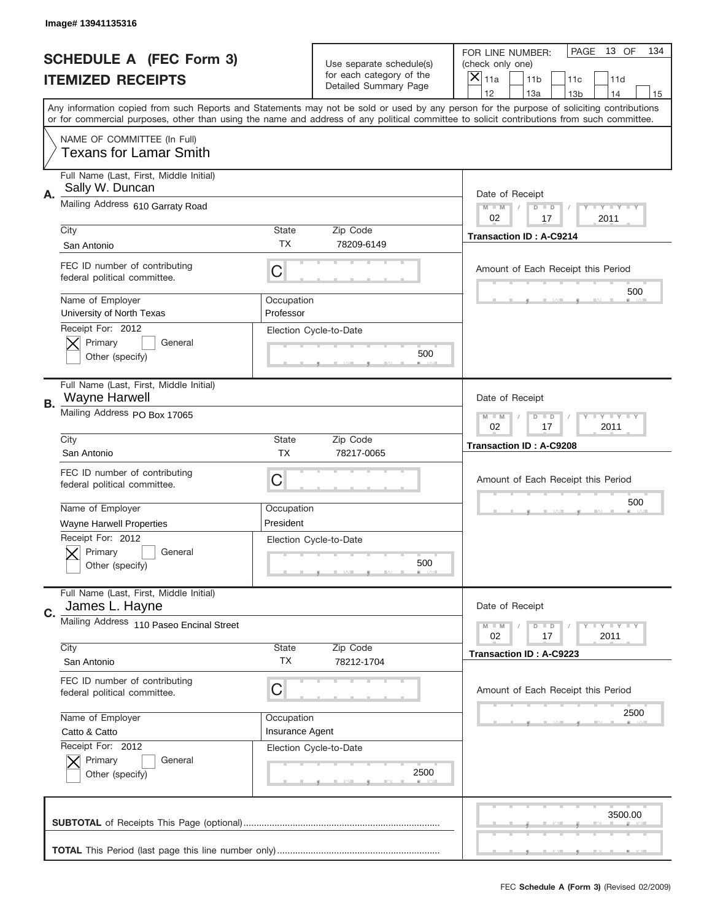|                          | Image# 13941135316                                                 |                               |                                                   |                                                                                                                                                                                                                                                                                                                                     |
|--------------------------|--------------------------------------------------------------------|-------------------------------|---------------------------------------------------|-------------------------------------------------------------------------------------------------------------------------------------------------------------------------------------------------------------------------------------------------------------------------------------------------------------------------------------|
|                          | <b>SCHEDULE A (FEC Form 3)</b>                                     |                               | Use separate schedule(s)                          | PAGE<br>13 OF<br>134<br>FOR LINE NUMBER:<br>(check only one)                                                                                                                                                                                                                                                                        |
| <b>ITEMIZED RECEIPTS</b> |                                                                    |                               | for each category of the<br>Detailed Summary Page | ×<br>11a<br>11 <sub>b</sub><br>11c<br>11d                                                                                                                                                                                                                                                                                           |
|                          |                                                                    |                               |                                                   | 12<br>13a<br>14<br>13 <sub>b</sub><br>15<br>Any information copied from such Reports and Statements may not be sold or used by any person for the purpose of soliciting contributions<br>or for commercial purposes, other than using the name and address of any political committee to solicit contributions from such committee. |
|                          | NAME OF COMMITTEE (In Full)<br><b>Texans for Lamar Smith</b>       |                               |                                                   |                                                                                                                                                                                                                                                                                                                                     |
| А.                       | Full Name (Last, First, Middle Initial)<br>Sally W. Duncan         |                               |                                                   | Date of Receipt                                                                                                                                                                                                                                                                                                                     |
|                          | Mailing Address 610 Garraty Road                                   |                               |                                                   | $M$ $M$<br>$T$ $Y$ $Y$ $Y$ $Y$<br>$D$ $D$<br>02<br>2011<br>17                                                                                                                                                                                                                                                                       |
|                          | City<br>San Antonio                                                | State<br>ТX                   | Zip Code<br>78209-6149                            | <b>Transaction ID: A-C9214</b>                                                                                                                                                                                                                                                                                                      |
|                          | FEC ID number of contributing<br>federal political committee.      | C                             |                                                   | Amount of Each Receipt this Period<br>500                                                                                                                                                                                                                                                                                           |
|                          | Name of Employer<br>University of North Texas<br>Receipt For: 2012 | Occupation<br>Professor       |                                                   |                                                                                                                                                                                                                                                                                                                                     |
|                          | Primary<br>General<br>Other (specify)                              |                               | Election Cycle-to-Date<br>500                     |                                                                                                                                                                                                                                                                                                                                     |
| В.                       | Full Name (Last, First, Middle Initial)<br><b>Wayne Harwell</b>    |                               |                                                   | Date of Receipt                                                                                                                                                                                                                                                                                                                     |
|                          | Mailing Address PO Box 17065                                       |                               |                                                   | $T$ $Y$ $T$ $Y$ $T$ $Y$<br>$M - M$<br>$D$ $D$<br>02<br>17<br>2011                                                                                                                                                                                                                                                                   |
|                          | City<br>San Antonio                                                | State<br><b>TX</b>            | Zip Code<br>78217-0065                            | <b>Transaction ID: A-C9208</b>                                                                                                                                                                                                                                                                                                      |
|                          | FEC ID number of contributing<br>federal political committee.      | C                             |                                                   | Amount of Each Receipt this Period                                                                                                                                                                                                                                                                                                  |
|                          | Name of Employer<br><b>Wayne Harwell Properties</b>                | Occupation<br>President       |                                                   | 500                                                                                                                                                                                                                                                                                                                                 |
|                          | Receipt For: 2012<br>General<br>Primary<br>Other (specify)         |                               | Election Cycle-to-Date<br>500                     |                                                                                                                                                                                                                                                                                                                                     |
| C.                       | Full Name (Last, First, Middle Initial)<br>James L. Hayne          |                               |                                                   | Date of Receipt                                                                                                                                                                                                                                                                                                                     |
|                          | Mailing Address 110 Paseo Encinal Street                           |                               |                                                   | $T - Y = Y - T Y$<br>$M - M$<br>$D$ $D$<br>02<br>2011<br>17                                                                                                                                                                                                                                                                         |
|                          | City<br>San Antonio                                                | State<br><b>TX</b>            | Zip Code<br>78212-1704                            | Transaction ID: A-C9223                                                                                                                                                                                                                                                                                                             |
|                          | FEC ID number of contributing<br>federal political committee.      | C                             |                                                   | Amount of Each Receipt this Period                                                                                                                                                                                                                                                                                                  |
|                          | Name of Employer<br>Catto & Catto                                  | Occupation<br>Insurance Agent |                                                   | 2500                                                                                                                                                                                                                                                                                                                                |
|                          | Receipt For: 2012<br>Primary<br>General<br>Other (specify)         |                               | Election Cycle-to-Date<br>2500                    |                                                                                                                                                                                                                                                                                                                                     |
|                          |                                                                    |                               |                                                   | 3500.00                                                                                                                                                                                                                                                                                                                             |
|                          |                                                                    |                               |                                                   |                                                                                                                                                                                                                                                                                                                                     |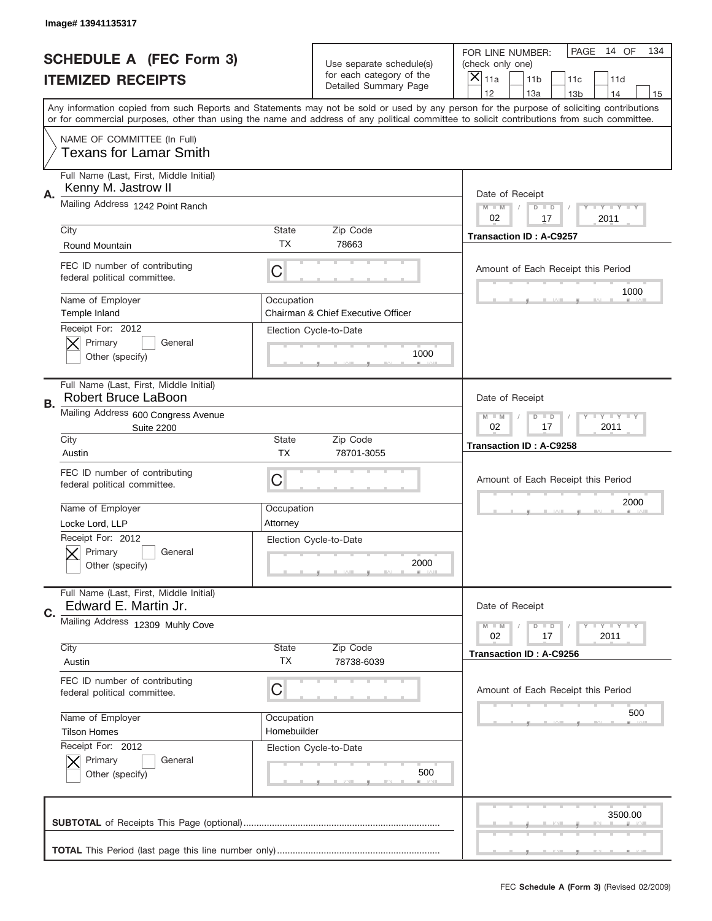|           | Image# 13941135317                                                                                                                                                                                                                                                                      |                                |                                                   |                                                        |                            |
|-----------|-----------------------------------------------------------------------------------------------------------------------------------------------------------------------------------------------------------------------------------------------------------------------------------------|--------------------------------|---------------------------------------------------|--------------------------------------------------------|----------------------------|
|           | <b>SCHEDULE A (FEC Form 3)</b>                                                                                                                                                                                                                                                          |                                | Use separate schedule(s)                          | FOR LINE NUMBER:<br>(check only one)                   | PAGE<br>14 OF<br>134       |
|           | <b>ITEMIZED RECEIPTS</b>                                                                                                                                                                                                                                                                |                                | for each category of the<br>Detailed Summary Page | $\boldsymbol{\times}$<br>11a<br>11 <sub>b</sub><br>11c | 11d                        |
|           | Any information copied from such Reports and Statements may not be sold or used by any person for the purpose of soliciting contributions<br>or for commercial purposes, other than using the name and address of any political committee to solicit contributions from such committee. |                                |                                                   | 12<br>13a<br>13 <sub>b</sub>                           | 14<br>15                   |
|           | NAME OF COMMITTEE (In Full)<br><b>Texans for Lamar Smith</b>                                                                                                                                                                                                                            |                                |                                                   |                                                        |                            |
| Α.        | Full Name (Last, First, Middle Initial)<br>Kenny M. Jastrow II                                                                                                                                                                                                                          |                                |                                                   | Date of Receipt                                        |                            |
|           | Mailing Address 1242 Point Ranch                                                                                                                                                                                                                                                        |                                |                                                   | $M - M$<br>$D$ $D$<br>02<br>17                         | <b>LEY LEY LEY</b><br>2011 |
|           | City<br>Round Mountain                                                                                                                                                                                                                                                                  | State<br>TX.                   | Zip Code<br>78663                                 | <b>Transaction ID: A-C9257</b>                         |                            |
|           | FEC ID number of contributing<br>federal political committee.                                                                                                                                                                                                                           | C                              |                                                   | Amount of Each Receipt this Period                     | 1000                       |
|           | Name of Employer<br>Temple Inland<br>Receipt For: 2012                                                                                                                                                                                                                                  | Occupation                     | Chairman & Chief Executive Officer                |                                                        |                            |
|           | Primary<br>General<br>Other (specify)                                                                                                                                                                                                                                                   |                                | Election Cycle-to-Date<br>1000                    |                                                        |                            |
| <b>B.</b> | Full Name (Last, First, Middle Initial)<br><b>Robert Bruce LaBoon</b>                                                                                                                                                                                                                   |                                |                                                   | Date of Receipt                                        |                            |
|           | Mailing Address 600 Congress Avenue<br><b>Suite 2200</b>                                                                                                                                                                                                                                | $M - M$<br>$D$ $D$<br>02<br>17 | <b>LY LY LY</b><br>2011                           |                                                        |                            |
|           | City<br>Austin                                                                                                                                                                                                                                                                          | State<br><b>TX</b>             | Zip Code<br>78701-3055                            | Transaction ID: A-C9258                                |                            |
|           | FEC ID number of contributing<br>federal political committee.                                                                                                                                                                                                                           | С                              |                                                   | Amount of Each Receipt this Period                     |                            |
|           | Name of Employer<br>Locke Lord, LLP                                                                                                                                                                                                                                                     | Occupation<br>Attorney         |                                                   |                                                        | 2000                       |
|           | Receipt For: 2012<br>General<br>Primary<br>Other (specify)                                                                                                                                                                                                                              |                                | Election Cycle-to-Date<br>2000                    |                                                        |                            |
| C.        | Full Name (Last, First, Middle Initial)<br>Edward E. Martin Jr.                                                                                                                                                                                                                         |                                |                                                   | Date of Receipt                                        |                            |
|           | Mailing Address 12309 Muhly Cove                                                                                                                                                                                                                                                        |                                |                                                   | $D$ $D$<br>$M - M$<br>02<br>17                         | <b>LY LY LY</b><br>2011    |
|           | City<br>Austin                                                                                                                                                                                                                                                                          | <b>State</b><br>ТX             | Zip Code<br>78738-6039                            | Transaction ID: A-C9256                                |                            |
|           | FEC ID number of contributing<br>federal political committee.                                                                                                                                                                                                                           | С                              |                                                   | Amount of Each Receipt this Period                     |                            |
|           | Name of Employer<br><b>Tilson Homes</b>                                                                                                                                                                                                                                                 | Occupation<br>Homebuilder      |                                                   |                                                        | 500                        |
|           | Receipt For: 2012<br>Primary<br>General<br>Other (specify)                                                                                                                                                                                                                              |                                | Election Cycle-to-Date<br>500                     |                                                        |                            |
|           |                                                                                                                                                                                                                                                                                         |                                |                                                   |                                                        | 3500.00                    |
|           |                                                                                                                                                                                                                                                                                         |                                |                                                   |                                                        |                            |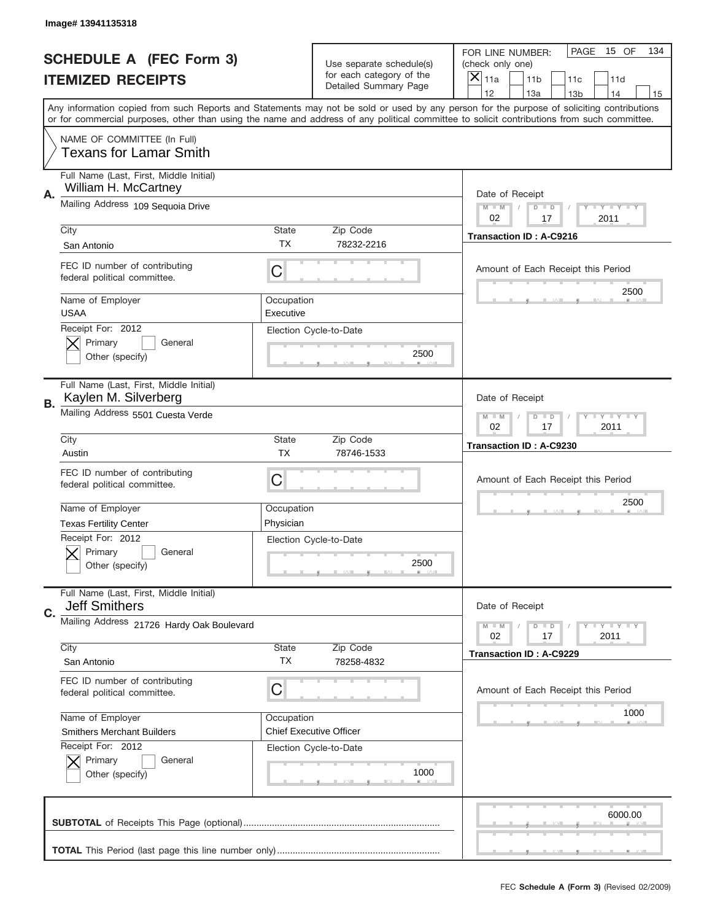|                          | Image# 13941135318                                              |                                                              |                                                   |                                                                                                                                                                                       |
|--------------------------|-----------------------------------------------------------------|--------------------------------------------------------------|---------------------------------------------------|---------------------------------------------------------------------------------------------------------------------------------------------------------------------------------------|
|                          | <b>SCHEDULE A (FEC Form 3)</b>                                  |                                                              | Use separate schedule(s)                          | PAGE<br>15 OF<br>134<br>FOR LINE NUMBER:<br>(check only one)                                                                                                                          |
| <b>ITEMIZED RECEIPTS</b> |                                                                 |                                                              | for each category of the<br>Detailed Summary Page | $\boldsymbol{\times}$<br>11 <sub>b</sub><br>11a<br>11c<br>11d                                                                                                                         |
|                          |                                                                 |                                                              |                                                   | 12<br>13a<br>14<br>13 <sub>b</sub><br>15<br>Any information copied from such Reports and Statements may not be sold or used by any person for the purpose of soliciting contributions |
|                          |                                                                 |                                                              |                                                   | or for commercial purposes, other than using the name and address of any political committee to solicit contributions from such committee.                                            |
|                          | NAME OF COMMITTEE (In Full)<br><b>Texans for Lamar Smith</b>    |                                                              |                                                   |                                                                                                                                                                                       |
| Α.                       | Full Name (Last, First, Middle Initial)<br>William H. McCartney |                                                              |                                                   | Date of Receipt                                                                                                                                                                       |
|                          | Mailing Address 109 Sequoia Drive                               | $M - M$<br><b>LEY LEY LEY</b><br>$D$ $D$<br>02<br>17<br>2011 |                                                   |                                                                                                                                                                                       |
|                          | City                                                            | <b>State</b><br>TX.                                          | Zip Code<br>78232-2216                            | <b>Transaction ID: A-C9216</b>                                                                                                                                                        |
|                          | San Antonio                                                     |                                                              |                                                   |                                                                                                                                                                                       |
|                          | FEC ID number of contributing<br>federal political committee.   | C                                                            |                                                   | Amount of Each Receipt this Period                                                                                                                                                    |
|                          | Name of Employer<br><b>USAA</b>                                 | Occupation<br>Executive                                      |                                                   | 2500                                                                                                                                                                                  |
|                          | Receipt For: 2012                                               |                                                              | Election Cycle-to-Date                            |                                                                                                                                                                                       |
|                          | Primary<br>General<br>Other (specify)                           |                                                              | 2500                                              |                                                                                                                                                                                       |
|                          |                                                                 |                                                              |                                                   |                                                                                                                                                                                       |
| В.                       | Full Name (Last, First, Middle Initial)<br>Kaylen M. Silverberg |                                                              |                                                   | Date of Receipt                                                                                                                                                                       |
|                          | Mailing Address 5501 Cuesta Verde                               | $M - M$<br>$D$ $D$<br><b>LY LY LY</b><br>02<br>17<br>2011    |                                                   |                                                                                                                                                                                       |
|                          | City                                                            | <b>State</b>                                                 | Zip Code                                          | Transaction ID: A-C9230                                                                                                                                                               |
|                          | Austin                                                          | <b>TX</b>                                                    | 78746-1533                                        |                                                                                                                                                                                       |
|                          | FEC ID number of contributing<br>federal political committee.   | С                                                            |                                                   | Amount of Each Receipt this Period                                                                                                                                                    |
|                          | Name of Employer                                                | Occupation                                                   |                                                   | 2500                                                                                                                                                                                  |
|                          | <b>Texas Fertility Center</b>                                   | Physician                                                    |                                                   |                                                                                                                                                                                       |
|                          | Receipt For: 2012<br>General<br>Primary<br>Other (specify)      |                                                              | Election Cycle-to-Date<br>2500                    |                                                                                                                                                                                       |
| C.                       | Full Name (Last, First, Middle Initial)<br><b>Jeff Smithers</b> |                                                              |                                                   | Date of Receipt                                                                                                                                                                       |
|                          | Mailing Address 21726 Hardy Oak Boulevard                       |                                                              |                                                   | <b>LYLYLY</b><br>$M - M$<br>$D$ $D$                                                                                                                                                   |
|                          | City                                                            | State                                                        | Zip Code                                          | 02<br>2011<br>17                                                                                                                                                                      |
|                          | San Antonio                                                     | ТX                                                           | 78258-4832                                        | <b>Transaction ID: A-C9229</b>                                                                                                                                                        |
|                          | FEC ID number of contributing<br>federal political committee.   | С                                                            |                                                   | Amount of Each Receipt this Period                                                                                                                                                    |
|                          | Name of Employer                                                | Occupation                                                   |                                                   | 1000                                                                                                                                                                                  |
|                          | <b>Smithers Merchant Builders</b>                               |                                                              | <b>Chief Executive Officer</b>                    |                                                                                                                                                                                       |
|                          | Receipt For: 2012                                               |                                                              | Election Cycle-to-Date                            |                                                                                                                                                                                       |
|                          | Primary<br>General<br>Other (specify)                           |                                                              | 1000                                              |                                                                                                                                                                                       |
|                          |                                                                 |                                                              |                                                   | 6000.00                                                                                                                                                                               |
|                          |                                                                 |                                                              |                                                   |                                                                                                                                                                                       |
|                          |                                                                 |                                                              |                                                   |                                                                                                                                                                                       |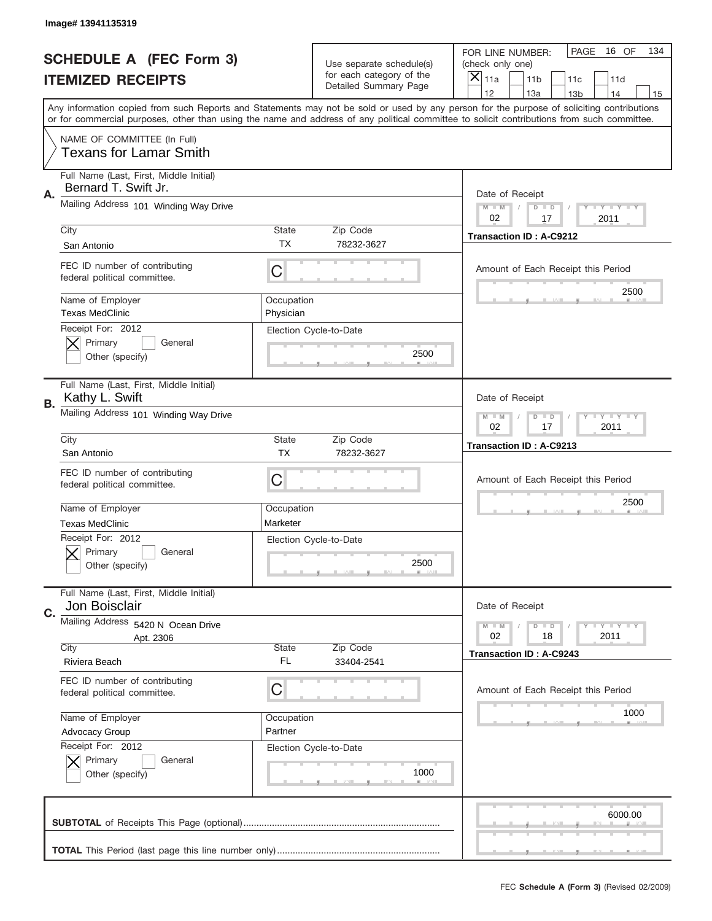|                          | Image# 13941135319                                              |                                                                   |                                                      |                                                                                                                                                                                                                                                                                                                                     |
|--------------------------|-----------------------------------------------------------------|-------------------------------------------------------------------|------------------------------------------------------|-------------------------------------------------------------------------------------------------------------------------------------------------------------------------------------------------------------------------------------------------------------------------------------------------------------------------------------|
|                          | <b>SCHEDULE A (FEC Form 3)</b>                                  |                                                                   | Use separate schedule(s)<br>for each category of the | PAGE<br>16 OF<br>134<br>FOR LINE NUMBER:<br>(check only one)                                                                                                                                                                                                                                                                        |
| <b>ITEMIZED RECEIPTS</b> |                                                                 |                                                                   | Detailed Summary Page                                | ×<br>11a<br>11 <sub>b</sub><br>11d<br>11c                                                                                                                                                                                                                                                                                           |
|                          |                                                                 |                                                                   |                                                      | 12<br>13a<br>14<br>13 <sub>b</sub><br>15<br>Any information copied from such Reports and Statements may not be sold or used by any person for the purpose of soliciting contributions<br>or for commercial purposes, other than using the name and address of any political committee to solicit contributions from such committee. |
|                          | NAME OF COMMITTEE (In Full)<br>Texans for Lamar Smith           |                                                                   |                                                      |                                                                                                                                                                                                                                                                                                                                     |
| Α.                       | Full Name (Last, First, Middle Initial)<br>Bernard T. Swift Jr. |                                                                   |                                                      | Date of Receipt                                                                                                                                                                                                                                                                                                                     |
|                          | Mailing Address 101 Winding Way Drive                           |                                                                   |                                                      | $M$ M<br>Y I Y I Y I Y<br>$D$ $D$<br>02<br>17<br>2011                                                                                                                                                                                                                                                                               |
|                          | City<br>San Antonio                                             | State<br><b>TX</b>                                                | Zip Code<br>78232-3627                               | <b>Transaction ID: A-C9212</b>                                                                                                                                                                                                                                                                                                      |
|                          | FEC ID number of contributing<br>federal political committee.   | C                                                                 |                                                      | Amount of Each Receipt this Period<br>2500                                                                                                                                                                                                                                                                                          |
|                          | Name of Employer<br><b>Texas MedClinic</b>                      | Occupation<br>Physician                                           |                                                      |                                                                                                                                                                                                                                                                                                                                     |
|                          | Receipt For: 2012<br>Primary<br>General<br>Other (specify)      |                                                                   | Election Cycle-to-Date<br>2500                       |                                                                                                                                                                                                                                                                                                                                     |
| В.                       | Full Name (Last, First, Middle Initial)<br>Kathy L. Swift       |                                                                   |                                                      | Date of Receipt                                                                                                                                                                                                                                                                                                                     |
|                          | Mailing Address 101 Winding Way Drive                           | $T$ $Y$ $T$ $Y$ $T$ $Y$<br>$M - M$<br>$D$ $D$<br>02<br>2011<br>17 |                                                      |                                                                                                                                                                                                                                                                                                                                     |
|                          | City<br>San Antonio                                             | State<br><b>TX</b>                                                | Zip Code<br>78232-3627                               | Transaction ID: A-C9213                                                                                                                                                                                                                                                                                                             |
|                          | FEC ID number of contributing<br>federal political committee.   | C                                                                 |                                                      | Amount of Each Receipt this Period                                                                                                                                                                                                                                                                                                  |
|                          | Name of Employer<br><b>Texas MedClinic</b>                      | Occupation<br>Marketer                                            |                                                      | 2500                                                                                                                                                                                                                                                                                                                                |
|                          | Receipt For: 2012<br>General<br>Primary<br>Other (specify)      |                                                                   | Election Cycle-to-Date<br>2500                       |                                                                                                                                                                                                                                                                                                                                     |
| C.                       | Full Name (Last, First, Middle Initial)<br>Jon Boisclair        |                                                                   |                                                      | Date of Receipt                                                                                                                                                                                                                                                                                                                     |
|                          | Mailing Address 5420 N Ocean Drive<br>Apt. 2306                 |                                                                   | Zip Code                                             | <b>LYLYLY</b><br>$M - M$<br>$D$ $D$<br>18<br>2011<br>02                                                                                                                                                                                                                                                                             |
|                          | City<br>Riviera Beach                                           | State<br>FL                                                       | 33404-2541                                           | <b>Transaction ID: A-C9243</b>                                                                                                                                                                                                                                                                                                      |
|                          | FEC ID number of contributing<br>federal political committee.   | C                                                                 |                                                      | Amount of Each Receipt this Period                                                                                                                                                                                                                                                                                                  |
|                          | Name of Employer<br>Advocacy Group                              | Occupation<br>Partner                                             |                                                      | 1000                                                                                                                                                                                                                                                                                                                                |
|                          | Receipt For: 2012<br>Primary<br>General<br>Other (specify)      |                                                                   | Election Cycle-to-Date<br>1000                       |                                                                                                                                                                                                                                                                                                                                     |
|                          |                                                                 |                                                                   |                                                      | 6000.00                                                                                                                                                                                                                                                                                                                             |
|                          |                                                                 |                                                                   |                                                      |                                                                                                                                                                                                                                                                                                                                     |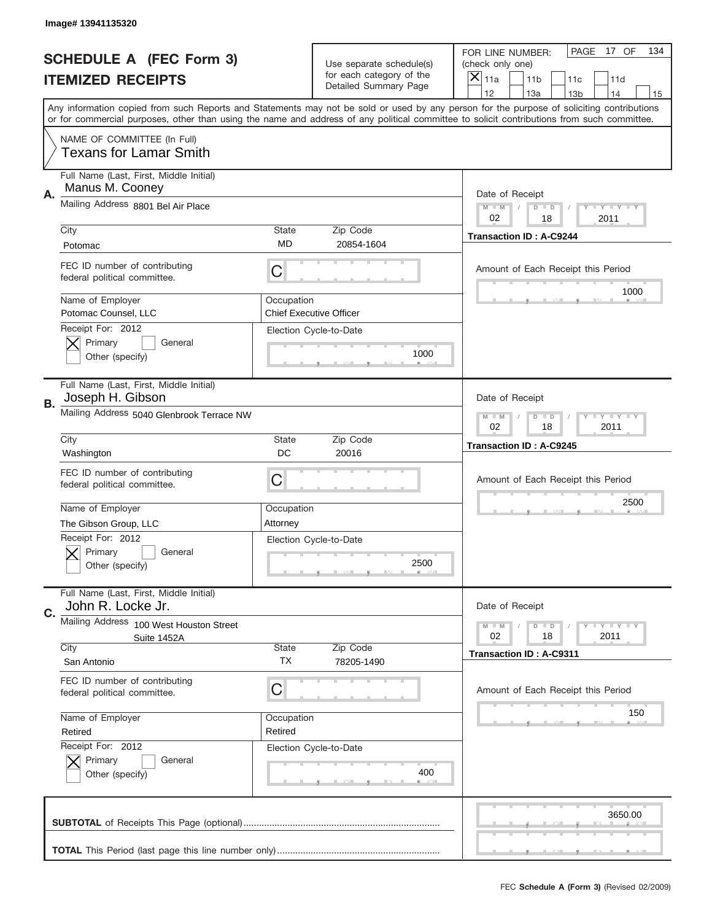|                          | Image# 13941135320                                             |                                                           |                                                   |                                                                                                                                                                                                                                                                                                                                     |
|--------------------------|----------------------------------------------------------------|-----------------------------------------------------------|---------------------------------------------------|-------------------------------------------------------------------------------------------------------------------------------------------------------------------------------------------------------------------------------------------------------------------------------------------------------------------------------------|
|                          | <b>SCHEDULE A (FEC Form 3)</b>                                 |                                                           | Use separate schedule(s)                          | PAGE<br>17 OF<br>134<br>FOR LINE NUMBER:<br>(check only one)                                                                                                                                                                                                                                                                        |
| <b>ITEMIZED RECEIPTS</b> |                                                                |                                                           | for each category of the<br>Detailed Summary Page | ×<br>11a<br>11 <sub>b</sub><br>11c<br>11d                                                                                                                                                                                                                                                                                           |
|                          |                                                                |                                                           |                                                   | 12<br>13a<br>14<br>13 <sub>b</sub><br>15<br>Any information copied from such Reports and Statements may not be sold or used by any person for the purpose of soliciting contributions<br>or for commercial purposes, other than using the name and address of any political committee to solicit contributions from such committee. |
|                          | NAME OF COMMITTEE (In Full)<br>Texans for Lamar Smith          |                                                           |                                                   |                                                                                                                                                                                                                                                                                                                                     |
| А.                       | Full Name (Last, First, Middle Initial)<br>Manus M. Cooney     |                                                           |                                                   | Date of Receipt                                                                                                                                                                                                                                                                                                                     |
|                          | Mailing Address 8801 Bel Air Place                             |                                                           |                                                   | Y TY TY TY<br>$M$ M<br>$D$ $D$<br>02<br>18<br>2011                                                                                                                                                                                                                                                                                  |
|                          | City<br>Potomac                                                | State<br><b>MD</b>                                        | Zip Code<br>20854-1604                            | <b>Transaction ID: A-C9244</b>                                                                                                                                                                                                                                                                                                      |
|                          | FEC ID number of contributing<br>federal political committee.  | C                                                         |                                                   | Amount of Each Receipt this Period<br>1000                                                                                                                                                                                                                                                                                          |
|                          | Name of Employer<br>Potomac Counsel, LLC                       | Occupation                                                | <b>Chief Executive Officer</b>                    |                                                                                                                                                                                                                                                                                                                                     |
|                          | Receipt For: 2012<br>Primary<br>General<br>Other (specify)     |                                                           | Election Cycle-to-Date<br>1000                    |                                                                                                                                                                                                                                                                                                                                     |
| В.                       | Full Name (Last, First, Middle Initial)<br>Joseph H. Gibson    |                                                           |                                                   | Date of Receipt                                                                                                                                                                                                                                                                                                                     |
|                          | Mailing Address 5040 Glenbrook Terrace NW                      | <b>LY LY LY</b><br>$M - M$<br>$D$ $D$<br>02<br>18<br>2011 |                                                   |                                                                                                                                                                                                                                                                                                                                     |
|                          | City<br>Washington                                             | State<br>DC                                               | Zip Code<br>20016                                 | <b>Transaction ID: A-C9245</b>                                                                                                                                                                                                                                                                                                      |
|                          | FEC ID number of contributing<br>federal political committee.  | C                                                         |                                                   | Amount of Each Receipt this Period                                                                                                                                                                                                                                                                                                  |
|                          | Name of Employer<br>The Gibson Group, LLC                      | Occupation<br>Attorney                                    |                                                   | 2500                                                                                                                                                                                                                                                                                                                                |
|                          | Receipt For: 2012<br>General<br>Primary<br>Other (specify)     |                                                           | Election Cycle-to-Date<br>2500                    |                                                                                                                                                                                                                                                                                                                                     |
| C.                       | Full Name (Last, First, Middle Initial)<br>John R. Locke Jr.   |                                                           |                                                   | Date of Receipt                                                                                                                                                                                                                                                                                                                     |
|                          | Mailing Address 100 West Houston Street<br>Suite 1452A<br>City | State                                                     | Zip Code                                          | <b>LYLYLY</b><br>$M - M$<br>$D$ $D$<br>18<br>2011<br>02                                                                                                                                                                                                                                                                             |
|                          | San Antonio                                                    | ТX                                                        | 78205-1490                                        | <b>Transaction ID: A-C9311</b>                                                                                                                                                                                                                                                                                                      |
|                          | FEC ID number of contributing<br>federal political committee.  | C                                                         |                                                   | Amount of Each Receipt this Period                                                                                                                                                                                                                                                                                                  |
|                          | Name of Employer<br>Retired                                    | Occupation<br>Retired                                     |                                                   | 150                                                                                                                                                                                                                                                                                                                                 |
|                          | Receipt For: 2012<br>Primary<br>General<br>Other (specify)     |                                                           | Election Cycle-to-Date<br>400                     |                                                                                                                                                                                                                                                                                                                                     |
|                          |                                                                |                                                           |                                                   | 3650.00                                                                                                                                                                                                                                                                                                                             |
|                          |                                                                |                                                           |                                                   |                                                                                                                                                                                                                                                                                                                                     |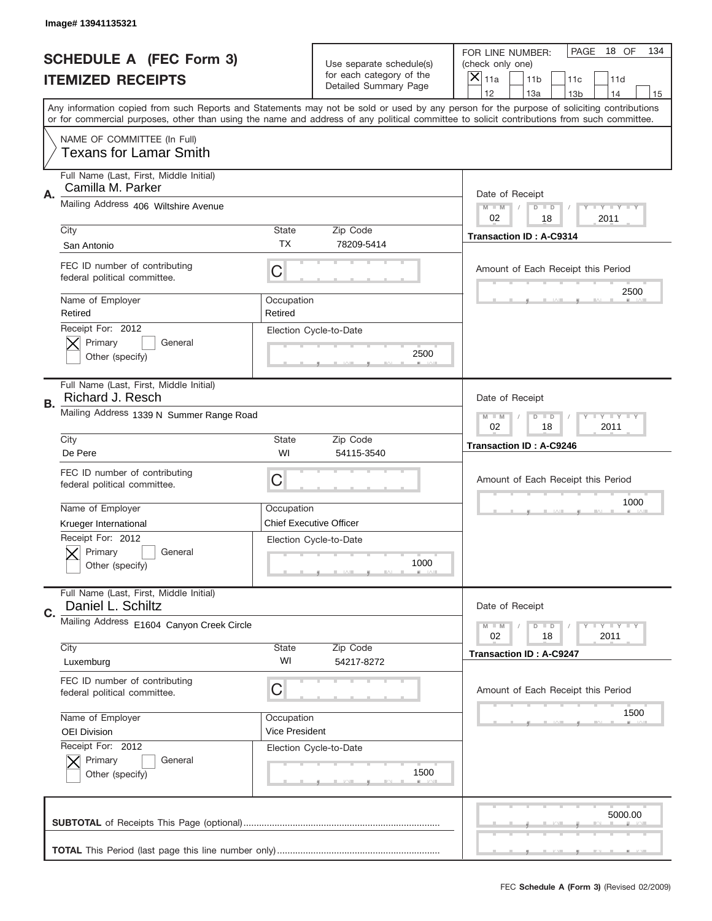|                          | Image# 13941135321                                            |                                                           |                                                   |                                                                                                                                                                                       |
|--------------------------|---------------------------------------------------------------|-----------------------------------------------------------|---------------------------------------------------|---------------------------------------------------------------------------------------------------------------------------------------------------------------------------------------|
|                          | <b>SCHEDULE A (FEC Form 3)</b>                                |                                                           | Use separate schedule(s)                          | PAGE<br>18 OF<br>134<br>FOR LINE NUMBER:<br>(check only one)                                                                                                                          |
| <b>ITEMIZED RECEIPTS</b> |                                                               |                                                           | for each category of the<br>Detailed Summary Page | ×<br>11a<br>11 <sub>b</sub><br>11c<br>11d                                                                                                                                             |
|                          |                                                               |                                                           |                                                   | 12<br>13a<br>14<br>13 <sub>b</sub><br>15<br>Any information copied from such Reports and Statements may not be sold or used by any person for the purpose of soliciting contributions |
|                          |                                                               |                                                           |                                                   | or for commercial purposes, other than using the name and address of any political committee to solicit contributions from such committee.                                            |
|                          | NAME OF COMMITTEE (In Full)<br><b>Texans for Lamar Smith</b>  |                                                           |                                                   |                                                                                                                                                                                       |
| Α.                       | Full Name (Last, First, Middle Initial)<br>Camilla M. Parker  |                                                           |                                                   | Date of Receipt                                                                                                                                                                       |
|                          | Mailing Address 406 Wiltshire Avenue                          |                                                           |                                                   | $M - M$<br><b>THEY THEY</b><br>$D$ $D$<br>02<br>2011<br>18                                                                                                                            |
|                          | City<br>San Antonio                                           | <b>State</b><br><b>TX</b>                                 | Zip Code<br>78209-5414                            | <b>Transaction ID: A-C9314</b>                                                                                                                                                        |
|                          | FEC ID number of contributing<br>federal political committee. | C                                                         |                                                   | Amount of Each Receipt this Period                                                                                                                                                    |
|                          | Name of Employer<br>Retired                                   | Occupation<br>Retired                                     |                                                   | 2500                                                                                                                                                                                  |
|                          | Receipt For: 2012<br>Primary<br>General<br>Other (specify)    |                                                           | Election Cycle-to-Date<br>2500                    |                                                                                                                                                                                       |
| В.                       | Full Name (Last, First, Middle Initial)<br>Richard J. Resch   |                                                           |                                                   | Date of Receipt                                                                                                                                                                       |
|                          | Mailing Address 1339 N Summer Range Road                      | <b>LY LY LY</b><br>$M - M$<br>$D$ $D$<br>02<br>18<br>2011 |                                                   |                                                                                                                                                                                       |
|                          | City<br>De Pere                                               | <b>State</b><br>WI                                        | Zip Code<br>54115-3540                            | <b>Transaction ID: A-C9246</b>                                                                                                                                                        |
|                          | FEC ID number of contributing<br>federal political committee. | C                                                         |                                                   | Amount of Each Receipt this Period                                                                                                                                                    |
|                          | Name of Employer                                              | Occupation                                                |                                                   | 1000                                                                                                                                                                                  |
|                          | Krueger International                                         |                                                           | <b>Chief Executive Officer</b>                    |                                                                                                                                                                                       |
|                          | Receipt For: 2012<br>General<br>Primary<br>Other (specify)    |                                                           | Election Cycle-to-Date<br>1000                    |                                                                                                                                                                                       |
| C.                       | Full Name (Last, First, Middle Initial)<br>Daniel L. Schiltz  |                                                           |                                                   | Date of Receipt                                                                                                                                                                       |
|                          | Mailing Address E1604 Canyon Creek Circle                     |                                                           |                                                   | $T - Y = Y - T Y$<br>$M - M$<br>$D$ $D$<br>02<br>2011<br>18                                                                                                                           |
|                          | City<br>Luxemburg                                             | <b>State</b><br>WI                                        | Zip Code<br>54217-8272                            | <b>Transaction ID: A-C9247</b>                                                                                                                                                        |
|                          | FEC ID number of contributing<br>federal political committee. | C                                                         |                                                   | Amount of Each Receipt this Period                                                                                                                                                    |
|                          | Name of Employer                                              | Occupation                                                |                                                   | 1500                                                                                                                                                                                  |
|                          | <b>OEI Division</b>                                           | Vice President                                            |                                                   |                                                                                                                                                                                       |
|                          | Receipt For: 2012<br>Primary<br>General<br>Other (specify)    |                                                           | Election Cycle-to-Date<br>1500                    |                                                                                                                                                                                       |
|                          |                                                               |                                                           |                                                   | 5000.00                                                                                                                                                                               |
|                          |                                                               |                                                           |                                                   |                                                                                                                                                                                       |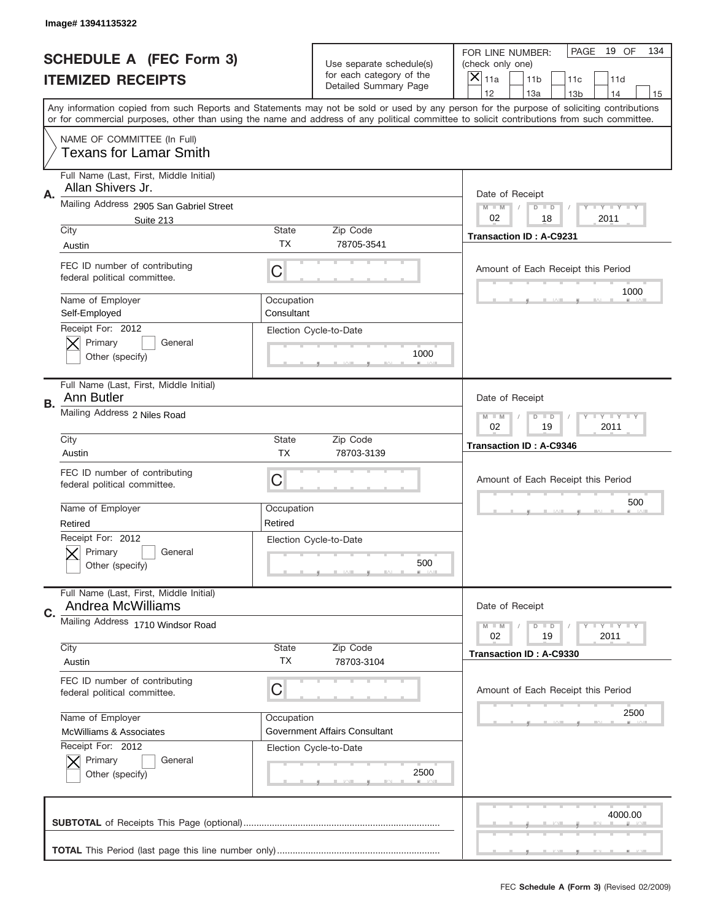|                          | Image# 13941135322                                            |                           |                                                   |                                                                                                                                                                                                                                                                                                                                     |
|--------------------------|---------------------------------------------------------------|---------------------------|---------------------------------------------------|-------------------------------------------------------------------------------------------------------------------------------------------------------------------------------------------------------------------------------------------------------------------------------------------------------------------------------------|
|                          | <b>SCHEDULE A (FEC Form 3)</b>                                |                           | Use separate schedule(s)                          | PAGE<br>19 OF<br>134<br>FOR LINE NUMBER:<br>(check only one)                                                                                                                                                                                                                                                                        |
| <b>ITEMIZED RECEIPTS</b> |                                                               |                           | for each category of the<br>Detailed Summary Page | $\boldsymbol{\times}$<br>11a<br>11 <sub>b</sub><br>11c<br>11d                                                                                                                                                                                                                                                                       |
|                          |                                                               |                           |                                                   | 12<br>13a<br>14<br>13 <sub>b</sub><br>15<br>Any information copied from such Reports and Statements may not be sold or used by any person for the purpose of soliciting contributions<br>or for commercial purposes, other than using the name and address of any political committee to solicit contributions from such committee. |
|                          | NAME OF COMMITTEE (In Full)<br><b>Texans for Lamar Smith</b>  |                           |                                                   |                                                                                                                                                                                                                                                                                                                                     |
| Α.                       | Full Name (Last, First, Middle Initial)<br>Allan Shivers Jr.  |                           |                                                   | Date of Receipt                                                                                                                                                                                                                                                                                                                     |
|                          | Mailing Address 2905 San Gabriel Street<br>Suite 213          |                           |                                                   | $M - M$<br><b>LEY LEY LEY</b><br>$D$ $D$<br>02<br>18<br>2011                                                                                                                                                                                                                                                                        |
|                          | City<br>Austin                                                | State<br>TX.              | Zip Code<br>78705-3541                            | Transaction ID: A-C9231                                                                                                                                                                                                                                                                                                             |
|                          | FEC ID number of contributing<br>federal political committee. | C                         |                                                   | Amount of Each Receipt this Period                                                                                                                                                                                                                                                                                                  |
|                          | Name of Employer<br>Self-Employed                             | Occupation<br>Consultant  |                                                   | 1000                                                                                                                                                                                                                                                                                                                                |
|                          | Receipt For: 2012<br>Primary<br>General<br>Other (specify)    |                           | Election Cycle-to-Date<br>1000                    |                                                                                                                                                                                                                                                                                                                                     |
| В.                       | Full Name (Last, First, Middle Initial)<br>Ann Butler         |                           |                                                   | Date of Receipt                                                                                                                                                                                                                                                                                                                     |
|                          | Mailing Address 2 Niles Road                                  |                           |                                                   | <b>LY LY LY</b><br>$M - M$<br>$D$ $D$<br>02<br>19<br>2011                                                                                                                                                                                                                                                                           |
|                          | City<br>Austin                                                | <b>State</b><br><b>TX</b> | Zip Code<br>78703-3139                            | <b>Transaction ID: A-C9346</b>                                                                                                                                                                                                                                                                                                      |
|                          | FEC ID number of contributing<br>federal political committee. | C                         |                                                   | Amount of Each Receipt this Period                                                                                                                                                                                                                                                                                                  |
|                          | Name of Employer<br>Retired                                   | Occupation<br>Retired     |                                                   | 500                                                                                                                                                                                                                                                                                                                                 |
|                          | Receipt For: 2012<br>General<br>Primary<br>Other (specify)    |                           | Election Cycle-to-Date<br>500                     |                                                                                                                                                                                                                                                                                                                                     |
| C.                       | Full Name (Last, First, Middle Initial)<br>Andrea McWilliams  |                           |                                                   | Date of Receipt                                                                                                                                                                                                                                                                                                                     |
|                          | Mailing Address 1710 Windsor Road                             |                           |                                                   | <b>LYLYLY</b><br>$M - M$<br>$D$ $D$<br>02<br>19<br>2011                                                                                                                                                                                                                                                                             |
|                          | City<br>Austin                                                | <b>State</b><br>ТX        | Zip Code<br>78703-3104                            | <b>Transaction ID: A-C9330</b>                                                                                                                                                                                                                                                                                                      |
|                          | FEC ID number of contributing<br>federal political committee. | С                         |                                                   | Amount of Each Receipt this Period                                                                                                                                                                                                                                                                                                  |
|                          | Name of Employer<br><b>McWilliams &amp; Associates</b>        | Occupation                | Government Affairs Consultant                     | 2500                                                                                                                                                                                                                                                                                                                                |
|                          | Receipt For: 2012<br>Primary<br>General<br>Other (specify)    |                           | Election Cycle-to-Date<br>2500                    |                                                                                                                                                                                                                                                                                                                                     |
|                          |                                                               |                           |                                                   | 4000.00                                                                                                                                                                                                                                                                                                                             |
|                          |                                                               |                           |                                                   |                                                                                                                                                                                                                                                                                                                                     |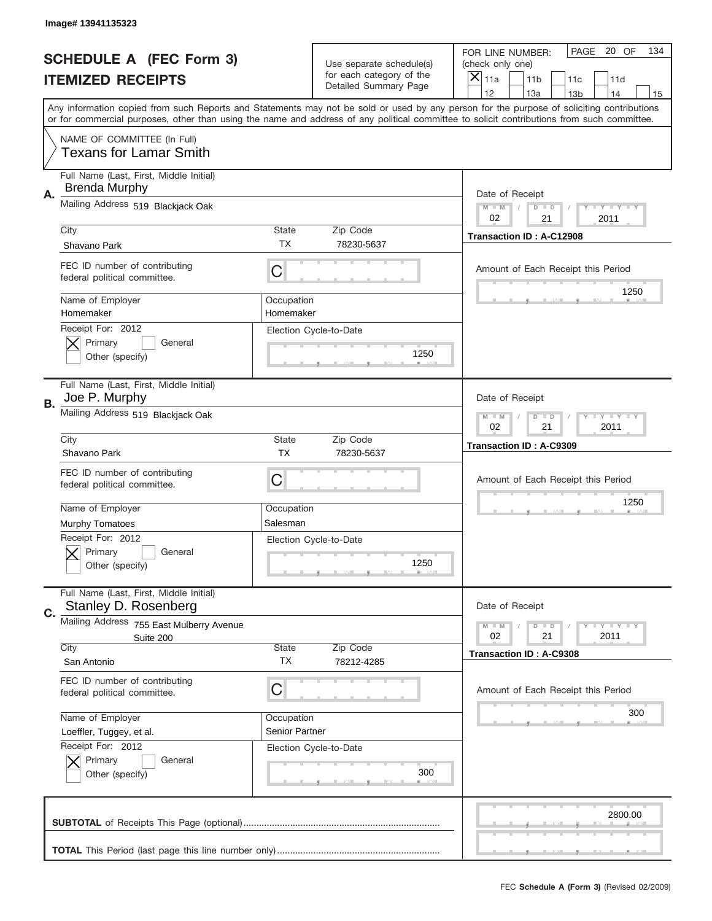|    | Image# 13941135323                                              |                              |                                                   |                                                                                                                                                                                                                                                                                                                                     |
|----|-----------------------------------------------------------------|------------------------------|---------------------------------------------------|-------------------------------------------------------------------------------------------------------------------------------------------------------------------------------------------------------------------------------------------------------------------------------------------------------------------------------------|
|    | <b>SCHEDULE A (FEC Form 3)</b>                                  |                              | Use separate schedule(s)                          | PAGE 20 OF<br>134<br>FOR LINE NUMBER:<br>(check only one)                                                                                                                                                                                                                                                                           |
|    | <b>ITEMIZED RECEIPTS</b>                                        |                              | for each category of the<br>Detailed Summary Page | ×<br>11a<br>11 <sub>b</sub><br>11c<br>11d                                                                                                                                                                                                                                                                                           |
|    |                                                                 |                              |                                                   | 12<br>13a<br>14<br>13 <sub>b</sub><br>15<br>Any information copied from such Reports and Statements may not be sold or used by any person for the purpose of soliciting contributions<br>or for commercial purposes, other than using the name and address of any political committee to solicit contributions from such committee. |
|    | NAME OF COMMITTEE (In Full)<br><b>Texans for Lamar Smith</b>    |                              |                                                   |                                                                                                                                                                                                                                                                                                                                     |
| А. | Full Name (Last, First, Middle Initial)<br><b>Brenda Murphy</b> |                              |                                                   | Date of Receipt                                                                                                                                                                                                                                                                                                                     |
|    | Mailing Address 519 Blackjack Oak                               |                              |                                                   | $M - M$<br><b>LY LY LY</b><br>$D$ $D$<br>02<br>2011<br>21                                                                                                                                                                                                                                                                           |
|    | City<br>Shavano Park                                            | State<br><b>TX</b>           | Zip Code<br>78230-5637                            | Transaction ID: A-C12908                                                                                                                                                                                                                                                                                                            |
|    | FEC ID number of contributing<br>federal political committee.   | C                            |                                                   | Amount of Each Receipt this Period<br>1250                                                                                                                                                                                                                                                                                          |
|    | Name of Employer<br>Homemaker<br>Receipt For: 2012              | Occupation<br>Homemaker      |                                                   |                                                                                                                                                                                                                                                                                                                                     |
|    | Primary<br>General<br>Other (specify)                           |                              | Election Cycle-to-Date<br>1250                    |                                                                                                                                                                                                                                                                                                                                     |
| В. | Full Name (Last, First, Middle Initial)<br>Joe P. Murphy        |                              |                                                   | Date of Receipt                                                                                                                                                                                                                                                                                                                     |
|    | Mailing Address 519 Blackjack Oak                               |                              |                                                   | $M$ M<br>$D$ $D$<br><b>LEYTEY LEY</b><br>02<br>21<br>2011                                                                                                                                                                                                                                                                           |
|    | City<br>Shavano Park                                            | State<br><b>TX</b>           | Zip Code<br>78230-5637                            | <b>Transaction ID: A-C9309</b>                                                                                                                                                                                                                                                                                                      |
|    | FEC ID number of contributing<br>federal political committee.   | C                            |                                                   | Amount of Each Receipt this Period                                                                                                                                                                                                                                                                                                  |
|    | Name of Employer<br><b>Murphy Tomatoes</b>                      | Occupation<br>Salesman       |                                                   | 1250                                                                                                                                                                                                                                                                                                                                |
|    | Receipt For: 2012<br>General<br>Primary<br>Other (specify)      |                              | Election Cycle-to-Date<br>1250                    |                                                                                                                                                                                                                                                                                                                                     |
| C. | Full Name (Last, First, Middle Initial)<br>Stanley D. Rosenberg |                              |                                                   | Date of Receipt                                                                                                                                                                                                                                                                                                                     |
|    | Mailing Address 755 East Mulberry Avenue<br>Suite 200           |                              |                                                   | $I - Y - I - Y - I - Y$<br>$M - M$<br>$D$ $D$<br>02<br>2011<br>21                                                                                                                                                                                                                                                                   |
|    | City<br>San Antonio                                             | State<br>TX                  | Zip Code<br>78212-4285                            | Transaction ID: A-C9308                                                                                                                                                                                                                                                                                                             |
|    | FEC ID number of contributing<br>federal political committee.   | C                            |                                                   | Amount of Each Receipt this Period                                                                                                                                                                                                                                                                                                  |
|    | Name of Employer<br>Loeffler, Tuggey, et al.                    | Occupation<br>Senior Partner |                                                   | 300                                                                                                                                                                                                                                                                                                                                 |
|    | Receipt For: 2012<br>Primary<br>General<br>Other (specify)      |                              | Election Cycle-to-Date<br>300                     |                                                                                                                                                                                                                                                                                                                                     |
|    |                                                                 |                              |                                                   | 2800.00                                                                                                                                                                                                                                                                                                                             |
|    |                                                                 |                              |                                                   |                                                                                                                                                                                                                                                                                                                                     |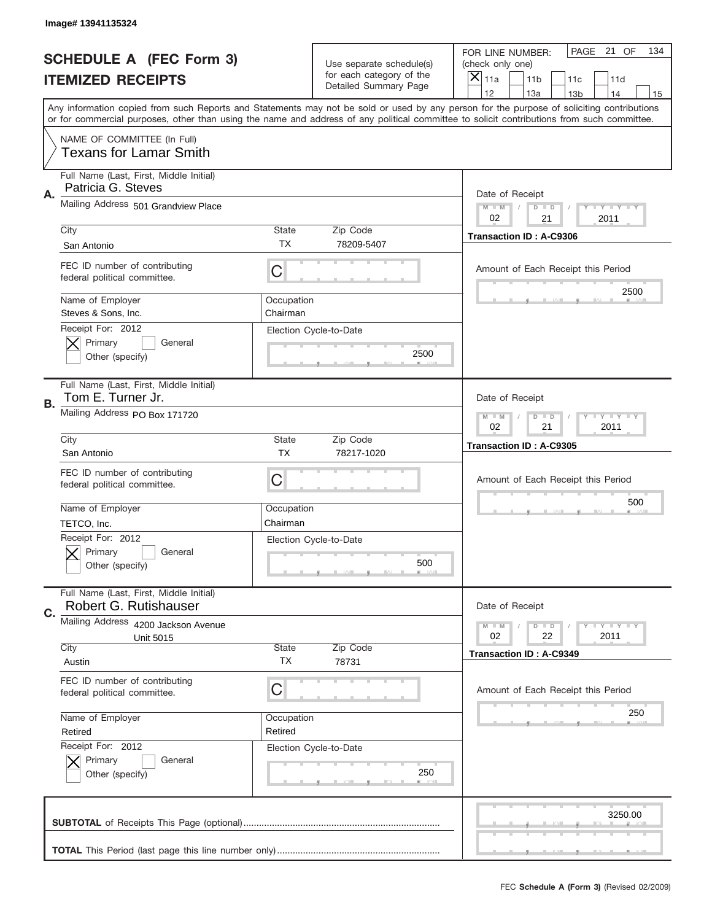|                          | Image# 13941135324                                               |                        |                                                      |                                                                                                                                                                                                                                                                                                                               |
|--------------------------|------------------------------------------------------------------|------------------------|------------------------------------------------------|-------------------------------------------------------------------------------------------------------------------------------------------------------------------------------------------------------------------------------------------------------------------------------------------------------------------------------|
|                          | <b>SCHEDULE A (FEC Form 3)</b>                                   |                        | Use separate schedule(s)<br>for each category of the | PAGE<br>21 OF<br>134<br>FOR LINE NUMBER:<br>(check only one)                                                                                                                                                                                                                                                                  |
| <b>ITEMIZED RECEIPTS</b> |                                                                  |                        | Detailed Summary Page                                | ×<br>11a<br>11 <sub>b</sub><br>11c<br>11d<br>12                                                                                                                                                                                                                                                                               |
|                          |                                                                  |                        |                                                      | 13a<br>14<br>13 <sub>b</sub><br>15<br>Any information copied from such Reports and Statements may not be sold or used by any person for the purpose of soliciting contributions<br>or for commercial purposes, other than using the name and address of any political committee to solicit contributions from such committee. |
|                          | NAME OF COMMITTEE (In Full)<br><b>Texans for Lamar Smith</b>     |                        |                                                      |                                                                                                                                                                                                                                                                                                                               |
| А.                       | Full Name (Last, First, Middle Initial)<br>Patricia G. Steves    |                        |                                                      | Date of Receipt                                                                                                                                                                                                                                                                                                               |
|                          | Mailing Address 501 Grandview Place                              |                        |                                                      | $M$ $M$<br><b>THEY THEY</b><br>$D$ $D$<br>02<br>21<br>2011                                                                                                                                                                                                                                                                    |
|                          | City<br>San Antonio                                              | State<br>ТX            | Zip Code<br>78209-5407                               | <b>Transaction ID: A-C9306</b>                                                                                                                                                                                                                                                                                                |
|                          | FEC ID number of contributing<br>federal political committee.    | C                      |                                                      | Amount of Each Receipt this Period<br>2500                                                                                                                                                                                                                                                                                    |
|                          | Name of Employer<br>Steves & Sons. Inc.<br>Receipt For: 2012     | Occupation<br>Chairman |                                                      |                                                                                                                                                                                                                                                                                                                               |
|                          | Primary<br>General<br>Other (specify)                            |                        | Election Cycle-to-Date<br>2500                       |                                                                                                                                                                                                                                                                                                                               |
| В.                       | Full Name (Last, First, Middle Initial)<br>Tom E. Turner Jr.     |                        |                                                      | Date of Receipt                                                                                                                                                                                                                                                                                                               |
|                          | Mailing Address PO Box 171720                                    |                        |                                                      | <b>LY LY LY</b><br>$M - M$<br>$D$ $D$<br>02<br>21<br>2011                                                                                                                                                                                                                                                                     |
|                          | City<br>San Antonio                                              | State<br><b>TX</b>     | Zip Code<br>78217-1020                               | <b>Transaction ID: A-C9305</b>                                                                                                                                                                                                                                                                                                |
|                          | FEC ID number of contributing<br>federal political committee.    | C                      |                                                      | Amount of Each Receipt this Period                                                                                                                                                                                                                                                                                            |
|                          | Name of Employer<br>TETCO, Inc.                                  | Occupation<br>Chairman |                                                      | 500                                                                                                                                                                                                                                                                                                                           |
|                          | Receipt For: 2012<br>Primary<br>General<br>Other (specify)       |                        | Election Cycle-to-Date<br>500                        |                                                                                                                                                                                                                                                                                                                               |
| C.                       | Full Name (Last, First, Middle Initial)<br>Robert G. Rutishauser |                        |                                                      | Date of Receipt                                                                                                                                                                                                                                                                                                               |
|                          | Mailing Address 4200 Jackson Avenue<br><b>Unit 5015</b>          |                        |                                                      | <b>LYLYLY</b><br>$M - M$<br>$D$ $D$<br>02<br>22<br>2011                                                                                                                                                                                                                                                                       |
|                          | City<br>Austin                                                   | State<br><b>TX</b>     | Zip Code<br>78731                                    | <b>Transaction ID: A-C9349</b>                                                                                                                                                                                                                                                                                                |
|                          | FEC ID number of contributing<br>federal political committee.    | C                      |                                                      | Amount of Each Receipt this Period                                                                                                                                                                                                                                                                                            |
|                          | Name of Employer<br>Retired                                      | Occupation<br>Retired  |                                                      | 250                                                                                                                                                                                                                                                                                                                           |
|                          | Receipt For: 2012<br>Primary<br>General<br>Other (specify)       |                        | Election Cycle-to-Date<br>250                        |                                                                                                                                                                                                                                                                                                                               |
|                          |                                                                  |                        |                                                      | 3250.00                                                                                                                                                                                                                                                                                                                       |
|                          |                                                                  |                        |                                                      |                                                                                                                                                                                                                                                                                                                               |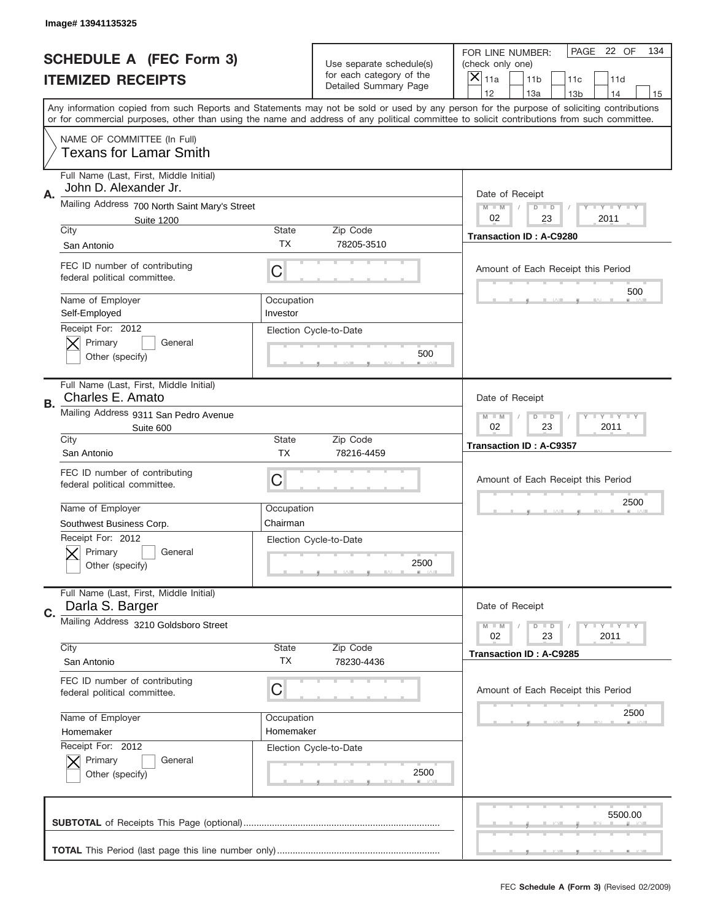|                          | Image# 13941135325                                                                     |                          |                                                   |                                                                                                                                                                                                                                                                                                                                     |
|--------------------------|----------------------------------------------------------------------------------------|--------------------------|---------------------------------------------------|-------------------------------------------------------------------------------------------------------------------------------------------------------------------------------------------------------------------------------------------------------------------------------------------------------------------------------------|
|                          | <b>SCHEDULE A (FEC Form 3)</b>                                                         | Use separate schedule(s) |                                                   | PAGE 22 OF<br>134<br>FOR LINE NUMBER:<br>(check only one)                                                                                                                                                                                                                                                                           |
| <b>ITEMIZED RECEIPTS</b> |                                                                                        |                          | for each category of the<br>Detailed Summary Page | $\times$<br>11a<br>11 <sub>b</sub><br>11c<br>11d                                                                                                                                                                                                                                                                                    |
|                          |                                                                                        |                          |                                                   | 12<br>13a<br>14<br>13 <sub>b</sub><br>15<br>Any information copied from such Reports and Statements may not be sold or used by any person for the purpose of soliciting contributions<br>or for commercial purposes, other than using the name and address of any political committee to solicit contributions from such committee. |
|                          | NAME OF COMMITTEE (In Full)<br><b>Texans for Lamar Smith</b>                           |                          |                                                   |                                                                                                                                                                                                                                                                                                                                     |
| Α.                       | Full Name (Last, First, Middle Initial)<br>John D. Alexander Jr.                       |                          |                                                   | Date of Receipt                                                                                                                                                                                                                                                                                                                     |
|                          | Mailing Address 700 North Saint Mary's Street<br><b>Suite 1200</b>                     |                          |                                                   | $M - M$<br><b>LEY LEY LEY</b><br>$D$ $D$<br>02<br>23<br>2011                                                                                                                                                                                                                                                                        |
|                          | City<br>San Antonio                                                                    | State<br>TX              | Zip Code<br>78205-3510                            | Transaction ID: A-C9280                                                                                                                                                                                                                                                                                                             |
|                          | FEC ID number of contributing<br>federal political committee.                          | С                        |                                                   | Amount of Each Receipt this Period                                                                                                                                                                                                                                                                                                  |
|                          | Name of Employer<br>Self-Employed                                                      | Occupation<br>Investor   |                                                   | 500                                                                                                                                                                                                                                                                                                                                 |
|                          | Receipt For: 2012<br>Primary<br>General<br>Other (specify)                             |                          | Election Cycle-to-Date<br>500                     |                                                                                                                                                                                                                                                                                                                                     |
| В.                       | Full Name (Last, First, Middle Initial)<br>Charles E. Amato                            |                          |                                                   | Date of Receipt                                                                                                                                                                                                                                                                                                                     |
|                          | Mailing Address 9311 San Pedro Avenue<br>Suite 600                                     |                          |                                                   | $M - M$<br>$D$ $D$<br><b>LEY LEY LEY</b><br>02<br>23<br>2011                                                                                                                                                                                                                                                                        |
|                          | City<br>San Antonio                                                                    | State<br><b>TX</b>       | Zip Code<br>78216-4459                            | <b>Transaction ID: A-C9357</b>                                                                                                                                                                                                                                                                                                      |
|                          | FEC ID number of contributing<br>federal political committee.                          | С                        |                                                   | Amount of Each Receipt this Period                                                                                                                                                                                                                                                                                                  |
|                          | Name of Employer                                                                       | Occupation               |                                                   | 2500                                                                                                                                                                                                                                                                                                                                |
|                          | Southwest Business Corp.<br>Receipt For: 2012<br>Primary<br>General<br>Other (specify) | Chairman                 | Election Cycle-to-Date<br>2500                    |                                                                                                                                                                                                                                                                                                                                     |
| C.                       | Full Name (Last, First, Middle Initial)<br>Darla S. Barger                             |                          |                                                   | Date of Receipt                                                                                                                                                                                                                                                                                                                     |
|                          | Mailing Address 3210 Goldsboro Street                                                  |                          |                                                   | <b>LYLYLY</b><br>$M - M$<br>$D$ $D$<br>02<br>23<br>2011                                                                                                                                                                                                                                                                             |
|                          | City<br>San Antonio                                                                    | <b>State</b><br>ТX       | Zip Code<br>78230-4436                            | Transaction ID: A-C9285                                                                                                                                                                                                                                                                                                             |
|                          | FEC ID number of contributing<br>federal political committee.                          | С                        |                                                   | Amount of Each Receipt this Period                                                                                                                                                                                                                                                                                                  |
|                          | Name of Employer                                                                       | Occupation               |                                                   | 2500                                                                                                                                                                                                                                                                                                                                |
|                          | Homemaker<br>Receipt For: 2012                                                         | Homemaker                | Election Cycle-to-Date                            |                                                                                                                                                                                                                                                                                                                                     |
|                          | Primary<br>General<br>Other (specify)                                                  |                          | 2500                                              |                                                                                                                                                                                                                                                                                                                                     |
|                          |                                                                                        |                          |                                                   | 5500.00                                                                                                                                                                                                                                                                                                                             |
|                          |                                                                                        |                          |                                                   |                                                                                                                                                                                                                                                                                                                                     |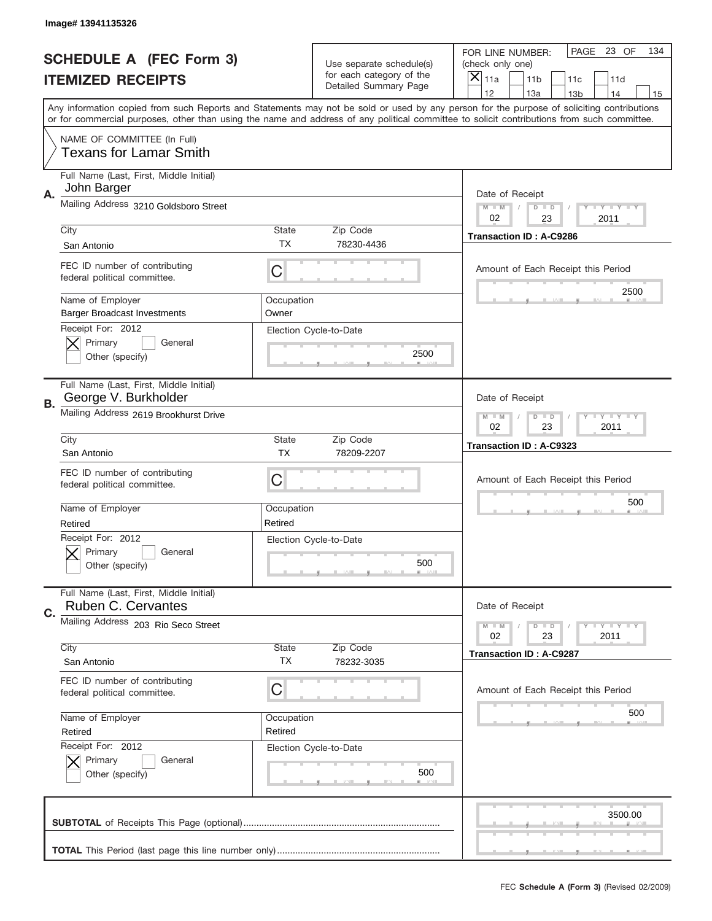|                          | Image# 13941135326                                                           |                       |                                                      |                                                                                                                                                                                                                                                                                                                                     |
|--------------------------|------------------------------------------------------------------------------|-----------------------|------------------------------------------------------|-------------------------------------------------------------------------------------------------------------------------------------------------------------------------------------------------------------------------------------------------------------------------------------------------------------------------------------|
|                          | <b>SCHEDULE A (FEC Form 3)</b>                                               |                       | Use separate schedule(s)<br>for each category of the | PAGE<br>23 OF<br>134<br>FOR LINE NUMBER:<br>(check only one)                                                                                                                                                                                                                                                                        |
| <b>ITEMIZED RECEIPTS</b> |                                                                              |                       | Detailed Summary Page                                | ×<br>11a<br>11 <sub>b</sub><br>11c<br>11d                                                                                                                                                                                                                                                                                           |
|                          |                                                                              |                       |                                                      | 12<br>13a<br>14<br>13 <sub>b</sub><br>15<br>Any information copied from such Reports and Statements may not be sold or used by any person for the purpose of soliciting contributions<br>or for commercial purposes, other than using the name and address of any political committee to solicit contributions from such committee. |
|                          | NAME OF COMMITTEE (In Full)<br><b>Texans for Lamar Smith</b>                 |                       |                                                      |                                                                                                                                                                                                                                                                                                                                     |
| А.                       | Full Name (Last, First, Middle Initial)<br>John Barger                       |                       |                                                      | Date of Receipt                                                                                                                                                                                                                                                                                                                     |
|                          | Mailing Address 3210 Goldsboro Street                                        |                       |                                                      | $M$ $M$<br><b>THEY THEY</b><br>$D$ $D$<br>02<br>23<br>2011                                                                                                                                                                                                                                                                          |
|                          | City<br>San Antonio                                                          | State<br>ТX           | Zip Code<br>78230-4436                               | <b>Transaction ID: A-C9286</b>                                                                                                                                                                                                                                                                                                      |
|                          | FEC ID number of contributing<br>federal political committee.                | C                     |                                                      | Amount of Each Receipt this Period<br>2500                                                                                                                                                                                                                                                                                          |
|                          | Name of Employer<br><b>Barger Broadcast Investments</b><br>Receipt For: 2012 | Occupation<br>Owner   | Election Cycle-to-Date                               |                                                                                                                                                                                                                                                                                                                                     |
|                          | Primary<br>General<br>Other (specify)                                        |                       | 2500                                                 |                                                                                                                                                                                                                                                                                                                                     |
| В.                       | Full Name (Last, First, Middle Initial)<br>George V. Burkholder              |                       |                                                      | Date of Receipt                                                                                                                                                                                                                                                                                                                     |
|                          | Mailing Address 2619 Brookhurst Drive                                        |                       |                                                      | <b>LY LY LY</b><br>$M - M$<br>$D$ $D$<br>02<br>23<br>2011                                                                                                                                                                                                                                                                           |
|                          | City<br>San Antonio                                                          | State<br><b>TX</b>    | Zip Code<br>78209-2207                               | Transaction ID: A-C9323                                                                                                                                                                                                                                                                                                             |
|                          | FEC ID number of contributing<br>federal political committee.                | C                     |                                                      | Amount of Each Receipt this Period                                                                                                                                                                                                                                                                                                  |
|                          | Name of Employer<br>Retired                                                  | Occupation<br>Retired |                                                      | 500                                                                                                                                                                                                                                                                                                                                 |
|                          | Receipt For: 2012<br>Primary<br>General<br>Other (specify)                   |                       | Election Cycle-to-Date<br>500                        |                                                                                                                                                                                                                                                                                                                                     |
| C.                       | Full Name (Last, First, Middle Initial)<br>Ruben C. Cervantes                |                       |                                                      | Date of Receipt                                                                                                                                                                                                                                                                                                                     |
|                          | Mailing Address 203 Rio Seco Street                                          |                       |                                                      | <b>LY LY LY</b><br>$M - M$<br>$D$ $D$<br>02<br>23<br>2011                                                                                                                                                                                                                                                                           |
|                          | City<br>San Antonio                                                          | State<br><b>TX</b>    | Zip Code<br>78232-3035                               | <b>Transaction ID: A-C9287</b>                                                                                                                                                                                                                                                                                                      |
|                          | FEC ID number of contributing<br>federal political committee.                | C                     |                                                      | Amount of Each Receipt this Period                                                                                                                                                                                                                                                                                                  |
|                          | Name of Employer<br>Retired                                                  | Occupation<br>Retired |                                                      | 500                                                                                                                                                                                                                                                                                                                                 |
|                          | Receipt For: 2012<br>Primary<br>General<br>Other (specify)                   |                       | Election Cycle-to-Date<br>500                        |                                                                                                                                                                                                                                                                                                                                     |
|                          |                                                                              |                       |                                                      | 3500.00                                                                                                                                                                                                                                                                                                                             |
|                          |                                                                              |                       |                                                      |                                                                                                                                                                                                                                                                                                                                     |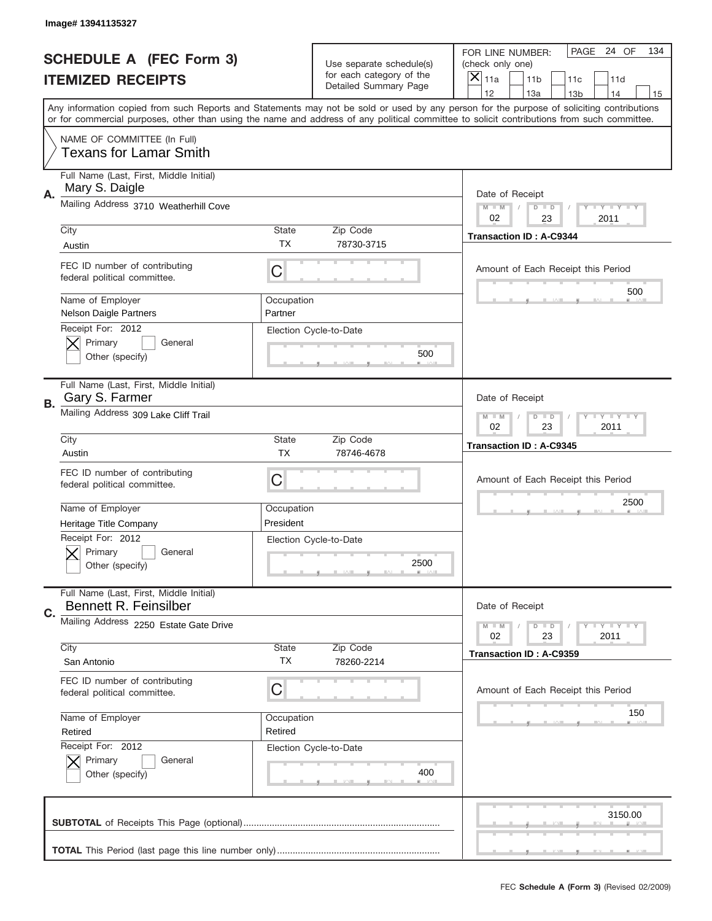|    | Image# 13941135327                                               |                           |                                                   |                                                                                                                                                                                                                                                                                                                                     |
|----|------------------------------------------------------------------|---------------------------|---------------------------------------------------|-------------------------------------------------------------------------------------------------------------------------------------------------------------------------------------------------------------------------------------------------------------------------------------------------------------------------------------|
|    | <b>SCHEDULE A (FEC Form 3)</b>                                   |                           | Use separate schedule(s)                          | PAGE<br>24 OF<br>134<br>FOR LINE NUMBER:<br>(check only one)                                                                                                                                                                                                                                                                        |
|    | <b>ITEMIZED RECEIPTS</b>                                         |                           | for each category of the<br>Detailed Summary Page | ×<br>11a<br>11 <sub>b</sub><br>11c<br>11d                                                                                                                                                                                                                                                                                           |
|    |                                                                  |                           |                                                   | 12<br>13a<br>14<br>13 <sub>b</sub><br>15<br>Any information copied from such Reports and Statements may not be sold or used by any person for the purpose of soliciting contributions<br>or for commercial purposes, other than using the name and address of any political committee to solicit contributions from such committee. |
|    | NAME OF COMMITTEE (In Full)<br><b>Texans for Lamar Smith</b>     |                           |                                                   |                                                                                                                                                                                                                                                                                                                                     |
| Α. | Full Name (Last, First, Middle Initial)<br>Mary S. Daigle        |                           |                                                   | Date of Receipt                                                                                                                                                                                                                                                                                                                     |
|    | Mailing Address 3710 Weatherhill Cove                            |                           |                                                   | $M - M$<br><b>THEY THEY</b><br>$D$ $D$<br>02<br>23<br>2011                                                                                                                                                                                                                                                                          |
|    | City<br>Austin                                                   | <b>State</b><br>TX        | Zip Code<br>78730-3715                            | <b>Transaction ID: A-C9344</b>                                                                                                                                                                                                                                                                                                      |
|    | FEC ID number of contributing<br>federal political committee.    | C                         |                                                   | Amount of Each Receipt this Period<br>500                                                                                                                                                                                                                                                                                           |
|    | Name of Employer<br>Nelson Daigle Partners<br>Receipt For: 2012  | Occupation<br>Partner     |                                                   |                                                                                                                                                                                                                                                                                                                                     |
|    | Primary<br>General<br>Other (specify)                            |                           | Election Cycle-to-Date<br>500                     |                                                                                                                                                                                                                                                                                                                                     |
| В. | Full Name (Last, First, Middle Initial)<br>Gary S. Farmer        |                           |                                                   | Date of Receipt                                                                                                                                                                                                                                                                                                                     |
|    | Mailing Address 309 Lake Cliff Trail                             |                           |                                                   | <b>LY LY LY</b><br>$M - M$<br>$D$ $D$<br>02<br>23<br>2011                                                                                                                                                                                                                                                                           |
|    | City<br>Austin                                                   | <b>State</b><br><b>TX</b> | Zip Code<br>78746-4678                            | <b>Transaction ID: A-C9345</b>                                                                                                                                                                                                                                                                                                      |
|    | FEC ID number of contributing<br>federal political committee.    | C                         |                                                   | Amount of Each Receipt this Period                                                                                                                                                                                                                                                                                                  |
|    | Name of Employer<br>Heritage Title Company                       | Occupation<br>President   |                                                   | 2500                                                                                                                                                                                                                                                                                                                                |
|    | Receipt For: 2012<br>Primary<br>General<br>Other (specify)       |                           | Election Cycle-to-Date<br>2500                    |                                                                                                                                                                                                                                                                                                                                     |
| C. | Full Name (Last, First, Middle Initial)<br>Bennett R. Feinsilber |                           |                                                   | Date of Receipt                                                                                                                                                                                                                                                                                                                     |
|    | Mailing Address 2250 Estate Gate Drive                           |                           |                                                   | $T + Y = Y + Y$<br>$M - M$<br>$D$ $D$<br>02<br>23<br>2011                                                                                                                                                                                                                                                                           |
|    | City<br>San Antonio                                              | <b>State</b><br>ТX        | Zip Code<br>78260-2214                            | <b>Transaction ID: A-C9359</b>                                                                                                                                                                                                                                                                                                      |
|    | FEC ID number of contributing<br>federal political committee.    | C                         |                                                   | Amount of Each Receipt this Period<br>150                                                                                                                                                                                                                                                                                           |
|    | Name of Employer<br>Retired                                      | Occupation<br>Retired     |                                                   |                                                                                                                                                                                                                                                                                                                                     |
|    | Receipt For: 2012<br>Primary<br>General<br>Other (specify)       |                           | Election Cycle-to-Date<br>400                     |                                                                                                                                                                                                                                                                                                                                     |
|    |                                                                  |                           |                                                   | 3150.00                                                                                                                                                                                                                                                                                                                             |
|    |                                                                  |                           |                                                   |                                                                                                                                                                                                                                                                                                                                     |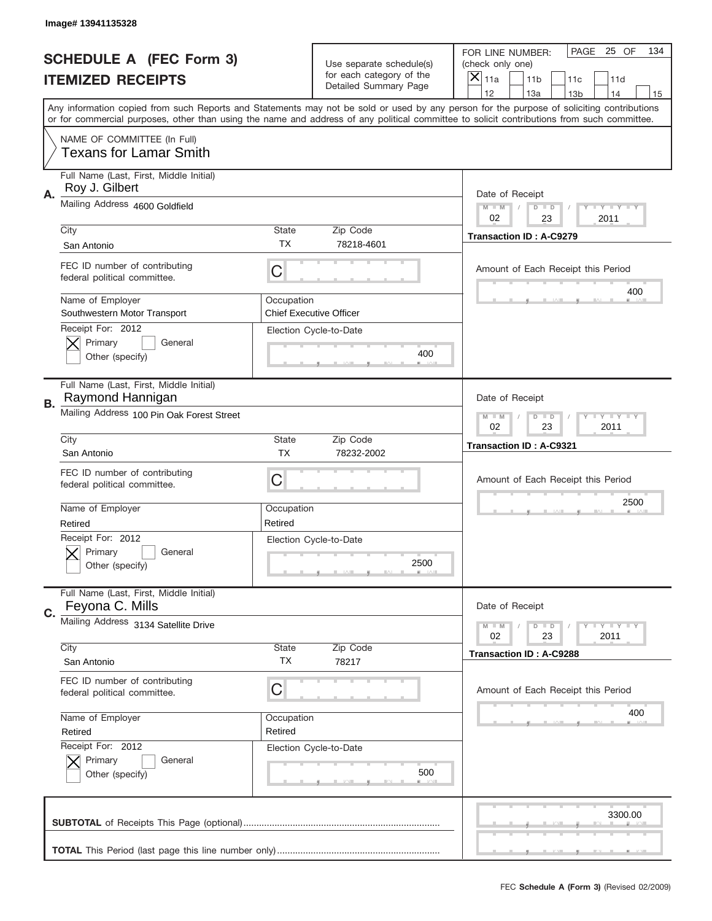|    | Image# 13941135328                                            |                       |                                                      |                                                                                                                                                                                                                                                                                                                               |
|----|---------------------------------------------------------------|-----------------------|------------------------------------------------------|-------------------------------------------------------------------------------------------------------------------------------------------------------------------------------------------------------------------------------------------------------------------------------------------------------------------------------|
|    | <b>SCHEDULE A (FEC Form 3)</b>                                |                       | Use separate schedule(s)<br>for each category of the | PAGE<br>25 OF<br>134<br>FOR LINE NUMBER:<br>(check only one)                                                                                                                                                                                                                                                                  |
|    | <b>ITEMIZED RECEIPTS</b>                                      |                       | Detailed Summary Page                                | ×<br>11a<br>11 <sub>b</sub><br>11c<br>11d<br>12                                                                                                                                                                                                                                                                               |
|    |                                                               |                       |                                                      | 13a<br>14<br>13 <sub>b</sub><br>15<br>Any information copied from such Reports and Statements may not be sold or used by any person for the purpose of soliciting contributions<br>or for commercial purposes, other than using the name and address of any political committee to solicit contributions from such committee. |
|    | NAME OF COMMITTEE (In Full)<br><b>Texans for Lamar Smith</b>  |                       |                                                      |                                                                                                                                                                                                                                                                                                                               |
| А. | Full Name (Last, First, Middle Initial)<br>Roy J. Gilbert     |                       |                                                      | Date of Receipt                                                                                                                                                                                                                                                                                                               |
|    | Mailing Address 4600 Goldfield                                |                       |                                                      | $M$ $M$<br>$T$ $Y$ $Y$ $Y$ $Y$<br>$D$ $D$<br>02<br>23<br>2011                                                                                                                                                                                                                                                                 |
|    | City<br>San Antonio                                           | State<br>ТX           | Zip Code<br>78218-4601                               | <b>Transaction ID: A-C9279</b>                                                                                                                                                                                                                                                                                                |
|    | FEC ID number of contributing<br>federal political committee. | C                     |                                                      | Amount of Each Receipt this Period<br>400                                                                                                                                                                                                                                                                                     |
|    | Name of Employer<br>Southwestern Motor Transport              | Occupation            | <b>Chief Executive Officer</b>                       |                                                                                                                                                                                                                                                                                                                               |
|    | Receipt For: 2012<br>Primary<br>General<br>Other (specify)    |                       | Election Cycle-to-Date<br>400                        |                                                                                                                                                                                                                                                                                                                               |
| В. | Full Name (Last, First, Middle Initial)<br>Raymond Hannigan   |                       |                                                      | Date of Receipt                                                                                                                                                                                                                                                                                                               |
|    | Mailing Address 100 Pin Oak Forest Street                     |                       |                                                      | <b>LY LY LY</b><br>$M - M$<br>$D$ $D$<br>02<br>23<br>2011                                                                                                                                                                                                                                                                     |
|    | City<br>San Antonio                                           | State<br><b>TX</b>    | Zip Code<br>78232-2002                               | Transaction ID: A-C9321                                                                                                                                                                                                                                                                                                       |
|    | FEC ID number of contributing<br>federal political committee. | C                     |                                                      | Amount of Each Receipt this Period                                                                                                                                                                                                                                                                                            |
|    | Name of Employer<br>Retired                                   | Occupation<br>Retired |                                                      | 2500                                                                                                                                                                                                                                                                                                                          |
|    | Receipt For: 2012<br>Primary<br>General<br>Other (specify)    |                       | Election Cycle-to-Date<br>2500                       |                                                                                                                                                                                                                                                                                                                               |
| C. | Full Name (Last, First, Middle Initial)<br>Feyona C. Mills    |                       |                                                      | Date of Receipt                                                                                                                                                                                                                                                                                                               |
|    | Mailing Address 3134 Satellite Drive                          |                       |                                                      | $T - Y = Y - T Y$<br>$M - M$<br>$D$ $D$<br>02<br>23<br>2011                                                                                                                                                                                                                                                                   |
|    | City<br>San Antonio                                           | State<br><b>TX</b>    | Zip Code<br>78217                                    | <b>Transaction ID: A-C9288</b>                                                                                                                                                                                                                                                                                                |
|    | FEC ID number of contributing<br>federal political committee. | C                     |                                                      | Amount of Each Receipt this Period                                                                                                                                                                                                                                                                                            |
|    | Name of Employer<br>Retired                                   | Occupation<br>Retired |                                                      | 400                                                                                                                                                                                                                                                                                                                           |
|    | Receipt For: 2012<br>Primary<br>General<br>Other (specify)    |                       | Election Cycle-to-Date<br>500                        |                                                                                                                                                                                                                                                                                                                               |
|    |                                                               |                       |                                                      | 3300.00                                                                                                                                                                                                                                                                                                                       |
|    |                                                               |                       |                                                      |                                                                                                                                                                                                                                                                                                                               |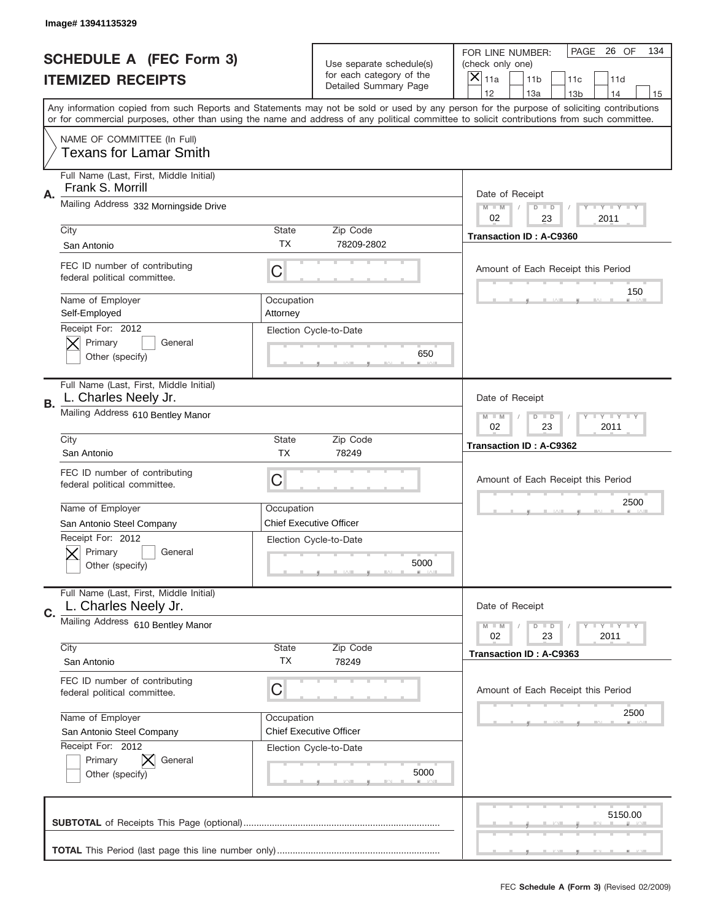|    | Image# 13941135329                                              |                                                           |                                                   |                                                                                                                                                                                                                                                                                                                                     |
|----|-----------------------------------------------------------------|-----------------------------------------------------------|---------------------------------------------------|-------------------------------------------------------------------------------------------------------------------------------------------------------------------------------------------------------------------------------------------------------------------------------------------------------------------------------------|
|    | <b>SCHEDULE A (FEC Form 3)</b>                                  |                                                           | Use separate schedule(s)                          | PAGE 26 OF<br>134<br>FOR LINE NUMBER:<br>(check only one)                                                                                                                                                                                                                                                                           |
|    | <b>ITEMIZED RECEIPTS</b>                                        |                                                           | for each category of the<br>Detailed Summary Page | ×<br>11a<br>11 <sub>b</sub><br>11c<br>11d                                                                                                                                                                                                                                                                                           |
|    |                                                                 |                                                           |                                                   | 12<br>13a<br>14<br>13 <sub>b</sub><br>15<br>Any information copied from such Reports and Statements may not be sold or used by any person for the purpose of soliciting contributions<br>or for commercial purposes, other than using the name and address of any political committee to solicit contributions from such committee. |
|    | NAME OF COMMITTEE (In Full)<br><b>Texans for Lamar Smith</b>    |                                                           |                                                   |                                                                                                                                                                                                                                                                                                                                     |
| Α. | Full Name (Last, First, Middle Initial)<br>Frank S. Morrill     |                                                           |                                                   | Date of Receipt                                                                                                                                                                                                                                                                                                                     |
|    | Mailing Address 332 Morningside Drive                           |                                                           |                                                   | $M - M$<br><b>LY LY LY</b><br>$D$ $D$<br>02<br>23<br>2011                                                                                                                                                                                                                                                                           |
|    | City<br>San Antonio                                             | State<br>TX                                               | Zip Code<br>78209-2802                            | <b>Transaction ID: A-C9360</b>                                                                                                                                                                                                                                                                                                      |
|    | FEC ID number of contributing<br>federal political committee.   | C                                                         |                                                   | Amount of Each Receipt this Period                                                                                                                                                                                                                                                                                                  |
|    | Name of Employer<br>Self-Employed                               | Occupation<br>Attorney                                    |                                                   | 150                                                                                                                                                                                                                                                                                                                                 |
|    | Receipt For: 2012<br>Primary<br>General<br>Other (specify)      |                                                           | Election Cycle-to-Date<br>650                     |                                                                                                                                                                                                                                                                                                                                     |
| В. | Full Name (Last, First, Middle Initial)<br>L. Charles Neely Jr. |                                                           |                                                   | Date of Receipt                                                                                                                                                                                                                                                                                                                     |
|    | Mailing Address 610 Bentley Manor                               | $M$ M<br>$D$ $D$<br><b>LEYTEY LEY</b><br>02<br>23<br>2011 |                                                   |                                                                                                                                                                                                                                                                                                                                     |
|    | City<br>San Antonio                                             | State<br><b>TX</b>                                        | Zip Code<br>78249                                 | Transaction ID: A-C9362                                                                                                                                                                                                                                                                                                             |
|    | FEC ID number of contributing<br>federal political committee.   | C                                                         |                                                   | Amount of Each Receipt this Period                                                                                                                                                                                                                                                                                                  |
|    | Name of Employer<br>San Antonio Steel Company                   | Occupation                                                | <b>Chief Executive Officer</b>                    | 2500                                                                                                                                                                                                                                                                                                                                |
|    | Receipt For: 2012<br>General<br>Primary<br>Other (specify)      |                                                           | Election Cycle-to-Date<br>5000                    |                                                                                                                                                                                                                                                                                                                                     |
| C. | Full Name (Last, First, Middle Initial)<br>L. Charles Neely Jr. |                                                           |                                                   | Date of Receipt                                                                                                                                                                                                                                                                                                                     |
|    | Mailing Address 610 Bentley Manor                               |                                                           |                                                   | $I - Y - I - Y - I - Y$<br>$M - M$<br>$D$ $D$<br>02<br>23<br>2011                                                                                                                                                                                                                                                                   |
|    | City                                                            | State<br>TX                                               | Zip Code<br>78249                                 | Transaction ID: A-C9363                                                                                                                                                                                                                                                                                                             |
|    | San Antonio                                                     |                                                           |                                                   |                                                                                                                                                                                                                                                                                                                                     |
|    | FEC ID number of contributing<br>federal political committee.   | C                                                         |                                                   | Amount of Each Receipt this Period                                                                                                                                                                                                                                                                                                  |
|    | Name of Employer<br>San Antonio Steel Company                   | Occupation                                                | <b>Chief Executive Officer</b>                    | 2500                                                                                                                                                                                                                                                                                                                                |
|    | Receipt For: 2012<br>Primary<br>General<br>Other (specify)      |                                                           | Election Cycle-to-Date<br>5000                    |                                                                                                                                                                                                                                                                                                                                     |
|    |                                                                 |                                                           |                                                   | 5150.00                                                                                                                                                                                                                                                                                                                             |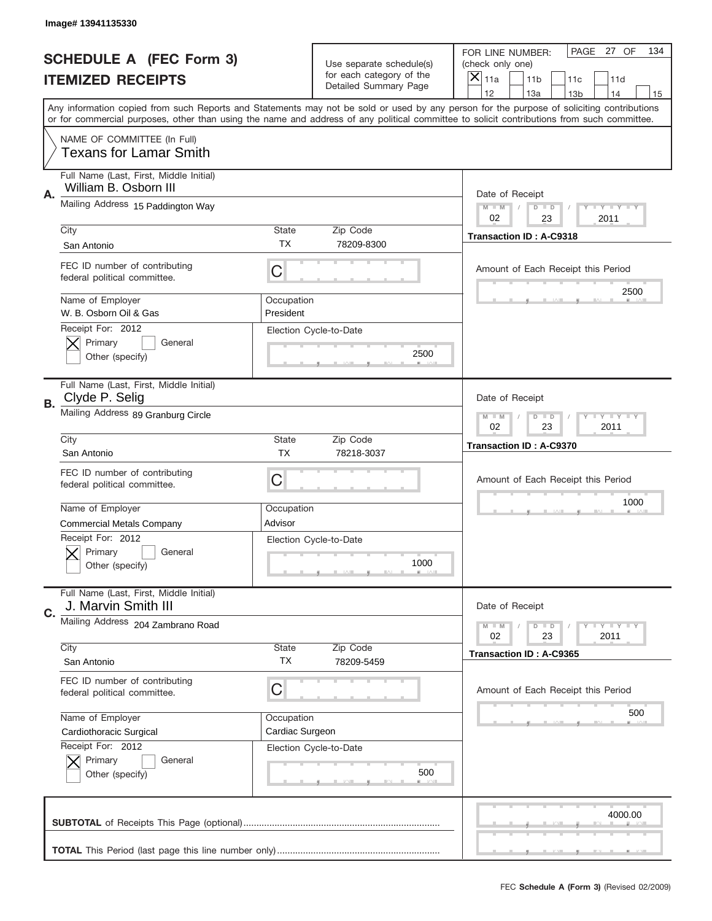|    | Image# 13941135330                                               |                                                              |                                                   |                                                                                                                                                                                 |     |
|----|------------------------------------------------------------------|--------------------------------------------------------------|---------------------------------------------------|---------------------------------------------------------------------------------------------------------------------------------------------------------------------------------|-----|
|    | <b>SCHEDULE A (FEC Form 3)</b>                                   |                                                              | Use separate schedule(s)                          | PAGE 27 OF<br>FOR LINE NUMBER:<br>(check only one)                                                                                                                              | 134 |
|    | <b>ITEMIZED RECEIPTS</b>                                         |                                                              | for each category of the<br>Detailed Summary Page | $\boldsymbol{\times}$<br>11a<br>11 <sub>b</sub><br>11c<br>11d                                                                                                                   |     |
|    |                                                                  |                                                              |                                                   | 12<br>13a<br>14<br>13 <sub>b</sub><br>Any information copied from such Reports and Statements may not be sold or used by any person for the purpose of soliciting contributions | 15  |
|    |                                                                  |                                                              |                                                   | or for commercial purposes, other than using the name and address of any political committee to solicit contributions from such committee.                                      |     |
|    | NAME OF COMMITTEE (In Full)<br><b>Texans for Lamar Smith</b>     |                                                              |                                                   |                                                                                                                                                                                 |     |
| Α. | Full Name (Last, First, Middle Initial)<br>William B. Osborn III |                                                              |                                                   | Date of Receipt                                                                                                                                                                 |     |
|    | Mailing Address 15 Paddington Way                                |                                                              |                                                   | $M - M$<br><b>LEY LEY LEY</b><br>$D$ $D$<br>02<br>23<br>2011                                                                                                                    |     |
|    | City<br>San Antonio                                              | State<br><b>TX</b>                                           | Zip Code<br>78209-8300                            | <b>Transaction ID: A-C9318</b>                                                                                                                                                  |     |
|    | FEC ID number of contributing<br>federal political committee.    | C                                                            |                                                   | Amount of Each Receipt this Period                                                                                                                                              |     |
|    | Name of Employer<br>W. B. Osborn Oil & Gas                       | Occupation<br>President                                      |                                                   | 2500                                                                                                                                                                            |     |
|    | Receipt For: 2012<br>Primary<br>General<br>Other (specify)       |                                                              | Election Cycle-to-Date<br>2500                    |                                                                                                                                                                                 |     |
| В. | Full Name (Last, First, Middle Initial)<br>Clyde P. Selig        |                                                              |                                                   | Date of Receipt                                                                                                                                                                 |     |
|    | Mailing Address 89 Granburg Circle                               | $M - M$<br>$D$ $D$<br><b>LEY LEY LEY</b><br>02<br>23<br>2011 |                                                   |                                                                                                                                                                                 |     |
|    | City<br>San Antonio                                              | <b>State</b><br><b>TX</b>                                    | Zip Code<br>78218-3037                            | <b>Transaction ID: A-C9370</b>                                                                                                                                                  |     |
|    | FEC ID number of contributing<br>federal political committee.    | С                                                            |                                                   | Amount of Each Receipt this Period                                                                                                                                              |     |
|    | Name of Employer                                                 | Occupation                                                   |                                                   | 1000                                                                                                                                                                            |     |
|    | <b>Commercial Metals Company</b>                                 | Advisor                                                      |                                                   |                                                                                                                                                                                 |     |
|    | Receipt For: 2012<br>General<br>Primary<br>Other (specify)       |                                                              | Election Cycle-to-Date<br>1000                    |                                                                                                                                                                                 |     |
| C. | Full Name (Last, First, Middle Initial)<br>J. Marvin Smith III   |                                                              |                                                   | Date of Receipt                                                                                                                                                                 |     |
|    | Mailing Address 204 Zambrano Road                                |                                                              |                                                   | <b>LYLYLY</b><br>$M - M$<br>$D$ $D$<br>02<br>23<br>2011                                                                                                                         |     |
|    | City<br>San Antonio                                              | <b>State</b><br>ТX                                           | Zip Code<br>78209-5459                            | Transaction ID: A-C9365                                                                                                                                                         |     |
|    | FEC ID number of contributing<br>federal political committee.    | С                                                            |                                                   | Amount of Each Receipt this Period                                                                                                                                              |     |
|    | Name of Employer                                                 | Occupation                                                   |                                                   | 500                                                                                                                                                                             |     |
|    | Cardiothoracic Surgical                                          | Cardiac Surgeon                                              |                                                   |                                                                                                                                                                                 |     |
|    | Receipt For: 2012<br>Primary<br>General<br>Other (specify)       |                                                              | Election Cycle-to-Date<br>500                     |                                                                                                                                                                                 |     |
|    |                                                                  |                                                              |                                                   | 4000.00                                                                                                                                                                         |     |
|    |                                                                  |                                                              |                                                   |                                                                                                                                                                                 |     |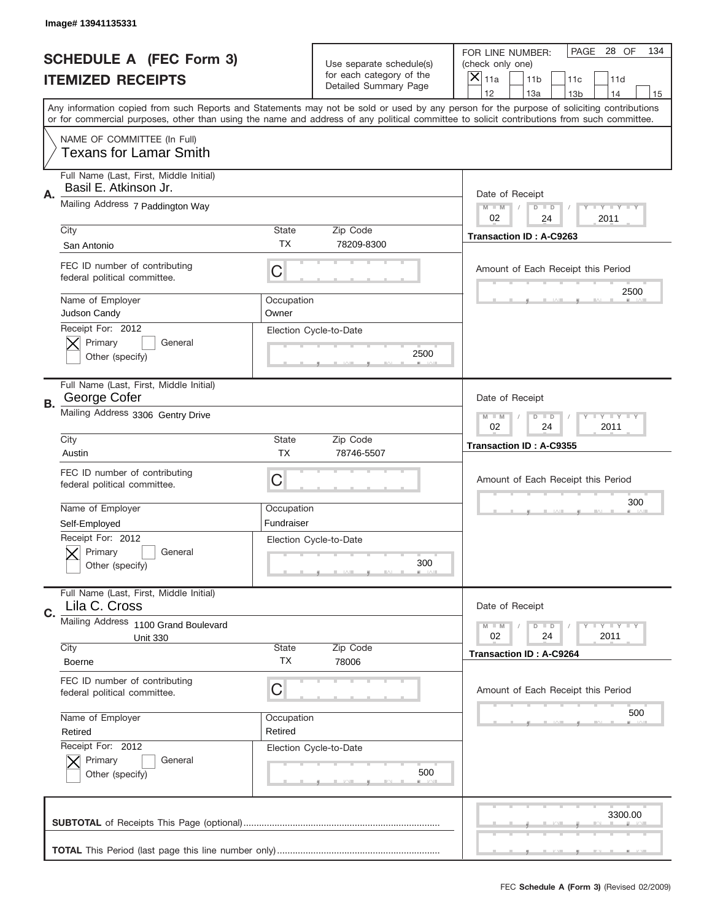|    | Image# 13941135331                                               |                     |                                                          |                                                                                                                                                                                                                                                                                                                                     |
|----|------------------------------------------------------------------|---------------------|----------------------------------------------------------|-------------------------------------------------------------------------------------------------------------------------------------------------------------------------------------------------------------------------------------------------------------------------------------------------------------------------------------|
|    | <b>SCHEDULE A (FEC Form 3)</b>                                   |                     | Use separate schedule(s)                                 | PAGE 28 OF<br>134<br>FOR LINE NUMBER:<br>(check only one)                                                                                                                                                                                                                                                                           |
|    | <b>ITEMIZED RECEIPTS</b>                                         |                     | for each category of the<br><b>Detailed Summary Page</b> | ×<br>11a<br>11 <sub>b</sub><br>11c<br>11d                                                                                                                                                                                                                                                                                           |
|    |                                                                  |                     |                                                          | 12<br>13a<br>13 <sub>b</sub><br>14<br>15<br>Any information copied from such Reports and Statements may not be sold or used by any person for the purpose of soliciting contributions<br>or for commercial purposes, other than using the name and address of any political committee to solicit contributions from such committee. |
|    | NAME OF COMMITTEE (In Full)<br><b>Texans for Lamar Smith</b>     |                     |                                                          |                                                                                                                                                                                                                                                                                                                                     |
| Α. | Full Name (Last, First, Middle Initial)<br>Basil E. Atkinson Jr. |                     |                                                          | Date of Receipt                                                                                                                                                                                                                                                                                                                     |
|    | Mailing Address 7 Paddington Way                                 |                     |                                                          | $M$ M<br><b>LY LY LY</b><br>$D$ $D$<br>02<br>24<br>2011                                                                                                                                                                                                                                                                             |
|    | City<br>San Antonio                                              | State<br><b>TX</b>  | Zip Code<br>78209-8300                                   | <b>Transaction ID: A-C9263</b>                                                                                                                                                                                                                                                                                                      |
|    | FEC ID number of contributing<br>federal political committee.    | C                   |                                                          | Amount of Each Receipt this Period<br>2500                                                                                                                                                                                                                                                                                          |
|    | Name of Employer<br>Judson Candy                                 | Occupation<br>Owner |                                                          |                                                                                                                                                                                                                                                                                                                                     |
|    | Receipt For: 2012<br>Primary<br>General<br>Other (specify)       |                     | Election Cycle-to-Date<br>2500                           |                                                                                                                                                                                                                                                                                                                                     |
| В. | Full Name (Last, First, Middle Initial)<br>George Cofer          |                     |                                                          | Date of Receipt                                                                                                                                                                                                                                                                                                                     |
|    | Mailing Address 3306 Gentry Drive                                |                     |                                                          | $M - M$<br><b>LEY LEY LEY</b><br>$D$ $D$<br>02<br>24<br>2011                                                                                                                                                                                                                                                                        |
|    | City<br>Austin                                                   | State<br><b>TX</b>  | Zip Code<br>78746-5507                                   | Transaction ID: A-C9355                                                                                                                                                                                                                                                                                                             |
|    | FEC ID number of contributing                                    | C                   |                                                          | Amount of Each Receipt this Period                                                                                                                                                                                                                                                                                                  |
|    | federal political committee.                                     |                     |                                                          |                                                                                                                                                                                                                                                                                                                                     |
|    | Name of Employer                                                 | Occupation          |                                                          | 300                                                                                                                                                                                                                                                                                                                                 |
|    | Self-Employed                                                    | Fundraiser          |                                                          |                                                                                                                                                                                                                                                                                                                                     |
|    | Receipt For: 2012<br>General<br>Primary<br>Other (specify)       |                     | Election Cycle-to-Date<br>300                            |                                                                                                                                                                                                                                                                                                                                     |
| C. | Full Name (Last, First, Middle Initial)<br>Lila C. Cross         |                     |                                                          | Date of Receipt                                                                                                                                                                                                                                                                                                                     |
|    | Mailing Address 1100 Grand Boulevard                             |                     |                                                          | <b>LYLYLY</b><br>$M - M$<br>$D$ $D$                                                                                                                                                                                                                                                                                                 |
|    | <b>Unit 330</b><br>City                                          | State               | Zip Code                                                 | 02<br>2011<br>24                                                                                                                                                                                                                                                                                                                    |
|    | <b>Boerne</b>                                                    | TX                  | 78006                                                    | <b>Transaction ID: A-C9264</b>                                                                                                                                                                                                                                                                                                      |
|    | FEC ID number of contributing<br>federal political committee.    | C                   |                                                          | Amount of Each Receipt this Period                                                                                                                                                                                                                                                                                                  |
|    | Name of Employer                                                 | Occupation          |                                                          | 500                                                                                                                                                                                                                                                                                                                                 |
|    | Retired                                                          | Retired             |                                                          |                                                                                                                                                                                                                                                                                                                                     |
|    | Receipt For: 2012<br>Primary<br>General<br>Other (specify)       |                     | Election Cycle-to-Date<br>500                            |                                                                                                                                                                                                                                                                                                                                     |
|    |                                                                  |                     |                                                          | 3300.00                                                                                                                                                                                                                                                                                                                             |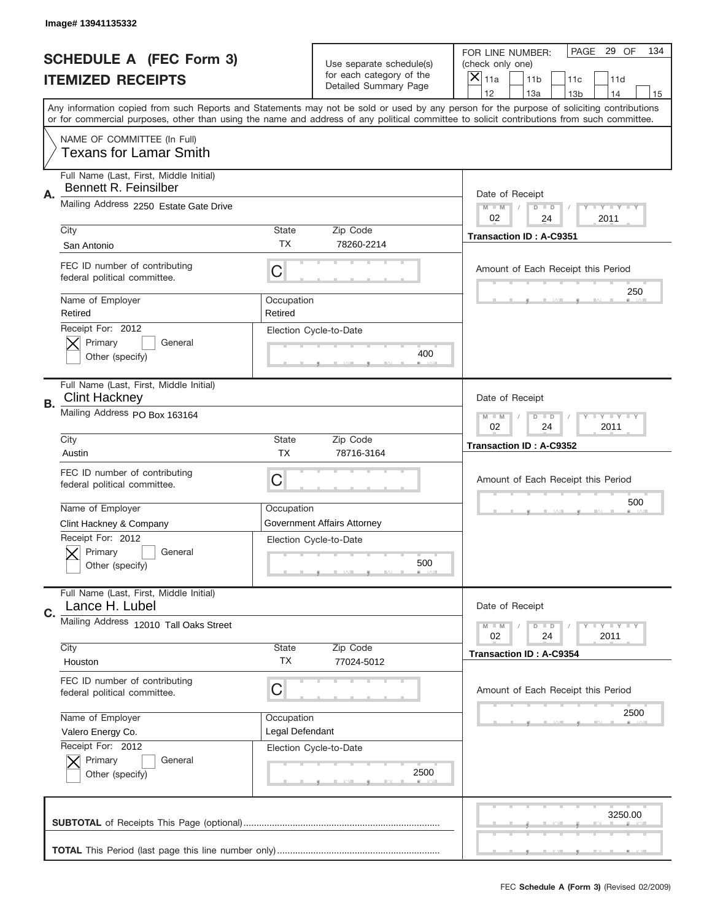|    | Image# 13941135332                                               |                               |                                                   |                                                                                                                                                                                                                                                                                                                                     |
|----|------------------------------------------------------------------|-------------------------------|---------------------------------------------------|-------------------------------------------------------------------------------------------------------------------------------------------------------------------------------------------------------------------------------------------------------------------------------------------------------------------------------------|
|    | <b>SCHEDULE A (FEC Form 3)</b>                                   |                               | Use separate schedule(s)                          | PAGE 29 OF<br>134<br>FOR LINE NUMBER:<br>(check only one)                                                                                                                                                                                                                                                                           |
|    | <b>ITEMIZED RECEIPTS</b>                                         |                               | for each category of the<br>Detailed Summary Page | ×<br>11a<br>11 <sub>b</sub><br>11c<br>11d                                                                                                                                                                                                                                                                                           |
|    |                                                                  |                               |                                                   | 12<br>13a<br>14<br>13 <sub>b</sub><br>15<br>Any information copied from such Reports and Statements may not be sold or used by any person for the purpose of soliciting contributions<br>or for commercial purposes, other than using the name and address of any political committee to solicit contributions from such committee. |
|    | NAME OF COMMITTEE (In Full)<br><b>Texans for Lamar Smith</b>     |                               |                                                   |                                                                                                                                                                                                                                                                                                                                     |
| Α. | Full Name (Last, First, Middle Initial)<br>Bennett R. Feinsilber |                               |                                                   | Date of Receipt                                                                                                                                                                                                                                                                                                                     |
|    | Mailing Address 2250 Estate Gate Drive                           |                               |                                                   | $M - M$<br><b>LEY LEY LEY</b><br>$D$ $D$<br>02<br>2011<br>24                                                                                                                                                                                                                                                                        |
|    | City<br>San Antonio                                              | State<br><b>TX</b>            | Zip Code<br>78260-2214                            | <b>Transaction ID: A-C9351</b>                                                                                                                                                                                                                                                                                                      |
|    | FEC ID number of contributing<br>federal political committee.    | C                             |                                                   | Amount of Each Receipt this Period                                                                                                                                                                                                                                                                                                  |
|    | Name of Employer<br>Retired                                      | Occupation<br>Retired         |                                                   | 250                                                                                                                                                                                                                                                                                                                                 |
|    | Receipt For: 2012<br>Primary<br>General<br>Other (specify)       |                               | Election Cycle-to-Date<br>400                     |                                                                                                                                                                                                                                                                                                                                     |
| В. | Full Name (Last, First, Middle Initial)<br><b>Clint Hackney</b>  |                               |                                                   | Date of Receipt                                                                                                                                                                                                                                                                                                                     |
|    | Mailing Address PO Box 163164                                    |                               |                                                   | $M$ M<br>$D$ $D$<br><b>LEYTEY LEY</b><br>02<br>24<br>2011                                                                                                                                                                                                                                                                           |
|    | City<br>Austin                                                   | State<br><b>TX</b>            | Zip Code<br>78716-3164                            | Transaction ID: A-C9352                                                                                                                                                                                                                                                                                                             |
|    | FEC ID number of contributing<br>federal political committee.    | C                             |                                                   | Amount of Each Receipt this Period                                                                                                                                                                                                                                                                                                  |
|    | Name of Employer<br>Clint Hackney & Company                      | Occupation                    | Government Affairs Attorney                       | 500                                                                                                                                                                                                                                                                                                                                 |
|    | Receipt For: 2012<br>General<br>Primary<br>Other (specify)       |                               | Election Cycle-to-Date<br>500                     |                                                                                                                                                                                                                                                                                                                                     |
| C. | Full Name (Last, First, Middle Initial)<br>Lance H. Lubel        |                               |                                                   | Date of Receipt                                                                                                                                                                                                                                                                                                                     |
|    | Mailing Address 12010 Tall Oaks Street                           |                               |                                                   | $I - Y - I - Y - I - Y$<br>$M - M$<br>$D$ $D$<br>02<br>2011<br>24                                                                                                                                                                                                                                                                   |
|    | City<br>Houston                                                  | <b>State</b><br>TX            | Zip Code<br>77024-5012                            | <b>Transaction ID: A-C9354</b>                                                                                                                                                                                                                                                                                                      |
|    | FEC ID number of contributing<br>federal political committee.    | C                             |                                                   | Amount of Each Receipt this Period                                                                                                                                                                                                                                                                                                  |
|    | Name of Employer<br>Valero Energy Co.                            | Occupation<br>Legal Defendant |                                                   | 2500                                                                                                                                                                                                                                                                                                                                |
|    | Receipt For: 2012<br>Primary<br>General<br>Other (specify)       |                               | Election Cycle-to-Date<br>2500                    |                                                                                                                                                                                                                                                                                                                                     |
|    |                                                                  |                               |                                                   | 3250.00                                                                                                                                                                                                                                                                                                                             |
|    |                                                                  |                               |                                                   |                                                                                                                                                                                                                                                                                                                                     |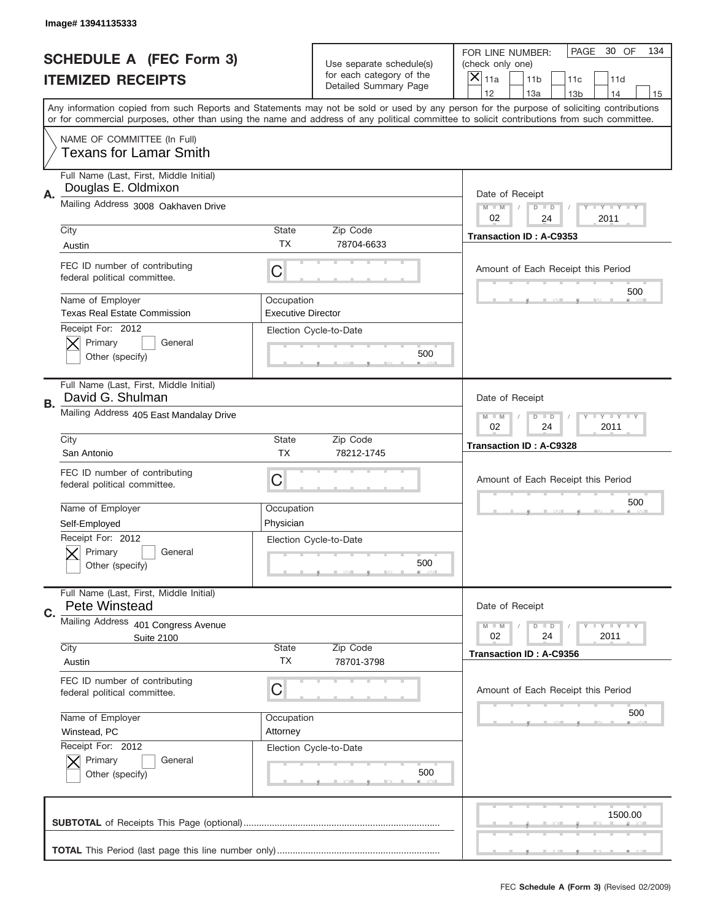|    | Image# 13941135333                                             |                                         |                                                   |                                                                                                                                                                                       |  |
|----|----------------------------------------------------------------|-----------------------------------------|---------------------------------------------------|---------------------------------------------------------------------------------------------------------------------------------------------------------------------------------------|--|
|    | <b>SCHEDULE A (FEC Form 3)</b>                                 |                                         | Use separate schedule(s)                          | PAGE<br>30 OF<br>134<br>FOR LINE NUMBER:<br>(check only one)                                                                                                                          |  |
|    | <b>ITEMIZED RECEIPTS</b>                                       |                                         | for each category of the<br>Detailed Summary Page | $\boldsymbol{\times}$<br>11 <sub>b</sub><br>11a<br>11c<br>11d                                                                                                                         |  |
|    |                                                                |                                         |                                                   | 12<br>13a<br>14<br>13 <sub>b</sub><br>15<br>Any information copied from such Reports and Statements may not be sold or used by any person for the purpose of soliciting contributions |  |
|    |                                                                |                                         |                                                   | or for commercial purposes, other than using the name and address of any political committee to solicit contributions from such committee.                                            |  |
|    | NAME OF COMMITTEE (In Full)<br><b>Texans for Lamar Smith</b>   |                                         |                                                   |                                                                                                                                                                                       |  |
| Α. | Full Name (Last, First, Middle Initial)<br>Douglas E. Oldmixon |                                         |                                                   | Date of Receipt                                                                                                                                                                       |  |
|    | Mailing Address 3008 Oakhaven Drive                            |                                         |                                                   | <b>LEY LEY LEY</b><br>$M - M$<br>$D$ $D$<br>02<br>24<br>2011                                                                                                                          |  |
|    | City<br>Austin                                                 | State<br><b>TX</b>                      | Zip Code<br>78704-6633                            | Transaction ID: A-C9353                                                                                                                                                               |  |
|    | FEC ID number of contributing<br>federal political committee.  | C                                       |                                                   | Amount of Each Receipt this Period                                                                                                                                                    |  |
|    | Name of Employer<br><b>Texas Real Estate Commission</b>        | Occupation<br><b>Executive Director</b> |                                                   | 500                                                                                                                                                                                   |  |
|    | Receipt For: 2012<br>Primary<br>General<br>Other (specify)     |                                         | Election Cycle-to-Date<br>500                     |                                                                                                                                                                                       |  |
| В. | Full Name (Last, First, Middle Initial)<br>David G. Shulman    |                                         |                                                   | Date of Receipt                                                                                                                                                                       |  |
|    | Mailing Address 405 East Mandalay Drive                        |                                         |                                                   | $M - M$<br>$D$ $D$<br><b>LEY LEY LEY</b><br>02<br>24<br>2011                                                                                                                          |  |
|    | City<br>San Antonio                                            | State<br><b>TX</b>                      | Zip Code<br>78212-1745                            | <b>Transaction ID: A-C9328</b>                                                                                                                                                        |  |
|    | FEC ID number of contributing<br>federal political committee.  | С                                       |                                                   | Amount of Each Receipt this Period                                                                                                                                                    |  |
|    | Name of Employer                                               | Occupation                              |                                                   | 500                                                                                                                                                                                   |  |
|    | Self-Employed<br>Receipt For: 2012                             | Physician                               | Election Cycle-to-Date                            |                                                                                                                                                                                       |  |
|    | General<br>Primary<br>Other (specify)                          |                                         | 500                                               |                                                                                                                                                                                       |  |
| C. | Full Name (Last, First, Middle Initial)<br>Pete Winstead       |                                         |                                                   | Date of Receipt                                                                                                                                                                       |  |
|    | Mailing Address 401 Congress Avenue<br><b>Suite 2100</b>       |                                         |                                                   | <b>LYLYLY</b><br>$M - M$<br>$D$ $D$<br>02<br>24<br>2011                                                                                                                               |  |
|    | City<br>Austin                                                 | <b>State</b><br>ТX                      | Zip Code<br>78701-3798                            | Transaction ID: A-C9356                                                                                                                                                               |  |
|    | FEC ID number of contributing<br>federal political committee.  | С                                       |                                                   | Amount of Each Receipt this Period                                                                                                                                                    |  |
|    | Name of Employer                                               | Occupation                              |                                                   | 500                                                                                                                                                                                   |  |
|    | Winstead, PC                                                   | Attorney                                |                                                   |                                                                                                                                                                                       |  |
|    | Receipt For: 2012<br>Primary<br>General<br>Other (specify)     |                                         | Election Cycle-to-Date<br>500                     |                                                                                                                                                                                       |  |
|    |                                                                |                                         |                                                   | 1500.00                                                                                                                                                                               |  |
|    |                                                                |                                         |                                                   |                                                                                                                                                                                       |  |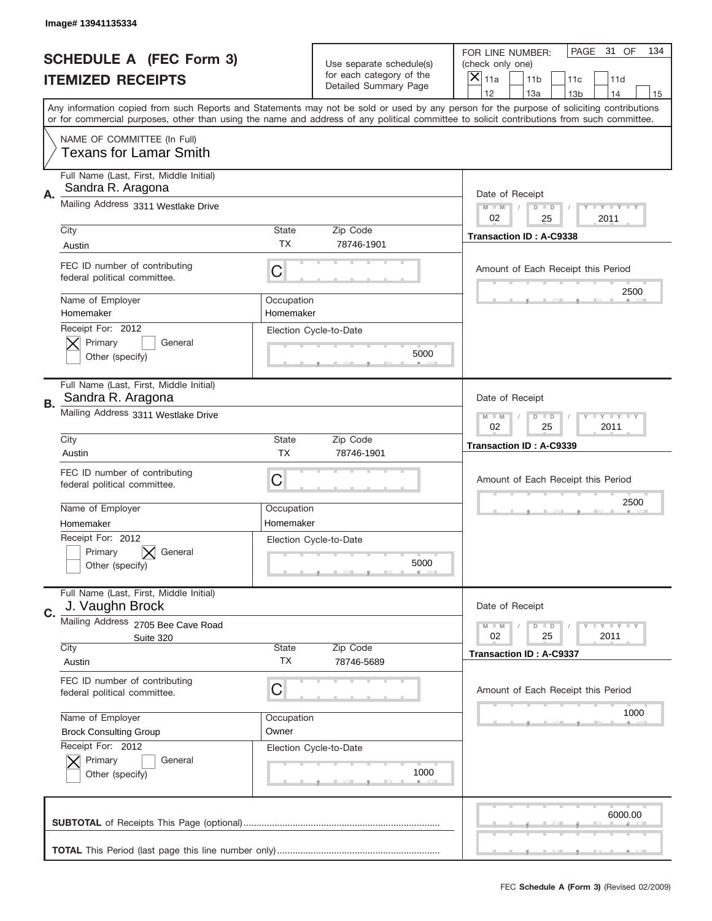|             | Image# 13941135334                                            |                                                                   |                                                      |                                                                                                                                                                                                                                                                                                                  |
|-------------|---------------------------------------------------------------|-------------------------------------------------------------------|------------------------------------------------------|------------------------------------------------------------------------------------------------------------------------------------------------------------------------------------------------------------------------------------------------------------------------------------------------------------------|
|             | <b>SCHEDULE A (FEC Form 3)</b>                                |                                                                   | Use separate schedule(s)<br>for each category of the | PAGE<br>31 OF<br>134<br>FOR LINE NUMBER:<br>(check only one)                                                                                                                                                                                                                                                     |
|             | <b>ITEMIZED RECEIPTS</b>                                      |                                                                   | Detailed Summary Page                                | $\overline{\mathsf{x}}$<br>11a<br>11 <sub>b</sub><br>11c<br>11d<br>12<br>13a<br>14                                                                                                                                                                                                                               |
|             |                                                               |                                                                   |                                                      | 13 <sub>b</sub><br>15<br>Any information copied from such Reports and Statements may not be sold or used by any person for the purpose of soliciting contributions<br>or for commercial purposes, other than using the name and address of any political committee to solicit contributions from such committee. |
|             | NAME OF COMMITTEE (In Full)<br><b>Texans for Lamar Smith</b>  |                                                                   |                                                      |                                                                                                                                                                                                                                                                                                                  |
| Α.          | Full Name (Last, First, Middle Initial)<br>Sandra R. Aragona  |                                                                   |                                                      | Date of Receipt                                                                                                                                                                                                                                                                                                  |
|             | Mailing Address 3311 Westlake Drive                           |                                                                   |                                                      | Y TY TY TY<br>$M$ M<br>$D$ $D$<br>02<br>25<br>2011                                                                                                                                                                                                                                                               |
|             | City<br>Austin                                                | State<br><b>TX</b>                                                | Zip Code<br>78746-1901                               | <b>Transaction ID: A-C9338</b>                                                                                                                                                                                                                                                                                   |
|             | FEC ID number of contributing<br>federal political committee. | C                                                                 |                                                      | Amount of Each Receipt this Period<br>2500                                                                                                                                                                                                                                                                       |
|             | Name of Employer<br>Homemaker<br>Receipt For: 2012            | Occupation<br>Homemaker                                           |                                                      |                                                                                                                                                                                                                                                                                                                  |
|             | Primary<br>General<br>Other (specify)                         |                                                                   | Election Cycle-to-Date<br>5000                       |                                                                                                                                                                                                                                                                                                                  |
| В.          | Full Name (Last, First, Middle Initial)<br>Sandra R. Aragona  |                                                                   |                                                      | Date of Receipt                                                                                                                                                                                                                                                                                                  |
|             | Mailing Address 3311 Westlake Drive                           | $T$ $Y$ $T$ $Y$ $T$ $Y$<br>$M - M$<br>$D$ $D$<br>02<br>25<br>2011 |                                                      |                                                                                                                                                                                                                                                                                                                  |
|             | City<br>Austin                                                | State<br><b>TX</b>                                                | Zip Code<br>78746-1901                               | Transaction ID: A-C9339                                                                                                                                                                                                                                                                                          |
|             | FEC ID number of contributing<br>federal political committee. | C                                                                 |                                                      | Amount of Each Receipt this Period                                                                                                                                                                                                                                                                               |
|             | Name of Employer<br>Homemaker                                 | Occupation<br>Homemaker                                           |                                                      | 2500                                                                                                                                                                                                                                                                                                             |
|             | Receipt For: 2012<br>Primary<br>General<br>Other (specify)    |                                                                   | Election Cycle-to-Date<br>5000                       |                                                                                                                                                                                                                                                                                                                  |
| $C_{\cdot}$ | Full Name (Last, First, Middle Initial)<br>J. Vaughn Brock    |                                                                   |                                                      | Date of Receipt                                                                                                                                                                                                                                                                                                  |
|             | Mailing Address 2705 Bee Cave Road<br>Suite 320               |                                                                   |                                                      | <b>LYLYLY</b><br>$M - M$<br>$D$ $D$<br>25<br>2011<br>02                                                                                                                                                                                                                                                          |
|             | City<br>Austin                                                | State<br>ТX                                                       | Zip Code<br>78746-5689                               | <b>Transaction ID: A-C9337</b>                                                                                                                                                                                                                                                                                   |
|             | FEC ID number of contributing<br>federal political committee. | C                                                                 |                                                      | Amount of Each Receipt this Period                                                                                                                                                                                                                                                                               |
|             | Name of Employer<br><b>Brock Consulting Group</b>             | Occupation<br>Owner                                               |                                                      | 1000                                                                                                                                                                                                                                                                                                             |
|             | Receipt For: 2012<br>Primary<br>General<br>Other (specify)    |                                                                   | Election Cycle-to-Date<br>1000                       |                                                                                                                                                                                                                                                                                                                  |
|             |                                                               |                                                                   |                                                      | 6000.00                                                                                                                                                                                                                                                                                                          |
|             |                                                               |                                                                   |                                                      |                                                                                                                                                                                                                                                                                                                  |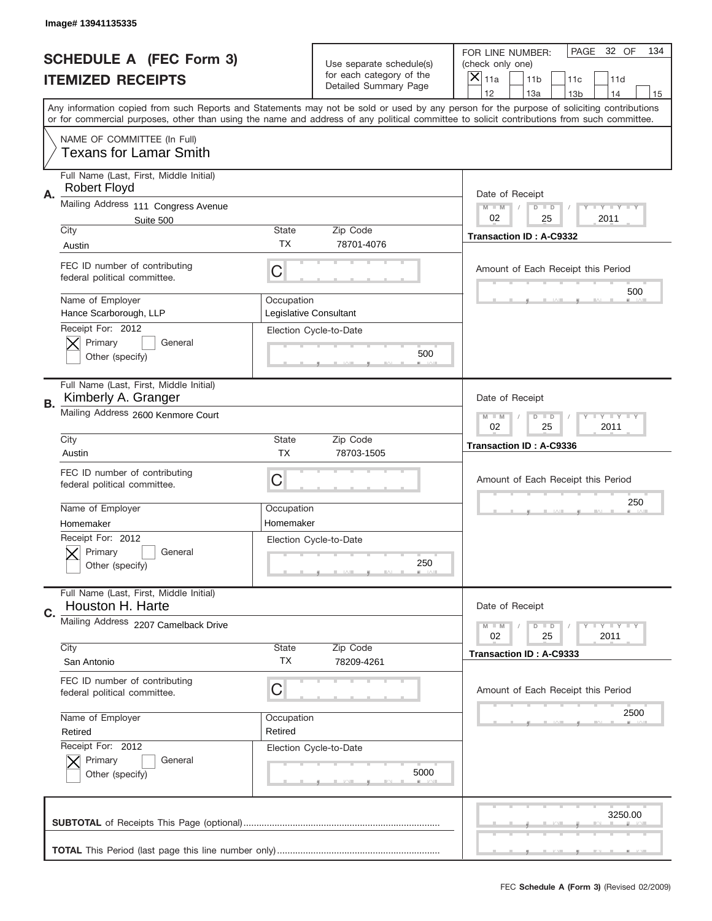|           | Image# 13941135335                                                                                                                                                                                                                                                                      |                           |                                                   |                                      |                                           |                 |                            |     |
|-----------|-----------------------------------------------------------------------------------------------------------------------------------------------------------------------------------------------------------------------------------------------------------------------------------------|---------------------------|---------------------------------------------------|--------------------------------------|-------------------------------------------|-----------------|----------------------------|-----|
|           | <b>SCHEDULE A (FEC Form 3)</b>                                                                                                                                                                                                                                                          |                           | Use separate schedule(s)                          | FOR LINE NUMBER:<br>(check only one) |                                           | PAGE            | 32 OF                      | 134 |
|           | <b>ITEMIZED RECEIPTS</b>                                                                                                                                                                                                                                                                |                           | for each category of the<br>Detailed Summary Page | $\overline{X} _{11a}$                | 11 <sub>b</sub>                           | 11c             | 11d                        |     |
|           | Any information copied from such Reports and Statements may not be sold or used by any person for the purpose of soliciting contributions<br>or for commercial purposes, other than using the name and address of any political committee to solicit contributions from such committee. |                           |                                                   | 12                                   | 13a                                       | 13 <sub>b</sub> | 14                         | 15  |
|           | NAME OF COMMITTEE (In Full)<br><b>Texans for Lamar Smith</b>                                                                                                                                                                                                                            |                           |                                                   |                                      |                                           |                 |                            |     |
| Α.        | Full Name (Last, First, Middle Initial)<br><b>Robert Floyd</b>                                                                                                                                                                                                                          |                           |                                                   |                                      | Date of Receipt                           |                 |                            |     |
|           | Mailing Address 111 Congress Avenue<br>Suite 500                                                                                                                                                                                                                                        |                           |                                                   | $M - M$<br>02                        | $D$ $D$<br>25                             |                 | <b>LEY LEY LEY</b><br>2011 |     |
|           | City<br>Austin                                                                                                                                                                                                                                                                          | State<br><b>TX</b>        | Zip Code<br>78701-4076                            |                                      | Transaction ID: A-C9332                   |                 |                            |     |
|           | FEC ID number of contributing<br>federal political committee.                                                                                                                                                                                                                           | C                         |                                                   |                                      | Amount of Each Receipt this Period        |                 |                            |     |
|           | Name of Employer<br>Hance Scarborough, LLP                                                                                                                                                                                                                                              | Occupation                | Legislative Consultant                            |                                      |                                           |                 | 500                        |     |
|           | Receipt For: 2012<br>Primary<br>General<br>Other (specify)                                                                                                                                                                                                                              |                           | Election Cycle-to-Date<br>500                     |                                      |                                           |                 |                            |     |
| <b>B.</b> | Full Name (Last, First, Middle Initial)<br>Kimberly A. Granger                                                                                                                                                                                                                          |                           |                                                   | Date of Receipt                      |                                           |                 |                            |     |
|           | Mailing Address 2600 Kenmore Court                                                                                                                                                                                                                                                      |                           |                                                   |                                      | $D$ $D$<br>25                             |                 | <b>LEY LEY LEY</b><br>2011 |     |
|           | City<br>Austin                                                                                                                                                                                                                                                                          | <b>State</b><br><b>TX</b> | Zip Code<br>78703-1505                            |                                      | <b>Transaction ID: A-C9336</b>            |                 |                            |     |
|           | FEC ID number of contributing<br>federal political committee.                                                                                                                                                                                                                           | C                         |                                                   |                                      | Amount of Each Receipt this Period<br>250 |                 |                            |     |
|           | Name of Employer<br>Homemaker                                                                                                                                                                                                                                                           | Occupation<br>Homemaker   |                                                   |                                      |                                           |                 |                            |     |
|           | Receipt For: 2012<br>General<br>Primary<br>Other (specify)                                                                                                                                                                                                                              |                           | Election Cycle-to-Date<br>250                     |                                      |                                           |                 |                            |     |
| C.        | Full Name (Last, First, Middle Initial)<br>Houston H. Harte                                                                                                                                                                                                                             |                           |                                                   | Date of Receipt                      |                                           |                 |                            |     |
|           | Mailing Address 2207 Camelback Drive                                                                                                                                                                                                                                                    |                           |                                                   | $M - M$<br>02                        | $D$ $D$<br>25                             |                 | <b>LY LY LY</b><br>2011    |     |
|           | City<br>San Antonio                                                                                                                                                                                                                                                                     | <b>State</b><br>ТX        | Zip Code<br>78209-4261                            |                                      | Transaction ID: A-C9333                   |                 |                            |     |
|           | FEC ID number of contributing<br>federal political committee.                                                                                                                                                                                                                           | С                         |                                                   |                                      | Amount of Each Receipt this Period        |                 |                            |     |
|           | Name of Employer<br>Retired                                                                                                                                                                                                                                                             | Occupation<br>Retired     |                                                   |                                      |                                           |                 | 2500                       |     |
|           | Receipt For: 2012<br>Primary<br>General<br>Other (specify)                                                                                                                                                                                                                              |                           | Election Cycle-to-Date<br>5000                    |                                      |                                           |                 |                            |     |
|           |                                                                                                                                                                                                                                                                                         |                           |                                                   |                                      |                                           |                 | 3250.00                    |     |
|           |                                                                                                                                                                                                                                                                                         |                           |                                                   |                                      |                                           |                 |                            |     |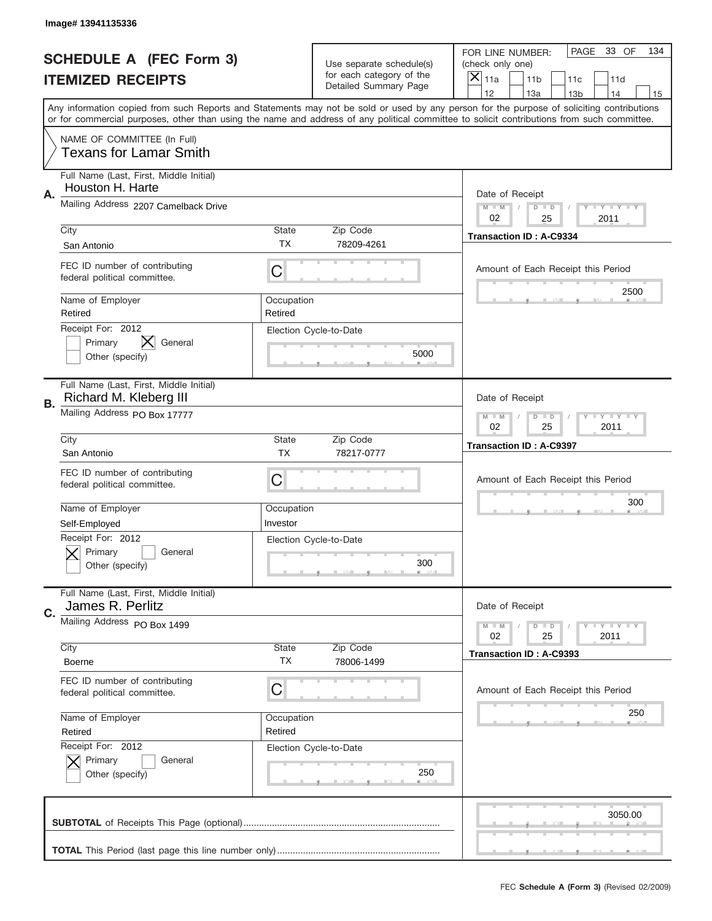|                          | Image# 13941135336                                                |                        |                                                   |                                                                                                                                                                                                                                                                                                                                     |
|--------------------------|-------------------------------------------------------------------|------------------------|---------------------------------------------------|-------------------------------------------------------------------------------------------------------------------------------------------------------------------------------------------------------------------------------------------------------------------------------------------------------------------------------------|
|                          | <b>SCHEDULE A (FEC Form 3)</b>                                    |                        | Use separate schedule(s)                          | PAGE<br>33 OF<br>134<br>FOR LINE NUMBER:<br>(check only one)                                                                                                                                                                                                                                                                        |
| <b>ITEMIZED RECEIPTS</b> |                                                                   |                        | for each category of the<br>Detailed Summary Page | $\times$<br>11a<br>11 <sub>b</sub><br>11c<br>11d                                                                                                                                                                                                                                                                                    |
|                          |                                                                   |                        |                                                   | 12<br>13a<br>13 <sub>b</sub><br>14<br>15<br>Any information copied from such Reports and Statements may not be sold or used by any person for the purpose of soliciting contributions<br>or for commercial purposes, other than using the name and address of any political committee to solicit contributions from such committee. |
|                          | NAME OF COMMITTEE (In Full)<br><b>Texans for Lamar Smith</b>      |                        |                                                   |                                                                                                                                                                                                                                                                                                                                     |
| Α.                       | Full Name (Last, First, Middle Initial)<br>Houston H. Harte       |                        |                                                   | Date of Receipt                                                                                                                                                                                                                                                                                                                     |
|                          | Mailing Address 2207 Camelback Drive                              |                        |                                                   | $M$ $M$<br>$T$ $Y$ $Y$ $Y$ $Y$<br>$D$ $D$<br>02<br>2011<br>25                                                                                                                                                                                                                                                                       |
|                          | City<br>San Antonio                                               | State<br>ТX            | Zip Code<br>78209-4261                            | <b>Transaction ID: A-C9334</b>                                                                                                                                                                                                                                                                                                      |
|                          | FEC ID number of contributing<br>federal political committee.     | C                      |                                                   | Amount of Each Receipt this Period<br>2500                                                                                                                                                                                                                                                                                          |
|                          | Name of Employer<br>Retired                                       | Occupation<br>Retired  |                                                   |                                                                                                                                                                                                                                                                                                                                     |
|                          | Receipt For: 2012<br>Primary<br>General<br>Other (specify)        |                        | Election Cycle-to-Date<br>5000                    |                                                                                                                                                                                                                                                                                                                                     |
| В.                       | Full Name (Last, First, Middle Initial)<br>Richard M. Kleberg III |                        |                                                   | Date of Receipt                                                                                                                                                                                                                                                                                                                     |
|                          | Mailing Address PO Box 17777                                      |                        |                                                   | <b>LY LY LY</b><br>$M - M$<br>$D$ $D$<br>02<br>25<br>2011                                                                                                                                                                                                                                                                           |
|                          | City<br>San Antonio                                               | State<br><b>TX</b>     | Zip Code<br>78217-0777                            | <b>Transaction ID: A-C9397</b>                                                                                                                                                                                                                                                                                                      |
|                          | FEC ID number of contributing<br>federal political committee.     | C                      |                                                   | Amount of Each Receipt this Period                                                                                                                                                                                                                                                                                                  |
|                          | Name of Employer<br>Self-Employed                                 | Occupation<br>Investor |                                                   | 300                                                                                                                                                                                                                                                                                                                                 |
|                          | Receipt For: 2012<br>General<br>Primary<br>Other (specify)        |                        | Election Cycle-to-Date<br>300                     |                                                                                                                                                                                                                                                                                                                                     |
| C.                       | Full Name (Last, First, Middle Initial)<br>James R. Perlitz       |                        |                                                   | Date of Receipt                                                                                                                                                                                                                                                                                                                     |
|                          | Mailing Address PO Box 1499                                       |                        |                                                   | $T + Y = Y + Y$<br>$M - M$<br>$D$ $D$<br>02<br>25<br>2011                                                                                                                                                                                                                                                                           |
|                          | City<br><b>Boerne</b>                                             | State<br><b>TX</b>     | Zip Code<br>78006-1499                            | Transaction ID: A-C9393                                                                                                                                                                                                                                                                                                             |
|                          | FEC ID number of contributing<br>federal political committee.     | C                      |                                                   | Amount of Each Receipt this Period                                                                                                                                                                                                                                                                                                  |
|                          | Name of Employer<br>Retired                                       | Occupation<br>Retired  |                                                   | 250                                                                                                                                                                                                                                                                                                                                 |
|                          | Receipt For: 2012<br>Primary<br>General<br>Other (specify)        |                        | Election Cycle-to-Date<br>250                     |                                                                                                                                                                                                                                                                                                                                     |
|                          |                                                                   |                        |                                                   | 3050.00                                                                                                                                                                                                                                                                                                                             |
|                          |                                                                   |                        |                                                   |                                                                                                                                                                                                                                                                                                                                     |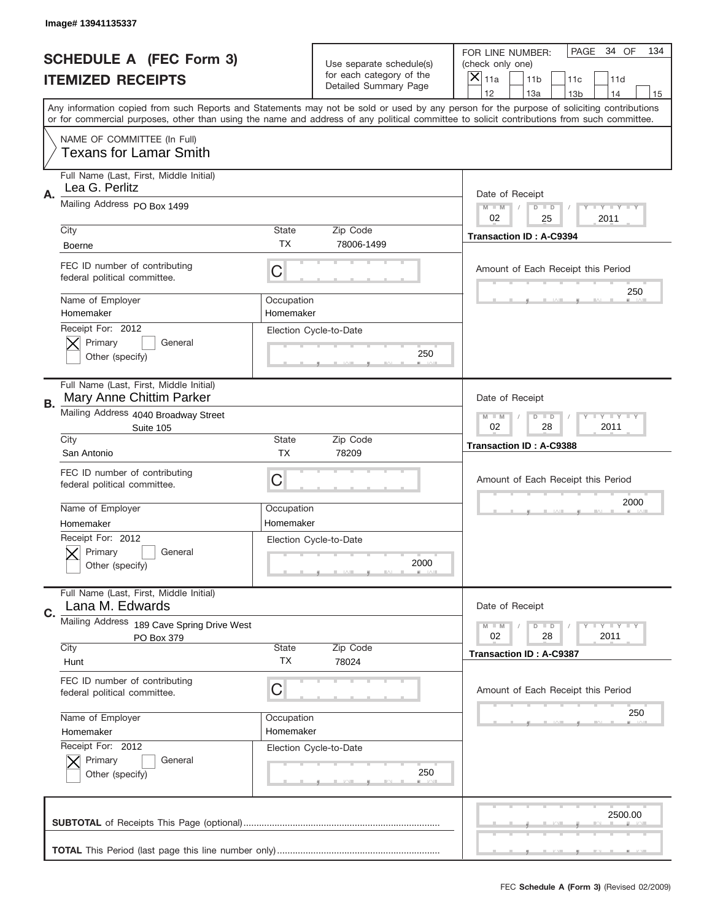|    | Image# 13941135337                                                  |                                                              |                                                   |                                                                                                                                                                                       |
|----|---------------------------------------------------------------------|--------------------------------------------------------------|---------------------------------------------------|---------------------------------------------------------------------------------------------------------------------------------------------------------------------------------------|
|    | <b>SCHEDULE A (FEC Form 3)</b>                                      |                                                              | Use separate schedule(s)                          | PAGE<br>34 OF<br>134<br>FOR LINE NUMBER:<br>(check only one)                                                                                                                          |
|    | <b>ITEMIZED RECEIPTS</b>                                            |                                                              | for each category of the<br>Detailed Summary Page | $\boldsymbol{\times}$<br>11 <sub>b</sub><br>11a<br>11c<br>11d                                                                                                                         |
|    |                                                                     |                                                              |                                                   | 12<br>13a<br>14<br>13 <sub>b</sub><br>15<br>Any information copied from such Reports and Statements may not be sold or used by any person for the purpose of soliciting contributions |
|    |                                                                     |                                                              |                                                   | or for commercial purposes, other than using the name and address of any political committee to solicit contributions from such committee.                                            |
|    | NAME OF COMMITTEE (In Full)<br><b>Texans for Lamar Smith</b>        |                                                              |                                                   |                                                                                                                                                                                       |
|    | Full Name (Last, First, Middle Initial)<br>Lea G. Perlitz           |                                                              |                                                   |                                                                                                                                                                                       |
| Α. | Mailing Address PO Box 1499                                         |                                                              |                                                   | Date of Receipt<br>$M - M$<br><b>LEY LEY LEY</b><br>$D$ $D$<br>02<br>25<br>2011                                                                                                       |
|    | City                                                                | State                                                        | Zip Code                                          | <b>Transaction ID: A-C9394</b>                                                                                                                                                        |
|    | <b>Boerne</b>                                                       | <b>TX</b>                                                    | 78006-1499                                        |                                                                                                                                                                                       |
|    | FEC ID number of contributing<br>federal political committee.       | C                                                            |                                                   | Amount of Each Receipt this Period                                                                                                                                                    |
|    | Name of Employer<br>Homemaker                                       | Occupation<br>Homemaker                                      |                                                   | 250                                                                                                                                                                                   |
|    | Receipt For: 2012<br>Primary<br>General<br>Other (specify)          |                                                              | Election Cycle-to-Date<br>250                     |                                                                                                                                                                                       |
| В. | Full Name (Last, First, Middle Initial)<br>Mary Anne Chittim Parker |                                                              |                                                   | Date of Receipt                                                                                                                                                                       |
|    | Mailing Address 4040 Broadway Street<br>Suite 105                   | $M - M$<br>$D$ $D$<br><b>LEY LEY LEY</b><br>02<br>28<br>2011 |                                                   |                                                                                                                                                                                       |
|    | City<br>San Antonio                                                 | <b>State</b><br><b>TX</b>                                    | Zip Code<br>78209                                 | <b>Transaction ID: A-C9388</b>                                                                                                                                                        |
|    | FEC ID number of contributing<br>federal political committee.       | С                                                            |                                                   | Amount of Each Receipt this Period                                                                                                                                                    |
|    | Name of Employer                                                    | Occupation                                                   |                                                   | 2000                                                                                                                                                                                  |
|    | Homemaker                                                           | Homemaker                                                    |                                                   |                                                                                                                                                                                       |
|    | Receipt For: 2012<br>General<br>Primary<br>Other (specify)          |                                                              | Election Cycle-to-Date<br>2000                    |                                                                                                                                                                                       |
| C. | Full Name (Last, First, Middle Initial)<br>Lana M. Edwards          |                                                              |                                                   | Date of Receipt                                                                                                                                                                       |
|    | Mailing Address 189 Cave Spring Drive West                          |                                                              |                                                   | <b>LYLYLY</b><br>$M - M$<br>$D$ $D$                                                                                                                                                   |
|    | PO Box 379<br>City                                                  | State                                                        | Zip Code                                          | 02<br>28<br>2011                                                                                                                                                                      |
|    | Hunt                                                                | ТX                                                           | 78024                                             | Transaction ID: A-C9387                                                                                                                                                               |
|    | FEC ID number of contributing<br>federal political committee.       | С                                                            |                                                   | Amount of Each Receipt this Period                                                                                                                                                    |
|    | Name of Employer                                                    | Occupation                                                   |                                                   | 250                                                                                                                                                                                   |
|    | Homemaker                                                           | Homemaker                                                    |                                                   |                                                                                                                                                                                       |
|    | Receipt For: 2012<br>Primary<br>General<br>Other (specify)          |                                                              | Election Cycle-to-Date<br>250                     |                                                                                                                                                                                       |
|    |                                                                     |                                                              |                                                   | 2500.00                                                                                                                                                                               |
|    |                                                                     |                                                              |                                                   |                                                                                                                                                                                       |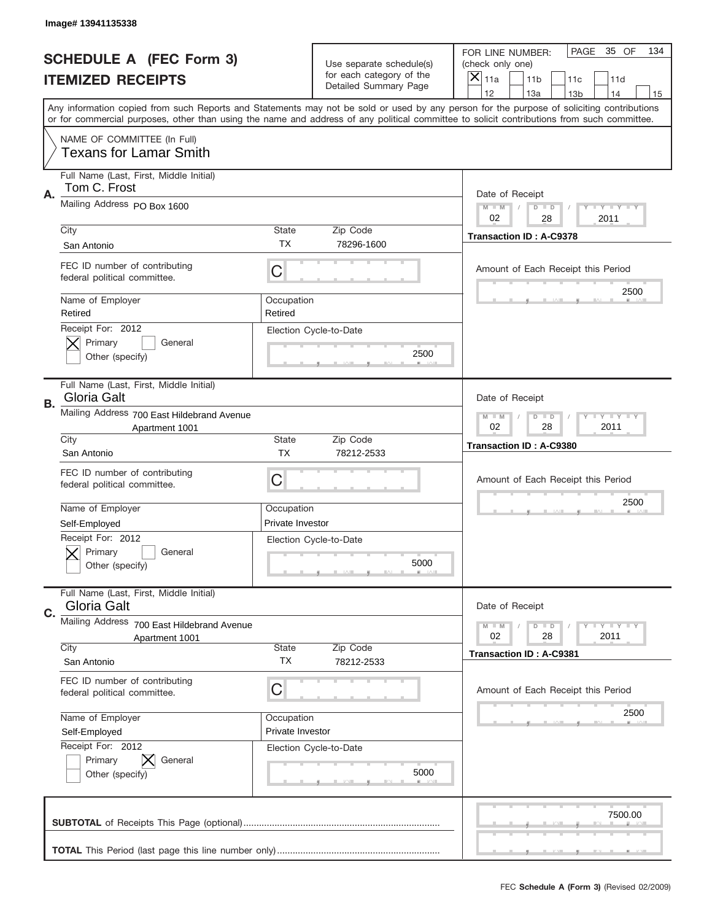|    | Image# 13941135338                                                                                                                                                                                                                                                                      |                                |                                                   |                                                 |                                    |
|----|-----------------------------------------------------------------------------------------------------------------------------------------------------------------------------------------------------------------------------------------------------------------------------------------|--------------------------------|---------------------------------------------------|-------------------------------------------------|------------------------------------|
|    | <b>SCHEDULE A (FEC Form 3)</b>                                                                                                                                                                                                                                                          |                                | Use separate schedule(s)                          | FOR LINE NUMBER:<br>(check only one)            | PAGE<br>35 OF<br>134               |
|    | <b>ITEMIZED RECEIPTS</b>                                                                                                                                                                                                                                                                |                                | for each category of the<br>Detailed Summary Page | $\boldsymbol{\times}$<br>11a<br>11 <sub>b</sub> | 11c<br>11d                         |
|    | Any information copied from such Reports and Statements may not be sold or used by any person for the purpose of soliciting contributions<br>or for commercial purposes, other than using the name and address of any political committee to solicit contributions from such committee. |                                |                                                   | 12<br>13a                                       | 14<br>13 <sub>b</sub><br>15        |
|    | NAME OF COMMITTEE (In Full)<br><b>Texans for Lamar Smith</b>                                                                                                                                                                                                                            |                                |                                                   |                                                 |                                    |
| Α. | Full Name (Last, First, Middle Initial)<br>Tom C. Frost                                                                                                                                                                                                                                 |                                |                                                   | Date of Receipt                                 |                                    |
|    | Mailing Address PO Box 1600                                                                                                                                                                                                                                                             |                                |                                                   | $M - M$<br>$D$ $D$<br>02<br>28                  | <b>LEY LEY LEY</b><br>2011         |
|    | City<br>San Antonio                                                                                                                                                                                                                                                                     | State<br><b>TX</b>             | Zip Code<br>78296-1600                            | <b>Transaction ID: A-C9378</b>                  |                                    |
|    | FEC ID number of contributing<br>federal political committee.                                                                                                                                                                                                                           | C                              |                                                   |                                                 | Amount of Each Receipt this Period |
|    | Name of Employer<br>Retired                                                                                                                                                                                                                                                             | Occupation<br>Retired          |                                                   |                                                 | 2500                               |
|    | Receipt For: 2012<br>Primary<br>General<br>Other (specify)                                                                                                                                                                                                                              |                                | Election Cycle-to-Date<br>2500                    |                                                 |                                    |
| В. | Full Name (Last, First, Middle Initial)<br>Gloria Galt                                                                                                                                                                                                                                  |                                |                                                   | Date of Receipt                                 |                                    |
|    | Mailing Address 700 East Hildebrand Avenue<br>Apartment 1001                                                                                                                                                                                                                            | $M - M$<br>$D$ $D$<br>02<br>28 | <b>LY LY LY</b><br>2011                           |                                                 |                                    |
|    | City<br>San Antonio                                                                                                                                                                                                                                                                     | State<br><b>TX</b>             | Zip Code<br>78212-2533                            | Transaction ID: A-C9380                         |                                    |
|    | FEC ID number of contributing<br>federal political committee.                                                                                                                                                                                                                           | С                              |                                                   |                                                 | Amount of Each Receipt this Period |
|    | Name of Employer<br>Self-Employed                                                                                                                                                                                                                                                       | Occupation<br>Private Investor |                                                   |                                                 | 2500                               |
|    | Receipt For: 2012<br>General<br>Primary<br>Other (specify)                                                                                                                                                                                                                              |                                | Election Cycle-to-Date<br>5000                    |                                                 |                                    |
| C. | Full Name (Last, First, Middle Initial)<br>Gloria Galt                                                                                                                                                                                                                                  |                                |                                                   | Date of Receipt                                 |                                    |
|    | Mailing Address 700 East Hildebrand Avenue<br>Apartment 1001                                                                                                                                                                                                                            |                                |                                                   | $M - M$<br>$D$ $D$<br>02<br>28                  | <b>LYLYLY</b><br>2011              |
|    | City<br>San Antonio                                                                                                                                                                                                                                                                     | State<br>ТX                    | Zip Code<br>78212-2533                            | <b>Transaction ID: A-C9381</b>                  |                                    |
|    | FEC ID number of contributing<br>federal political committee.                                                                                                                                                                                                                           | С                              |                                                   |                                                 | Amount of Each Receipt this Period |
|    | Name of Employer<br>Self-Employed                                                                                                                                                                                                                                                       | Occupation<br>Private Investor |                                                   |                                                 | 2500                               |
|    | Receipt For: 2012<br>Primary<br>General<br>Other (specify)                                                                                                                                                                                                                              |                                | Election Cycle-to-Date<br>5000                    |                                                 |                                    |
|    |                                                                                                                                                                                                                                                                                         |                                |                                                   |                                                 | 7500.00                            |
|    |                                                                                                                                                                                                                                                                                         |                                |                                                   |                                                 |                                    |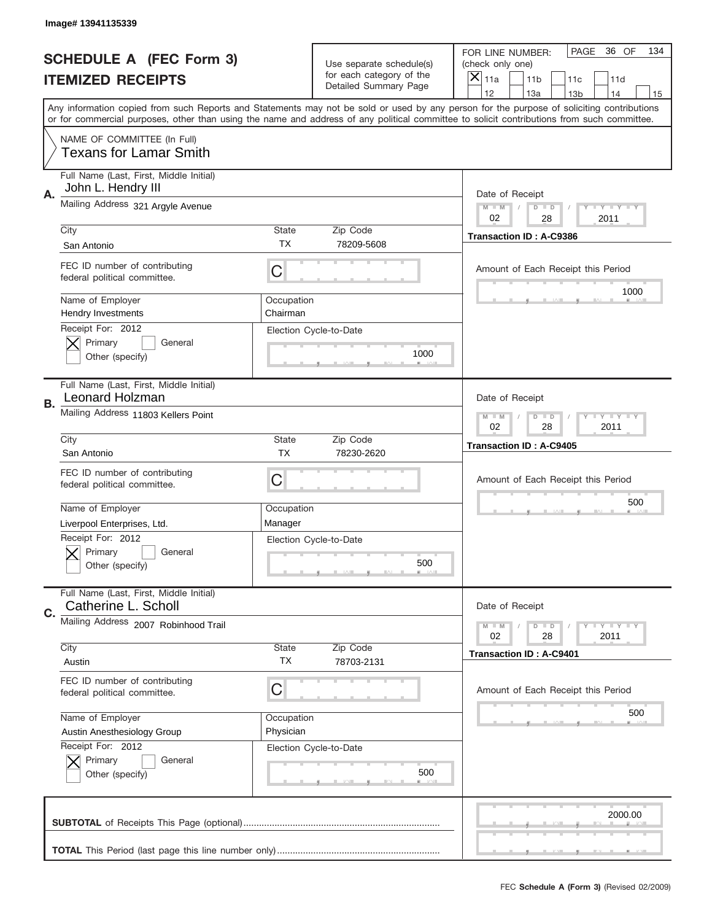|    | Image# 13941135339                                                |                                                           |                                                   |                                                                                                                                                                                                                                                                                                                                     |  |
|----|-------------------------------------------------------------------|-----------------------------------------------------------|---------------------------------------------------|-------------------------------------------------------------------------------------------------------------------------------------------------------------------------------------------------------------------------------------------------------------------------------------------------------------------------------------|--|
|    | <b>SCHEDULE A (FEC Form 3)</b>                                    |                                                           | Use separate schedule(s)                          | PAGE<br>36 OF<br>134<br>FOR LINE NUMBER:<br>(check only one)                                                                                                                                                                                                                                                                        |  |
|    | <b>ITEMIZED RECEIPTS</b>                                          |                                                           | for each category of the<br>Detailed Summary Page | $\boldsymbol{\times}$<br>11a<br>11 <sub>b</sub><br>11c<br>11d                                                                                                                                                                                                                                                                       |  |
|    |                                                                   |                                                           |                                                   | 12<br>13a<br>14<br>13 <sub>b</sub><br>15<br>Any information copied from such Reports and Statements may not be sold or used by any person for the purpose of soliciting contributions<br>or for commercial purposes, other than using the name and address of any political committee to solicit contributions from such committee. |  |
|    | NAME OF COMMITTEE (In Full)<br><b>Texans for Lamar Smith</b>      |                                                           |                                                   |                                                                                                                                                                                                                                                                                                                                     |  |
| А. | Full Name (Last, First, Middle Initial)<br>John L. Hendry III     |                                                           |                                                   | Date of Receipt                                                                                                                                                                                                                                                                                                                     |  |
|    | Mailing Address 321 Argyle Avenue                                 |                                                           |                                                   | <b>LEY LEY LEY</b><br>$M - M$<br>$D$ $D$<br>02<br>28<br>2011                                                                                                                                                                                                                                                                        |  |
|    | City<br>San Antonio                                               | State<br><b>TX</b>                                        | Zip Code<br>78209-5608                            | <b>Transaction ID: A-C9386</b>                                                                                                                                                                                                                                                                                                      |  |
|    | FEC ID number of contributing<br>federal political committee.     | C                                                         |                                                   | Amount of Each Receipt this Period<br>1000                                                                                                                                                                                                                                                                                          |  |
|    | Name of Employer<br><b>Hendry Investments</b>                     | Occupation<br>Chairman                                    |                                                   |                                                                                                                                                                                                                                                                                                                                     |  |
|    | Receipt For: 2012<br>Primary<br>General<br>Other (specify)        |                                                           | Election Cycle-to-Date<br>1000                    |                                                                                                                                                                                                                                                                                                                                     |  |
| В. | Full Name (Last, First, Middle Initial)<br><b>Leonard Holzman</b> |                                                           |                                                   | Date of Receipt                                                                                                                                                                                                                                                                                                                     |  |
|    | Mailing Address 11803 Kellers Point                               | <b>LY LY LY</b><br>$M - M$<br>$D$ $D$<br>02<br>28<br>2011 |                                                   |                                                                                                                                                                                                                                                                                                                                     |  |
|    | City<br>San Antonio                                               | <b>State</b><br><b>TX</b>                                 | Zip Code<br>78230-2620                            | Transaction ID: A-C9405                                                                                                                                                                                                                                                                                                             |  |
|    | FEC ID number of contributing<br>federal political committee.     | С                                                         |                                                   | Amount of Each Receipt this Period                                                                                                                                                                                                                                                                                                  |  |
|    | Name of Employer<br>Liverpool Enterprises, Ltd.                   | Occupation<br>Manager                                     |                                                   | 500                                                                                                                                                                                                                                                                                                                                 |  |
|    | Receipt For: 2012<br>General<br>Primary<br>Other (specify)        |                                                           | Election Cycle-to-Date<br>500                     |                                                                                                                                                                                                                                                                                                                                     |  |
| C. | Full Name (Last, First, Middle Initial)<br>Catherine L. Scholl    |                                                           |                                                   | Date of Receipt                                                                                                                                                                                                                                                                                                                     |  |
|    | Mailing Address 2007 Robinhood Trail                              |                                                           |                                                   | <b>LYLYLY</b><br>$M - M$<br>$D$ $D$<br>02<br>28<br>2011                                                                                                                                                                                                                                                                             |  |
|    | City<br>Austin                                                    | <b>State</b><br>ТX                                        | Zip Code<br>78703-2131                            | <b>Transaction ID: A-C9401</b>                                                                                                                                                                                                                                                                                                      |  |
|    | FEC ID number of contributing<br>federal political committee.     | С                                                         |                                                   | Amount of Each Receipt this Period                                                                                                                                                                                                                                                                                                  |  |
|    | Name of Employer<br>Austin Anesthesiology Group                   | Occupation<br>Physician                                   |                                                   | 500                                                                                                                                                                                                                                                                                                                                 |  |
|    | Receipt For: 2012<br>Primary<br>General<br>Other (specify)        |                                                           | Election Cycle-to-Date<br>500                     |                                                                                                                                                                                                                                                                                                                                     |  |
|    |                                                                   |                                                           |                                                   | 2000.00                                                                                                                                                                                                                                                                                                                             |  |
|    |                                                                   |                                                           |                                                   |                                                                                                                                                                                                                                                                                                                                     |  |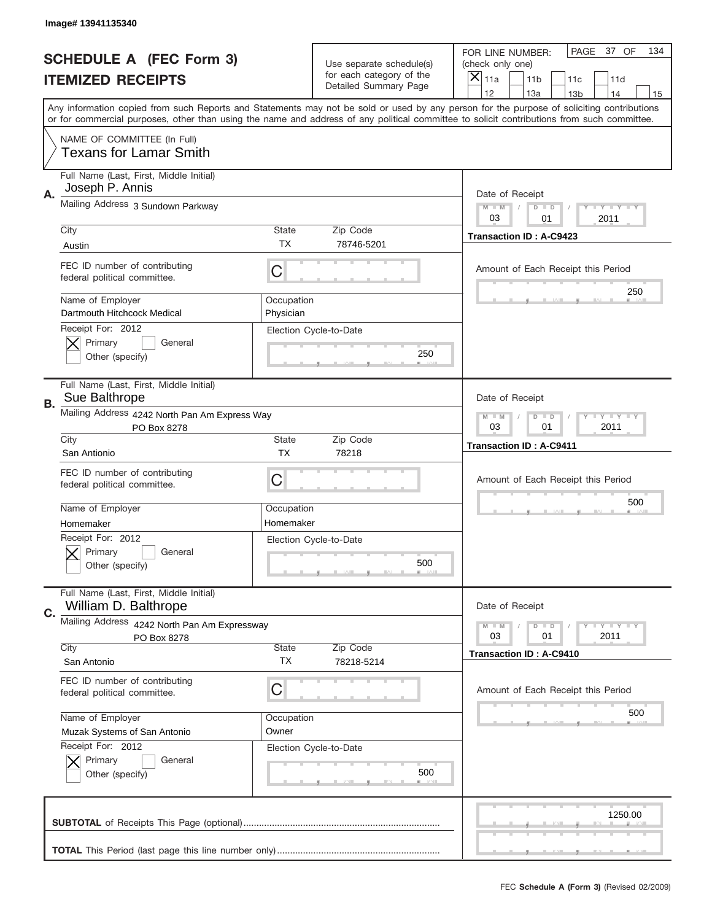|    | Image# 13941135340                                              |                                                                   |                                                      |                                                                                                                                                                                                                                                                                                                                     |
|----|-----------------------------------------------------------------|-------------------------------------------------------------------|------------------------------------------------------|-------------------------------------------------------------------------------------------------------------------------------------------------------------------------------------------------------------------------------------------------------------------------------------------------------------------------------------|
|    | <b>SCHEDULE A (FEC Form 3)</b>                                  |                                                                   | Use separate schedule(s)<br>for each category of the | PAGE<br>37 OF<br>134<br>FOR LINE NUMBER:<br>(check only one)                                                                                                                                                                                                                                                                        |
|    | <b>ITEMIZED RECEIPTS</b>                                        |                                                                   | Detailed Summary Page                                | ×<br>11a<br>11 <sub>b</sub><br>11c<br>11d                                                                                                                                                                                                                                                                                           |
|    |                                                                 |                                                                   |                                                      | 12<br>13a<br>14<br>13 <sub>b</sub><br>15<br>Any information copied from such Reports and Statements may not be sold or used by any person for the purpose of soliciting contributions<br>or for commercial purposes, other than using the name and address of any political committee to solicit contributions from such committee. |
|    | NAME OF COMMITTEE (In Full)<br><b>Texans for Lamar Smith</b>    |                                                                   |                                                      |                                                                                                                                                                                                                                                                                                                                     |
| Α. | Full Name (Last, First, Middle Initial)<br>Joseph P. Annis      |                                                                   |                                                      | Date of Receipt                                                                                                                                                                                                                                                                                                                     |
|    | Mailing Address 3 Sundown Parkway                               |                                                                   |                                                      | $M - M$<br>Y FY FY FY<br>$D$ $D$<br>03<br>01<br>2011                                                                                                                                                                                                                                                                                |
|    | City<br>Austin                                                  | State<br><b>TX</b>                                                | Zip Code<br>78746-5201                               | <b>Transaction ID: A-C9423</b>                                                                                                                                                                                                                                                                                                      |
|    | FEC ID number of contributing<br>federal political committee.   | C                                                                 |                                                      | Amount of Each Receipt this Period                                                                                                                                                                                                                                                                                                  |
|    | Name of Employer<br>Dartmouth Hitchcock Medical                 | Occupation<br>Physician                                           |                                                      | 250                                                                                                                                                                                                                                                                                                                                 |
|    | Receipt For: 2012<br>Primary<br>General<br>Other (specify)      |                                                                   | Election Cycle-to-Date<br>250                        |                                                                                                                                                                                                                                                                                                                                     |
| В. | Full Name (Last, First, Middle Initial)<br>Sue Balthrope        |                                                                   |                                                      | Date of Receipt                                                                                                                                                                                                                                                                                                                     |
|    | Mailing Address 4242 North Pan Am Express Way<br>PO Box 8278    | $T$ $Y$ $T$ $Y$ $T$ $Y$<br>$M - M$<br>$D$ $D$<br>03<br>01<br>2011 |                                                      |                                                                                                                                                                                                                                                                                                                                     |
|    | City<br>San Antionio                                            | State<br><b>TX</b>                                                | Zip Code<br>78218                                    | <b>Transaction ID: A-C9411</b>                                                                                                                                                                                                                                                                                                      |
|    | FEC ID number of contributing<br>federal political committee.   | C                                                                 |                                                      | Amount of Each Receipt this Period                                                                                                                                                                                                                                                                                                  |
|    | Name of Employer                                                | Occupation                                                        |                                                      | 500                                                                                                                                                                                                                                                                                                                                 |
|    | Homemaker<br>Receipt For: 2012                                  | Homemaker                                                         |                                                      |                                                                                                                                                                                                                                                                                                                                     |
|    | General<br>Primary<br>Other (specify)                           |                                                                   | Election Cycle-to-Date<br>500                        |                                                                                                                                                                                                                                                                                                                                     |
| C. | Full Name (Last, First, Middle Initial)<br>William D. Balthrope |                                                                   |                                                      | Date of Receipt                                                                                                                                                                                                                                                                                                                     |
|    | Mailing Address 4242 North Pan Am Expressway                    |                                                                   |                                                      | <b>LYLYLY</b><br>$M - M$<br>$D$ $D$<br>2011<br>03<br>01                                                                                                                                                                                                                                                                             |
|    | PO Box 8278<br>City                                             | State                                                             | Zip Code                                             | <b>Transaction ID: A-C9410</b>                                                                                                                                                                                                                                                                                                      |
|    | San Antonio                                                     | ТX                                                                | 78218-5214                                           |                                                                                                                                                                                                                                                                                                                                     |
|    | FEC ID number of contributing<br>federal political committee.   | C                                                                 |                                                      | Amount of Each Receipt this Period<br>500                                                                                                                                                                                                                                                                                           |
|    | Name of Employer                                                | Occupation                                                        |                                                      |                                                                                                                                                                                                                                                                                                                                     |
|    | Muzak Systems of San Antonio<br>Receipt For: 2012               | Owner                                                             | Election Cycle-to-Date                               |                                                                                                                                                                                                                                                                                                                                     |
|    | Primary<br>General<br>Other (specify)                           |                                                                   | 500                                                  |                                                                                                                                                                                                                                                                                                                                     |
|    |                                                                 |                                                                   |                                                      | 1250.00                                                                                                                                                                                                                                                                                                                             |
|    |                                                                 |                                                                   |                                                      |                                                                                                                                                                                                                                                                                                                                     |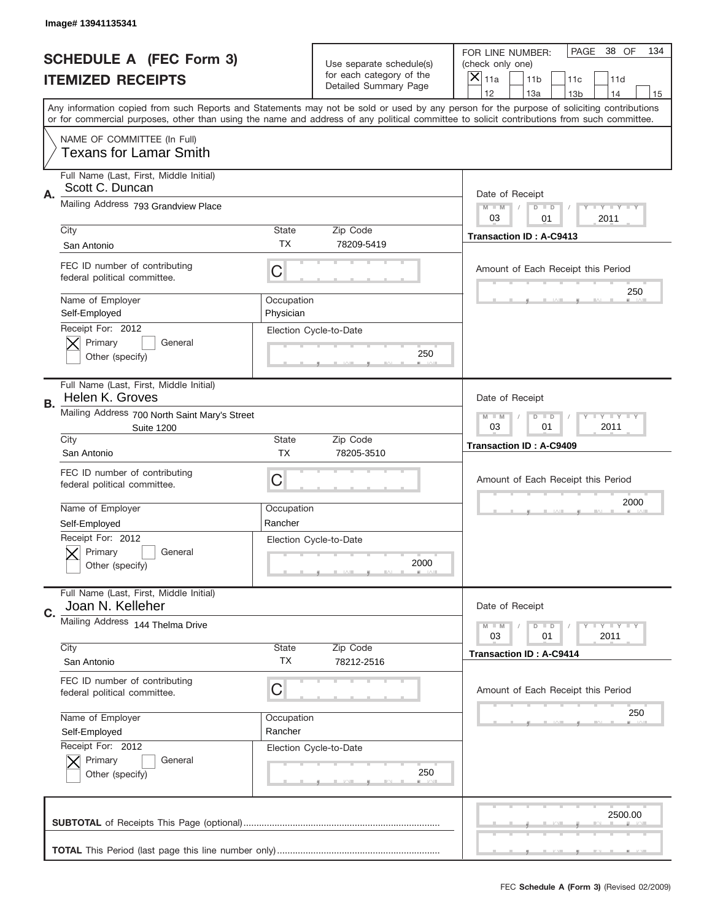|    | Image# 13941135341                                                 |                                                              |                                                      |                                                                                                                                                                                                                                                                                                                                     |
|----|--------------------------------------------------------------------|--------------------------------------------------------------|------------------------------------------------------|-------------------------------------------------------------------------------------------------------------------------------------------------------------------------------------------------------------------------------------------------------------------------------------------------------------------------------------|
|    | <b>SCHEDULE A (FEC Form 3)</b>                                     |                                                              | Use separate schedule(s)<br>for each category of the | PAGE<br>38 OF<br>134<br>FOR LINE NUMBER:<br>(check only one)                                                                                                                                                                                                                                                                        |
|    | <b>ITEMIZED RECEIPTS</b>                                           |                                                              | Detailed Summary Page                                | ×<br>11 <sub>b</sub><br>11a<br>11c<br>11d                                                                                                                                                                                                                                                                                           |
|    |                                                                    |                                                              |                                                      | 12<br>13a<br>13 <sub>b</sub><br>14<br>15<br>Any information copied from such Reports and Statements may not be sold or used by any person for the purpose of soliciting contributions<br>or for commercial purposes, other than using the name and address of any political committee to solicit contributions from such committee. |
|    | NAME OF COMMITTEE (In Full)<br><b>Texans for Lamar Smith</b>       |                                                              |                                                      |                                                                                                                                                                                                                                                                                                                                     |
| A. | Full Name (Last, First, Middle Initial)<br>Scott C. Duncan         |                                                              |                                                      | Date of Receipt                                                                                                                                                                                                                                                                                                                     |
|    | Mailing Address 793 Grandview Place                                |                                                              |                                                      | $M - M$<br><b>LY LY LY</b><br>$D$ $D$<br>03<br>2011<br>01                                                                                                                                                                                                                                                                           |
|    | City<br>San Antonio                                                | State<br>TX                                                  | Zip Code<br>78209-5419                               | <b>Transaction ID: A-C9413</b>                                                                                                                                                                                                                                                                                                      |
|    | FEC ID number of contributing<br>federal political committee.      | C                                                            |                                                      | Amount of Each Receipt this Period<br>250                                                                                                                                                                                                                                                                                           |
|    | Name of Employer<br>Self-Employed                                  | Occupation<br>Physician                                      |                                                      |                                                                                                                                                                                                                                                                                                                                     |
|    | Receipt For: 2012<br>Primary<br>General<br>Other (specify)         |                                                              | Election Cycle-to-Date<br>250                        |                                                                                                                                                                                                                                                                                                                                     |
| В. | Full Name (Last, First, Middle Initial)<br>Helen K. Groves         |                                                              |                                                      | Date of Receipt                                                                                                                                                                                                                                                                                                                     |
|    | Mailing Address 700 North Saint Mary's Street<br><b>Suite 1200</b> | $M - M$<br>$D$ $D$<br><b>LEY LEY LEY</b><br>03<br>01<br>2011 |                                                      |                                                                                                                                                                                                                                                                                                                                     |
|    | City<br>San Antonio                                                | State<br><b>TX</b>                                           | Zip Code<br>78205-3510                               | <b>Transaction ID: A-C9409</b>                                                                                                                                                                                                                                                                                                      |
|    | FEC ID number of contributing<br>federal political committee.      | C                                                            |                                                      | Amount of Each Receipt this Period                                                                                                                                                                                                                                                                                                  |
|    | Name of Employer                                                   | Occupation                                                   |                                                      | 2000                                                                                                                                                                                                                                                                                                                                |
|    | Self-Employed<br>Receipt For: 2012                                 | Rancher                                                      |                                                      |                                                                                                                                                                                                                                                                                                                                     |
|    | General<br>Primary<br>Other (specify)                              |                                                              | Election Cycle-to-Date<br>2000                       |                                                                                                                                                                                                                                                                                                                                     |
| C. | Full Name (Last, First, Middle Initial)<br>Joan N. Kelleher        |                                                              |                                                      | Date of Receipt                                                                                                                                                                                                                                                                                                                     |
|    | Mailing Address 144 Thelma Drive                                   |                                                              |                                                      | <b>LYLYLY</b><br>$M - M$<br>$D$ $D$<br>03<br>2011<br>01                                                                                                                                                                                                                                                                             |
|    | City<br>San Antonio                                                | State<br>TX                                                  | Zip Code<br>78212-2516                               | <b>Transaction ID: A-C9414</b>                                                                                                                                                                                                                                                                                                      |
|    | FEC ID number of contributing<br>federal political committee.      | C                                                            |                                                      | Amount of Each Receipt this Period                                                                                                                                                                                                                                                                                                  |
|    | Name of Employer                                                   | Occupation                                                   |                                                      | 250                                                                                                                                                                                                                                                                                                                                 |
|    | Self-Employed<br>Receipt For: 2012                                 | Rancher                                                      | Election Cycle-to-Date                               |                                                                                                                                                                                                                                                                                                                                     |
|    | Primary<br>General<br>Other (specify)                              |                                                              | 250                                                  |                                                                                                                                                                                                                                                                                                                                     |
|    |                                                                    |                                                              |                                                      | 2500.00                                                                                                                                                                                                                                                                                                                             |
|    |                                                                    |                                                              |                                                      |                                                                                                                                                                                                                                                                                                                                     |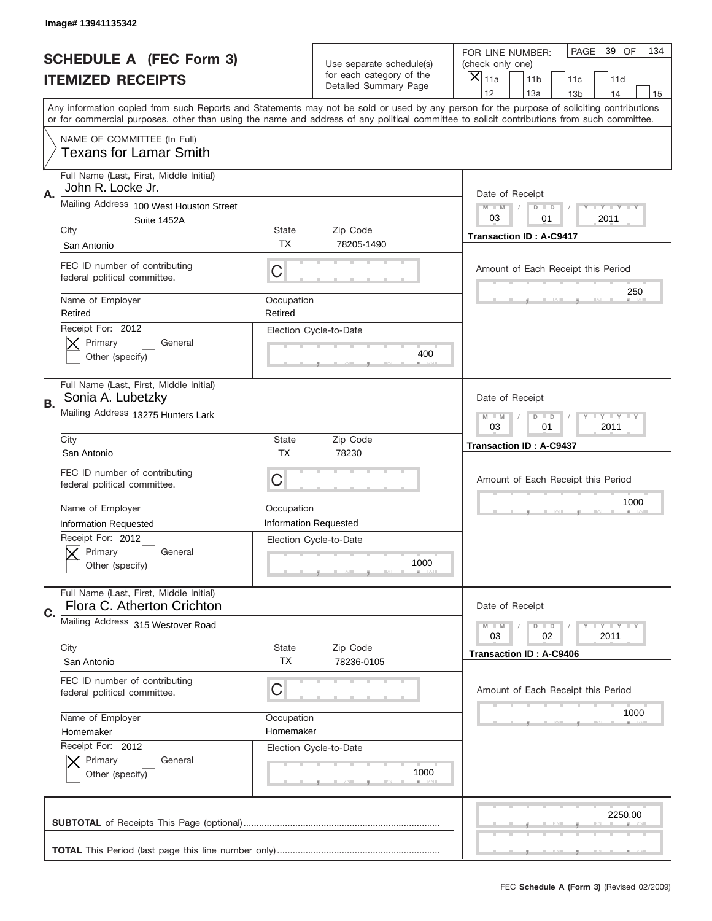|    | Image# 13941135342                                                                         |                                                           |                                                   |                                                                                                                                                                                                                                                                                                                                     |
|----|--------------------------------------------------------------------------------------------|-----------------------------------------------------------|---------------------------------------------------|-------------------------------------------------------------------------------------------------------------------------------------------------------------------------------------------------------------------------------------------------------------------------------------------------------------------------------------|
|    | <b>SCHEDULE A (FEC Form 3)</b>                                                             |                                                           | Use separate schedule(s)                          | PAGE<br>39 OF<br>134<br>FOR LINE NUMBER:<br>(check only one)                                                                                                                                                                                                                                                                        |
|    | <b>ITEMIZED RECEIPTS</b>                                                                   |                                                           | for each category of the<br>Detailed Summary Page | $\boldsymbol{\times}$<br>11a<br>11 <sub>b</sub><br>11c<br>11d                                                                                                                                                                                                                                                                       |
|    |                                                                                            |                                                           |                                                   | 12<br>13a<br>14<br>13 <sub>b</sub><br>15<br>Any information copied from such Reports and Statements may not be sold or used by any person for the purpose of soliciting contributions<br>or for commercial purposes, other than using the name and address of any political committee to solicit contributions from such committee. |
|    | NAME OF COMMITTEE (In Full)<br><b>Texans for Lamar Smith</b>                               |                                                           |                                                   |                                                                                                                                                                                                                                                                                                                                     |
| Α. | Full Name (Last, First, Middle Initial)<br>John R. Locke Jr.                               |                                                           |                                                   | Date of Receipt                                                                                                                                                                                                                                                                                                                     |
|    | Mailing Address 100 West Houston Street<br>Suite 1452A                                     |                                                           |                                                   | <b>LEY LEY LEY</b><br>$M - M$<br>$D$ $D$<br>03<br>01<br>2011                                                                                                                                                                                                                                                                        |
|    | City<br>San Antonio                                                                        | State<br>TX                                               | Zip Code<br>78205-1490                            | <b>Transaction ID: A-C9417</b>                                                                                                                                                                                                                                                                                                      |
|    | FEC ID number of contributing<br>federal political committee.                              | C                                                         |                                                   | Amount of Each Receipt this Period                                                                                                                                                                                                                                                                                                  |
|    | Name of Employer<br>Retired                                                                | Occupation<br>Retired                                     |                                                   | 250                                                                                                                                                                                                                                                                                                                                 |
|    | Receipt For: 2012<br>Primary<br>General<br>Other (specify)                                 |                                                           | Election Cycle-to-Date<br>400                     |                                                                                                                                                                                                                                                                                                                                     |
| В. | Full Name (Last, First, Middle Initial)<br>Sonia A. Lubetzky                               |                                                           |                                                   | Date of Receipt                                                                                                                                                                                                                                                                                                                     |
|    | Mailing Address 13275 Hunters Lark                                                         | <b>LY LY LY</b><br>$M - M$<br>$D$ $D$<br>03<br>01<br>2011 |                                                   |                                                                                                                                                                                                                                                                                                                                     |
|    | City<br>San Antonio                                                                        | <b>State</b><br><b>TX</b>                                 | Zip Code<br>78230                                 | <b>Transaction ID: A-C9437</b>                                                                                                                                                                                                                                                                                                      |
|    | FEC ID number of contributing<br>federal political committee.                              | C                                                         |                                                   | Amount of Each Receipt this Period                                                                                                                                                                                                                                                                                                  |
|    | Name of Employer                                                                           | Occupation                                                |                                                   | 1000                                                                                                                                                                                                                                                                                                                                |
|    |                                                                                            |                                                           |                                                   |                                                                                                                                                                                                                                                                                                                                     |
|    | <b>Information Requested</b><br>Receipt For: 2012<br>Primary<br>General<br>Other (specify) | <b>Information Requested</b>                              | Election Cycle-to-Date<br>1000                    |                                                                                                                                                                                                                                                                                                                                     |
|    | Full Name (Last, First, Middle Initial)<br>Flora C. Atherton Crichton                      |                                                           |                                                   | Date of Receipt                                                                                                                                                                                                                                                                                                                     |
| C. | Mailing Address 315 Westover Road                                                          |                                                           |                                                   | <b>LYLYLY</b><br>$M - M$<br>$D$ $D$<br>02<br>2011<br>03                                                                                                                                                                                                                                                                             |
|    | City<br>San Antonio                                                                        | <b>State</b><br>ТX                                        | Zip Code<br>78236-0105                            | <b>Transaction ID: A-C9406</b>                                                                                                                                                                                                                                                                                                      |
|    | FEC ID number of contributing<br>federal political committee.                              | С                                                         |                                                   | Amount of Each Receipt this Period                                                                                                                                                                                                                                                                                                  |
|    | Name of Employer<br>Homemaker                                                              | Occupation<br>Homemaker                                   |                                                   | 1000                                                                                                                                                                                                                                                                                                                                |
|    | Receipt For: 2012<br>Primary<br>General<br>Other (specify)                                 |                                                           | Election Cycle-to-Date<br>1000                    |                                                                                                                                                                                                                                                                                                                                     |
|    |                                                                                            |                                                           |                                                   | 2250.00                                                                                                                                                                                                                                                                                                                             |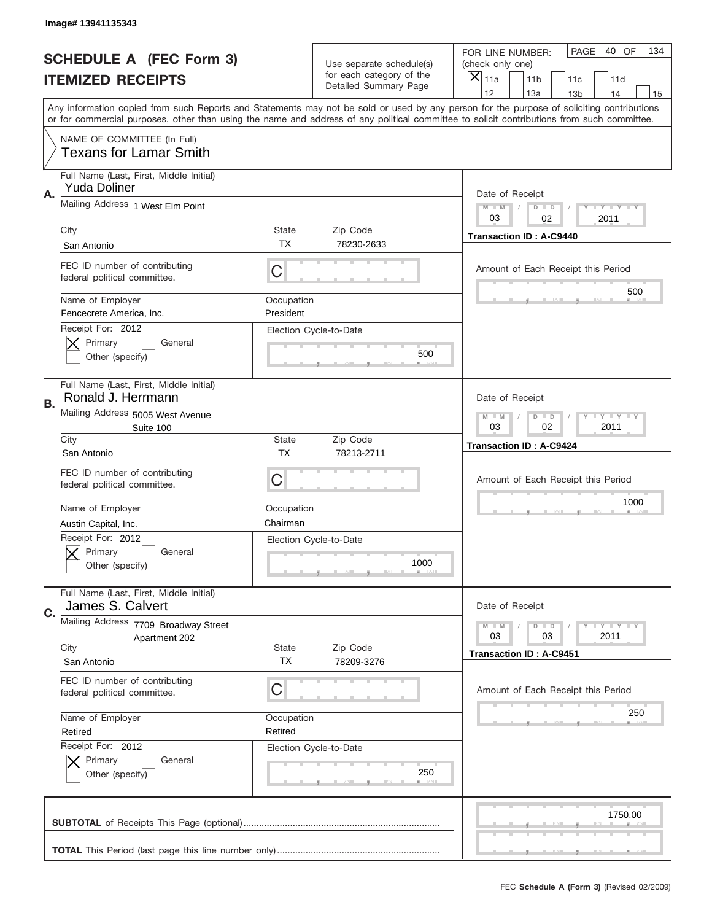|    | Image# 13941135343                                                |                         |                                                      |                                                                                                                                                                                                                                                                                               |
|----|-------------------------------------------------------------------|-------------------------|------------------------------------------------------|-----------------------------------------------------------------------------------------------------------------------------------------------------------------------------------------------------------------------------------------------------------------------------------------------|
|    | <b>SCHEDULE A (FEC Form 3)</b>                                    |                         | Use separate schedule(s)<br>for each category of the | PAGE<br>40 OF<br>134<br>FOR LINE NUMBER:<br>(check only one)                                                                                                                                                                                                                                  |
|    | <b>ITEMIZED RECEIPTS</b>                                          |                         | Detailed Summary Page                                | ×<br>11a<br>11 <sub>b</sub><br>11c<br>11d<br>12<br>13a<br>13 <sub>b</sub><br>14                                                                                                                                                                                                               |
|    |                                                                   |                         |                                                      | 15<br>Any information copied from such Reports and Statements may not be sold or used by any person for the purpose of soliciting contributions<br>or for commercial purposes, other than using the name and address of any political committee to solicit contributions from such committee. |
|    | NAME OF COMMITTEE (In Full)<br><b>Texans for Lamar Smith</b>      |                         |                                                      |                                                                                                                                                                                                                                                                                               |
| Α. | Full Name (Last, First, Middle Initial)<br><b>Yuda Doliner</b>    |                         |                                                      | Date of Receipt                                                                                                                                                                                                                                                                               |
|    | Mailing Address 1 West Elm Point                                  |                         |                                                      | Y TY TY TY<br>$M$ $M$<br>$D$ $D$<br>03<br>02<br>2011                                                                                                                                                                                                                                          |
|    | City<br>San Antonio                                               | State<br>ТX             | Zip Code<br>78230-2633                               | <b>Transaction ID: A-C9440</b>                                                                                                                                                                                                                                                                |
|    | FEC ID number of contributing<br>federal political committee.     | C                       |                                                      | Amount of Each Receipt this Period<br>500                                                                                                                                                                                                                                                     |
|    | Name of Employer<br>Fencecrete America, Inc.<br>Receipt For: 2012 | Occupation<br>President |                                                      |                                                                                                                                                                                                                                                                                               |
|    | Primary<br>General<br>Other (specify)                             |                         | Election Cycle-to-Date<br>500                        |                                                                                                                                                                                                                                                                                               |
| В. | Full Name (Last, First, Middle Initial)<br>Ronald J. Herrmann     |                         |                                                      | Date of Receipt                                                                                                                                                                                                                                                                               |
|    | Mailing Address 5005 West Avenue<br>Suite 100                     |                         |                                                      | $T$ $Y$ $T$ $Y$ $T$ $Y$<br>$D$ $D$<br>$M - M$<br>03<br>02<br>2011                                                                                                                                                                                                                             |
|    | City<br>San Antonio                                               | State<br><b>TX</b>      | Zip Code<br>78213-2711                               | <b>Transaction ID: A-C9424</b>                                                                                                                                                                                                                                                                |
|    | FEC ID number of contributing<br>federal political committee.     | C                       |                                                      | Amount of Each Receipt this Period                                                                                                                                                                                                                                                            |
|    | Name of Employer<br>Austin Capital, Inc.                          | Occupation<br>Chairman  |                                                      | 1000                                                                                                                                                                                                                                                                                          |
|    | Receipt For: 2012<br>General<br>Primary<br>Other (specify)        |                         | Election Cycle-to-Date<br>1000                       |                                                                                                                                                                                                                                                                                               |
| C. | Full Name (Last, First, Middle Initial)<br>James S. Calvert       |                         |                                                      | Date of Receipt                                                                                                                                                                                                                                                                               |
|    | Mailing Address 7709 Broadway Street<br>Apartment 202<br>City     | State                   | Zip Code                                             | <b>LY LY LY</b><br>$M - M$<br>$D$ $D$<br>2011<br>03<br>03                                                                                                                                                                                                                                     |
|    | San Antonio                                                       | <b>TX</b>               | 78209-3276                                           | <b>Transaction ID: A-C9451</b>                                                                                                                                                                                                                                                                |
|    | FEC ID number of contributing<br>federal political committee.     | C                       |                                                      | Amount of Each Receipt this Period<br>250                                                                                                                                                                                                                                                     |
|    | Name of Employer<br>Retired                                       | Occupation<br>Retired   |                                                      |                                                                                                                                                                                                                                                                                               |
|    | Receipt For: 2012<br>Primary<br>General<br>Other (specify)        |                         | Election Cycle-to-Date<br>250                        |                                                                                                                                                                                                                                                                                               |
|    |                                                                   |                         |                                                      | 1750.00                                                                                                                                                                                                                                                                                       |
|    |                                                                   |                         |                                                      |                                                                                                                                                                                                                                                                                               |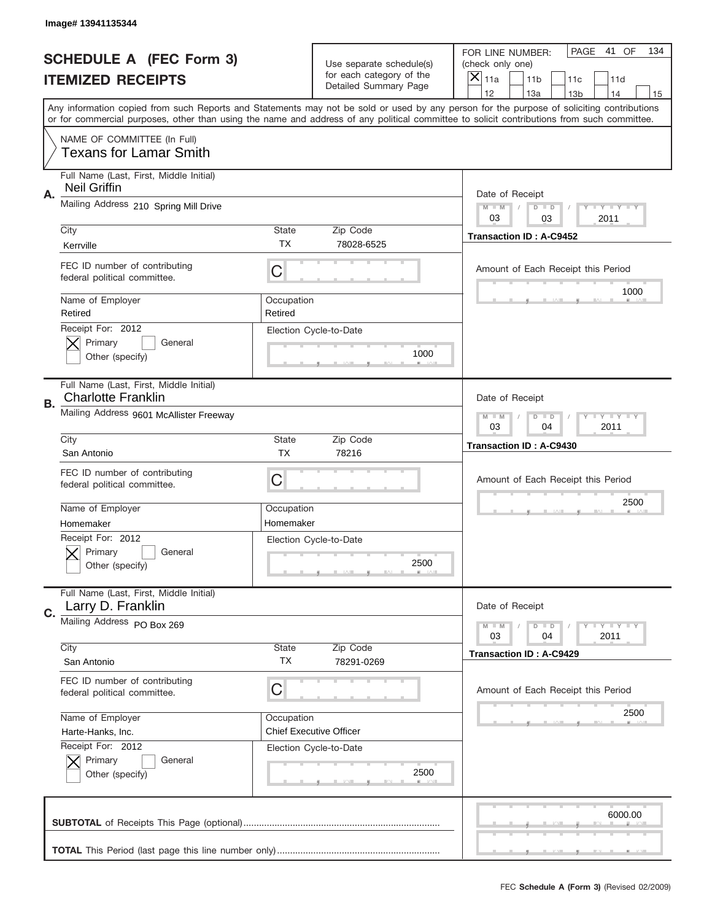|    | Image# 13941135344                                                   |                           |                                                   |                                                                                                                                                                                                                                                                                                                                     |
|----|----------------------------------------------------------------------|---------------------------|---------------------------------------------------|-------------------------------------------------------------------------------------------------------------------------------------------------------------------------------------------------------------------------------------------------------------------------------------------------------------------------------------|
|    | <b>SCHEDULE A (FEC Form 3)</b>                                       |                           | Use separate schedule(s)                          | PAGE<br>41 OF<br>134<br>FOR LINE NUMBER:<br>(check only one)                                                                                                                                                                                                                                                                        |
|    | <b>ITEMIZED RECEIPTS</b>                                             |                           | for each category of the<br>Detailed Summary Page | ×<br>11a<br>11 <sub>b</sub><br>11c<br>11d                                                                                                                                                                                                                                                                                           |
|    |                                                                      |                           |                                                   | 12<br>13a<br>14<br>13 <sub>b</sub><br>15<br>Any information copied from such Reports and Statements may not be sold or used by any person for the purpose of soliciting contributions<br>or for commercial purposes, other than using the name and address of any political committee to solicit contributions from such committee. |
|    | NAME OF COMMITTEE (In Full)<br><b>Texans for Lamar Smith</b>         |                           |                                                   |                                                                                                                                                                                                                                                                                                                                     |
| Α. | Full Name (Last, First, Middle Initial)<br><b>Neil Griffin</b>       |                           |                                                   | Date of Receipt                                                                                                                                                                                                                                                                                                                     |
|    | Mailing Address 210 Spring Mill Drive                                |                           |                                                   | $M - M$<br>$T - Y = -Y$<br>$D$ $D$<br>03<br>2011<br>03                                                                                                                                                                                                                                                                              |
|    | City<br>Kerrville                                                    | <b>State</b><br>TX        | Zip Code<br>78028-6525                            | <b>Transaction ID: A-C9452</b>                                                                                                                                                                                                                                                                                                      |
|    | FEC ID number of contributing<br>federal political committee.        | C                         |                                                   | Amount of Each Receipt this Period<br>1000                                                                                                                                                                                                                                                                                          |
|    | Name of Employer<br>Retired<br>Receipt For: 2012                     | Occupation<br>Retired     |                                                   |                                                                                                                                                                                                                                                                                                                                     |
|    | Primary<br>General<br>Other (specify)                                |                           | Election Cycle-to-Date<br>1000                    |                                                                                                                                                                                                                                                                                                                                     |
| В. | Full Name (Last, First, Middle Initial)<br><b>Charlotte Franklin</b> |                           |                                                   | Date of Receipt                                                                                                                                                                                                                                                                                                                     |
|    | Mailing Address 9601 McAllister Freeway                              |                           |                                                   | <b>LY LY LY</b><br>$M - M$<br>$D$ $D$<br>03<br>04<br>2011                                                                                                                                                                                                                                                                           |
|    | City<br>San Antonio                                                  | <b>State</b><br><b>TX</b> | Zip Code<br>78216                                 | <b>Transaction ID: A-C9430</b>                                                                                                                                                                                                                                                                                                      |
|    | FEC ID number of contributing<br>federal political committee.        | C                         |                                                   | Amount of Each Receipt this Period                                                                                                                                                                                                                                                                                                  |
|    | Name of Employer                                                     | Occupation                |                                                   | 2500                                                                                                                                                                                                                                                                                                                                |
|    | Homemaker<br>Receipt For: 2012                                       | Homemaker                 |                                                   |                                                                                                                                                                                                                                                                                                                                     |
|    | Primary<br>General                                                   |                           | Election Cycle-to-Date                            |                                                                                                                                                                                                                                                                                                                                     |
|    | Other (specify)                                                      |                           | 2500                                              |                                                                                                                                                                                                                                                                                                                                     |
| C. | Full Name (Last, First, Middle Initial)<br>Larry D. Franklin         |                           |                                                   | Date of Receipt                                                                                                                                                                                                                                                                                                                     |
|    | Mailing Address PO Box 269                                           |                           |                                                   | <b>LY LY LY</b><br>$M - M$<br>$D$ $D$<br>03<br>2011<br>04                                                                                                                                                                                                                                                                           |
|    | City<br>San Antonio                                                  | State<br>ТX               | Zip Code<br>78291-0269                            | <b>Transaction ID: A-C9429</b>                                                                                                                                                                                                                                                                                                      |
|    | FEC ID number of contributing<br>federal political committee.        | C                         |                                                   | Amount of Each Receipt this Period                                                                                                                                                                                                                                                                                                  |
|    | Name of Employer                                                     | Occupation                |                                                   | 2500                                                                                                                                                                                                                                                                                                                                |
|    | Harte-Hanks, Inc.                                                    |                           | <b>Chief Executive Officer</b>                    |                                                                                                                                                                                                                                                                                                                                     |
|    | Receipt For: 2012<br>Primary<br>General<br>Other (specify)           |                           | Election Cycle-to-Date<br>2500                    |                                                                                                                                                                                                                                                                                                                                     |
|    |                                                                      |                           |                                                   | 6000.00                                                                                                                                                                                                                                                                                                                             |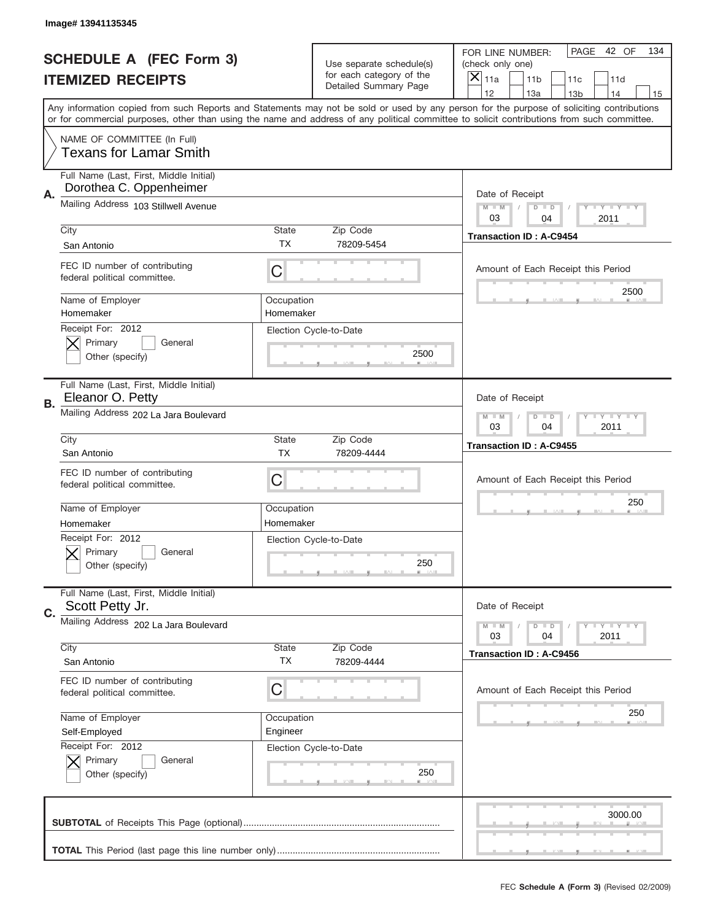|           | Image# 13941135345                                                 |                                                         |                                                   |                                                                                                                                                                                                                                                                                                                                     |  |
|-----------|--------------------------------------------------------------------|---------------------------------------------------------|---------------------------------------------------|-------------------------------------------------------------------------------------------------------------------------------------------------------------------------------------------------------------------------------------------------------------------------------------------------------------------------------------|--|
|           | <b>SCHEDULE A (FEC Form 3)</b>                                     |                                                         | Use separate schedule(s)                          | PAGE<br>42 OF<br>134<br>FOR LINE NUMBER:<br>(check only one)                                                                                                                                                                                                                                                                        |  |
|           | <b>ITEMIZED RECEIPTS</b>                                           |                                                         | for each category of the<br>Detailed Summary Page | $\overline{X} _{11a}$<br>11 <sub>b</sub><br>11c<br>11d                                                                                                                                                                                                                                                                              |  |
|           |                                                                    |                                                         |                                                   | 12<br>13a<br>14<br>13 <sub>b</sub><br>15<br>Any information copied from such Reports and Statements may not be sold or used by any person for the purpose of soliciting contributions<br>or for commercial purposes, other than using the name and address of any political committee to solicit contributions from such committee. |  |
|           | NAME OF COMMITTEE (In Full)<br><b>Texans for Lamar Smith</b>       |                                                         |                                                   |                                                                                                                                                                                                                                                                                                                                     |  |
| Α.        | Full Name (Last, First, Middle Initial)<br>Dorothea C. Oppenheimer |                                                         |                                                   | Date of Receipt                                                                                                                                                                                                                                                                                                                     |  |
|           | Mailing Address 103 Stillwell Avenue                               |                                                         |                                                   | <b>LEY LEY LEY</b><br>$M - M$<br>$D$ $D$<br>03<br>04<br>2011                                                                                                                                                                                                                                                                        |  |
|           | City<br>San Antonio                                                | State<br>TX                                             | Zip Code<br>78209-5454                            | <b>Transaction ID: A-C9454</b>                                                                                                                                                                                                                                                                                                      |  |
|           | FEC ID number of contributing<br>federal political committee.      | C                                                       |                                                   | Amount of Each Receipt this Period<br>2500                                                                                                                                                                                                                                                                                          |  |
|           | Name of Employer<br>Homemaker                                      | Occupation<br>Homemaker                                 |                                                   |                                                                                                                                                                                                                                                                                                                                     |  |
|           | Receipt For: 2012<br>Primary<br>General<br>Other (specify)         |                                                         | Election Cycle-to-Date<br>2500                    |                                                                                                                                                                                                                                                                                                                                     |  |
| <b>B.</b> | Full Name (Last, First, Middle Initial)<br>Eleanor O. Petty        |                                                         |                                                   | Date of Receipt                                                                                                                                                                                                                                                                                                                     |  |
|           | Mailing Address 202 La Jara Boulevard                              | $M - M$<br>$D$ $D$<br><b>LYLYLY</b><br>03<br>04<br>2011 |                                                   |                                                                                                                                                                                                                                                                                                                                     |  |
|           | City<br>San Antonio                                                | State<br><b>TX</b>                                      | Zip Code<br>78209-4444                            | <b>Transaction ID: A-C9455</b>                                                                                                                                                                                                                                                                                                      |  |
|           | FEC ID number of contributing<br>federal political committee.      | C                                                       |                                                   | Amount of Each Receipt this Period                                                                                                                                                                                                                                                                                                  |  |
|           | Name of Employer<br>Homemaker                                      | Occupation<br>Homemaker                                 |                                                   | 250                                                                                                                                                                                                                                                                                                                                 |  |
|           | Receipt For: 2012<br>General<br>Primary<br>Other (specify)         |                                                         | Election Cycle-to-Date<br>250                     |                                                                                                                                                                                                                                                                                                                                     |  |
| C.        | Full Name (Last, First, Middle Initial)<br>Scott Petty Jr.         |                                                         |                                                   | Date of Receipt                                                                                                                                                                                                                                                                                                                     |  |
|           | Mailing Address 202 La Jara Boulevard                              |                                                         |                                                   | <b>LYLYLY</b><br>$M - M$<br>$D$ $D$<br>2011<br>03<br>04                                                                                                                                                                                                                                                                             |  |
|           | City<br>San Antonio                                                | <b>State</b><br>ТX                                      | Zip Code<br>78209-4444                            | <b>Transaction ID: A-C9456</b>                                                                                                                                                                                                                                                                                                      |  |
|           | FEC ID number of contributing<br>federal political committee.      | С                                                       |                                                   | Amount of Each Receipt this Period                                                                                                                                                                                                                                                                                                  |  |
|           | Name of Employer<br>Self-Employed                                  | Occupation<br>Engineer                                  |                                                   | 250                                                                                                                                                                                                                                                                                                                                 |  |
|           | Receipt For: 2012<br>Primary<br>General<br>Other (specify)         |                                                         | Election Cycle-to-Date<br>250                     |                                                                                                                                                                                                                                                                                                                                     |  |
|           |                                                                    |                                                         |                                                   | 3000.00                                                                                                                                                                                                                                                                                                                             |  |
|           |                                                                    |                                                         |                                                   |                                                                                                                                                                                                                                                                                                                                     |  |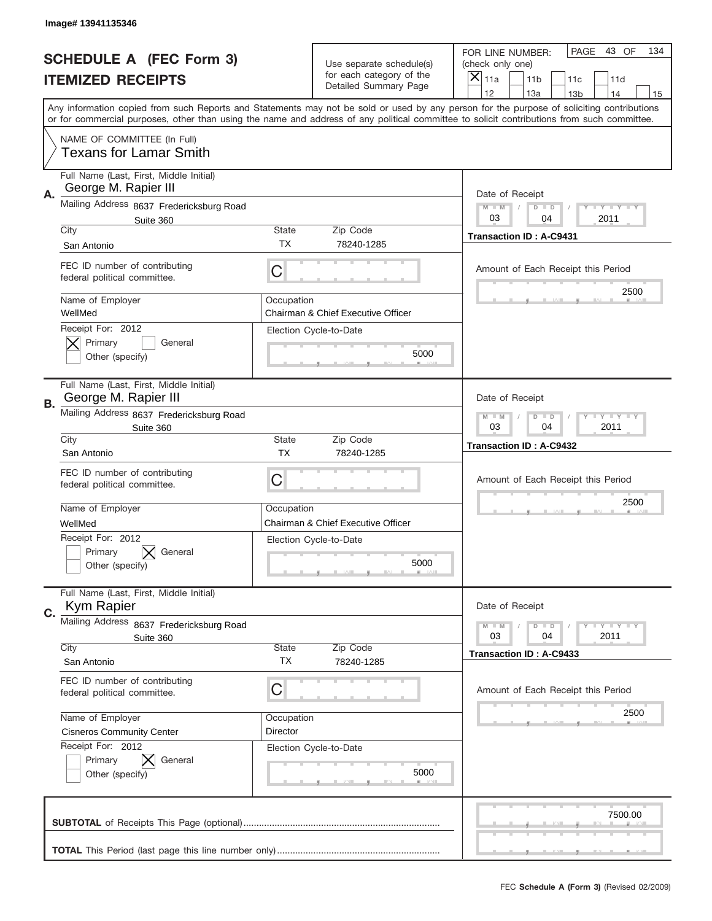|    | Image# 13941135346                                              |                                                           |                                                      |                                                                                                                                                                                                                                                                                         |
|----|-----------------------------------------------------------------|-----------------------------------------------------------|------------------------------------------------------|-----------------------------------------------------------------------------------------------------------------------------------------------------------------------------------------------------------------------------------------------------------------------------------------|
|    | <b>SCHEDULE A (FEC Form 3)</b>                                  |                                                           | Use separate schedule(s)<br>for each category of the | PAGE<br>43 OF<br>134<br>FOR LINE NUMBER:<br>(check only one)                                                                                                                                                                                                                            |
|    | <b>ITEMIZED RECEIPTS</b>                                        |                                                           | Detailed Summary Page                                | X<br>11a<br>11 <sub>b</sub><br>11c<br>11d<br>12<br>13a<br>13 <sub>b</sub><br>14<br>15                                                                                                                                                                                                   |
|    |                                                                 |                                                           |                                                      | Any information copied from such Reports and Statements may not be sold or used by any person for the purpose of soliciting contributions<br>or for commercial purposes, other than using the name and address of any political committee to solicit contributions from such committee. |
|    | NAME OF COMMITTEE (In Full)<br><b>Texans for Lamar Smith</b>    |                                                           |                                                      |                                                                                                                                                                                                                                                                                         |
| Α. | Full Name (Last, First, Middle Initial)<br>George M. Rapier III |                                                           |                                                      | Date of Receipt                                                                                                                                                                                                                                                                         |
|    | Mailing Address 8637 Fredericksburg Road                        |                                                           |                                                      | $M - M$<br><b>LY LY LY</b><br>$D$ $D$<br>03<br>04<br>2011                                                                                                                                                                                                                               |
|    | Suite 360<br>City                                               | State                                                     | Zip Code                                             |                                                                                                                                                                                                                                                                                         |
|    | San Antonio                                                     | <b>TX</b>                                                 | 78240-1285                                           | <b>Transaction ID: A-C9431</b>                                                                                                                                                                                                                                                          |
|    | FEC ID number of contributing<br>federal political committee.   | C                                                         |                                                      | Amount of Each Receipt this Period<br>2500                                                                                                                                                                                                                                              |
|    | Name of Employer<br>WellMed                                     | Occupation                                                | Chairman & Chief Executive Officer                   |                                                                                                                                                                                                                                                                                         |
|    | Receipt For: 2012<br>Primary<br>General<br>Other (specify)      |                                                           | Election Cycle-to-Date<br>5000                       |                                                                                                                                                                                                                                                                                         |
| В. | Full Name (Last, First, Middle Initial)<br>George M. Rapier III |                                                           |                                                      | Date of Receipt                                                                                                                                                                                                                                                                         |
|    | Mailing Address 8637 Fredericksburg Road<br>Suite 360           | <b>LY LY LY</b><br>$M - M$<br>$D$ $D$<br>03<br>04<br>2011 |                                                      |                                                                                                                                                                                                                                                                                         |
|    | City<br>San Antonio                                             | State<br><b>TX</b>                                        | Zip Code<br>78240-1285                               | <b>Transaction ID: A-C9432</b>                                                                                                                                                                                                                                                          |
|    | FEC ID number of contributing<br>federal political committee.   | C                                                         |                                                      | Amount of Each Receipt this Period                                                                                                                                                                                                                                                      |
|    | Name of Employer                                                | Occupation                                                |                                                      | 2500                                                                                                                                                                                                                                                                                    |
|    | WellMed                                                         |                                                           | Chairman & Chief Executive Officer                   |                                                                                                                                                                                                                                                                                         |
|    | Receipt For: 2012<br>Primary<br>General<br>Other (specify)      |                                                           | Election Cycle-to-Date<br>5000                       |                                                                                                                                                                                                                                                                                         |
| C. | Full Name (Last, First, Middle Initial)<br><b>Kym Rapier</b>    |                                                           |                                                      | Date of Receipt                                                                                                                                                                                                                                                                         |
|    | Mailing Address 8637 Fredericksburg Road                        |                                                           |                                                      | $I - Y - I - Y - I - Y$<br>$M - M$<br>$D$ $D$                                                                                                                                                                                                                                           |
|    | Suite 360<br>City                                               | State                                                     | Zip Code                                             | 03<br>2011<br>04                                                                                                                                                                                                                                                                        |
|    | San Antonio                                                     | TX                                                        | 78240-1285                                           | <b>Transaction ID: A-C9433</b>                                                                                                                                                                                                                                                          |
|    | FEC ID number of contributing<br>federal political committee.   | C                                                         |                                                      | Amount of Each Receipt this Period                                                                                                                                                                                                                                                      |
|    | Name of Employer                                                | Occupation                                                |                                                      | 2500                                                                                                                                                                                                                                                                                    |
|    | <b>Cisneros Community Center</b>                                | Director                                                  |                                                      |                                                                                                                                                                                                                                                                                         |
|    | Receipt For: 2012<br>Primary<br>General<br>Other (specify)      |                                                           | Election Cycle-to-Date<br>5000                       |                                                                                                                                                                                                                                                                                         |
|    |                                                                 |                                                           |                                                      | 7500.00                                                                                                                                                                                                                                                                                 |
|    |                                                                 |                                                           |                                                      |                                                                                                                                                                                                                                                                                         |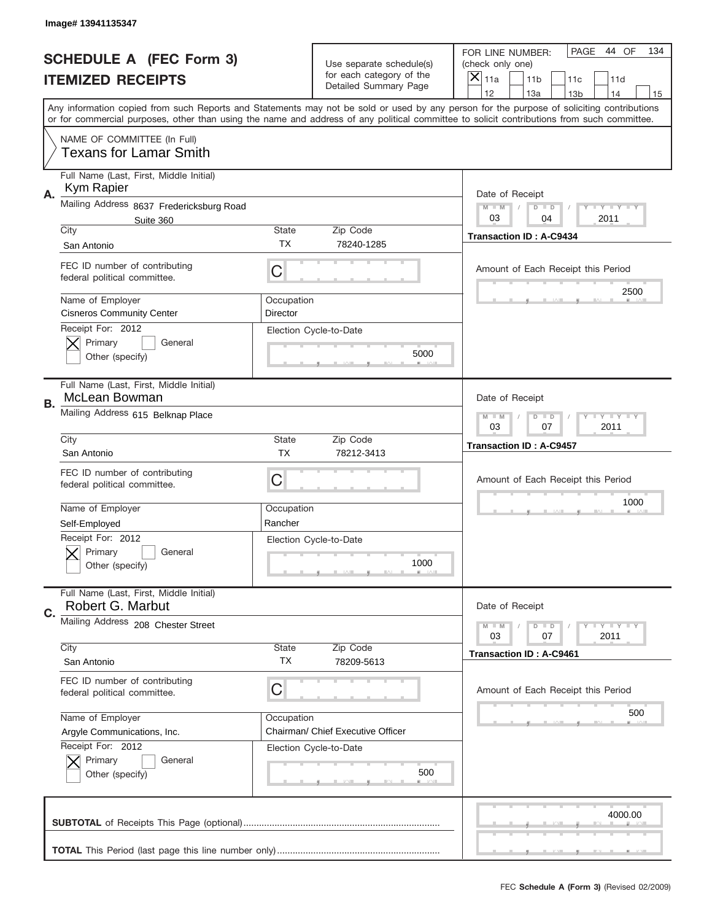|    | Image# 13941135347                                            |                                                           |                                                      |                                                                                                                                                                                                                                                                                                                                     |
|----|---------------------------------------------------------------|-----------------------------------------------------------|------------------------------------------------------|-------------------------------------------------------------------------------------------------------------------------------------------------------------------------------------------------------------------------------------------------------------------------------------------------------------------------------------|
|    | <b>SCHEDULE A (FEC Form 3)</b>                                |                                                           | Use separate schedule(s)<br>for each category of the | PAGE<br>44 OF<br>134<br>FOR LINE NUMBER:<br>(check only one)                                                                                                                                                                                                                                                                        |
|    | <b>ITEMIZED RECEIPTS</b>                                      |                                                           | Detailed Summary Page                                | ×<br>11a<br>11 <sub>b</sub><br>11c<br>11d                                                                                                                                                                                                                                                                                           |
|    |                                                               |                                                           |                                                      | 12<br>13a<br>14<br>13 <sub>b</sub><br>15<br>Any information copied from such Reports and Statements may not be sold or used by any person for the purpose of soliciting contributions<br>or for commercial purposes, other than using the name and address of any political committee to solicit contributions from such committee. |
|    | NAME OF COMMITTEE (In Full)<br><b>Texans for Lamar Smith</b>  |                                                           |                                                      |                                                                                                                                                                                                                                                                                                                                     |
| Α. | Full Name (Last, First, Middle Initial)<br>Kym Rapier         |                                                           |                                                      | Date of Receipt                                                                                                                                                                                                                                                                                                                     |
|    | Mailing Address 8637 Fredericksburg Road                      |                                                           |                                                      | $M - M$<br><b>LY LY LY</b><br>$D$ $D$                                                                                                                                                                                                                                                                                               |
|    | Suite 360                                                     |                                                           |                                                      | 03<br>2011<br>04                                                                                                                                                                                                                                                                                                                    |
|    | City                                                          | State<br><b>TX</b>                                        | Zip Code<br>78240-1285                               | <b>Transaction ID: A-C9434</b>                                                                                                                                                                                                                                                                                                      |
|    | San Antonio                                                   |                                                           |                                                      |                                                                                                                                                                                                                                                                                                                                     |
|    | FEC ID number of contributing<br>federal political committee. | C                                                         |                                                      | Amount of Each Receipt this Period                                                                                                                                                                                                                                                                                                  |
|    | Name of Employer<br><b>Cisneros Community Center</b>          | Occupation<br>Director                                    |                                                      | 2500                                                                                                                                                                                                                                                                                                                                |
|    | Receipt For: 2012<br>Primary<br>General<br>Other (specify)    |                                                           | Election Cycle-to-Date<br>5000                       |                                                                                                                                                                                                                                                                                                                                     |
| В. | Full Name (Last, First, Middle Initial)<br>McLean Bowman      |                                                           |                                                      | Date of Receipt                                                                                                                                                                                                                                                                                                                     |
|    | Mailing Address 615 Belknap Place                             | $M$ M<br>$D$ $D$<br><b>LEYTEY LEY</b><br>03<br>07<br>2011 |                                                      |                                                                                                                                                                                                                                                                                                                                     |
|    | City<br>San Antonio                                           | State<br><b>TX</b>                                        | Zip Code<br>78212-3413                               | <b>Transaction ID: A-C9457</b>                                                                                                                                                                                                                                                                                                      |
|    | FEC ID number of contributing<br>federal political committee. | C                                                         |                                                      | Amount of Each Receipt this Period                                                                                                                                                                                                                                                                                                  |
|    | Name of Employer                                              | Occupation                                                |                                                      | 1000                                                                                                                                                                                                                                                                                                                                |
|    | Self-Employed                                                 | Rancher                                                   |                                                      |                                                                                                                                                                                                                                                                                                                                     |
|    | Receipt For: 2012<br>General<br>Primary<br>Other (specify)    |                                                           | Election Cycle-to-Date<br>1000                       |                                                                                                                                                                                                                                                                                                                                     |
| C. | Full Name (Last, First, Middle Initial)<br>Robert G. Marbut   |                                                           |                                                      | Date of Receipt                                                                                                                                                                                                                                                                                                                     |
|    | Mailing Address 208 Chester Street                            |                                                           |                                                      | $I - Y - I - Y - I - Y$<br>$M - M$<br>$D$ $D$<br>07<br>2011<br>03                                                                                                                                                                                                                                                                   |
|    | City                                                          | <b>State</b>                                              | Zip Code                                             | Transaction ID: A-C9461                                                                                                                                                                                                                                                                                                             |
|    | San Antonio                                                   | TX                                                        | 78209-5613                                           |                                                                                                                                                                                                                                                                                                                                     |
|    | FEC ID number of contributing<br>federal political committee. | C                                                         |                                                      | Amount of Each Receipt this Period                                                                                                                                                                                                                                                                                                  |
|    | Name of Employer                                              | Occupation                                                |                                                      | 500                                                                                                                                                                                                                                                                                                                                 |
|    | Argyle Communications, Inc.                                   |                                                           | Chairman/ Chief Executive Officer                    |                                                                                                                                                                                                                                                                                                                                     |
|    | Receipt For: 2012<br>Primary<br>General<br>Other (specify)    |                                                           | Election Cycle-to-Date<br>500                        |                                                                                                                                                                                                                                                                                                                                     |
|    |                                                               |                                                           |                                                      | 4000.00                                                                                                                                                                                                                                                                                                                             |
|    |                                                               |                                                           |                                                      |                                                                                                                                                                                                                                                                                                                                     |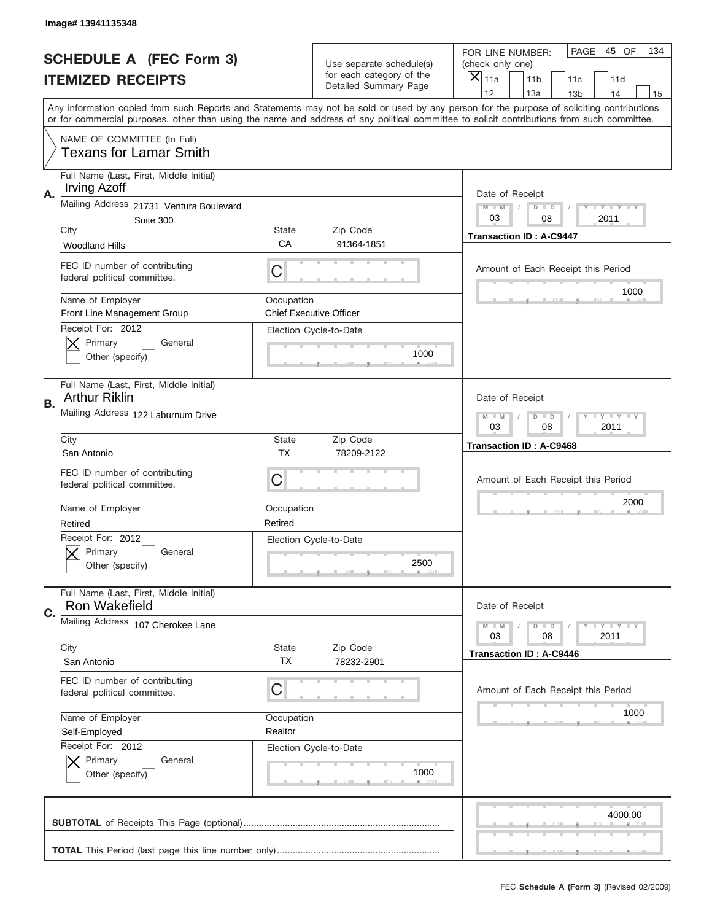|    | Image# 13941135348                                              |                                                           |                                                      |                                                                                                                                                                                                                                                                                                                               |
|----|-----------------------------------------------------------------|-----------------------------------------------------------|------------------------------------------------------|-------------------------------------------------------------------------------------------------------------------------------------------------------------------------------------------------------------------------------------------------------------------------------------------------------------------------------|
|    | <b>SCHEDULE A (FEC Form 3)</b>                                  |                                                           | Use separate schedule(s)<br>for each category of the | PAGE 45 OF<br>134<br>FOR LINE NUMBER:<br>(check only one)                                                                                                                                                                                                                                                                     |
|    | <b>ITEMIZED RECEIPTS</b>                                        |                                                           | Detailed Summary Page                                | ×<br>11a<br>11 <sub>b</sub><br>11c<br>11d<br>12                                                                                                                                                                                                                                                                               |
|    |                                                                 |                                                           |                                                      | 13a<br>14<br>13 <sub>b</sub><br>15<br>Any information copied from such Reports and Statements may not be sold or used by any person for the purpose of soliciting contributions<br>or for commercial purposes, other than using the name and address of any political committee to solicit contributions from such committee. |
|    | NAME OF COMMITTEE (In Full)<br><b>Texans for Lamar Smith</b>    |                                                           |                                                      |                                                                                                                                                                                                                                                                                                                               |
| Α. | Full Name (Last, First, Middle Initial)<br><b>Irving Azoff</b>  |                                                           |                                                      | Date of Receipt                                                                                                                                                                                                                                                                                                               |
|    | Mailing Address 21731 Ventura Boulevard<br>Suite 300            |                                                           |                                                      | $M - M$<br><b>LY LY LY</b><br>$D$ $D$<br>03<br>08<br>2011                                                                                                                                                                                                                                                                     |
|    | City<br><b>Woodland Hills</b>                                   | State<br>CA                                               | Zip Code<br>91364-1851                               | <b>Transaction ID: A-C9447</b>                                                                                                                                                                                                                                                                                                |
|    | FEC ID number of contributing<br>federal political committee.   | C                                                         |                                                      | Amount of Each Receipt this Period                                                                                                                                                                                                                                                                                            |
|    | Name of Employer<br>Front Line Management Group                 | Occupation                                                | <b>Chief Executive Officer</b>                       | 1000                                                                                                                                                                                                                                                                                                                          |
|    | Receipt For: 2012<br>Primary<br>General<br>Other (specify)      |                                                           | Election Cycle-to-Date<br>1000                       |                                                                                                                                                                                                                                                                                                                               |
| В. | Full Name (Last, First, Middle Initial)<br><b>Arthur Riklin</b> |                                                           |                                                      | Date of Receipt                                                                                                                                                                                                                                                                                                               |
|    | Mailing Address 122 Laburnum Drive                              | $M$ M<br>$D$ $D$<br><b>LEYTEY LEY</b><br>03<br>08<br>2011 |                                                      |                                                                                                                                                                                                                                                                                                                               |
|    | City<br>San Antonio                                             | State<br><b>TX</b>                                        | Zip Code<br>78209-2122                               | <b>Transaction ID: A-C9468</b>                                                                                                                                                                                                                                                                                                |
|    | FEC ID number of contributing<br>federal political committee.   | C                                                         |                                                      | Amount of Each Receipt this Period                                                                                                                                                                                                                                                                                            |
|    | Name of Employer<br>Retired                                     | Occupation<br>Retired                                     |                                                      | 2000                                                                                                                                                                                                                                                                                                                          |
|    | Receipt For: 2012<br>General<br>Primary<br>Other (specify)      |                                                           | Election Cycle-to-Date<br>2500                       |                                                                                                                                                                                                                                                                                                                               |
| C. | Full Name (Last, First, Middle Initial)<br>Ron Wakefield        |                                                           |                                                      | Date of Receipt                                                                                                                                                                                                                                                                                                               |
|    | Mailing Address 107 Cherokee Lane                               |                                                           |                                                      | $I - Y - I - Y - I - Y$<br>$M - M$<br>$D$ $D$<br>2011<br>03<br>08                                                                                                                                                                                                                                                             |
|    | City<br>San Antonio                                             | State<br>TX                                               | Zip Code<br>78232-2901                               | <b>Transaction ID: A-C9446</b>                                                                                                                                                                                                                                                                                                |
|    | FEC ID number of contributing<br>federal political committee.   | C                                                         |                                                      | Amount of Each Receipt this Period                                                                                                                                                                                                                                                                                            |
|    | Name of Employer<br>Self-Employed                               | Occupation<br>Realtor                                     |                                                      | 1000                                                                                                                                                                                                                                                                                                                          |
|    | Receipt For: 2012<br>Primary<br>General<br>Other (specify)      |                                                           | Election Cycle-to-Date<br>1000                       |                                                                                                                                                                                                                                                                                                                               |
|    |                                                                 |                                                           |                                                      | 4000.00                                                                                                                                                                                                                                                                                                                       |
|    |                                                                 |                                                           |                                                      |                                                                                                                                                                                                                                                                                                                               |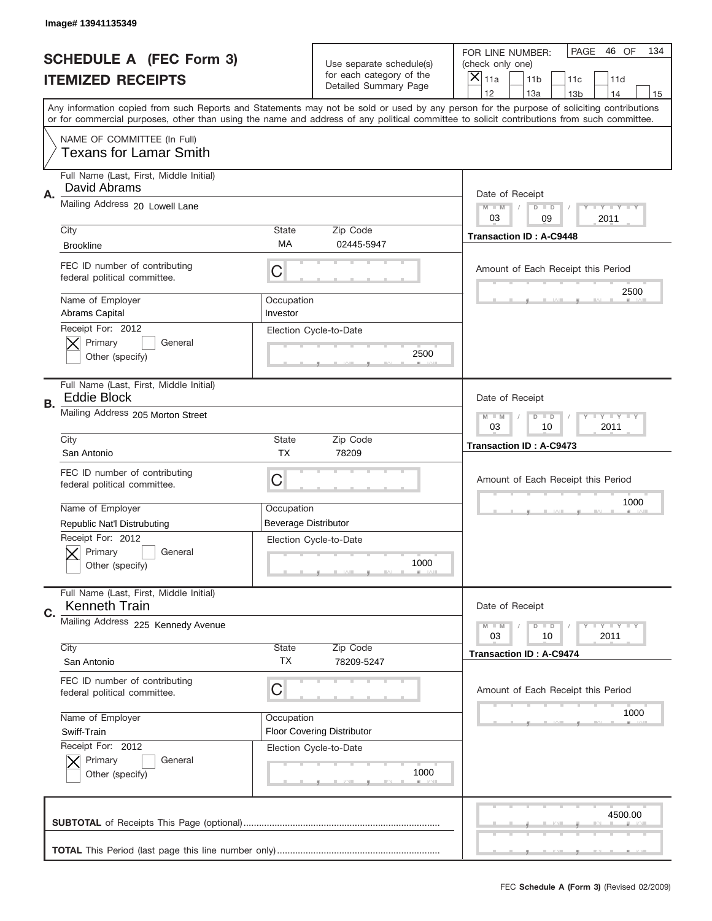|    | Image# 13941135349                                              |                                                           |                                                   |                                                                                                                                                                                                                                                                                                                                     |
|----|-----------------------------------------------------------------|-----------------------------------------------------------|---------------------------------------------------|-------------------------------------------------------------------------------------------------------------------------------------------------------------------------------------------------------------------------------------------------------------------------------------------------------------------------------------|
|    | <b>SCHEDULE A (FEC Form 3)</b>                                  |                                                           | Use separate schedule(s)                          | PAGE<br>46 OF<br>134<br>FOR LINE NUMBER:<br>(check only one)                                                                                                                                                                                                                                                                        |
|    | <b>ITEMIZED RECEIPTS</b>                                        |                                                           | for each category of the<br>Detailed Summary Page | $\overline{X} _{11a}$<br>11 <sub>b</sub><br>11c<br>11d                                                                                                                                                                                                                                                                              |
|    |                                                                 |                                                           |                                                   | 12<br>13a<br>14<br>13 <sub>b</sub><br>15<br>Any information copied from such Reports and Statements may not be sold or used by any person for the purpose of soliciting contributions<br>or for commercial purposes, other than using the name and address of any political committee to solicit contributions from such committee. |
|    | NAME OF COMMITTEE (In Full)<br><b>Texans for Lamar Smith</b>    |                                                           |                                                   |                                                                                                                                                                                                                                                                                                                                     |
| Α. | Full Name (Last, First, Middle Initial)<br>David Abrams         |                                                           |                                                   | Date of Receipt                                                                                                                                                                                                                                                                                                                     |
|    | Mailing Address 20 Lowell Lane                                  |                                                           |                                                   | <b>LEY LEY LEY</b><br>$M - M$<br>$D$ $D$<br>03<br>09<br>2011                                                                                                                                                                                                                                                                        |
|    | City<br><b>Brookline</b>                                        | <b>State</b><br>МA                                        | Zip Code<br>02445-5947                            | <b>Transaction ID: A-C9448</b>                                                                                                                                                                                                                                                                                                      |
|    | FEC ID number of contributing<br>federal political committee.   | C                                                         |                                                   | Amount of Each Receipt this Period<br>2500                                                                                                                                                                                                                                                                                          |
|    | Name of Employer<br><b>Abrams Capital</b>                       | Occupation<br>Investor                                    |                                                   |                                                                                                                                                                                                                                                                                                                                     |
|    | Receipt For: 2012<br>Primary<br>General<br>Other (specify)      |                                                           | Election Cycle-to-Date<br>2500                    |                                                                                                                                                                                                                                                                                                                                     |
| В. | Full Name (Last, First, Middle Initial)<br><b>Eddie Block</b>   |                                                           |                                                   | Date of Receipt                                                                                                                                                                                                                                                                                                                     |
|    | Mailing Address 205 Morton Street                               | <b>LY LY LY</b><br>$M - M$<br>$D$ $D$<br>03<br>10<br>2011 |                                                   |                                                                                                                                                                                                                                                                                                                                     |
|    | City<br>San Antonio                                             | <b>State</b><br><b>TX</b>                                 | Zip Code<br>78209                                 | <b>Transaction ID: A-C9473</b>                                                                                                                                                                                                                                                                                                      |
|    | FEC ID number of contributing<br>federal political committee.   | C                                                         |                                                   | Amount of Each Receipt this Period                                                                                                                                                                                                                                                                                                  |
|    | Name of Employer                                                | Occupation                                                |                                                   | 1000                                                                                                                                                                                                                                                                                                                                |
|    | <b>Republic Nat'l Distrubuting</b><br>Receipt For: 2012         | <b>Beverage Distributor</b>                               |                                                   |                                                                                                                                                                                                                                                                                                                                     |
|    | General<br>Primary<br>Other (specify)                           |                                                           | Election Cycle-to-Date<br>1000                    |                                                                                                                                                                                                                                                                                                                                     |
| C. | Full Name (Last, First, Middle Initial)<br><b>Kenneth Train</b> |                                                           |                                                   | Date of Receipt                                                                                                                                                                                                                                                                                                                     |
|    | Mailing Address 225 Kennedy Avenue                              |                                                           |                                                   | <b>LYLYLY</b><br>$M \perp M$<br>$D$ $D$<br>2011<br>03<br>10                                                                                                                                                                                                                                                                         |
|    | City<br>San Antonio                                             | <b>State</b><br>ТX                                        | Zip Code<br>78209-5247                            | <b>Transaction ID: A-C9474</b>                                                                                                                                                                                                                                                                                                      |
|    | FEC ID number of contributing<br>federal political committee.   | С                                                         |                                                   | Amount of Each Receipt this Period                                                                                                                                                                                                                                                                                                  |
|    | Name of Employer<br>Swiff-Train                                 | Occupation                                                | <b>Floor Covering Distributor</b>                 | 1000                                                                                                                                                                                                                                                                                                                                |
|    | Receipt For: 2012<br>Primary<br>General<br>Other (specify)      |                                                           | Election Cycle-to-Date<br>1000                    |                                                                                                                                                                                                                                                                                                                                     |
|    |                                                                 |                                                           |                                                   | 4500.00                                                                                                                                                                                                                                                                                                                             |
|    |                                                                 |                                                           |                                                   |                                                                                                                                                                                                                                                                                                                                     |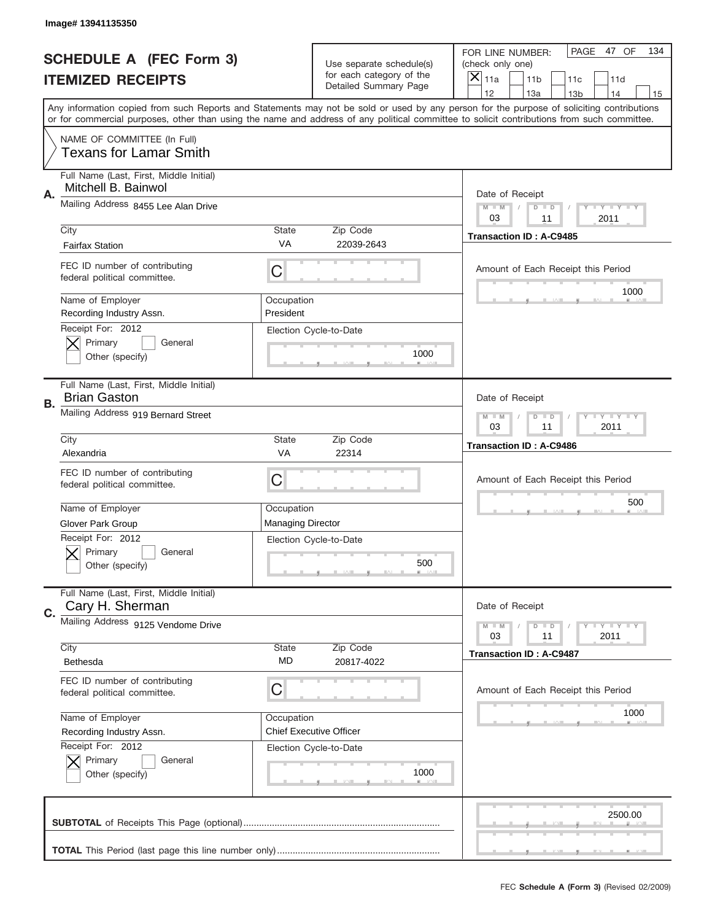|           | Image# 13941135350                                                |                                                           |                                                   |                                                                                                                                                                                                                                                                                                                                     |
|-----------|-------------------------------------------------------------------|-----------------------------------------------------------|---------------------------------------------------|-------------------------------------------------------------------------------------------------------------------------------------------------------------------------------------------------------------------------------------------------------------------------------------------------------------------------------------|
|           | <b>SCHEDULE A (FEC Form 3)</b>                                    |                                                           | Use separate schedule(s)                          | PAGE<br>47 OF<br>134<br>FOR LINE NUMBER:<br>(check only one)                                                                                                                                                                                                                                                                        |
|           | <b>ITEMIZED RECEIPTS</b>                                          |                                                           | for each category of the<br>Detailed Summary Page | $\boldsymbol{\times}$<br>11a<br>11 <sub>b</sub><br>11c<br>11d                                                                                                                                                                                                                                                                       |
|           |                                                                   |                                                           |                                                   | 12<br>13a<br>14<br>13 <sub>b</sub><br>15<br>Any information copied from such Reports and Statements may not be sold or used by any person for the purpose of soliciting contributions<br>or for commercial purposes, other than using the name and address of any political committee to solicit contributions from such committee. |
|           | NAME OF COMMITTEE (In Full)<br><b>Texans for Lamar Smith</b>      |                                                           |                                                   |                                                                                                                                                                                                                                                                                                                                     |
| Α.        | Full Name (Last, First, Middle Initial)<br>Mitchell B. Bainwol    |                                                           |                                                   | Date of Receipt                                                                                                                                                                                                                                                                                                                     |
|           | Mailing Address 8455 Lee Alan Drive                               |                                                           |                                                   | <b>LY LY LY</b><br>$M - M$<br>$D$ $D$<br>03<br>11<br>2011                                                                                                                                                                                                                                                                           |
|           | City<br><b>Fairfax Station</b>                                    | State<br>VA                                               | Zip Code<br>22039-2643                            | <b>Transaction ID: A-C9485</b>                                                                                                                                                                                                                                                                                                      |
|           | FEC ID number of contributing<br>federal political committee.     | C                                                         |                                                   | Amount of Each Receipt this Period<br>1000                                                                                                                                                                                                                                                                                          |
|           | Name of Employer<br>Recording Industry Assn.<br>Receipt For: 2012 | Occupation<br>President                                   |                                                   |                                                                                                                                                                                                                                                                                                                                     |
|           | Primary<br>General<br>Other (specify)                             |                                                           | Election Cycle-to-Date<br>1000                    |                                                                                                                                                                                                                                                                                                                                     |
| <b>B.</b> | Full Name (Last, First, Middle Initial)<br><b>Brian Gaston</b>    |                                                           |                                                   | Date of Receipt                                                                                                                                                                                                                                                                                                                     |
|           | Mailing Address 919 Bernard Street                                | <b>LY LY LY</b><br>$M - M$<br>$D$ $D$<br>03<br>11<br>2011 |                                                   |                                                                                                                                                                                                                                                                                                                                     |
|           | City<br>Alexandria                                                | <b>State</b><br><b>VA</b>                                 | Zip Code<br>22314                                 | <b>Transaction ID: A-C9486</b>                                                                                                                                                                                                                                                                                                      |
|           | FEC ID number of contributing<br>federal political committee.     | С                                                         |                                                   | Amount of Each Receipt this Period                                                                                                                                                                                                                                                                                                  |
|           | Name of Employer<br><b>Glover Park Group</b>                      | Occupation<br><b>Managing Director</b>                    |                                                   | 500                                                                                                                                                                                                                                                                                                                                 |
|           | Receipt For: 2012<br>General<br>Primary<br>Other (specify)        |                                                           | Election Cycle-to-Date<br>500                     |                                                                                                                                                                                                                                                                                                                                     |
| C.        | Full Name (Last, First, Middle Initial)<br>Cary H. Sherman        |                                                           |                                                   | Date of Receipt                                                                                                                                                                                                                                                                                                                     |
|           | Mailing Address 9125 Vendome Drive                                |                                                           |                                                   | <b>LYLYLY</b><br>$M \perp M$<br>$D$ $D$<br>2011<br>03<br>11                                                                                                                                                                                                                                                                         |
|           | City<br>Bethesda                                                  | <b>State</b><br>MD                                        | Zip Code<br>20817-4022                            | <b>Transaction ID: A-C9487</b>                                                                                                                                                                                                                                                                                                      |
|           | FEC ID number of contributing<br>federal political committee.     | С                                                         |                                                   | Amount of Each Receipt this Period                                                                                                                                                                                                                                                                                                  |
|           | Name of Employer<br>Recording Industry Assn.                      | Occupation                                                | <b>Chief Executive Officer</b>                    | 1000                                                                                                                                                                                                                                                                                                                                |
|           | Receipt For: 2012<br>Primary<br>General<br>Other (specify)        |                                                           | Election Cycle-to-Date<br>1000                    |                                                                                                                                                                                                                                                                                                                                     |
|           |                                                                   |                                                           |                                                   | 2500.00                                                                                                                                                                                                                                                                                                                             |
|           |                                                                   |                                                           |                                                   |                                                                                                                                                                                                                                                                                                                                     |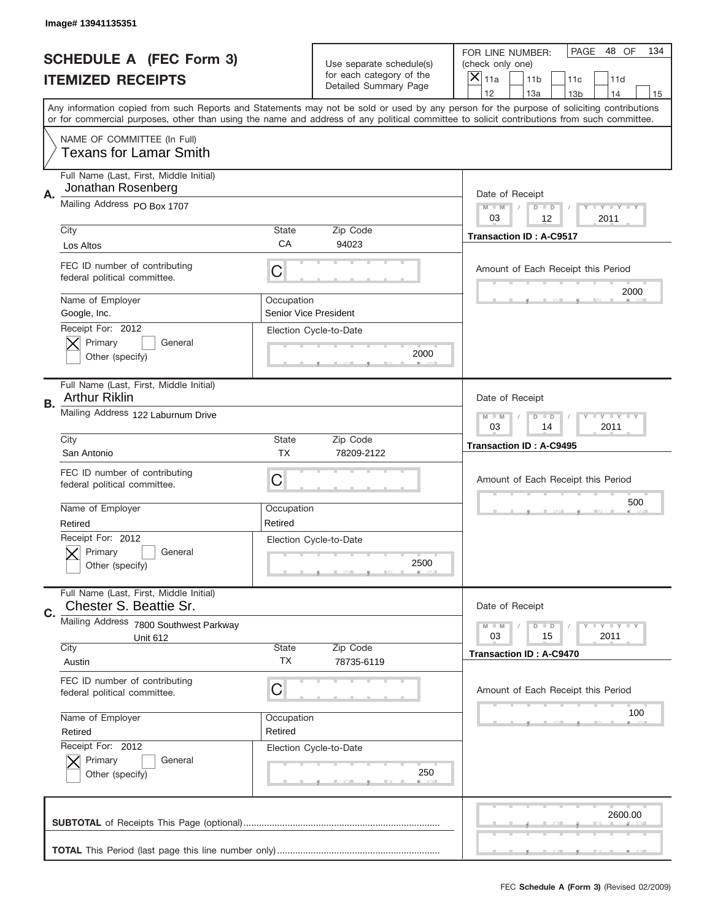| PAGE<br>48 OF<br>134<br>FOR LINE NUMBER:<br><b>SCHEDULE A (FEC Form 3)</b><br>Use separate schedule(s)<br>(check only one)<br>for each category of the<br>$\overline{X} _{11a}$<br><b>ITEMIZED RECEIPTS</b><br>11 <sub>b</sub><br>11c<br>11d<br>Detailed Summary Page<br>12<br>13a<br>14<br>13 <sub>b</sub><br>15<br>Any information copied from such Reports and Statements may not be sold or used by any person for the purpose of soliciting contributions<br>or for commercial purposes, other than using the name and address of any political committee to solicit contributions from such committee.<br>NAME OF COMMITTEE (In Full)<br><b>Texans for Lamar Smith</b><br>Full Name (Last, First, Middle Initial)<br>Jonathan Rosenberg<br>Α.<br>Date of Receipt<br>Mailing Address PO Box 1707<br>$M - M$<br><b>LEY LEY LEY</b><br>$D$ $D$<br>03<br>12<br>2011<br>Zip Code<br>City<br>State<br><b>Transaction ID: A-C9517</b><br>CA<br>94023<br>Los Altos<br>FEC ID number of contributing<br>C<br>Amount of Each Receipt this Period<br>federal political committee.<br>2000<br>Name of Employer<br>Occupation<br>Google, Inc.<br>Senior Vice President<br>Receipt For: 2012<br>Election Cycle-to-Date<br>Primary<br>General<br>2000<br>Other (specify)<br>Full Name (Last, First, Middle Initial)<br><b>Arthur Riklin</b><br>Date of Receipt<br>В.<br>Mailing Address 122 Laburnum Drive<br>$M$ M<br><b>LEY LEY LEY</b><br>$D$ $D$<br>03<br>14<br>2011<br>Zip Code<br>City<br>State<br><b>Transaction ID: A-C9495</b><br><b>TX</b><br>San Antonio<br>78209-2122<br>FEC ID number of contributing<br>C<br>Amount of Each Receipt this Period<br>federal political committee.<br>500<br>Name of Employer<br>Occupation<br>Retired<br>Retired<br>Receipt For: 2012<br>Election Cycle-to-Date<br>General<br>Primary<br>2500<br>Other (specify)<br>Full Name (Last, First, Middle Initial)<br>Chester S. Beattie Sr.<br>Date of Receipt<br>C.<br>Mailing Address 7800 Southwest Parkway<br><b>LEY LEY LEY</b><br>$M - M$<br>$D$ $D$<br>15<br>2011<br>03<br>Unit 612<br>City<br>Zip Code<br>State<br><b>Transaction ID: A-C9470</b><br>ТX<br>Austin<br>78735-6119<br>FEC ID number of contributing<br>C<br>Amount of Each Receipt this Period<br>federal political committee.<br>100<br>Name of Employer<br>Occupation<br>Retired<br>Retired<br>Receipt For: 2012<br>Election Cycle-to-Date<br>Primary<br>General<br>250<br>Other (specify)<br>2600.00 | Image# 13941135351 |  |  |
|-----------------------------------------------------------------------------------------------------------------------------------------------------------------------------------------------------------------------------------------------------------------------------------------------------------------------------------------------------------------------------------------------------------------------------------------------------------------------------------------------------------------------------------------------------------------------------------------------------------------------------------------------------------------------------------------------------------------------------------------------------------------------------------------------------------------------------------------------------------------------------------------------------------------------------------------------------------------------------------------------------------------------------------------------------------------------------------------------------------------------------------------------------------------------------------------------------------------------------------------------------------------------------------------------------------------------------------------------------------------------------------------------------------------------------------------------------------------------------------------------------------------------------------------------------------------------------------------------------------------------------------------------------------------------------------------------------------------------------------------------------------------------------------------------------------------------------------------------------------------------------------------------------------------------------------------------------------------------------------------------------------------------------------------------------------------------------------------------------------------------------------------------------------------------------------------------------------------------------------------------------------------------------------------------------------------------------------------------------------------------------------------------------------------------------------------------------------|--------------------|--|--|
|                                                                                                                                                                                                                                                                                                                                                                                                                                                                                                                                                                                                                                                                                                                                                                                                                                                                                                                                                                                                                                                                                                                                                                                                                                                                                                                                                                                                                                                                                                                                                                                                                                                                                                                                                                                                                                                                                                                                                                                                                                                                                                                                                                                                                                                                                                                                                                                                                                                           |                    |  |  |
|                                                                                                                                                                                                                                                                                                                                                                                                                                                                                                                                                                                                                                                                                                                                                                                                                                                                                                                                                                                                                                                                                                                                                                                                                                                                                                                                                                                                                                                                                                                                                                                                                                                                                                                                                                                                                                                                                                                                                                                                                                                                                                                                                                                                                                                                                                                                                                                                                                                           |                    |  |  |
|                                                                                                                                                                                                                                                                                                                                                                                                                                                                                                                                                                                                                                                                                                                                                                                                                                                                                                                                                                                                                                                                                                                                                                                                                                                                                                                                                                                                                                                                                                                                                                                                                                                                                                                                                                                                                                                                                                                                                                                                                                                                                                                                                                                                                                                                                                                                                                                                                                                           |                    |  |  |
|                                                                                                                                                                                                                                                                                                                                                                                                                                                                                                                                                                                                                                                                                                                                                                                                                                                                                                                                                                                                                                                                                                                                                                                                                                                                                                                                                                                                                                                                                                                                                                                                                                                                                                                                                                                                                                                                                                                                                                                                                                                                                                                                                                                                                                                                                                                                                                                                                                                           |                    |  |  |
|                                                                                                                                                                                                                                                                                                                                                                                                                                                                                                                                                                                                                                                                                                                                                                                                                                                                                                                                                                                                                                                                                                                                                                                                                                                                                                                                                                                                                                                                                                                                                                                                                                                                                                                                                                                                                                                                                                                                                                                                                                                                                                                                                                                                                                                                                                                                                                                                                                                           |                    |  |  |
|                                                                                                                                                                                                                                                                                                                                                                                                                                                                                                                                                                                                                                                                                                                                                                                                                                                                                                                                                                                                                                                                                                                                                                                                                                                                                                                                                                                                                                                                                                                                                                                                                                                                                                                                                                                                                                                                                                                                                                                                                                                                                                                                                                                                                                                                                                                                                                                                                                                           |                    |  |  |
|                                                                                                                                                                                                                                                                                                                                                                                                                                                                                                                                                                                                                                                                                                                                                                                                                                                                                                                                                                                                                                                                                                                                                                                                                                                                                                                                                                                                                                                                                                                                                                                                                                                                                                                                                                                                                                                                                                                                                                                                                                                                                                                                                                                                                                                                                                                                                                                                                                                           |                    |  |  |
|                                                                                                                                                                                                                                                                                                                                                                                                                                                                                                                                                                                                                                                                                                                                                                                                                                                                                                                                                                                                                                                                                                                                                                                                                                                                                                                                                                                                                                                                                                                                                                                                                                                                                                                                                                                                                                                                                                                                                                                                                                                                                                                                                                                                                                                                                                                                                                                                                                                           |                    |  |  |
|                                                                                                                                                                                                                                                                                                                                                                                                                                                                                                                                                                                                                                                                                                                                                                                                                                                                                                                                                                                                                                                                                                                                                                                                                                                                                                                                                                                                                                                                                                                                                                                                                                                                                                                                                                                                                                                                                                                                                                                                                                                                                                                                                                                                                                                                                                                                                                                                                                                           |                    |  |  |
|                                                                                                                                                                                                                                                                                                                                                                                                                                                                                                                                                                                                                                                                                                                                                                                                                                                                                                                                                                                                                                                                                                                                                                                                                                                                                                                                                                                                                                                                                                                                                                                                                                                                                                                                                                                                                                                                                                                                                                                                                                                                                                                                                                                                                                                                                                                                                                                                                                                           |                    |  |  |
|                                                                                                                                                                                                                                                                                                                                                                                                                                                                                                                                                                                                                                                                                                                                                                                                                                                                                                                                                                                                                                                                                                                                                                                                                                                                                                                                                                                                                                                                                                                                                                                                                                                                                                                                                                                                                                                                                                                                                                                                                                                                                                                                                                                                                                                                                                                                                                                                                                                           |                    |  |  |
|                                                                                                                                                                                                                                                                                                                                                                                                                                                                                                                                                                                                                                                                                                                                                                                                                                                                                                                                                                                                                                                                                                                                                                                                                                                                                                                                                                                                                                                                                                                                                                                                                                                                                                                                                                                                                                                                                                                                                                                                                                                                                                                                                                                                                                                                                                                                                                                                                                                           |                    |  |  |
|                                                                                                                                                                                                                                                                                                                                                                                                                                                                                                                                                                                                                                                                                                                                                                                                                                                                                                                                                                                                                                                                                                                                                                                                                                                                                                                                                                                                                                                                                                                                                                                                                                                                                                                                                                                                                                                                                                                                                                                                                                                                                                                                                                                                                                                                                                                                                                                                                                                           |                    |  |  |
|                                                                                                                                                                                                                                                                                                                                                                                                                                                                                                                                                                                                                                                                                                                                                                                                                                                                                                                                                                                                                                                                                                                                                                                                                                                                                                                                                                                                                                                                                                                                                                                                                                                                                                                                                                                                                                                                                                                                                                                                                                                                                                                                                                                                                                                                                                                                                                                                                                                           |                    |  |  |
|                                                                                                                                                                                                                                                                                                                                                                                                                                                                                                                                                                                                                                                                                                                                                                                                                                                                                                                                                                                                                                                                                                                                                                                                                                                                                                                                                                                                                                                                                                                                                                                                                                                                                                                                                                                                                                                                                                                                                                                                                                                                                                                                                                                                                                                                                                                                                                                                                                                           |                    |  |  |
|                                                                                                                                                                                                                                                                                                                                                                                                                                                                                                                                                                                                                                                                                                                                                                                                                                                                                                                                                                                                                                                                                                                                                                                                                                                                                                                                                                                                                                                                                                                                                                                                                                                                                                                                                                                                                                                                                                                                                                                                                                                                                                                                                                                                                                                                                                                                                                                                                                                           |                    |  |  |
|                                                                                                                                                                                                                                                                                                                                                                                                                                                                                                                                                                                                                                                                                                                                                                                                                                                                                                                                                                                                                                                                                                                                                                                                                                                                                                                                                                                                                                                                                                                                                                                                                                                                                                                                                                                                                                                                                                                                                                                                                                                                                                                                                                                                                                                                                                                                                                                                                                                           |                    |  |  |
|                                                                                                                                                                                                                                                                                                                                                                                                                                                                                                                                                                                                                                                                                                                                                                                                                                                                                                                                                                                                                                                                                                                                                                                                                                                                                                                                                                                                                                                                                                                                                                                                                                                                                                                                                                                                                                                                                                                                                                                                                                                                                                                                                                                                                                                                                                                                                                                                                                                           |                    |  |  |
|                                                                                                                                                                                                                                                                                                                                                                                                                                                                                                                                                                                                                                                                                                                                                                                                                                                                                                                                                                                                                                                                                                                                                                                                                                                                                                                                                                                                                                                                                                                                                                                                                                                                                                                                                                                                                                                                                                                                                                                                                                                                                                                                                                                                                                                                                                                                                                                                                                                           |                    |  |  |
|                                                                                                                                                                                                                                                                                                                                                                                                                                                                                                                                                                                                                                                                                                                                                                                                                                                                                                                                                                                                                                                                                                                                                                                                                                                                                                                                                                                                                                                                                                                                                                                                                                                                                                                                                                                                                                                                                                                                                                                                                                                                                                                                                                                                                                                                                                                                                                                                                                                           |                    |  |  |
|                                                                                                                                                                                                                                                                                                                                                                                                                                                                                                                                                                                                                                                                                                                                                                                                                                                                                                                                                                                                                                                                                                                                                                                                                                                                                                                                                                                                                                                                                                                                                                                                                                                                                                                                                                                                                                                                                                                                                                                                                                                                                                                                                                                                                                                                                                                                                                                                                                                           |                    |  |  |
|                                                                                                                                                                                                                                                                                                                                                                                                                                                                                                                                                                                                                                                                                                                                                                                                                                                                                                                                                                                                                                                                                                                                                                                                                                                                                                                                                                                                                                                                                                                                                                                                                                                                                                                                                                                                                                                                                                                                                                                                                                                                                                                                                                                                                                                                                                                                                                                                                                                           |                    |  |  |
|                                                                                                                                                                                                                                                                                                                                                                                                                                                                                                                                                                                                                                                                                                                                                                                                                                                                                                                                                                                                                                                                                                                                                                                                                                                                                                                                                                                                                                                                                                                                                                                                                                                                                                                                                                                                                                                                                                                                                                                                                                                                                                                                                                                                                                                                                                                                                                                                                                                           |                    |  |  |
|                                                                                                                                                                                                                                                                                                                                                                                                                                                                                                                                                                                                                                                                                                                                                                                                                                                                                                                                                                                                                                                                                                                                                                                                                                                                                                                                                                                                                                                                                                                                                                                                                                                                                                                                                                                                                                                                                                                                                                                                                                                                                                                                                                                                                                                                                                                                                                                                                                                           |                    |  |  |
|                                                                                                                                                                                                                                                                                                                                                                                                                                                                                                                                                                                                                                                                                                                                                                                                                                                                                                                                                                                                                                                                                                                                                                                                                                                                                                                                                                                                                                                                                                                                                                                                                                                                                                                                                                                                                                                                                                                                                                                                                                                                                                                                                                                                                                                                                                                                                                                                                                                           |                    |  |  |
|                                                                                                                                                                                                                                                                                                                                                                                                                                                                                                                                                                                                                                                                                                                                                                                                                                                                                                                                                                                                                                                                                                                                                                                                                                                                                                                                                                                                                                                                                                                                                                                                                                                                                                                                                                                                                                                                                                                                                                                                                                                                                                                                                                                                                                                                                                                                                                                                                                                           |                    |  |  |
|                                                                                                                                                                                                                                                                                                                                                                                                                                                                                                                                                                                                                                                                                                                                                                                                                                                                                                                                                                                                                                                                                                                                                                                                                                                                                                                                                                                                                                                                                                                                                                                                                                                                                                                                                                                                                                                                                                                                                                                                                                                                                                                                                                                                                                                                                                                                                                                                                                                           |                    |  |  |
|                                                                                                                                                                                                                                                                                                                                                                                                                                                                                                                                                                                                                                                                                                                                                                                                                                                                                                                                                                                                                                                                                                                                                                                                                                                                                                                                                                                                                                                                                                                                                                                                                                                                                                                                                                                                                                                                                                                                                                                                                                                                                                                                                                                                                                                                                                                                                                                                                                                           |                    |  |  |
|                                                                                                                                                                                                                                                                                                                                                                                                                                                                                                                                                                                                                                                                                                                                                                                                                                                                                                                                                                                                                                                                                                                                                                                                                                                                                                                                                                                                                                                                                                                                                                                                                                                                                                                                                                                                                                                                                                                                                                                                                                                                                                                                                                                                                                                                                                                                                                                                                                                           |                    |  |  |
|                                                                                                                                                                                                                                                                                                                                                                                                                                                                                                                                                                                                                                                                                                                                                                                                                                                                                                                                                                                                                                                                                                                                                                                                                                                                                                                                                                                                                                                                                                                                                                                                                                                                                                                                                                                                                                                                                                                                                                                                                                                                                                                                                                                                                                                                                                                                                                                                                                                           |                    |  |  |
|                                                                                                                                                                                                                                                                                                                                                                                                                                                                                                                                                                                                                                                                                                                                                                                                                                                                                                                                                                                                                                                                                                                                                                                                                                                                                                                                                                                                                                                                                                                                                                                                                                                                                                                                                                                                                                                                                                                                                                                                                                                                                                                                                                                                                                                                                                                                                                                                                                                           |                    |  |  |
|                                                                                                                                                                                                                                                                                                                                                                                                                                                                                                                                                                                                                                                                                                                                                                                                                                                                                                                                                                                                                                                                                                                                                                                                                                                                                                                                                                                                                                                                                                                                                                                                                                                                                                                                                                                                                                                                                                                                                                                                                                                                                                                                                                                                                                                                                                                                                                                                                                                           |                    |  |  |
|                                                                                                                                                                                                                                                                                                                                                                                                                                                                                                                                                                                                                                                                                                                                                                                                                                                                                                                                                                                                                                                                                                                                                                                                                                                                                                                                                                                                                                                                                                                                                                                                                                                                                                                                                                                                                                                                                                                                                                                                                                                                                                                                                                                                                                                                                                                                                                                                                                                           |                    |  |  |
|                                                                                                                                                                                                                                                                                                                                                                                                                                                                                                                                                                                                                                                                                                                                                                                                                                                                                                                                                                                                                                                                                                                                                                                                                                                                                                                                                                                                                                                                                                                                                                                                                                                                                                                                                                                                                                                                                                                                                                                                                                                                                                                                                                                                                                                                                                                                                                                                                                                           |                    |  |  |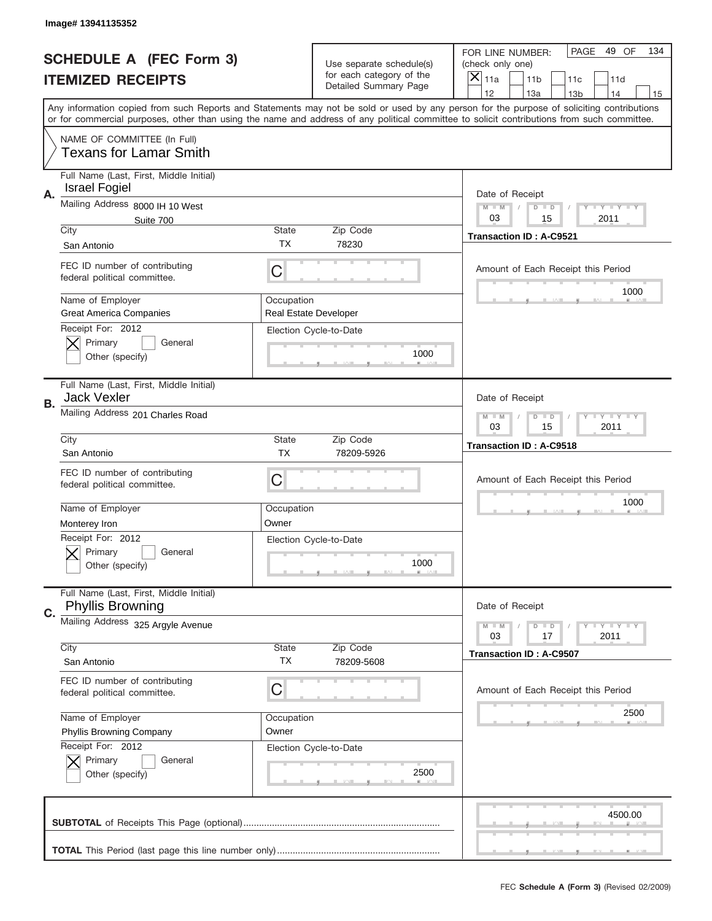|    | Image# 13941135352                                                          |                           |                                                   |                                                                                                                                                                                                                                                                                                                               |  |
|----|-----------------------------------------------------------------------------|---------------------------|---------------------------------------------------|-------------------------------------------------------------------------------------------------------------------------------------------------------------------------------------------------------------------------------------------------------------------------------------------------------------------------------|--|
|    | <b>SCHEDULE A (FEC Form 3)</b>                                              |                           | Use separate schedule(s)                          | PAGE<br>49 OF<br>134<br>FOR LINE NUMBER:<br>(check only one)                                                                                                                                                                                                                                                                  |  |
|    | <b>ITEMIZED RECEIPTS</b>                                                    |                           | for each category of the<br>Detailed Summary Page | $\overline{X} _{11a}$<br>11 <sub>b</sub><br>11c<br>11d<br>12                                                                                                                                                                                                                                                                  |  |
|    |                                                                             |                           |                                                   | 13a<br>14<br>13 <sub>b</sub><br>15<br>Any information copied from such Reports and Statements may not be sold or used by any person for the purpose of soliciting contributions<br>or for commercial purposes, other than using the name and address of any political committee to solicit contributions from such committee. |  |
|    | NAME OF COMMITTEE (In Full)<br><b>Texans for Lamar Smith</b>                |                           |                                                   |                                                                                                                                                                                                                                                                                                                               |  |
| Α. | Full Name (Last, First, Middle Initial)<br><b>Israel Fogiel</b>             |                           |                                                   | Date of Receipt                                                                                                                                                                                                                                                                                                               |  |
|    | Mailing Address 8000 IH 10 West<br>Suite 700                                |                           |                                                   | <b>LEY LEY LEY</b><br>$M - M$<br>$D$ $D$<br>03<br>15<br>2011                                                                                                                                                                                                                                                                  |  |
|    | City<br>San Antonio                                                         | State<br><b>TX</b>        | Zip Code<br>78230                                 | <b>Transaction ID: A-C9521</b>                                                                                                                                                                                                                                                                                                |  |
|    | FEC ID number of contributing<br>federal political committee.               | C                         |                                                   | Amount of Each Receipt this Period                                                                                                                                                                                                                                                                                            |  |
|    | Name of Employer<br><b>Great America Companies</b>                          | Occupation                | <b>Real Estate Developer</b>                      | 1000                                                                                                                                                                                                                                                                                                                          |  |
|    | Receipt For: 2012<br>Primary<br>General<br>Other (specify)                  |                           | Election Cycle-to-Date<br>1000                    |                                                                                                                                                                                                                                                                                                                               |  |
| В. | Full Name (Last, First, Middle Initial)<br><b>Jack Vexler</b>               |                           |                                                   | Date of Receipt                                                                                                                                                                                                                                                                                                               |  |
|    | Mailing Address 201 Charles Road                                            |                           |                                                   | <b>LY LY LY</b><br>$M - M$<br>$D$ $D$<br>03<br>15<br>2011                                                                                                                                                                                                                                                                     |  |
|    | City<br>San Antonio                                                         | <b>State</b><br><b>TX</b> | Zip Code<br>78209-5926                            | <b>Transaction ID: A-C9518</b>                                                                                                                                                                                                                                                                                                |  |
|    | FEC ID number of contributing<br>federal political committee.               | С                         |                                                   | Amount of Each Receipt this Period                                                                                                                                                                                                                                                                                            |  |
|    | Name of Employer                                                            | Occupation                |                                                   | 1000                                                                                                                                                                                                                                                                                                                          |  |
|    | Monterey Iron<br>Receipt For: 2012<br>General<br>Primary<br>Other (specify) | Owner                     | Election Cycle-to-Date<br>1000                    |                                                                                                                                                                                                                                                                                                                               |  |
| C. | Full Name (Last, First, Middle Initial)<br><b>Phyllis Browning</b>          |                           |                                                   | Date of Receipt                                                                                                                                                                                                                                                                                                               |  |
|    | Mailing Address 325 Argyle Avenue                                           |                           |                                                   | <b>LYLYLY</b><br>$M - M$<br>$D$ $D$<br>2011<br>03<br>17                                                                                                                                                                                                                                                                       |  |
|    | City<br>San Antonio                                                         | <b>State</b><br>ТX        | Zip Code<br>78209-5608                            | Transaction ID: A-C9507                                                                                                                                                                                                                                                                                                       |  |
|    | FEC ID number of contributing<br>federal political committee.               | С                         |                                                   | Amount of Each Receipt this Period                                                                                                                                                                                                                                                                                            |  |
|    | Name of Employer<br>Phyllis Browning Company                                | Occupation<br>Owner       |                                                   | 2500                                                                                                                                                                                                                                                                                                                          |  |
|    | Receipt For: 2012<br>Primary<br>General<br>Other (specify)                  |                           | Election Cycle-to-Date<br>2500                    |                                                                                                                                                                                                                                                                                                                               |  |
|    |                                                                             |                           |                                                   | 4500.00                                                                                                                                                                                                                                                                                                                       |  |
|    |                                                                             |                           |                                                   |                                                                                                                                                                                                                                                                                                                               |  |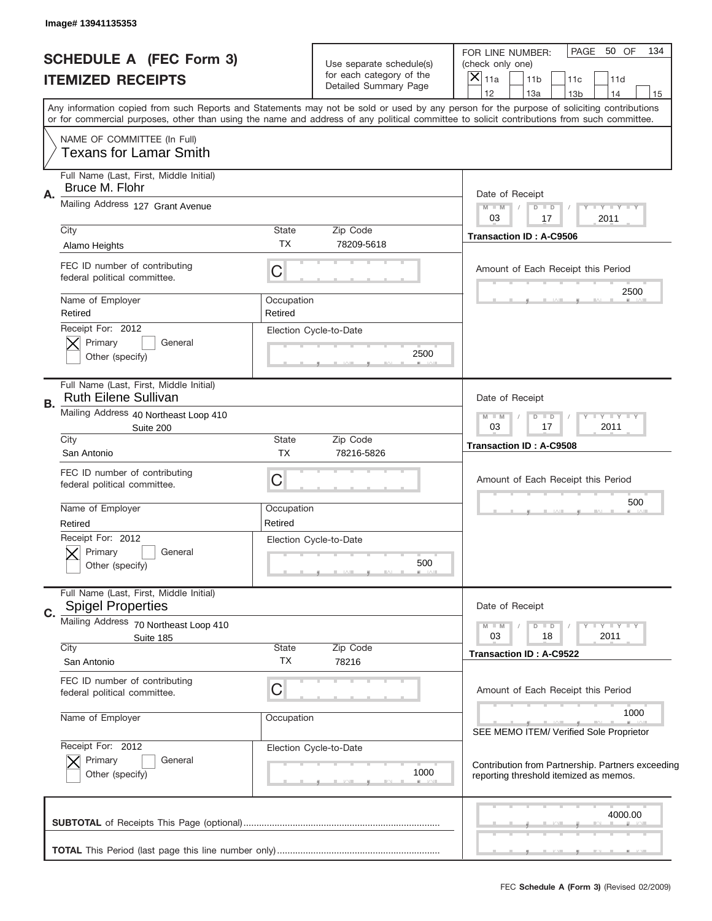|    | Image# 13941135353                                                                            |                       |                                                                               |                                                                                                                                                                                                                                                                                                                                     |
|----|-----------------------------------------------------------------------------------------------|-----------------------|-------------------------------------------------------------------------------|-------------------------------------------------------------------------------------------------------------------------------------------------------------------------------------------------------------------------------------------------------------------------------------------------------------------------------------|
|    | <b>SCHEDULE A (FEC Form 3)</b><br><b>ITEMIZED RECEIPTS</b>                                    |                       | Use separate schedule(s)<br>for each category of the<br>Detailed Summary Page | PAGE<br>50 OF<br>134<br>FOR LINE NUMBER:<br>(check only one)<br>$\times$<br>11a<br>11 <sub>b</sub><br>11c<br>11d                                                                                                                                                                                                                    |
|    |                                                                                               |                       |                                                                               | 12<br>13a<br>14<br>13 <sub>b</sub><br>15<br>Any information copied from such Reports and Statements may not be sold or used by any person for the purpose of soliciting contributions<br>or for commercial purposes, other than using the name and address of any political committee to solicit contributions from such committee. |
|    | NAME OF COMMITTEE (In Full)<br><b>Texans for Lamar Smith</b>                                  |                       |                                                                               |                                                                                                                                                                                                                                                                                                                                     |
| Α. | Full Name (Last, First, Middle Initial)<br>Bruce M. Flohr<br>Mailing Address 127 Grant Avenue |                       |                                                                               | Date of Receipt<br>Y FY FY FY<br>$M$ M<br>$D$ $D$<br>03<br>2011<br>17                                                                                                                                                                                                                                                               |
|    | City<br>Alamo Heights                                                                         | State<br><b>TX</b>    | Zip Code<br>78209-5618                                                        | <b>Transaction ID: A-C9506</b>                                                                                                                                                                                                                                                                                                      |
|    | FEC ID number of contributing<br>federal political committee.                                 | C                     |                                                                               | Amount of Each Receipt this Period                                                                                                                                                                                                                                                                                                  |
|    | Name of Employer<br>Retired                                                                   | Occupation<br>Retired |                                                                               | 2500                                                                                                                                                                                                                                                                                                                                |
|    | Receipt For: 2012<br>Primary<br>General<br>Other (specify)                                    |                       | Election Cycle-to-Date<br>2500                                                |                                                                                                                                                                                                                                                                                                                                     |
| В. | Full Name (Last, First, Middle Initial)<br><b>Ruth Eilene Sullivan</b>                        |                       |                                                                               | Date of Receipt                                                                                                                                                                                                                                                                                                                     |
|    | Mailing Address 40 Northeast Loop 410<br>Suite 200                                            |                       |                                                                               | $Y - Y - Y - Y - Y$<br>$M - M$<br>$D$ $D$<br>03<br>17<br>2011                                                                                                                                                                                                                                                                       |
|    | City<br>San Antonio                                                                           | State<br><b>TX</b>    | Zip Code<br>78216-5826                                                        | <b>Transaction ID: A-C9508</b>                                                                                                                                                                                                                                                                                                      |
|    | FEC ID number of contributing<br>federal political committee.                                 | C                     |                                                                               | Amount of Each Receipt this Period                                                                                                                                                                                                                                                                                                  |
|    | Name of Employer<br>Retired                                                                   | Occupation<br>Retired |                                                                               | 500                                                                                                                                                                                                                                                                                                                                 |
|    | Receipt For: 2012<br>General<br>Primary<br>Other (specify)                                    |                       | Election Cycle-to-Date<br>500                                                 |                                                                                                                                                                                                                                                                                                                                     |
| C. | Full Name (Last, First, Middle Initial)<br><b>Spigel Properties</b>                           |                       |                                                                               | Date of Receipt                                                                                                                                                                                                                                                                                                                     |
|    | Mailing Address 70 Northeast Loop 410<br>Suite 185                                            |                       |                                                                               | $T - Y$ $T - Y$ $T - Y$<br>$M - M$<br>$D$ $D$<br>03<br>2011<br>18                                                                                                                                                                                                                                                                   |
|    | City                                                                                          | State                 | Zip Code                                                                      | <b>Transaction ID: A-C9522</b>                                                                                                                                                                                                                                                                                                      |
|    | San Antonio                                                                                   | ТX                    | 78216                                                                         |                                                                                                                                                                                                                                                                                                                                     |
|    | FEC ID number of contributing<br>federal political committee.                                 | C                     |                                                                               | Amount of Each Receipt this Period                                                                                                                                                                                                                                                                                                  |
|    | Name of Employer                                                                              | Occupation            |                                                                               | 1000<br>_____<br>SEE MEMO ITEM/ Verified Sole Proprietor                                                                                                                                                                                                                                                                            |
|    | Receipt For: 2012<br>Primary<br>General<br>Other (specify)                                    |                       | Election Cycle-to-Date<br>1000                                                | Contribution from Partnership. Partners exceeding<br>reporting threshold itemized as memos.                                                                                                                                                                                                                                         |
|    |                                                                                               |                       |                                                                               | 4000.00                                                                                                                                                                                                                                                                                                                             |
|    |                                                                                               |                       |                                                                               |                                                                                                                                                                                                                                                                                                                                     |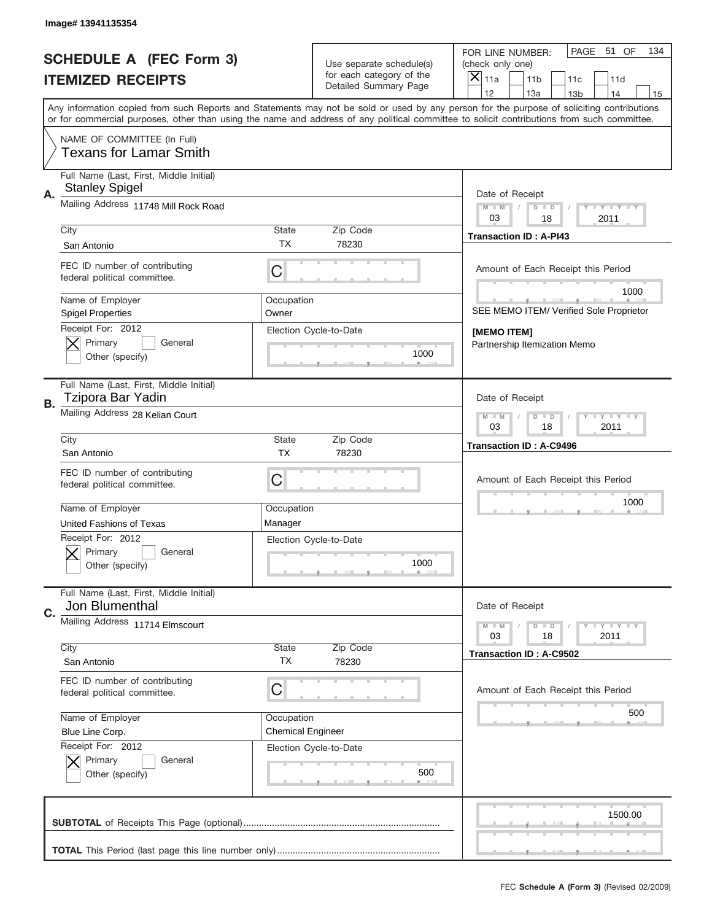|    | Image# 13941135354                                                                     |                                        |                                                   |                                                                                                                                                                                                                                                                                                                                     |
|----|----------------------------------------------------------------------------------------|----------------------------------------|---------------------------------------------------|-------------------------------------------------------------------------------------------------------------------------------------------------------------------------------------------------------------------------------------------------------------------------------------------------------------------------------------|
|    | <b>SCHEDULE A (FEC Form 3)</b>                                                         |                                        | Use separate schedule(s)                          | PAGE 51 OF<br>134<br>FOR LINE NUMBER:<br>(check only one)                                                                                                                                                                                                                                                                           |
|    | <b>ITEMIZED RECEIPTS</b>                                                               |                                        | for each category of the<br>Detailed Summary Page | ×<br>11a<br>11 <sub>b</sub><br>11c<br>11d                                                                                                                                                                                                                                                                                           |
|    |                                                                                        |                                        |                                                   | 12<br>13a<br>14<br>13 <sub>b</sub><br>15<br>Any information copied from such Reports and Statements may not be sold or used by any person for the purpose of soliciting contributions<br>or for commercial purposes, other than using the name and address of any political committee to solicit contributions from such committee. |
|    | NAME OF COMMITTEE (In Full)<br><b>Texans for Lamar Smith</b>                           |                                        |                                                   |                                                                                                                                                                                                                                                                                                                                     |
| Α. | Full Name (Last, First, Middle Initial)<br><b>Stanley Spigel</b>                       |                                        |                                                   | Date of Receipt                                                                                                                                                                                                                                                                                                                     |
|    | Mailing Address 11748 Mill Rock Road                                                   |                                        |                                                   | $M - M$<br><b>LY LY LY</b><br>$D$ $D$<br>03<br>18<br>2011                                                                                                                                                                                                                                                                           |
|    | City<br>San Antonio                                                                    | State<br>ТX                            | Zip Code<br>78230                                 | <b>Transaction ID: A-PI43</b>                                                                                                                                                                                                                                                                                                       |
|    | FEC ID number of contributing<br>federal political committee.                          | C                                      |                                                   | Amount of Each Receipt this Period<br>1000                                                                                                                                                                                                                                                                                          |
|    | Name of Employer<br><b>Spigel Properties</b>                                           | Occupation<br>Owner                    |                                                   | SEE MEMO ITEM/ Verified Sole Proprietor                                                                                                                                                                                                                                                                                             |
|    | Receipt For: 2012<br>Primary<br>General<br>Other (specify)                             |                                        | Election Cycle-to-Date<br>1000                    | [MEMO ITEM]<br>Partnership Itemization Memo                                                                                                                                                                                                                                                                                         |
| В. | Full Name (Last, First, Middle Initial)<br>Tzipora Bar Yadin                           |                                        |                                                   | Date of Receipt                                                                                                                                                                                                                                                                                                                     |
|    | Mailing Address 28 Kelian Court                                                        |                                        |                                                   | $M$ M<br><b>LEYTEY LEY</b><br>$D$ $D$<br>03<br>18<br>2011                                                                                                                                                                                                                                                                           |
|    | City<br>San Antonio                                                                    | State<br><b>TX</b>                     | Zip Code<br>78230                                 | <b>Transaction ID: A-C9496</b>                                                                                                                                                                                                                                                                                                      |
|    | FEC ID number of contributing<br>federal political committee.                          | C                                      |                                                   | Amount of Each Receipt this Period                                                                                                                                                                                                                                                                                                  |
|    | Name of Employer                                                                       | Occupation<br>Manager                  |                                                   | 1000                                                                                                                                                                                                                                                                                                                                |
|    | United Fashions of Texas<br>Receipt For: 2012<br>General<br>Primary<br>Other (specify) |                                        | Election Cycle-to-Date<br>1000                    |                                                                                                                                                                                                                                                                                                                                     |
| C. | Full Name (Last, First, Middle Initial)<br>Jon Blumenthal                              |                                        |                                                   | Date of Receipt                                                                                                                                                                                                                                                                                                                     |
|    | Mailing Address 11714 Elmscourt                                                        |                                        |                                                   | $I - Y - I - Y - I - Y$<br>$M - M$<br>$D$ $D$<br>2011<br>03<br>18                                                                                                                                                                                                                                                                   |
|    | City<br>San Antonio                                                                    | State<br>TX                            | Zip Code<br>78230                                 | Transaction ID: A-C9502                                                                                                                                                                                                                                                                                                             |
|    | FEC ID number of contributing<br>federal political committee.                          | C                                      |                                                   | Amount of Each Receipt this Period                                                                                                                                                                                                                                                                                                  |
|    | Name of Employer<br>Blue Line Corp.                                                    | Occupation<br><b>Chemical Engineer</b> |                                                   | 500                                                                                                                                                                                                                                                                                                                                 |
|    | Receipt For: 2012<br>Primary<br>General<br>Other (specify)                             |                                        | Election Cycle-to-Date<br>500                     |                                                                                                                                                                                                                                                                                                                                     |
|    |                                                                                        |                                        |                                                   | 1500.00                                                                                                                                                                                                                                                                                                                             |
|    |                                                                                        |                                        |                                                   |                                                                                                                                                                                                                                                                                                                                     |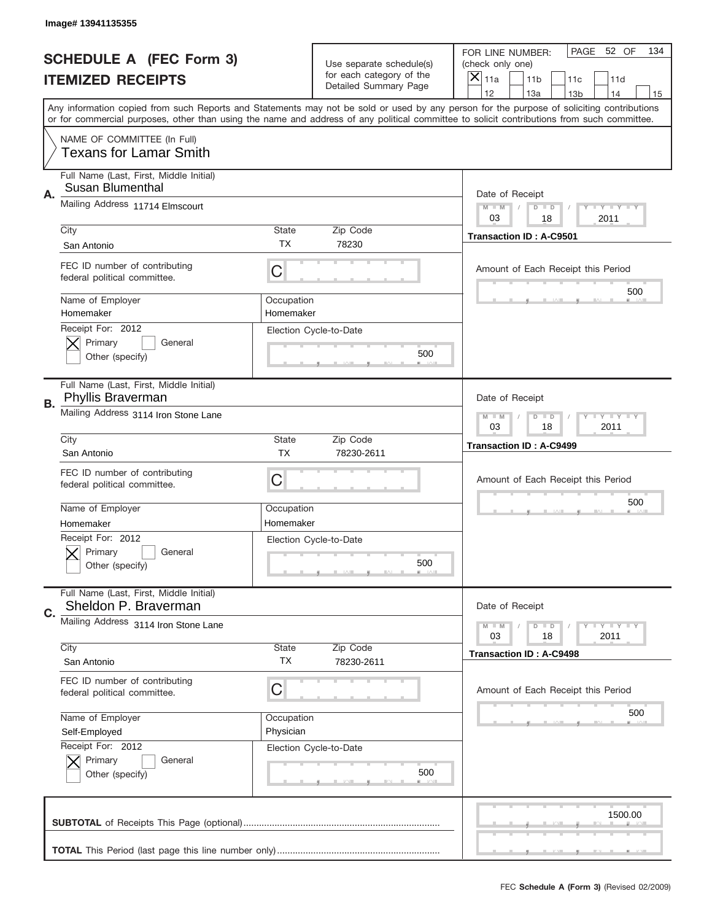|    | Image# 13941135355                                              |                                                           |                                                   |                                                                                                                                                                                                                                                                                                                                     |  |
|----|-----------------------------------------------------------------|-----------------------------------------------------------|---------------------------------------------------|-------------------------------------------------------------------------------------------------------------------------------------------------------------------------------------------------------------------------------------------------------------------------------------------------------------------------------------|--|
|    | <b>SCHEDULE A (FEC Form 3)</b>                                  |                                                           | Use separate schedule(s)                          | PAGE<br>52 OF<br>134<br>FOR LINE NUMBER:<br>(check only one)                                                                                                                                                                                                                                                                        |  |
|    | <b>ITEMIZED RECEIPTS</b>                                        |                                                           | for each category of the<br>Detailed Summary Page | $\boldsymbol{\times}$<br>11a<br>11 <sub>b</sub><br>11c<br>11d                                                                                                                                                                                                                                                                       |  |
|    |                                                                 |                                                           |                                                   | 12<br>13a<br>14<br>13 <sub>b</sub><br>15<br>Any information copied from such Reports and Statements may not be sold or used by any person for the purpose of soliciting contributions<br>or for commercial purposes, other than using the name and address of any political committee to solicit contributions from such committee. |  |
|    | NAME OF COMMITTEE (In Full)<br><b>Texans for Lamar Smith</b>    |                                                           |                                                   |                                                                                                                                                                                                                                                                                                                                     |  |
| Α. | Full Name (Last, First, Middle Initial)<br>Susan Blumenthal     |                                                           |                                                   | Date of Receipt                                                                                                                                                                                                                                                                                                                     |  |
|    | Mailing Address 11714 Elmscourt                                 |                                                           |                                                   | $M - M$<br><b>LEY LEY LEY</b><br>$D$ $D$<br>03<br>18<br>2011                                                                                                                                                                                                                                                                        |  |
|    | City<br>San Antonio                                             | State<br><b>TX</b>                                        | Zip Code<br>78230                                 | <b>Transaction ID: A-C9501</b>                                                                                                                                                                                                                                                                                                      |  |
|    | FEC ID number of contributing<br>federal political committee.   | C                                                         |                                                   | Amount of Each Receipt this Period<br>500                                                                                                                                                                                                                                                                                           |  |
|    | Name of Employer<br>Homemaker                                   | Occupation<br>Homemaker                                   |                                                   |                                                                                                                                                                                                                                                                                                                                     |  |
|    | Receipt For: 2012<br>Primary<br>General<br>Other (specify)      |                                                           | Election Cycle-to-Date<br>500                     |                                                                                                                                                                                                                                                                                                                                     |  |
| В. | Full Name (Last, First, Middle Initial)<br>Phyllis Braverman    |                                                           |                                                   | Date of Receipt                                                                                                                                                                                                                                                                                                                     |  |
|    | Mailing Address 3114 Iron Stone Lane                            | <b>LY LY LY</b><br>$M - M$<br>$D$ $D$<br>03<br>18<br>2011 |                                                   |                                                                                                                                                                                                                                                                                                                                     |  |
|    | City<br>San Antonio                                             | <b>State</b><br><b>TX</b>                                 | Zip Code<br>78230-2611                            | <b>Transaction ID: A-C9499</b>                                                                                                                                                                                                                                                                                                      |  |
|    | FEC ID number of contributing<br>federal political committee.   | C                                                         |                                                   | Amount of Each Receipt this Period                                                                                                                                                                                                                                                                                                  |  |
|    | Name of Employer<br>Homemaker                                   | Occupation<br>Homemaker                                   |                                                   | 500                                                                                                                                                                                                                                                                                                                                 |  |
|    | Receipt For: 2012<br>General<br>Primary<br>Other (specify)      |                                                           | Election Cycle-to-Date<br>500                     |                                                                                                                                                                                                                                                                                                                                     |  |
| C. | Full Name (Last, First, Middle Initial)<br>Sheldon P. Braverman |                                                           |                                                   | Date of Receipt                                                                                                                                                                                                                                                                                                                     |  |
|    | Mailing Address 3114 Iron Stone Lane                            |                                                           |                                                   | <b>LYLYLY</b><br>$M \perp M$<br>$D$ $D$<br>18<br>2011<br>03                                                                                                                                                                                                                                                                         |  |
|    | City<br>San Antonio                                             | <b>State</b><br>ТX                                        | Zip Code<br>78230-2611                            | <b>Transaction ID: A-C9498</b>                                                                                                                                                                                                                                                                                                      |  |
|    | FEC ID number of contributing<br>federal political committee.   | С                                                         |                                                   | Amount of Each Receipt this Period                                                                                                                                                                                                                                                                                                  |  |
|    | Name of Employer<br>Self-Employed<br>Receipt For: 2012          | Occupation<br>Physician                                   |                                                   | 500                                                                                                                                                                                                                                                                                                                                 |  |
|    | Primary<br>General<br>Other (specify)                           |                                                           | Election Cycle-to-Date<br>500                     |                                                                                                                                                                                                                                                                                                                                     |  |
|    |                                                                 |                                                           |                                                   | 1500.00                                                                                                                                                                                                                                                                                                                             |  |
|    |                                                                 |                                                           |                                                   |                                                                                                                                                                                                                                                                                                                                     |  |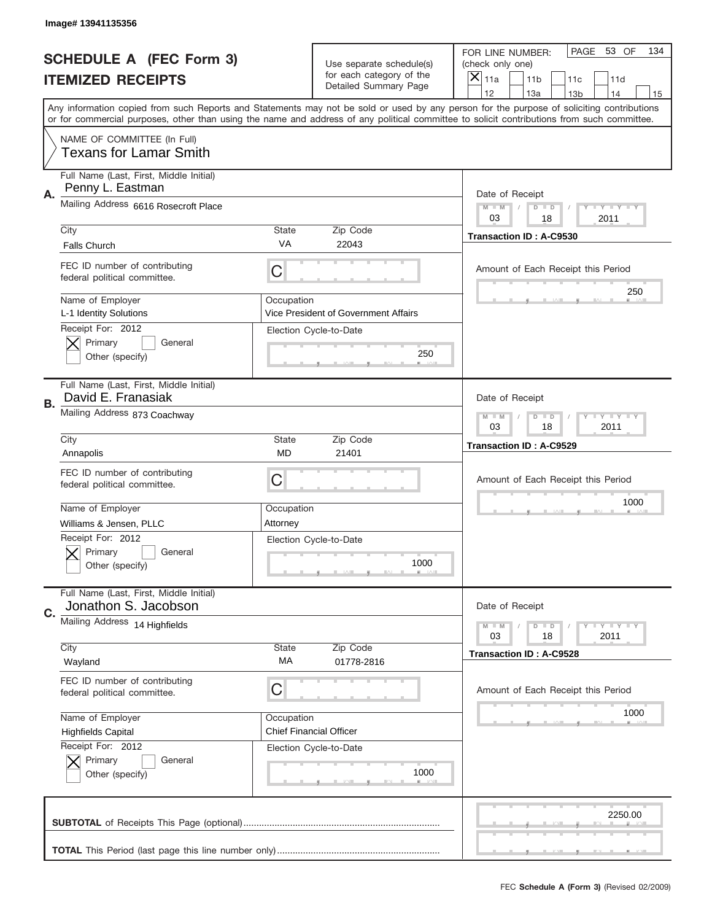|    | Image# 13941135356                                              |                        |                                                   |                                                                                                                                                                                                                                                                                                                                     |
|----|-----------------------------------------------------------------|------------------------|---------------------------------------------------|-------------------------------------------------------------------------------------------------------------------------------------------------------------------------------------------------------------------------------------------------------------------------------------------------------------------------------------|
|    | <b>SCHEDULE A (FEC Form 3)</b>                                  |                        | Use separate schedule(s)                          | PAGE 53 OF<br>134<br>FOR LINE NUMBER:<br>(check only one)                                                                                                                                                                                                                                                                           |
|    | <b>ITEMIZED RECEIPTS</b>                                        |                        | for each category of the<br>Detailed Summary Page | ×<br>11a<br>11 <sub>b</sub><br>11c<br>11d                                                                                                                                                                                                                                                                                           |
|    |                                                                 |                        |                                                   | 12<br>13a<br>14<br>13 <sub>b</sub><br>15<br>Any information copied from such Reports and Statements may not be sold or used by any person for the purpose of soliciting contributions<br>or for commercial purposes, other than using the name and address of any political committee to solicit contributions from such committee. |
|    | NAME OF COMMITTEE (In Full)<br><b>Texans for Lamar Smith</b>    |                        |                                                   |                                                                                                                                                                                                                                                                                                                                     |
| Α. | Full Name (Last, First, Middle Initial)<br>Penny L. Eastman     |                        |                                                   | Date of Receipt                                                                                                                                                                                                                                                                                                                     |
|    | Mailing Address 6616 Rosecroft Place                            |                        |                                                   | $M - M$<br><b>LY LY LY</b><br>$D$ $D$<br>03<br>2011<br>18                                                                                                                                                                                                                                                                           |
|    | City<br><b>Falls Church</b>                                     | State<br>VA            | Zip Code<br>22043                                 | <b>Transaction ID: A-C9530</b>                                                                                                                                                                                                                                                                                                      |
|    | FEC ID number of contributing<br>federal political committee.   | C                      |                                                   | Amount of Each Receipt this Period<br>250                                                                                                                                                                                                                                                                                           |
|    | Name of Employer<br>L-1 Identity Solutions<br>Receipt For: 2012 | Occupation             | Vice President of Government Affairs              |                                                                                                                                                                                                                                                                                                                                     |
|    | Primary<br>General<br>Other (specify)                           |                        | Election Cycle-to-Date<br>250                     |                                                                                                                                                                                                                                                                                                                                     |
| В. | Full Name (Last, First, Middle Initial)<br>David E. Franasiak   |                        |                                                   | Date of Receipt                                                                                                                                                                                                                                                                                                                     |
|    | Mailing Address 873 Coachway                                    |                        |                                                   | $M$ M<br>$D$ $D$<br><b>LEYTEY LEY</b><br>03<br>18<br>2011                                                                                                                                                                                                                                                                           |
|    | City<br>Annapolis                                               | State<br>MD            | Zip Code<br>21401                                 | <b>Transaction ID: A-C9529</b>                                                                                                                                                                                                                                                                                                      |
|    | FEC ID number of contributing<br>federal political committee.   | C                      |                                                   | Amount of Each Receipt this Period                                                                                                                                                                                                                                                                                                  |
|    |                                                                 |                        |                                                   |                                                                                                                                                                                                                                                                                                                                     |
|    | Name of Employer<br>Williams & Jensen, PLLC                     | Occupation<br>Attorney |                                                   | 1000                                                                                                                                                                                                                                                                                                                                |
|    | Receipt For: 2012<br>General<br>Primary<br>Other (specify)      |                        | Election Cycle-to-Date<br>1000                    |                                                                                                                                                                                                                                                                                                                                     |
|    | Full Name (Last, First, Middle Initial)<br>Jonathon S. Jacobson |                        |                                                   | Date of Receipt                                                                                                                                                                                                                                                                                                                     |
| C. | Mailing Address 14 Highfields                                   |                        |                                                   | $I - Y - I - Y - I - Y$<br>$M - M$<br>$D$ $D$<br>03<br>18<br>2011                                                                                                                                                                                                                                                                   |
|    | City<br>Wayland                                                 | <b>State</b><br>МA     | Zip Code<br>01778-2816                            | <b>Transaction ID: A-C9528</b>                                                                                                                                                                                                                                                                                                      |
|    | FEC ID number of contributing<br>federal political committee.   | C                      |                                                   | Amount of Each Receipt this Period                                                                                                                                                                                                                                                                                                  |
|    | Name of Employer<br><b>Highfields Capital</b>                   | Occupation             | <b>Chief Financial Officer</b>                    | 1000                                                                                                                                                                                                                                                                                                                                |
|    | Receipt For: 2012<br>Primary<br>General<br>Other (specify)      |                        | Election Cycle-to-Date<br>1000                    |                                                                                                                                                                                                                                                                                                                                     |
|    |                                                                 |                        |                                                   | 2250.00                                                                                                                                                                                                                                                                                                                             |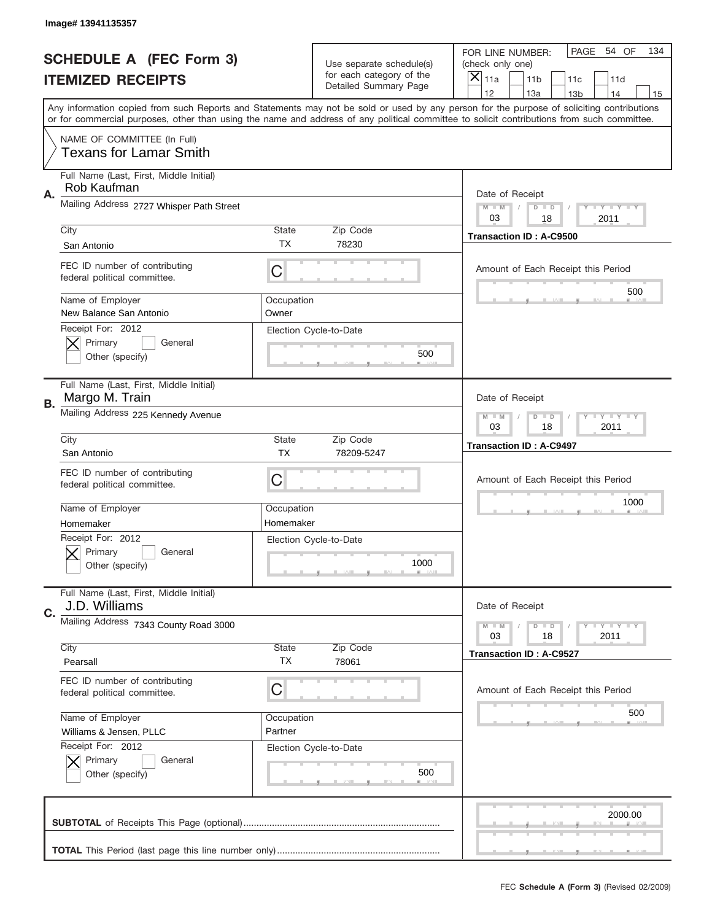|    | Image# 13941135357                                               |                         |                                                      |                                                                                                                                                                                                                                                                                                                                     |
|----|------------------------------------------------------------------|-------------------------|------------------------------------------------------|-------------------------------------------------------------------------------------------------------------------------------------------------------------------------------------------------------------------------------------------------------------------------------------------------------------------------------------|
|    | <b>SCHEDULE A (FEC Form 3)</b>                                   |                         | Use separate schedule(s)<br>for each category of the | PAGE<br>54 OF<br>134<br>FOR LINE NUMBER:<br>(check only one)                                                                                                                                                                                                                                                                        |
|    | <b>ITEMIZED RECEIPTS</b>                                         |                         | Detailed Summary Page                                | ×<br>11a<br>11 <sub>b</sub><br>11c<br>11d                                                                                                                                                                                                                                                                                           |
|    |                                                                  |                         |                                                      | 12<br>13a<br>14<br>13 <sub>b</sub><br>15<br>Any information copied from such Reports and Statements may not be sold or used by any person for the purpose of soliciting contributions<br>or for commercial purposes, other than using the name and address of any political committee to solicit contributions from such committee. |
|    | NAME OF COMMITTEE (In Full)<br><b>Texans for Lamar Smith</b>     |                         |                                                      |                                                                                                                                                                                                                                                                                                                                     |
| Α. | Full Name (Last, First, Middle Initial)<br>Rob Kaufman           |                         |                                                      | Date of Receipt                                                                                                                                                                                                                                                                                                                     |
|    | Mailing Address 2727 Whisper Path Street                         |                         |                                                      | $M$ $M$<br>Y FY FY FY<br>$D$ $D$<br>03<br>18<br>2011                                                                                                                                                                                                                                                                                |
|    | City<br>San Antonio                                              | State<br>ТX             | Zip Code<br>78230                                    | <b>Transaction ID: A-C9500</b>                                                                                                                                                                                                                                                                                                      |
|    | FEC ID number of contributing<br>federal political committee.    | C                       |                                                      | Amount of Each Receipt this Period<br>500                                                                                                                                                                                                                                                                                           |
|    | Name of Employer<br>New Balance San Antonio<br>Receipt For: 2012 | Occupation<br>Owner     |                                                      |                                                                                                                                                                                                                                                                                                                                     |
|    | Primary<br>General<br>Other (specify)                            |                         | Election Cycle-to-Date<br>500                        |                                                                                                                                                                                                                                                                                                                                     |
| В. | Full Name (Last, First, Middle Initial)<br>Margo M. Train        |                         |                                                      | Date of Receipt                                                                                                                                                                                                                                                                                                                     |
|    | Mailing Address 225 Kennedy Avenue                               |                         |                                                      | $T$ $Y$ $T$ $Y$ $T$ $Y$<br>$M - M$<br>$D$ $D$<br>03<br>18<br>2011                                                                                                                                                                                                                                                                   |
|    | City<br>San Antonio                                              | State<br><b>TX</b>      | Zip Code<br>78209-5247                               | <b>Transaction ID: A-C9497</b>                                                                                                                                                                                                                                                                                                      |
|    | FEC ID number of contributing<br>federal political committee.    | C                       |                                                      | Amount of Each Receipt this Period                                                                                                                                                                                                                                                                                                  |
|    | Name of Employer<br>Homemaker                                    | Occupation<br>Homemaker |                                                      | 1000                                                                                                                                                                                                                                                                                                                                |
|    | Receipt For: 2012<br>General<br>Primary<br>Other (specify)       |                         | Election Cycle-to-Date<br>1000                       |                                                                                                                                                                                                                                                                                                                                     |
| C. | Full Name (Last, First, Middle Initial)<br>J.D. Williams         |                         |                                                      | Date of Receipt                                                                                                                                                                                                                                                                                                                     |
|    | Mailing Address 7343 County Road 3000                            |                         |                                                      | <b>LYLYLY</b><br>$M - M$<br>$D$ $D$<br>2011<br>03<br>18                                                                                                                                                                                                                                                                             |
|    | City<br>Pearsall                                                 | State<br><b>TX</b>      | Zip Code<br>78061                                    | <b>Transaction ID: A-C9527</b>                                                                                                                                                                                                                                                                                                      |
|    | FEC ID number of contributing<br>federal political committee.    | C                       |                                                      | Amount of Each Receipt this Period                                                                                                                                                                                                                                                                                                  |
|    | Name of Employer<br>Williams & Jensen, PLLC                      | Occupation<br>Partner   |                                                      | 500                                                                                                                                                                                                                                                                                                                                 |
|    | Receipt For: 2012<br>Primary<br>General<br>Other (specify)       |                         | Election Cycle-to-Date<br>500                        |                                                                                                                                                                                                                                                                                                                                     |
|    |                                                                  |                         |                                                      | 2000.00                                                                                                                                                                                                                                                                                                                             |
|    |                                                                  |                         |                                                      |                                                                                                                                                                                                                                                                                                                                     |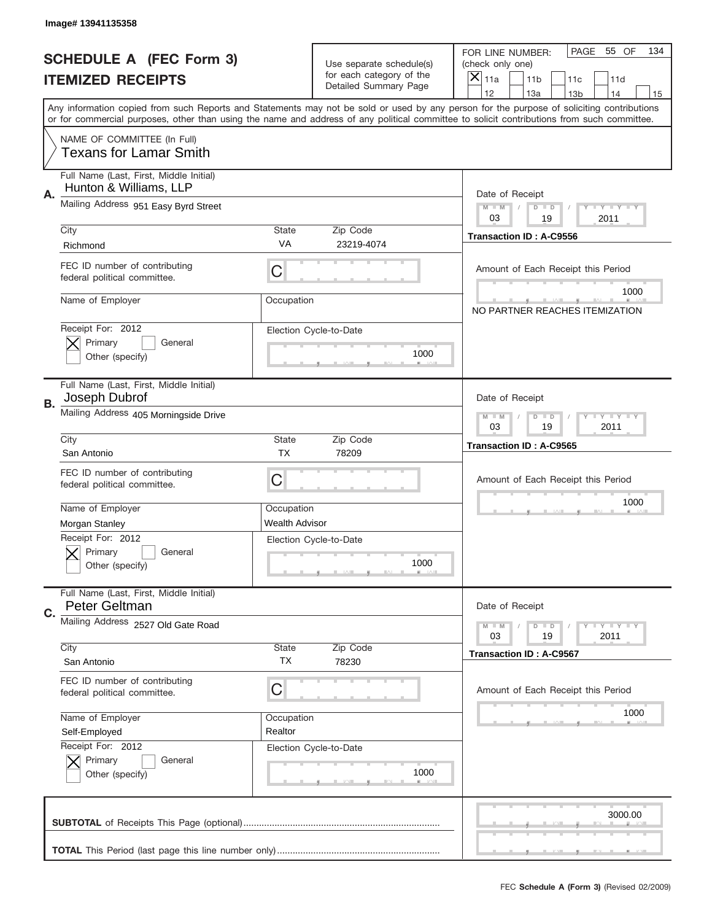|    | Image# 13941135358                                                |                           |                                                   |                                                                                                                                                                                       |
|----|-------------------------------------------------------------------|---------------------------|---------------------------------------------------|---------------------------------------------------------------------------------------------------------------------------------------------------------------------------------------|
|    | <b>SCHEDULE A (FEC Form 3)</b>                                    |                           | Use separate schedule(s)                          | PAGE<br>55 OF<br>134<br>FOR LINE NUMBER:<br>(check only one)                                                                                                                          |
|    | <b>ITEMIZED RECEIPTS</b>                                          |                           | for each category of the<br>Detailed Summary Page | $\overline{X} _{11a}$<br>11 <sub>b</sub><br>11c<br>11d                                                                                                                                |
|    |                                                                   |                           |                                                   | 12<br>13a<br>14<br>13 <sub>b</sub><br>15<br>Any information copied from such Reports and Statements may not be sold or used by any person for the purpose of soliciting contributions |
|    |                                                                   |                           |                                                   | or for commercial purposes, other than using the name and address of any political committee to solicit contributions from such committee.                                            |
|    | NAME OF COMMITTEE (In Full)<br><b>Texans for Lamar Smith</b>      |                           |                                                   |                                                                                                                                                                                       |
| Α. | Full Name (Last, First, Middle Initial)<br>Hunton & Williams, LLP |                           |                                                   | Date of Receipt                                                                                                                                                                       |
|    | Mailing Address 951 Easy Byrd Street                              |                           |                                                   | <b>LEY LEY LEY</b><br>$M - M$<br>$D$ $D$<br>03<br>19<br>2011                                                                                                                          |
|    | City<br>Richmond                                                  | <b>State</b><br>VA        | Zip Code<br>23219-4074                            | <b>Transaction ID: A-C9556</b>                                                                                                                                                        |
|    | FEC ID number of contributing<br>federal political committee.     | С                         |                                                   | Amount of Each Receipt this Period                                                                                                                                                    |
|    | Name of Employer                                                  | Occupation                |                                                   | 1000<br>NO PARTNER REACHES ITEMIZATION                                                                                                                                                |
|    | Receipt For: 2012<br>Primary<br>General<br>Other (specify)        |                           | Election Cycle-to-Date<br>1000                    |                                                                                                                                                                                       |
| В. | Full Name (Last, First, Middle Initial)<br>Joseph Dubrof          |                           |                                                   | Date of Receipt                                                                                                                                                                       |
|    | Mailing Address 405 Morningside Drive                             |                           |                                                   | $M - M$<br>$D$ $D$<br><b>LYLYLY</b><br>03<br>19<br>2011                                                                                                                               |
|    | City<br>San Antonio                                               | <b>State</b><br><b>TX</b> | Zip Code<br>78209                                 | <b>Transaction ID: A-C9565</b>                                                                                                                                                        |
|    | FEC ID number of contributing<br>federal political committee.     | С                         |                                                   | Amount of Each Receipt this Period                                                                                                                                                    |
|    | Name of Employer                                                  | Occupation                |                                                   | 1000                                                                                                                                                                                  |
|    | Morgan Stanley                                                    | <b>Wealth Advisor</b>     |                                                   |                                                                                                                                                                                       |
|    | Receipt For: 2012<br>General<br>Primary<br>Other (specify)        |                           | Election Cycle-to-Date<br>1000                    |                                                                                                                                                                                       |
| C. | Full Name (Last, First, Middle Initial)<br>Peter Geltman          |                           |                                                   | Date of Receipt                                                                                                                                                                       |
|    | Mailing Address 2527 Old Gate Road                                |                           |                                                   | <b>LY LY LY</b><br>$M - M$<br>$D$ $D$<br>19<br>2011<br>03                                                                                                                             |
|    | City<br>San Antonio                                               | <b>State</b><br>ТX        | Zip Code<br>78230                                 | <b>Transaction ID: A-C9567</b>                                                                                                                                                        |
|    | FEC ID number of contributing<br>federal political committee.     | С                         |                                                   | Amount of Each Receipt this Period                                                                                                                                                    |
|    | Name of Employer                                                  | Occupation                |                                                   | 1000                                                                                                                                                                                  |
|    | Self-Employed                                                     | Realtor                   |                                                   |                                                                                                                                                                                       |
|    | Receipt For: 2012<br>Primary<br>General<br>Other (specify)        |                           | Election Cycle-to-Date<br>1000                    |                                                                                                                                                                                       |
|    |                                                                   |                           |                                                   | 3000.00                                                                                                                                                                               |
|    |                                                                   |                           |                                                   |                                                                                                                                                                                       |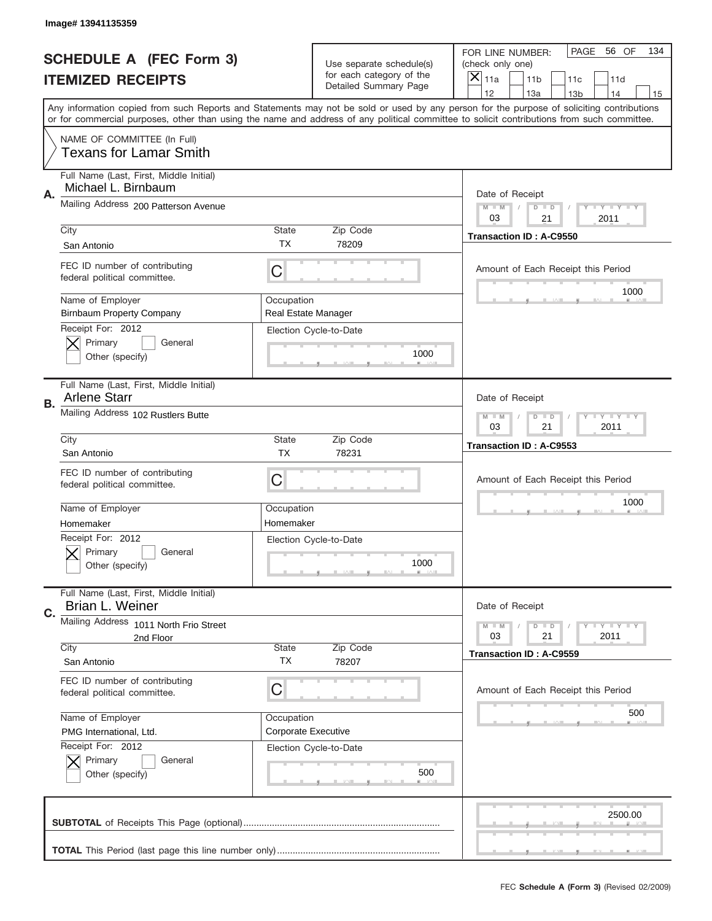|    | Image# 13941135359                                                        |                                   |                                                   |                                                                                                                                                                                                                                                                                                                                     |
|----|---------------------------------------------------------------------------|-----------------------------------|---------------------------------------------------|-------------------------------------------------------------------------------------------------------------------------------------------------------------------------------------------------------------------------------------------------------------------------------------------------------------------------------------|
|    | <b>SCHEDULE A (FEC Form 3)</b>                                            |                                   | Use separate schedule(s)                          | PAGE<br>56 OF<br>134<br>FOR LINE NUMBER:<br>(check only one)                                                                                                                                                                                                                                                                        |
|    | <b>ITEMIZED RECEIPTS</b>                                                  |                                   | for each category of the<br>Detailed Summary Page | ×<br>11a<br>11 <sub>b</sub><br>11c<br>11d                                                                                                                                                                                                                                                                                           |
|    |                                                                           |                                   |                                                   | 12<br>13a<br>14<br>13 <sub>b</sub><br>15<br>Any information copied from such Reports and Statements may not be sold or used by any person for the purpose of soliciting contributions<br>or for commercial purposes, other than using the name and address of any political committee to solicit contributions from such committee. |
|    | NAME OF COMMITTEE (In Full)<br><b>Texans for Lamar Smith</b>              |                                   |                                                   |                                                                                                                                                                                                                                                                                                                                     |
| Α. | Full Name (Last, First, Middle Initial)<br>Michael L. Birnbaum            |                                   |                                                   | Date of Receipt                                                                                                                                                                                                                                                                                                                     |
|    | Mailing Address 200 Patterson Avenue                                      |                                   |                                                   | $M$ $M$<br><b>THEY THEY</b><br>$D$ $D$<br>03<br>21<br>2011                                                                                                                                                                                                                                                                          |
|    | City<br>San Antonio                                                       | State<br>ТX                       | Zip Code<br>78209                                 | <b>Transaction ID: A-C9550</b>                                                                                                                                                                                                                                                                                                      |
|    | FEC ID number of contributing<br>federal political committee.             | C                                 |                                                   | Amount of Each Receipt this Period<br>1000                                                                                                                                                                                                                                                                                          |
|    | Name of Employer<br><b>Birnbaum Property Company</b><br>Receipt For: 2012 | Occupation<br>Real Estate Manager |                                                   |                                                                                                                                                                                                                                                                                                                                     |
|    | Primary<br>General<br>Other (specify)                                     |                                   | Election Cycle-to-Date<br>1000                    |                                                                                                                                                                                                                                                                                                                                     |
| В. | Full Name (Last, First, Middle Initial)<br><b>Arlene Starr</b>            |                                   |                                                   | Date of Receipt                                                                                                                                                                                                                                                                                                                     |
|    | Mailing Address 102 Rustlers Butte                                        |                                   |                                                   | <b>LY LY LY</b><br>$M$ $M$<br>$D$ $D$<br>03<br>21<br>2011                                                                                                                                                                                                                                                                           |
|    | City<br>San Antonio                                                       | State<br><b>TX</b>                | Zip Code<br>78231                                 | <b>Transaction ID: A-C9553</b>                                                                                                                                                                                                                                                                                                      |
|    | FEC ID number of contributing<br>federal political committee.             | C                                 |                                                   | Amount of Each Receipt this Period                                                                                                                                                                                                                                                                                                  |
|    | Name of Employer<br>Homemaker                                             | Occupation<br>Homemaker           |                                                   | 1000                                                                                                                                                                                                                                                                                                                                |
|    | Receipt For: 2012<br>Primary<br>General<br>Other (specify)                |                                   | Election Cycle-to-Date<br>1000                    |                                                                                                                                                                                                                                                                                                                                     |
| C. | Full Name (Last, First, Middle Initial)<br>Brian L. Weiner                |                                   |                                                   | Date of Receipt                                                                                                                                                                                                                                                                                                                     |
|    | Mailing Address 1011 North Frio Street<br>2nd Floor                       |                                   | Zip Code                                          | <b>LYLYLY</b><br>$M - M$<br>$D$ $D$<br>21<br>2011<br>03                                                                                                                                                                                                                                                                             |
|    | City<br>San Antonio                                                       | State<br><b>TX</b>                | 78207                                             | <b>Transaction ID: A-C9559</b>                                                                                                                                                                                                                                                                                                      |
|    | FEC ID number of contributing<br>federal political committee.             | C                                 |                                                   | Amount of Each Receipt this Period                                                                                                                                                                                                                                                                                                  |
|    | Name of Employer                                                          | Occupation                        | <b>Corporate Executive</b>                        | 500                                                                                                                                                                                                                                                                                                                                 |
|    | PMG International, Ltd.                                                   |                                   |                                                   |                                                                                                                                                                                                                                                                                                                                     |
|    | Receipt For: 2012<br>Primary<br>General<br>Other (specify)                |                                   | Election Cycle-to-Date<br>500                     |                                                                                                                                                                                                                                                                                                                                     |
|    |                                                                           |                                   |                                                   | 2500.00                                                                                                                                                                                                                                                                                                                             |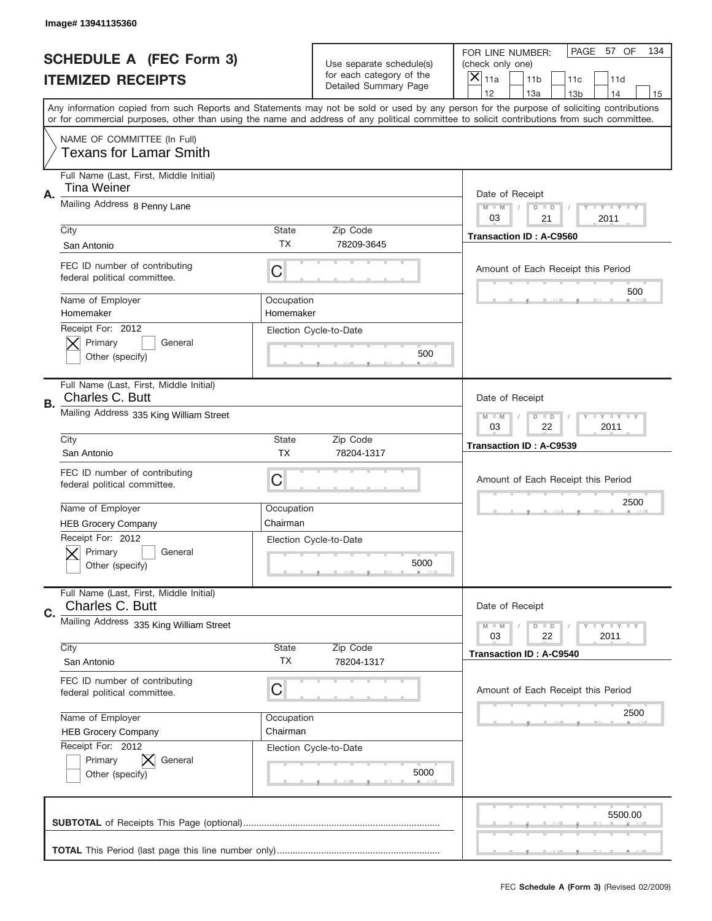|    | Image# 13941135360                                            |                                                           |                                                   |                                                                                                                                                                                                                                                                                                                               |     |
|----|---------------------------------------------------------------|-----------------------------------------------------------|---------------------------------------------------|-------------------------------------------------------------------------------------------------------------------------------------------------------------------------------------------------------------------------------------------------------------------------------------------------------------------------------|-----|
|    | <b>SCHEDULE A (FEC Form 3)</b>                                |                                                           | Use separate schedule(s)                          | PAGE<br>57 OF<br>FOR LINE NUMBER:<br>(check only one)                                                                                                                                                                                                                                                                         | 134 |
|    | <b>ITEMIZED RECEIPTS</b>                                      |                                                           | for each category of the<br>Detailed Summary Page | $\boldsymbol{\times}$<br>11a<br>11 <sub>b</sub><br>11c<br>11d                                                                                                                                                                                                                                                                 |     |
|    |                                                               |                                                           |                                                   | 12<br>13a<br>14<br>13 <sub>b</sub><br>Any information copied from such Reports and Statements may not be sold or used by any person for the purpose of soliciting contributions<br>or for commercial purposes, other than using the name and address of any political committee to solicit contributions from such committee. | 15  |
|    | NAME OF COMMITTEE (In Full)<br><b>Texans for Lamar Smith</b>  |                                                           |                                                   |                                                                                                                                                                                                                                                                                                                               |     |
| Α. | Full Name (Last, First, Middle Initial)<br>Tina Weiner        |                                                           |                                                   | Date of Receipt                                                                                                                                                                                                                                                                                                               |     |
|    | Mailing Address 8 Penny Lane                                  |                                                           |                                                   | <b>LEY LEY LEY</b><br>$M - M$<br>$D$ $D$<br>03<br>21<br>2011                                                                                                                                                                                                                                                                  |     |
|    | City<br>San Antonio                                           | State<br><b>TX</b>                                        | Zip Code<br>78209-3645                            | <b>Transaction ID: A-C9560</b>                                                                                                                                                                                                                                                                                                |     |
|    | FEC ID number of contributing<br>federal political committee. | C                                                         |                                                   | Amount of Each Receipt this Period<br>500                                                                                                                                                                                                                                                                                     |     |
|    | Name of Employer<br>Homemaker                                 | Occupation<br>Homemaker                                   |                                                   |                                                                                                                                                                                                                                                                                                                               |     |
|    | Receipt For: 2012<br>Primary<br>General<br>Other (specify)    |                                                           | Election Cycle-to-Date<br>500                     |                                                                                                                                                                                                                                                                                                                               |     |
| В. | Full Name (Last, First, Middle Initial)<br>Charles C. Butt    |                                                           |                                                   | Date of Receipt                                                                                                                                                                                                                                                                                                               |     |
|    | Mailing Address 335 King William Street                       | <b>LY LY LY</b><br>$M - M$<br>$D$ $D$<br>03<br>22<br>2011 |                                                   |                                                                                                                                                                                                                                                                                                                               |     |
|    | City<br>San Antonio                                           | State<br><b>TX</b>                                        | Zip Code<br>78204-1317                            | <b>Transaction ID: A-C9539</b>                                                                                                                                                                                                                                                                                                |     |
|    | FEC ID number of contributing<br>federal political committee. | C                                                         |                                                   | Amount of Each Receipt this Period                                                                                                                                                                                                                                                                                            |     |
|    | Name of Employer<br><b>HEB Grocery Company</b>                | Occupation<br>Chairman                                    |                                                   | 2500                                                                                                                                                                                                                                                                                                                          |     |
|    | Receipt For: 2012<br>General<br>Primary<br>Other (specify)    |                                                           | Election Cycle-to-Date<br>5000                    |                                                                                                                                                                                                                                                                                                                               |     |
| C. | Full Name (Last, First, Middle Initial)<br>Charles C. Butt    |                                                           |                                                   | Date of Receipt                                                                                                                                                                                                                                                                                                               |     |
|    | Mailing Address 335 King William Street                       |                                                           |                                                   | <b>LY LY LY</b><br>$M - M$<br>$D$ $D$<br>22<br>2011<br>03                                                                                                                                                                                                                                                                     |     |
|    | City<br>San Antonio                                           | State<br>ТX                                               | Zip Code<br>78204-1317                            | <b>Transaction ID: A-C9540</b>                                                                                                                                                                                                                                                                                                |     |
|    | FEC ID number of contributing<br>federal political committee. | С                                                         |                                                   | Amount of Each Receipt this Period                                                                                                                                                                                                                                                                                            |     |
|    | Name of Employer<br><b>HEB Grocery Company</b>                | Occupation<br>Chairman                                    |                                                   | 2500                                                                                                                                                                                                                                                                                                                          |     |
|    | Receipt For: 2012<br>Primary<br>General<br>Other (specify)    |                                                           | Election Cycle-to-Date<br>5000                    |                                                                                                                                                                                                                                                                                                                               |     |
|    |                                                               |                                                           |                                                   | 5500.00                                                                                                                                                                                                                                                                                                                       |     |
|    |                                                               |                                                           |                                                   |                                                                                                                                                                                                                                                                                                                               |     |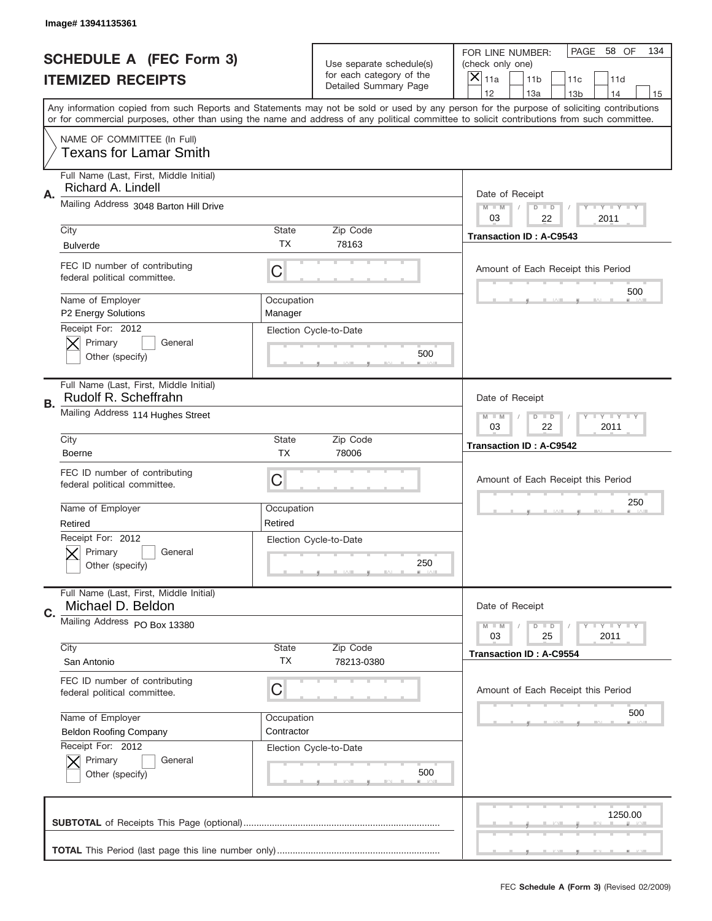|           | Image# 13941135361                                              |                                                           |                                                   |                                                                                                                                                                                                                                                                                                                                     |
|-----------|-----------------------------------------------------------------|-----------------------------------------------------------|---------------------------------------------------|-------------------------------------------------------------------------------------------------------------------------------------------------------------------------------------------------------------------------------------------------------------------------------------------------------------------------------------|
|           | <b>SCHEDULE A (FEC Form 3)</b>                                  |                                                           | Use separate schedule(s)                          | PAGE<br>58 OF<br>134<br>FOR LINE NUMBER:<br>(check only one)                                                                                                                                                                                                                                                                        |
|           | <b>ITEMIZED RECEIPTS</b>                                        |                                                           | for each category of the<br>Detailed Summary Page | $\boldsymbol{\times}$<br>11a<br>11 <sub>b</sub><br>11c<br>11d                                                                                                                                                                                                                                                                       |
|           |                                                                 |                                                           |                                                   | 12<br>13a<br>14<br>13 <sub>b</sub><br>15<br>Any information copied from such Reports and Statements may not be sold or used by any person for the purpose of soliciting contributions<br>or for commercial purposes, other than using the name and address of any political committee to solicit contributions from such committee. |
|           | NAME OF COMMITTEE (In Full)<br><b>Texans for Lamar Smith</b>    |                                                           |                                                   |                                                                                                                                                                                                                                                                                                                                     |
| Α.        | Full Name (Last, First, Middle Initial)<br>Richard A. Lindell   |                                                           |                                                   | Date of Receipt                                                                                                                                                                                                                                                                                                                     |
|           | Mailing Address 3048 Barton Hill Drive                          |                                                           |                                                   | <b>LEY LEY LEY</b><br>$M - M$<br>$D$ $D$<br>03<br>22<br>2011                                                                                                                                                                                                                                                                        |
|           | City<br><b>Bulverde</b>                                         | State<br><b>TX</b>                                        | Zip Code<br>78163                                 | <b>Transaction ID: A-C9543</b>                                                                                                                                                                                                                                                                                                      |
|           | FEC ID number of contributing<br>federal political committee.   | C                                                         |                                                   | Amount of Each Receipt this Period                                                                                                                                                                                                                                                                                                  |
|           | Name of Employer<br>P2 Energy Solutions                         | Occupation<br>Manager                                     |                                                   | 500                                                                                                                                                                                                                                                                                                                                 |
|           | Receipt For: 2012<br>Primary<br>General<br>Other (specify)      |                                                           | Election Cycle-to-Date<br>500                     |                                                                                                                                                                                                                                                                                                                                     |
| <b>B.</b> | Full Name (Last, First, Middle Initial)<br>Rudolf R. Scheffrahn |                                                           |                                                   | Date of Receipt                                                                                                                                                                                                                                                                                                                     |
|           | Mailing Address 114 Hughes Street                               | $M - M$<br>$D$ $D$<br><b>LY LY LY</b><br>03<br>22<br>2011 |                                                   |                                                                                                                                                                                                                                                                                                                                     |
|           | City<br><b>Boerne</b>                                           | <b>State</b><br><b>TX</b>                                 | Zip Code<br>78006                                 | <b>Transaction ID: A-C9542</b>                                                                                                                                                                                                                                                                                                      |
|           | FEC ID number of contributing<br>federal political committee.   | С                                                         |                                                   | Amount of Each Receipt this Period                                                                                                                                                                                                                                                                                                  |
|           | Name of Employer<br>Retired                                     | Occupation<br>Retired                                     |                                                   | 250                                                                                                                                                                                                                                                                                                                                 |
|           | Receipt For: 2012<br>General<br>Primary<br>Other (specify)      |                                                           | Election Cycle-to-Date<br>250                     |                                                                                                                                                                                                                                                                                                                                     |
| C.        | Full Name (Last, First, Middle Initial)<br>Michael D. Beldon    |                                                           |                                                   | Date of Receipt                                                                                                                                                                                                                                                                                                                     |
|           | Mailing Address PO Box 13380<br>City                            | State                                                     | Zip Code                                          | <b>LY LY LY</b><br>$M - M$<br>$D$ $D$<br>25<br>2011<br>03                                                                                                                                                                                                                                                                           |
|           | San Antonio                                                     | ТX                                                        | 78213-0380                                        | <b>Transaction ID: A-C9554</b>                                                                                                                                                                                                                                                                                                      |
|           | FEC ID number of contributing<br>federal political committee.   | С                                                         |                                                   | Amount of Each Receipt this Period                                                                                                                                                                                                                                                                                                  |
|           | Name of Employer<br><b>Beldon Roofing Company</b>               | Occupation<br>Contractor                                  |                                                   | 500                                                                                                                                                                                                                                                                                                                                 |
|           | Receipt For: 2012<br>Primary<br>General<br>Other (specify)      |                                                           | Election Cycle-to-Date<br>500                     |                                                                                                                                                                                                                                                                                                                                     |
|           |                                                                 |                                                           |                                                   | 1250.00                                                                                                                                                                                                                                                                                                                             |
|           |                                                                 |                                                           |                                                   |                                                                                                                                                                                                                                                                                                                                     |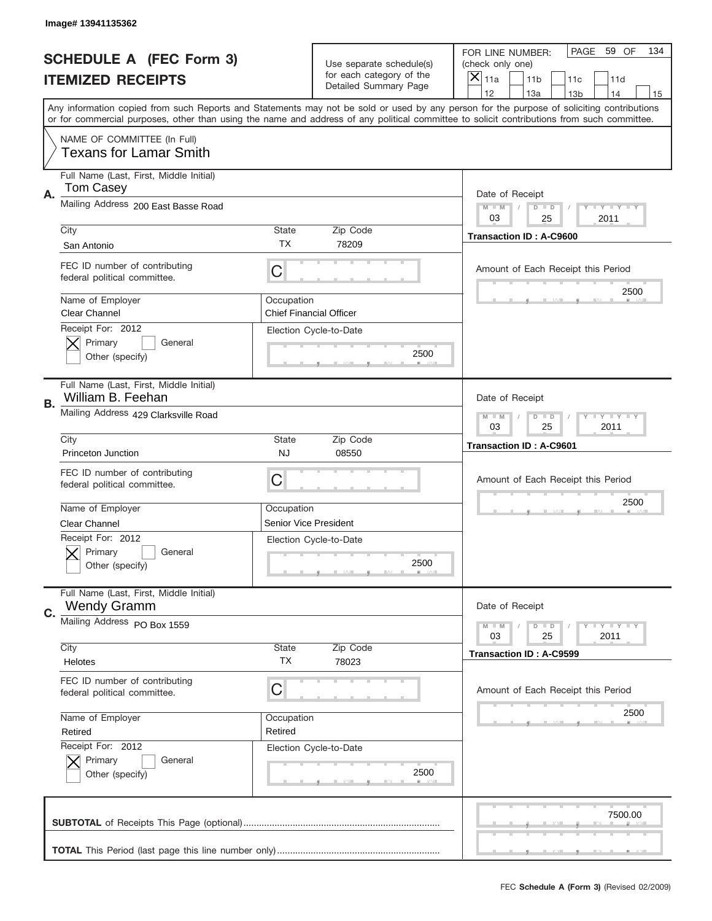|    | Image# 13941135362                                            |                       |                                                   |                                                                                                                                                                                       |
|----|---------------------------------------------------------------|-----------------------|---------------------------------------------------|---------------------------------------------------------------------------------------------------------------------------------------------------------------------------------------|
|    | <b>SCHEDULE A (FEC Form 3)</b>                                |                       | Use separate schedule(s)                          | PAGE<br>59 OF<br>134<br>FOR LINE NUMBER:<br>(check only one)                                                                                                                          |
|    | <b>ITEMIZED RECEIPTS</b>                                      |                       | for each category of the<br>Detailed Summary Page | ×<br>11a<br>11 <sub>b</sub><br>11c<br>11d                                                                                                                                             |
|    |                                                               |                       |                                                   | 12<br>13a<br>14<br>13 <sub>b</sub><br>15<br>Any information copied from such Reports and Statements may not be sold or used by any person for the purpose of soliciting contributions |
|    |                                                               |                       |                                                   | or for commercial purposes, other than using the name and address of any political committee to solicit contributions from such committee.                                            |
|    | NAME OF COMMITTEE (In Full)<br><b>Texans for Lamar Smith</b>  |                       |                                                   |                                                                                                                                                                                       |
| Α. | Full Name (Last, First, Middle Initial)<br>Tom Casey          |                       |                                                   | Date of Receipt                                                                                                                                                                       |
|    | Mailing Address 200 East Basse Road                           |                       |                                                   | $M - M$<br><b>THEY THEY</b><br>$D$ $D$<br>03<br>25<br>2011                                                                                                                            |
|    | City                                                          | <b>State</b>          | Zip Code                                          | <b>Transaction ID: A-C9600</b>                                                                                                                                                        |
|    | San Antonio                                                   | TX                    | 78209                                             |                                                                                                                                                                                       |
|    | FEC ID number of contributing<br>federal political committee. | C                     |                                                   | Amount of Each Receipt this Period<br>2500                                                                                                                                            |
|    | Name of Employer<br><b>Clear Channel</b>                      | Occupation            | <b>Chief Financial Officer</b>                    |                                                                                                                                                                                       |
|    | Receipt For: 2012<br>Primary<br>General<br>Other (specify)    |                       | Election Cycle-to-Date<br>2500                    |                                                                                                                                                                                       |
|    | Full Name (Last, First, Middle Initial)<br>William B. Feehan  |                       |                                                   | Date of Receipt                                                                                                                                                                       |
| В. | Mailing Address 429 Clarksville Road                          |                       |                                                   | <b>LY LY LY</b><br>$M - M$<br>$D$ $D$<br>03<br>25<br>2011                                                                                                                             |
|    | City                                                          | <b>State</b>          | Zip Code                                          | <b>Transaction ID: A-C9601</b>                                                                                                                                                        |
|    | Princeton Junction                                            | <b>NJ</b>             | 08550                                             |                                                                                                                                                                                       |
|    | FEC ID number of contributing<br>federal political committee. | C                     |                                                   | Amount of Each Receipt this Period                                                                                                                                                    |
|    | Name of Employer                                              | Occupation            |                                                   | 2500                                                                                                                                                                                  |
|    | Clear Channel                                                 | Senior Vice President |                                                   |                                                                                                                                                                                       |
|    | Receipt For: 2012<br>Primary<br>General<br>Other (specify)    |                       | Election Cycle-to-Date<br>2500                    |                                                                                                                                                                                       |
| C. | Full Name (Last, First, Middle Initial)<br><b>Wendy Gramm</b> |                       |                                                   | Date of Receipt                                                                                                                                                                       |
|    | Mailing Address PO Box 1559                                   |                       |                                                   | $T + Y = Y + Y$<br>$M - M$<br>$D$ $D$                                                                                                                                                 |
|    |                                                               |                       |                                                   | 03<br>25<br>2011                                                                                                                                                                      |
|    | City<br>Helotes                                               | State<br>ТX           | Zip Code<br>78023                                 | <b>Transaction ID: A-C9599</b>                                                                                                                                                        |
|    | FEC ID number of contributing<br>federal political committee. | C                     |                                                   | Amount of Each Receipt this Period                                                                                                                                                    |
|    | Name of Employer                                              | Occupation            |                                                   | 2500                                                                                                                                                                                  |
|    | Retired                                                       | Retired               |                                                   |                                                                                                                                                                                       |
|    | Receipt For: 2012<br>Primary<br>General<br>Other (specify)    |                       | Election Cycle-to-Date<br>2500                    |                                                                                                                                                                                       |
|    |                                                               |                       |                                                   | 7500.00                                                                                                                                                                               |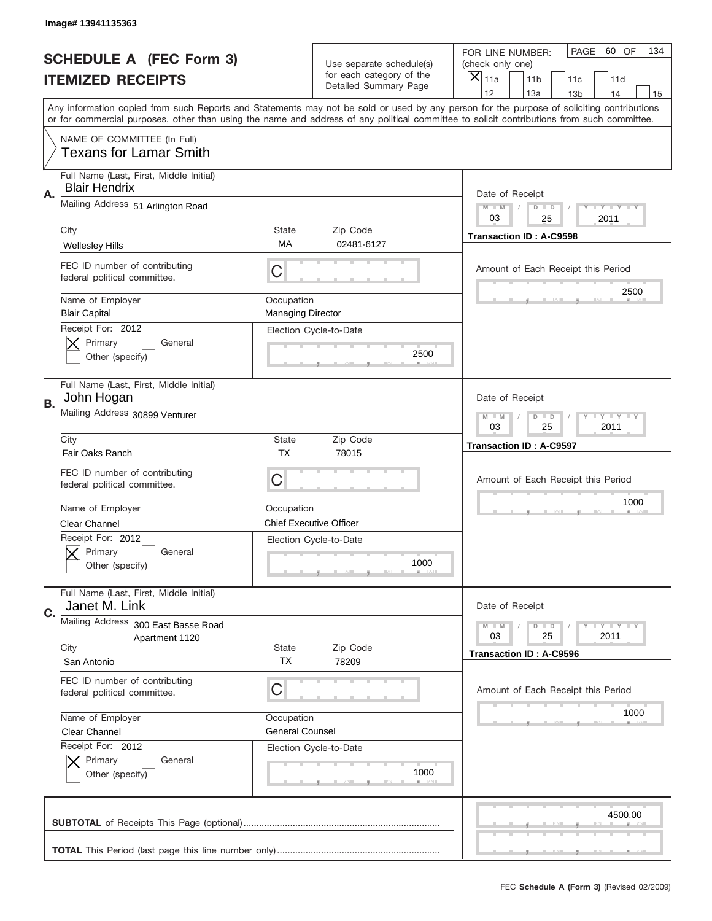|    | Image# 13941135363                                              |                                        |                                                      |                                                                                                                                                                                                                                                                                                                               |
|----|-----------------------------------------------------------------|----------------------------------------|------------------------------------------------------|-------------------------------------------------------------------------------------------------------------------------------------------------------------------------------------------------------------------------------------------------------------------------------------------------------------------------------|
|    | <b>SCHEDULE A (FEC Form 3)</b>                                  |                                        | Use separate schedule(s)<br>for each category of the | PAGE<br>60 OF<br>134<br>FOR LINE NUMBER:<br>(check only one)                                                                                                                                                                                                                                                                  |
|    | <b>ITEMIZED RECEIPTS</b>                                        |                                        | Detailed Summary Page                                | ×<br>11a<br>11 <sub>b</sub><br>11c<br>11d<br>12                                                                                                                                                                                                                                                                               |
|    |                                                                 |                                        |                                                      | 13a<br>14<br>13 <sub>b</sub><br>15<br>Any information copied from such Reports and Statements may not be sold or used by any person for the purpose of soliciting contributions<br>or for commercial purposes, other than using the name and address of any political committee to solicit contributions from such committee. |
|    | NAME OF COMMITTEE (In Full)<br><b>Texans for Lamar Smith</b>    |                                        |                                                      |                                                                                                                                                                                                                                                                                                                               |
| Α. | Full Name (Last, First, Middle Initial)<br><b>Blair Hendrix</b> |                                        |                                                      | Date of Receipt                                                                                                                                                                                                                                                                                                               |
|    | Mailing Address 51 Arlington Road                               |                                        |                                                      | $M - M$<br><b>LYLYLY</b><br>$D$ $D$<br>03<br>2011<br>25                                                                                                                                                                                                                                                                       |
|    | City<br>Wellesley Hills                                         | <b>State</b><br>МA                     | Zip Code<br>02481-6127                               | <b>Transaction ID: A-C9598</b>                                                                                                                                                                                                                                                                                                |
|    | FEC ID number of contributing<br>federal political committee.   | C                                      |                                                      | Amount of Each Receipt this Period<br>2500                                                                                                                                                                                                                                                                                    |
|    | Name of Employer<br><b>Blair Capital</b><br>Receipt For: 2012   | Occupation<br><b>Managing Director</b> |                                                      |                                                                                                                                                                                                                                                                                                                               |
|    | Primary<br>General<br>Other (specify)                           |                                        | Election Cycle-to-Date<br>2500                       |                                                                                                                                                                                                                                                                                                                               |
| В. | Full Name (Last, First, Middle Initial)<br>John Hogan           |                                        |                                                      | Date of Receipt                                                                                                                                                                                                                                                                                                               |
|    | Mailing Address 30899 Venturer                                  |                                        |                                                      | <b>LY LY LY</b><br>$M - M$<br>$D$ $D$<br>03<br>25<br>2011                                                                                                                                                                                                                                                                     |
|    | City<br>Fair Oaks Ranch                                         | <b>State</b><br><b>TX</b>              | Zip Code<br>78015                                    | <b>Transaction ID: A-C9597</b>                                                                                                                                                                                                                                                                                                |
|    | FEC ID number of contributing<br>federal political committee.   | C                                      |                                                      | Amount of Each Receipt this Period                                                                                                                                                                                                                                                                                            |
|    | Name of Employer                                                | Occupation                             |                                                      | 1000                                                                                                                                                                                                                                                                                                                          |
|    | <b>Clear Channel</b>                                            |                                        | <b>Chief Executive Officer</b>                       |                                                                                                                                                                                                                                                                                                                               |
|    |                                                                 |                                        |                                                      |                                                                                                                                                                                                                                                                                                                               |
|    | Receipt For: 2012<br>General<br>Primary<br>Other (specify)      |                                        | Election Cycle-to-Date<br>1000                       |                                                                                                                                                                                                                                                                                                                               |
| C. | Full Name (Last, First, Middle Initial)<br>Janet M. Link        |                                        |                                                      | Date of Receipt                                                                                                                                                                                                                                                                                                               |
|    | Mailing Address<br>300 East Basse Road<br>Apartment 1120        |                                        |                                                      | <b>LYLYLY</b><br>$M - M$<br>$D$ $D$<br>03<br>25<br>2011                                                                                                                                                                                                                                                                       |
|    | City<br>San Antonio                                             | <b>State</b><br>ТX                     | Zip Code<br>78209                                    | <b>Transaction ID: A-C9596</b>                                                                                                                                                                                                                                                                                                |
|    | FEC ID number of contributing<br>federal political committee.   | C                                      |                                                      | Amount of Each Receipt this Period                                                                                                                                                                                                                                                                                            |
|    | Name of Employer<br><b>Clear Channel</b>                        | Occupation<br><b>General Counsel</b>   |                                                      | 1000                                                                                                                                                                                                                                                                                                                          |
|    | Receipt For: 2012<br>Primary<br>General<br>Other (specify)      |                                        | Election Cycle-to-Date<br>1000                       |                                                                                                                                                                                                                                                                                                                               |
|    |                                                                 |                                        |                                                      | 4500.00                                                                                                                                                                                                                                                                                                                       |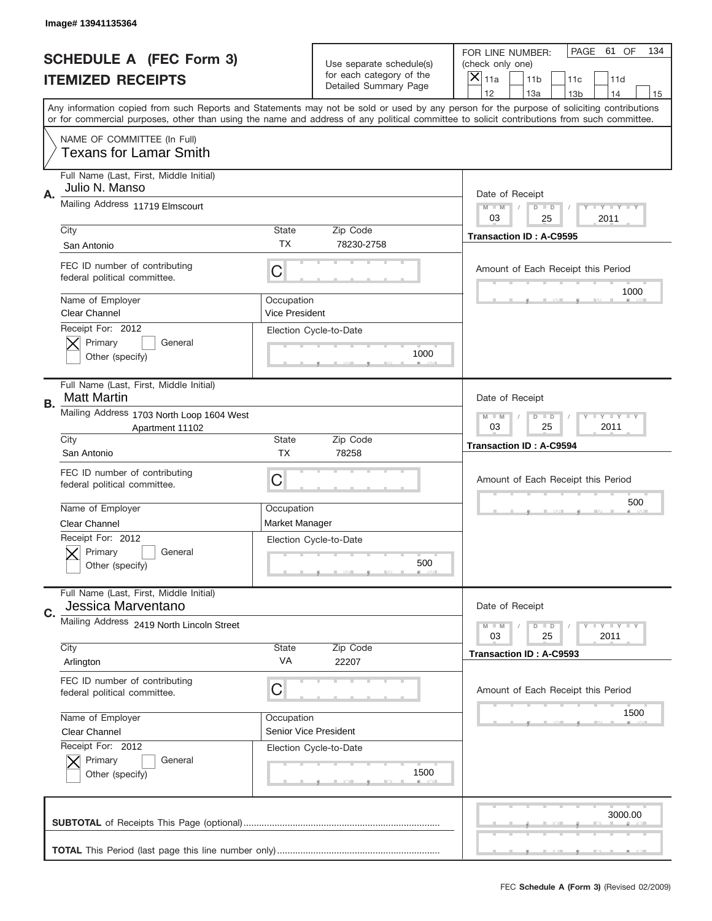|    | Image# 13941135364                                            |                                     |                                                   |                                                                                                                                                                                                                                                                                                                                     |  |
|----|---------------------------------------------------------------|-------------------------------------|---------------------------------------------------|-------------------------------------------------------------------------------------------------------------------------------------------------------------------------------------------------------------------------------------------------------------------------------------------------------------------------------------|--|
|    | <b>SCHEDULE A (FEC Form 3)</b>                                |                                     | Use separate schedule(s)                          | PAGE<br>61 OF<br>134<br>FOR LINE NUMBER:<br>(check only one)                                                                                                                                                                                                                                                                        |  |
|    | <b>ITEMIZED RECEIPTS</b>                                      |                                     | for each category of the<br>Detailed Summary Page | $\times$<br>11a<br>11 <sub>b</sub><br>11c<br>11d                                                                                                                                                                                                                                                                                    |  |
|    |                                                               |                                     |                                                   | 12<br>13a<br>14<br>13 <sub>b</sub><br>15<br>Any information copied from such Reports and Statements may not be sold or used by any person for the purpose of soliciting contributions<br>or for commercial purposes, other than using the name and address of any political committee to solicit contributions from such committee. |  |
|    | NAME OF COMMITTEE (In Full)<br><b>Texans for Lamar Smith</b>  |                                     |                                                   |                                                                                                                                                                                                                                                                                                                                     |  |
| Α. | Full Name (Last, First, Middle Initial)<br>Julio N. Manso     |                                     |                                                   | Date of Receipt                                                                                                                                                                                                                                                                                                                     |  |
|    | Mailing Address 11719 Elmscourt                               |                                     |                                                   | $M - M$<br><b>LEY LEY LEY</b><br>$D$ $D$<br>03<br>25<br>2011                                                                                                                                                                                                                                                                        |  |
|    | City<br>San Antonio                                           | State<br>TX                         | Zip Code<br>78230-2758                            | <b>Transaction ID: A-C9595</b>                                                                                                                                                                                                                                                                                                      |  |
|    | FEC ID number of contributing<br>federal political committee. | C                                   |                                                   | Amount of Each Receipt this Period<br>1000                                                                                                                                                                                                                                                                                          |  |
|    | Name of Employer<br>Clear Channel<br>Receipt For: 2012        | Occupation<br><b>Vice President</b> |                                                   |                                                                                                                                                                                                                                                                                                                                     |  |
|    | Primary<br>General<br>Other (specify)                         |                                     | Election Cycle-to-Date<br>1000                    |                                                                                                                                                                                                                                                                                                                                     |  |
| В. | Full Name (Last, First, Middle Initial)<br><b>Matt Martin</b> |                                     |                                                   | Date of Receipt                                                                                                                                                                                                                                                                                                                     |  |
|    | Mailing Address 1703 North Loop 1604 West<br>Apartment 11102  |                                     |                                                   | <b>LY LY LY</b><br>$M - M$<br>$D$ $D$<br>03<br>25<br>2011                                                                                                                                                                                                                                                                           |  |
|    | City<br>San Antonio                                           | <b>State</b><br><b>TX</b>           | Zip Code<br>78258                                 | <b>Transaction ID: A-C9594</b>                                                                                                                                                                                                                                                                                                      |  |
|    | FEC ID number of contributing<br>federal political committee. | С                                   |                                                   | Amount of Each Receipt this Period                                                                                                                                                                                                                                                                                                  |  |
|    | Name of Employer                                              | Occupation                          |                                                   | 500                                                                                                                                                                                                                                                                                                                                 |  |
|    | <b>Clear Channel</b><br>Receipt For: 2012                     | Market Manager                      |                                                   |                                                                                                                                                                                                                                                                                                                                     |  |
|    | General<br>Primary<br>Other (specify)                         |                                     | Election Cycle-to-Date<br>500                     |                                                                                                                                                                                                                                                                                                                                     |  |
| C. | Full Name (Last, First, Middle Initial)<br>Jessica Marventano |                                     |                                                   | Date of Receipt                                                                                                                                                                                                                                                                                                                     |  |
|    | Mailing Address 2419 North Lincoln Street                     |                                     |                                                   | <b>LYLYLY</b><br>$M \perp M$<br>$D$ $D$<br>25<br>2011<br>03                                                                                                                                                                                                                                                                         |  |
|    | City<br>Arlington                                             | <b>State</b><br>VA                  | Zip Code<br>22207                                 | <b>Transaction ID: A-C9593</b>                                                                                                                                                                                                                                                                                                      |  |
|    | FEC ID number of contributing<br>federal political committee. | С                                   |                                                   | Amount of Each Receipt this Period                                                                                                                                                                                                                                                                                                  |  |
|    | Name of Employer                                              | Occupation                          |                                                   | 1500                                                                                                                                                                                                                                                                                                                                |  |
|    | Clear Channel                                                 | Senior Vice President               |                                                   |                                                                                                                                                                                                                                                                                                                                     |  |
|    | Receipt For: 2012<br>Primary<br>General<br>Other (specify)    |                                     | Election Cycle-to-Date<br>1500                    |                                                                                                                                                                                                                                                                                                                                     |  |
|    |                                                               |                                     |                                                   | 3000.00                                                                                                                                                                                                                                                                                                                             |  |
|    |                                                               |                                     |                                                   |                                                                                                                                                                                                                                                                                                                                     |  |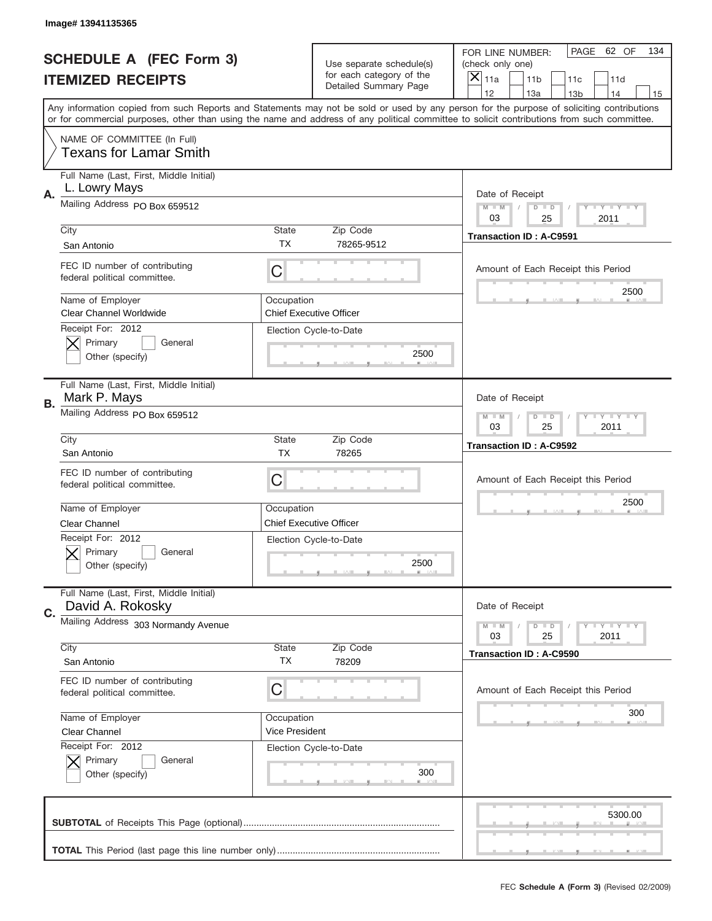|    | Image# 13941135365                                                      |                              |                                                   |                                                                                                                                                                                                                                                                                                                                     |
|----|-------------------------------------------------------------------------|------------------------------|---------------------------------------------------|-------------------------------------------------------------------------------------------------------------------------------------------------------------------------------------------------------------------------------------------------------------------------------------------------------------------------------------|
|    | <b>SCHEDULE A (FEC Form 3)</b>                                          |                              | Use separate schedule(s)                          | PAGE<br>62 OF<br>134<br>FOR LINE NUMBER:<br>(check only one)                                                                                                                                                                                                                                                                        |
|    | <b>ITEMIZED RECEIPTS</b>                                                |                              | for each category of the<br>Detailed Summary Page | ×<br>11a<br>11 <sub>b</sub><br>11c<br>11d                                                                                                                                                                                                                                                                                           |
|    |                                                                         |                              |                                                   | 12<br>13a<br>14<br>13 <sub>b</sub><br>15<br>Any information copied from such Reports and Statements may not be sold or used by any person for the purpose of soliciting contributions<br>or for commercial purposes, other than using the name and address of any political committee to solicit contributions from such committee. |
|    | NAME OF COMMITTEE (In Full)<br><b>Texans for Lamar Smith</b>            |                              |                                                   |                                                                                                                                                                                                                                                                                                                                     |
| Α. | Full Name (Last, First, Middle Initial)<br>L. Lowry Mays                |                              |                                                   | Date of Receipt                                                                                                                                                                                                                                                                                                                     |
|    | Mailing Address PO Box 659512                                           |                              |                                                   | $M$ $M$<br>Y FY FY FY<br>$D$ $D$<br>03<br>25<br>2011                                                                                                                                                                                                                                                                                |
|    | City<br>San Antonio                                                     | State<br>ТX                  | Zip Code<br>78265-9512                            | <b>Transaction ID: A-C9591</b>                                                                                                                                                                                                                                                                                                      |
|    | FEC ID number of contributing<br>federal political committee.           | C                            |                                                   | Amount of Each Receipt this Period<br>2500                                                                                                                                                                                                                                                                                          |
|    | Name of Employer<br><b>Clear Channel Worldwide</b><br>Receipt For: 2012 | Occupation                   | <b>Chief Executive Officer</b>                    |                                                                                                                                                                                                                                                                                                                                     |
|    | Primary<br>General<br>Other (specify)                                   |                              | Election Cycle-to-Date<br>2500                    |                                                                                                                                                                                                                                                                                                                                     |
| В. | Full Name (Last, First, Middle Initial)<br>Mark P. Mays                 |                              |                                                   | Date of Receipt                                                                                                                                                                                                                                                                                                                     |
|    | Mailing Address PO Box 659512                                           |                              |                                                   | $T$ $Y$ $T$ $Y$ $T$ $Y$<br>$M - M$<br>$D$ $D$<br>03<br>25<br>2011                                                                                                                                                                                                                                                                   |
|    | City<br>San Antonio                                                     | State<br><b>TX</b>           | Zip Code<br>78265                                 | <b>Transaction ID: A-C9592</b>                                                                                                                                                                                                                                                                                                      |
|    | FEC ID number of contributing<br>federal political committee.           | C                            |                                                   | Amount of Each Receipt this Period                                                                                                                                                                                                                                                                                                  |
|    | Name of Employer<br>Clear Channel                                       | Occupation                   | <b>Chief Executive Officer</b>                    | 2500                                                                                                                                                                                                                                                                                                                                |
|    | Receipt For: 2012<br>Primary<br>General<br>Other (specify)              |                              | Election Cycle-to-Date<br>2500                    |                                                                                                                                                                                                                                                                                                                                     |
|    | Full Name (Last, First, Middle Initial)                                 |                              |                                                   |                                                                                                                                                                                                                                                                                                                                     |
|    | David A. Rokosky                                                        |                              |                                                   | Date of Receipt                                                                                                                                                                                                                                                                                                                     |
| C. | Mailing Address 303 Normandy Avenue                                     |                              |                                                   | <b>LY LY LY</b><br>$M - M$<br>$D$ $D$<br>25<br>2011<br>03                                                                                                                                                                                                                                                                           |
|    | City<br>San Antonio                                                     | State<br><b>TX</b>           | Zip Code<br>78209                                 | <b>Transaction ID: A-C9590</b>                                                                                                                                                                                                                                                                                                      |
|    | FEC ID number of contributing<br>federal political committee.           | C                            |                                                   | Amount of Each Receipt this Period                                                                                                                                                                                                                                                                                                  |
|    | Name of Employer<br><b>Clear Channel</b>                                | Occupation<br>Vice President |                                                   | 300                                                                                                                                                                                                                                                                                                                                 |
|    | Receipt For: 2012<br>Primary<br>General<br>Other (specify)              |                              | Election Cycle-to-Date<br>300                     |                                                                                                                                                                                                                                                                                                                                     |
|    |                                                                         |                              |                                                   | 5300.00                                                                                                                                                                                                                                                                                                                             |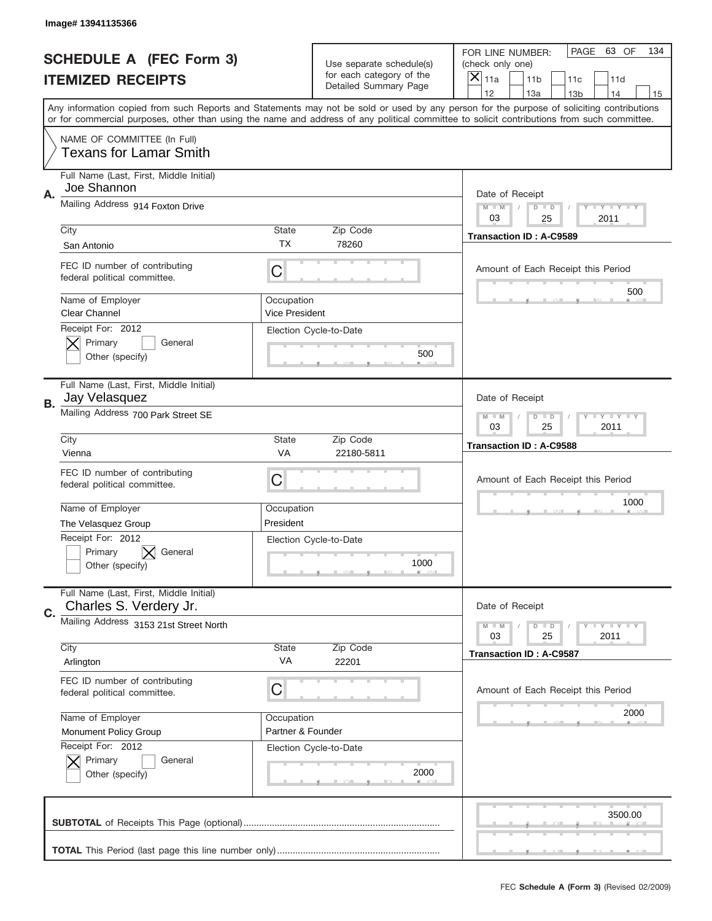|    | Image# 13941135366                                                |                                     |                                                      |                                                                                                                                                                                                                                                                                                                                     |
|----|-------------------------------------------------------------------|-------------------------------------|------------------------------------------------------|-------------------------------------------------------------------------------------------------------------------------------------------------------------------------------------------------------------------------------------------------------------------------------------------------------------------------------------|
|    | <b>SCHEDULE A (FEC Form 3)</b>                                    |                                     | Use separate schedule(s)<br>for each category of the | PAGE<br>63 OF<br>134<br>FOR LINE NUMBER:<br>(check only one)                                                                                                                                                                                                                                                                        |
|    | <b>ITEMIZED RECEIPTS</b>                                          |                                     | Detailed Summary Page                                | ×<br>11a<br>11 <sub>b</sub><br>11c<br>11d                                                                                                                                                                                                                                                                                           |
|    |                                                                   |                                     |                                                      | 12<br>13a<br>14<br>13 <sub>b</sub><br>15<br>Any information copied from such Reports and Statements may not be sold or used by any person for the purpose of soliciting contributions<br>or for commercial purposes, other than using the name and address of any political committee to solicit contributions from such committee. |
|    | NAME OF COMMITTEE (In Full)<br><b>Texans for Lamar Smith</b>      |                                     |                                                      |                                                                                                                                                                                                                                                                                                                                     |
| Α. | Full Name (Last, First, Middle Initial)<br>Joe Shannon            |                                     |                                                      | Date of Receipt                                                                                                                                                                                                                                                                                                                     |
|    | Mailing Address 914 Foxton Drive                                  |                                     |                                                      | $M$ $M$<br>$T$ $Y$ $Y$ $Y$ $Y$<br>$D$ $D$<br>03<br>2011<br>25                                                                                                                                                                                                                                                                       |
|    | City<br>San Antonio                                               | State<br>ТX                         | Zip Code<br>78260                                    | <b>Transaction ID: A-C9589</b>                                                                                                                                                                                                                                                                                                      |
|    | FEC ID number of contributing<br>federal political committee.     | C                                   |                                                      | Amount of Each Receipt this Period<br>500                                                                                                                                                                                                                                                                                           |
|    | Name of Employer<br><b>Clear Channel</b><br>Receipt For: 2012     | Occupation<br><b>Vice President</b> |                                                      |                                                                                                                                                                                                                                                                                                                                     |
|    | Primary<br>General<br>Other (specify)                             |                                     | Election Cycle-to-Date<br>500                        |                                                                                                                                                                                                                                                                                                                                     |
| В. | Full Name (Last, First, Middle Initial)<br>Jay Velasquez          |                                     |                                                      | Date of Receipt                                                                                                                                                                                                                                                                                                                     |
|    | Mailing Address 700 Park Street SE                                |                                     |                                                      | <b>LY LY LY</b><br>$M$ $M$<br>$D$ $D$<br>03<br>25<br>2011                                                                                                                                                                                                                                                                           |
|    | City<br>Vienna                                                    | State<br>VA                         | Zip Code<br>22180-5811                               | <b>Transaction ID: A-C9588</b>                                                                                                                                                                                                                                                                                                      |
|    | FEC ID number of contributing<br>federal political committee.     | C                                   |                                                      | Amount of Each Receipt this Period                                                                                                                                                                                                                                                                                                  |
|    | Name of Employer                                                  | Occupation                          |                                                      | 1000                                                                                                                                                                                                                                                                                                                                |
|    | The Velasquez Group<br>Receipt For: 2012                          | President                           | Election Cycle-to-Date                               |                                                                                                                                                                                                                                                                                                                                     |
|    | General<br>Primary<br>Other (specify)                             |                                     | 1000                                                 |                                                                                                                                                                                                                                                                                                                                     |
| C. | Full Name (Last, First, Middle Initial)<br>Charles S. Verdery Jr. |                                     |                                                      | Date of Receipt                                                                                                                                                                                                                                                                                                                     |
|    | Mailing Address 3153 21st Street North<br>City                    | State                               | Zip Code                                             | <b>LY LY LY</b><br>$M - M$<br>$D$ $D$<br>25<br>2011<br>03                                                                                                                                                                                                                                                                           |
|    | Arlington                                                         | VA                                  | 22201                                                | <b>Transaction ID: A-C9587</b>                                                                                                                                                                                                                                                                                                      |
|    | FEC ID number of contributing<br>federal political committee.     | C                                   |                                                      | Amount of Each Receipt this Period                                                                                                                                                                                                                                                                                                  |
|    | Name of Employer                                                  | Occupation<br>Partner & Founder     |                                                      | 2000                                                                                                                                                                                                                                                                                                                                |
|    | Monument Policy Group<br>Receipt For: 2012                        |                                     | Election Cycle-to-Date                               |                                                                                                                                                                                                                                                                                                                                     |
|    | Primary<br>General<br>Other (specify)                             |                                     | 2000                                                 |                                                                                                                                                                                                                                                                                                                                     |
|    |                                                                   |                                     |                                                      | 3500.00                                                                                                                                                                                                                                                                                                                             |
|    |                                                                   |                                     |                                                      |                                                                                                                                                                                                                                                                                                                                     |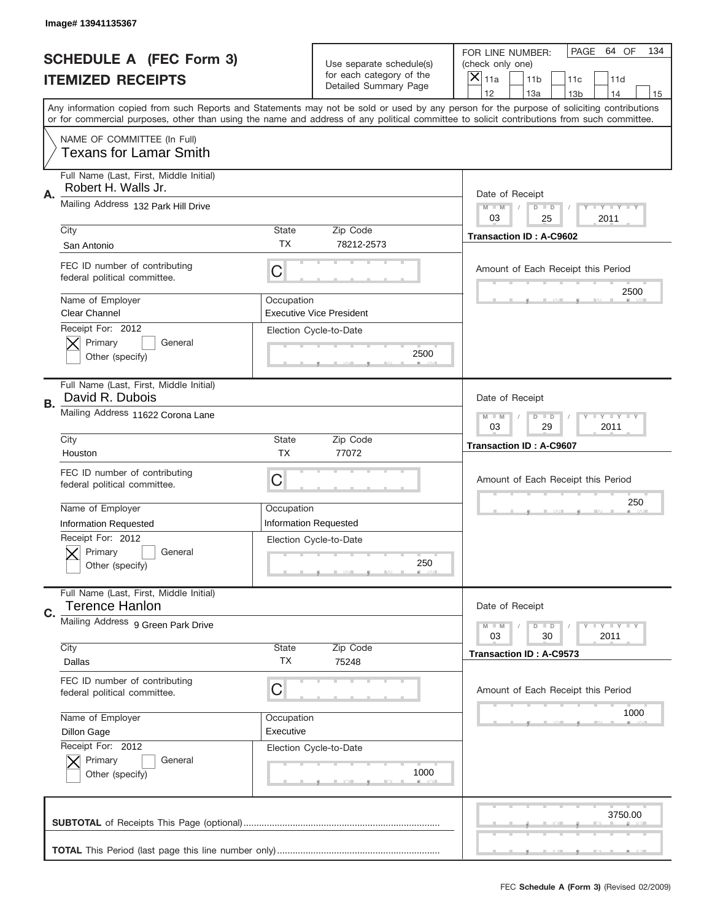|    | Image# 13941135367                                               |                           |                                                   |                                                                                                                                                                                                                                                                                                                                     |
|----|------------------------------------------------------------------|---------------------------|---------------------------------------------------|-------------------------------------------------------------------------------------------------------------------------------------------------------------------------------------------------------------------------------------------------------------------------------------------------------------------------------------|
|    | <b>SCHEDULE A (FEC Form 3)</b>                                   |                           | Use separate schedule(s)                          | PAGE<br>64 OF<br>134<br>FOR LINE NUMBER:<br>(check only one)                                                                                                                                                                                                                                                                        |
|    | <b>ITEMIZED RECEIPTS</b>                                         |                           | for each category of the<br>Detailed Summary Page | ×<br>11a<br>11 <sub>b</sub><br>11c<br>11d                                                                                                                                                                                                                                                                                           |
|    |                                                                  |                           |                                                   | 12<br>13a<br>14<br>13 <sub>b</sub><br>15<br>Any information copied from such Reports and Statements may not be sold or used by any person for the purpose of soliciting contributions<br>or for commercial purposes, other than using the name and address of any political committee to solicit contributions from such committee. |
|    | NAME OF COMMITTEE (In Full)<br><b>Texans for Lamar Smith</b>     |                           |                                                   |                                                                                                                                                                                                                                                                                                                                     |
| Α. | Full Name (Last, First, Middle Initial)<br>Robert H. Walls Jr.   |                           |                                                   | Date of Receipt                                                                                                                                                                                                                                                                                                                     |
|    | Mailing Address 132 Park Hill Drive                              |                           |                                                   | $M - M$<br><b>THEY THEY</b><br>$D$ $D$<br>03<br>2011<br>25                                                                                                                                                                                                                                                                          |
|    | City<br>San Antonio                                              | <b>State</b><br>TX        | Zip Code<br>78212-2573                            | <b>Transaction ID: A-C9602</b>                                                                                                                                                                                                                                                                                                      |
|    | FEC ID number of contributing<br>federal political committee.    | C                         |                                                   | Amount of Each Receipt this Period<br>2500                                                                                                                                                                                                                                                                                          |
|    | Name of Employer<br><b>Clear Channel</b><br>Receipt For: 2012    | Occupation                | <b>Executive Vice President</b>                   |                                                                                                                                                                                                                                                                                                                                     |
|    | Primary<br>General<br>Other (specify)                            |                           | Election Cycle-to-Date<br>2500                    |                                                                                                                                                                                                                                                                                                                                     |
| В. | Full Name (Last, First, Middle Initial)<br>David R. Dubois       |                           |                                                   | Date of Receipt                                                                                                                                                                                                                                                                                                                     |
|    | Mailing Address 11622 Corona Lane                                |                           |                                                   | <b>LY LY LY</b><br>$M - M$<br>$D$ $D$<br>03<br>29<br>2011                                                                                                                                                                                                                                                                           |
|    | City<br>Houston                                                  | <b>State</b><br><b>TX</b> | Zip Code<br>77072                                 | <b>Transaction ID: A-C9607</b>                                                                                                                                                                                                                                                                                                      |
|    | FEC ID number of contributing<br>federal political committee.    | C                         |                                                   | Amount of Each Receipt this Period                                                                                                                                                                                                                                                                                                  |
|    | Name of Employer<br><b>Information Requested</b>                 | Occupation                | <b>Information Requested</b>                      | 250                                                                                                                                                                                                                                                                                                                                 |
|    | Receipt For: 2012<br>Primary<br>General<br>Other (specify)       |                           | Election Cycle-to-Date<br>250                     |                                                                                                                                                                                                                                                                                                                                     |
| C. | Full Name (Last, First, Middle Initial)<br><b>Terence Hanlon</b> |                           |                                                   | Date of Receipt                                                                                                                                                                                                                                                                                                                     |
|    | Mailing Address 9 Green Park Drive                               |                           |                                                   | <b>LYLYLY</b><br>$M - M$<br>$D$ $D$<br>03<br>30<br>2011                                                                                                                                                                                                                                                                             |
|    | City<br>Dallas                                                   | State<br>ТX               | Zip Code<br>75248                                 | <b>Transaction ID: A-C9573</b>                                                                                                                                                                                                                                                                                                      |
|    | FEC ID number of contributing<br>federal political committee.    | C                         |                                                   | Amount of Each Receipt this Period                                                                                                                                                                                                                                                                                                  |
|    | Name of Employer<br>Dillon Gage                                  | Occupation<br>Executive   |                                                   | 1000                                                                                                                                                                                                                                                                                                                                |
|    | Receipt For: 2012<br>Primary<br>General<br>Other (specify)       |                           | Election Cycle-to-Date<br>1000                    |                                                                                                                                                                                                                                                                                                                                     |
|    |                                                                  |                           |                                                   | 3750.00                                                                                                                                                                                                                                                                                                                             |
|    |                                                                  |                           |                                                   |                                                                                                                                                                                                                                                                                                                                     |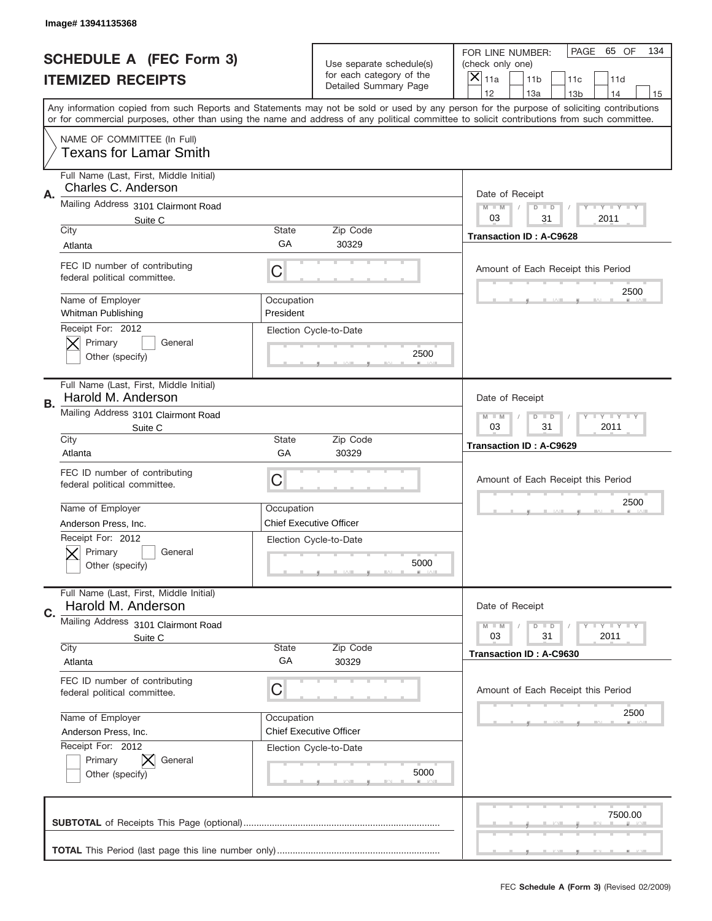|           | Image#13941135368                                              |                         |                                                   |                                                                                                                                                                                                                                                                                                                                     |
|-----------|----------------------------------------------------------------|-------------------------|---------------------------------------------------|-------------------------------------------------------------------------------------------------------------------------------------------------------------------------------------------------------------------------------------------------------------------------------------------------------------------------------------|
|           | <b>SCHEDULE A (FEC Form 3)</b>                                 |                         | Use separate schedule(s)                          | PAGE 65 OF<br>134<br>FOR LINE NUMBER:<br>(check only one)                                                                                                                                                                                                                                                                           |
|           | <b>ITEMIZED RECEIPTS</b>                                       |                         | for each category of the<br>Detailed Summary Page | ×<br>11a<br>11 <sub>b</sub><br>11c<br>11d                                                                                                                                                                                                                                                                                           |
|           |                                                                |                         |                                                   | 12<br>13a<br>14<br>13 <sub>b</sub><br>15<br>Any information copied from such Reports and Statements may not be sold or used by any person for the purpose of soliciting contributions<br>or for commercial purposes, other than using the name and address of any political committee to solicit contributions from such committee. |
|           | NAME OF COMMITTEE (In Full)<br><b>Texans for Lamar Smith</b>   |                         |                                                   |                                                                                                                                                                                                                                                                                                                                     |
| Α.        | Full Name (Last, First, Middle Initial)<br>Charles C. Anderson |                         |                                                   | Date of Receipt                                                                                                                                                                                                                                                                                                                     |
|           | Mailing Address 3101 Clairmont Road<br>Suite C<br>City         | State                   | Zip Code                                          | $M - M$<br><b>LY LY LY</b><br>$D$ $D$<br>03<br>2011<br>31                                                                                                                                                                                                                                                                           |
|           | Atlanta                                                        | GА                      | 30329                                             | <b>Transaction ID: A-C9628</b>                                                                                                                                                                                                                                                                                                      |
|           | FEC ID number of contributing<br>federal political committee.  | C                       |                                                   | Amount of Each Receipt this Period<br>2500                                                                                                                                                                                                                                                                                          |
|           | Name of Employer<br>Whitman Publishing<br>Receipt For: 2012    | Occupation<br>President |                                                   |                                                                                                                                                                                                                                                                                                                                     |
|           | Primary<br>General<br>Other (specify)                          |                         | Election Cycle-to-Date<br>2500                    |                                                                                                                                                                                                                                                                                                                                     |
| <b>B.</b> | Full Name (Last, First, Middle Initial)<br>Harold M. Anderson  |                         |                                                   | Date of Receipt                                                                                                                                                                                                                                                                                                                     |
|           | Mailing Address 3101 Clairmont Road<br>Suite C                 |                         |                                                   | $M - M$<br>$D$ $D$<br><b>LEYTEY LEY</b><br>03<br>31<br>2011                                                                                                                                                                                                                                                                         |
|           | City<br>Atlanta                                                | State<br>GA             | Zip Code<br>30329                                 | <b>Transaction ID: A-C9629</b>                                                                                                                                                                                                                                                                                                      |
|           | FEC ID number of contributing<br>federal political committee.  | C                       |                                                   | Amount of Each Receipt this Period                                                                                                                                                                                                                                                                                                  |
|           |                                                                |                         |                                                   |                                                                                                                                                                                                                                                                                                                                     |
|           | Name of Employer                                               | Occupation              |                                                   | 2500                                                                                                                                                                                                                                                                                                                                |
|           | Anderson Press, Inc.                                           |                         | <b>Chief Executive Officer</b>                    |                                                                                                                                                                                                                                                                                                                                     |
|           | Receipt For: 2012<br>General<br>Primary<br>Other (specify)     |                         | Election Cycle-to-Date<br>5000                    |                                                                                                                                                                                                                                                                                                                                     |
| C.        | Full Name (Last, First, Middle Initial)<br>Harold M. Anderson  |                         |                                                   | Date of Receipt                                                                                                                                                                                                                                                                                                                     |
|           | Mailing Address 3101 Clairmont Road                            |                         |                                                   | $I - Y - I - Y - I - Y$<br>$M - M$<br>$D$ $D$                                                                                                                                                                                                                                                                                       |
|           | Suite C<br>City                                                | State                   | Zip Code                                          | 03<br>31<br>2011                                                                                                                                                                                                                                                                                                                    |
|           | Atlanta                                                        | GA                      | 30329                                             | Transaction ID: A-C9630                                                                                                                                                                                                                                                                                                             |
|           | FEC ID number of contributing<br>federal political committee.  | С                       |                                                   | Amount of Each Receipt this Period                                                                                                                                                                                                                                                                                                  |
|           | Name of Employer                                               | Occupation              |                                                   | 2500                                                                                                                                                                                                                                                                                                                                |
|           | Anderson Press, Inc.<br>Receipt For: 2012                      |                         | <b>Chief Executive Officer</b>                    |                                                                                                                                                                                                                                                                                                                                     |
|           | Primary<br>General<br>Other (specify)                          |                         | Election Cycle-to-Date<br>5000                    |                                                                                                                                                                                                                                                                                                                                     |
|           |                                                                |                         |                                                   | 7500.00                                                                                                                                                                                                                                                                                                                             |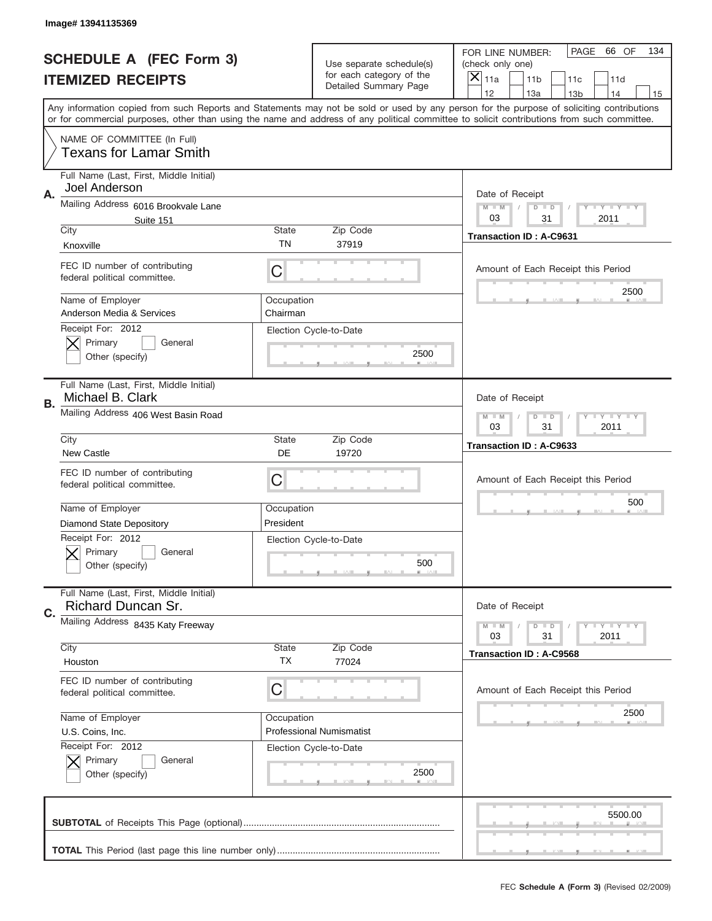|    | Image# 13941135369                                            |                         |                                                      |                                                                                                                                                                                                                                                                                                                                     |
|----|---------------------------------------------------------------|-------------------------|------------------------------------------------------|-------------------------------------------------------------------------------------------------------------------------------------------------------------------------------------------------------------------------------------------------------------------------------------------------------------------------------------|
|    | <b>SCHEDULE A (FEC Form 3)</b>                                |                         | Use separate schedule(s)<br>for each category of the | PAGE 66 OF<br>134<br>FOR LINE NUMBER:<br>(check only one)                                                                                                                                                                                                                                                                           |
|    | <b>ITEMIZED RECEIPTS</b>                                      |                         | Detailed Summary Page                                | ×<br>11a<br>11 <sub>b</sub><br>11c<br>11d                                                                                                                                                                                                                                                                                           |
|    |                                                               |                         |                                                      | 12<br>13a<br>14<br>13 <sub>b</sub><br>15<br>Any information copied from such Reports and Statements may not be sold or used by any person for the purpose of soliciting contributions<br>or for commercial purposes, other than using the name and address of any political committee to solicit contributions from such committee. |
|    | NAME OF COMMITTEE (In Full)<br><b>Texans for Lamar Smith</b>  |                         |                                                      |                                                                                                                                                                                                                                                                                                                                     |
| Α. | Full Name (Last, First, Middle Initial)<br>Joel Anderson      |                         |                                                      | Date of Receipt                                                                                                                                                                                                                                                                                                                     |
|    | Mailing Address 6016 Brookvale Lane<br>Suite 151              |                         |                                                      | $M - M$<br><b>LY LY LY</b><br>$D$ $D$<br>03<br>2011<br>31                                                                                                                                                                                                                                                                           |
|    | City<br>Knoxville                                             | State<br>TN             | Zip Code<br>37919                                    | <b>Transaction ID: A-C9631</b>                                                                                                                                                                                                                                                                                                      |
|    | FEC ID number of contributing<br>federal political committee. | C                       |                                                      | Amount of Each Receipt this Period                                                                                                                                                                                                                                                                                                  |
|    | Name of Employer<br>Anderson Media & Services                 | Occupation<br>Chairman  |                                                      | 2500                                                                                                                                                                                                                                                                                                                                |
|    | Receipt For: 2012<br>Primary<br>General<br>Other (specify)    |                         | Election Cycle-to-Date<br>2500                       |                                                                                                                                                                                                                                                                                                                                     |
| В. | Full Name (Last, First, Middle Initial)<br>Michael B. Clark   |                         |                                                      | Date of Receipt                                                                                                                                                                                                                                                                                                                     |
|    | Mailing Address 406 West Basin Road                           |                         |                                                      | $M$ M<br>$D$ $D$<br><b>LEYTEY LEY</b><br>03<br>31<br>2011                                                                                                                                                                                                                                                                           |
|    | City<br><b>New Castle</b>                                     | State<br>DE             | Zip Code<br>19720                                    | Transaction ID: A-C9633                                                                                                                                                                                                                                                                                                             |
|    | FEC ID number of contributing<br>federal political committee. | C                       |                                                      | Amount of Each Receipt this Period                                                                                                                                                                                                                                                                                                  |
|    | Name of Employer<br><b>Diamond State Depository</b>           | Occupation<br>President |                                                      | 500                                                                                                                                                                                                                                                                                                                                 |
|    | Receipt For: 2012<br>General<br>Primary<br>Other (specify)    |                         | Election Cycle-to-Date<br>500                        |                                                                                                                                                                                                                                                                                                                                     |
| C. | Full Name (Last, First, Middle Initial)<br>Richard Duncan Sr. |                         |                                                      | Date of Receipt                                                                                                                                                                                                                                                                                                                     |
|    | Mailing Address 8435 Katy Freeway                             |                         |                                                      | $I - Y - I - Y - I - Y$<br>$M - M$<br>$D$ $D$<br>03<br>31<br>2011                                                                                                                                                                                                                                                                   |
|    | City<br>Houston                                               | State<br>TX             | Zip Code<br>77024                                    | Transaction ID: A-C9568                                                                                                                                                                                                                                                                                                             |
|    | FEC ID number of contributing<br>federal political committee. | C                       |                                                      | Amount of Each Receipt this Period                                                                                                                                                                                                                                                                                                  |
|    | Name of Employer<br>U.S. Coins, Inc.                          | Occupation              | <b>Professional Numismatist</b>                      | 2500                                                                                                                                                                                                                                                                                                                                |
|    | Receipt For: 2012                                             |                         | Election Cycle-to-Date                               |                                                                                                                                                                                                                                                                                                                                     |
|    | Primary<br>General<br>Other (specify)                         |                         | 2500                                                 |                                                                                                                                                                                                                                                                                                                                     |
|    |                                                               |                         |                                                      | 5500.00                                                                                                                                                                                                                                                                                                                             |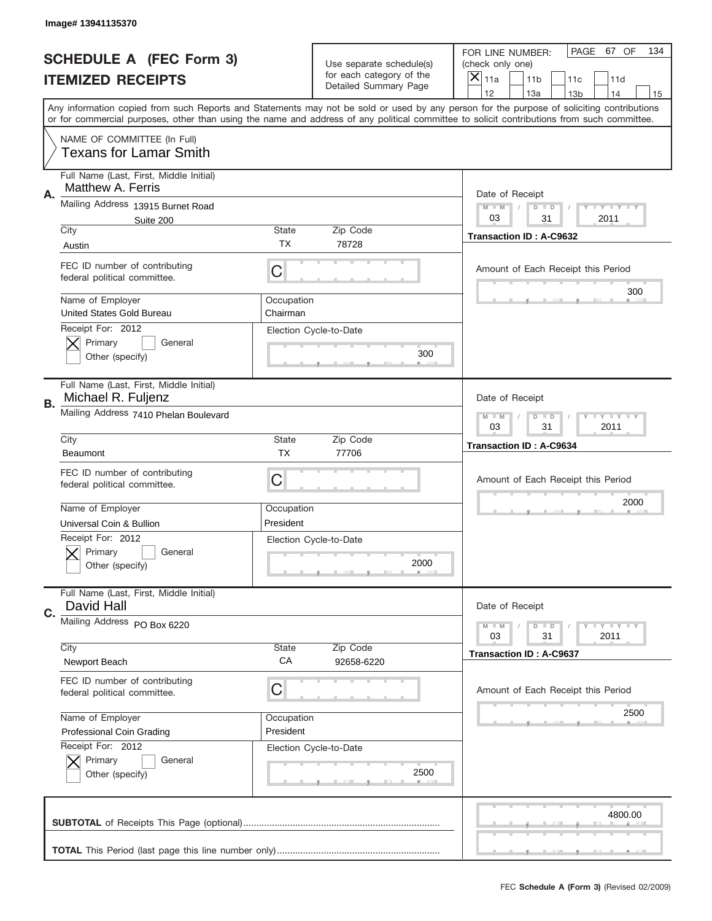|    | Image# 13941135370                                            |                        |                                                      |                                                                                                                                                                                                                                                                                         |
|----|---------------------------------------------------------------|------------------------|------------------------------------------------------|-----------------------------------------------------------------------------------------------------------------------------------------------------------------------------------------------------------------------------------------------------------------------------------------|
|    | <b>SCHEDULE A (FEC Form 3)</b>                                |                        | Use separate schedule(s)<br>for each category of the | PAGE 67 OF<br>134<br>FOR LINE NUMBER:<br>(check only one)                                                                                                                                                                                                                               |
|    | <b>ITEMIZED RECEIPTS</b>                                      |                        | Detailed Summary Page                                | ×<br>11 <sub>b</sub><br>11a<br>11c<br>11d<br>12<br>13a<br>14<br>13 <sub>b</sub><br>15                                                                                                                                                                                                   |
|    |                                                               |                        |                                                      | Any information copied from such Reports and Statements may not be sold or used by any person for the purpose of soliciting contributions<br>or for commercial purposes, other than using the name and address of any political committee to solicit contributions from such committee. |
|    | NAME OF COMMITTEE (In Full)<br><b>Texans for Lamar Smith</b>  |                        |                                                      |                                                                                                                                                                                                                                                                                         |
| Α. | Full Name (Last, First, Middle Initial)<br>Matthew A. Ferris  |                        |                                                      | Date of Receipt                                                                                                                                                                                                                                                                         |
|    | Mailing Address 13915 Burnet Road<br>Suite 200<br>City        | State                  | Zip Code                                             | $M - M$<br><b>LEY LEY LEY</b><br>$D$ $D$<br>03<br>2011<br>31                                                                                                                                                                                                                            |
|    | Austin                                                        | <b>TX</b>              | 78728                                                | Transaction ID: A-C9632                                                                                                                                                                                                                                                                 |
|    | FEC ID number of contributing<br>federal political committee. | C                      |                                                      | Amount of Each Receipt this Period                                                                                                                                                                                                                                                      |
|    | Name of Employer<br><b>United States Gold Bureau</b>          | Occupation<br>Chairman |                                                      | 300                                                                                                                                                                                                                                                                                     |
|    | Receipt For: 2012<br>Primary<br>General<br>Other (specify)    |                        | Election Cycle-to-Date<br>300                        |                                                                                                                                                                                                                                                                                         |
| В. | Full Name (Last, First, Middle Initial)<br>Michael R. Fuljenz |                        |                                                      | Date of Receipt                                                                                                                                                                                                                                                                         |
|    | Mailing Address 7410 Phelan Boulevard                         |                        |                                                      | $M - M$<br>$D$ $D$<br><b>LEY LEY LEY</b><br>03<br>31<br>2011                                                                                                                                                                                                                            |
|    | City<br><b>Beaumont</b>                                       | State<br><b>TX</b>     | Zip Code<br>77706                                    | <b>Transaction ID: A-C9634</b>                                                                                                                                                                                                                                                          |
|    | FEC ID number of contributing                                 |                        |                                                      | Amount of Each Receipt this Period                                                                                                                                                                                                                                                      |
|    | federal political committee.                                  | C                      |                                                      |                                                                                                                                                                                                                                                                                         |
|    | Name of Employer                                              | Occupation             |                                                      | 2000                                                                                                                                                                                                                                                                                    |
|    | Universal Coin & Bullion                                      | President              |                                                      |                                                                                                                                                                                                                                                                                         |
|    | Receipt For: 2012<br>General<br>Primary<br>Other (specify)    |                        | Election Cycle-to-Date<br>2000                       |                                                                                                                                                                                                                                                                                         |
| C. | Full Name (Last, First, Middle Initial)<br>David Hall         |                        |                                                      | Date of Receipt                                                                                                                                                                                                                                                                         |
|    | Mailing Address PO Box 6220                                   |                        |                                                      | $I - Y - I - Y - I - Y$<br>$M - M$<br>$D$ $D$                                                                                                                                                                                                                                           |
|    | City<br>Newport Beach                                         | <b>State</b><br>CA     | Zip Code<br>92658-6220                               | 03<br>31<br>2011<br><b>Transaction ID: A-C9637</b>                                                                                                                                                                                                                                      |
|    | FEC ID number of contributing<br>federal political committee. | C                      |                                                      | Amount of Each Receipt this Period                                                                                                                                                                                                                                                      |
|    | Name of Employer                                              | Occupation             |                                                      | 2500                                                                                                                                                                                                                                                                                    |
|    | Professional Coin Grading                                     | President              |                                                      |                                                                                                                                                                                                                                                                                         |
|    | Receipt For: 2012<br>Primary<br>General<br>Other (specify)    |                        | Election Cycle-to-Date<br>2500                       |                                                                                                                                                                                                                                                                                         |
|    |                                                               |                        |                                                      | 4800.00                                                                                                                                                                                                                                                                                 |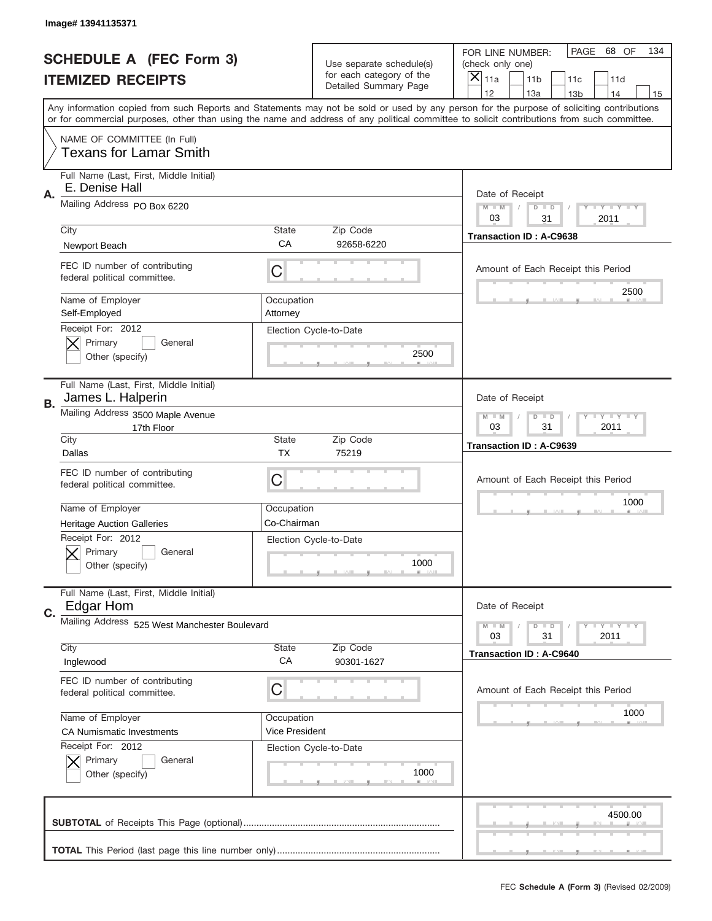|    | Image# 13941135371                                            |                        |                                                   |                                                                                                                                                                                       |
|----|---------------------------------------------------------------|------------------------|---------------------------------------------------|---------------------------------------------------------------------------------------------------------------------------------------------------------------------------------------|
|    | <b>SCHEDULE A (FEC Form 3)</b>                                |                        | Use separate schedule(s)                          | PAGE<br>68 OF<br>134<br>FOR LINE NUMBER:<br>(check only one)                                                                                                                          |
|    | <b>ITEMIZED RECEIPTS</b>                                      |                        | for each category of the<br>Detailed Summary Page | $\overline{\mathsf{x}}$<br>11a<br>11 <sub>b</sub><br>11c<br>11d                                                                                                                       |
|    |                                                               |                        |                                                   | 12<br>13a<br>14<br>13 <sub>b</sub><br>15<br>Any information copied from such Reports and Statements may not be sold or used by any person for the purpose of soliciting contributions |
|    |                                                               |                        |                                                   | or for commercial purposes, other than using the name and address of any political committee to solicit contributions from such committee.                                            |
|    | NAME OF COMMITTEE (In Full)<br>Texans for Lamar Smith         |                        |                                                   |                                                                                                                                                                                       |
| Α. | Full Name (Last, First, Middle Initial)<br>E. Denise Hall     |                        |                                                   | Date of Receipt                                                                                                                                                                       |
|    | Mailing Address PO Box 6220                                   |                        |                                                   | $T$ $Y$ $T$ $Y$ $T$ $Y$<br>$M - M$<br>$D$ $D$<br>03<br>31<br>2011                                                                                                                     |
|    | City                                                          | State                  | Zip Code                                          | <b>Transaction ID: A-C9638</b>                                                                                                                                                        |
|    | Newport Beach                                                 | CA                     | 92658-6220                                        |                                                                                                                                                                                       |
|    | FEC ID number of contributing<br>federal political committee. | C                      |                                                   | Amount of Each Receipt this Period                                                                                                                                                    |
|    | Name of Employer<br>Self-Employed                             | Occupation<br>Attorney |                                                   | 2500                                                                                                                                                                                  |
|    | Receipt For: 2012<br>Primary<br>General<br>Other (specify)    |                        | Election Cycle-to-Date<br>2500                    |                                                                                                                                                                                       |
| В. | Full Name (Last, First, Middle Initial)<br>James L. Halperin  |                        |                                                   | Date of Receipt                                                                                                                                                                       |
|    | Mailing Address 3500 Maple Avenue<br>17th Floor               |                        |                                                   | <b>LY LY LY</b><br>$M - M$<br>$D$ $D$<br>03<br>31<br>2011                                                                                                                             |
|    | City<br>Dallas                                                | State<br><b>TX</b>     | Zip Code<br>75219                                 | <b>Transaction ID: A-C9639</b>                                                                                                                                                        |
|    | FEC ID number of contributing<br>federal political committee. | C                      |                                                   | Amount of Each Receipt this Period                                                                                                                                                    |
|    | Name of Employer                                              | Occupation             |                                                   | 1000                                                                                                                                                                                  |
|    | <b>Heritage Auction Galleries</b>                             | Co-Chairman            |                                                   |                                                                                                                                                                                       |
|    | Receipt For: 2012<br>General<br>Primary<br>Other (specify)    |                        | Election Cycle-to-Date<br>1000                    |                                                                                                                                                                                       |
| C. | Full Name (Last, First, Middle Initial)<br>Edgar Hom          |                        |                                                   | Date of Receipt                                                                                                                                                                       |
|    | Mailing Address 525 West Manchester Boulevard                 |                        |                                                   | <b>LYLYLY</b><br>$M - M$<br>$D$ $D$<br>31<br>2011<br>03                                                                                                                               |
|    | City                                                          | State                  | Zip Code                                          | <b>Transaction ID: A-C9640</b>                                                                                                                                                        |
|    | Inglewood                                                     | CA                     | 90301-1627                                        |                                                                                                                                                                                       |
|    | FEC ID number of contributing<br>federal political committee. | C                      |                                                   | Amount of Each Receipt this Period                                                                                                                                                    |
|    | Name of Employer                                              | Occupation             |                                                   | 1000                                                                                                                                                                                  |
|    | <b>CA Numismatic Investments</b>                              | Vice President         |                                                   |                                                                                                                                                                                       |
|    | Receipt For: 2012<br>Primary<br>General<br>Other (specify)    |                        | Election Cycle-to-Date<br>1000                    |                                                                                                                                                                                       |
|    |                                                               |                        |                                                   | 4500.00                                                                                                                                                                               |
|    |                                                               |                        |                                                   |                                                                                                                                                                                       |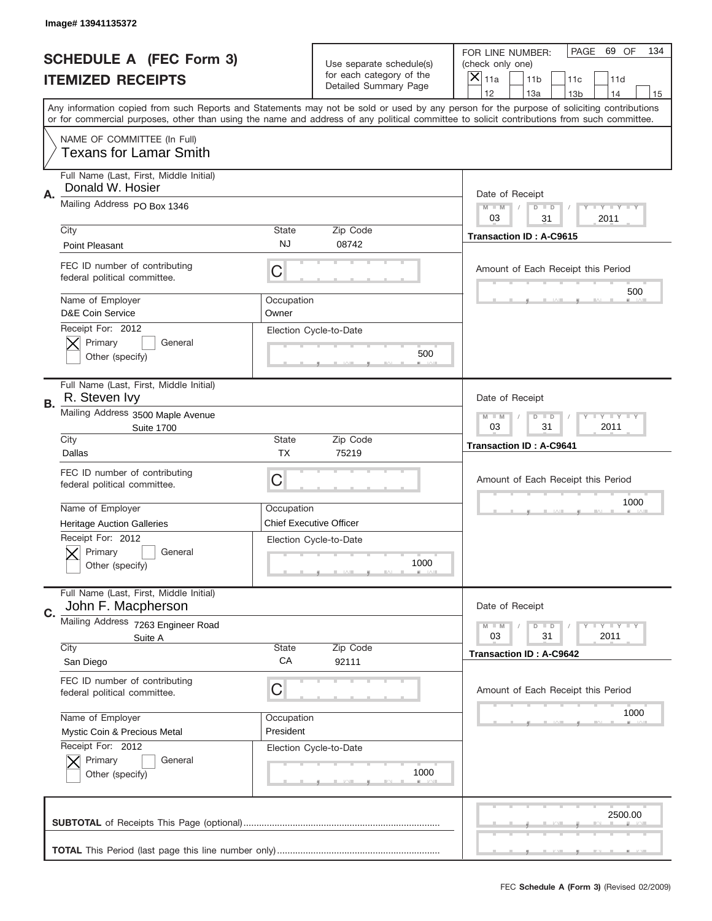|    | Image# 13941135372                                                                              |                                |                                                   |                                                                                                                                                                                                                                                                                                                                     |
|----|-------------------------------------------------------------------------------------------------|--------------------------------|---------------------------------------------------|-------------------------------------------------------------------------------------------------------------------------------------------------------------------------------------------------------------------------------------------------------------------------------------------------------------------------------------|
|    | <b>SCHEDULE A (FEC Form 3)</b>                                                                  |                                | Use separate schedule(s)                          | PAGE<br>69 OF<br>134<br>FOR LINE NUMBER:<br>(check only one)                                                                                                                                                                                                                                                                        |
|    | <b>ITEMIZED RECEIPTS</b>                                                                        |                                | for each category of the<br>Detailed Summary Page | ×<br>11a<br>11 <sub>b</sub><br>11c<br>11d                                                                                                                                                                                                                                                                                           |
|    |                                                                                                 |                                |                                                   | 12<br>13a<br>14<br>13 <sub>b</sub><br>15<br>Any information copied from such Reports and Statements may not be sold or used by any person for the purpose of soliciting contributions<br>or for commercial purposes, other than using the name and address of any political committee to solicit contributions from such committee. |
|    | NAME OF COMMITTEE (In Full)<br><b>Texans for Lamar Smith</b>                                    |                                |                                                   |                                                                                                                                                                                                                                                                                                                                     |
| Α. | Full Name (Last, First, Middle Initial)<br>Donald W. Hosier                                     |                                |                                                   | Date of Receipt                                                                                                                                                                                                                                                                                                                     |
|    | Mailing Address PO Box 1346                                                                     |                                |                                                   | $M$ $M$<br>$T$ $Y$ $Y$ $Y$ $Y$<br>$D$ $D$<br>03<br>2011<br>31                                                                                                                                                                                                                                                                       |
|    | City<br>Point Pleasant                                                                          | State<br><b>NJ</b>             | Zip Code<br>08742                                 | <b>Transaction ID: A-C9615</b>                                                                                                                                                                                                                                                                                                      |
|    | FEC ID number of contributing<br>federal political committee.                                   | C                              |                                                   | Amount of Each Receipt this Period<br>500                                                                                                                                                                                                                                                                                           |
|    | Name of Employer<br><b>D&amp;E Coin Service</b><br>Receipt For: 2012                            | Occupation<br>Owner            | Election Cycle-to-Date                            |                                                                                                                                                                                                                                                                                                                                     |
|    | Primary<br>General<br>Other (specify)                                                           |                                | 500                                               |                                                                                                                                                                                                                                                                                                                                     |
| В. | Full Name (Last, First, Middle Initial)<br>R. Steven Ivy                                        |                                |                                                   | Date of Receipt                                                                                                                                                                                                                                                                                                                     |
|    | Mailing Address 3500 Maple Avenue<br><b>Suite 1700</b>                                          |                                |                                                   | $T$ $Y$ $T$ $Y$ $T$ $Y$<br>$M$ $M$<br>$D$ $D$<br>03<br>31<br>2011                                                                                                                                                                                                                                                                   |
|    | City<br>Dallas                                                                                  | State<br><b>TX</b>             | Zip Code<br>75219                                 | <b>Transaction ID: A-C9641</b>                                                                                                                                                                                                                                                                                                      |
|    | FEC ID number of contributing<br>federal political committee.                                   | C                              |                                                   | Amount of Each Receipt this Period                                                                                                                                                                                                                                                                                                  |
|    | Name of Employer                                                                                | Occupation                     |                                                   | 1000                                                                                                                                                                                                                                                                                                                                |
|    |                                                                                                 |                                |                                                   |                                                                                                                                                                                                                                                                                                                                     |
|    | <b>Heritage Auction Galleries</b><br>Receipt For: 2012<br>General<br>Primary<br>Other (specify) | <b>Chief Executive Officer</b> | Election Cycle-to-Date<br>1000                    |                                                                                                                                                                                                                                                                                                                                     |
| C. | Full Name (Last, First, Middle Initial)<br>John F. Macpherson                                   |                                |                                                   | Date of Receipt                                                                                                                                                                                                                                                                                                                     |
|    | Mailing Address 7263 Engineer Road<br>Suite A                                                   |                                |                                                   | <b>LY LY LY</b><br>$M - M$<br>$D$ $D$<br>31<br>2011<br>03                                                                                                                                                                                                                                                                           |
|    | City<br>San Diego                                                                               | State<br>CA                    | Zip Code<br>92111                                 | <b>Transaction ID: A-C9642</b>                                                                                                                                                                                                                                                                                                      |
|    | FEC ID number of contributing<br>federal political committee.                                   | C                              |                                                   | Amount of Each Receipt this Period                                                                                                                                                                                                                                                                                                  |
|    | Name of Employer<br>Mystic Coin & Precious Metal                                                | Occupation<br>President        |                                                   | 1000                                                                                                                                                                                                                                                                                                                                |
|    | Receipt For: 2012<br>Primary<br>General<br>Other (specify)                                      |                                | Election Cycle-to-Date<br>1000                    |                                                                                                                                                                                                                                                                                                                                     |
|    |                                                                                                 |                                |                                                   | 2500.00                                                                                                                                                                                                                                                                                                                             |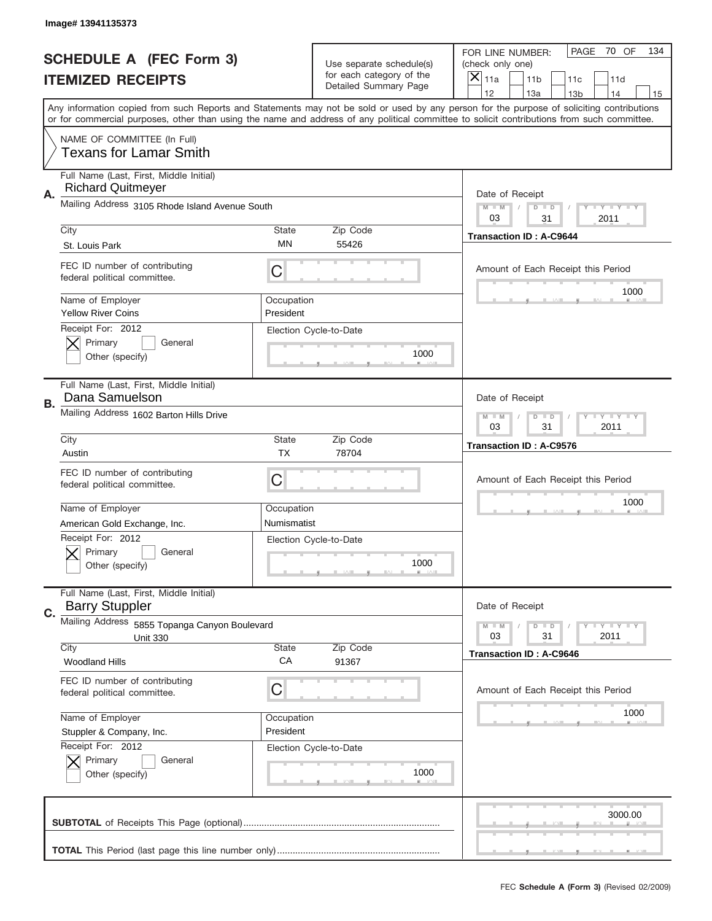|    | Image# 13941135373                                                                                                                         |                           |                                                   |                                                                                                                                                                                       |
|----|--------------------------------------------------------------------------------------------------------------------------------------------|---------------------------|---------------------------------------------------|---------------------------------------------------------------------------------------------------------------------------------------------------------------------------------------|
|    | <b>SCHEDULE A (FEC Form 3)</b>                                                                                                             |                           | Use separate schedule(s)                          | PAGE<br>70 OF<br>134<br>FOR LINE NUMBER:<br>(check only one)                                                                                                                          |
|    | <b>ITEMIZED RECEIPTS</b>                                                                                                                   |                           | for each category of the<br>Detailed Summary Page | ×<br>11a<br>11 <sub>b</sub><br>11c<br>11d                                                                                                                                             |
|    |                                                                                                                                            |                           |                                                   | 12<br>13a<br>14<br>13 <sub>b</sub><br>15<br>Any information copied from such Reports and Statements may not be sold or used by any person for the purpose of soliciting contributions |
|    | or for commercial purposes, other than using the name and address of any political committee to solicit contributions from such committee. |                           |                                                   |                                                                                                                                                                                       |
|    | NAME OF COMMITTEE (In Full)<br><b>Texans for Lamar Smith</b>                                                                               |                           |                                                   |                                                                                                                                                                                       |
| Α. | Full Name (Last, First, Middle Initial)<br><b>Richard Quitmeyer</b>                                                                        |                           |                                                   | Date of Receipt                                                                                                                                                                       |
|    | Mailing Address 3105 Rhode Island Avenue South                                                                                             |                           |                                                   | $M - M$<br><b>THEY THEY</b><br>$D$ $D$<br>03<br>2011<br>31                                                                                                                            |
|    | City                                                                                                                                       | <b>State</b>              | Zip Code                                          | <b>Transaction ID: A-C9644</b>                                                                                                                                                        |
|    | St. Louis Park                                                                                                                             | ΜN                        | 55426                                             |                                                                                                                                                                                       |
|    | FEC ID number of contributing<br>federal political committee.                                                                              | C                         |                                                   | Amount of Each Receipt this Period<br>1000                                                                                                                                            |
|    | Name of Employer<br><b>Yellow River Coins</b>                                                                                              | Occupation<br>President   |                                                   |                                                                                                                                                                                       |
|    | Receipt For: 2012                                                                                                                          |                           | Election Cycle-to-Date                            |                                                                                                                                                                                       |
|    | Primary<br>General                                                                                                                         |                           | 1000                                              |                                                                                                                                                                                       |
|    | Other (specify)                                                                                                                            |                           |                                                   |                                                                                                                                                                                       |
| В. | Full Name (Last, First, Middle Initial)<br>Dana Samuelson                                                                                  |                           |                                                   | Date of Receipt                                                                                                                                                                       |
|    | Mailing Address 1602 Barton Hills Drive                                                                                                    |                           |                                                   | <b>LY LY LY</b><br>$M - M$<br>$D$ $D$                                                                                                                                                 |
|    |                                                                                                                                            |                           |                                                   | 03<br>31<br>2011                                                                                                                                                                      |
|    | City<br>Austin                                                                                                                             | <b>State</b><br><b>TX</b> | Zip Code<br>78704                                 | <b>Transaction ID: A-C9576</b>                                                                                                                                                        |
|    | FEC ID number of contributing                                                                                                              |                           |                                                   |                                                                                                                                                                                       |
|    | federal political committee.                                                                                                               | C                         |                                                   | Amount of Each Receipt this Period                                                                                                                                                    |
|    |                                                                                                                                            |                           |                                                   | 1000                                                                                                                                                                                  |
|    | Name of Employer                                                                                                                           | Occupation                |                                                   |                                                                                                                                                                                       |
|    | American Gold Exchange, Inc.                                                                                                               | Numismatist               |                                                   |                                                                                                                                                                                       |
|    | Receipt For: 2012<br>General<br>Primary                                                                                                    |                           | Election Cycle-to-Date                            |                                                                                                                                                                                       |
|    | Other (specify)                                                                                                                            |                           | 1000                                              |                                                                                                                                                                                       |
|    |                                                                                                                                            |                           |                                                   |                                                                                                                                                                                       |
| C. | Full Name (Last, First, Middle Initial)<br><b>Barry Stuppler</b>                                                                           |                           |                                                   | Date of Receipt                                                                                                                                                                       |
|    | Mailing Address 5855 Topanga Canyon Boulevard                                                                                              |                           |                                                   | <b>LY LY LY</b><br>$M - M$<br>$D$ $D$                                                                                                                                                 |
|    | <b>Unit 330</b><br>City                                                                                                                    | <b>State</b>              | Zip Code                                          | 03<br>31<br>2011                                                                                                                                                                      |
|    | <b>Woodland Hills</b>                                                                                                                      | CA                        | 91367                                             | <b>Transaction ID: A-C9646</b>                                                                                                                                                        |
|    | FEC ID number of contributing                                                                                                              |                           |                                                   |                                                                                                                                                                                       |
|    | federal political committee.                                                                                                               | C                         |                                                   | Amount of Each Receipt this Period                                                                                                                                                    |
|    | Name of Employer                                                                                                                           | Occupation                |                                                   | 1000                                                                                                                                                                                  |
|    | Stuppler & Company, Inc.                                                                                                                   | President                 |                                                   |                                                                                                                                                                                       |
|    | Receipt For: 2012                                                                                                                          |                           | Election Cycle-to-Date                            |                                                                                                                                                                                       |
|    | Primary<br>General<br>Other (specify)                                                                                                      |                           | 1000                                              |                                                                                                                                                                                       |
|    |                                                                                                                                            |                           |                                                   |                                                                                                                                                                                       |
|    |                                                                                                                                            |                           |                                                   |                                                                                                                                                                                       |
|    |                                                                                                                                            |                           |                                                   | 3000.00                                                                                                                                                                               |
|    |                                                                                                                                            |                           |                                                   |                                                                                                                                                                                       |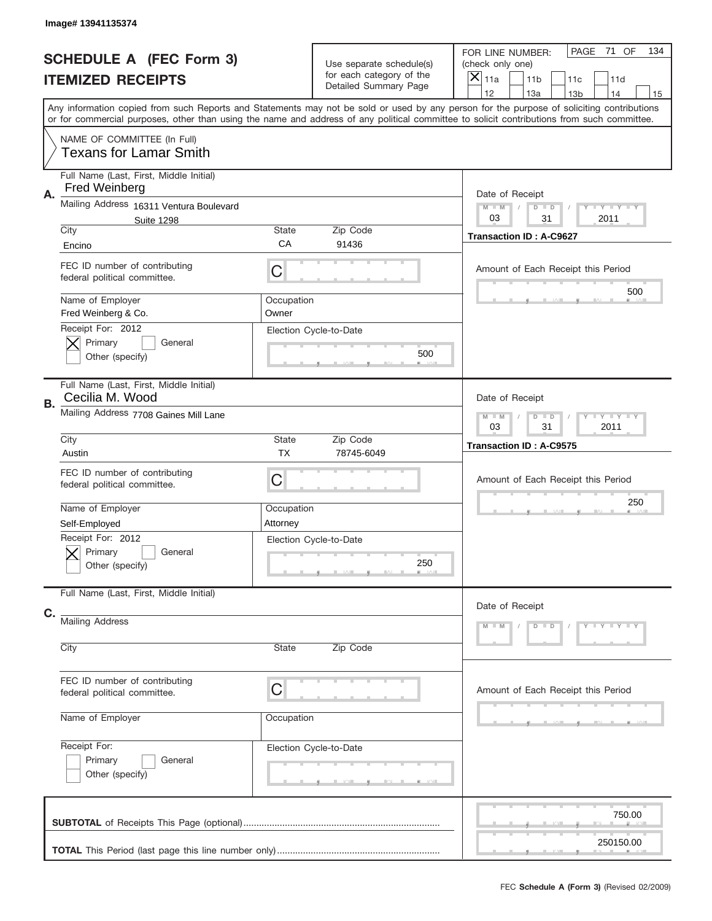| Image# 13941135374                                                    |                           |                                                                               |                                                                                                                                                                                                                                                                                         |
|-----------------------------------------------------------------------|---------------------------|-------------------------------------------------------------------------------|-----------------------------------------------------------------------------------------------------------------------------------------------------------------------------------------------------------------------------------------------------------------------------------------|
| <b>SCHEDULE A (FEC Form 3)</b><br><b>ITEMIZED RECEIPTS</b>            |                           | Use separate schedule(s)<br>for each category of the<br>Detailed Summary Page | PAGE<br>71 OF<br>134<br>FOR LINE NUMBER:<br>(check only one)<br>$\overline{\mathsf{x}}$<br>11a<br>11 <sub>b</sub><br>11c<br>11d<br>12<br>13a<br>14<br>13 <sub>b</sub><br>15                                                                                                             |
|                                                                       |                           |                                                                               | Any information copied from such Reports and Statements may not be sold or used by any person for the purpose of soliciting contributions<br>or for commercial purposes, other than using the name and address of any political committee to solicit contributions from such committee. |
| NAME OF COMMITTEE (In Full)<br><b>Texans for Lamar Smith</b>          |                           |                                                                               |                                                                                                                                                                                                                                                                                         |
| Full Name (Last, First, Middle Initial)<br><b>Fred Weinberg</b><br>Α. |                           |                                                                               | Date of Receipt                                                                                                                                                                                                                                                                         |
| Mailing Address 16311 Ventura Boulevard<br><b>Suite 1298</b>          |                           |                                                                               | $M - M$<br><b>THEY THEY</b><br>$D$ $D$<br>03<br>31<br>2011                                                                                                                                                                                                                              |
| City<br>Encino                                                        | <b>State</b><br>CA        | Zip Code<br>91436                                                             | <b>Transaction ID: A-C9627</b>                                                                                                                                                                                                                                                          |
| FEC ID number of contributing<br>federal political committee.         | C                         |                                                                               | Amount of Each Receipt this Period                                                                                                                                                                                                                                                      |
| Name of Employer<br>Fred Weinberg & Co.                               | Occupation<br>Owner       |                                                                               | 500                                                                                                                                                                                                                                                                                     |
| Receipt For: 2012<br>Primary<br>General<br>Other (specify)            |                           | Election Cycle-to-Date<br>500                                                 |                                                                                                                                                                                                                                                                                         |
| Full Name (Last, First, Middle Initial)<br>Cecilia M. Wood<br>В.      |                           |                                                                               | Date of Receipt                                                                                                                                                                                                                                                                         |
| Mailing Address 7708 Gaines Mill Lane                                 |                           |                                                                               | <b>LY LY LY</b><br>$M$ M<br>$D$ $D$<br>03<br>31<br>2011                                                                                                                                                                                                                                 |
| City<br>Austin                                                        | <b>State</b><br><b>TX</b> | Zip Code<br>78745-6049                                                        | <b>Transaction ID: A-C9575</b>                                                                                                                                                                                                                                                          |
| FEC ID number of contributing<br>federal political committee.         | C                         |                                                                               | Amount of Each Receipt this Period                                                                                                                                                                                                                                                      |
| Name of Employer<br>Self-Employed                                     | Occupation<br>Attorney    |                                                                               | 250                                                                                                                                                                                                                                                                                     |
| Receipt For: 2012<br>General<br>Primary<br>Other (specify)            |                           | Election Cycle-to-Date<br>250                                                 |                                                                                                                                                                                                                                                                                         |
| Full Name (Last, First, Middle Initial)                               |                           |                                                                               | Date of Receipt                                                                                                                                                                                                                                                                         |
| C.<br>Mailing Address<br>City                                         | <b>State</b>              | Zip Code                                                                      | Y TY TY TY<br>$M - M$<br>$D$ $D$                                                                                                                                                                                                                                                        |
|                                                                       |                           |                                                                               |                                                                                                                                                                                                                                                                                         |
| FEC ID number of contributing<br>federal political committee.         | C                         |                                                                               | Amount of Each Receipt this Period                                                                                                                                                                                                                                                      |
| Name of Employer                                                      | Occupation                |                                                                               |                                                                                                                                                                                                                                                                                         |
| Receipt For:<br>Primary<br>General<br>Other (specify)                 |                           | Election Cycle-to-Date                                                        |                                                                                                                                                                                                                                                                                         |
|                                                                       |                           |                                                                               | 750.00<br>250150.00                                                                                                                                                                                                                                                                     |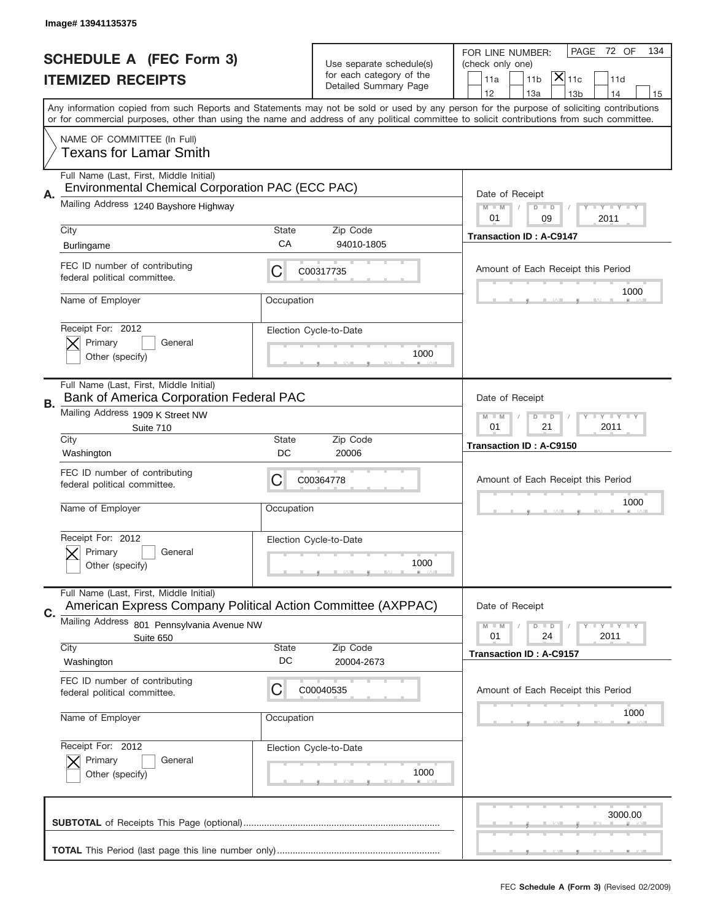|    | Image# 13941135375                                                                                      |             |                                                   |                                                                                                                                                                                                                                                                                                                                     |
|----|---------------------------------------------------------------------------------------------------------|-------------|---------------------------------------------------|-------------------------------------------------------------------------------------------------------------------------------------------------------------------------------------------------------------------------------------------------------------------------------------------------------------------------------------|
|    | <b>SCHEDULE A (FEC Form 3)</b>                                                                          |             | Use separate schedule(s)                          | PAGE<br>72 OF<br>134<br>FOR LINE NUMBER:<br>(check only one)                                                                                                                                                                                                                                                                        |
|    | <b>ITEMIZED RECEIPTS</b>                                                                                |             | for each category of the<br>Detailed Summary Page | $ \mathsf{\overline{X}} _{\mathsf{11c}}$<br>11a<br>11 <sub>b</sub><br>11d                                                                                                                                                                                                                                                           |
|    |                                                                                                         |             |                                                   | 12<br>13a<br>13 <sub>b</sub><br>14<br>15<br>Any information copied from such Reports and Statements may not be sold or used by any person for the purpose of soliciting contributions<br>or for commercial purposes, other than using the name and address of any political committee to solicit contributions from such committee. |
|    | NAME OF COMMITTEE (In Full)<br><b>Texans for Lamar Smith</b>                                            |             |                                                   |                                                                                                                                                                                                                                                                                                                                     |
|    | Full Name (Last, First, Middle Initial)<br>Environmental Chemical Corporation PAC (ECC PAC)             |             |                                                   |                                                                                                                                                                                                                                                                                                                                     |
| А. | Mailing Address 1240 Bayshore Highway                                                                   |             |                                                   | Date of Receipt<br><b>LY LY LY</b><br>$M - M$<br>$D$ $D$<br>01<br>09<br>2011                                                                                                                                                                                                                                                        |
|    | City<br><b>Burlingame</b>                                                                               | State<br>CA | Zip Code<br>94010-1805                            | <b>Transaction ID: A-C9147</b>                                                                                                                                                                                                                                                                                                      |
|    | FEC ID number of contributing<br>federal political committee.                                           | С           | C00317735                                         | Amount of Each Receipt this Period                                                                                                                                                                                                                                                                                                  |
|    | Name of Employer                                                                                        | Occupation  |                                                   | 1000                                                                                                                                                                                                                                                                                                                                |
|    | Receipt For: 2012<br>Primary<br>General<br>Other (specify)                                              |             | Election Cycle-to-Date<br>1000                    |                                                                                                                                                                                                                                                                                                                                     |
| В. | Full Name (Last, First, Middle Initial)<br>Bank of America Corporation Federal PAC                      |             |                                                   | Date of Receipt                                                                                                                                                                                                                                                                                                                     |
|    | Mailing Address 1909 K Street NW<br>Suite 710                                                           |             |                                                   | <b>LY LY LY</b><br>$M - M$<br>$D$ $D$<br>01<br>21<br>2011                                                                                                                                                                                                                                                                           |
|    | City<br>Washington                                                                                      | State<br>DC | Zip Code<br>20006                                 | <b>Transaction ID: A-C9150</b>                                                                                                                                                                                                                                                                                                      |
|    | FEC ID number of contributing                                                                           |             | C00364778                                         | Amount of Each Receipt this Period                                                                                                                                                                                                                                                                                                  |
|    | federal political committee.                                                                            | C           |                                                   |                                                                                                                                                                                                                                                                                                                                     |
|    | Name of Employer                                                                                        | Occupation  |                                                   | 1000                                                                                                                                                                                                                                                                                                                                |
|    | Receipt For: 2012<br>Primary<br>General<br>Other (specify)                                              |             | Election Cycle-to-Date<br>1000                    |                                                                                                                                                                                                                                                                                                                                     |
|    | Full Name (Last, First, Middle Initial)<br>American Express Company Political Action Committee (AXPPAC) |             |                                                   | Date of Receipt                                                                                                                                                                                                                                                                                                                     |
| C. | Mailing Address<br>801 Pennsylvania Avenue NW                                                           |             |                                                   | <b>LYLYLY</b><br>$M - M$<br>$D$ $D$<br>2011<br>01<br>24                                                                                                                                                                                                                                                                             |
|    | Suite 650<br>City<br>Washington                                                                         | State<br>DC | Zip Code<br>20004-2673                            | <b>Transaction ID: A-C9157</b>                                                                                                                                                                                                                                                                                                      |
|    | FEC ID number of contributing<br>federal political committee.                                           | C           | C00040535                                         | Amount of Each Receipt this Period                                                                                                                                                                                                                                                                                                  |
|    | Name of Employer                                                                                        | Occupation  |                                                   | 1000                                                                                                                                                                                                                                                                                                                                |
|    | Receipt For: 2012<br>Primary<br>General<br>Other (specify)                                              |             | Election Cycle-to-Date<br>1000                    |                                                                                                                                                                                                                                                                                                                                     |
|    |                                                                                                         |             |                                                   | 3000.00                                                                                                                                                                                                                                                                                                                             |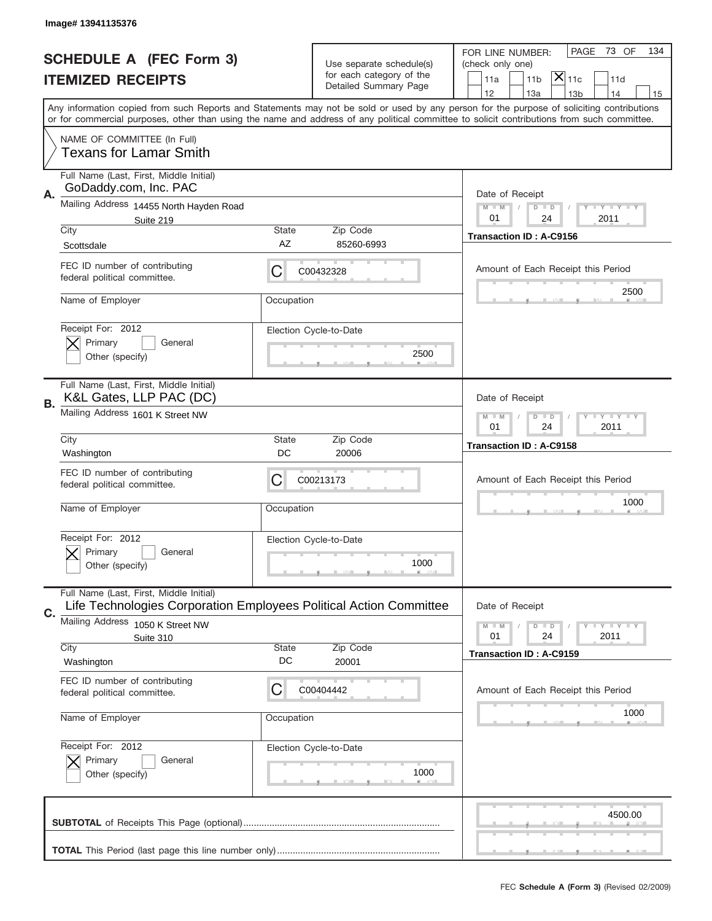|    | Image# 13941135376                                                                                            |                                                              |                                                      |                                                                                                                                                                                                                                                                                         |
|----|---------------------------------------------------------------------------------------------------------------|--------------------------------------------------------------|------------------------------------------------------|-----------------------------------------------------------------------------------------------------------------------------------------------------------------------------------------------------------------------------------------------------------------------------------------|
|    | <b>SCHEDULE A (FEC Form 3)</b>                                                                                |                                                              |                                                      | PAGE<br>73 OF<br>134<br>FOR LINE NUMBER:                                                                                                                                                                                                                                                |
|    |                                                                                                               |                                                              | Use separate schedule(s)<br>for each category of the | (check only one)<br>$ \mathsf{\overline{X}} _{\mathsf{11c}}$<br>11 <sub>b</sub><br>11d                                                                                                                                                                                                  |
|    | <b>ITEMIZED RECEIPTS</b>                                                                                      |                                                              | Detailed Summary Page                                | 11a<br>12<br>13a<br>13 <sub>b</sub><br>14<br>15                                                                                                                                                                                                                                         |
|    |                                                                                                               |                                                              |                                                      | Any information copied from such Reports and Statements may not be sold or used by any person for the purpose of soliciting contributions<br>or for commercial purposes, other than using the name and address of any political committee to solicit contributions from such committee. |
|    | NAME OF COMMITTEE (In Full)<br><b>Texans for Lamar Smith</b>                                                  |                                                              |                                                      |                                                                                                                                                                                                                                                                                         |
| Α. | Full Name (Last, First, Middle Initial)<br>GoDaddy.com, Inc. PAC                                              |                                                              |                                                      | Date of Receipt                                                                                                                                                                                                                                                                         |
|    | Mailing Address 14455 North Hayden Road<br>Suite 219                                                          |                                                              |                                                      | <b>LEY LEY LEY</b><br>$M - M$<br>$D$ $D$<br>01<br>24<br>2011                                                                                                                                                                                                                            |
|    | City<br>Scottsdale                                                                                            | <b>State</b><br>AZ                                           | Zip Code<br>85260-6993                               | <b>Transaction ID: A-C9156</b>                                                                                                                                                                                                                                                          |
|    | FEC ID number of contributing<br>federal political committee.                                                 | С                                                            | C00432328                                            | Amount of Each Receipt this Period                                                                                                                                                                                                                                                      |
|    | Name of Employer                                                                                              | Occupation                                                   |                                                      | 2500                                                                                                                                                                                                                                                                                    |
|    | Receipt For: 2012<br>Primary<br>General<br>Other (specify)                                                    |                                                              | Election Cycle-to-Date<br>2500                       |                                                                                                                                                                                                                                                                                         |
|    | Full Name (Last, First, Middle Initial)<br>K&L Gates, LLP PAC (DC)                                            |                                                              |                                                      | Date of Receipt                                                                                                                                                                                                                                                                         |
| В. | Mailing Address 1601 K Street NW                                                                              | $D$ $D$<br><b>LEY LEY LEY</b><br>$M - M$<br>01<br>24<br>2011 |                                                      |                                                                                                                                                                                                                                                                                         |
|    | City<br>Washington                                                                                            | <b>State</b><br>DC                                           | Zip Code<br>20006                                    | Transaction ID: A-C9158                                                                                                                                                                                                                                                                 |
|    | FEC ID number of contributing<br>federal political committee.                                                 | С                                                            | C00213173                                            | Amount of Each Receipt this Period                                                                                                                                                                                                                                                      |
|    | Name of Employer                                                                                              | Occupation                                                   |                                                      | 1000                                                                                                                                                                                                                                                                                    |
|    | Receipt For: 2012<br>General<br>Primary<br>Other (specify)                                                    |                                                              | Election Cycle-to-Date<br>1000                       |                                                                                                                                                                                                                                                                                         |
| C. | Full Name (Last, First, Middle Initial)<br>Life Technologies Corporation Employees Political Action Committee |                                                              |                                                      | Date of Receipt                                                                                                                                                                                                                                                                         |
|    | <b>Mailing Address</b><br>1050 K Street NW                                                                    |                                                              |                                                      | <b>LY LY LY</b><br>$M \perp M$<br>$D$ $D$<br>24<br>2011<br>01                                                                                                                                                                                                                           |
|    | Suite 310<br>City                                                                                             | <b>State</b>                                                 | Zip Code                                             | <b>Transaction ID: A-C9159</b>                                                                                                                                                                                                                                                          |
|    | Washington                                                                                                    | DC                                                           | 20001                                                |                                                                                                                                                                                                                                                                                         |
|    | FEC ID number of contributing<br>federal political committee.                                                 | C                                                            | C00404442                                            | Amount of Each Receipt this Period                                                                                                                                                                                                                                                      |
|    | Name of Employer                                                                                              | Occupation                                                   |                                                      | 1000                                                                                                                                                                                                                                                                                    |
|    | Receipt For: 2012<br>Primary<br>General<br>Other (specify)                                                    |                                                              | Election Cycle-to-Date<br>1000                       |                                                                                                                                                                                                                                                                                         |
|    |                                                                                                               |                                                              |                                                      | 4500.00                                                                                                                                                                                                                                                                                 |
|    |                                                                                                               |                                                              |                                                      |                                                                                                                                                                                                                                                                                         |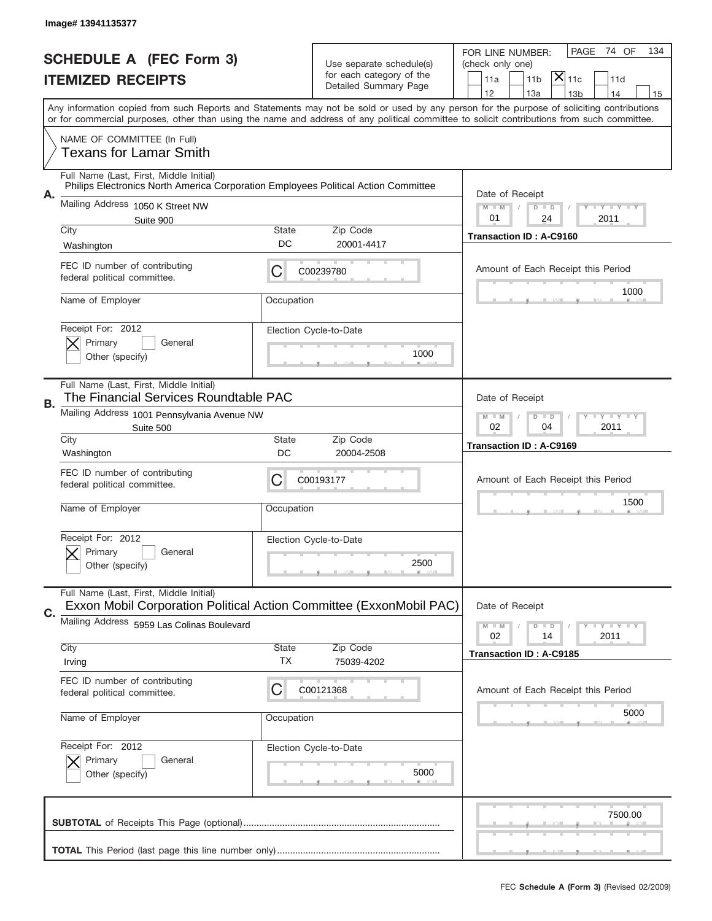|    | Image# 13941135377                                                                                                                         |                                                              |                                                      |                                                                                                                                           |
|----|--------------------------------------------------------------------------------------------------------------------------------------------|--------------------------------------------------------------|------------------------------------------------------|-------------------------------------------------------------------------------------------------------------------------------------------|
|    | <b>SCHEDULE A (FEC Form 3)</b>                                                                                                             |                                                              |                                                      | PAGE<br>74 OF<br>134<br>FOR LINE NUMBER:                                                                                                  |
|    | <b>ITEMIZED RECEIPTS</b>                                                                                                                   |                                                              | Use separate schedule(s)<br>for each category of the | (check only one)<br>$ \mathsf{\overline{X}} _{\mathsf{11c}}$<br>11 <sub>b</sub><br>11a<br>11d                                             |
|    |                                                                                                                                            |                                                              | Detailed Summary Page                                | 12<br>13a<br>14<br>13 <sub>b</sub><br>15                                                                                                  |
|    | or for commercial purposes, other than using the name and address of any political committee to solicit contributions from such committee. |                                                              |                                                      | Any information copied from such Reports and Statements may not be sold or used by any person for the purpose of soliciting contributions |
|    | NAME OF COMMITTEE (In Full)<br>Texans for Lamar Smith                                                                                      |                                                              |                                                      |                                                                                                                                           |
| Α. | Full Name (Last, First, Middle Initial)<br>Philips Electronics North America Corporation Employees Political Action Committee              |                                                              |                                                      | Date of Receipt                                                                                                                           |
|    | Mailing Address 1050 K Street NW<br>Suite 900                                                                                              |                                                              |                                                      | $M$ M<br><b>LYLYLY</b><br>$D$ $D$<br>01<br>24<br>2011                                                                                     |
|    | City                                                                                                                                       | State                                                        | Zip Code                                             | <b>Transaction ID: A-C9160</b>                                                                                                            |
|    | Washington                                                                                                                                 | DC                                                           | 20001-4417                                           |                                                                                                                                           |
|    | FEC ID number of contributing<br>federal political committee.                                                                              | C                                                            | C00239780                                            | Amount of Each Receipt this Period                                                                                                        |
|    | Name of Employer                                                                                                                           | Occupation                                                   |                                                      | 1000                                                                                                                                      |
|    | Receipt For: 2012<br>Primary<br>General                                                                                                    |                                                              | Election Cycle-to-Date                               |                                                                                                                                           |
|    | Other (specify)                                                                                                                            |                                                              | 1000                                                 |                                                                                                                                           |
|    | Full Name (Last, First, Middle Initial)<br>The Financial Services Roundtable PAC                                                           |                                                              |                                                      | Date of Receipt                                                                                                                           |
| В. | Mailing Address 1001 Pennsylvania Avenue NW<br>Suite 500                                                                                   | <b>LEY LEY LEY</b><br>$M - M$<br>$D$ $D$<br>02<br>04<br>2011 |                                                      |                                                                                                                                           |
|    | City<br>Washington                                                                                                                         | State<br>DC                                                  | Zip Code<br>20004-2508                               | <b>Transaction ID: A-C9169</b>                                                                                                            |
|    | FEC ID number of contributing<br>federal political committee.                                                                              | C                                                            | C00193177                                            | Amount of Each Receipt this Period                                                                                                        |
|    | Name of Employer                                                                                                                           | Occupation                                                   |                                                      | 1500                                                                                                                                      |
|    | Receipt For: 2012<br>General                                                                                                               |                                                              | Election Cycle-to-Date                               |                                                                                                                                           |
|    | Primary<br>Other (specify)                                                                                                                 |                                                              | 2500                                                 |                                                                                                                                           |
| C. | Full Name (Last, First, Middle Initial)<br>Exxon Mobil Corporation Political Action Committee (ExxonMobil PAC)                             |                                                              |                                                      | Date of Receipt                                                                                                                           |
|    | Mailing Address 5959 Las Colinas Boulevard                                                                                                 |                                                              |                                                      | <b>LY LY LY</b><br>$M - M$<br>$D$ $D$<br>2011<br>02<br>14                                                                                 |
|    | City<br>Irving                                                                                                                             | State<br>ТX                                                  | Zip Code<br>75039-4202                               | Transaction ID: A-C9185                                                                                                                   |
|    | FEC ID number of contributing<br>federal political committee.                                                                              | C                                                            | C00121368                                            | Amount of Each Receipt this Period                                                                                                        |
|    | Name of Employer                                                                                                                           | Occupation                                                   |                                                      | 5000                                                                                                                                      |
|    | Receipt For: 2012                                                                                                                          |                                                              | Election Cycle-to-Date                               |                                                                                                                                           |
|    | Primary<br>General<br>Other (specify)                                                                                                      |                                                              | 5000                                                 |                                                                                                                                           |
|    |                                                                                                                                            |                                                              |                                                      | 7500.00                                                                                                                                   |
|    |                                                                                                                                            |                                                              |                                                      |                                                                                                                                           |
|    |                                                                                                                                            |                                                              |                                                      |                                                                                                                                           |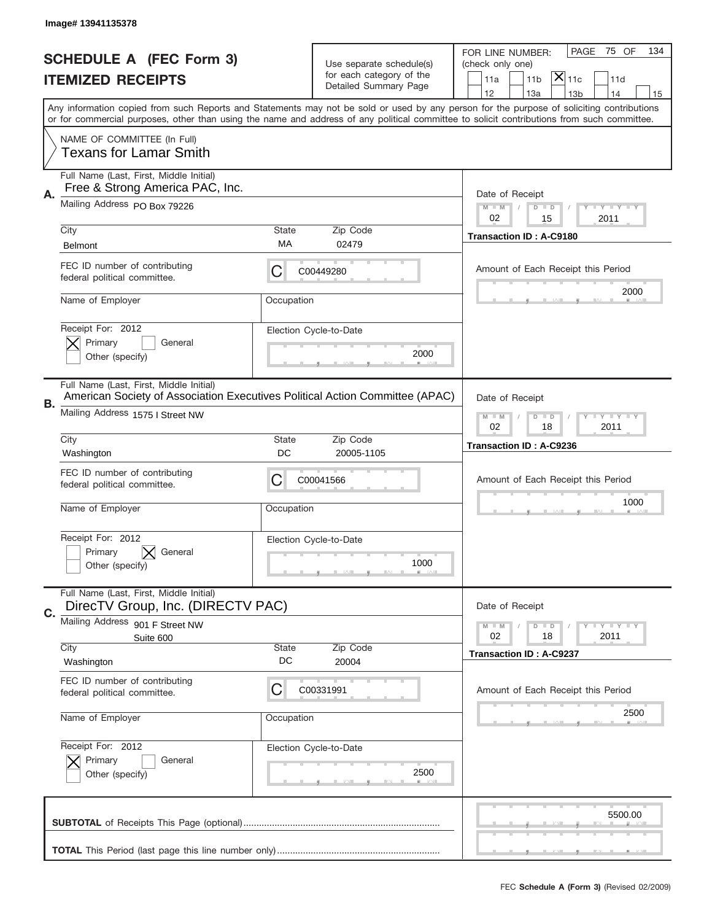|    | Image# 13941135378                                                                                                                        |                                                              |                                                   |                                                                                                                                            |
|----|-------------------------------------------------------------------------------------------------------------------------------------------|--------------------------------------------------------------|---------------------------------------------------|--------------------------------------------------------------------------------------------------------------------------------------------|
|    | <b>SCHEDULE A (FEC Form 3)</b>                                                                                                            |                                                              | Use separate schedule(s)                          | 75 OF<br>PAGE<br>134<br>FOR LINE NUMBER:<br>(check only one)                                                                               |
|    | <b>ITEMIZED RECEIPTS</b>                                                                                                                  |                                                              | for each category of the<br>Detailed Summary Page | $\mathsf{\bar{X}}\vert_{\mathsf{11c}}$<br>11 <sub>b</sub><br>11a<br>11d                                                                    |
|    | Any information copied from such Reports and Statements may not be sold or used by any person for the purpose of soliciting contributions |                                                              |                                                   | 12<br>13a<br>14<br>13 <sub>b</sub><br>15                                                                                                   |
|    |                                                                                                                                           |                                                              |                                                   | or for commercial purposes, other than using the name and address of any political committee to solicit contributions from such committee. |
|    | NAME OF COMMITTEE (In Full)<br><b>Texans for Lamar Smith</b>                                                                              |                                                              |                                                   |                                                                                                                                            |
| А. | Full Name (Last, First, Middle Initial)<br>Free & Strong America PAC, Inc.                                                                |                                                              |                                                   | Date of Receipt                                                                                                                            |
|    | Mailing Address PO Box 79226                                                                                                              |                                                              |                                                   | $M - M$<br><b>LY LY LY</b><br>$D$ $D$<br>02<br>15<br>2011                                                                                  |
|    | City                                                                                                                                      | State                                                        | Zip Code                                          | <b>Transaction ID: A-C9180</b>                                                                                                             |
|    | <b>Belmont</b>                                                                                                                            | МA                                                           | 02479                                             |                                                                                                                                            |
|    | FEC ID number of contributing<br>federal political committee.                                                                             | C                                                            | C00449280                                         | Amount of Each Receipt this Period                                                                                                         |
|    | Name of Employer                                                                                                                          | Occupation                                                   |                                                   | 2000                                                                                                                                       |
|    | Receipt For: 2012                                                                                                                         |                                                              | Election Cycle-to-Date                            |                                                                                                                                            |
|    | Primary<br>General<br>Other (specify)                                                                                                     |                                                              | 2000                                              |                                                                                                                                            |
|    | Full Name (Last, First, Middle Initial)                                                                                                   |                                                              |                                                   |                                                                                                                                            |
| В. | American Society of Association Executives Political Action Committee (APAC)                                                              |                                                              |                                                   | Date of Receipt                                                                                                                            |
|    | Mailing Address 1575 I Street NW                                                                                                          | $M - M$<br>$D$ $D$<br><b>LEY LEY LEY</b><br>02<br>18<br>2011 |                                                   |                                                                                                                                            |
|    | City<br>Washington                                                                                                                        | State<br>DC                                                  | Zip Code<br>20005-1105                            | <b>Transaction ID: A-C9236</b>                                                                                                             |
|    |                                                                                                                                           |                                                              |                                                   |                                                                                                                                            |
|    |                                                                                                                                           |                                                              |                                                   |                                                                                                                                            |
|    | FEC ID number of contributing<br>federal political committee.                                                                             | С                                                            | C00041566                                         | Amount of Each Receipt this Period                                                                                                         |
|    | Name of Employer                                                                                                                          | Occupation                                                   |                                                   | 1000                                                                                                                                       |
|    | Receipt For: 2012                                                                                                                         |                                                              | Election Cycle-to-Date                            |                                                                                                                                            |
|    | Primary<br>General<br>Other (specify)                                                                                                     |                                                              | 1000                                              |                                                                                                                                            |
|    | Full Name (Last, First, Middle Initial)<br>DirecTV Group, Inc. (DIRECTV PAC)                                                              |                                                              |                                                   | Date of Receipt                                                                                                                            |
| C. | Mailing Address 901 F Street NW                                                                                                           |                                                              |                                                   | $I - Y - I - Y - I - Y$<br>$M - M$<br>$D$ $D$                                                                                              |
|    | Suite 600                                                                                                                                 |                                                              |                                                   | 02<br>2011<br>18                                                                                                                           |
|    | City<br>Washington                                                                                                                        | State<br>DC                                                  | Zip Code<br>20004                                 | <b>Transaction ID: A-C9237</b>                                                                                                             |
|    | FEC ID number of contributing<br>federal political committee.                                                                             | C                                                            | C00331991                                         | Amount of Each Receipt this Period                                                                                                         |
|    | Name of Employer                                                                                                                          | Occupation                                                   |                                                   | 2500                                                                                                                                       |
|    | Receipt For: 2012                                                                                                                         |                                                              | Election Cycle-to-Date                            |                                                                                                                                            |
|    | Primary<br>General<br>Other (specify)                                                                                                     |                                                              | 2500                                              |                                                                                                                                            |
|    |                                                                                                                                           |                                                              |                                                   | 5500.00                                                                                                                                    |
|    |                                                                                                                                           |                                                              |                                                   |                                                                                                                                            |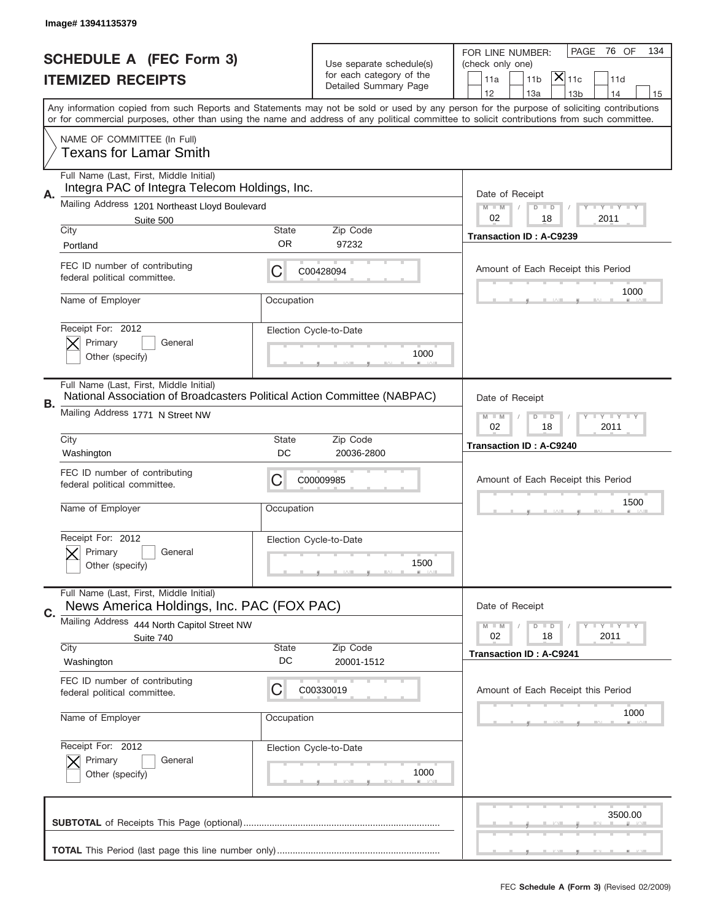|    | Image# 13941135379                                                                                                  |                                                         |                                |                                                                                                                                                                                                                                                                                         |
|----|---------------------------------------------------------------------------------------------------------------------|---------------------------------------------------------|--------------------------------|-----------------------------------------------------------------------------------------------------------------------------------------------------------------------------------------------------------------------------------------------------------------------------------------|
|    | <b>SCHEDULE A (FEC Form 3)</b>                                                                                      |                                                         |                                | PAGE<br>76 OF<br>134<br>FOR LINE NUMBER:                                                                                                                                                                                                                                                |
|    | <b>ITEMIZED RECEIPTS</b>                                                                                            | Use separate schedule(s)<br>for each category of the    |                                | (check only one)<br>$ \overline{\mathsf{X}} _{\mathsf{11c}}$<br>11a<br>11 <sub>b</sub><br>11d                                                                                                                                                                                           |
|    |                                                                                                                     |                                                         | Detailed Summary Page          | 12<br>13a<br>14<br>13 <sub>b</sub><br>15                                                                                                                                                                                                                                                |
|    |                                                                                                                     |                                                         |                                | Any information copied from such Reports and Statements may not be sold or used by any person for the purpose of soliciting contributions<br>or for commercial purposes, other than using the name and address of any political committee to solicit contributions from such committee. |
|    | NAME OF COMMITTEE (In Full)<br>Texans for Lamar Smith                                                               |                                                         |                                |                                                                                                                                                                                                                                                                                         |
| Α. | Full Name (Last, First, Middle Initial)<br>Integra PAC of Integra Telecom Holdings, Inc.                            |                                                         |                                | Date of Receipt                                                                                                                                                                                                                                                                         |
|    | Mailing Address 1201 Northeast Lloyd Boulevard                                                                      |                                                         |                                | $M - M$<br><b>LY LY LY</b><br>$D$ $D$                                                                                                                                                                                                                                                   |
|    | Suite 500<br>City                                                                                                   | State                                                   | Zip Code                       | 02<br>18<br>2011                                                                                                                                                                                                                                                                        |
|    | Portland                                                                                                            | 0R                                                      | 97232                          | <b>Transaction ID: A-C9239</b>                                                                                                                                                                                                                                                          |
|    | FEC ID number of contributing<br>federal political committee.                                                       | C                                                       | C00428094                      | Amount of Each Receipt this Period                                                                                                                                                                                                                                                      |
|    | Name of Employer                                                                                                    | Occupation                                              |                                | 1000                                                                                                                                                                                                                                                                                    |
|    | Receipt For: 2012<br>Primary<br>General<br>Other (specify)                                                          |                                                         | Election Cycle-to-Date<br>1000 |                                                                                                                                                                                                                                                                                         |
|    |                                                                                                                     |                                                         |                                |                                                                                                                                                                                                                                                                                         |
| В. | Full Name (Last, First, Middle Initial)<br>National Association of Broadcasters Political Action Committee (NABPAC) |                                                         |                                | Date of Receipt                                                                                                                                                                                                                                                                         |
|    | Mailing Address 1771 N Street NW                                                                                    | $M - M$<br>$D$ $D$<br><b>LYLYLY</b><br>02<br>18<br>2011 |                                |                                                                                                                                                                                                                                                                                         |
|    | City<br>Washington                                                                                                  | State<br>DC                                             | Zip Code<br>20036-2800         | <b>Transaction ID: A-C9240</b>                                                                                                                                                                                                                                                          |
|    | FEC ID number of contributing<br>federal political committee.                                                       | C                                                       | C00009985                      | Amount of Each Receipt this Period                                                                                                                                                                                                                                                      |
|    | Name of Employer                                                                                                    | Occupation                                              |                                | 1500                                                                                                                                                                                                                                                                                    |
|    | Receipt For: 2012<br>General<br>Primary                                                                             |                                                         | Election Cycle-to-Date         |                                                                                                                                                                                                                                                                                         |
|    | Other (specify)                                                                                                     |                                                         | 1500                           |                                                                                                                                                                                                                                                                                         |
| C. | Full Name (Last, First, Middle Initial)<br>News America Holdings, Inc. PAC (FOX PAC)                                |                                                         |                                | Date of Receipt                                                                                                                                                                                                                                                                         |
|    | Mailing Address 444 North Capitol Street NW                                                                         |                                                         |                                | $I - Y - I - Y - I - Y$<br>$M - M$<br>$D$ $D$<br>02                                                                                                                                                                                                                                     |
|    | Suite 740<br>City                                                                                                   | <b>State</b>                                            | Zip Code                       | 2011<br>18<br><b>Transaction ID: A-C9241</b>                                                                                                                                                                                                                                            |
|    | Washington                                                                                                          | DC                                                      | 20001-1512                     |                                                                                                                                                                                                                                                                                         |
|    | FEC ID number of contributing<br>federal political committee.                                                       | C                                                       | C00330019                      | Amount of Each Receipt this Period                                                                                                                                                                                                                                                      |
|    | Name of Employer                                                                                                    | Occupation                                              |                                | 1000                                                                                                                                                                                                                                                                                    |
|    | Receipt For: 2012                                                                                                   |                                                         | Election Cycle-to-Date         |                                                                                                                                                                                                                                                                                         |
|    | Primary<br>General<br>Other (specify)                                                                               |                                                         | 1000                           |                                                                                                                                                                                                                                                                                         |
|    |                                                                                                                     |                                                         |                                | 3500.00                                                                                                                                                                                                                                                                                 |
|    |                                                                                                                     |                                                         |                                |                                                                                                                                                                                                                                                                                         |
|    |                                                                                                                     |                                                         |                                |                                                                                                                                                                                                                                                                                         |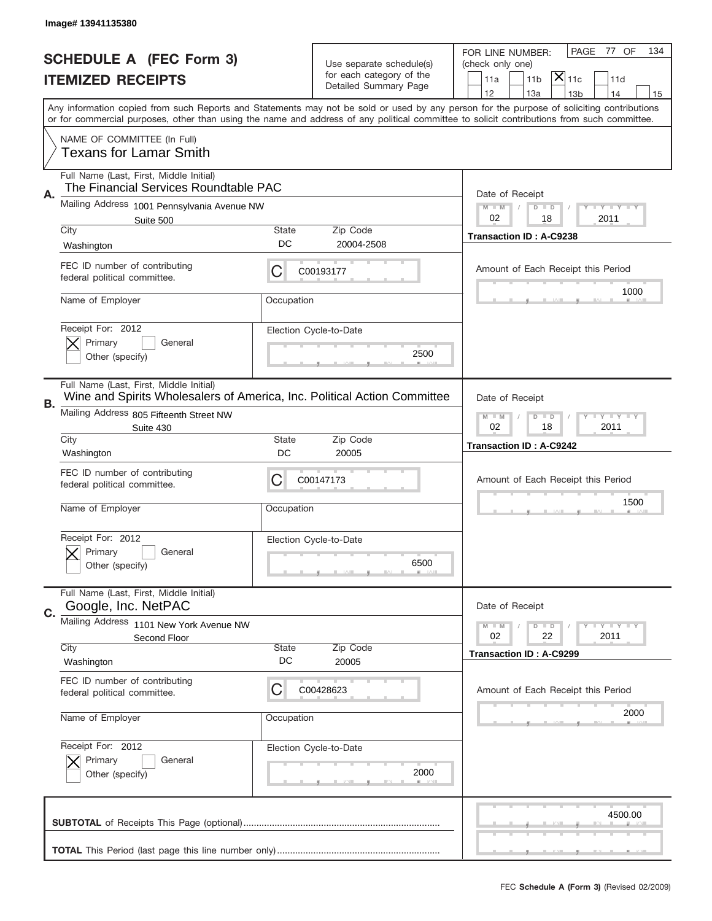|    | Image#13941135380                                                                                                   |              |                                                      |                                                                                                                                                                                                                                                                                         |
|----|---------------------------------------------------------------------------------------------------------------------|--------------|------------------------------------------------------|-----------------------------------------------------------------------------------------------------------------------------------------------------------------------------------------------------------------------------------------------------------------------------------------|
|    | <b>SCHEDULE A (FEC Form 3)</b>                                                                                      |              |                                                      | PAGE<br>77 OF<br>134<br>FOR LINE NUMBER:                                                                                                                                                                                                                                                |
|    |                                                                                                                     |              | Use separate schedule(s)<br>for each category of the | (check only one)<br>$ \overline{\mathsf{X}} _{\mathsf{11c}}$                                                                                                                                                                                                                            |
|    | <b>ITEMIZED RECEIPTS</b>                                                                                            |              | Detailed Summary Page                                | 11a<br>11 <sub>b</sub><br>11d<br>12<br>13a<br>14<br>13 <sub>b</sub><br>15                                                                                                                                                                                                               |
|    |                                                                                                                     |              |                                                      | Any information copied from such Reports and Statements may not be sold or used by any person for the purpose of soliciting contributions<br>or for commercial purposes, other than using the name and address of any political committee to solicit contributions from such committee. |
|    | NAME OF COMMITTEE (In Full)<br>Texans for Lamar Smith                                                               |              |                                                      |                                                                                                                                                                                                                                                                                         |
| Α. | Full Name (Last, First, Middle Initial)<br>The Financial Services Roundtable PAC                                    |              |                                                      | Date of Receipt                                                                                                                                                                                                                                                                         |
|    | Mailing Address 1001 Pennsylvania Avenue NW<br>Suite 500                                                            |              |                                                      | $M - M$<br><b>LY LY LY</b><br>$D$ $D$<br>02<br>18<br>2011                                                                                                                                                                                                                               |
|    | City                                                                                                                | State        | Zip Code                                             | <b>Transaction ID: A-C9238</b>                                                                                                                                                                                                                                                          |
|    | Washington                                                                                                          | DC           | 20004-2508                                           |                                                                                                                                                                                                                                                                                         |
|    | FEC ID number of contributing<br>federal political committee.                                                       | C            | C00193177                                            | Amount of Each Receipt this Period                                                                                                                                                                                                                                                      |
|    | Name of Employer                                                                                                    | Occupation   |                                                      | 1000                                                                                                                                                                                                                                                                                    |
|    | Receipt For: 2012<br>Primary<br>General                                                                             |              | Election Cycle-to-Date                               |                                                                                                                                                                                                                                                                                         |
|    | Other (specify)                                                                                                     |              | 2500                                                 |                                                                                                                                                                                                                                                                                         |
| В. | Full Name (Last, First, Middle Initial)<br>Wine and Spirits Wholesalers of America, Inc. Political Action Committee |              |                                                      | Date of Receipt                                                                                                                                                                                                                                                                         |
|    | Mailing Address 805 Fifteenth Street NW<br>Suite 430                                                                |              |                                                      | $M$ M<br>$D$ $D$<br><b>LYLYLY</b><br>02<br>18<br>2011                                                                                                                                                                                                                                   |
|    | City                                                                                                                | State        | Zip Code                                             | Transaction ID: A-C9242                                                                                                                                                                                                                                                                 |
|    | Washington                                                                                                          | DC           | 20005                                                |                                                                                                                                                                                                                                                                                         |
|    | FEC ID number of contributing<br>federal political committee.                                                       | C            | C00147173                                            | Amount of Each Receipt this Period                                                                                                                                                                                                                                                      |
|    | Name of Employer                                                                                                    | Occupation   |                                                      | 1500                                                                                                                                                                                                                                                                                    |
|    | Receipt For: 2012                                                                                                   |              | Election Cycle-to-Date                               |                                                                                                                                                                                                                                                                                         |
|    | Primary<br>General<br>Other (specify)                                                                               |              | 6500                                                 |                                                                                                                                                                                                                                                                                         |
|    | Full Name (Last, First, Middle Initial)<br>Google, Inc. NetPAC                                                      |              |                                                      | Date of Receipt                                                                                                                                                                                                                                                                         |
| C. | Mailing Address 1101 New York Avenue NW                                                                             |              |                                                      | $I - Y - I - Y - I - Y$<br>$M - M$<br>$D$ $D$                                                                                                                                                                                                                                           |
|    | Second Floor<br>City                                                                                                | <b>State</b> | Zip Code                                             | 02<br>22<br>2011                                                                                                                                                                                                                                                                        |
|    | Washington                                                                                                          | DC           | 20005                                                | Transaction ID: A-C9299                                                                                                                                                                                                                                                                 |
|    | FEC ID number of contributing<br>federal political committee.                                                       | С            | C00428623                                            | Amount of Each Receipt this Period                                                                                                                                                                                                                                                      |
|    | Name of Employer                                                                                                    | Occupation   |                                                      | 2000                                                                                                                                                                                                                                                                                    |
|    | Receipt For: 2012                                                                                                   |              | Election Cycle-to-Date                               |                                                                                                                                                                                                                                                                                         |
|    | Primary<br>General<br>Other (specify)                                                                               |              | 2000                                                 |                                                                                                                                                                                                                                                                                         |
|    |                                                                                                                     |              |                                                      | 4500.00                                                                                                                                                                                                                                                                                 |
|    |                                                                                                                     |              |                                                      |                                                                                                                                                                                                                                                                                         |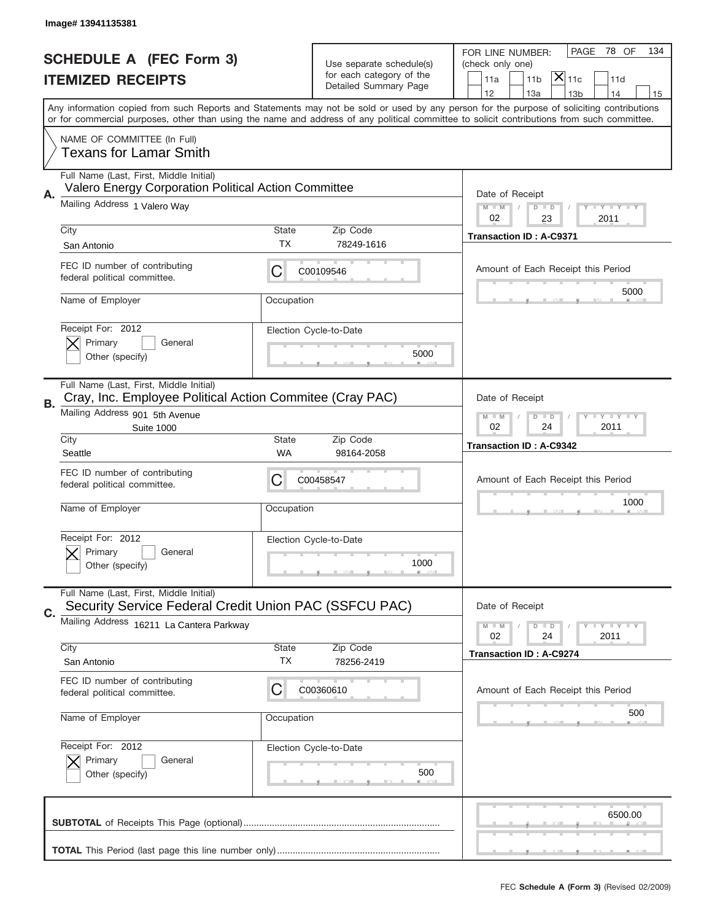|    | Image# 13941135381                                                                                                                        |              |                                                      |                                                                                                                                            |
|----|-------------------------------------------------------------------------------------------------------------------------------------------|--------------|------------------------------------------------------|--------------------------------------------------------------------------------------------------------------------------------------------|
|    | <b>SCHEDULE A (FEC Form 3)</b>                                                                                                            |              |                                                      | PAGE<br>78 OF<br>134<br>FOR LINE NUMBER:                                                                                                   |
|    | <b>ITEMIZED RECEIPTS</b>                                                                                                                  |              | Use separate schedule(s)<br>for each category of the | (check only one)<br>$ \mathsf{X} _{\mathsf{11c}}$<br>11 <sub>b</sub><br>11a<br>11d                                                         |
|    | Any information copied from such Reports and Statements may not be sold or used by any person for the purpose of soliciting contributions |              | Detailed Summary Page                                | 12<br>13a<br>13 <sub>b</sub><br>14<br>15                                                                                                   |
|    |                                                                                                                                           |              |                                                      | or for commercial purposes, other than using the name and address of any political committee to solicit contributions from such committee. |
|    | NAME OF COMMITTEE (In Full)<br><b>Texans for Lamar Smith</b>                                                                              |              |                                                      |                                                                                                                                            |
| Α. | Full Name (Last, First, Middle Initial)<br>Valero Energy Corporation Political Action Committee                                           |              |                                                      | Date of Receipt                                                                                                                            |
|    | Mailing Address 1 Valero Way                                                                                                              |              |                                                      | $M - M$<br><b>LY LY LY</b><br>$D$ $D$<br>02<br>23<br>2011                                                                                  |
|    | City<br>San Antonio                                                                                                                       | State<br>TX  | Zip Code<br>78249-1616                               | <b>Transaction ID: A-C9371</b>                                                                                                             |
|    | FEC ID number of contributing<br>federal political committee.                                                                             | C            | C00109546                                            | Amount of Each Receipt this Period                                                                                                         |
|    | Name of Employer                                                                                                                          | Occupation   |                                                      | 5000                                                                                                                                       |
|    | Receipt For: 2012<br>Primary<br>General<br>Other (specify)                                                                                |              | Election Cycle-to-Date<br>5000                       |                                                                                                                                            |
| В. | Full Name (Last, First, Middle Initial)<br>Cray, Inc. Employee Political Action Commitee (Cray PAC)<br>Mailing Address 901 5th Avenue     |              |                                                      | Date of Receipt<br><b>LY LY LY</b><br>$M$ M<br>$D$ $D$                                                                                     |
|    | <b>Suite 1000</b><br>City                                                                                                                 | <b>State</b> | Zip Code                                             | 02<br>24<br>2011<br><b>Transaction ID: A-C9342</b>                                                                                         |
|    | Seattle                                                                                                                                   | WA           | 98164-2058                                           |                                                                                                                                            |
|    | FEC ID number of contributing<br>federal political committee.                                                                             | С            | C00458547                                            | Amount of Each Receipt this Period                                                                                                         |
|    | Name of Employer                                                                                                                          | Occupation   |                                                      | 1000                                                                                                                                       |
|    | Receipt For: 2012<br>General<br>Primary<br>Other (specify)                                                                                |              | Election Cycle-to-Date<br>1000                       |                                                                                                                                            |
| C. | Full Name (Last, First, Middle Initial)<br>Security Service Federal Credit Union PAC (SSFCU PAC)                                          |              |                                                      | Date of Receipt                                                                                                                            |
|    | Mailing Address 16211 La Cantera Parkway                                                                                                  |              |                                                      | $I - Y - I - Y - I - Y$<br>$M - M$<br>$D$ $D$<br>02<br>2011<br>24                                                                          |
|    | City<br>San Antonio                                                                                                                       | State<br>TX  | Zip Code<br>78256-2419                               | <b>Transaction ID: A-C9274</b>                                                                                                             |
|    | FEC ID number of contributing<br>federal political committee.                                                                             | С            | C00360610                                            | Amount of Each Receipt this Period                                                                                                         |
|    | Name of Employer                                                                                                                          | Occupation   |                                                      | 500                                                                                                                                        |
|    | Receipt For: 2012<br>Primary<br>General<br>Other (specify)                                                                                |              | Election Cycle-to-Date<br>500                        |                                                                                                                                            |
|    |                                                                                                                                           |              |                                                      | 6500.00                                                                                                                                    |
|    |                                                                                                                                           |              |                                                      |                                                                                                                                            |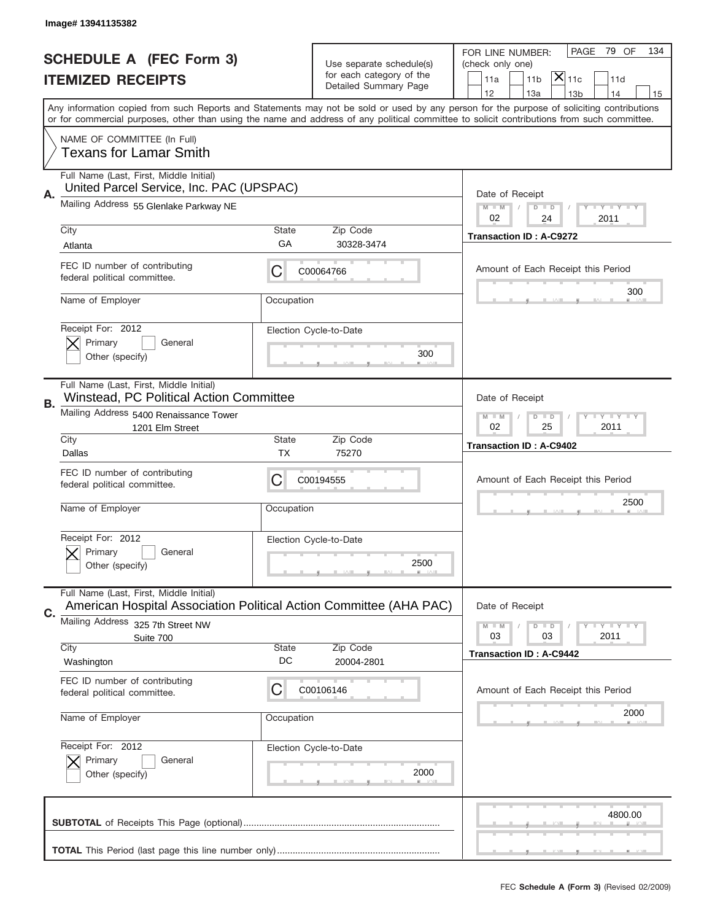|    | Image# 13941135382                                                                                            |                                                              |                                                      |                                                                                                                                                                                                                                                                                         |
|----|---------------------------------------------------------------------------------------------------------------|--------------------------------------------------------------|------------------------------------------------------|-----------------------------------------------------------------------------------------------------------------------------------------------------------------------------------------------------------------------------------------------------------------------------------------|
|    | <b>SCHEDULE A (FEC Form 3)</b>                                                                                |                                                              |                                                      | PAGE<br>79 OF<br>134<br>FOR LINE NUMBER:                                                                                                                                                                                                                                                |
|    |                                                                                                               |                                                              | Use separate schedule(s)<br>for each category of the | (check only one)<br>$ \mathsf{X} _{\mathsf{11c}}$                                                                                                                                                                                                                                       |
|    | <b>ITEMIZED RECEIPTS</b>                                                                                      |                                                              | Detailed Summary Page                                | 11 <sub>b</sub><br>11a<br>11d<br>12<br>13a<br>14<br>13 <sub>b</sub><br>15                                                                                                                                                                                                               |
|    |                                                                                                               |                                                              |                                                      | Any information copied from such Reports and Statements may not be sold or used by any person for the purpose of soliciting contributions<br>or for commercial purposes, other than using the name and address of any political committee to solicit contributions from such committee. |
|    | NAME OF COMMITTEE (In Full)<br><b>Texans for Lamar Smith</b>                                                  |                                                              |                                                      |                                                                                                                                                                                                                                                                                         |
| Α. | Full Name (Last, First, Middle Initial)<br>United Parcel Service, Inc. PAC (UPSPAC)                           |                                                              |                                                      | Date of Receipt                                                                                                                                                                                                                                                                         |
|    | Mailing Address 55 Glenlake Parkway NE                                                                        |                                                              |                                                      | <b>LY LY LY</b><br>$M - M$<br>D<br>$\Box$<br>02<br>24<br>2011                                                                                                                                                                                                                           |
|    | City                                                                                                          | <b>State</b>                                                 | Zip Code                                             | <b>Transaction ID: A-C9272</b>                                                                                                                                                                                                                                                          |
|    | Atlanta                                                                                                       | GA                                                           | 30328-3474                                           |                                                                                                                                                                                                                                                                                         |
|    | FEC ID number of contributing<br>federal political committee.                                                 | С                                                            | C00064766                                            | Amount of Each Receipt this Period<br>300                                                                                                                                                                                                                                               |
|    | Name of Employer                                                                                              | Occupation                                                   |                                                      |                                                                                                                                                                                                                                                                                         |
|    | Receipt For: 2012                                                                                             |                                                              | Election Cycle-to-Date                               |                                                                                                                                                                                                                                                                                         |
|    | Primary<br>General<br>Other (specify)                                                                         |                                                              | 300                                                  |                                                                                                                                                                                                                                                                                         |
|    | Full Name (Last, First, Middle Initial)<br>Winstead, PC Political Action Committee                            |                                                              |                                                      | Date of Receipt                                                                                                                                                                                                                                                                         |
| В. | Mailing Address 5400 Renaissance Tower<br>1201 Elm Street                                                     | $D$ $D$<br><b>LEY LEY LEY</b><br>$M - M$<br>02<br>25<br>2011 |                                                      |                                                                                                                                                                                                                                                                                         |
|    | City                                                                                                          | <b>State</b>                                                 | Zip Code                                             | <b>Transaction ID: A-C9402</b>                                                                                                                                                                                                                                                          |
|    | Dallas                                                                                                        | TX                                                           | 75270                                                |                                                                                                                                                                                                                                                                                         |
|    | FEC ID number of contributing<br>federal political committee.                                                 | С                                                            | C00194555                                            | Amount of Each Receipt this Period                                                                                                                                                                                                                                                      |
|    | Name of Employer                                                                                              | Occupation                                                   |                                                      | 2500                                                                                                                                                                                                                                                                                    |
|    | Receipt For: 2012                                                                                             |                                                              | Election Cycle-to-Date                               |                                                                                                                                                                                                                                                                                         |
|    | General<br>Primary<br>Other (specify)                                                                         |                                                              | 2500                                                 |                                                                                                                                                                                                                                                                                         |
| C. | Full Name (Last, First, Middle Initial)<br>American Hospital Association Political Action Committee (AHA PAC) |                                                              |                                                      | Date of Receipt                                                                                                                                                                                                                                                                         |
|    | <b>Mailing Address</b><br>325 7th Street NW                                                                   |                                                              |                                                      | <b>LY LY LY</b><br>$M \perp M$<br>$D$ $D$                                                                                                                                                                                                                                               |
|    | Suite 700<br>City                                                                                             | <b>State</b>                                                 | Zip Code                                             | 03<br>2011<br>03                                                                                                                                                                                                                                                                        |
|    | Washington                                                                                                    | DC                                                           | 20004-2801                                           | <b>Transaction ID: A-C9442</b>                                                                                                                                                                                                                                                          |
|    | FEC ID number of contributing<br>federal political committee.                                                 | C                                                            | C00106146                                            | Amount of Each Receipt this Period                                                                                                                                                                                                                                                      |
|    | Name of Employer                                                                                              | Occupation                                                   |                                                      | 2000                                                                                                                                                                                                                                                                                    |
|    |                                                                                                               |                                                              |                                                      |                                                                                                                                                                                                                                                                                         |
|    | Receipt For: 2012                                                                                             |                                                              | Election Cycle-to-Date                               |                                                                                                                                                                                                                                                                                         |
|    | Primary<br>General<br>Other (specify)                                                                         |                                                              | 2000                                                 |                                                                                                                                                                                                                                                                                         |
|    |                                                                                                               |                                                              |                                                      | 4800.00                                                                                                                                                                                                                                                                                 |
|    |                                                                                                               |                                                              |                                                      |                                                                                                                                                                                                                                                                                         |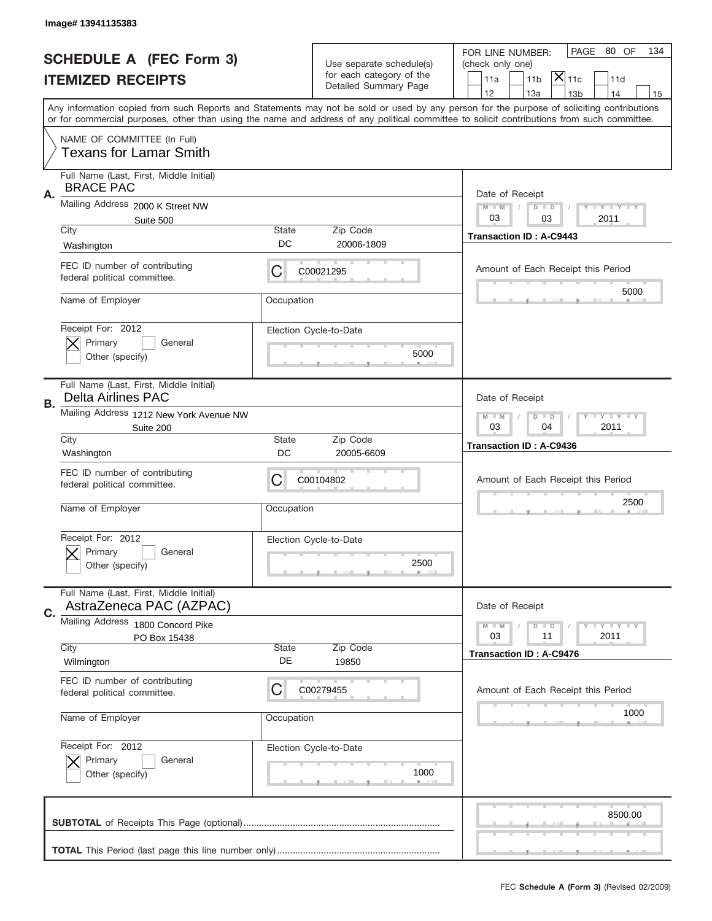|    | Image# 13941135383                                                   |                                                           |                                                   |                                                                                                                                                                                                                                                                                         |
|----|----------------------------------------------------------------------|-----------------------------------------------------------|---------------------------------------------------|-----------------------------------------------------------------------------------------------------------------------------------------------------------------------------------------------------------------------------------------------------------------------------------------|
|    | <b>SCHEDULE A (FEC Form 3)</b>                                       |                                                           | Use separate schedule(s)                          | PAGE 80 OF<br>134<br>FOR LINE NUMBER:<br>(check only one)                                                                                                                                                                                                                               |
|    | <b>ITEMIZED RECEIPTS</b>                                             |                                                           | for each category of the<br>Detailed Summary Page | $ \overline{\mathsf{X}} _{\mathsf{11c}}$<br>11 <sub>b</sub><br>11d<br>11a                                                                                                                                                                                                               |
|    |                                                                      |                                                           |                                                   | 12<br>13a<br>13 <sub>b</sub><br>14<br>15                                                                                                                                                                                                                                                |
|    |                                                                      |                                                           |                                                   | Any information copied from such Reports and Statements may not be sold or used by any person for the purpose of soliciting contributions<br>or for commercial purposes, other than using the name and address of any political committee to solicit contributions from such committee. |
|    | NAME OF COMMITTEE (In Full)<br><b>Texans for Lamar Smith</b>         |                                                           |                                                   |                                                                                                                                                                                                                                                                                         |
| Α. | Full Name (Last, First, Middle Initial)<br><b>BRACE PAC</b>          |                                                           |                                                   | Date of Receipt                                                                                                                                                                                                                                                                         |
|    | Mailing Address 2000 K Street NW<br>Suite 500                        |                                                           |                                                   | $M - M$<br><b>LY LY LY</b><br>$D$ $D$<br>03<br>2011<br>03                                                                                                                                                                                                                               |
|    | City                                                                 | State                                                     | Zip Code                                          | <b>Transaction ID: A-C9443</b>                                                                                                                                                                                                                                                          |
|    | Washington                                                           | DC                                                        | 20006-1809                                        |                                                                                                                                                                                                                                                                                         |
|    | FEC ID number of contributing<br>federal political committee.        | C                                                         | C00021295                                         | Amount of Each Receipt this Period                                                                                                                                                                                                                                                      |
|    | Name of Employer                                                     | Occupation                                                |                                                   | 5000                                                                                                                                                                                                                                                                                    |
|    | Receipt For: 2012<br>Primary<br>General                              |                                                           | Election Cycle-to-Date                            |                                                                                                                                                                                                                                                                                         |
|    | Other (specify)                                                      |                                                           | 5000                                              |                                                                                                                                                                                                                                                                                         |
| В. | Full Name (Last, First, Middle Initial)<br><b>Delta Airlines PAC</b> |                                                           |                                                   | Date of Receipt                                                                                                                                                                                                                                                                         |
|    | Mailing Address 1212 New York Avenue NW<br>Suite 200                 | $M$ M<br><b>LEYTEY LEY</b><br>$D$ $D$<br>03<br>04<br>2011 |                                                   |                                                                                                                                                                                                                                                                                         |
|    | City<br>Washington                                                   | State<br>DC                                               | Zip Code<br>20005-6609                            | <b>Transaction ID: A-C9436</b>                                                                                                                                                                                                                                                          |
|    | FEC ID number of contributing                                        | C                                                         | C00104802                                         | Amount of Each Receipt this Period                                                                                                                                                                                                                                                      |
|    | federal political committee.                                         |                                                           |                                                   |                                                                                                                                                                                                                                                                                         |
|    | Name of Employer                                                     | Occupation                                                |                                                   | 2500                                                                                                                                                                                                                                                                                    |
|    | Receipt For: 2012                                                    |                                                           | Election Cycle-to-Date                            |                                                                                                                                                                                                                                                                                         |
|    | General<br>Primary<br>Other (specify)                                |                                                           | 2500                                              |                                                                                                                                                                                                                                                                                         |
| C. | Full Name (Last, First, Middle Initial)<br>AstraZeneca PAC (AZPAC)   |                                                           |                                                   | Date of Receipt                                                                                                                                                                                                                                                                         |
|    | Mailing Address 1800 Concord Pike                                    |                                                           |                                                   | $I - Y - I - Y - I - Y$<br>$M - M$<br>$D$ $D$                                                                                                                                                                                                                                           |
|    | PO Box 15438<br>City                                                 | State                                                     | Zip Code                                          | 2011<br>03<br>11                                                                                                                                                                                                                                                                        |
|    | Wilmington                                                           | DE                                                        | 19850                                             | Transaction ID: A-C9476                                                                                                                                                                                                                                                                 |
|    | FEC ID number of contributing<br>federal political committee.        | С                                                         | C00279455                                         | Amount of Each Receipt this Period                                                                                                                                                                                                                                                      |
|    | Name of Employer                                                     | Occupation                                                |                                                   | 1000                                                                                                                                                                                                                                                                                    |
|    | Receipt For: 2012                                                    |                                                           | Election Cycle-to-Date                            |                                                                                                                                                                                                                                                                                         |
|    | Primary<br>General<br>Other (specify)                                |                                                           | 1000                                              |                                                                                                                                                                                                                                                                                         |
|    |                                                                      |                                                           |                                                   | 8500.00                                                                                                                                                                                                                                                                                 |
|    |                                                                      |                                                           |                                                   |                                                                                                                                                                                                                                                                                         |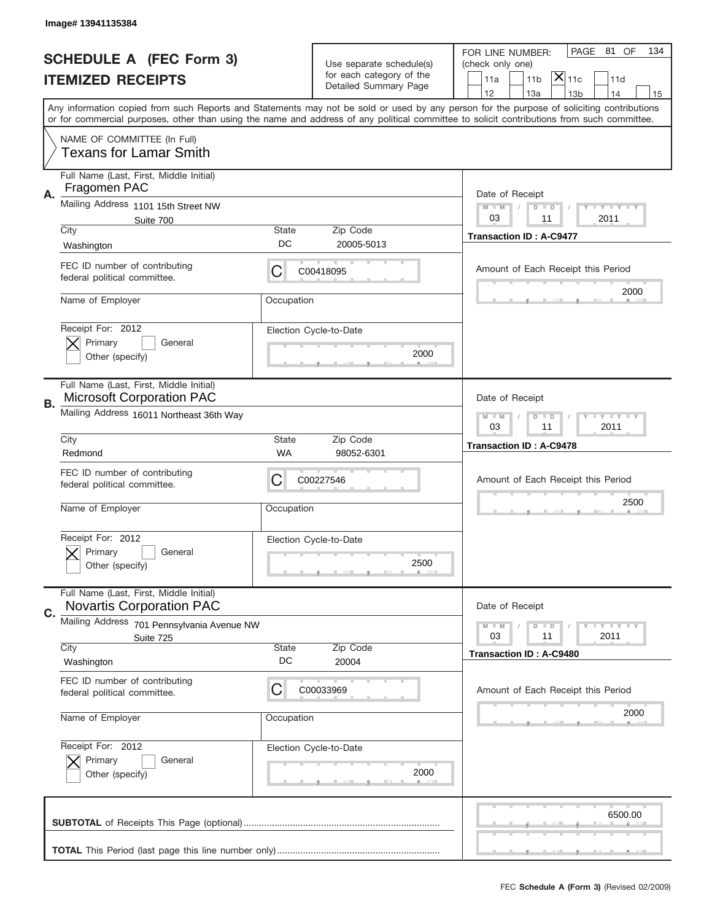|    | Image# 13941135384                                                          |                    |                                                   |                                                                                                                                                                                                                                                                                                                                     |
|----|-----------------------------------------------------------------------------|--------------------|---------------------------------------------------|-------------------------------------------------------------------------------------------------------------------------------------------------------------------------------------------------------------------------------------------------------------------------------------------------------------------------------------|
|    | <b>SCHEDULE A (FEC Form 3)</b>                                              |                    | Use separate schedule(s)                          | PAGE 81 OF<br>134<br>FOR LINE NUMBER:<br>(check only one)                                                                                                                                                                                                                                                                           |
|    | <b>ITEMIZED RECEIPTS</b>                                                    |                    | for each category of the<br>Detailed Summary Page | $ \overline{\mathsf{X}} _{\mathsf{11c}}$<br>11 <sub>b</sub><br>11d<br>11a                                                                                                                                                                                                                                                           |
|    |                                                                             |                    |                                                   | 12<br>13a<br>13 <sub>b</sub><br>14<br>15<br>Any information copied from such Reports and Statements may not be sold or used by any person for the purpose of soliciting contributions<br>or for commercial purposes, other than using the name and address of any political committee to solicit contributions from such committee. |
|    | NAME OF COMMITTEE (In Full)<br><b>Texans for Lamar Smith</b>                |                    |                                                   |                                                                                                                                                                                                                                                                                                                                     |
| Α. | Full Name (Last, First, Middle Initial)<br>Fragomen PAC                     |                    |                                                   | Date of Receipt                                                                                                                                                                                                                                                                                                                     |
|    | Mailing Address 1101 15th Street NW<br>Suite 700<br>City                    | State              | Zip Code                                          | $M - M$<br><b>LY LY LY</b><br>$D$ $D$<br>03<br>2011<br>11                                                                                                                                                                                                                                                                           |
|    | Washington                                                                  | DC                 | 20005-5013                                        | <b>Transaction ID: A-C9477</b>                                                                                                                                                                                                                                                                                                      |
|    | FEC ID number of contributing<br>federal political committee.               | C                  | C00418095                                         | Amount of Each Receipt this Period                                                                                                                                                                                                                                                                                                  |
|    | Name of Employer                                                            | Occupation         |                                                   | 2000                                                                                                                                                                                                                                                                                                                                |
|    | Receipt For: 2012<br>Primary<br>General<br>Other (specify)                  |                    | Election Cycle-to-Date<br>2000                    |                                                                                                                                                                                                                                                                                                                                     |
|    | Full Name (Last, First, Middle Initial)<br><b>Microsoft Corporation PAC</b> |                    |                                                   | Date of Receipt                                                                                                                                                                                                                                                                                                                     |
| В. | Mailing Address 16011 Northeast 36th Way                                    |                    |                                                   | $M$ M<br>$D$ $D$<br><b>LEYTEY LEY</b><br>03<br>11<br>2011                                                                                                                                                                                                                                                                           |
|    | City<br>Redmond                                                             | State<br>WA        | Zip Code<br>98052-6301                            | <b>Transaction ID: A-C9478</b>                                                                                                                                                                                                                                                                                                      |
|    | FEC ID number of contributing<br>federal political committee.               | C                  | C00227546                                         | Amount of Each Receipt this Period                                                                                                                                                                                                                                                                                                  |
|    | Name of Employer                                                            | Occupation         |                                                   | 2500                                                                                                                                                                                                                                                                                                                                |
|    | Receipt For: 2012<br>General<br>Primary<br>Other (specify)                  |                    | Election Cycle-to-Date<br>2500                    |                                                                                                                                                                                                                                                                                                                                     |
| C. | Full Name (Last, First, Middle Initial)<br><b>Novartis Corporation PAC</b>  |                    |                                                   | Date of Receipt                                                                                                                                                                                                                                                                                                                     |
|    | Mailing Address 701 Pennsylvania Avenue NW<br>Suite 725                     |                    |                                                   | $I - Y - I - Y - I - Y$<br>$M - M$<br>$D$ $D$<br>2011<br>03<br>11                                                                                                                                                                                                                                                                   |
|    | City<br>Washington                                                          | <b>State</b><br>DC | Zip Code<br>20004                                 | Transaction ID: A-C9480                                                                                                                                                                                                                                                                                                             |
|    | FEC ID number of contributing<br>federal political committee.               | C                  | C00033969                                         | Amount of Each Receipt this Period                                                                                                                                                                                                                                                                                                  |
|    | Name of Employer                                                            | Occupation         |                                                   | 2000                                                                                                                                                                                                                                                                                                                                |
|    | Receipt For: 2012<br>Primary<br>General                                     |                    | Election Cycle-to-Date<br>2000                    |                                                                                                                                                                                                                                                                                                                                     |
|    | Other (specify)                                                             |                    |                                                   |                                                                                                                                                                                                                                                                                                                                     |
|    |                                                                             |                    |                                                   | 6500.00                                                                                                                                                                                                                                                                                                                             |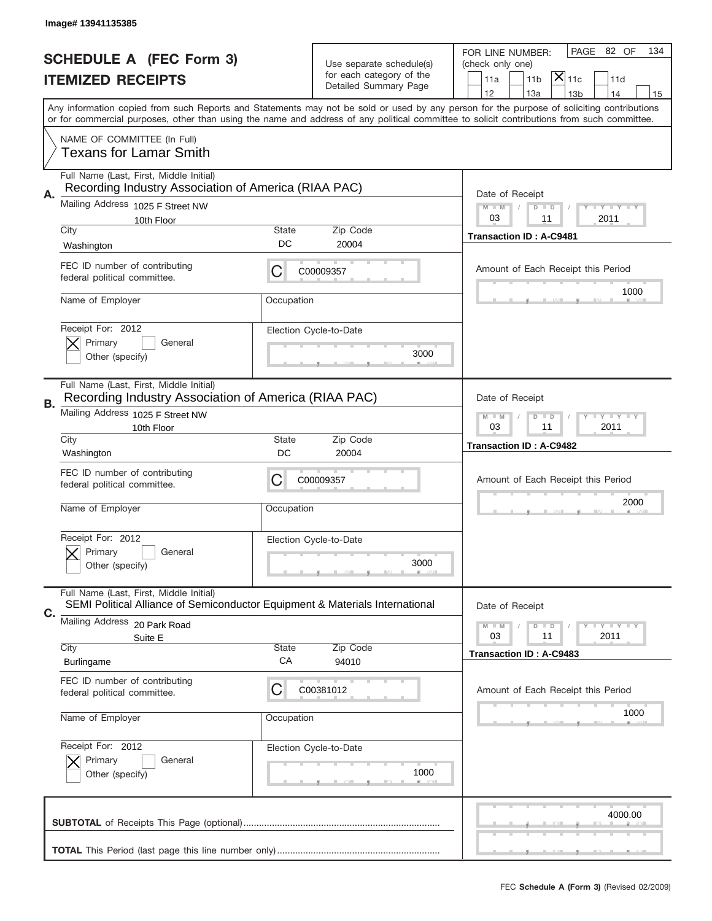|    | Image#13941135385                                                                               |              |                                                   |                                                                                                                                                                                                                                                                                         |
|----|-------------------------------------------------------------------------------------------------|--------------|---------------------------------------------------|-----------------------------------------------------------------------------------------------------------------------------------------------------------------------------------------------------------------------------------------------------------------------------------------|
|    | <b>SCHEDULE A (FEC Form 3)</b>                                                                  |              | Use separate schedule(s)                          | PAGE 82 OF<br>134<br>FOR LINE NUMBER:<br>(check only one)                                                                                                                                                                                                                               |
|    | <b>ITEMIZED RECEIPTS</b>                                                                        |              | for each category of the<br>Detailed Summary Page | $ \overline{\mathsf{X}} _{\mathsf{11c}}$<br>11a<br>11 <sub>b</sub><br>11d                                                                                                                                                                                                               |
|    |                                                                                                 |              |                                                   | 12<br>13a<br>14<br>13 <sub>b</sub><br>15                                                                                                                                                                                                                                                |
|    |                                                                                                 |              |                                                   | Any information copied from such Reports and Statements may not be sold or used by any person for the purpose of soliciting contributions<br>or for commercial purposes, other than using the name and address of any political committee to solicit contributions from such committee. |
|    | NAME OF COMMITTEE (In Full)<br>Texans for Lamar Smith                                           |              |                                                   |                                                                                                                                                                                                                                                                                         |
|    | Full Name (Last, First, Middle Initial)<br>Recording Industry Association of America (RIAA PAC) |              |                                                   |                                                                                                                                                                                                                                                                                         |
| Α. | Mailing Address 1025 F Street NW                                                                |              |                                                   | Date of Receipt<br>$M - M$<br><b>LY LY LY</b><br>$D$ $D$                                                                                                                                                                                                                                |
|    | 10th Floor                                                                                      |              |                                                   | 03<br>11<br>2011                                                                                                                                                                                                                                                                        |
|    | City<br>Washington                                                                              | State<br>DC  | Zip Code<br>20004                                 | <b>Transaction ID: A-C9481</b>                                                                                                                                                                                                                                                          |
|    | FEC ID number of contributing                                                                   |              |                                                   |                                                                                                                                                                                                                                                                                         |
|    | federal political committee.                                                                    | C            | C00009357                                         | Amount of Each Receipt this Period                                                                                                                                                                                                                                                      |
|    | Name of Employer                                                                                | Occupation   |                                                   | 1000                                                                                                                                                                                                                                                                                    |
|    | Receipt For: 2012                                                                               |              | Election Cycle-to-Date                            |                                                                                                                                                                                                                                                                                         |
|    | Primary<br>General                                                                              |              |                                                   |                                                                                                                                                                                                                                                                                         |
|    | Other (specify)                                                                                 |              | 3000                                              |                                                                                                                                                                                                                                                                                         |
|    | Full Name (Last, First, Middle Initial)                                                         |              |                                                   |                                                                                                                                                                                                                                                                                         |
| В. | Recording Industry Association of America (RIAA PAC)<br>Mailing Address 1025 F Street NW        |              |                                                   | Date of Receipt                                                                                                                                                                                                                                                                         |
|    | 10th Floor                                                                                      |              |                                                   | $M - M$<br><b>LEY LEY LEY</b><br>$D$ $D$<br>03<br>11<br>2011                                                                                                                                                                                                                            |
|    | City                                                                                            | State        | Zip Code                                          | <b>Transaction ID: A-C9482</b>                                                                                                                                                                                                                                                          |
|    |                                                                                                 |              |                                                   |                                                                                                                                                                                                                                                                                         |
|    | Washington                                                                                      | DC           | 20004                                             |                                                                                                                                                                                                                                                                                         |
|    | FEC ID number of contributing<br>federal political committee.                                   | C            | C00009357                                         | Amount of Each Receipt this Period                                                                                                                                                                                                                                                      |
|    | Name of Employer                                                                                | Occupation   |                                                   | 2000                                                                                                                                                                                                                                                                                    |
|    |                                                                                                 |              |                                                   |                                                                                                                                                                                                                                                                                         |
|    | Receipt For: 2012<br>General<br>Primary                                                         |              | Election Cycle-to-Date                            |                                                                                                                                                                                                                                                                                         |
|    | Other (specify)                                                                                 |              | 3000                                              |                                                                                                                                                                                                                                                                                         |
|    | Full Name (Last, First, Middle Initial)                                                         |              |                                                   |                                                                                                                                                                                                                                                                                         |
| С. | SEMI Political Alliance of Semiconductor Equipment & Materials International                    |              |                                                   | Date of Receipt                                                                                                                                                                                                                                                                         |
|    | Mailing Address 20 Park Road<br>Suite E                                                         |              |                                                   | $I - Y - I - Y - I - Y$<br>$M - M$<br>$D$ $D$<br>03<br>2011<br>11                                                                                                                                                                                                                       |
|    | City                                                                                            | <b>State</b> | Zip Code                                          | <b>Transaction ID: A-C9483</b>                                                                                                                                                                                                                                                          |
|    | <b>Burlingame</b>                                                                               | CA           | 94010                                             |                                                                                                                                                                                                                                                                                         |
|    | FEC ID number of contributing<br>federal political committee.                                   | C            | C00381012                                         | Amount of Each Receipt this Period                                                                                                                                                                                                                                                      |
|    | Name of Employer                                                                                | Occupation   |                                                   | 1000                                                                                                                                                                                                                                                                                    |
|    |                                                                                                 |              |                                                   |                                                                                                                                                                                                                                                                                         |
|    | Receipt For: 2012                                                                               |              | Election Cycle-to-Date                            |                                                                                                                                                                                                                                                                                         |
|    | Primary<br>General<br>Other (specify)                                                           |              | 1000                                              |                                                                                                                                                                                                                                                                                         |
|    |                                                                                                 |              |                                                   |                                                                                                                                                                                                                                                                                         |
|    |                                                                                                 |              |                                                   | 4000.00                                                                                                                                                                                                                                                                                 |
|    |                                                                                                 |              |                                                   |                                                                                                                                                                                                                                                                                         |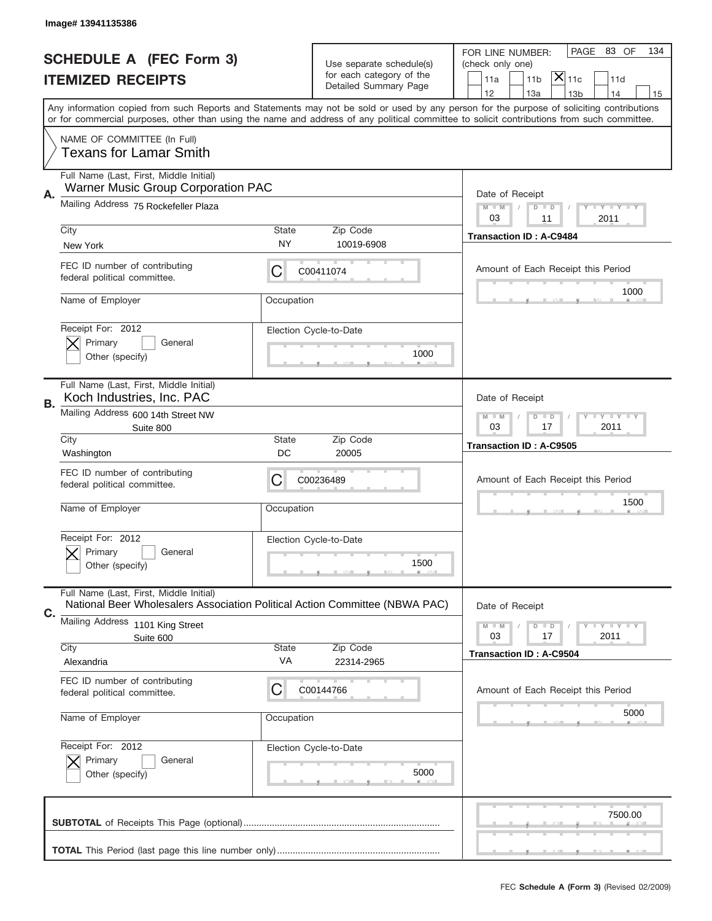|    | Image# 13941135386                                                                                                                         |                    |                                                      |                                                                                                                                           |
|----|--------------------------------------------------------------------------------------------------------------------------------------------|--------------------|------------------------------------------------------|-------------------------------------------------------------------------------------------------------------------------------------------|
|    | <b>SCHEDULE A (FEC Form 3)</b>                                                                                                             |                    |                                                      | PAGE 83 OF<br>134<br>FOR LINE NUMBER:                                                                                                     |
|    |                                                                                                                                            |                    | Use separate schedule(s)<br>for each category of the | (check only one)<br>$\overline{\mathsf{x}} _{\text{11c}}$<br>11 <sub>b</sub><br>11d                                                       |
|    | <b>ITEMIZED RECEIPTS</b>                                                                                                                   |                    | Detailed Summary Page                                | 11a<br>12<br>13a<br>13 <sub>b</sub><br>14<br>15                                                                                           |
|    | or for commercial purposes, other than using the name and address of any political committee to solicit contributions from such committee. |                    |                                                      | Any information copied from such Reports and Statements may not be sold or used by any person for the purpose of soliciting contributions |
|    | NAME OF COMMITTEE (In Full)<br><b>Texans for Lamar Smith</b>                                                                               |                    |                                                      |                                                                                                                                           |
| Α. | Full Name (Last, First, Middle Initial)<br><b>Warner Music Group Corporation PAC</b>                                                       |                    |                                                      | Date of Receipt                                                                                                                           |
|    | Mailing Address 75 Rockefeller Plaza                                                                                                       |                    |                                                      | <b>LY LY LY</b><br>$M - M$<br>$D$ $D$<br>03<br>11<br>2011                                                                                 |
|    | City<br>New York                                                                                                                           | <b>State</b><br>NY | Zip Code<br>10019-6908                               | <b>Transaction ID: A-C9484</b>                                                                                                            |
|    | FEC ID number of contributing<br>federal political committee.                                                                              | С                  | C00411074                                            | Amount of Each Receipt this Period<br>1000                                                                                                |
|    | Name of Employer                                                                                                                           | Occupation         |                                                      |                                                                                                                                           |
|    | Receipt For: 2012<br>Primary<br>General<br>Other (specify)                                                                                 |                    | Election Cycle-to-Date<br>1000                       |                                                                                                                                           |
| В. | Full Name (Last, First, Middle Initial)<br>Koch Industries, Inc. PAC                                                                       |                    |                                                      | Date of Receipt                                                                                                                           |
|    | Mailing Address 600 14th Street NW<br>Suite 800                                                                                            |                    |                                                      | $M - M$<br>$D$ $D$<br><b>LEY LEY LEY</b><br>03<br>17<br>2011                                                                              |
|    | City<br>Washington                                                                                                                         | <b>State</b><br>DC | Zip Code<br>20005                                    | <b>Transaction ID: A-C9505</b>                                                                                                            |
|    | FEC ID number of contributing<br>federal political committee.                                                                              | С                  | C00236489                                            | Amount of Each Receipt this Period                                                                                                        |
|    | Name of Employer                                                                                                                           | Occupation         |                                                      | 1500                                                                                                                                      |
|    | Receipt For: 2012<br>General<br>Primary<br>Other (specify)                                                                                 |                    | Election Cycle-to-Date<br>1500                       |                                                                                                                                           |
| C. | Full Name (Last, First, Middle Initial)<br>National Beer Wholesalers Association Political Action Committee (NBWA PAC)                     |                    |                                                      | Date of Receipt                                                                                                                           |
|    | Mailing Address 1101 King Street<br>Suite 600                                                                                              |                    |                                                      | <b>LYLYLY</b><br>$M - M$<br>$D$ $D$<br>2011<br>03<br>17                                                                                   |
|    | City<br>Alexandria                                                                                                                         | <b>State</b><br>VA | Zip Code<br>22314-2965                               | <b>Transaction ID: A-C9504</b>                                                                                                            |
|    | FEC ID number of contributing                                                                                                              |                    |                                                      |                                                                                                                                           |
|    | federal political committee.                                                                                                               | С                  | C00144766                                            | Amount of Each Receipt this Period                                                                                                        |
|    | Name of Employer                                                                                                                           | Occupation         |                                                      | 5000                                                                                                                                      |
|    | Receipt For: 2012<br>Primary<br>General<br>Other (specify)                                                                                 |                    | Election Cycle-to-Date<br>5000                       |                                                                                                                                           |
|    |                                                                                                                                            |                    |                                                      | 7500.00                                                                                                                                   |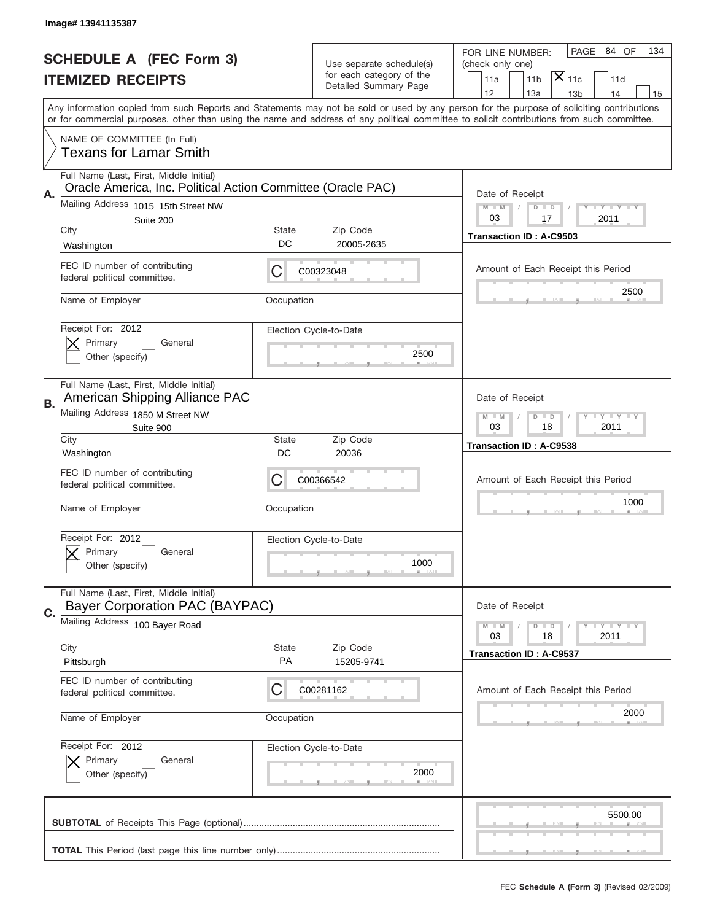|    | Image# 13941135387                                                                                                                                                                                                                                                                      |                    |                                                   |                                                                        |
|----|-----------------------------------------------------------------------------------------------------------------------------------------------------------------------------------------------------------------------------------------------------------------------------------------|--------------------|---------------------------------------------------|------------------------------------------------------------------------|
|    | <b>SCHEDULE A (FEC Form 3)</b>                                                                                                                                                                                                                                                          |                    | Use separate schedule(s)                          | PAGE<br>84 OF<br>134<br>FOR LINE NUMBER:<br>(check only one)           |
|    | <b>ITEMIZED RECEIPTS</b>                                                                                                                                                                                                                                                                |                    | for each category of the<br>Detailed Summary Page | $\overline{\mathsf{x}} _{\text{11c}}$<br>11 <sub>b</sub><br>11a<br>11d |
|    | Any information copied from such Reports and Statements may not be sold or used by any person for the purpose of soliciting contributions<br>or for commercial purposes, other than using the name and address of any political committee to solicit contributions from such committee. |                    |                                                   | 12<br>13a<br>13 <sub>b</sub><br>14<br>15                               |
|    |                                                                                                                                                                                                                                                                                         |                    |                                                   |                                                                        |
|    | NAME OF COMMITTEE (In Full)<br><b>Texans for Lamar Smith</b>                                                                                                                                                                                                                            |                    |                                                   |                                                                        |
| Α. | Full Name (Last, First, Middle Initial)<br>Oracle America, Inc. Political Action Committee (Oracle PAC)                                                                                                                                                                                 |                    |                                                   | Date of Receipt                                                        |
|    | Mailing Address 1015 15th Street NW                                                                                                                                                                                                                                                     |                    |                                                   | <b>LY LY LY</b><br>$M - M$<br>$D$ $D$<br>03<br>17                      |
|    | Suite 200<br>City                                                                                                                                                                                                                                                                       | State              | Zip Code                                          | 2011<br><b>Transaction ID: A-C9503</b>                                 |
|    | Washington                                                                                                                                                                                                                                                                              | DC                 | 20005-2635                                        |                                                                        |
|    | FEC ID number of contributing<br>federal political committee.                                                                                                                                                                                                                           | С                  | C00323048                                         | Amount of Each Receipt this Period                                     |
|    | Name of Employer                                                                                                                                                                                                                                                                        | Occupation         |                                                   | 2500                                                                   |
|    | Receipt For: 2012<br>Primary<br>General                                                                                                                                                                                                                                                 |                    | Election Cycle-to-Date                            |                                                                        |
|    | Other (specify)                                                                                                                                                                                                                                                                         |                    | 2500                                              |                                                                        |
| В. | Full Name (Last, First, Middle Initial)<br>American Shipping Alliance PAC                                                                                                                                                                                                               |                    |                                                   | Date of Receipt                                                        |
|    | Mailing Address 1850 M Street NW<br>Suite 900                                                                                                                                                                                                                                           |                    |                                                   | <b>LEY LEY LEY</b><br>$M - M$<br>$D$ $D$<br>03<br>18<br>2011           |
|    | City<br>Washington                                                                                                                                                                                                                                                                      | <b>State</b><br>DC | Zip Code<br>20036                                 | <b>Transaction ID: A-C9538</b>                                         |
|    | FEC ID number of contributing<br>federal political committee.                                                                                                                                                                                                                           | С                  | C00366542                                         | Amount of Each Receipt this Period                                     |
|    | Name of Employer                                                                                                                                                                                                                                                                        | Occupation         |                                                   | 1000                                                                   |
|    | Receipt For: 2012                                                                                                                                                                                                                                                                       |                    | Election Cycle-to-Date                            |                                                                        |
|    | Primary<br>General<br>Other (specify)                                                                                                                                                                                                                                                   |                    | 1000                                              |                                                                        |
| C. | Full Name (Last, First, Middle Initial)<br><b>Bayer Corporation PAC (BAYPAC)</b>                                                                                                                                                                                                        |                    |                                                   | Date of Receipt                                                        |
|    | Mailing Address 100 Bayer Road                                                                                                                                                                                                                                                          |                    |                                                   | <b>LEY LEY LEY</b><br>$M - M$<br>$D$ $D$<br>2011<br>03<br>18           |
|    | City                                                                                                                                                                                                                                                                                    | <b>State</b>       | Zip Code                                          | <b>Transaction ID: A-C9537</b>                                         |
|    | Pittsburgh                                                                                                                                                                                                                                                                              | PA                 | 15205-9741                                        |                                                                        |
|    | FEC ID number of contributing<br>federal political committee.                                                                                                                                                                                                                           | C                  | C00281162                                         | Amount of Each Receipt this Period                                     |
|    | Name of Employer                                                                                                                                                                                                                                                                        | Occupation         |                                                   | 2000                                                                   |
|    | Receipt For: 2012                                                                                                                                                                                                                                                                       |                    | Election Cycle-to-Date                            |                                                                        |
|    | Primary<br>General<br>Other (specify)                                                                                                                                                                                                                                                   |                    | 2000                                              |                                                                        |
|    |                                                                                                                                                                                                                                                                                         |                    |                                                   | 5500.00                                                                |
|    |                                                                                                                                                                                                                                                                                         |                    |                                                   |                                                                        |
|    |                                                                                                                                                                                                                                                                                         |                    |                                                   |                                                                        |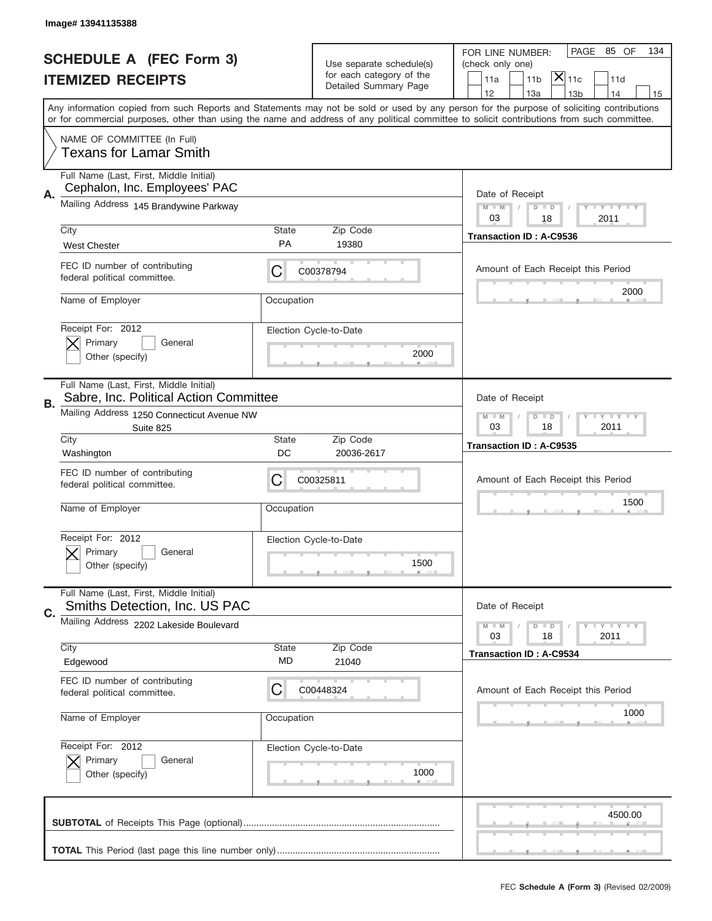|    | Image# 13941135388                                                                |                           |                                                      |                                                                                                                                                                                                                                                                                         |
|----|-----------------------------------------------------------------------------------|---------------------------|------------------------------------------------------|-----------------------------------------------------------------------------------------------------------------------------------------------------------------------------------------------------------------------------------------------------------------------------------------|
|    | <b>SCHEDULE A (FEC Form 3)</b>                                                    |                           |                                                      | PAGE<br>85 OF<br>134<br>FOR LINE NUMBER:                                                                                                                                                                                                                                                |
|    | <b>ITEMIZED RECEIPTS</b>                                                          |                           | Use separate schedule(s)<br>for each category of the | (check only one)<br>$ \mathsf{\overline{X}} _{\mathsf{11c}}$<br>11 <sub>b</sub><br>11a<br>11d                                                                                                                                                                                           |
|    |                                                                                   |                           | Detailed Summary Page                                | 12<br>13a<br>14<br>13 <sub>b</sub><br>15                                                                                                                                                                                                                                                |
|    |                                                                                   |                           |                                                      | Any information copied from such Reports and Statements may not be sold or used by any person for the purpose of soliciting contributions<br>or for commercial purposes, other than using the name and address of any political committee to solicit contributions from such committee. |
|    | NAME OF COMMITTEE (In Full)<br><b>Texans for Lamar Smith</b>                      |                           |                                                      |                                                                                                                                                                                                                                                                                         |
| Α. | Full Name (Last, First, Middle Initial)<br>Cephalon, Inc. Employees' PAC          |                           |                                                      | Date of Receipt                                                                                                                                                                                                                                                                         |
|    | Mailing Address 145 Brandywine Parkway                                            |                           |                                                      | <b>LY LY LY</b><br>$M - M$<br>$D$ $D$<br>03<br>18<br>2011                                                                                                                                                                                                                               |
|    | City<br><b>West Chester</b>                                                       | <b>State</b><br><b>PA</b> | Zip Code<br>19380                                    | <b>Transaction ID: A-C9536</b>                                                                                                                                                                                                                                                          |
|    | FEC ID number of contributing<br>federal political committee.                     | С                         | C00378794                                            | Amount of Each Receipt this Period                                                                                                                                                                                                                                                      |
|    | Name of Employer                                                                  | Occupation                |                                                      | 2000                                                                                                                                                                                                                                                                                    |
|    | Receipt For: 2012<br>Primary<br>General<br>Other (specify)                        |                           | Election Cycle-to-Date<br>2000                       |                                                                                                                                                                                                                                                                                         |
| В. | Full Name (Last, First, Middle Initial)<br>Sabre, Inc. Political Action Committee |                           |                                                      | Date of Receipt                                                                                                                                                                                                                                                                         |
|    | Mailing Address 1250 Connecticut Avenue NW<br>Suite 825                           |                           |                                                      | $D$ $D$<br><b>LEY LEY LEY</b><br>$M - M$<br>03<br>18<br>2011                                                                                                                                                                                                                            |
|    | City<br>Washington                                                                | <b>State</b><br>DC        | Zip Code<br>20036-2617                               | <b>Transaction ID: A-C9535</b>                                                                                                                                                                                                                                                          |
|    | FEC ID number of contributing<br>federal political committee.                     | С                         | C00325811                                            | Amount of Each Receipt this Period                                                                                                                                                                                                                                                      |
|    | Name of Employer                                                                  | Occupation                |                                                      | 1500                                                                                                                                                                                                                                                                                    |
|    | Receipt For: 2012<br>General<br>Primary<br>Other (specify)                        |                           | Election Cycle-to-Date<br>1500                       |                                                                                                                                                                                                                                                                                         |
| C. | Full Name (Last, First, Middle Initial)<br>Smiths Detection, Inc. US PAC          |                           |                                                      | Date of Receipt                                                                                                                                                                                                                                                                         |
|    | Mailing Address 2202 Lakeside Boulevard                                           |                           |                                                      | <b>LYLYLY</b><br>$M - M$<br>$D$ $D$<br>18<br>2011<br>03                                                                                                                                                                                                                                 |
|    | City<br>Edgewood                                                                  | <b>State</b><br>MD        | Zip Code<br>21040                                    | <b>Transaction ID: A-C9534</b>                                                                                                                                                                                                                                                          |
|    | FEC ID number of contributing<br>federal political committee.                     | C                         | C00448324                                            | Amount of Each Receipt this Period                                                                                                                                                                                                                                                      |
|    | Name of Employer                                                                  | Occupation                |                                                      | 1000                                                                                                                                                                                                                                                                                    |
|    | Receipt For: 2012<br>Primary<br>General<br>Other (specify)                        |                           | Election Cycle-to-Date<br>1000                       |                                                                                                                                                                                                                                                                                         |
|    |                                                                                   |                           |                                                      | 4500.00                                                                                                                                                                                                                                                                                 |
|    |                                                                                   |                           |                                                      |                                                                                                                                                                                                                                                                                         |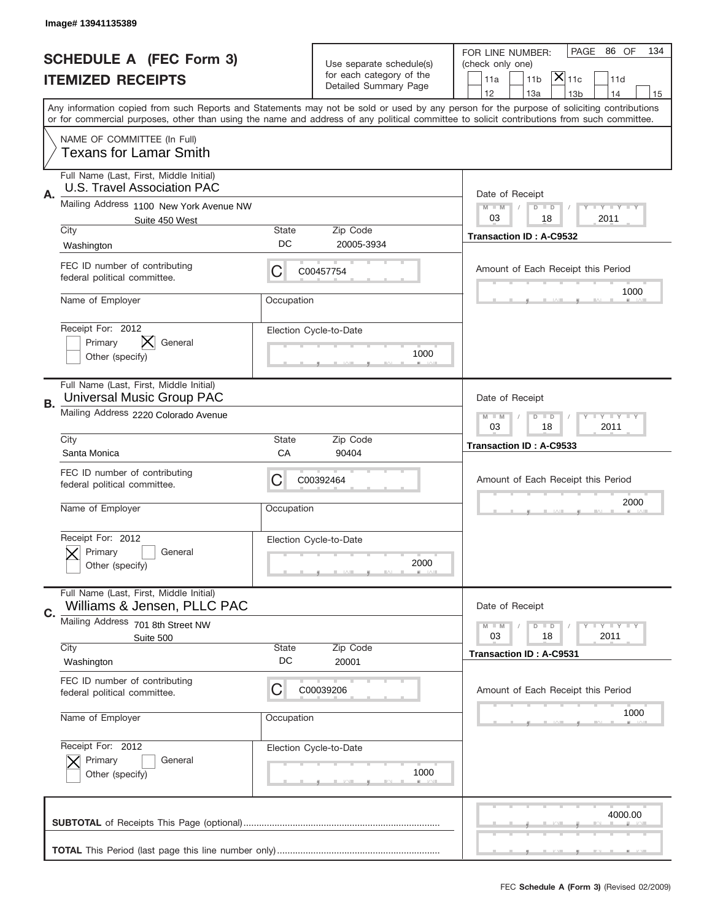|    | Image# 13941135389                                                            |                    |                                                      |                                                                                                                                                                                                                                                                                         |
|----|-------------------------------------------------------------------------------|--------------------|------------------------------------------------------|-----------------------------------------------------------------------------------------------------------------------------------------------------------------------------------------------------------------------------------------------------------------------------------------|
|    | <b>SCHEDULE A (FEC Form 3)</b>                                                |                    |                                                      | PAGE 86 OF<br>134<br>FOR LINE NUMBER:                                                                                                                                                                                                                                                   |
|    | <b>ITEMIZED RECEIPTS</b>                                                      |                    | Use separate schedule(s)<br>for each category of the | (check only one)<br>$ \mathsf{\overline{X}} _{\mathsf{11c}}$<br>11 <sub>b</sub><br>11a<br>11d                                                                                                                                                                                           |
|    |                                                                               |                    | Detailed Summary Page                                | 12<br>13a<br>14<br>13 <sub>b</sub><br>15                                                                                                                                                                                                                                                |
|    |                                                                               |                    |                                                      | Any information copied from such Reports and Statements may not be sold or used by any person for the purpose of soliciting contributions<br>or for commercial purposes, other than using the name and address of any political committee to solicit contributions from such committee. |
|    | NAME OF COMMITTEE (In Full)<br><b>Texans for Lamar Smith</b>                  |                    |                                                      |                                                                                                                                                                                                                                                                                         |
| Α. | Full Name (Last, First, Middle Initial)<br><b>U.S. Travel Association PAC</b> |                    |                                                      | Date of Receipt                                                                                                                                                                                                                                                                         |
|    | Mailing Address 1100 New York Avenue NW<br>Suite 450 West                     |                    |                                                      | $M - M$<br><b>LY LY LY</b><br>$D$ $D$<br>03<br>2011<br>18                                                                                                                                                                                                                               |
|    | City<br>Washington                                                            | State<br>DC        | Zip Code<br>20005-3934                               | <b>Transaction ID: A-C9532</b>                                                                                                                                                                                                                                                          |
|    | FEC ID number of contributing<br>federal political committee.                 | С                  | C00457754                                            | Amount of Each Receipt this Period                                                                                                                                                                                                                                                      |
|    | Name of Employer                                                              | Occupation         |                                                      | 1000                                                                                                                                                                                                                                                                                    |
|    | Receipt For: 2012<br>Primary<br>General<br>Other (specify)                    |                    | Election Cycle-to-Date<br>1000                       |                                                                                                                                                                                                                                                                                         |
| В. | Full Name (Last, First, Middle Initial)<br><b>Universal Music Group PAC</b>   |                    |                                                      | Date of Receipt                                                                                                                                                                                                                                                                         |
|    | Mailing Address 2220 Colorado Avenue                                          |                    |                                                      | $M - M$<br>$D$ $D$<br><b>LEY LEY LEY</b><br>03<br>18<br>2011                                                                                                                                                                                                                            |
|    | City<br>Santa Monica                                                          | State<br>CA        | Zip Code<br>90404                                    | Transaction ID: A-C9533                                                                                                                                                                                                                                                                 |
|    | FEC ID number of contributing<br>federal political committee.                 | С                  | C00392464                                            | Amount of Each Receipt this Period                                                                                                                                                                                                                                                      |
|    | Name of Employer                                                              | Occupation         |                                                      | 2000                                                                                                                                                                                                                                                                                    |
|    |                                                                               |                    | Election Cycle-to-Date                               |                                                                                                                                                                                                                                                                                         |
|    | Receipt For: 2012<br>General<br>Primary<br>Other (specify)                    |                    | 2000                                                 |                                                                                                                                                                                                                                                                                         |
|    | Full Name (Last, First, Middle Initial)<br>Williams & Jensen, PLLC PAC        |                    |                                                      | Date of Receipt                                                                                                                                                                                                                                                                         |
| C. | Mailing Address 701 8th Street NW<br>Suite 500                                |                    |                                                      | <b>LY LY LY</b><br>$M - M$<br>$D$ $D$<br>03<br>2011<br>18                                                                                                                                                                                                                               |
|    | City<br>Washington                                                            | <b>State</b><br>DC | Zip Code<br>20001                                    | <b>Transaction ID: A-C9531</b>                                                                                                                                                                                                                                                          |
|    | FEC ID number of contributing<br>federal political committee.                 | С                  | C00039206                                            | Amount of Each Receipt this Period                                                                                                                                                                                                                                                      |
|    | Name of Employer                                                              | Occupation         |                                                      | 1000                                                                                                                                                                                                                                                                                    |
|    | Receipt For: 2012<br>Primary<br>General<br>Other (specify)                    |                    | Election Cycle-to-Date<br>1000                       |                                                                                                                                                                                                                                                                                         |
|    |                                                                               |                    |                                                      | 4000.00                                                                                                                                                                                                                                                                                 |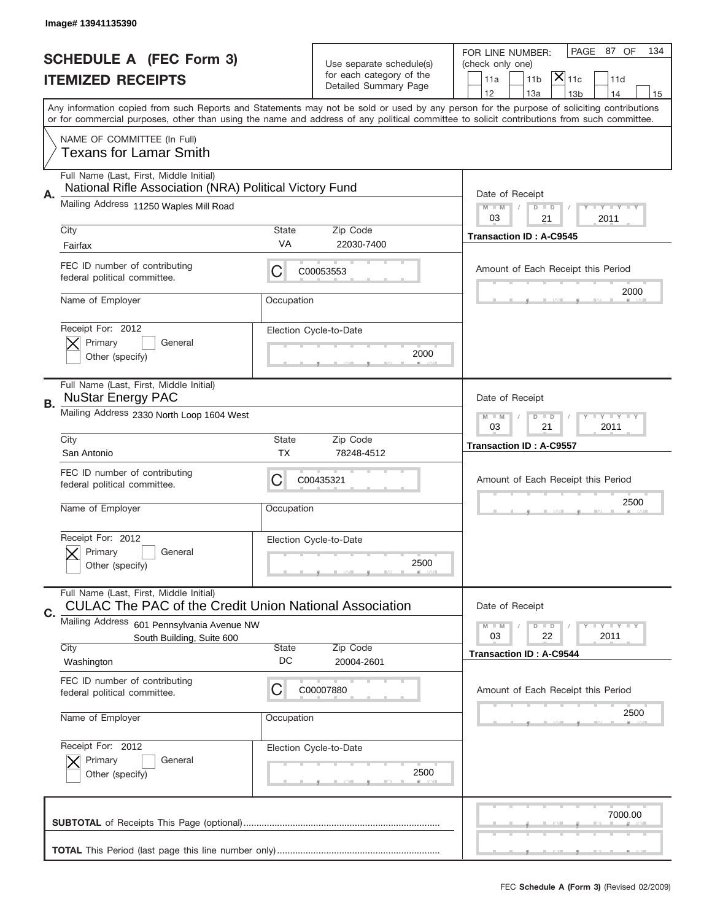|    | Image# 13941135390                                                                                 |                    |                                                      |                                                                                                                                                                                                                                                                                         |
|----|----------------------------------------------------------------------------------------------------|--------------------|------------------------------------------------------|-----------------------------------------------------------------------------------------------------------------------------------------------------------------------------------------------------------------------------------------------------------------------------------------|
|    | <b>SCHEDULE A (FEC Form 3)</b>                                                                     |                    |                                                      | PAGE 87 OF<br>134<br>FOR LINE NUMBER:                                                                                                                                                                                                                                                   |
|    |                                                                                                    |                    | Use separate schedule(s)<br>for each category of the | (check only one)<br>$ \overline{\mathsf{x}} _{\text{11c}}$                                                                                                                                                                                                                              |
|    | <b>ITEMIZED RECEIPTS</b>                                                                           |                    | Detailed Summary Page                                | 11 <sub>b</sub><br>11a<br>11d<br>12<br>13a<br>14<br>13 <sub>b</sub><br>15                                                                                                                                                                                                               |
|    |                                                                                                    |                    |                                                      | Any information copied from such Reports and Statements may not be sold or used by any person for the purpose of soliciting contributions<br>or for commercial purposes, other than using the name and address of any political committee to solicit contributions from such committee. |
|    | NAME OF COMMITTEE (In Full)<br><b>Texans for Lamar Smith</b>                                       |                    |                                                      |                                                                                                                                                                                                                                                                                         |
|    | Full Name (Last, First, Middle Initial)<br>National Rifle Association (NRA) Political Victory Fund |                    |                                                      |                                                                                                                                                                                                                                                                                         |
| Α. | Mailing Address 11250 Waples Mill Road                                                             |                    |                                                      | Date of Receipt<br><b>LEY LEY LEY</b><br>$M - M$<br>$D$ $D$<br>03<br>21<br>2011                                                                                                                                                                                                         |
|    | City                                                                                               | <b>State</b><br>VA | Zip Code                                             | <b>Transaction ID: A-C9545</b>                                                                                                                                                                                                                                                          |
|    | Fairfax                                                                                            |                    | 22030-7400                                           |                                                                                                                                                                                                                                                                                         |
|    | FEC ID number of contributing<br>federal political committee.                                      | С                  | C00053553                                            | Amount of Each Receipt this Period<br>2000                                                                                                                                                                                                                                              |
|    | Name of Employer                                                                                   | Occupation         |                                                      |                                                                                                                                                                                                                                                                                         |
|    | Receipt For: 2012<br>Primary<br>General                                                            |                    | Election Cycle-to-Date                               |                                                                                                                                                                                                                                                                                         |
|    | Other (specify)                                                                                    |                    | 2000                                                 |                                                                                                                                                                                                                                                                                         |
| В. | Full Name (Last, First, Middle Initial)<br><b>NuStar Energy PAC</b>                                |                    |                                                      | Date of Receipt                                                                                                                                                                                                                                                                         |
|    | Mailing Address 2330 North Loop 1604 West                                                          |                    |                                                      | <b>LEY LEY LEY</b><br>$M$ $M$<br>$D$ $D$<br>03<br>21<br>2011                                                                                                                                                                                                                            |
|    | City<br>San Antonio                                                                                | <b>State</b><br>ТX | Zip Code<br>78248-4512                               | <b>Transaction ID: A-C9557</b>                                                                                                                                                                                                                                                          |
|    | FEC ID number of contributing                                                                      | С                  | C00435321                                            | Amount of Each Receipt this Period                                                                                                                                                                                                                                                      |
|    | federal political committee.                                                                       |                    |                                                      | 2500                                                                                                                                                                                                                                                                                    |
|    | Name of Employer                                                                                   | Occupation         |                                                      |                                                                                                                                                                                                                                                                                         |
|    | Receipt For: 2012                                                                                  |                    | Election Cycle-to-Date                               |                                                                                                                                                                                                                                                                                         |
|    | General<br>Primary<br>Other (specify)                                                              |                    | 2500                                                 |                                                                                                                                                                                                                                                                                         |
| C. | Full Name (Last, First, Middle Initial)<br>CULAC The PAC of the Credit Union National Association  |                    |                                                      | Date of Receipt                                                                                                                                                                                                                                                                         |
|    | Mailing Address<br>601 Pennsylvania Avenue NW                                                      |                    |                                                      | <b>LY LY LY</b><br>$M - M$<br>$D$ $D$                                                                                                                                                                                                                                                   |
|    | South Building, Suite 600<br>City                                                                  | <b>State</b>       | Zip Code                                             | 22<br>2011<br>03                                                                                                                                                                                                                                                                        |
|    | Washington                                                                                         | DC                 | 20004-2601                                           | <b>Transaction ID: A-C9544</b>                                                                                                                                                                                                                                                          |
|    | FEC ID number of contributing<br>federal political committee.                                      | С                  | C00007880                                            | Amount of Each Receipt this Period                                                                                                                                                                                                                                                      |
|    | Name of Employer                                                                                   | Occupation         |                                                      | 2500                                                                                                                                                                                                                                                                                    |
|    | Receipt For: 2012                                                                                  |                    | Election Cycle-to-Date                               |                                                                                                                                                                                                                                                                                         |
|    | Primary<br>General<br>Other (specify)                                                              |                    | 2500                                                 |                                                                                                                                                                                                                                                                                         |
|    |                                                                                                    |                    |                                                      | 7000.00                                                                                                                                                                                                                                                                                 |
|    |                                                                                                    |                    |                                                      |                                                                                                                                                                                                                                                                                         |
|    |                                                                                                    |                    |                                                      |                                                                                                                                                                                                                                                                                         |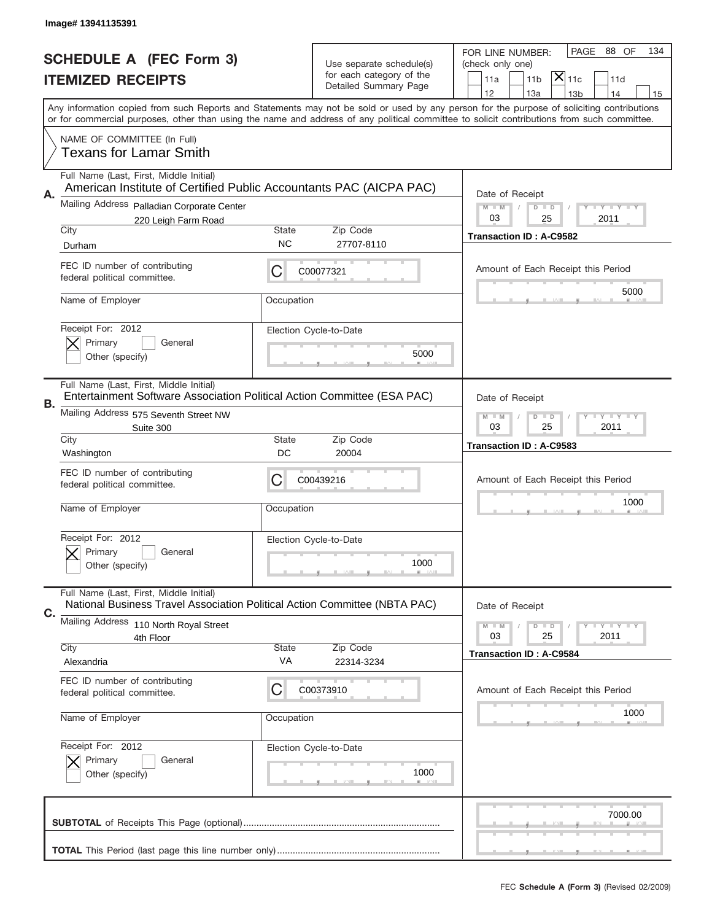|    | Image# 13941135391                                                                                                    |              |                                                      |                                                                                                                                                                                                                                                                                         |
|----|-----------------------------------------------------------------------------------------------------------------------|--------------|------------------------------------------------------|-----------------------------------------------------------------------------------------------------------------------------------------------------------------------------------------------------------------------------------------------------------------------------------------|
|    | <b>SCHEDULE A (FEC Form 3)</b>                                                                                        |              |                                                      | PAGE 88 OF<br>134<br>FOR LINE NUMBER:                                                                                                                                                                                                                                                   |
|    | <b>ITEMIZED RECEIPTS</b>                                                                                              |              | Use separate schedule(s)<br>for each category of the | (check only one)<br>$ \overline{\mathsf{X}} _{\mathsf{11c}}$<br>11a<br>11 <sub>b</sub><br>11d                                                                                                                                                                                           |
|    |                                                                                                                       |              | Detailed Summary Page                                | 12<br>13a<br>14<br>13 <sub>b</sub><br>15                                                                                                                                                                                                                                                |
|    |                                                                                                                       |              |                                                      | Any information copied from such Reports and Statements may not be sold or used by any person for the purpose of soliciting contributions<br>or for commercial purposes, other than using the name and address of any political committee to solicit contributions from such committee. |
|    | NAME OF COMMITTEE (In Full)<br>Texans for Lamar Smith                                                                 |              |                                                      |                                                                                                                                                                                                                                                                                         |
|    | Full Name (Last, First, Middle Initial)                                                                               |              |                                                      |                                                                                                                                                                                                                                                                                         |
| Α. | American Institute of Certified Public Accountants PAC (AICPA PAC)                                                    |              |                                                      | Date of Receipt                                                                                                                                                                                                                                                                         |
|    | Mailing Address Palladian Corporate Center                                                                            |              |                                                      | $M - M$<br><b>LYLYLY</b><br>$D$ $D$                                                                                                                                                                                                                                                     |
|    | 220 Leigh Farm Road<br>City                                                                                           | State        | Zip Code                                             | 03<br>2011<br>25                                                                                                                                                                                                                                                                        |
|    | Durham                                                                                                                | <b>NC</b>    | 27707-8110                                           | <b>Transaction ID: A-C9582</b>                                                                                                                                                                                                                                                          |
|    | FEC ID number of contributing<br>federal political committee.                                                         | C            | C00077321                                            | Amount of Each Receipt this Period                                                                                                                                                                                                                                                      |
|    | Name of Employer                                                                                                      | Occupation   |                                                      | 5000                                                                                                                                                                                                                                                                                    |
|    | Receipt For: 2012                                                                                                     |              | Election Cycle-to-Date                               |                                                                                                                                                                                                                                                                                         |
|    | Primary<br>General<br>Other (specify)                                                                                 |              | 5000                                                 |                                                                                                                                                                                                                                                                                         |
| В. | Full Name (Last, First, Middle Initial)<br>Entertainment Software Association Political Action Committee (ESA PAC)    |              |                                                      | Date of Receipt                                                                                                                                                                                                                                                                         |
|    | Mailing Address 575 Seventh Street NW<br>Suite 300                                                                    |              |                                                      | $M - M$<br><b>LYLYLY</b><br>$D$ $D$<br>03<br>25<br>2011                                                                                                                                                                                                                                 |
|    | City<br>Washington                                                                                                    | State<br>DC  | Zip Code<br>20004                                    | Transaction ID: A-C9583                                                                                                                                                                                                                                                                 |
|    | FEC ID number of contributing                                                                                         | C            | C00439216                                            | Amount of Each Receipt this Period                                                                                                                                                                                                                                                      |
|    | federal political committee.                                                                                          |              |                                                      |                                                                                                                                                                                                                                                                                         |
|    | Name of Employer                                                                                                      | Occupation   |                                                      | 1000                                                                                                                                                                                                                                                                                    |
|    | Receipt For: 2012                                                                                                     |              | Election Cycle-to-Date                               |                                                                                                                                                                                                                                                                                         |
|    | General<br>Primary<br>Other (specify)                                                                                 |              | 1000                                                 |                                                                                                                                                                                                                                                                                         |
| С. | Full Name (Last, First, Middle Initial)<br>National Business Travel Association Political Action Committee (NBTA PAC) |              |                                                      | Date of Receipt                                                                                                                                                                                                                                                                         |
|    | Mailing Address 110 North Royal Street                                                                                |              |                                                      | $I - Y - I - Y - I - Y$<br>$M - M$<br>$D$ $D$                                                                                                                                                                                                                                           |
|    | 4th Floor<br>City                                                                                                     | <b>State</b> | Zip Code                                             | 25<br>2011<br>03                                                                                                                                                                                                                                                                        |
|    | Alexandria                                                                                                            | VA           | 22314-3234                                           | <b>Transaction ID: A-C9584</b>                                                                                                                                                                                                                                                          |
|    | FEC ID number of contributing<br>federal political committee.                                                         | C            | C00373910                                            | Amount of Each Receipt this Period                                                                                                                                                                                                                                                      |
|    | Name of Employer                                                                                                      | Occupation   |                                                      | 1000                                                                                                                                                                                                                                                                                    |
|    | Receipt For: 2012                                                                                                     |              | Election Cycle-to-Date                               |                                                                                                                                                                                                                                                                                         |
|    | Primary<br>General<br>Other (specify)                                                                                 |              | 1000                                                 |                                                                                                                                                                                                                                                                                         |
|    |                                                                                                                       |              |                                                      | 7000.00                                                                                                                                                                                                                                                                                 |
|    |                                                                                                                       |              |                                                      |                                                                                                                                                                                                                                                                                         |
|    |                                                                                                                       |              |                                                      |                                                                                                                                                                                                                                                                                         |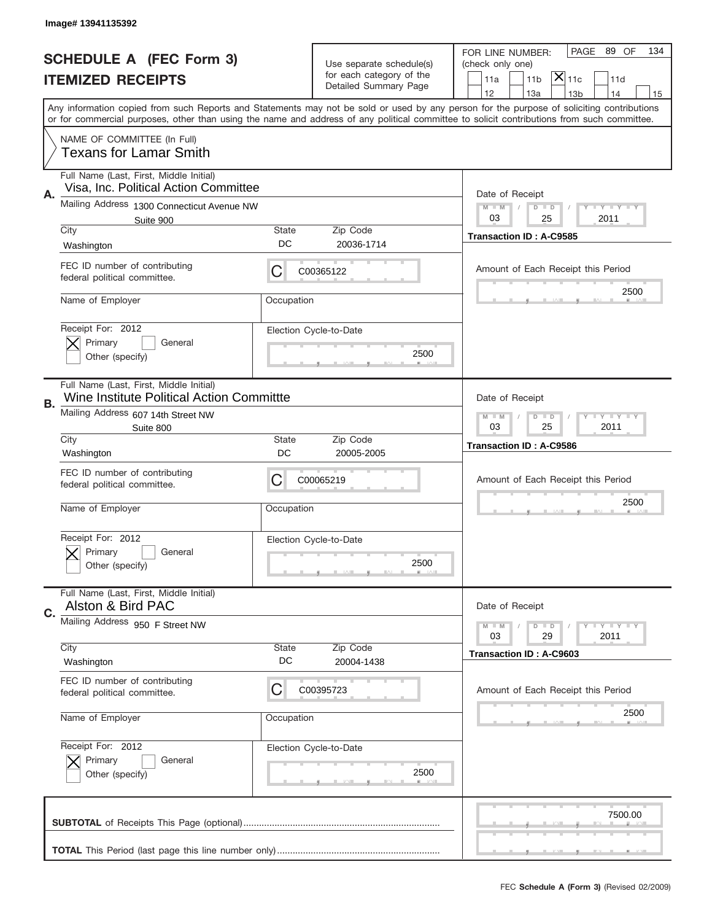|    | Image# 13941135392                                                                   |                    |                                |                                                                                                                                                                                                                                                                                         |
|----|--------------------------------------------------------------------------------------|--------------------|--------------------------------|-----------------------------------------------------------------------------------------------------------------------------------------------------------------------------------------------------------------------------------------------------------------------------------------|
|    | <b>SCHEDULE A (FEC Form 3)</b>                                                       |                    | Use separate schedule(s)       | PAGE 89 OF<br>134<br>FOR LINE NUMBER:<br>(check only one)                                                                                                                                                                                                                               |
|    | <b>ITEMIZED RECEIPTS</b>                                                             |                    | for each category of the       | $ \overline{\mathsf{X}} _{\mathsf{11c}}$<br>11 <sub>b</sub><br>11a<br>11d                                                                                                                                                                                                               |
|    |                                                                                      |                    | Detailed Summary Page          | 12<br>13a<br>13 <sub>b</sub><br>14<br>15                                                                                                                                                                                                                                                |
|    |                                                                                      |                    |                                | Any information copied from such Reports and Statements may not be sold or used by any person for the purpose of soliciting contributions<br>or for commercial purposes, other than using the name and address of any political committee to solicit contributions from such committee. |
|    | NAME OF COMMITTEE (In Full)<br><b>Texans for Lamar Smith</b>                         |                    |                                |                                                                                                                                                                                                                                                                                         |
| Α. | Full Name (Last, First, Middle Initial)<br>Visa, Inc. Political Action Committee     |                    |                                | Date of Receipt                                                                                                                                                                                                                                                                         |
|    | Mailing Address 1300 Connecticut Avenue NW<br>Suite 900                              |                    |                                | $M - M$<br><b>LY LY LY</b><br>$D$ $D$<br>03<br>2011<br>25                                                                                                                                                                                                                               |
|    | City<br>Washington                                                                   | State<br>DC        | Zip Code<br>20036-1714         | <b>Transaction ID: A-C9585</b>                                                                                                                                                                                                                                                          |
|    | FEC ID number of contributing<br>federal political committee.                        | C                  | C00365122                      | Amount of Each Receipt this Period                                                                                                                                                                                                                                                      |
|    | Name of Employer                                                                     | Occupation         |                                | 2500                                                                                                                                                                                                                                                                                    |
|    | Receipt For: 2012<br>Primary<br>General<br>Other (specify)                           |                    | Election Cycle-to-Date<br>2500 |                                                                                                                                                                                                                                                                                         |
| В. | Full Name (Last, First, Middle Initial)<br>Wine Institute Political Action Committte |                    |                                | Date of Receipt                                                                                                                                                                                                                                                                         |
|    | Mailing Address 607 14th Street NW<br>Suite 800                                      |                    |                                | $M$ M<br>$D$ $D$<br><b>LY LY LY</b><br>03<br>25<br>2011                                                                                                                                                                                                                                 |
|    | City<br>Washington                                                                   | State<br>DC        | Zip Code<br>20005-2005         | <b>Transaction ID: A-C9586</b>                                                                                                                                                                                                                                                          |
|    | FEC ID number of contributing                                                        | C                  | C00065219                      | Amount of Each Receipt this Period                                                                                                                                                                                                                                                      |
|    | federal political committee.                                                         |                    |                                |                                                                                                                                                                                                                                                                                         |
|    | Name of Employer                                                                     | Occupation         |                                | 2500                                                                                                                                                                                                                                                                                    |
|    | Receipt For: 2012<br>General<br>Primary<br>Other (specify)                           |                    | Election Cycle-to-Date<br>2500 |                                                                                                                                                                                                                                                                                         |
|    | Full Name (Last, First, Middle Initial)<br>Alston & Bird PAC                         |                    |                                | Date of Receipt                                                                                                                                                                                                                                                                         |
| C. | Mailing Address 950 F Street NW                                                      |                    |                                | $I - Y - I - Y - I - Y$<br>$M - M$<br>$D$ $D$<br>29<br>2011<br>03                                                                                                                                                                                                                       |
|    | City<br>Washington                                                                   | <b>State</b><br>DC | Zip Code<br>20004-1438         | Transaction ID: A-C9603                                                                                                                                                                                                                                                                 |
|    | FEC ID number of contributing<br>federal political committee.                        | C                  | C00395723                      | Amount of Each Receipt this Period                                                                                                                                                                                                                                                      |
|    | Name of Employer                                                                     | Occupation         |                                | 2500                                                                                                                                                                                                                                                                                    |
|    | Receipt For: 2012<br>Primary<br>General<br>Other (specify)                           |                    | Election Cycle-to-Date<br>2500 |                                                                                                                                                                                                                                                                                         |
|    |                                                                                      |                    |                                | 7500.00                                                                                                                                                                                                                                                                                 |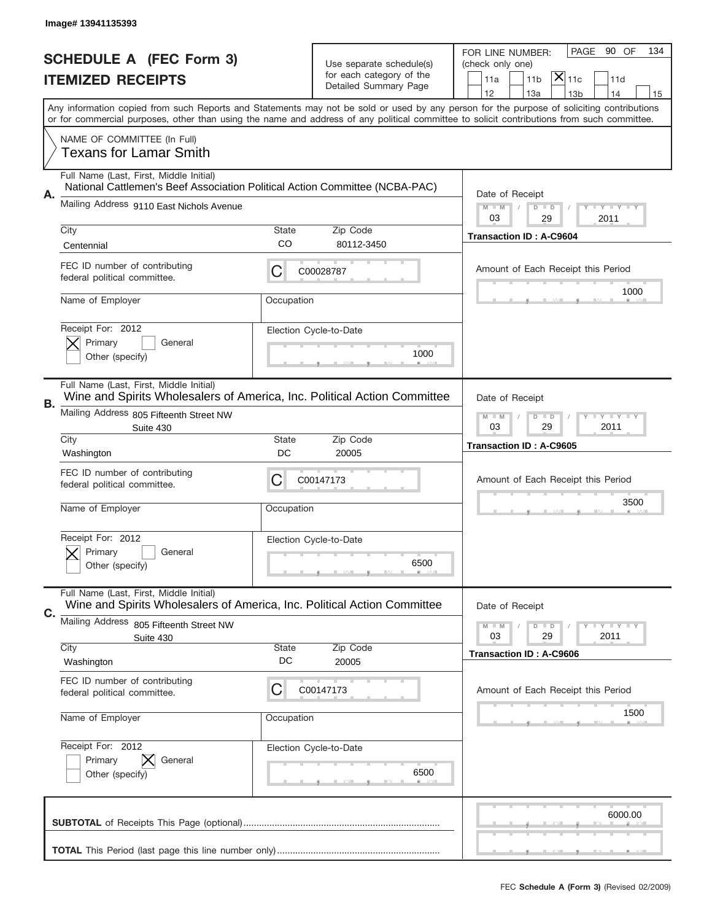|    | Image# 13941135393                                                                                                     |             |                                                   |                                                                                                                                                                                                                                                                                                                                     |
|----|------------------------------------------------------------------------------------------------------------------------|-------------|---------------------------------------------------|-------------------------------------------------------------------------------------------------------------------------------------------------------------------------------------------------------------------------------------------------------------------------------------------------------------------------------------|
|    | <b>SCHEDULE A (FEC Form 3)</b>                                                                                         |             | Use separate schedule(s)                          | PAGE<br>90 OF<br>134<br>FOR LINE NUMBER:<br>(check only one)                                                                                                                                                                                                                                                                        |
|    | <b>ITEMIZED RECEIPTS</b>                                                                                               |             | for each category of the<br>Detailed Summary Page | $ \mathsf{X} _{\mathsf{11c}}$<br>11a<br>11 <sub>b</sub><br>11d                                                                                                                                                                                                                                                                      |
|    |                                                                                                                        |             |                                                   | 12<br>13a<br>14<br>13 <sub>b</sub><br>15<br>Any information copied from such Reports and Statements may not be sold or used by any person for the purpose of soliciting contributions<br>or for commercial purposes, other than using the name and address of any political committee to solicit contributions from such committee. |
|    | NAME OF COMMITTEE (In Full)<br>Texans for Lamar Smith                                                                  |             |                                                   |                                                                                                                                                                                                                                                                                                                                     |
|    | Full Name (Last, First, Middle Initial)<br>National Cattlemen's Beef Association Political Action Committee (NCBA-PAC) |             |                                                   |                                                                                                                                                                                                                                                                                                                                     |
| А. | Mailing Address 9110 East Nichols Avenue                                                                               |             |                                                   | Date of Receipt<br>$M$ M<br><b>LY LY LY</b><br>$D$ $D$<br>03<br>29<br>2011                                                                                                                                                                                                                                                          |
|    | City                                                                                                                   | State       | Zip Code                                          | <b>Transaction ID: A-C9604</b>                                                                                                                                                                                                                                                                                                      |
|    | Centennial                                                                                                             | CO          | 80112-3450                                        |                                                                                                                                                                                                                                                                                                                                     |
|    | FEC ID number of contributing<br>federal political committee.                                                          | С           | C00028787                                         | Amount of Each Receipt this Period<br>1000                                                                                                                                                                                                                                                                                          |
|    | Name of Employer                                                                                                       | Occupation  |                                                   |                                                                                                                                                                                                                                                                                                                                     |
|    | Receipt For: 2012<br>Primary<br>General                                                                                |             | Election Cycle-to-Date                            |                                                                                                                                                                                                                                                                                                                                     |
|    | Other (specify)                                                                                                        |             | 1000                                              |                                                                                                                                                                                                                                                                                                                                     |
| В. | Full Name (Last, First, Middle Initial)<br>Wine and Spirits Wholesalers of America, Inc. Political Action Committee    |             |                                                   | Date of Receipt                                                                                                                                                                                                                                                                                                                     |
|    | Mailing Address 805 Fifteenth Street NW<br>Suite 430                                                                   |             |                                                   | $D$ $D$<br><b>LEY LEY LEY</b><br>$M - M$<br>03<br>29<br>2011                                                                                                                                                                                                                                                                        |
|    | City<br>Washington                                                                                                     | State<br>DC | Zip Code<br>20005                                 | <b>Transaction ID: A-C9605</b>                                                                                                                                                                                                                                                                                                      |
|    | FEC ID number of contributing<br>federal political committee.                                                          | C           | C00147173                                         | Amount of Each Receipt this Period                                                                                                                                                                                                                                                                                                  |
|    | Name of Employer                                                                                                       | Occupation  |                                                   | 3500                                                                                                                                                                                                                                                                                                                                |
|    |                                                                                                                        |             |                                                   |                                                                                                                                                                                                                                                                                                                                     |
|    | Receipt For: 2012                                                                                                      |             | Election Cycle-to-Date                            |                                                                                                                                                                                                                                                                                                                                     |
|    | Primary<br>General<br>Other (specify)                                                                                  |             | 6500                                              |                                                                                                                                                                                                                                                                                                                                     |
| С. | Full Name (Last, First, Middle Initial)<br>Wine and Spirits Wholesalers of America, Inc. Political Action Committee    |             |                                                   | Date of Receipt                                                                                                                                                                                                                                                                                                                     |
|    | <b>Mailing Address</b><br>805 Fifteenth Street NW                                                                      |             |                                                   | <b>LYLYLY</b><br>$M - M$<br>$D$ $D$                                                                                                                                                                                                                                                                                                 |
|    | Suite 430<br>City                                                                                                      | State       | Zip Code                                          | 29<br>2011<br>03                                                                                                                                                                                                                                                                                                                    |
|    | Washington                                                                                                             | DC          | 20005                                             | <b>Transaction ID: A-C9606</b>                                                                                                                                                                                                                                                                                                      |
|    | FEC ID number of contributing<br>federal political committee.                                                          | C           | C00147173                                         | Amount of Each Receipt this Period                                                                                                                                                                                                                                                                                                  |
|    | Name of Employer                                                                                                       | Occupation  |                                                   | 1500                                                                                                                                                                                                                                                                                                                                |
|    | Receipt For: 2012                                                                                                      |             | Election Cycle-to-Date                            |                                                                                                                                                                                                                                                                                                                                     |
|    | Primary<br>General<br>Other (specify)                                                                                  |             | 6500                                              |                                                                                                                                                                                                                                                                                                                                     |
|    |                                                                                                                        |             |                                                   | 6000.00                                                                                                                                                                                                                                                                                                                             |
|    |                                                                                                                        |             |                                                   |                                                                                                                                                                                                                                                                                                                                     |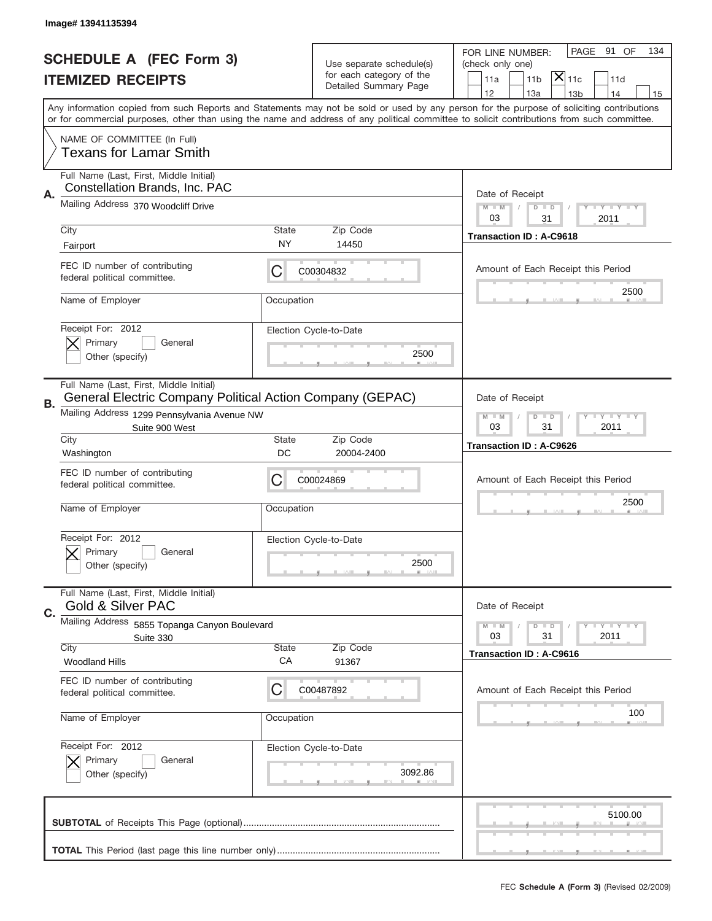|           | Image# 13941135394                                                                                   |                    |                                                   |                                                                                                                                                                                       |
|-----------|------------------------------------------------------------------------------------------------------|--------------------|---------------------------------------------------|---------------------------------------------------------------------------------------------------------------------------------------------------------------------------------------|
|           | <b>SCHEDULE A (FEC Form 3)</b>                                                                       |                    | Use separate schedule(s)                          | PAGE 91 OF<br>134<br>FOR LINE NUMBER:<br>(check only one)                                                                                                                             |
|           | <b>ITEMIZED RECEIPTS</b>                                                                             |                    | for each category of the<br>Detailed Summary Page | $\mathsf{\bar{X}}\vert_{\mathsf{11c}}$<br>11 <sub>b</sub><br>11a<br>11d                                                                                                               |
|           |                                                                                                      |                    |                                                   | 12<br>13a<br>14<br>13 <sub>b</sub><br>15<br>Any information copied from such Reports and Statements may not be sold or used by any person for the purpose of soliciting contributions |
|           |                                                                                                      |                    |                                                   | or for commercial purposes, other than using the name and address of any political committee to solicit contributions from such committee.                                            |
|           | NAME OF COMMITTEE (In Full)<br><b>Texans for Lamar Smith</b>                                         |                    |                                                   |                                                                                                                                                                                       |
| Α.        | Full Name (Last, First, Middle Initial)<br>Constellation Brands, Inc. PAC                            |                    |                                                   | Date of Receipt                                                                                                                                                                       |
|           | Mailing Address 370 Woodcliff Drive                                                                  |                    |                                                   | $M - M$<br><b>LYLYLY</b><br>$D$ $D$<br>03<br>2011<br>31                                                                                                                               |
|           | City<br>Fairport                                                                                     | State<br>NY        | Zip Code<br>14450                                 | <b>Transaction ID: A-C9618</b>                                                                                                                                                        |
|           | FEC ID number of contributing<br>federal political committee.                                        | С                  | C00304832                                         | Amount of Each Receipt this Period                                                                                                                                                    |
|           | Name of Employer                                                                                     | Occupation         |                                                   | 2500                                                                                                                                                                                  |
|           | Receipt For: 2012<br>Primary<br>General                                                              |                    | Election Cycle-to-Date                            |                                                                                                                                                                                       |
|           | Other (specify)                                                                                      |                    | 2500                                              |                                                                                                                                                                                       |
| <b>B.</b> | Full Name (Last, First, Middle Initial)<br>General Electric Company Political Action Company (GEPAC) |                    |                                                   | Date of Receipt                                                                                                                                                                       |
|           | Mailing Address 1299 Pennsylvania Avenue NW<br>Suite 900 West                                        |                    |                                                   | <b>LYLYLY</b><br>$M$ $M$<br>$D$ $D$<br>03<br>31<br>2011                                                                                                                               |
|           | City<br>Washington                                                                                   | <b>State</b><br>DC | Zip Code<br>20004-2400                            | <b>Transaction ID: A-C9626</b>                                                                                                                                                        |
|           | FEC ID number of contributing<br>federal political committee.                                        | С                  | C00024869                                         | Amount of Each Receipt this Period                                                                                                                                                    |
|           | Name of Employer                                                                                     | Occupation         |                                                   | 2500                                                                                                                                                                                  |
|           | Receipt For: 2012<br>General<br>Primary                                                              |                    | Election Cycle-to-Date                            |                                                                                                                                                                                       |
|           | Other (specify)                                                                                      |                    | 2500                                              |                                                                                                                                                                                       |
| C.        | Full Name (Last, First, Middle Initial)<br>Gold & Silver PAC                                         |                    |                                                   | Date of Receipt                                                                                                                                                                       |
|           | Mailing Address 5855 Topanga Canyon Boulevard<br>Suite 330                                           |                    |                                                   | $I - Y - I - Y - I - Y$<br>$M - M$<br>$D$ $D$<br>2011<br>03<br>31                                                                                                                     |
|           | City                                                                                                 | State              | Zip Code                                          | Transaction ID: A-C9616                                                                                                                                                               |
|           | <b>Woodland Hills</b><br>FEC ID number of contributing                                               | СA                 | 91367                                             |                                                                                                                                                                                       |
|           | federal political committee.                                                                         | C                  | C00487892                                         | Amount of Each Receipt this Period                                                                                                                                                    |
|           | Name of Employer                                                                                     | Occupation         |                                                   | 100                                                                                                                                                                                   |
|           | Receipt For: 2012<br>Primary<br>General                                                              |                    | Election Cycle-to-Date                            |                                                                                                                                                                                       |
|           | Other (specify)                                                                                      |                    | 3092.86                                           |                                                                                                                                                                                       |
|           |                                                                                                      |                    |                                                   | 5100.00                                                                                                                                                                               |
|           |                                                                                                      |                    |                                                   |                                                                                                                                                                                       |
|           |                                                                                                      |                    |                                                   |                                                                                                                                                                                       |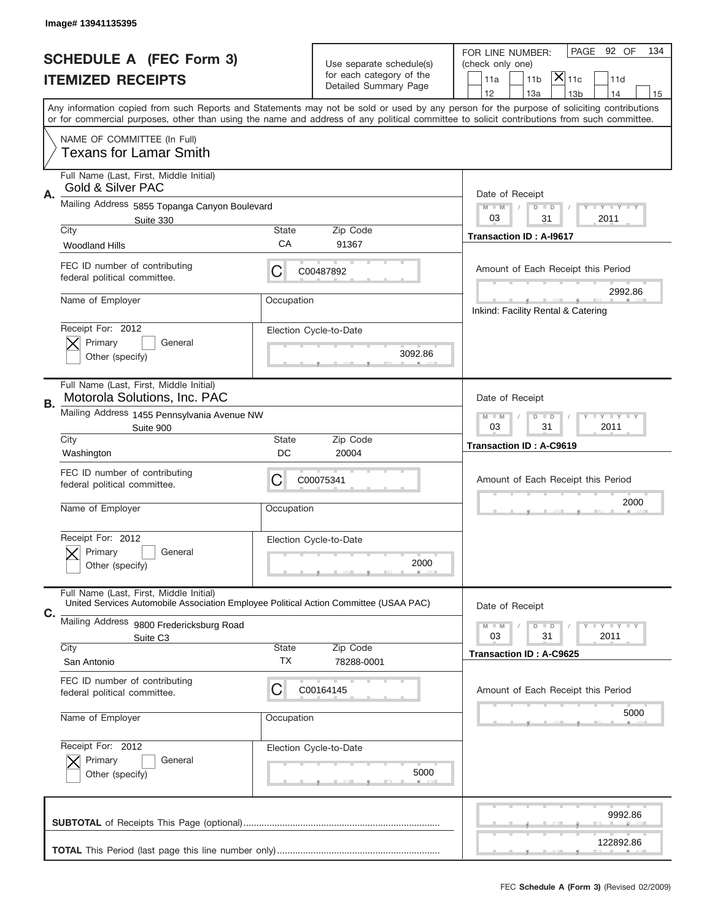|           | Image# 13941135395                                                                                                                         |             |                                                   |                                                                                                                                           |
|-----------|--------------------------------------------------------------------------------------------------------------------------------------------|-------------|---------------------------------------------------|-------------------------------------------------------------------------------------------------------------------------------------------|
|           | <b>SCHEDULE A (FEC Form 3)</b>                                                                                                             |             | Use separate schedule(s)                          | PAGE 92 OF<br>134<br>FOR LINE NUMBER:<br>(check only one)                                                                                 |
|           | <b>ITEMIZED RECEIPTS</b>                                                                                                                   |             | for each category of the<br>Detailed Summary Page | $\mathsf{\bar{X}}\vert_{\mathsf{11c}}$<br>11 <sub>b</sub><br>11a<br>11d                                                                   |
|           |                                                                                                                                            |             |                                                   | 12<br>13a<br>14<br>13 <sub>b</sub><br>15                                                                                                  |
|           | or for commercial purposes, other than using the name and address of any political committee to solicit contributions from such committee. |             |                                                   | Any information copied from such Reports and Statements may not be sold or used by any person for the purpose of soliciting contributions |
|           | NAME OF COMMITTEE (In Full)<br><b>Texans for Lamar Smith</b>                                                                               |             |                                                   |                                                                                                                                           |
| Α.        | Full Name (Last, First, Middle Initial)<br>Gold & Silver PAC                                                                               |             |                                                   | Date of Receipt                                                                                                                           |
|           | Mailing Address 5855 Topanga Canyon Boulevard                                                                                              |             |                                                   | $M - M$<br><b>LY LY LY</b><br>$D$ $D$                                                                                                     |
|           | Suite 330<br>City                                                                                                                          | State       | Zip Code                                          | 03<br>2011<br>31                                                                                                                          |
|           | <b>Woodland Hills</b>                                                                                                                      | СA          | 91367                                             | Transaction ID: A-I9617                                                                                                                   |
|           | FEC ID number of contributing<br>federal political committee.                                                                              | С           | C00487892                                         | Amount of Each Receipt this Period                                                                                                        |
|           | Name of Employer                                                                                                                           | Occupation  |                                                   | 2992.86<br>Inkind: Facility Rental & Catering                                                                                             |
|           | Receipt For: 2012<br>Primary<br>General                                                                                                    |             | Election Cycle-to-Date                            |                                                                                                                                           |
|           | Other (specify)                                                                                                                            |             | 3092.86                                           |                                                                                                                                           |
| <b>B.</b> | Full Name (Last, First, Middle Initial)<br>Motorola Solutions, Inc. PAC                                                                    |             |                                                   | Date of Receipt                                                                                                                           |
|           | Mailing Address 1455 Pennsylvania Avenue NW<br>Suite 900                                                                                   |             |                                                   | <b>LEY LEY LEY</b><br>$M - M$<br>$D$ $D$<br>03<br>31<br>2011                                                                              |
|           | City<br>Washington                                                                                                                         | State<br>DC | Zip Code<br>20004                                 | <b>Transaction ID: A-C9619</b>                                                                                                            |
|           | FEC ID number of contributing<br>federal political committee.                                                                              | С           | C00075341                                         | Amount of Each Receipt this Period                                                                                                        |
|           | Name of Employer                                                                                                                           | Occupation  |                                                   | 2000                                                                                                                                      |
|           | Receipt For: 2012<br>General                                                                                                               |             | Election Cycle-to-Date                            |                                                                                                                                           |
|           | Primary<br>Other (specify)                                                                                                                 |             | 2000                                              |                                                                                                                                           |
| C.        | Full Name (Last, First, Middle Initial)<br>United Services Automobile Association Employee Political Action Committee (USAA PAC)           |             |                                                   | Date of Receipt                                                                                                                           |
|           | Mailing Address 9800 Fredericksburg Road                                                                                                   |             |                                                   | <b>LYLYLY</b><br>$M - M$<br>$D$ $D$<br>03<br>31<br>2011                                                                                   |
|           | Suite C <sub>3</sub><br>City                                                                                                               | State       | Zip Code                                          | <b>Transaction ID: A-C9625</b>                                                                                                            |
|           | San Antonio                                                                                                                                | ТX          | 78288-0001                                        |                                                                                                                                           |
|           | FEC ID number of contributing<br>federal political committee.                                                                              | C           | C00164145                                         | Amount of Each Receipt this Period                                                                                                        |
|           | Name of Employer                                                                                                                           | Occupation  |                                                   | 5000                                                                                                                                      |
|           | Receipt For: 2012                                                                                                                          |             | Election Cycle-to-Date                            |                                                                                                                                           |
|           | Primary<br>General<br>Other (specify)                                                                                                      |             | 5000                                              |                                                                                                                                           |
|           |                                                                                                                                            |             |                                                   | 9992.86                                                                                                                                   |
|           |                                                                                                                                            |             |                                                   | 122892.86                                                                                                                                 |
|           |                                                                                                                                            |             |                                                   |                                                                                                                                           |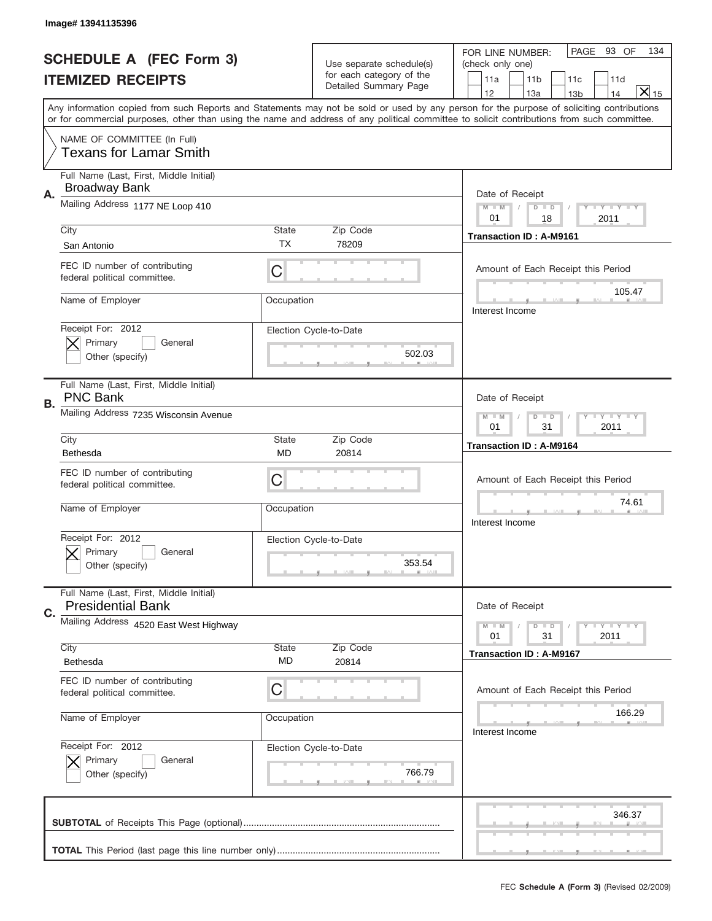|    | Image# 13941135396                                                  |                           |                                                      |                                                                                                                                                                                                                                                                                         |
|----|---------------------------------------------------------------------|---------------------------|------------------------------------------------------|-----------------------------------------------------------------------------------------------------------------------------------------------------------------------------------------------------------------------------------------------------------------------------------------|
|    | <b>SCHEDULE A (FEC Form 3)</b>                                      |                           |                                                      | PAGE 93 OF<br>134<br>FOR LINE NUMBER:                                                                                                                                                                                                                                                   |
|    |                                                                     |                           | Use separate schedule(s)<br>for each category of the | (check only one)                                                                                                                                                                                                                                                                        |
|    | <b>ITEMIZED RECEIPTS</b>                                            |                           | Detailed Summary Page                                | 11 <sub>b</sub><br>11a<br>11c<br>11d<br>$\overline{X} _{15}$<br>12<br>13a<br>14<br>13 <sub>b</sub>                                                                                                                                                                                      |
|    |                                                                     |                           |                                                      | Any information copied from such Reports and Statements may not be sold or used by any person for the purpose of soliciting contributions<br>or for commercial purposes, other than using the name and address of any political committee to solicit contributions from such committee. |
|    | NAME OF COMMITTEE (In Full)<br><b>Texans for Lamar Smith</b>        |                           |                                                      |                                                                                                                                                                                                                                                                                         |
| А. | Full Name (Last, First, Middle Initial)<br><b>Broadway Bank</b>     |                           |                                                      | Date of Receipt                                                                                                                                                                                                                                                                         |
|    | Mailing Address 1177 NE Loop 410                                    |                           |                                                      | $M - M$<br><b>LYLYLY</b><br>$D$ $D$<br>01<br>2011<br>18                                                                                                                                                                                                                                 |
|    | City<br>San Antonio                                                 | <b>State</b><br>TX.       | Zip Code<br>78209                                    | <b>Transaction ID: A-M9161</b>                                                                                                                                                                                                                                                          |
|    | FEC ID number of contributing<br>federal political committee.       | C                         |                                                      | Amount of Each Receipt this Period                                                                                                                                                                                                                                                      |
|    | Name of Employer                                                    | Occupation                |                                                      | 105.47<br>Interest Income                                                                                                                                                                                                                                                               |
|    | Receipt For: 2012<br>Primary<br>General<br>Other (specify)          |                           | Election Cycle-to-Date<br>502.03                     |                                                                                                                                                                                                                                                                                         |
| В. | Full Name (Last, First, Middle Initial)<br><b>PNC Bank</b>          |                           |                                                      | Date of Receipt                                                                                                                                                                                                                                                                         |
|    | Mailing Address 7235 Wisconsin Avenue                               |                           |                                                      | <b>LY LY LY</b><br>$M$ $M$<br>$D$ $D$<br>01<br>31<br>2011                                                                                                                                                                                                                               |
|    | City<br>Bethesda                                                    | <b>State</b><br><b>MD</b> | Zip Code<br>20814                                    | <b>Transaction ID: A-M9164</b>                                                                                                                                                                                                                                                          |
|    | FEC ID number of contributing<br>federal political committee.       | C                         |                                                      | Amount of Each Receipt this Period                                                                                                                                                                                                                                                      |
|    |                                                                     |                           |                                                      | 74.61                                                                                                                                                                                                                                                                                   |
|    | Name of Employer                                                    | Occupation                |                                                      | Interest Income                                                                                                                                                                                                                                                                         |
|    | Receipt For: 2012<br>General<br>Primary<br>Other (specify)          |                           | Election Cycle-to-Date<br>353.54                     |                                                                                                                                                                                                                                                                                         |
|    | Full Name (Last, First, Middle Initial)<br><b>Presidential Bank</b> |                           |                                                      | Date of Receipt                                                                                                                                                                                                                                                                         |
| C. | Mailing Address 4520 East West Highway                              |                           |                                                      | <b>LYLYLY</b><br>$D$ $D$<br>$M - M$<br>31<br>2011<br>01                                                                                                                                                                                                                                 |
|    | City<br>Bethesda                                                    | State<br>MD               | Zip Code<br>20814                                    | <b>Transaction ID: A-M9167</b>                                                                                                                                                                                                                                                          |
|    | FEC ID number of contributing<br>federal political committee.       | C                         |                                                      | Amount of Each Receipt this Period                                                                                                                                                                                                                                                      |
|    | Name of Employer                                                    | Occupation                |                                                      | 166.29<br>Interest Income                                                                                                                                                                                                                                                               |
|    | Receipt For: 2012<br>Primary<br>General<br>Other (specify)          |                           | Election Cycle-to-Date<br>766.79                     |                                                                                                                                                                                                                                                                                         |
|    |                                                                     |                           |                                                      | 346.37                                                                                                                                                                                                                                                                                  |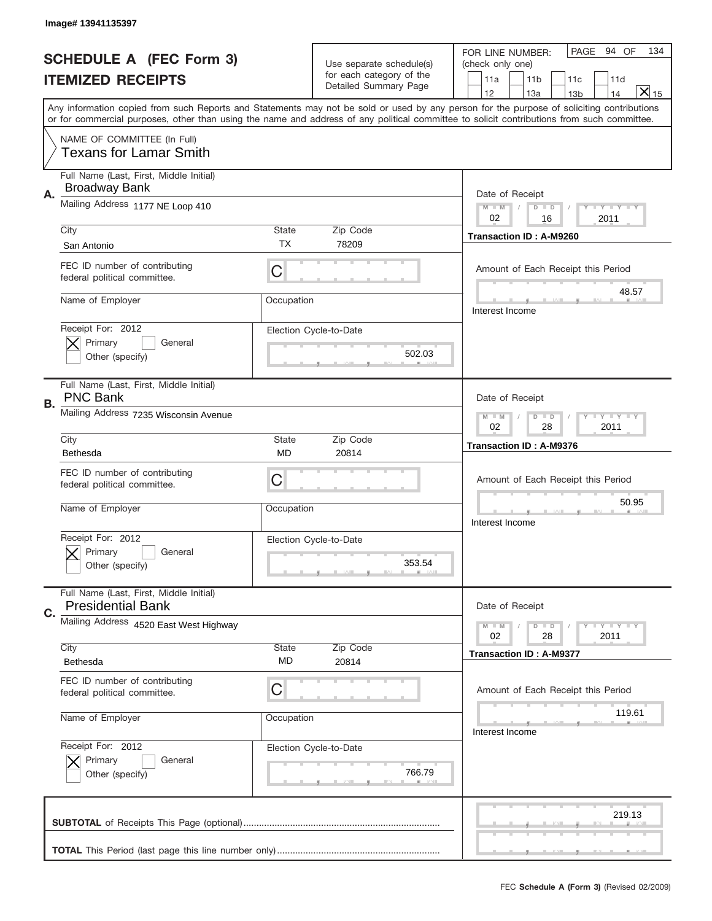|    | Image# 13941135397                                                  |              |                                                      |                                                                                                                                                                                                                                                                                         |
|----|---------------------------------------------------------------------|--------------|------------------------------------------------------|-----------------------------------------------------------------------------------------------------------------------------------------------------------------------------------------------------------------------------------------------------------------------------------------|
|    | <b>SCHEDULE A (FEC Form 3)</b>                                      |              |                                                      | PAGE 94 OF<br>134<br>FOR LINE NUMBER:                                                                                                                                                                                                                                                   |
|    |                                                                     |              | Use separate schedule(s)<br>for each category of the | (check only one)                                                                                                                                                                                                                                                                        |
|    | <b>ITEMIZED RECEIPTS</b>                                            |              | Detailed Summary Page                                | 11 <sub>b</sub><br>11a<br>11c<br>11d<br>$\overline{X} _{15}$<br>12<br>13a<br>14<br>13 <sub>b</sub>                                                                                                                                                                                      |
|    |                                                                     |              |                                                      | Any information copied from such Reports and Statements may not be sold or used by any person for the purpose of soliciting contributions<br>or for commercial purposes, other than using the name and address of any political committee to solicit contributions from such committee. |
|    | NAME OF COMMITTEE (In Full)<br><b>Texans for Lamar Smith</b>        |              |                                                      |                                                                                                                                                                                                                                                                                         |
|    | Full Name (Last, First, Middle Initial)                             |              |                                                      |                                                                                                                                                                                                                                                                                         |
| А. | <b>Broadway Bank</b>                                                |              |                                                      | Date of Receipt                                                                                                                                                                                                                                                                         |
|    | Mailing Address 1177 NE Loop 410                                    |              |                                                      | $M - M$<br><b>LYLYLY</b><br>$D$ $D$<br>02<br>2011<br>16                                                                                                                                                                                                                                 |
|    | City                                                                | <b>State</b> | Zip Code                                             | Transaction ID: A-M9260                                                                                                                                                                                                                                                                 |
|    | San Antonio                                                         | TX.          | 78209                                                |                                                                                                                                                                                                                                                                                         |
|    | FEC ID number of contributing<br>federal political committee.       | C            |                                                      | Amount of Each Receipt this Period                                                                                                                                                                                                                                                      |
|    | Name of Employer                                                    | Occupation   |                                                      | 48.57<br>Interest Income                                                                                                                                                                                                                                                                |
|    | Receipt For: 2012<br>Primary<br>General                             |              | Election Cycle-to-Date                               |                                                                                                                                                                                                                                                                                         |
|    | Other (specify)                                                     |              | 502.03                                               |                                                                                                                                                                                                                                                                                         |
| В. | Full Name (Last, First, Middle Initial)<br><b>PNC Bank</b>          |              |                                                      | Date of Receipt                                                                                                                                                                                                                                                                         |
|    | Mailing Address 7235 Wisconsin Avenue                               |              |                                                      | <b>LY LY LY</b><br>$M$ $M$<br>$D$ $D$<br>02<br>28<br>2011                                                                                                                                                                                                                               |
|    | City                                                                | <b>State</b> | Zip Code                                             | <b>Transaction ID: A-M9376</b>                                                                                                                                                                                                                                                          |
|    | Bethesda                                                            | <b>MD</b>    | 20814                                                |                                                                                                                                                                                                                                                                                         |
|    | FEC ID number of contributing<br>federal political committee.       | C            |                                                      | Amount of Each Receipt this Period                                                                                                                                                                                                                                                      |
|    | Name of Employer                                                    | Occupation   |                                                      | 50.95<br>Interest Income                                                                                                                                                                                                                                                                |
|    | Receipt For: 2012                                                   |              | Election Cycle-to-Date                               |                                                                                                                                                                                                                                                                                         |
|    | General<br>Primary                                                  |              |                                                      |                                                                                                                                                                                                                                                                                         |
|    | Other (specify)                                                     |              | 353.54                                               |                                                                                                                                                                                                                                                                                         |
| C. | Full Name (Last, First, Middle Initial)<br><b>Presidential Bank</b> |              |                                                      | Date of Receipt                                                                                                                                                                                                                                                                         |
|    | Mailing Address 4520 East West Highway                              |              |                                                      | <b>LY LY LY</b><br>$M - M$<br>$D$ $D$<br>02<br>28<br>2011                                                                                                                                                                                                                               |
|    | City<br>Bethesda                                                    | State<br>MD  | Zip Code                                             | <b>Transaction ID: A-M9377</b>                                                                                                                                                                                                                                                          |
|    |                                                                     |              | 20814                                                |                                                                                                                                                                                                                                                                                         |
|    | FEC ID number of contributing<br>federal political committee.       | C            |                                                      | Amount of Each Receipt this Period                                                                                                                                                                                                                                                      |
|    | Name of Employer                                                    | Occupation   |                                                      | 119.61<br>Interest Income                                                                                                                                                                                                                                                               |
|    | Receipt For: 2012                                                   |              | Election Cycle-to-Date                               |                                                                                                                                                                                                                                                                                         |
|    | Primary<br>General                                                  |              |                                                      |                                                                                                                                                                                                                                                                                         |
|    | Other (specify)                                                     |              | 766.79                                               |                                                                                                                                                                                                                                                                                         |
|    |                                                                     |              |                                                      | 219.13                                                                                                                                                                                                                                                                                  |
|    |                                                                     |              |                                                      |                                                                                                                                                                                                                                                                                         |
|    |                                                                     |              |                                                      | __                                                                                                                                                                                                                                                                                      |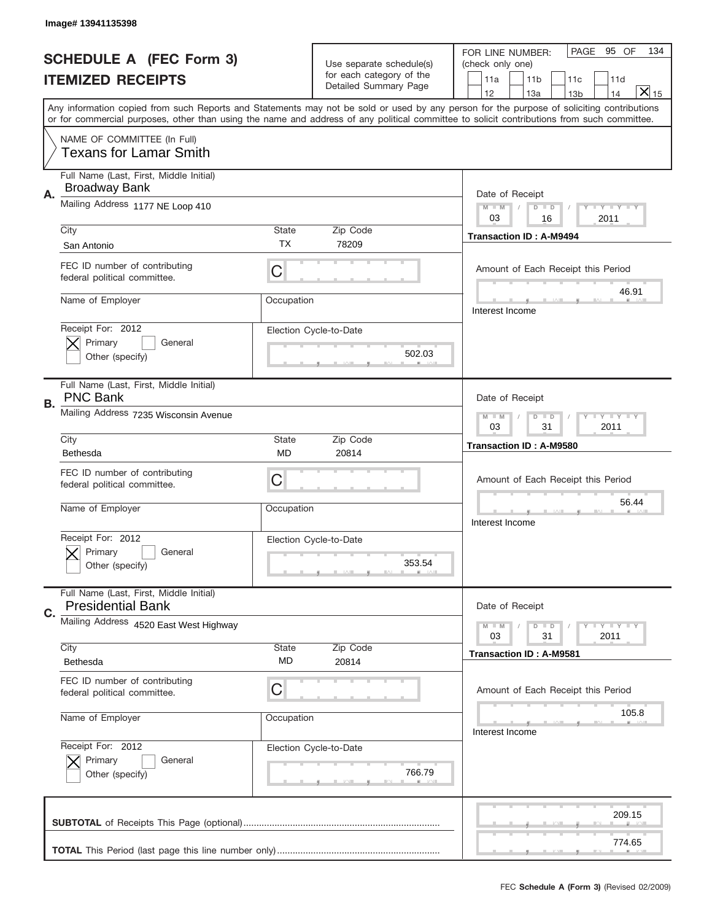|    | Image# 13941135398                                                  |                    |                                  |                                                                                                                                                                                                                                                                                         |
|----|---------------------------------------------------------------------|--------------------|----------------------------------|-----------------------------------------------------------------------------------------------------------------------------------------------------------------------------------------------------------------------------------------------------------------------------------------|
|    | <b>SCHEDULE A (FEC Form 3)</b>                                      |                    | Use separate schedule(s)         | PAGE<br>95 OF<br>134<br>FOR LINE NUMBER:<br>(check only one)                                                                                                                                                                                                                            |
|    | <b>ITEMIZED RECEIPTS</b>                                            |                    | for each category of the         | 11a<br>11 <sub>b</sub><br>11d<br>11c                                                                                                                                                                                                                                                    |
|    |                                                                     |                    | Detailed Summary Page            | $\mathsf{X} _{15}$<br>12<br>13a<br>14<br>13 <sub>b</sub>                                                                                                                                                                                                                                |
|    |                                                                     |                    |                                  | Any information copied from such Reports and Statements may not be sold or used by any person for the purpose of soliciting contributions<br>or for commercial purposes, other than using the name and address of any political committee to solicit contributions from such committee. |
|    | NAME OF COMMITTEE (In Full)<br><b>Texans for Lamar Smith</b>        |                    |                                  |                                                                                                                                                                                                                                                                                         |
| А. | Full Name (Last, First, Middle Initial)<br><b>Broadway Bank</b>     |                    |                                  | Date of Receipt                                                                                                                                                                                                                                                                         |
|    | Mailing Address 1177 NE Loop 410                                    |                    |                                  | Y TY TY TY<br>$M$ $M$<br>$D$ $D$<br>03<br>2011<br>16                                                                                                                                                                                                                                    |
|    | City<br>San Antonio                                                 | State<br>ТX        | Zip Code<br>78209                | <b>Transaction ID: A-M9494</b>                                                                                                                                                                                                                                                          |
|    | FEC ID number of contributing<br>federal political committee.       | C                  |                                  | Amount of Each Receipt this Period                                                                                                                                                                                                                                                      |
|    | Name of Employer                                                    | Occupation         |                                  | 46.91<br>Interest Income                                                                                                                                                                                                                                                                |
|    | Receipt For: 2012<br>Primary<br>General<br>Other (specify)          |                    | Election Cycle-to-Date<br>502.03 |                                                                                                                                                                                                                                                                                         |
| В. | Full Name (Last, First, Middle Initial)<br><b>PNC Bank</b>          |                    |                                  | Date of Receipt                                                                                                                                                                                                                                                                         |
|    | Mailing Address 7235 Wisconsin Avenue                               |                    |                                  | $T$ $Y$ $T$ $Y$ $T$ $Y$<br>$M$ $M$<br>$D$ $D$<br>03<br>31<br>2011                                                                                                                                                                                                                       |
|    | City<br>Bethesda                                                    | State<br><b>MD</b> | Zip Code<br>20814                | Transaction ID: A-M9580                                                                                                                                                                                                                                                                 |
|    | FEC ID number of contributing<br>federal political committee.       | C                  |                                  | Amount of Each Receipt this Period                                                                                                                                                                                                                                                      |
|    |                                                                     |                    |                                  | 56.44                                                                                                                                                                                                                                                                                   |
|    | Name of Employer                                                    | Occupation         |                                  | Interest Income                                                                                                                                                                                                                                                                         |
|    | Receipt For: 2012<br>General<br>Primary<br>Other (specify)          |                    | Election Cycle-to-Date<br>353.54 |                                                                                                                                                                                                                                                                                         |
|    | Full Name (Last, First, Middle Initial)<br><b>Presidential Bank</b> |                    |                                  | Date of Receipt                                                                                                                                                                                                                                                                         |
| C. | Mailing Address 4520 East West Highway                              |                    |                                  | <b>LY LY LY</b><br>$M - M$<br>$D$ $D$<br>31<br>2011<br>03                                                                                                                                                                                                                               |
|    | City<br>Bethesda                                                    | State<br>MD        | Zip Code<br>20814                | <b>Transaction ID: A-M9581</b>                                                                                                                                                                                                                                                          |
|    | FEC ID number of contributing<br>federal political committee.       | C                  |                                  | Amount of Each Receipt this Period                                                                                                                                                                                                                                                      |
|    | Name of Employer                                                    | Occupation         |                                  | 105.8<br>Interest Income                                                                                                                                                                                                                                                                |
|    | Receipt For: 2012<br>Primary<br>General<br>Other (specify)          |                    | Election Cycle-to-Date<br>766.79 |                                                                                                                                                                                                                                                                                         |
|    |                                                                     |                    |                                  | 209.15                                                                                                                                                                                                                                                                                  |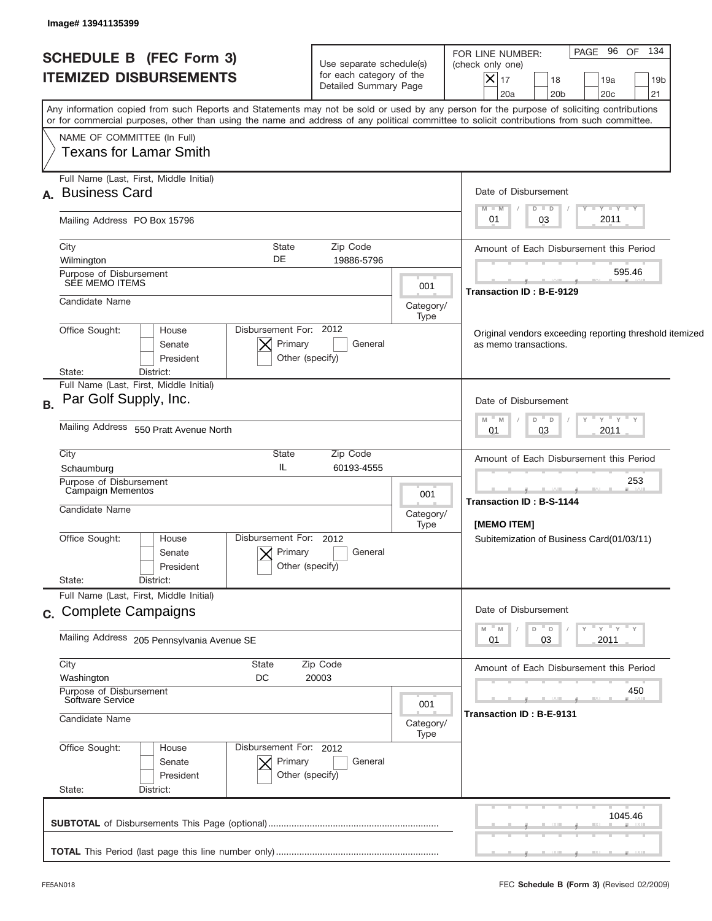| <b>SCHEDULE B (FEC Form 3)</b><br><b>ITEMIZED DISBURSEMENTS</b> | Use separate schedule(s)<br>for each category of the<br>Detailed Summary Page |                   | PAGE 96 OF<br>134<br>FOR LINE NUMBER:<br>(check only one)<br>$\vert\mathsf{X}\vert$<br>17<br>18<br>19a<br>19 <sub>b</sub><br>21<br>20a<br>20 <sub>b</sub><br>20 <sub>c</sub>                                                                                                            |
|-----------------------------------------------------------------|-------------------------------------------------------------------------------|-------------------|-----------------------------------------------------------------------------------------------------------------------------------------------------------------------------------------------------------------------------------------------------------------------------------------|
|                                                                 |                                                                               |                   | Any information copied from such Reports and Statements may not be sold or used by any person for the purpose of soliciting contributions<br>or for commercial purposes, other than using the name and address of any political committee to solicit contributions from such committee. |
| NAME OF COMMITTEE (In Full)<br><b>Texans for Lamar Smith</b>    |                                                                               |                   |                                                                                                                                                                                                                                                                                         |
| Full Name (Last, First, Middle Initial)<br>A. Business Card     |                                                                               |                   | Date of Disbursement                                                                                                                                                                                                                                                                    |
| Mailing Address PO Box 15796                                    |                                                                               |                   | $T$ $Y$ $T$ $Y$ $T$ $Y$<br>$M - M$<br>$D$ $D$<br>2011<br>03<br>01                                                                                                                                                                                                                       |
| City<br>Wilmington                                              | <b>State</b><br>Zip Code<br>DE<br>19886-5796                                  |                   | Amount of Each Disbursement this Period                                                                                                                                                                                                                                                 |
| Purpose of Disbursement<br>SEE MEMO ITEMS                       |                                                                               | 001               | 595.46<br><b>Transaction ID: B-E-9129</b>                                                                                                                                                                                                                                               |
| Candidate Name                                                  |                                                                               | Category/<br>Type |                                                                                                                                                                                                                                                                                         |
| Office Sought:<br>House<br>Senate<br>President                  | Disbursement For: 2012<br>Primary<br>General<br>Other (specify)               |                   | Original vendors exceeding reporting threshold itemized<br>as memo transactions.                                                                                                                                                                                                        |
| State:<br>District:<br>Full Name (Last, First, Middle Initial)  |                                                                               |                   |                                                                                                                                                                                                                                                                                         |
| Par Golf Supply, Inc.<br>B.                                     |                                                                               |                   | Date of Disbursement<br>" γ " γ " γ<br>- M<br>$D$ $D$<br>M                                                                                                                                                                                                                              |
| Mailing Address 550 Pratt Avenue North                          |                                                                               |                   | 2011<br>01<br>03                                                                                                                                                                                                                                                                        |
| City<br>Schaumburg                                              | State<br>Zip Code<br>IL<br>60193-4555                                         |                   | Amount of Each Disbursement this Period                                                                                                                                                                                                                                                 |
| Purpose of Disbursement<br>Campaign Mementos                    |                                                                               | 001               | 253<br>Transaction ID: B-S-1144                                                                                                                                                                                                                                                         |
| Candidate Name                                                  |                                                                               | Category/<br>Type | [MEMO ITEM]                                                                                                                                                                                                                                                                             |
| Office Sought:<br>House<br>Senate<br>President                  | Disbursement For: 2012<br>Primary<br>General<br>Other (specify)               |                   | Subitemization of Business Card(01/03/11)                                                                                                                                                                                                                                               |
| State:<br>District:<br>Full Name (Last, First, Middle Initial)  |                                                                               |                   |                                                                                                                                                                                                                                                                                         |
| c. Complete Campaigns                                           |                                                                               |                   | Date of Disbursement                                                                                                                                                                                                                                                                    |
| Mailing Address 205 Pennsylvania Avenue SE                      |                                                                               |                   | ≡ γ ≡ γ ≡ γ<br>D<br>M<br>M<br>$\Box$<br>01<br>03<br>2011                                                                                                                                                                                                                                |
| City<br>Washington                                              | State<br>Zip Code<br>DC<br>20003                                              |                   | Amount of Each Disbursement this Period                                                                                                                                                                                                                                                 |
| Purpose of Disbursement<br>Software Service                     |                                                                               | 001               | 450                                                                                                                                                                                                                                                                                     |
| Candidate Name                                                  |                                                                               | Category/<br>Type | Transaction ID: B-E-9131                                                                                                                                                                                                                                                                |
| Office Sought:<br>House<br>Senate<br>President<br>State:        | Disbursement For: 2012<br>Primary<br>General<br>Other (specify)               |                   |                                                                                                                                                                                                                                                                                         |
| District:                                                       |                                                                               |                   | 1045.46                                                                                                                                                                                                                                                                                 |
|                                                                 |                                                                               |                   |                                                                                                                                                                                                                                                                                         |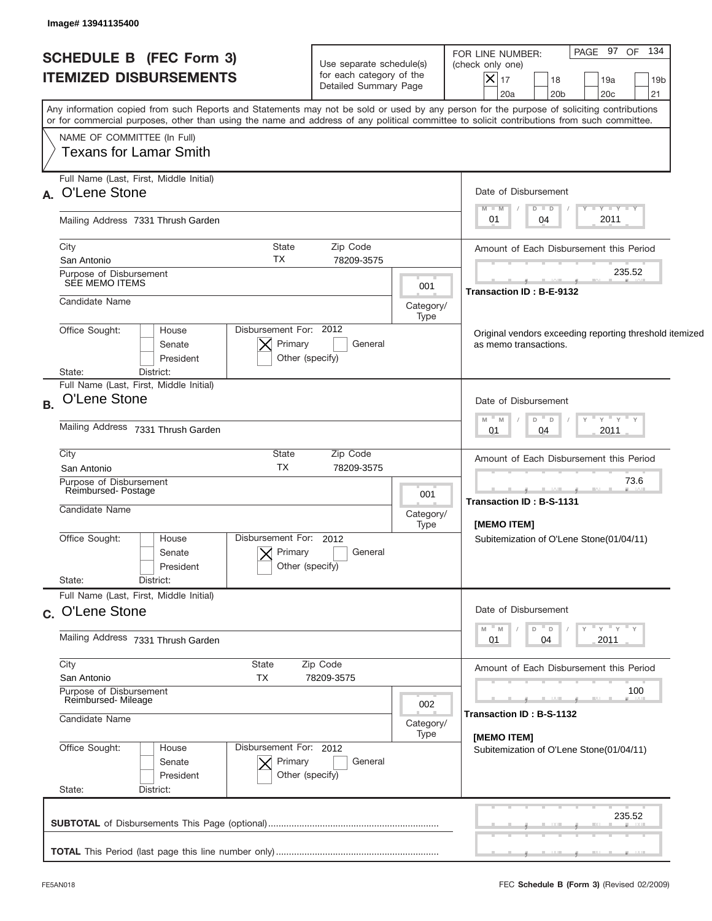| <b>SCHEDULE B (FEC Form 3)</b><br><b>ITEMIZED DISBURSEMENTS</b>                      |                                                                 | Use separate schedule(s)<br>for each category of the<br>Detailed Summary Page |                                                 | PAGE 97 OF 134<br>FOR LINE NUMBER:<br>(check only one)<br>$ \boldsymbol{\mathsf{X}} $<br>17<br>18<br>19a<br>19 <sub>b</sub><br>20a<br>20 <sub>b</sub><br>20 <sub>c</sub><br>21                                                                                                          |  |
|--------------------------------------------------------------------------------------|-----------------------------------------------------------------|-------------------------------------------------------------------------------|-------------------------------------------------|-----------------------------------------------------------------------------------------------------------------------------------------------------------------------------------------------------------------------------------------------------------------------------------------|--|
|                                                                                      |                                                                 |                                                                               |                                                 | Any information copied from such Reports and Statements may not be sold or used by any person for the purpose of soliciting contributions<br>or for commercial purposes, other than using the name and address of any political committee to solicit contributions from such committee. |  |
| NAME OF COMMITTEE (In Full)<br><b>Texans for Lamar Smith</b>                         |                                                                 |                                                                               |                                                 |                                                                                                                                                                                                                                                                                         |  |
| Full Name (Last, First, Middle Initial)<br>A. O'Lene Stone                           |                                                                 |                                                                               |                                                 | Date of Disbursement                                                                                                                                                                                                                                                                    |  |
| Mailing Address 7331 Thrush Garden                                                   |                                                                 |                                                                               |                                                 | $T - Y$ $T - Y$ $T - Y$<br>$M - M$<br>$D$ $D$<br>2011<br>01<br>04                                                                                                                                                                                                                       |  |
| City<br>San Antonio                                                                  | State<br>TX                                                     | Zip Code<br>78209-3575                                                        |                                                 | Amount of Each Disbursement this Period                                                                                                                                                                                                                                                 |  |
| Purpose of Disbursement<br>SEE MEMO ITEMS                                            |                                                                 |                                                                               | 001                                             | 235.52<br>Transaction ID: B-E-9132                                                                                                                                                                                                                                                      |  |
| Candidate Name                                                                       |                                                                 |                                                                               | Category/<br>Type                               |                                                                                                                                                                                                                                                                                         |  |
| Office Sought:<br>House<br>Senate<br>President                                       | Disbursement For: 2012<br>Primary<br>General<br>Other (specify) |                                                                               |                                                 |                                                                                                                                                                                                                                                                                         |  |
| District:<br>State:<br>Full Name (Last, First, Middle Initial)<br>O'Lene Stone<br>B. |                                                                 |                                                                               |                                                 | Date of Disbursement                                                                                                                                                                                                                                                                    |  |
| Mailing Address 7331 Thrush Garden                                                   |                                                                 | " γ " γ " γ<br>- M<br>$D$ $D$<br>M<br>2011<br>01<br>04                        |                                                 |                                                                                                                                                                                                                                                                                         |  |
| City                                                                                 | <b>State</b><br><b>TX</b>                                       |                                                                               | Amount of Each Disbursement this Period         |                                                                                                                                                                                                                                                                                         |  |
| San Antonio<br>Purpose of Disbursement<br>Reimbursed-Postage                         |                                                                 | 001<br>Category/<br>Type                                                      | 73.6<br>Transaction ID: B-S-1131<br>[MEMO ITEM] |                                                                                                                                                                                                                                                                                         |  |
| Candidate Name                                                                       |                                                                 |                                                                               |                                                 |                                                                                                                                                                                                                                                                                         |  |
| Office Sought:<br>House<br>Senate<br>President<br>State:                             | Disbursement For: 2012<br>Primary<br>Other (specify)            | General                                                                       |                                                 | Subitemization of O'Lene Stone(01/04/11)                                                                                                                                                                                                                                                |  |
| Full Name (Last, First, Middle Initial)                                              | District:                                                       |                                                                               |                                                 |                                                                                                                                                                                                                                                                                         |  |
| c. O'Lene Stone<br>Mailing Address 7331 Thrush Garden                                |                                                                 |                                                                               |                                                 | Date of Disbursement<br>≡ γ ≡ γ ≡ γ<br>D<br>M<br>M<br>$\Box$<br>2011<br>01<br>04                                                                                                                                                                                                        |  |
| City                                                                                 | State                                                           | Zip Code                                                                      |                                                 | Amount of Each Disbursement this Period                                                                                                                                                                                                                                                 |  |
| San Antonio<br>Purpose of Disbursement<br>Reimbursed-Mileage                         | TX<br>78209-3575                                                |                                                                               | 100                                             |                                                                                                                                                                                                                                                                                         |  |
| Candidate Name                                                                       |                                                                 | 002<br>Category/<br>Type                                                      | Transaction ID: B-S-1132                        |                                                                                                                                                                                                                                                                                         |  |
| Office Sought:<br>House<br>Senate<br>President                                       | Disbursement For: 2012<br>Primary<br>Other (specify)            | General                                                                       |                                                 | [MEMO ITEM]<br>Subitemization of O'Lene Stone(01/04/11)                                                                                                                                                                                                                                 |  |
| State:<br>District:                                                                  |                                                                 |                                                                               |                                                 | 235.52                                                                                                                                                                                                                                                                                  |  |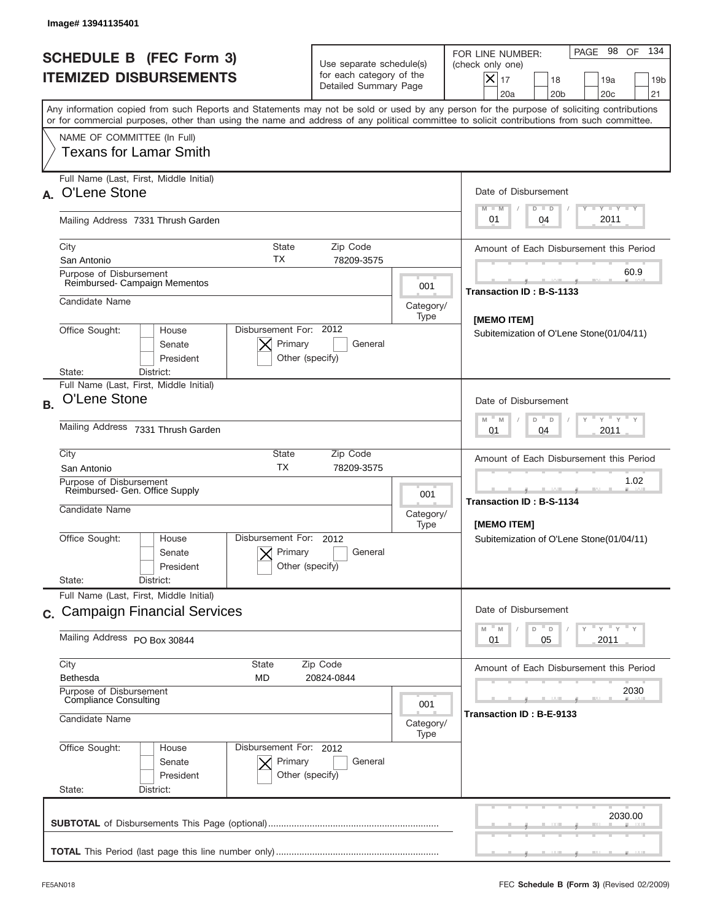|           | Image# 13941135401                                                                                                                                                                                                                                                                      |                                                                                                                       |                                         |                                                                                                                                    |
|-----------|-----------------------------------------------------------------------------------------------------------------------------------------------------------------------------------------------------------------------------------------------------------------------------------------|-----------------------------------------------------------------------------------------------------------------------|-----------------------------------------|------------------------------------------------------------------------------------------------------------------------------------|
|           | <b>SCHEDULE B (FEC Form 3)</b><br><b>ITEMIZED DISBURSEMENTS</b>                                                                                                                                                                                                                         | FOR LINE NUMBER:<br>Use separate schedule(s)<br>(check only one)<br>for each category of the<br>Detailed Summary Page |                                         |                                                                                                                                    |
|           | Any information copied from such Reports and Statements may not be sold or used by any person for the purpose of soliciting contributions<br>or for commercial purposes, other than using the name and address of any political committee to solicit contributions from such committee. |                                                                                                                       |                                         |                                                                                                                                    |
|           | NAME OF COMMITTEE (In Full)<br>Texans for Lamar Smith                                                                                                                                                                                                                                   |                                                                                                                       |                                         |                                                                                                                                    |
|           | Full Name (Last, First, Middle Initial)<br>O'Lene Stone                                                                                                                                                                                                                                 |                                                                                                                       |                                         | Date of Disbursement<br>Y TY TY TY<br>$M - M$<br>$D$ $D$                                                                           |
|           | Mailing Address 7331 Thrush Garden                                                                                                                                                                                                                                                      |                                                                                                                       |                                         | 2011<br>01<br>04                                                                                                                   |
|           | City<br><b>State</b><br>ТX<br>San Antonio                                                                                                                                                                                                                                               | Zip Code<br>78209-3575                                                                                                |                                         | Amount of Each Disbursement this Period                                                                                            |
|           | Purpose of Disbursement<br>Reimbursed-Campaign Mementos                                                                                                                                                                                                                                 |                                                                                                                       | 001                                     | 60.9<br>Transaction ID: B-S-1133                                                                                                   |
|           | Candidate Name                                                                                                                                                                                                                                                                          |                                                                                                                       | Category/<br>Type                       |                                                                                                                                    |
|           | Disbursement For: 2012<br>Office Sought:<br>House<br>Primary<br>Senate<br>President<br>Other (specify)<br>State:<br>District:                                                                                                                                                           | [MEMO ITEM]<br>Subitemization of O'Lene Stone(01/04/11)                                                               |                                         |                                                                                                                                    |
| <b>B.</b> | Full Name (Last, First, Middle Initial)<br>O'Lene Stone                                                                                                                                                                                                                                 |                                                                                                                       |                                         | Date of Disbursement<br>$\cdots$ $\gamma$ $\cdots$ $\gamma$ $\cdots$ $\gamma$<br>$M$ <sup><math>-</math></sup><br>D<br>M<br>$\Box$ |
|           | Mailing Address 7331 Thrush Garden                                                                                                                                                                                                                                                      | 2011<br>01<br>04                                                                                                      |                                         |                                                                                                                                    |
|           | City<br>State<br><b>TX</b><br>San Antonio<br>Purpose of Disbursement                                                                                                                                                                                                                    | Amount of Each Disbursement this Period<br>1.02                                                                       |                                         |                                                                                                                                    |
|           | Reimbursed- Gen. Office Supply<br>Candidate Name                                                                                                                                                                                                                                        | 001<br>Category/<br>Type                                                                                              | Transaction ID: B-S-1134<br>[MEMO ITEM] |                                                                                                                                    |
|           | Disbursement For:<br>Office Sought:<br>House<br>Primary<br>Senate<br>Other (specify)<br>President                                                                                                                                                                                       | 2012<br>General                                                                                                       |                                         | Subitemization of O'Lene Stone(01/04/11)                                                                                           |
|           | State:<br>District:<br>Full Name (Last, First, Middle Initial)                                                                                                                                                                                                                          |                                                                                                                       |                                         |                                                                                                                                    |
|           | c. Campaign Financial Services                                                                                                                                                                                                                                                          |                                                                                                                       |                                         | Date of Disbursement<br>$\cdots$ $\gamma$ $\cdots$ $\gamma$ $\cdots$ $\gamma$<br>D<br>M<br>${\mathbb M}$<br>D                      |
|           | Mailing Address PO Box 30844                                                                                                                                                                                                                                                            | 2011<br>01<br>05                                                                                                      |                                         |                                                                                                                                    |
|           | City<br><b>State</b><br>Zip Code<br><b>Bethesda</b><br>MD<br>20824-0844                                                                                                                                                                                                                 | Amount of Each Disbursement this Period                                                                               |                                         |                                                                                                                                    |
|           | Purpose of Disbursement<br><b>Compliance Consulting</b><br>Candidate Name                                                                                                                                                                                                               | 001<br>Category/<br>Type                                                                                              | 2030<br>Transaction ID: B-E-9133        |                                                                                                                                    |
|           | Office Sought:<br>Disbursement For: 2012<br>House<br>Primary<br>Senate<br>President<br>Other (specify)<br>State:<br>District:                                                                                                                                                           |                                                                                                                       |                                         |                                                                                                                                    |
|           |                                                                                                                                                                                                                                                                                         |                                                                                                                       |                                         | 2030.00                                                                                                                            |
|           |                                                                                                                                                                                                                                                                                         |                                                                                                                       |                                         |                                                                                                                                    |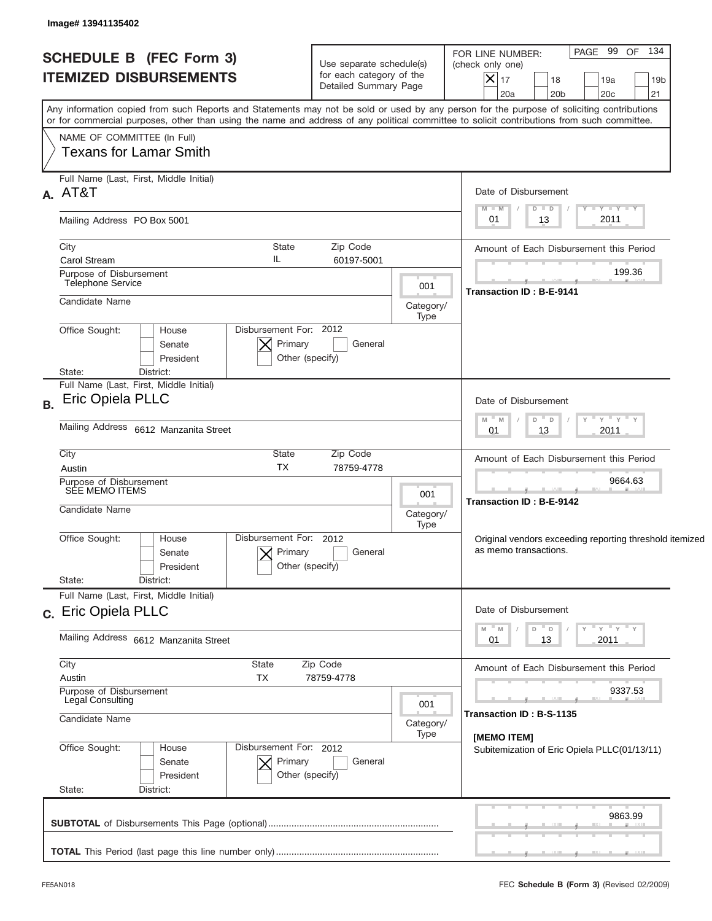| <b>SCHEDULE B (FEC Form 3)</b><br><b>ITEMIZED DISBURSEMENTS</b>                                                                                                                                                                                                                         | Use separate schedule(s)<br>for each category of the<br>Detailed Summary Page | PAGE 99 OF 134<br>FOR LINE NUMBER:<br>(check only one)<br>$ \mathsf{X} _{17}$<br>18<br>19a<br>19 <sub>b</sub><br>21<br>20a<br>20 <sub>b</sub><br>20c |  |  |  |
|-----------------------------------------------------------------------------------------------------------------------------------------------------------------------------------------------------------------------------------------------------------------------------------------|-------------------------------------------------------------------------------|------------------------------------------------------------------------------------------------------------------------------------------------------|--|--|--|
| Any information copied from such Reports and Statements may not be sold or used by any person for the purpose of soliciting contributions<br>or for commercial purposes, other than using the name and address of any political committee to solicit contributions from such committee. |                                                                               |                                                                                                                                                      |  |  |  |
| NAME OF COMMITTEE (In Full)<br><b>Texans for Lamar Smith</b>                                                                                                                                                                                                                            |                                                                               |                                                                                                                                                      |  |  |  |
| Full Name (Last, First, Middle Initial)<br>A. AT&T                                                                                                                                                                                                                                      |                                                                               | Date of Disbursement                                                                                                                                 |  |  |  |
| Mailing Address PO Box 5001                                                                                                                                                                                                                                                             |                                                                               | $T$ $Y$ $T$ $Y$ $T$ $Y$<br>$M - M$<br>$D$ $D$<br>2011<br>13<br>01                                                                                    |  |  |  |
| City<br>State<br>IL<br><b>Carol Stream</b>                                                                                                                                                                                                                                              | Zip Code<br>60197-5001                                                        | Amount of Each Disbursement this Period                                                                                                              |  |  |  |
| Purpose of Disbursement<br>Telephone Service                                                                                                                                                                                                                                            | 001                                                                           | 199.36<br>Transaction ID: B-E-9141                                                                                                                   |  |  |  |
| Candidate Name                                                                                                                                                                                                                                                                          | Category/<br>Type                                                             |                                                                                                                                                      |  |  |  |
| Disbursement For: 2012<br>Office Sought:<br>House<br>Primary<br>Senate<br>President<br>State:<br>District:                                                                                                                                                                              | General<br>Other (specify)                                                    |                                                                                                                                                      |  |  |  |
| Full Name (Last, First, Middle Initial)<br>Eric Opiela PLLC<br><b>B.</b>                                                                                                                                                                                                                |                                                                               | Date of Disbursement                                                                                                                                 |  |  |  |
| Mailing Address 6612 Manzanita Street                                                                                                                                                                                                                                                   | " γ " γ " γ<br>$- M$<br>D<br>M<br>$\Box$<br>2011<br>01<br>13                  |                                                                                                                                                      |  |  |  |
| City<br>State<br><b>TX</b><br>Austin                                                                                                                                                                                                                                                    | Zip Code<br>78759-4778                                                        | Amount of Each Disbursement this Period                                                                                                              |  |  |  |
| Purpose of Disbursement<br>SEE MEMO ITEMS                                                                                                                                                                                                                                               | 001                                                                           | 9664.63<br>Transaction ID: B-E-9142                                                                                                                  |  |  |  |
| Candidate Name                                                                                                                                                                                                                                                                          | Category/<br>Type                                                             |                                                                                                                                                      |  |  |  |
| Disbursement For: 2012<br>Office Sought:<br>House<br>Primary<br>Senate<br>President<br>State:<br>District:                                                                                                                                                                              | General<br>Other (specify)                                                    | Original vendors exceeding reporting threshold itemized<br>as memo transactions.                                                                     |  |  |  |
| Full Name (Last, First, Middle Initial)                                                                                                                                                                                                                                                 |                                                                               |                                                                                                                                                      |  |  |  |
| c. Eric Opiela PLLC<br>Mailing Address 6612 Manzanita Street                                                                                                                                                                                                                            |                                                                               | Date of Disbursement<br>≡ γ ≡ γ ≡ γ<br>" M<br>D<br>Υ<br>D<br>2011<br>01<br>13                                                                        |  |  |  |
| City<br>State                                                                                                                                                                                                                                                                           | Zip Code                                                                      |                                                                                                                                                      |  |  |  |
| Austin<br>TX<br>Purpose of Disbursement                                                                                                                                                                                                                                                 | 78759-4778                                                                    | Amount of Each Disbursement this Period<br>9337.53                                                                                                   |  |  |  |
| Legal Consulting<br>Candidate Name                                                                                                                                                                                                                                                      | 001<br>Category/                                                              | Transaction ID: B-S-1135                                                                                                                             |  |  |  |
| Office Sought:<br>Disbursement For: 2012<br>House<br>Primary<br>Senate<br>President                                                                                                                                                                                                     | Type<br>General<br>Other (specify)                                            | [MEMO ITEM]<br>Subitemization of Eric Opiela PLLC(01/13/11)                                                                                          |  |  |  |
| State:<br>District:                                                                                                                                                                                                                                                                     |                                                                               |                                                                                                                                                      |  |  |  |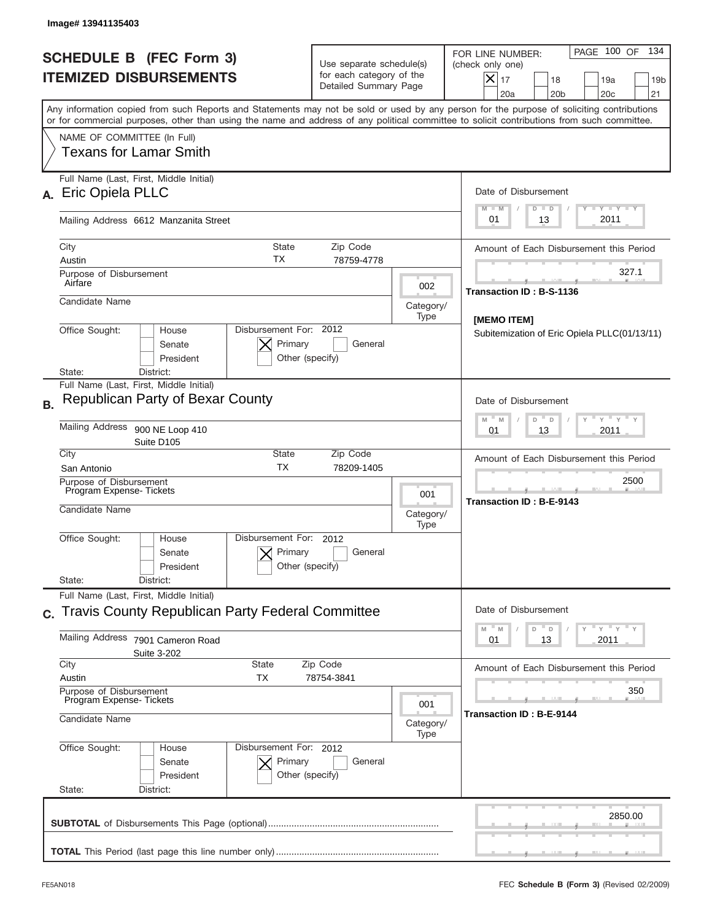| <b>SCHEDULE B (FEC Form 3)</b><br><b>ITEMIZED DISBURSEMENTS</b>                                                                                                                                                                                                                         | FOR LINE NUMBER:<br>Use separate schedule(s)<br>(check only one)<br>for each category of the<br>Detailed Summary Page                |                                  |                                              |  |  |
|-----------------------------------------------------------------------------------------------------------------------------------------------------------------------------------------------------------------------------------------------------------------------------------------|--------------------------------------------------------------------------------------------------------------------------------------|----------------------------------|----------------------------------------------|--|--|
| Any information copied from such Reports and Statements may not be sold or used by any person for the purpose of soliciting contributions<br>or for commercial purposes, other than using the name and address of any political committee to solicit contributions from such committee. |                                                                                                                                      |                                  |                                              |  |  |
| NAME OF COMMITTEE (In Full)<br>Texans for Lamar Smith                                                                                                                                                                                                                                   |                                                                                                                                      |                                  |                                              |  |  |
| Full Name (Last, First, Middle Initial)<br>Eric Opiela PLLC                                                                                                                                                                                                                             |                                                                                                                                      |                                  | Date of Disbursement<br>$T - Y$ $T - Y$      |  |  |
| Mailing Address 6612 Manzanita Street                                                                                                                                                                                                                                                   |                                                                                                                                      |                                  | $M - M$<br>$D$ $D$<br>2011<br>01<br>13       |  |  |
| City<br><b>State</b><br>ТX<br>Austin                                                                                                                                                                                                                                                    | Amount of Each Disbursement this Period                                                                                              |                                  |                                              |  |  |
| Purpose of Disbursement<br>Airfare                                                                                                                                                                                                                                                      |                                                                                                                                      | 002                              | 327.1<br>Transaction ID: B-S-1136            |  |  |
| Candidate Name                                                                                                                                                                                                                                                                          |                                                                                                                                      | Category/<br>Type                | [MEMO ITEM]                                  |  |  |
| Disbursement For: 2012<br>Office Sought:<br>House<br>Primary<br>Senate<br>President<br>Other (specify)<br>District:<br>State:                                                                                                                                                           | Subitemization of Eric Opiela PLLC(01/13/11)                                                                                         |                                  |                                              |  |  |
| Full Name (Last, First, Middle Initial)<br><b>Republican Party of Bexar County</b><br><b>B.</b>                                                                                                                                                                                         |                                                                                                                                      |                                  | Date of Disbursement                         |  |  |
| Mailing Address 900 NE Loop 410<br>Suite D105                                                                                                                                                                                                                                           | $\cdots$ $\gamma$ $\cdots$ $\gamma$ $\cdots$ $\gamma$<br>$M$ <sup><math>-</math></sup><br>D<br>$\mathbb{M}$<br>D<br>2011<br>01<br>13 |                                  |                                              |  |  |
| City<br>State<br><b>TX</b><br>San Antonio                                                                                                                                                                                                                                               | Amount of Each Disbursement this Period                                                                                              |                                  |                                              |  |  |
| Purpose of Disbursement<br>Program Expense-Tickets<br>Candidate Name                                                                                                                                                                                                                    | 001<br>Category/<br>Type                                                                                                             | 2500<br>Transaction ID: B-E-9143 |                                              |  |  |
| Disbursement For:<br>Office Sought:<br>House<br>Senate<br>President                                                                                                                                                                                                                     | 2012<br>Primary<br>General<br>Other (specify)                                                                                        |                                  |                                              |  |  |
| State:<br>District:<br>Full Name (Last, First, Middle Initial)                                                                                                                                                                                                                          |                                                                                                                                      |                                  |                                              |  |  |
| c. Travis County Republican Party Federal Committee                                                                                                                                                                                                                                     | Date of Disbursement<br>$\mathbb{F}$ $\mathsf{y}$ $\mathbb{F}$ $\mathsf{y}$ $\mathbb{F}$ $\mathsf{y}$<br>D                           |                                  |                                              |  |  |
| Mailing Address<br>7901 Cameron Road<br>Suite 3-202                                                                                                                                                                                                                                     | M<br>${\mathbb M}$<br>D<br>2011<br>01<br>13                                                                                          |                                  |                                              |  |  |
| City<br><b>State</b><br>Austin<br>ТX                                                                                                                                                                                                                                                    | Zip Code<br>78754-3841                                                                                                               |                                  |                                              |  |  |
| Purpose of Disbursement<br>Program Expense-Tickets<br>Candidate Name                                                                                                                                                                                                                    |                                                                                                                                      |                                  | 350<br>Transaction ID: B-E-9144<br>Category/ |  |  |
| Office Sought:<br>Disbursement For: 2012<br>House<br>Senate<br>President<br>State:<br>District:                                                                                                                                                                                         | Primary<br>General<br>Other (specify)                                                                                                | Type                             |                                              |  |  |
|                                                                                                                                                                                                                                                                                         |                                                                                                                                      |                                  |                                              |  |  |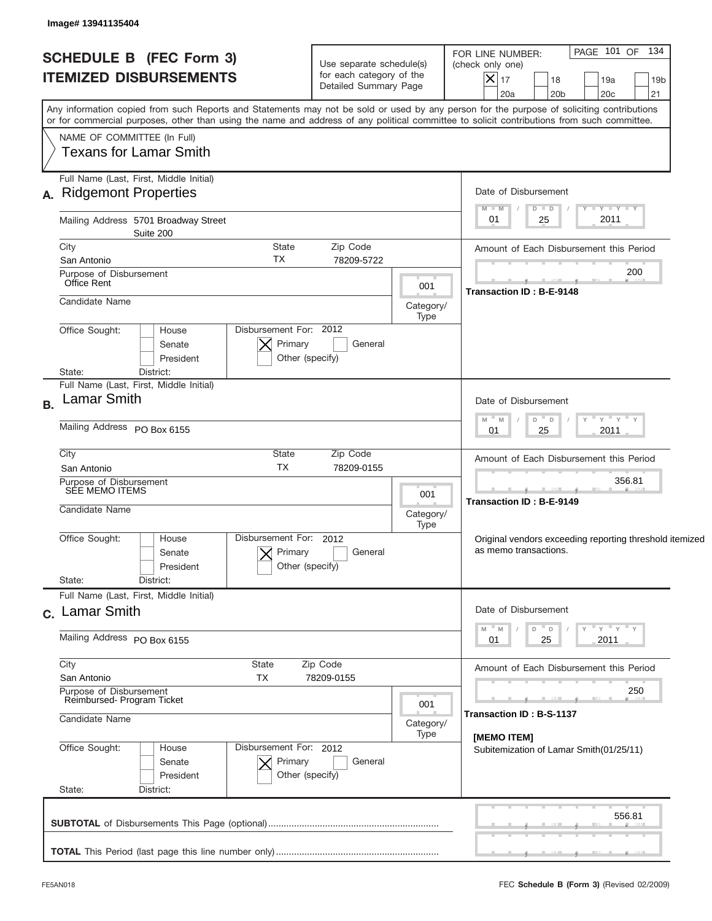| <b>SCHEDULE B (FEC Form 3)</b><br><b>ITEMIZED DISBURSEMENTS</b>                                                                                                                                                                                                                         |                                                      | Use separate schedule(s)<br>for each category of the<br>Detailed Summary Page | FOR LINE NUMBER:<br>(check only one)<br>$X _{17}$<br>20a | 18<br>20 <sub>b</sub>                                                            |                      | PAGE 101 OF 134<br>19a<br>20 <sub>c</sub> | 19 <sub>b</sub><br>21           |  |  |
|-----------------------------------------------------------------------------------------------------------------------------------------------------------------------------------------------------------------------------------------------------------------------------------------|------------------------------------------------------|-------------------------------------------------------------------------------|----------------------------------------------------------|----------------------------------------------------------------------------------|----------------------|-------------------------------------------|---------------------------------|--|--|
| Any information copied from such Reports and Statements may not be sold or used by any person for the purpose of soliciting contributions<br>or for commercial purposes, other than using the name and address of any political committee to solicit contributions from such committee. |                                                      |                                                                               |                                                          |                                                                                  |                      |                                           |                                 |  |  |
| NAME OF COMMITTEE (In Full)<br>Texans for Lamar Smith                                                                                                                                                                                                                                   |                                                      |                                                                               |                                                          |                                                                                  |                      |                                           |                                 |  |  |
| Full Name (Last, First, Middle Initial)<br>A. Ridgemont Properties                                                                                                                                                                                                                      |                                                      |                                                                               |                                                          | Date of Disbursement                                                             |                      |                                           |                                 |  |  |
| Mailing Address 5701 Broadway Street<br>Suite 200                                                                                                                                                                                                                                       |                                                      |                                                                               |                                                          | $M - M$<br>01                                                                    | $D$ $D$<br>25        |                                           | $T - Y$ $T - Y$ $T - Y$<br>2011 |  |  |
| City                                                                                                                                                                                                                                                                                    | <b>State</b>                                         | Zip Code                                                                      |                                                          | Amount of Each Disbursement this Period                                          |                      |                                           |                                 |  |  |
| San Antonio<br>Purpose of Disbursement<br>Office Rent                                                                                                                                                                                                                                   | <b>TX</b>                                            | 78209-5722                                                                    | 001                                                      |                                                                                  |                      |                                           | 200                             |  |  |
| Candidate Name                                                                                                                                                                                                                                                                          |                                                      |                                                                               | Category/<br>Type                                        | Transaction ID: B-E-9148                                                         |                      |                                           |                                 |  |  |
| Office Sought:<br>House<br>Senate<br>President<br>District:<br>State:                                                                                                                                                                                                                   | Disbursement For: 2012<br>Primary<br>Other (specify) | General                                                                       |                                                          |                                                                                  |                      |                                           |                                 |  |  |
| Full Name (Last, First, Middle Initial)<br><b>Lamar Smith</b>                                                                                                                                                                                                                           |                                                      |                                                                               |                                                          | Date of Disbursement                                                             |                      |                                           |                                 |  |  |
| Mailing Address PO Box 6155                                                                                                                                                                                                                                                             |                                                      | – ү – ү – ү<br>$M - M$<br>D<br>$\Box$<br>2011<br>01<br>25                     |                                                          |                                                                                  |                      |                                           |                                 |  |  |
| City<br>San Antonio                                                                                                                                                                                                                                                                     | State<br>Zip Code<br><b>TX</b><br>78209-0155         |                                                                               |                                                          |                                                                                  |                      | Amount of Each Disbursement this Period   |                                 |  |  |
| Purpose of Disbursement<br>SÉE MEMO ITEMS                                                                                                                                                                                                                                               | 001                                                  | 356.81<br><b>Transaction ID: B-E-9149</b>                                     |                                                          |                                                                                  |                      |                                           |                                 |  |  |
| Candidate Name                                                                                                                                                                                                                                                                          | Category/<br>Type                                    |                                                                               |                                                          |                                                                                  |                      |                                           |                                 |  |  |
| Office Sought:<br>House<br>Senate<br>President                                                                                                                                                                                                                                          | Disbursement For: 2012<br>Primary<br>Other (specify) | General                                                                       |                                                          | Original vendors exceeding reporting threshold itemized<br>as memo transactions. |                      |                                           |                                 |  |  |
| State:<br>District:                                                                                                                                                                                                                                                                     |                                                      |                                                                               |                                                          |                                                                                  |                      |                                           |                                 |  |  |
| Full Name (Last, First, Middle Initial)<br>c. Lamar Smith                                                                                                                                                                                                                               |                                                      |                                                                               |                                                          |                                                                                  | Date of Disbursement |                                           |                                 |  |  |
| Mailing Address PO Box 6155                                                                                                                                                                                                                                                             |                                                      | 01                                                                            | D<br>D<br>25                                             | Υ                                                                                | " γ " γ " γ<br>2011  |                                           |                                 |  |  |
| City<br>San Antonio                                                                                                                                                                                                                                                                     | State<br>Zip Code<br>TX                              | 78209-0155                                                                    |                                                          | Amount of Each Disbursement this Period                                          |                      |                                           |                                 |  |  |
| Purpose of Disbursement<br>Reimbursed-Program Ticket                                                                                                                                                                                                                                    |                                                      |                                                                               | 001                                                      |                                                                                  |                      |                                           | 250                             |  |  |
| Candidate Name                                                                                                                                                                                                                                                                          | Category/<br>Type                                    | Transaction ID: B-S-1137<br>[MEMO ITEM]                                       |                                                          |                                                                                  |                      |                                           |                                 |  |  |
| Office Sought:<br>House<br>Senate<br>President                                                                                                                                                                                                                                          | Disbursement For: 2012<br>Primary<br>Other (specify) | General                                                                       |                                                          | Subitemization of Lamar Smith (01/25/11)                                         |                      |                                           |                                 |  |  |
| State:<br>District:                                                                                                                                                                                                                                                                     |                                                      |                                                                               |                                                          |                                                                                  |                      |                                           |                                 |  |  |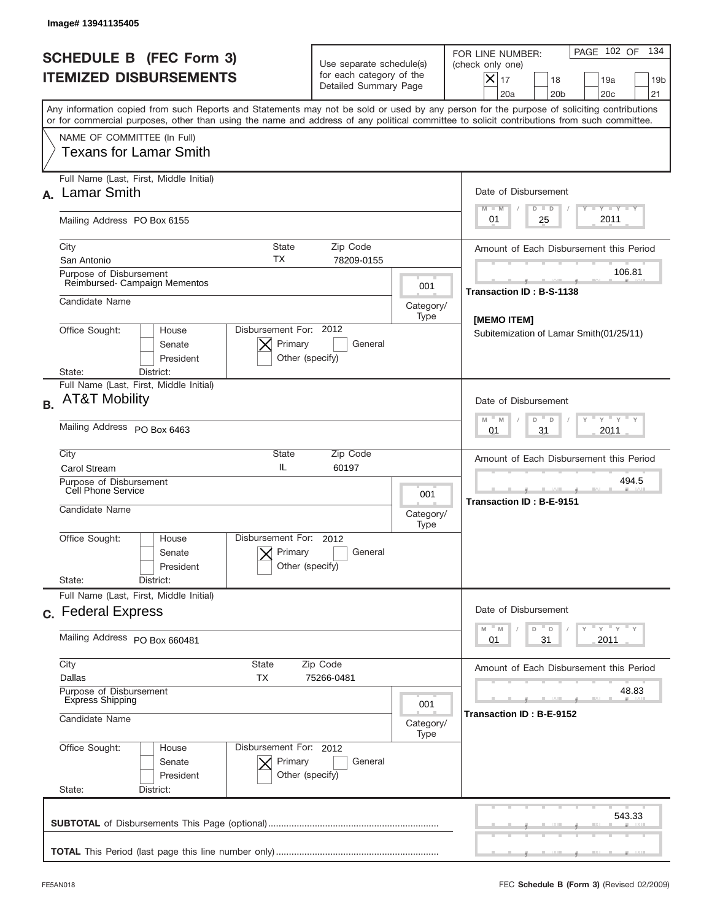|           | Image# 13941135405                                                                                                                                                                                                                                                                      |                                                                               |                                                                                                                                                            |                                                                                                                                            |  |  |  |
|-----------|-----------------------------------------------------------------------------------------------------------------------------------------------------------------------------------------------------------------------------------------------------------------------------------------|-------------------------------------------------------------------------------|------------------------------------------------------------------------------------------------------------------------------------------------------------|--------------------------------------------------------------------------------------------------------------------------------------------|--|--|--|
|           | <b>SCHEDULE B (FEC Form 3)</b><br><b>ITEMIZED DISBURSEMENTS</b>                                                                                                                                                                                                                         | Use separate schedule(s)<br>for each category of the<br>Detailed Summary Page | 134<br>PAGE 102 OF<br>FOR LINE NUMBER:<br>(check only one)<br>$X _{17}$<br>18<br>19a<br>19 <sub>b</sub><br>20a<br>20 <sub>b</sub><br>20 <sub>c</sub><br>21 |                                                                                                                                            |  |  |  |
|           | Any information copied from such Reports and Statements may not be sold or used by any person for the purpose of soliciting contributions<br>or for commercial purposes, other than using the name and address of any political committee to solicit contributions from such committee. |                                                                               |                                                                                                                                                            |                                                                                                                                            |  |  |  |
|           | NAME OF COMMITTEE (In Full)<br><b>Texans for Lamar Smith</b>                                                                                                                                                                                                                            |                                                                               |                                                                                                                                                            |                                                                                                                                            |  |  |  |
| А.        | Full Name (Last, First, Middle Initial)<br><b>Lamar Smith</b>                                                                                                                                                                                                                           |                                                                               |                                                                                                                                                            | Date of Disbursement<br>Y TY TY TY<br>$M - M$<br>$D$ $D$                                                                                   |  |  |  |
|           | Mailing Address PO Box 6155                                                                                                                                                                                                                                                             |                                                                               |                                                                                                                                                            | 2011<br>01<br>25                                                                                                                           |  |  |  |
|           | City<br><b>State</b><br>ТX<br>San Antonio                                                                                                                                                                                                                                               | Zip Code<br>78209-0155                                                        |                                                                                                                                                            | Amount of Each Disbursement this Period                                                                                                    |  |  |  |
|           | Purpose of Disbursement<br>Reimbursed-Campaign Mementos                                                                                                                                                                                                                                 |                                                                               | 001                                                                                                                                                        | 106.81                                                                                                                                     |  |  |  |
|           | Candidate Name                                                                                                                                                                                                                                                                          |                                                                               | Category/<br>Type                                                                                                                                          | Transaction ID: B-S-1138                                                                                                                   |  |  |  |
|           | Disbursement For: 2012<br>Office Sought:<br>House<br>Primary<br>Senate<br>President<br>Other (specify)                                                                                                                                                                                  | General                                                                       |                                                                                                                                                            | [MEMO ITEM]<br>Subitemization of Lamar Smith(01/25/11)                                                                                     |  |  |  |
|           | State:<br>District:<br>Full Name (Last, First, Middle Initial)                                                                                                                                                                                                                          |                                                                               |                                                                                                                                                            |                                                                                                                                            |  |  |  |
| <b>B.</b> | <b>AT&amp;T Mobility</b>                                                                                                                                                                                                                                                                | Date of Disbursement<br>ү " ү " ү " ү<br>$M - M$<br>D<br>$\mathsf D$          |                                                                                                                                                            |                                                                                                                                            |  |  |  |
|           | Mailing Address PO Box 6463                                                                                                                                                                                                                                                             | 31<br>2011<br>01                                                              |                                                                                                                                                            |                                                                                                                                            |  |  |  |
|           | City<br>State<br>IL<br><b>Carol Stream</b>                                                                                                                                                                                                                                              | Zip Code<br>60197                                                             |                                                                                                                                                            |                                                                                                                                            |  |  |  |
|           | Purpose of Disbursement<br>Cell Phone Service<br>001<br>Candidate Name<br>Category/                                                                                                                                                                                                     |                                                                               |                                                                                                                                                            | 494.5<br>Transaction ID: B-E-9151                                                                                                          |  |  |  |
|           | Disbursement For:<br>Office Sought:<br>House<br>Primary<br>Senate<br>Other (specify)<br>President<br>State:<br>District:                                                                                                                                                                | 2012<br>General                                                               | Type                                                                                                                                                       |                                                                                                                                            |  |  |  |
|           | Full Name (Last, First, Middle Initial)                                                                                                                                                                                                                                                 |                                                                               |                                                                                                                                                            |                                                                                                                                            |  |  |  |
|           | c. Federal Express                                                                                                                                                                                                                                                                      |                                                                               |                                                                                                                                                            | Date of Disbursement<br>$\overline{Y}$ $\overline{Y}$ $\overline{Y}$ $\overline{Y}$ $\overline{Y}$<br>M<br>$\mathbb M$<br>D<br>$\mathsf D$ |  |  |  |
|           | Mailing Address PO Box 660481                                                                                                                                                                                                                                                           | 2011<br>01<br>31                                                              |                                                                                                                                                            |                                                                                                                                            |  |  |  |
|           | City<br>State<br>Zip Code<br>Dallas<br>ТX<br>75266-0481                                                                                                                                                                                                                                 | Amount of Each Disbursement this Period                                       |                                                                                                                                                            |                                                                                                                                            |  |  |  |
|           | Purpose of Disbursement<br><b>Express Shipping</b><br>Candidate Name                                                                                                                                                                                                                    | 001<br>Category/<br>Type                                                      | 48.83<br>Transaction ID: B-E-9152                                                                                                                          |                                                                                                                                            |  |  |  |
|           | Office Sought:<br>Disbursement For: 2012<br>House<br>Senate<br>Primary<br>President<br>Other (specify)<br>State:<br>District:                                                                                                                                                           |                                                                               |                                                                                                                                                            |                                                                                                                                            |  |  |  |
|           |                                                                                                                                                                                                                                                                                         |                                                                               |                                                                                                                                                            | 543.33                                                                                                                                     |  |  |  |
|           |                                                                                                                                                                                                                                                                                         |                                                                               |                                                                                                                                                            |                                                                                                                                            |  |  |  |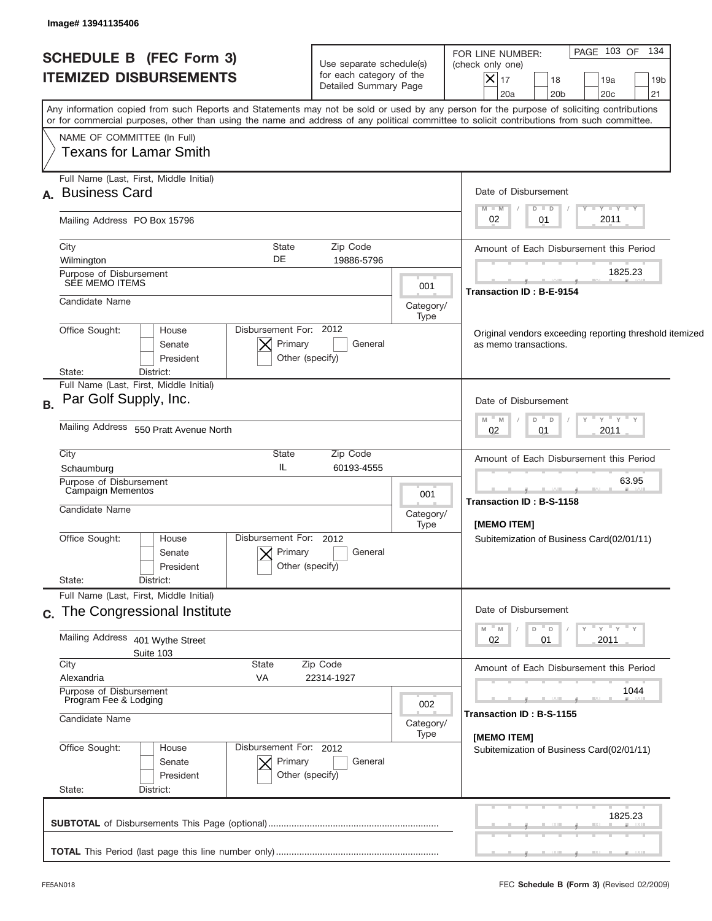| <b>SCHEDULE B (FEC Form 3)</b><br><b>ITEMIZED DISBURSEMENTS</b> |                                                                                                                                            | Use separate schedule(s)<br>for each category of the<br>Detailed Summary Page |                                                                                  | PAGE 103 OF 134<br>FOR LINE NUMBER:<br>(check only one)<br>$\vert\mathsf{X}\vert$<br>17<br>18<br>19a<br>19 <sub>b</sub><br>21<br>20a<br>20 <sub>b</sub><br>20 <sub>c</sub> |  |  |
|-----------------------------------------------------------------|--------------------------------------------------------------------------------------------------------------------------------------------|-------------------------------------------------------------------------------|----------------------------------------------------------------------------------|----------------------------------------------------------------------------------------------------------------------------------------------------------------------------|--|--|
|                                                                 | or for commercial purposes, other than using the name and address of any political committee to solicit contributions from such committee. |                                                                               |                                                                                  | Any information copied from such Reports and Statements may not be sold or used by any person for the purpose of soliciting contributions                                  |  |  |
|                                                                 | NAME OF COMMITTEE (In Full)<br>Texans for Lamar Smith                                                                                      |                                                                               |                                                                                  |                                                                                                                                                                            |  |  |
|                                                                 | Full Name (Last, First, Middle Initial)<br>A. Business Card                                                                                |                                                                               |                                                                                  | Date of Disbursement                                                                                                                                                       |  |  |
|                                                                 | Mailing Address PO Box 15796                                                                                                               |                                                                               |                                                                                  | $T - Y$ $T - Y$<br>$M - M$<br>$D$ $D$<br>2011<br>02<br>01                                                                                                                  |  |  |
|                                                                 | City<br>Wilmington                                                                                                                         | <b>State</b><br>Zip Code<br>DE<br>19886-5796                                  |                                                                                  | Amount of Each Disbursement this Period                                                                                                                                    |  |  |
|                                                                 | Purpose of Disbursement<br>SEE MEMO ITEMS                                                                                                  |                                                                               | 001                                                                              | 1825.23<br>Transaction ID: B-E-9154                                                                                                                                        |  |  |
|                                                                 | Candidate Name                                                                                                                             |                                                                               | Category/<br>Type                                                                |                                                                                                                                                                            |  |  |
|                                                                 | Disbursement For: 2012<br>Office Sought:<br>House<br>Senate<br>President                                                                   |                                                                               | Original vendors exceeding reporting threshold itemized<br>as memo transactions. |                                                                                                                                                                            |  |  |
|                                                                 | State:<br>District:<br>Full Name (Last, First, Middle Initial)                                                                             |                                                                               |                                                                                  |                                                                                                                                                                            |  |  |
| B.                                                              | Par Golf Supply, Inc.                                                                                                                      | Date of Disbursement<br>" γ " γ " γ<br>$- M$<br>$D$ $D$<br>M                  |                                                                                  |                                                                                                                                                                            |  |  |
|                                                                 | Mailing Address 550 Pratt Avenue North                                                                                                     | 2011<br>02<br>01                                                              |                                                                                  |                                                                                                                                                                            |  |  |
|                                                                 | City<br>Schaumburg                                                                                                                         |                                                                               | Amount of Each Disbursement this Period                                          |                                                                                                                                                                            |  |  |
|                                                                 | Purpose of Disbursement<br>Campaign Mementos                                                                                               | 001                                                                           | 63.95                                                                            |                                                                                                                                                                            |  |  |
|                                                                 | Candidate Name                                                                                                                             |                                                                               | Category/<br>Type                                                                | <b>Transaction ID: B-S-1158</b><br>[MEMO ITEM]                                                                                                                             |  |  |
|                                                                 | Office Sought:<br>House<br>Senate<br>President                                                                                             | Disbursement For: 2012<br>Primary<br>General<br>Other (specify)               |                                                                                  | Subitemization of Business Card(02/01/11)                                                                                                                                  |  |  |
|                                                                 | State:<br>District:<br>Full Name (Last, First, Middle Initial)                                                                             |                                                                               |                                                                                  |                                                                                                                                                                            |  |  |
|                                                                 | c. The Congressional Institute                                                                                                             | Date of Disbursement                                                          |                                                                                  |                                                                                                                                                                            |  |  |
|                                                                 | Mailing Address<br>401 Wythe Street<br>Suite 103                                                                                           |                                                                               |                                                                                  | ≡ γ ≡ γ ≡ γ<br>M<br>M<br>D<br>D<br>02<br>2011<br>01                                                                                                                        |  |  |
|                                                                 | City<br>Alexandria<br>VA                                                                                                                   | Zip Code<br>State<br>22314-1927                                               |                                                                                  |                                                                                                                                                                            |  |  |
|                                                                 | Purpose of Disbursement<br>Program Fee & Lodging                                                                                           |                                                                               | 002                                                                              | 1044                                                                                                                                                                       |  |  |
|                                                                 | Candidate Name                                                                                                                             |                                                                               | Category/<br>Type                                                                | Transaction ID: B-S-1155<br>[MEMO ITEM]                                                                                                                                    |  |  |
|                                                                 | Office Sought:<br>House<br>Senate<br>President<br>State:                                                                                   | Disbursement For: 2012<br>Primary<br>General<br>Other (specify)               |                                                                                  | Subitemization of Business Card(02/01/11)                                                                                                                                  |  |  |
|                                                                 | District:                                                                                                                                  |                                                                               |                                                                                  |                                                                                                                                                                            |  |  |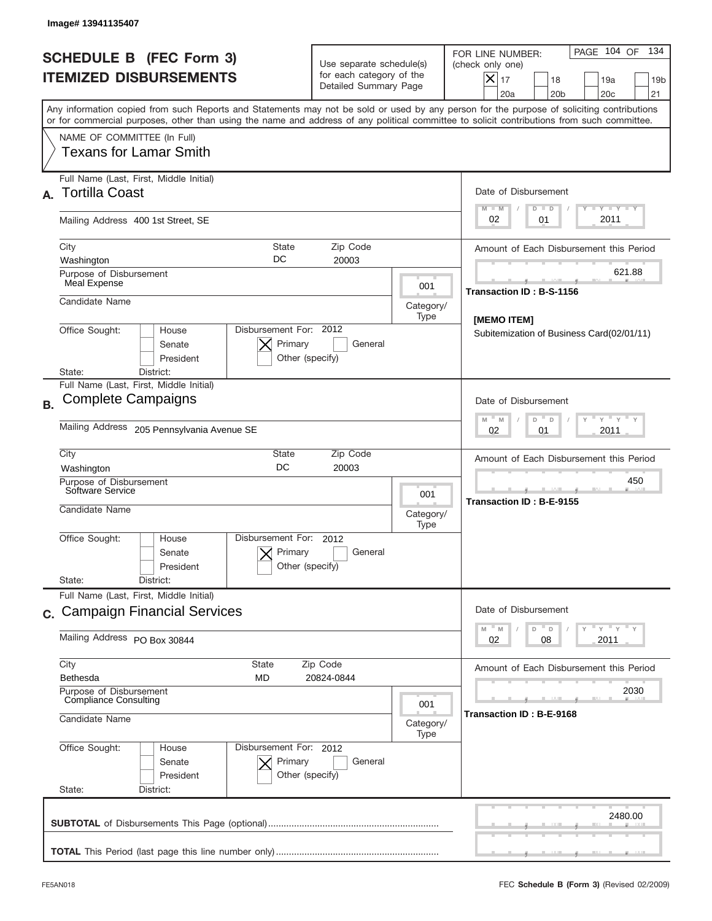|                                                                 | Image# 13941135407                                                                                                                                                                                                                                                                      |                                                                                                                       |                                                          |                                                                                                                                                            |
|-----------------------------------------------------------------|-----------------------------------------------------------------------------------------------------------------------------------------------------------------------------------------------------------------------------------------------------------------------------------------|-----------------------------------------------------------------------------------------------------------------------|----------------------------------------------------------|------------------------------------------------------------------------------------------------------------------------------------------------------------|
| <b>SCHEDULE B (FEC Form 3)</b><br><b>ITEMIZED DISBURSEMENTS</b> |                                                                                                                                                                                                                                                                                         | Use separate schedule(s)<br>for each category of the<br>Detailed Summary Page                                         |                                                          | PAGE 104 OF<br>134<br>FOR LINE NUMBER:<br>(check only one)<br>$X _{17}$<br>18<br>19a<br>19 <sub>b</sub><br>20a<br>20 <sub>b</sub><br>20 <sub>c</sub><br>21 |
|                                                                 | Any information copied from such Reports and Statements may not be sold or used by any person for the purpose of soliciting contributions<br>or for commercial purposes, other than using the name and address of any political committee to solicit contributions from such committee. |                                                                                                                       |                                                          |                                                                                                                                                            |
|                                                                 | NAME OF COMMITTEE (In Full)<br>Texans for Lamar Smith                                                                                                                                                                                                                                   |                                                                                                                       |                                                          |                                                                                                                                                            |
| А.                                                              | Full Name (Last, First, Middle Initial)<br><b>Tortilla Coast</b>                                                                                                                                                                                                                        |                                                                                                                       |                                                          | Date of Disbursement<br>Y TY TY TY                                                                                                                         |
|                                                                 | Mailing Address 400 1st Street, SE                                                                                                                                                                                                                                                      |                                                                                                                       |                                                          | $M - M$<br>$D$ $D$<br>2011<br>02<br>01                                                                                                                     |
|                                                                 | City<br>State<br>DC<br>Washington                                                                                                                                                                                                                                                       | Zip Code<br>20003                                                                                                     |                                                          | Amount of Each Disbursement this Period                                                                                                                    |
|                                                                 | Purpose of Disbursement<br>Meal Expense                                                                                                                                                                                                                                                 |                                                                                                                       | 001                                                      | 621.88<br>Transaction ID: B-S-1156                                                                                                                         |
|                                                                 | Candidate Name                                                                                                                                                                                                                                                                          |                                                                                                                       | Category/<br>Type                                        |                                                                                                                                                            |
|                                                                 | Disbursement For: 2012<br>Office Sought:<br>House<br>Primary<br>Senate<br>President<br>Other (specify)<br>District:<br>State:                                                                                                                                                           |                                                                                                                       | [MEMO ITEM]<br>Subitemization of Business Card(02/01/11) |                                                                                                                                                            |
| <b>B.</b>                                                       | Full Name (Last, First, Middle Initial)<br><b>Complete Campaigns</b>                                                                                                                                                                                                                    | Date of Disbursement<br>$\cdots$ $\gamma$ $\cdots$ $\gamma$ $\cdots$ $\gamma$<br>$M - M$<br>D<br>D                    |                                                          |                                                                                                                                                            |
|                                                                 | Mailing Address 205 Pennsylvania Avenue SE                                                                                                                                                                                                                                              | 2011<br>02<br>01                                                                                                      |                                                          |                                                                                                                                                            |
|                                                                 | City<br>State<br>DC<br>Washington                                                                                                                                                                                                                                                       | Amount of Each Disbursement this Period                                                                               |                                                          |                                                                                                                                                            |
|                                                                 | Purpose of Disbursement<br>Software Service<br>Candidate Name                                                                                                                                                                                                                           |                                                                                                                       | 001<br>Category/<br>Type                                 | 450<br>Transaction ID: B-E-9155                                                                                                                            |
|                                                                 | Disbursement For:<br>Office Sought:<br>House<br>Primary<br>Senate<br>President                                                                                                                                                                                                          | 2012<br>General<br>Other (specify)                                                                                    |                                                          |                                                                                                                                                            |
|                                                                 | State:<br>District:<br>Full Name (Last, First, Middle Initial)                                                                                                                                                                                                                          |                                                                                                                       |                                                          |                                                                                                                                                            |
|                                                                 | c. Campaign Financial Services                                                                                                                                                                                                                                                          | Date of Disbursement                                                                                                  |                                                          |                                                                                                                                                            |
|                                                                 | Mailing Address PO Box 30844                                                                                                                                                                                                                                                            | $\mathbb{F}$ $\mathsf{y}$ $\mathbb{F}$ $\mathsf{y}$ $\mathbb{F}$ $\mathsf{y}$<br>M<br>D<br>M<br>D<br>02<br>2011<br>08 |                                                          |                                                                                                                                                            |
|                                                                 | City<br>State<br>Bethesda<br><b>MD</b>                                                                                                                                                                                                                                                  | Amount of Each Disbursement this Period                                                                               |                                                          |                                                                                                                                                            |
|                                                                 | Purpose of Disbursement<br><b>Compliance Consulting</b><br>Candidate Name                                                                                                                                                                                                               | 001                                                                                                                   | 2030<br>Transaction ID: B-E-9168                         |                                                                                                                                                            |
|                                                                 | Disbursement For: 2012                                                                                                                                                                                                                                                                  | Category/<br>Type                                                                                                     |                                                          |                                                                                                                                                            |
|                                                                 | Office Sought:<br>House<br>Senate<br>Primary<br>President<br>State:<br>District:                                                                                                                                                                                                        | General<br>Other (specify)                                                                                            |                                                          |                                                                                                                                                            |
|                                                                 |                                                                                                                                                                                                                                                                                         |                                                                                                                       |                                                          | 2480.00                                                                                                                                                    |
|                                                                 |                                                                                                                                                                                                                                                                                         |                                                                                                                       |                                                          |                                                                                                                                                            |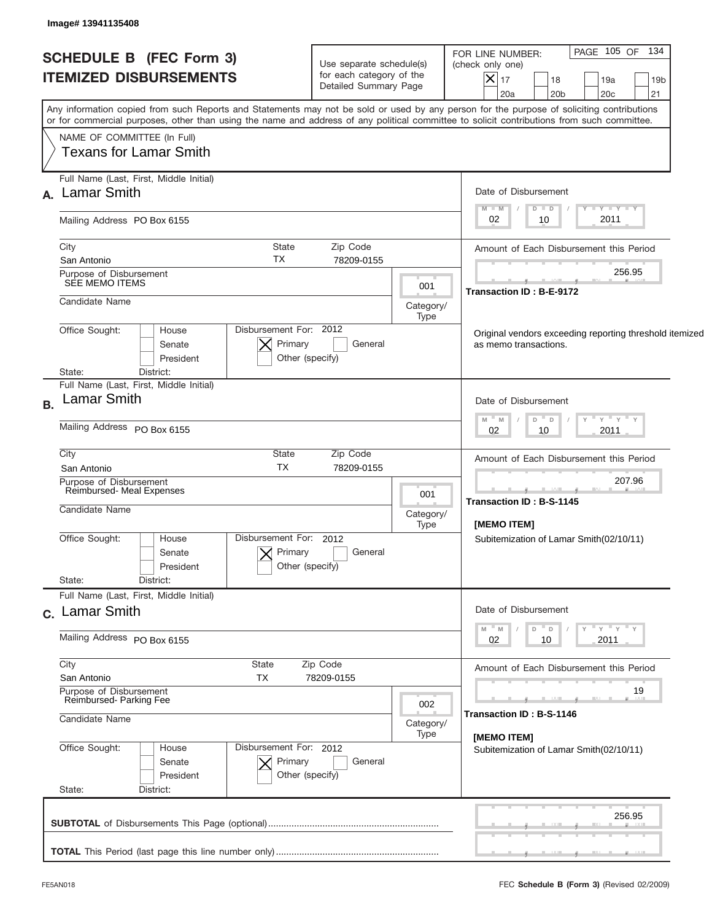| <b>SCHEDULE B (FEC Form 3)</b><br><b>ITEMIZED DISBURSEMENTS</b>          | Use separate schedule(s)<br>for each category of the<br>Detailed Summary Page |                                                                                  | PAGE 105 OF 134<br>FOR LINE NUMBER:<br>(check only one)<br>$\vert\mathsf{X}\vert$<br>17<br>18<br>19a<br>19 <sub>b</sub><br>20a<br>20 <sub>b</sub><br>20 <sub>c</sub><br>21                                                                                                              |  |  |
|--------------------------------------------------------------------------|-------------------------------------------------------------------------------|----------------------------------------------------------------------------------|-----------------------------------------------------------------------------------------------------------------------------------------------------------------------------------------------------------------------------------------------------------------------------------------|--|--|
|                                                                          |                                                                               |                                                                                  | Any information copied from such Reports and Statements may not be sold or used by any person for the purpose of soliciting contributions<br>or for commercial purposes, other than using the name and address of any political committee to solicit contributions from such committee. |  |  |
| NAME OF COMMITTEE (In Full)<br>Texans for Lamar Smith                    |                                                                               |                                                                                  |                                                                                                                                                                                                                                                                                         |  |  |
| Full Name (Last, First, Middle Initial)<br>A. Lamar Smith                |                                                                               |                                                                                  | Date of Disbursement                                                                                                                                                                                                                                                                    |  |  |
| Mailing Address PO Box 6155                                              |                                                                               |                                                                                  | $T - Y$ $T - Y$ $T - Y$<br>$M - M$<br>$D$ $D$<br>2011<br>02<br>10                                                                                                                                                                                                                       |  |  |
| City<br>San Antonio                                                      | State<br>Zip Code<br>TX<br>78209-0155                                         |                                                                                  | Amount of Each Disbursement this Period                                                                                                                                                                                                                                                 |  |  |
| Purpose of Disbursement<br>SEE MEMO ITEMS                                |                                                                               | 001                                                                              | 256.95<br>Transaction ID: B-E-9172                                                                                                                                                                                                                                                      |  |  |
| Candidate Name                                                           |                                                                               | Category/<br>Type                                                                |                                                                                                                                                                                                                                                                                         |  |  |
| Disbursement For: 2012<br>Office Sought:<br>House<br>Senate<br>President |                                                                               | Original vendors exceeding reporting threshold itemized<br>as memo transactions. |                                                                                                                                                                                                                                                                                         |  |  |
| District:<br>State:<br>Full Name (Last, First, Middle Initial)           |                                                                               |                                                                                  |                                                                                                                                                                                                                                                                                         |  |  |
| <b>Lamar Smith</b>                                                       |                                                                               |                                                                                  | Date of Disbursement<br>" γ " γ " γ<br>$- M$<br>$D$ $D$<br>M                                                                                                                                                                                                                            |  |  |
| Mailing Address PO Box 6155                                              |                                                                               | 2011<br>02<br>10                                                                 |                                                                                                                                                                                                                                                                                         |  |  |
| City<br>San Antonio                                                      | State<br>Zip Code<br><b>TX</b><br>78209-0155                                  |                                                                                  | Amount of Each Disbursement this Period                                                                                                                                                                                                                                                 |  |  |
| Purpose of Disbursement<br>Reimbursed- Meal Expenses                     |                                                                               | 001                                                                              | 207.96<br><b>Transaction ID: B-S-1145</b><br><b>IMEMO ITEMI</b>                                                                                                                                                                                                                         |  |  |
| Candidate Name                                                           |                                                                               | Category/<br>Type                                                                |                                                                                                                                                                                                                                                                                         |  |  |
| Office Sought:<br>House<br>Senate<br>President                           | Disbursement For: 2012<br>Primary<br>General<br>Other (specify)               |                                                                                  | Subitemization of Lamar Smith(02/10/11)                                                                                                                                                                                                                                                 |  |  |
| State:<br>District:<br>Full Name (Last, First, Middle Initial)           |                                                                               |                                                                                  |                                                                                                                                                                                                                                                                                         |  |  |
| c. Lamar Smith                                                           | Date of Disbursement                                                          |                                                                                  |                                                                                                                                                                                                                                                                                         |  |  |
| Mailing Address PO Box 6155                                              |                                                                               |                                                                                  | ≡ γ ≡ γ ≡ γ<br>M<br>M -<br>D<br>$\Box$<br>02<br>2011<br>10                                                                                                                                                                                                                              |  |  |
| City<br>San Antonio                                                      | Zip Code<br>State<br>ТX<br>78209-0155                                         |                                                                                  | Amount of Each Disbursement this Period                                                                                                                                                                                                                                                 |  |  |
| Purpose of Disbursement<br>Reimbursed-Parking Fee                        |                                                                               | 002                                                                              | 19                                                                                                                                                                                                                                                                                      |  |  |
| Candidate Name                                                           |                                                                               | Category/<br>Type                                                                | Transaction ID: B-S-1146<br>[MEMO ITEM]                                                                                                                                                                                                                                                 |  |  |
| Office Sought:<br>House<br>Senate<br>President                           | Disbursement For: 2012<br>Primary<br>General<br>Other (specify)               |                                                                                  | Subitemization of Lamar Smith(02/10/11)                                                                                                                                                                                                                                                 |  |  |
| State:<br>District:                                                      |                                                                               |                                                                                  |                                                                                                                                                                                                                                                                                         |  |  |
|                                                                          |                                                                               |                                                                                  | 256.95                                                                                                                                                                                                                                                                                  |  |  |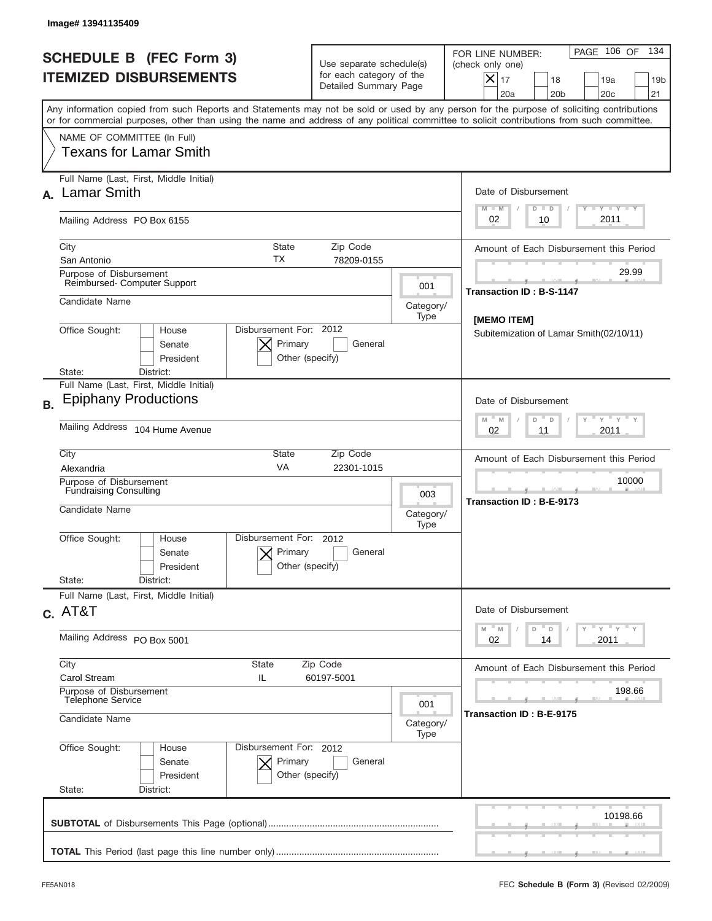| Image# 13941135409                                                                                                                                                                                                                                                                      |                                                                                                  |                                    |                                                                                                                                                            |  |  |
|-----------------------------------------------------------------------------------------------------------------------------------------------------------------------------------------------------------------------------------------------------------------------------------------|--------------------------------------------------------------------------------------------------|------------------------------------|------------------------------------------------------------------------------------------------------------------------------------------------------------|--|--|
| <b>SCHEDULE B (FEC Form 3)</b><br><b>ITEMIZED DISBURSEMENTS</b>                                                                                                                                                                                                                         | Use separate schedule(s)<br>for each category of the<br>Detailed Summary Page                    |                                    | 134<br>PAGE 106 OF<br>FOR LINE NUMBER:<br>(check only one)<br>$X _{17}$<br>18<br>19a<br>19 <sub>b</sub><br>20a<br>20 <sub>b</sub><br>20 <sub>c</sub><br>21 |  |  |
| Any information copied from such Reports and Statements may not be sold or used by any person for the purpose of soliciting contributions<br>or for commercial purposes, other than using the name and address of any political committee to solicit contributions from such committee. |                                                                                                  |                                    |                                                                                                                                                            |  |  |
| NAME OF COMMITTEE (In Full)<br>Texans for Lamar Smith                                                                                                                                                                                                                                   |                                                                                                  |                                    |                                                                                                                                                            |  |  |
| Full Name (Last, First, Middle Initial)<br><b>Lamar Smith</b>                                                                                                                                                                                                                           |                                                                                                  |                                    | Date of Disbursement<br>Y TY TY TY<br>$M - M$<br>$D$ $D$                                                                                                   |  |  |
| Mailing Address PO Box 6155                                                                                                                                                                                                                                                             |                                                                                                  |                                    | 2011<br>02<br>10                                                                                                                                           |  |  |
| City<br>San Antonio                                                                                                                                                                                                                                                                     | State<br>Zip Code<br>ТX<br>78209-0155                                                            |                                    | Amount of Each Disbursement this Period                                                                                                                    |  |  |
| Purpose of Disbursement<br>Reimbursed-Computer Support                                                                                                                                                                                                                                  |                                                                                                  | 001                                | 29.99<br><b>Transaction ID: B-S-1147</b>                                                                                                                   |  |  |
| Candidate Name                                                                                                                                                                                                                                                                          |                                                                                                  | Category/<br>Type                  | [MEMO ITEM]                                                                                                                                                |  |  |
| Office Sought:<br>House<br>Senate<br>President<br>District:<br>State:                                                                                                                                                                                                                   | Disbursement For: 2012<br>Primary<br>General<br>Other (specify)                                  |                                    |                                                                                                                                                            |  |  |
| Full Name (Last, First, Middle Initial)<br><b>Epiphany Productions</b><br><b>B.</b>                                                                                                                                                                                                     |                                                                                                  |                                    |                                                                                                                                                            |  |  |
| Mailing Address 104 Hume Avenue                                                                                                                                                                                                                                                         |                                                                                                  |                                    |                                                                                                                                                            |  |  |
| City<br>Alexandria                                                                                                                                                                                                                                                                      | State<br>Zip Code<br>VA<br>22301-1015                                                            |                                    | Amount of Each Disbursement this Period                                                                                                                    |  |  |
| Purpose of Disbursement<br><b>Fundraising Consulting</b><br>Candidate Name                                                                                                                                                                                                              |                                                                                                  | 003<br>Category/<br>Type           | 10000<br>Transaction ID: B-E-9173                                                                                                                          |  |  |
| Office Sought:<br>House<br>Senate<br>President<br>State:<br>District:                                                                                                                                                                                                                   | Disbursement For:<br>2012<br>Primary<br>General<br>Other (specify)                               |                                    |                                                                                                                                                            |  |  |
| Full Name (Last, First, Middle Initial)                                                                                                                                                                                                                                                 |                                                                                                  |                                    |                                                                                                                                                            |  |  |
| $C.$ AT&T<br>Mailing Address PO Box 5001                                                                                                                                                                                                                                                | Date of Disbursement<br>$Y$ $Y$ $Y$ $Y$ $Y$<br>$-M$<br>M<br>D<br>$\mathsf D$<br>2011<br>02<br>14 |                                    |                                                                                                                                                            |  |  |
| City<br>Carol Stream                                                                                                                                                                                                                                                                    | State<br>Zip Code<br>IL<br>60197-5001                                                            |                                    |                                                                                                                                                            |  |  |
| Purpose of Disbursement<br><b>Telephone Service</b><br>Candidate Name                                                                                                                                                                                                                   | 001<br>Category/                                                                                 | 198.66<br>Transaction ID: B-E-9175 |                                                                                                                                                            |  |  |
| Office Sought:<br>House<br>Senate<br>President<br>State:<br>District:                                                                                                                                                                                                                   | Disbursement For: 2012<br>Primary<br>General<br>Other (specify)                                  | Type                               |                                                                                                                                                            |  |  |
|                                                                                                                                                                                                                                                                                         |                                                                                                  |                                    | 10198.66                                                                                                                                                   |  |  |
|                                                                                                                                                                                                                                                                                         |                                                                                                  |                                    |                                                                                                                                                            |  |  |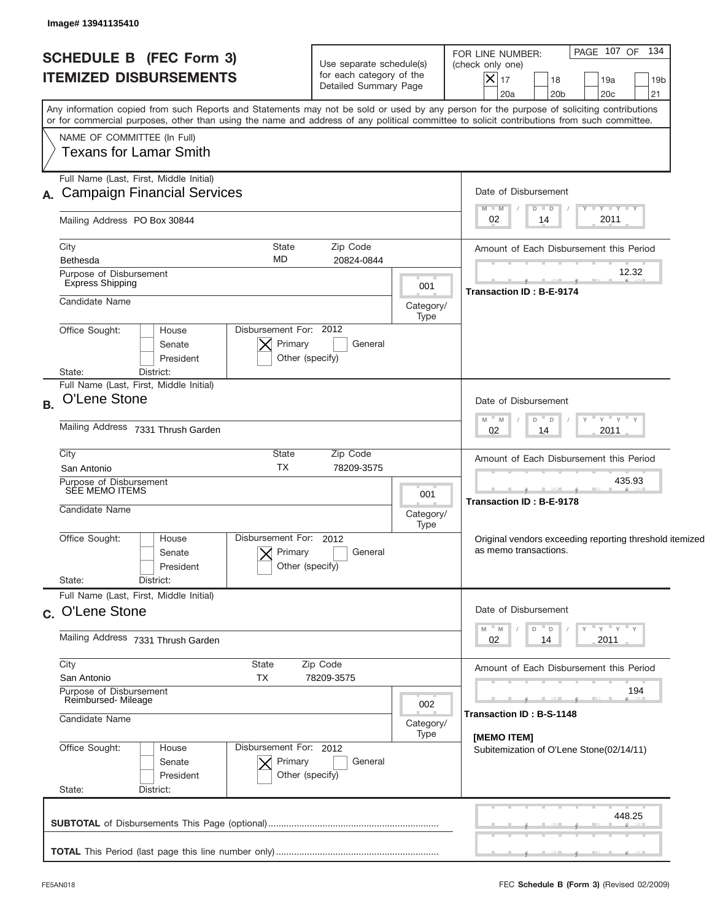| <b>SCHEDULE B (FEC Form 3)</b><br><b>ITEMIZED DISBURSEMENTS</b> |                                                                                                                                                                                                                                                                                         |                                                      | Use separate schedule(s)<br>for each category of the<br>Detailed Summary Page | FOR LINE NUMBER:<br>(check only one)<br>$X _{17}$<br>20a | 18<br>20 <sub>b</sub>                   |                                                                                  | PAGE 107 OF 134<br>19a<br>20 <sub>c</sub> | 19 <sub>b</sub><br>21                   |  |
|-----------------------------------------------------------------|-----------------------------------------------------------------------------------------------------------------------------------------------------------------------------------------------------------------------------------------------------------------------------------------|------------------------------------------------------|-------------------------------------------------------------------------------|----------------------------------------------------------|-----------------------------------------|----------------------------------------------------------------------------------|-------------------------------------------|-----------------------------------------|--|
|                                                                 | Any information copied from such Reports and Statements may not be sold or used by any person for the purpose of soliciting contributions<br>or for commercial purposes, other than using the name and address of any political committee to solicit contributions from such committee. |                                                      |                                                                               |                                                          |                                         |                                                                                  |                                           |                                         |  |
|                                                                 | NAME OF COMMITTEE (In Full)<br>Texans for Lamar Smith                                                                                                                                                                                                                                   |                                                      |                                                                               |                                                          |                                         |                                                                                  |                                           |                                         |  |
|                                                                 | Full Name (Last, First, Middle Initial)                                                                                                                                                                                                                                                 |                                                      |                                                                               |                                                          | Date of Disbursement                    |                                                                                  |                                           |                                         |  |
|                                                                 | A. Campaign Financial Services                                                                                                                                                                                                                                                          |                                                      |                                                                               |                                                          | $M - M$                                 | $D$ $D$                                                                          |                                           | $T - Y$ $T - Y$ $T - Y$                 |  |
|                                                                 | Mailing Address PO Box 30844                                                                                                                                                                                                                                                            |                                                      |                                                                               |                                                          | 02                                      | 14                                                                               |                                           | 2011                                    |  |
|                                                                 | City                                                                                                                                                                                                                                                                                    | <b>State</b>                                         | Zip Code                                                                      |                                                          | Amount of Each Disbursement this Period |                                                                                  |                                           |                                         |  |
|                                                                 | Bethesda<br>Purpose of Disbursement                                                                                                                                                                                                                                                     | MD                                                   | 20824-0844                                                                    |                                                          |                                         |                                                                                  |                                           | 12.32                                   |  |
|                                                                 | <b>Express Shipping</b>                                                                                                                                                                                                                                                                 |                                                      |                                                                               | 001                                                      | <b>Transaction ID: B-E-9174</b>         |                                                                                  |                                           |                                         |  |
|                                                                 | Candidate Name                                                                                                                                                                                                                                                                          |                                                      |                                                                               | Category/                                                |                                         |                                                                                  |                                           |                                         |  |
|                                                                 | Office Sought:<br>House<br>Senate<br>President                                                                                                                                                                                                                                          | Disbursement For: 2012<br>Primary<br>Other (specify) | General                                                                       | Type                                                     |                                         |                                                                                  |                                           |                                         |  |
|                                                                 | District:<br>State:<br>Full Name (Last, First, Middle Initial)                                                                                                                                                                                                                          |                                                      |                                                                               |                                                          |                                         |                                                                                  |                                           |                                         |  |
| <b>B.</b>                                                       | O'Lene Stone                                                                                                                                                                                                                                                                            |                                                      |                                                                               |                                                          |                                         | Date of Disbursement                                                             |                                           |                                         |  |
|                                                                 | Mailing Address 7331 Thrush Garden                                                                                                                                                                                                                                                      |                                                      |                                                                               |                                                          |                                         | – ү – ү – ү<br>$M - M$<br>D<br>$\Box$<br>2011<br>02<br>14                        |                                           |                                         |  |
|                                                                 | City                                                                                                                                                                                                                                                                                    |                                                      | Amount of Each Disbursement this Period                                       |                                                          |                                         |                                                                                  |                                           |                                         |  |
|                                                                 | San Antonio<br>Purpose of Disbursement                                                                                                                                                                                                                                                  | <b>TX</b>                                            | 78209-3575                                                                    |                                                          |                                         |                                                                                  |                                           | 435.93                                  |  |
|                                                                 | SÉE MEMO ITEMS                                                                                                                                                                                                                                                                          | 001                                                  | <b>Transaction ID: B-E-9178</b>                                               |                                                          |                                         |                                                                                  |                                           |                                         |  |
|                                                                 | Candidate Name                                                                                                                                                                                                                                                                          | Category/                                            |                                                                               |                                                          |                                         |                                                                                  |                                           |                                         |  |
|                                                                 | Office Sought:<br>House<br>Senate<br>President<br>State:<br>District:                                                                                                                                                                                                                   | Disbursement For: 2012<br>Primary<br>Other (specify) | General                                                                       | Type                                                     |                                         | Original vendors exceeding reporting threshold itemized<br>as memo transactions. |                                           |                                         |  |
|                                                                 | Full Name (Last, First, Middle Initial)                                                                                                                                                                                                                                                 |                                                      |                                                                               |                                                          |                                         |                                                                                  |                                           |                                         |  |
|                                                                 | c. O'Lene Stone                                                                                                                                                                                                                                                                         |                                                      |                                                                               |                                                          |                                         | Date of Disbursement                                                             |                                           |                                         |  |
|                                                                 | Mailing Address 7331 Thrush Garden                                                                                                                                                                                                                                                      |                                                      |                                                                               |                                                          | 02                                      | D<br>D<br>14                                                                     | Υ                                         | ≡ γ ≡ γ ≡ γ<br>2011                     |  |
|                                                                 | City                                                                                                                                                                                                                                                                                    | State<br>Zip Code                                    |                                                                               |                                                          |                                         |                                                                                  |                                           | Amount of Each Disbursement this Period |  |
|                                                                 | San Antonio<br>Purpose of Disbursement                                                                                                                                                                                                                                                  | TX                                                   | 78209-3575                                                                    |                                                          |                                         |                                                                                  |                                           | 194                                     |  |
|                                                                 | Reimbursed-Mileage<br>Candidate Name                                                                                                                                                                                                                                                    |                                                      |                                                                               | 002<br>Category/                                         |                                         | Transaction ID: B-S-1148                                                         |                                           |                                         |  |
|                                                                 | Office Sought:<br>House                                                                                                                                                                                                                                                                 | Disbursement For: 2012                               |                                                                               | Type                                                     | [MEMO ITEM]                             |                                                                                  |                                           |                                         |  |
|                                                                 | Senate<br>President                                                                                                                                                                                                                                                                     | Primary<br>Other (specify)                           | General                                                                       |                                                          |                                         | Subitemization of O'Lene Stone(02/14/11)                                         |                                           |                                         |  |
|                                                                 | State:<br>District:                                                                                                                                                                                                                                                                     |                                                      |                                                                               |                                                          |                                         |                                                                                  |                                           |                                         |  |
|                                                                 |                                                                                                                                                                                                                                                                                         |                                                      |                                                                               |                                                          |                                         |                                                                                  |                                           | 448.25                                  |  |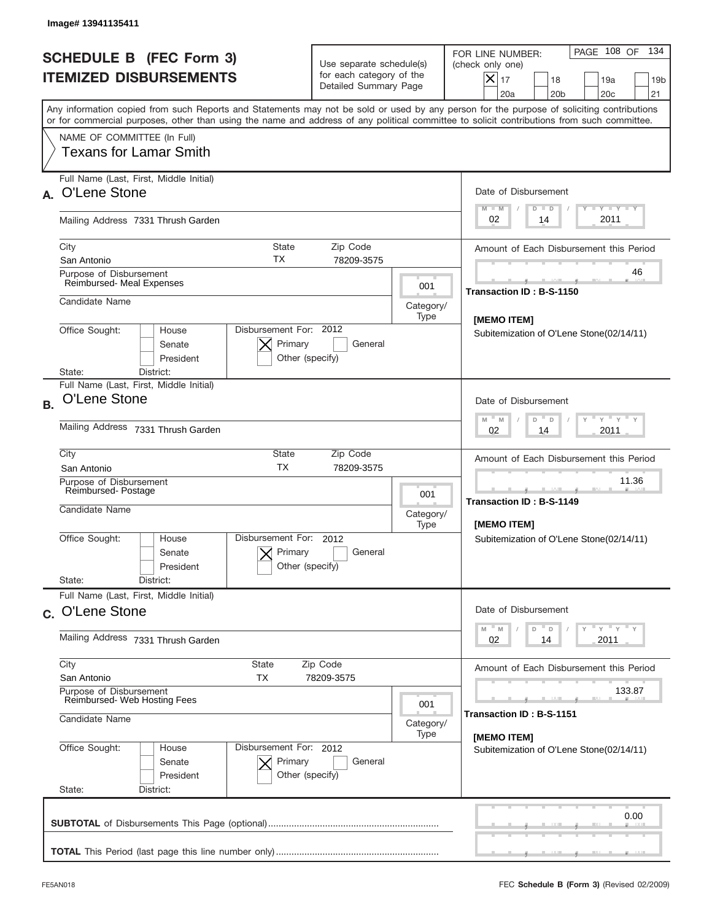|           | Image# 13941135411                                                                                                                                                                                                                                                                      |                                                                                                        |                                                         |                                                                                                                                                            |  |  |
|-----------|-----------------------------------------------------------------------------------------------------------------------------------------------------------------------------------------------------------------------------------------------------------------------------------------|--------------------------------------------------------------------------------------------------------|---------------------------------------------------------|------------------------------------------------------------------------------------------------------------------------------------------------------------|--|--|
|           | <b>SCHEDULE B (FEC Form 3)</b><br><b>ITEMIZED DISBURSEMENTS</b>                                                                                                                                                                                                                         | Use separate schedule(s)<br>for each category of the<br>Detailed Summary Page                          |                                                         | 134<br>PAGE 108 OF<br>FOR LINE NUMBER:<br>(check only one)<br>$X _{17}$<br>18<br>19a<br>19 <sub>b</sub><br>20a<br>20 <sub>b</sub><br>20 <sub>c</sub><br>21 |  |  |
|           | Any information copied from such Reports and Statements may not be sold or used by any person for the purpose of soliciting contributions<br>or for commercial purposes, other than using the name and address of any political committee to solicit contributions from such committee. |                                                                                                        |                                                         |                                                                                                                                                            |  |  |
|           | NAME OF COMMITTEE (In Full)<br>Texans for Lamar Smith                                                                                                                                                                                                                                   |                                                                                                        |                                                         |                                                                                                                                                            |  |  |
|           | Full Name (Last, First, Middle Initial)<br>O'Lene Stone                                                                                                                                                                                                                                 |                                                                                                        |                                                         | Date of Disbursement<br>Y TY TY TY<br>$M - M$                                                                                                              |  |  |
|           | Mailing Address 7331 Thrush Garden                                                                                                                                                                                                                                                      |                                                                                                        |                                                         | $D$ $D$<br>2011<br>02<br>14                                                                                                                                |  |  |
|           | City<br><b>State</b><br>ТX<br>San Antonio                                                                                                                                                                                                                                               | Zip Code<br>78209-3575                                                                                 |                                                         | Amount of Each Disbursement this Period                                                                                                                    |  |  |
|           | Purpose of Disbursement<br>Reimbursed- Meal Expenses                                                                                                                                                                                                                                    |                                                                                                        | 001                                                     | 46<br>Transaction ID: B-S-1150                                                                                                                             |  |  |
|           | Candidate Name                                                                                                                                                                                                                                                                          |                                                                                                        | Category/<br>Type                                       | [MEMO ITEM]                                                                                                                                                |  |  |
|           | Disbursement For: 2012<br>Office Sought:<br>House<br>Primary<br>Senate<br>President<br>Other (specify)<br>State:<br>District:                                                                                                                                                           | Subitemization of O'Lene Stone(02/14/11)                                                               |                                                         |                                                                                                                                                            |  |  |
| <b>B.</b> | Full Name (Last, First, Middle Initial)<br>O'Lene Stone                                                                                                                                                                                                                                 | Date of Disbursement<br>$\cdots$ $\gamma$ $\cdots$ $\gamma$ $\cdots$ $\gamma$<br>$M - M$<br>$D =$<br>D |                                                         |                                                                                                                                                            |  |  |
|           | Mailing Address 7331 Thrush Garden                                                                                                                                                                                                                                                      | 2011<br>02<br>14                                                                                       |                                                         |                                                                                                                                                            |  |  |
|           | City<br>State<br><b>TX</b><br>San Antonio                                                                                                                                                                                                                                               | Zip Code<br>78209-3575                                                                                 |                                                         | Amount of Each Disbursement this Period                                                                                                                    |  |  |
|           | Purpose of Disbursement<br>Reimbursed-Postage<br>Candidate Name                                                                                                                                                                                                                         | 001<br>Category/<br>Type                                                                               | 11.36<br><b>Transaction ID: B-S-1149</b><br>[MEMO ITEM] |                                                                                                                                                            |  |  |
|           | Disbursement For:<br>Office Sought:<br>House<br>Primary<br>Senate<br>Other (specify)<br>President                                                                                                                                                                                       | 2012<br>General                                                                                        |                                                         | Subitemization of O'Lene Stone(02/14/11)                                                                                                                   |  |  |
|           | State:<br>District:<br>Full Name (Last, First, Middle Initial)                                                                                                                                                                                                                          |                                                                                                        |                                                         |                                                                                                                                                            |  |  |
|           | c. O'Lene Stone                                                                                                                                                                                                                                                                         | Date of Disbursement<br>$\cdots$ $\gamma$ $\cdots$ $\gamma$ $\cdots$ $\gamma$<br>M<br>D<br>M<br>D      |                                                         |                                                                                                                                                            |  |  |
|           | Mailing Address 7331 Thrush Garden                                                                                                                                                                                                                                                      | 02<br>2011<br>14                                                                                       |                                                         |                                                                                                                                                            |  |  |
|           | City<br>State<br>San Antonio<br>ТX                                                                                                                                                                                                                                                      | Zip Code<br>78209-3575                                                                                 |                                                         | Amount of Each Disbursement this Period                                                                                                                    |  |  |
|           | Purpose of Disbursement<br>Reimbursed- Web Hosting Fees<br>Candidate Name                                                                                                                                                                                                               | 001<br>Category/                                                                                       | 133.87<br>Transaction ID: B-S-1151                      |                                                                                                                                                            |  |  |
|           | Office Sought:<br>Disbursement For: 2012<br>House<br>Primary<br>Senate<br>President<br>Other (specify)<br>State:<br>District:                                                                                                                                                           | General                                                                                                | Type                                                    | [MEMO ITEM]<br>Subitemization of O'Lene Stone(02/14/11)                                                                                                    |  |  |
|           |                                                                                                                                                                                                                                                                                         |                                                                                                        |                                                         | 0.00                                                                                                                                                       |  |  |
|           |                                                                                                                                                                                                                                                                                         |                                                                                                        |                                                         |                                                                                                                                                            |  |  |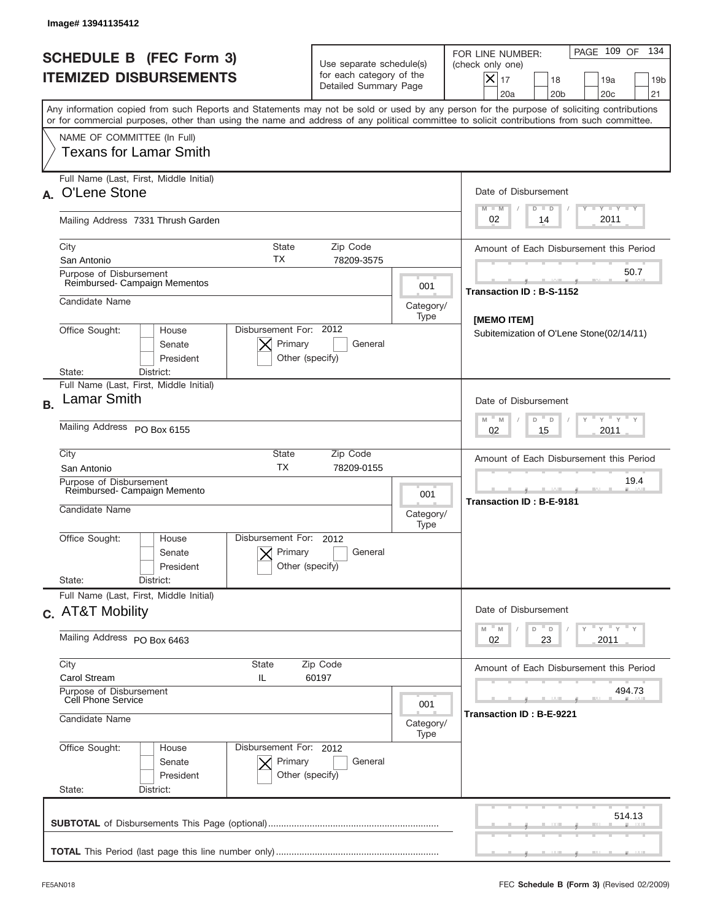|           | Image# 13941135412                                                                                                                                                                                                                                                                      |                                                                               |                          |                                                                                                                                                            |
|-----------|-----------------------------------------------------------------------------------------------------------------------------------------------------------------------------------------------------------------------------------------------------------------------------------------|-------------------------------------------------------------------------------|--------------------------|------------------------------------------------------------------------------------------------------------------------------------------------------------|
|           | <b>SCHEDULE B (FEC Form 3)</b><br><b>ITEMIZED DISBURSEMENTS</b>                                                                                                                                                                                                                         | Use separate schedule(s)<br>for each category of the<br>Detailed Summary Page |                          | 134<br>PAGE 109 OF<br>FOR LINE NUMBER:<br>(check only one)<br>$X _{17}$<br>18<br>19a<br>19 <sub>b</sub><br>20a<br>20 <sub>b</sub><br>20 <sub>c</sub><br>21 |
|           | Any information copied from such Reports and Statements may not be sold or used by any person for the purpose of soliciting contributions<br>or for commercial purposes, other than using the name and address of any political committee to solicit contributions from such committee. |                                                                               |                          |                                                                                                                                                            |
|           | NAME OF COMMITTEE (In Full)<br><b>Texans for Lamar Smith</b>                                                                                                                                                                                                                            |                                                                               |                          |                                                                                                                                                            |
|           | Full Name (Last, First, Middle Initial)<br>A. O'Lene Stone                                                                                                                                                                                                                              |                                                                               |                          | Date of Disbursement                                                                                                                                       |
|           | Mailing Address 7331 Thrush Garden                                                                                                                                                                                                                                                      |                                                                               |                          | Y TY TY TY<br>$M - M$<br>$D$ $D$<br>2011<br>02<br>14                                                                                                       |
|           | City<br><b>State</b><br>ТX<br>San Antonio                                                                                                                                                                                                                                               | Zip Code<br>78209-3575                                                        |                          | Amount of Each Disbursement this Period                                                                                                                    |
|           | Purpose of Disbursement<br>Reimbursed-Campaign Mementos                                                                                                                                                                                                                                 |                                                                               | 001                      | 50.7<br>Transaction ID: B-S-1152                                                                                                                           |
|           | Candidate Name                                                                                                                                                                                                                                                                          |                                                                               | Category/<br>Type        | [MEMO ITEM]                                                                                                                                                |
|           | Disbursement For: 2012<br>Office Sought:<br>House<br>Primary<br>Senate<br>President<br>Other (specify)<br>State:<br>District:                                                                                                                                                           | General                                                                       |                          | Subitemization of O'Lene Stone(02/14/11)                                                                                                                   |
| <b>B.</b> | Full Name (Last, First, Middle Initial)<br>Lamar Smith                                                                                                                                                                                                                                  |                                                                               |                          | Date of Disbursement                                                                                                                                       |
|           | Mailing Address PO Box 6155                                                                                                                                                                                                                                                             |                                                                               |                          | $\cdots$ $\gamma$ $\cdots$ $\gamma$ $\cdots$ $\gamma$<br>$M - M$<br>D<br>$\mathsf D$<br>2011<br>02<br>15                                                   |
|           | City<br>State<br><b>TX</b><br>San Antonio                                                                                                                                                                                                                                               | Zip Code<br>78209-0155                                                        |                          | Amount of Each Disbursement this Period                                                                                                                    |
|           | Purpose of Disbursement<br>Reimbursed- Campaign Memento<br>Candidate Name                                                                                                                                                                                                               |                                                                               | 001<br>Category/<br>Type | 19.4<br>Transaction ID: B-E-9181                                                                                                                           |
|           | Disbursement For:<br>Office Sought:<br>House<br>Primary<br>Senate<br>Other (specify)<br>President                                                                                                                                                                                       | 2012<br>General                                                               |                          |                                                                                                                                                            |
|           | State:<br>District:<br>Full Name (Last, First, Middle Initial)                                                                                                                                                                                                                          |                                                                               |                          |                                                                                                                                                            |
|           | c. AT&T Mobility                                                                                                                                                                                                                                                                        |                                                                               |                          | Date of Disbursement<br>$\mathbb{F}$ $\mathsf{y}$ $\mathbb{F}$ $\mathsf{y}$ $\mathbb{F}$ $\mathsf{y}$<br>M<br>$\mathbb M$<br>D<br>D                        |
|           | Mailing Address PO Box 6463                                                                                                                                                                                                                                                             |                                                                               |                          | 02<br>2011<br>23                                                                                                                                           |
|           | City<br><b>State</b><br>Carol Stream<br>IL                                                                                                                                                                                                                                              | Zip Code<br>60197                                                             |                          | Amount of Each Disbursement this Period                                                                                                                    |
|           | Purpose of Disbursement<br>Cell Phone Service<br>Candidate Name                                                                                                                                                                                                                         |                                                                               | 001<br>Category/<br>Type | 494.73<br>Transaction ID: B-E-9221                                                                                                                         |
|           | Office Sought:<br>Disbursement For: 2012<br>House<br>Primary<br>Senate<br>President<br>Other (specify)<br>State:<br>District:                                                                                                                                                           | General                                                                       |                          |                                                                                                                                                            |
|           |                                                                                                                                                                                                                                                                                         |                                                                               |                          | 514.13                                                                                                                                                     |
|           |                                                                                                                                                                                                                                                                                         |                                                                               |                          |                                                                                                                                                            |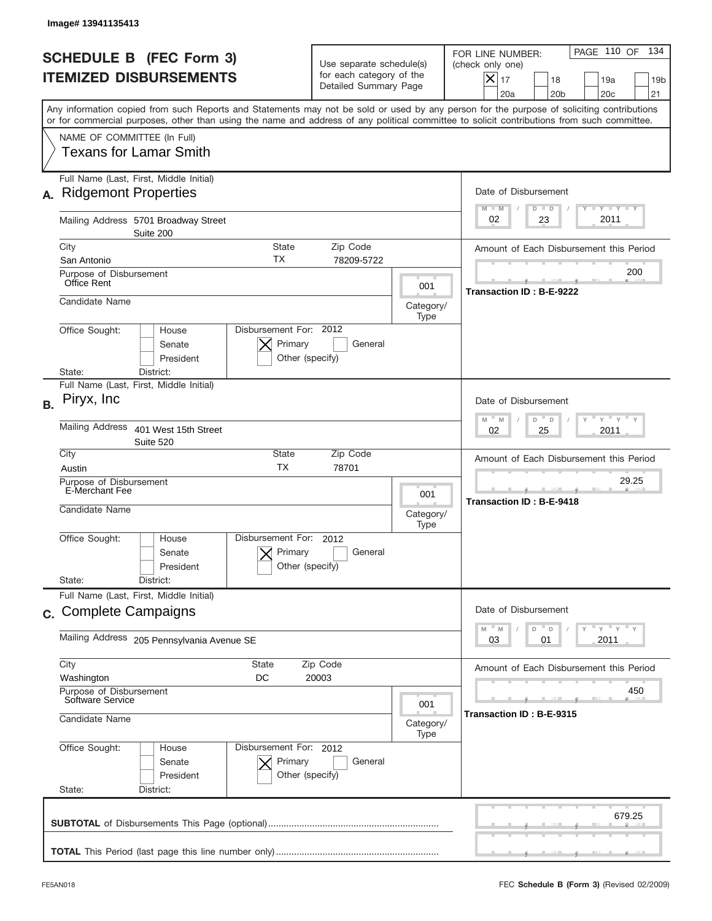|           | Image# 13941135413                                                                                                                                                                                                                                                                      |                                                                               |                   |                                                                                                                                                                                                                                                                                                                                                              |
|-----------|-----------------------------------------------------------------------------------------------------------------------------------------------------------------------------------------------------------------------------------------------------------------------------------------|-------------------------------------------------------------------------------|-------------------|--------------------------------------------------------------------------------------------------------------------------------------------------------------------------------------------------------------------------------------------------------------------------------------------------------------------------------------------------------------|
|           | <b>SCHEDULE B (FEC Form 3)</b><br><b>ITEMIZED DISBURSEMENTS</b>                                                                                                                                                                                                                         | Use separate schedule(s)<br>for each category of the<br>Detailed Summary Page |                   | PAGE 110 OF<br>134<br>FOR LINE NUMBER:<br>(check only one)<br>$X _{17}$<br>18<br>19a<br>19 <sub>b</sub><br>20 <sub>c</sub><br>20a<br>20 <sub>b</sub><br>21                                                                                                                                                                                                   |
|           | Any information copied from such Reports and Statements may not be sold or used by any person for the purpose of soliciting contributions<br>or for commercial purposes, other than using the name and address of any political committee to solicit contributions from such committee. |                                                                               |                   |                                                                                                                                                                                                                                                                                                                                                              |
|           | NAME OF COMMITTEE (In Full)<br><b>Texans for Lamar Smith</b>                                                                                                                                                                                                                            |                                                                               |                   |                                                                                                                                                                                                                                                                                                                                                              |
| А.        | Full Name (Last, First, Middle Initial)<br><b>Ridgemont Properties</b>                                                                                                                                                                                                                  |                                                                               |                   | Date of Disbursement<br>$T - Y$ $T - Y$<br>$M - M$<br>$D$ $D$                                                                                                                                                                                                                                                                                                |
|           | Mailing Address 5701 Broadway Street<br>Suite 200                                                                                                                                                                                                                                       |                                                                               |                   | 2011<br>23<br>02                                                                                                                                                                                                                                                                                                                                             |
|           | City<br>State<br>ТX<br>San Antonio                                                                                                                                                                                                                                                      | Zip Code<br>78209-5722                                                        |                   | Amount of Each Disbursement this Period                                                                                                                                                                                                                                                                                                                      |
|           | Purpose of Disbursement<br>Office Rent                                                                                                                                                                                                                                                  |                                                                               | 001               | 200                                                                                                                                                                                                                                                                                                                                                          |
|           | Candidate Name                                                                                                                                                                                                                                                                          |                                                                               | Category/<br>Type | Transaction ID: B-E-9222                                                                                                                                                                                                                                                                                                                                     |
|           | Disbursement For: 2012<br>Office Sought:<br>House<br>Primary<br>Senate<br>President<br>State:<br>District:                                                                                                                                                                              | General<br>Other (specify)                                                    |                   |                                                                                                                                                                                                                                                                                                                                                              |
| <b>B.</b> | Full Name (Last, First, Middle Initial)<br>Piryx, Inc.                                                                                                                                                                                                                                  |                                                                               |                   | Date of Disbursement                                                                                                                                                                                                                                                                                                                                         |
|           | <b>Mailing Address</b><br>401 West 15th Street<br>Suite 520                                                                                                                                                                                                                             |                                                                               |                   | $\frac{1}{2}$ $\frac{1}{2}$ $\frac{1}{2}$ $\frac{1}{2}$ $\frac{1}{2}$ $\frac{1}{2}$ $\frac{1}{2}$ $\frac{1}{2}$ $\frac{1}{2}$ $\frac{1}{2}$ $\frac{1}{2}$ $\frac{1}{2}$ $\frac{1}{2}$ $\frac{1}{2}$ $\frac{1}{2}$ $\frac{1}{2}$ $\frac{1}{2}$ $\frac{1}{2}$ $\frac{1}{2}$ $\frac{1}{2}$ $\frac{1}{2}$ $\frac{1}{2}$<br>$M - M$<br>D<br>D<br>2011<br>02<br>25 |
|           | City<br>State<br><b>TX</b><br>Austin                                                                                                                                                                                                                                                    | Zip Code<br>78701                                                             |                   | Amount of Each Disbursement this Period                                                                                                                                                                                                                                                                                                                      |
|           | Purpose of Disbursement<br>E-Merchant Fee                                                                                                                                                                                                                                               |                                                                               | 001               | 29.25<br>Transaction ID: B-E-9418                                                                                                                                                                                                                                                                                                                            |
|           | Candidate Name                                                                                                                                                                                                                                                                          |                                                                               | Category/<br>Type |                                                                                                                                                                                                                                                                                                                                                              |
|           | Disbursement For:<br>Office Sought:<br>House<br>Primary<br>Senate<br>President                                                                                                                                                                                                          | 2012<br>General<br>Other (specify)                                            |                   |                                                                                                                                                                                                                                                                                                                                                              |
|           | State:<br>District:<br>Full Name (Last, First, Middle Initial)                                                                                                                                                                                                                          |                                                                               |                   |                                                                                                                                                                                                                                                                                                                                                              |
|           | c. Complete Campaigns                                                                                                                                                                                                                                                                   |                                                                               |                   | Date of Disbursement                                                                                                                                                                                                                                                                                                                                         |
|           | Mailing Address 205 Pennsylvania Avenue SE                                                                                                                                                                                                                                              |                                                                               |                   | ≡ γ ≡ γ ≡ γ<br>$\mathbb M$<br>M<br>D<br>D<br>03<br>2011<br>01                                                                                                                                                                                                                                                                                                |
|           | City<br><b>State</b><br>DC<br>Washington                                                                                                                                                                                                                                                | Zip Code<br>20003                                                             |                   | Amount of Each Disbursement this Period                                                                                                                                                                                                                                                                                                                      |
|           | Purpose of Disbursement<br>Software Service<br>Candidate Name                                                                                                                                                                                                                           |                                                                               | 001<br>Category/  | 450<br>Transaction ID : B-E-9315                                                                                                                                                                                                                                                                                                                             |
|           | Office Sought:<br>Disbursement For: 2012<br>House<br>Senate<br>Primary<br>President<br>State:<br>District:                                                                                                                                                                              | General<br>Other (specify)                                                    | Type              |                                                                                                                                                                                                                                                                                                                                                              |
|           |                                                                                                                                                                                                                                                                                         |                                                                               |                   | 679.25                                                                                                                                                                                                                                                                                                                                                       |
|           |                                                                                                                                                                                                                                                                                         |                                                                               |                   |                                                                                                                                                                                                                                                                                                                                                              |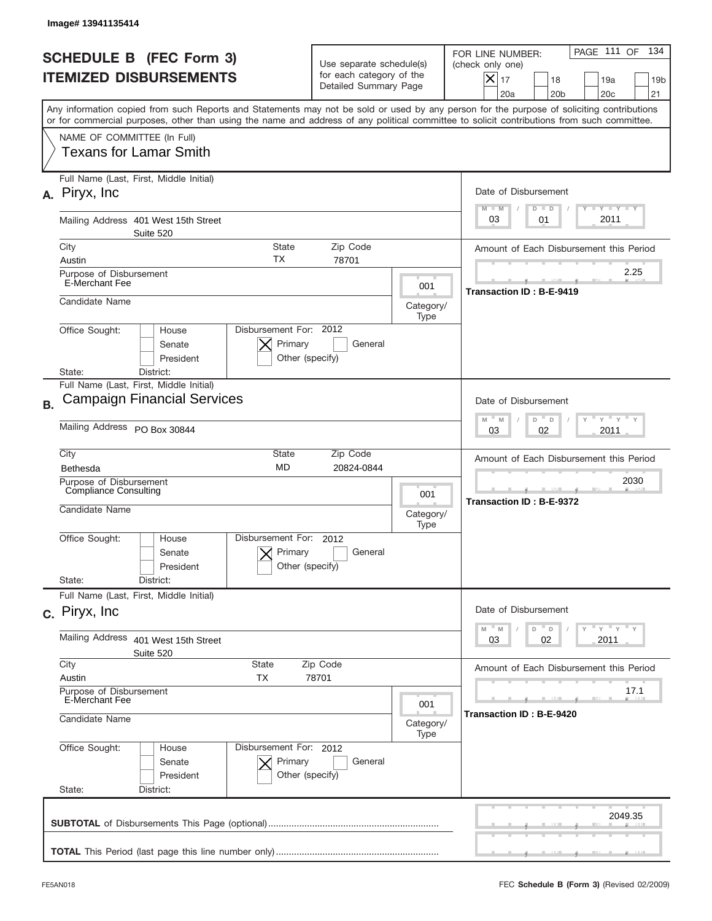|           | Image# 13941135414                                                                                                                                                                                                                                                                      |                                                                               |                          |                                                                                                                                                            |
|-----------|-----------------------------------------------------------------------------------------------------------------------------------------------------------------------------------------------------------------------------------------------------------------------------------------|-------------------------------------------------------------------------------|--------------------------|------------------------------------------------------------------------------------------------------------------------------------------------------------|
|           | <b>SCHEDULE B (FEC Form 3)</b><br><b>ITEMIZED DISBURSEMENTS</b>                                                                                                                                                                                                                         | Use separate schedule(s)<br>for each category of the<br>Detailed Summary Page |                          | PAGE 111 OF<br>134<br>FOR LINE NUMBER:<br>(check only one)<br>$X _{17}$<br>18<br>19a<br>19 <sub>b</sub><br>20 <sub>c</sub><br>20a<br>20 <sub>b</sub><br>21 |
|           | Any information copied from such Reports and Statements may not be sold or used by any person for the purpose of soliciting contributions<br>or for commercial purposes, other than using the name and address of any political committee to solicit contributions from such committee. |                                                                               |                          |                                                                                                                                                            |
|           | NAME OF COMMITTEE (In Full)<br><b>Texans for Lamar Smith</b>                                                                                                                                                                                                                            |                                                                               |                          |                                                                                                                                                            |
|           | Full Name (Last, First, Middle Initial)<br>A. Piryx, Inc.                                                                                                                                                                                                                               |                                                                               |                          | Date of Disbursement<br>$T - Y$ $T - Y$<br>$M - M$<br>$D$ $D$                                                                                              |
|           | Mailing Address 401 West 15th Street<br>Suite 520                                                                                                                                                                                                                                       |                                                                               |                          | 2011<br>03<br>01                                                                                                                                           |
|           | City<br>State<br>ТX<br>Austin                                                                                                                                                                                                                                                           | Zip Code<br>78701                                                             |                          | Amount of Each Disbursement this Period                                                                                                                    |
|           | Purpose of Disbursement<br><b>E-Merchant Fee</b>                                                                                                                                                                                                                                        |                                                                               | 001                      | 2.25<br>Transaction ID: B-E-9419                                                                                                                           |
|           | Candidate Name                                                                                                                                                                                                                                                                          |                                                                               | Category/<br>Type        |                                                                                                                                                            |
|           | Disbursement For: 2012<br>Office Sought:<br>House<br>Primary<br>Senate<br>President<br>Other (specify)<br>State:<br>District:                                                                                                                                                           | General                                                                       |                          |                                                                                                                                                            |
|           | Full Name (Last, First, Middle Initial)<br><b>Campaign Financial Services</b>                                                                                                                                                                                                           |                                                                               |                          |                                                                                                                                                            |
| <b>B.</b> | Mailing Address PO Box 30844                                                                                                                                                                                                                                                            |                                                                               |                          | Date of Disbursement<br>$-\gamma + \gamma -$<br>$M - M$<br>D<br>$\Box$<br>02<br>2011<br>03                                                                 |
|           | City<br>State                                                                                                                                                                                                                                                                           | Zip Code                                                                      |                          |                                                                                                                                                            |
|           | <b>MD</b><br>Bethesda<br>Purpose of Disbursement                                                                                                                                                                                                                                        | 20824-0844                                                                    |                          | Amount of Each Disbursement this Period<br>2030                                                                                                            |
|           | <b>Compliance Consulting</b><br>Candidate Name                                                                                                                                                                                                                                          |                                                                               | 001<br>Category/<br>Type | <b>Transaction ID: B-E-9372</b>                                                                                                                            |
|           | Office Sought:<br>Disbursement For:<br>House<br>Primary<br>Senate<br>Other (specify)<br>President<br>State:<br>District:                                                                                                                                                                | 2012<br>General                                                               |                          |                                                                                                                                                            |
|           | Full Name (Last, First, Middle Initial)<br>c. Piryx, Inc.                                                                                                                                                                                                                               |                                                                               |                          | Date of Disbursement                                                                                                                                       |
|           | Mailing Address<br>401 West 15th Street<br>Suite 520                                                                                                                                                                                                                                    |                                                                               |                          | ≡ γ ≡ γ ≡ γ<br>$-M$<br>$\mathbb M$<br>D<br>$\mathsf D$<br>03<br>02<br>2011                                                                                 |
|           | City<br><b>State</b><br>Austin<br>ТX                                                                                                                                                                                                                                                    | Zip Code<br>78701                                                             |                          | Amount of Each Disbursement this Period                                                                                                                    |
|           | Purpose of Disbursement<br>E-Merchant Fee<br>Candidate Name                                                                                                                                                                                                                             |                                                                               | 001<br>Category/         | 17.1<br>Transaction ID : B-E-9420                                                                                                                          |
|           | Office Sought:<br>Disbursement For: 2012<br>House<br>Senate<br>Primary<br>President<br>Other (specify)<br>State:<br>District:                                                                                                                                                           | General                                                                       | Type                     |                                                                                                                                                            |
|           |                                                                                                                                                                                                                                                                                         |                                                                               |                          | 2049.35                                                                                                                                                    |
|           |                                                                                                                                                                                                                                                                                         |                                                                               |                          |                                                                                                                                                            |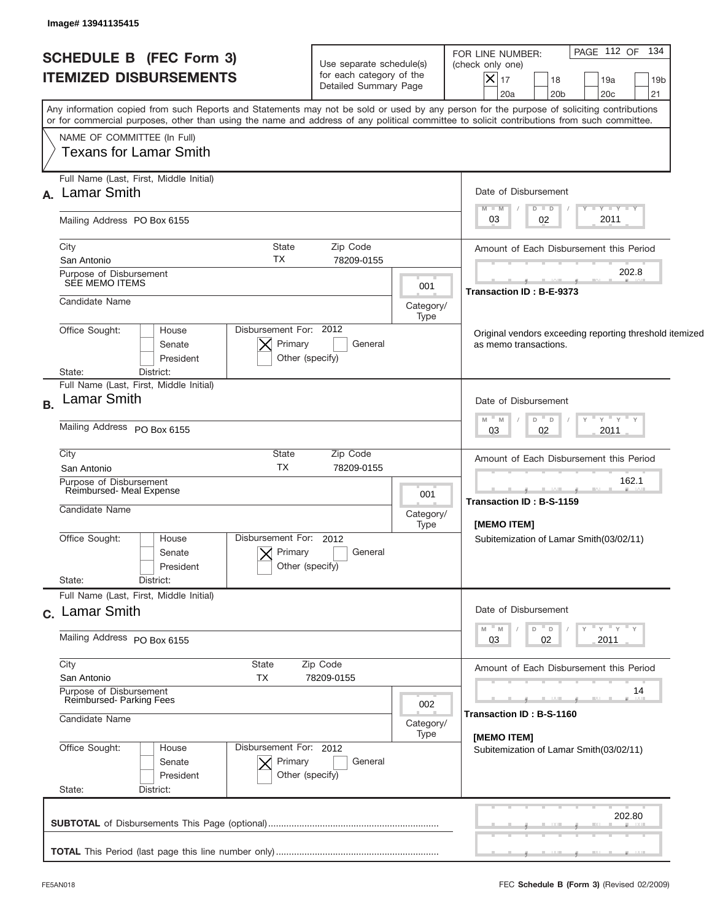| <b>SCHEDULE B (FEC Form 3)</b><br><b>ITEMIZED DISBURSEMENTS</b> | Use separate schedule(s)<br>for each category of the<br>Detailed Summary Page |                                                          | PAGE 112 OF 134<br>FOR LINE NUMBER:<br>(check only one)<br>$ \boldsymbol{\mathsf{X}} $<br>17<br>18<br>19a<br>19 <sub>b</sub><br>20a<br>20 <sub>b</sub><br>20 <sub>c</sub><br>21                                                                                                         |  |
|-----------------------------------------------------------------|-------------------------------------------------------------------------------|----------------------------------------------------------|-----------------------------------------------------------------------------------------------------------------------------------------------------------------------------------------------------------------------------------------------------------------------------------------|--|
|                                                                 |                                                                               |                                                          | Any information copied from such Reports and Statements may not be sold or used by any person for the purpose of soliciting contributions<br>or for commercial purposes, other than using the name and address of any political committee to solicit contributions from such committee. |  |
| NAME OF COMMITTEE (In Full)<br><b>Texans for Lamar Smith</b>    |                                                                               |                                                          |                                                                                                                                                                                                                                                                                         |  |
| Full Name (Last, First, Middle Initial)<br>A. Lamar Smith       |                                                                               |                                                          | Date of Disbursement                                                                                                                                                                                                                                                                    |  |
| Mailing Address PO Box 6155                                     |                                                                               |                                                          | $T - Y$ $T - Y$ $T - Y$<br>$M - M$<br>$D$ $D$<br>2011<br>02<br>03                                                                                                                                                                                                                       |  |
| City<br>San Antonio                                             | State<br>Zip Code<br>TX<br>78209-0155                                         |                                                          | Amount of Each Disbursement this Period                                                                                                                                                                                                                                                 |  |
| Purpose of Disbursement<br>SEE MEMO ITEMS                       |                                                                               | 001                                                      | 202.8<br>Transaction ID: B-E-9373                                                                                                                                                                                                                                                       |  |
| Candidate Name                                                  |                                                                               | Category/<br>Type                                        |                                                                                                                                                                                                                                                                                         |  |
| Office Sought:<br>House<br>Senate<br>President                  | Disbursement For: 2012<br>Primary<br>General<br>Other (specify)               |                                                          | Original vendors exceeding reporting threshold itemized<br>as memo transactions.                                                                                                                                                                                                        |  |
| District:<br>State:<br>Full Name (Last, First, Middle Initial)  |                                                                               |                                                          |                                                                                                                                                                                                                                                                                         |  |
| <b>Lamar Smith</b>                                              |                                                                               |                                                          | Date of Disbursement<br>" γ " γ " γ<br>$- M$<br>$D$ $D$<br>M                                                                                                                                                                                                                            |  |
| Mailing Address PO Box 6155                                     |                                                                               | 2011<br>03<br>02                                         |                                                                                                                                                                                                                                                                                         |  |
| City<br>San Antonio                                             | <b>State</b><br>Zip Code<br><b>TX</b><br>78209-0155                           |                                                          | Amount of Each Disbursement this Period                                                                                                                                                                                                                                                 |  |
| Purpose of Disbursement<br>Reimbursed- Meal Expense             |                                                                               |                                                          | 162.1                                                                                                                                                                                                                                                                                   |  |
| Candidate Name                                                  |                                                                               | Category/<br>Type                                        | <b>Transaction ID: B-S-1159</b><br><b>IMEMO ITEMI</b>                                                                                                                                                                                                                                   |  |
| Office Sought:<br>House<br>Senate<br>President                  | Disbursement For: 2012<br>Primary<br>General<br>Other (specify)               |                                                          | Subitemization of Lamar Smith(03/02/11)                                                                                                                                                                                                                                                 |  |
| State:<br>District:<br>Full Name (Last, First, Middle Initial)  |                                                                               |                                                          |                                                                                                                                                                                                                                                                                         |  |
| c. Lamar Smith                                                  |                                                                               |                                                          | Date of Disbursement                                                                                                                                                                                                                                                                    |  |
| Mailing Address PO Box 6155                                     |                                                                               | ≡ γ ≡ γ ≡ γ<br>D<br>M<br>M<br>$\Box$<br>03<br>02<br>2011 |                                                                                                                                                                                                                                                                                         |  |
| City<br>San Antonio                                             | Zip Code<br>State<br>ТX<br>78209-0155                                         |                                                          | Amount of Each Disbursement this Period                                                                                                                                                                                                                                                 |  |
| Purpose of Disbursement<br>Reimbursed-Parking Fees              |                                                                               |                                                          | 14                                                                                                                                                                                                                                                                                      |  |
| Candidate Name                                                  |                                                                               |                                                          | Transaction ID: B-S-1160<br>Category/<br>[MEMO ITEM]                                                                                                                                                                                                                                    |  |
| Office Sought:<br>House<br>Senate<br>President                  | Disbursement For: 2012<br>Primary<br>General<br>Other (specify)               |                                                          | Subitemization of Lamar Smith(03/02/11)                                                                                                                                                                                                                                                 |  |
| State:<br>District:                                             |                                                                               |                                                          |                                                                                                                                                                                                                                                                                         |  |
|                                                                 |                                                                               |                                                          | 202.80                                                                                                                                                                                                                                                                                  |  |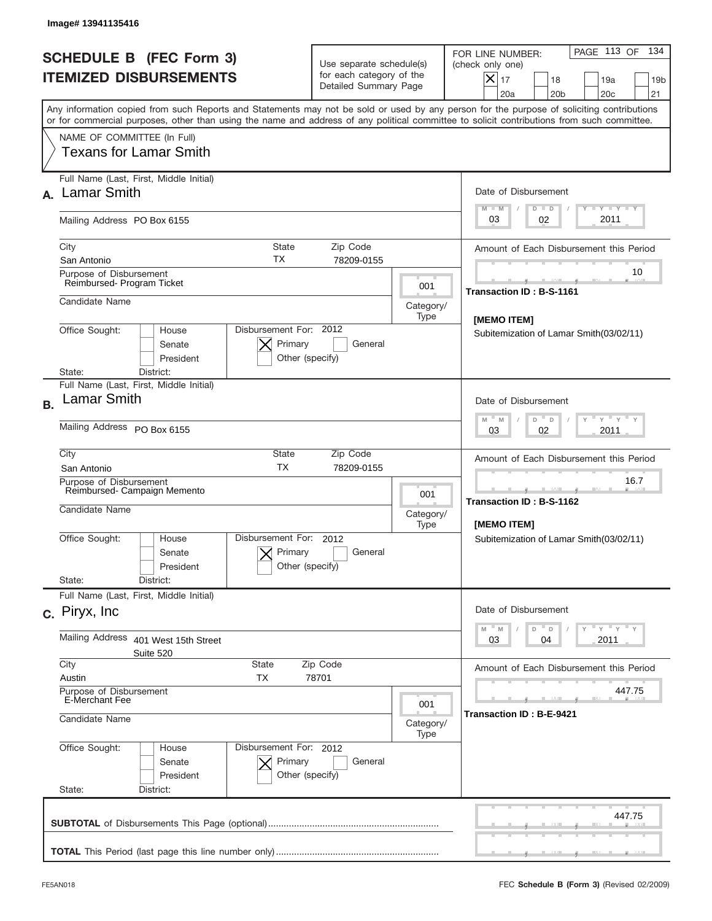|           | Image# 13941135416                                                                                                                                                                                                                                                                      |                                                                               |                          |                                                                                                                                                          |
|-----------|-----------------------------------------------------------------------------------------------------------------------------------------------------------------------------------------------------------------------------------------------------------------------------------------|-------------------------------------------------------------------------------|--------------------------|----------------------------------------------------------------------------------------------------------------------------------------------------------|
|           | <b>SCHEDULE B (FEC Form 3)</b><br><b>ITEMIZED DISBURSEMENTS</b>                                                                                                                                                                                                                         | Use separate schedule(s)<br>for each category of the<br>Detailed Summary Page |                          | PAGE 113 OF<br>134<br>FOR LINE NUMBER:<br>(check only one)<br>$ \mathsf{X} _{17}$<br>18<br>19a<br>19 <sub>b</sub><br>20a<br>20 <sub>b</sub><br>20c<br>21 |
|           | Any information copied from such Reports and Statements may not be sold or used by any person for the purpose of soliciting contributions<br>or for commercial purposes, other than using the name and address of any political committee to solicit contributions from such committee. |                                                                               |                          |                                                                                                                                                          |
|           | NAME OF COMMITTEE (In Full)<br>Texans for Lamar Smith                                                                                                                                                                                                                                   |                                                                               |                          |                                                                                                                                                          |
| А.        | Full Name (Last, First, Middle Initial)<br><b>Lamar Smith</b>                                                                                                                                                                                                                           |                                                                               |                          | Date of Disbursement<br>Y TY TY TY<br>$M - M$<br>$D$ $D$                                                                                                 |
|           | Mailing Address PO Box 6155                                                                                                                                                                                                                                                             |                                                                               |                          | 2011<br>03<br>02                                                                                                                                         |
|           | City<br>State<br>ТX<br>San Antonio                                                                                                                                                                                                                                                      | Zip Code<br>78209-0155                                                        |                          | Amount of Each Disbursement this Period                                                                                                                  |
|           | Purpose of Disbursement<br>Reimbursed- Program Ticket                                                                                                                                                                                                                                   |                                                                               | 001                      | 10<br><b>Transaction ID: B-S-1161</b>                                                                                                                    |
|           | Candidate Name                                                                                                                                                                                                                                                                          |                                                                               | Category/<br>Type        | [MEMO ITEM]                                                                                                                                              |
|           | Disbursement For: 2012<br>Office Sought:<br>House<br>Primary<br>Senate<br>President<br>Other (specify)<br>District:<br>State:                                                                                                                                                           | General                                                                       |                          | Subitemization of Lamar Smith(03/02/11)                                                                                                                  |
| <b>B.</b> | Full Name (Last, First, Middle Initial)<br>Lamar Smith                                                                                                                                                                                                                                  |                                                                               |                          | Date of Disbursement                                                                                                                                     |
|           | Mailing Address PO Box 6155                                                                                                                                                                                                                                                             |                                                                               |                          | $\cdots$ $\gamma$ $\cdots$ $\gamma$ $\cdots$ $\gamma$<br>D<br>M<br>M<br>$\Box$<br>2011<br>03<br>02                                                       |
|           | City<br><b>State</b><br><b>TX</b><br>San Antonio                                                                                                                                                                                                                                        | Zip Code<br>78209-0155                                                        |                          | Amount of Each Disbursement this Period                                                                                                                  |
|           | Purpose of Disbursement<br>Reimbursed- Campaign Memento<br>Candidate Name                                                                                                                                                                                                               |                                                                               | 001<br>Category/<br>Type | 16.7<br>____<br>Transaction ID: B-S-1162<br>[MEMO ITEM]                                                                                                  |
|           | Disbursement For: 2012<br>Office Sought:<br>House<br>Primary<br>Senate<br>Other (specify)<br>President<br>State:<br>District:                                                                                                                                                           | General                                                                       |                          | Subitemization of Lamar Smith(03/02/11)                                                                                                                  |
|           | Full Name (Last, First, Middle Initial)<br>c. Piryx, Inc.                                                                                                                                                                                                                               |                                                                               |                          | Date of Disbursement                                                                                                                                     |
|           | Mailing Address<br>401 West 15th Street<br>Suite 520                                                                                                                                                                                                                                    |                                                                               |                          | ү "ү "ү "ү<br>$M - M$<br>$-$ D<br>D<br>2011<br>03<br>04                                                                                                  |
|           | City<br>State<br>Austin<br>ТX                                                                                                                                                                                                                                                           | Zip Code<br>78701                                                             |                          | Amount of Each Disbursement this Period                                                                                                                  |
|           | Purpose of Disbursement<br>E-Merchant Fee<br>Candidate Name                                                                                                                                                                                                                             |                                                                               | 001<br>Category/         | 447.75<br>Transaction ID: B-E-9421                                                                                                                       |
|           | Office Sought:<br>Disbursement For: 2012<br>House<br>Senate<br>Primary<br>President<br>Other (specify)<br>State:<br>District:                                                                                                                                                           | General                                                                       | Type                     |                                                                                                                                                          |
|           |                                                                                                                                                                                                                                                                                         |                                                                               |                          | 447.75                                                                                                                                                   |
|           |                                                                                                                                                                                                                                                                                         |                                                                               |                          |                                                                                                                                                          |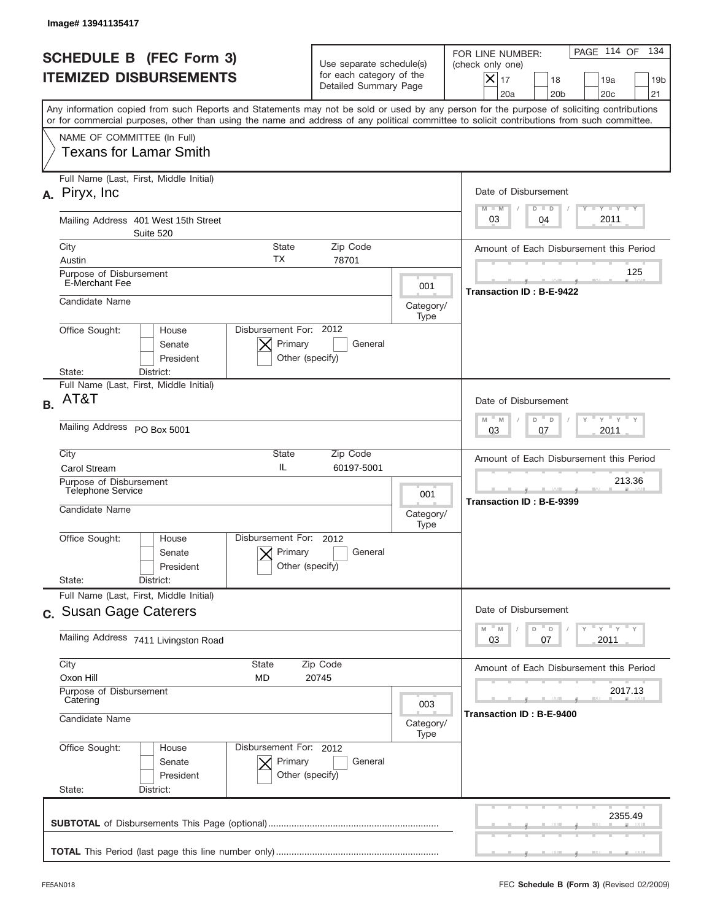|           | Image# 13941135417                                                                                                                                                                                                                                                                      |                                                                               |                          |                                                                                                                                                            |
|-----------|-----------------------------------------------------------------------------------------------------------------------------------------------------------------------------------------------------------------------------------------------------------------------------------------|-------------------------------------------------------------------------------|--------------------------|------------------------------------------------------------------------------------------------------------------------------------------------------------|
|           | <b>SCHEDULE B (FEC Form 3)</b><br><b>ITEMIZED DISBURSEMENTS</b>                                                                                                                                                                                                                         | Use separate schedule(s)<br>for each category of the<br>Detailed Summary Page |                          | PAGE 114 OF<br>134<br>FOR LINE NUMBER:<br>(check only one)<br>$X _{17}$<br>18<br>19a<br>19 <sub>b</sub><br>20 <sub>c</sub><br>20a<br>20 <sub>b</sub><br>21 |
|           | Any information copied from such Reports and Statements may not be sold or used by any person for the purpose of soliciting contributions<br>or for commercial purposes, other than using the name and address of any political committee to solicit contributions from such committee. |                                                                               |                          |                                                                                                                                                            |
|           | NAME OF COMMITTEE (In Full)<br><b>Texans for Lamar Smith</b>                                                                                                                                                                                                                            |                                                                               |                          |                                                                                                                                                            |
|           | Full Name (Last, First, Middle Initial)<br>A. Piryx, Inc.                                                                                                                                                                                                                               |                                                                               |                          | Date of Disbursement<br><b>TANK TANK</b><br>$M - M$<br>$D$ $D$                                                                                             |
|           | Mailing Address 401 West 15th Street<br>Suite 520                                                                                                                                                                                                                                       |                                                                               |                          | 2011<br>03<br>04                                                                                                                                           |
|           | City<br>State<br>ТX<br>Austin                                                                                                                                                                                                                                                           | Zip Code<br>78701                                                             |                          | Amount of Each Disbursement this Period                                                                                                                    |
|           | Purpose of Disbursement<br><b>E-Merchant Fee</b>                                                                                                                                                                                                                                        |                                                                               | 001                      | 125<br>Transaction ID: B-E-9422                                                                                                                            |
|           | Candidate Name                                                                                                                                                                                                                                                                          |                                                                               | Category/<br>Type        |                                                                                                                                                            |
|           | Disbursement For: 2012<br>Office Sought:<br>House<br>Primary<br>Senate<br>President<br>Other (specify)<br>State:<br>District:                                                                                                                                                           | General                                                                       |                          |                                                                                                                                                            |
| <b>B.</b> | Full Name (Last, First, Middle Initial)<br>AT&T                                                                                                                                                                                                                                         |                                                                               |                          | Date of Disbursement                                                                                                                                       |
|           | Mailing Address PO Box 5001                                                                                                                                                                                                                                                             |                                                                               |                          | $\overline{Y}$ $\overline{Y}$ $\overline{Y}$ $\overline{Y}$ $\overline{Y}$<br>$M - M$<br>D<br>$\Box$<br>2011<br>03<br>07                                   |
|           | City<br>State<br>IL<br>Carol Stream                                                                                                                                                                                                                                                     | Zip Code<br>60197-5001                                                        |                          | Amount of Each Disbursement this Period                                                                                                                    |
|           | Purpose of Disbursement<br>Telephone Service<br>Candidate Name                                                                                                                                                                                                                          |                                                                               | 001<br>Category/         | 213.36<br>Transaction ID: B-E-9399                                                                                                                         |
|           | Office Sought:<br>Disbursement For:<br>House<br>Primary<br>Senate<br>Other (specify)<br>President<br>State:<br>District:                                                                                                                                                                | 2012<br>General                                                               | Type                     |                                                                                                                                                            |
|           | Full Name (Last, First, Middle Initial)<br>c. Susan Gage Caterers                                                                                                                                                                                                                       |                                                                               |                          | Date of Disbursement                                                                                                                                       |
|           | Mailing Address 7411 Livingston Road                                                                                                                                                                                                                                                    |                                                                               |                          | ≡ γ ≡ γ ≡ γ<br>$-M$<br>$\mathbb M$<br>D<br>D<br>03<br>07<br>2011                                                                                           |
|           | City<br>State<br>Oxon Hill<br>MD<br>Purpose of Disbursement                                                                                                                                                                                                                             | Zip Code<br>20745                                                             |                          | Amount of Each Disbursement this Period<br>2017.13                                                                                                         |
|           | Catering<br>Candidate Name                                                                                                                                                                                                                                                              |                                                                               | 003<br>Category/<br>Type | Transaction ID : B-E-9400                                                                                                                                  |
|           | Office Sought:<br>Disbursement For: 2012<br>House<br>Senate<br>Primary<br>President<br>Other (specify)<br>State:<br>District:                                                                                                                                                           | General                                                                       |                          |                                                                                                                                                            |
|           |                                                                                                                                                                                                                                                                                         |                                                                               |                          | 2355.49                                                                                                                                                    |
|           |                                                                                                                                                                                                                                                                                         |                                                                               |                          |                                                                                                                                                            |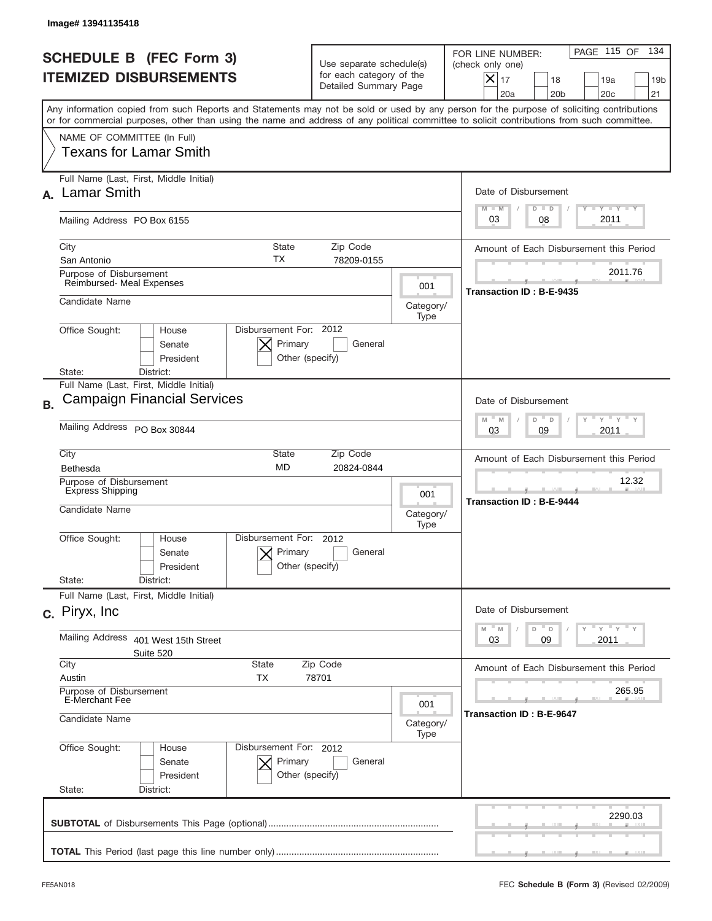|           | Image# 13941135418                                                                                                                                                                                                                                                                      |                                                                               |                   |                                                                                                                                                            |
|-----------|-----------------------------------------------------------------------------------------------------------------------------------------------------------------------------------------------------------------------------------------------------------------------------------------|-------------------------------------------------------------------------------|-------------------|------------------------------------------------------------------------------------------------------------------------------------------------------------|
|           | <b>SCHEDULE B (FEC Form 3)</b><br><b>ITEMIZED DISBURSEMENTS</b>                                                                                                                                                                                                                         | Use separate schedule(s)<br>for each category of the<br>Detailed Summary Page |                   | PAGE 115 OF<br>134<br>FOR LINE NUMBER:<br>(check only one)<br>$X _{17}$<br>18<br>19a<br>19 <sub>b</sub><br>20a<br>20 <sub>b</sub><br>20 <sub>c</sub><br>21 |
|           | Any information copied from such Reports and Statements may not be sold or used by any person for the purpose of soliciting contributions<br>or for commercial purposes, other than using the name and address of any political committee to solicit contributions from such committee. |                                                                               |                   |                                                                                                                                                            |
|           | NAME OF COMMITTEE (In Full)<br>Texans for Lamar Smith                                                                                                                                                                                                                                   |                                                                               |                   |                                                                                                                                                            |
|           | Full Name (Last, First, Middle Initial)<br><b>Lamar Smith</b>                                                                                                                                                                                                                           |                                                                               |                   | Date of Disbursement<br>$T - Y$ $T - Y$<br>$M - M$<br>$D$ $D$                                                                                              |
|           | Mailing Address PO Box 6155                                                                                                                                                                                                                                                             |                                                                               |                   | 2011<br>08<br>03                                                                                                                                           |
|           | City<br><b>State</b><br>TX<br>San Antonio                                                                                                                                                                                                                                               | Zip Code<br>78209-0155                                                        |                   | Amount of Each Disbursement this Period                                                                                                                    |
|           | Purpose of Disbursement<br>Reimbursed- Meal Expenses                                                                                                                                                                                                                                    |                                                                               | 001               | 2011.76<br>Transaction ID: B-E-9435                                                                                                                        |
|           | Candidate Name                                                                                                                                                                                                                                                                          |                                                                               | Category/<br>Type |                                                                                                                                                            |
|           | Disbursement For: 2012<br>Office Sought:<br>House<br>Primary<br>Senate<br>Other (specify)<br>President<br>District:<br>State:                                                                                                                                                           | General                                                                       |                   |                                                                                                                                                            |
|           | Full Name (Last, First, Middle Initial)<br><b>Campaign Financial Services</b>                                                                                                                                                                                                           |                                                                               |                   |                                                                                                                                                            |
| <b>B.</b> | Mailing Address PO Box 30844                                                                                                                                                                                                                                                            |                                                                               |                   | Date of Disbursement<br>$\overline{Y}$ $\overline{Y}$ $\overline{Y}$ $\overline{Y}$ $\overline{Y}$<br>$M - M$<br>D<br>$\Box$                               |
|           |                                                                                                                                                                                                                                                                                         |                                                                               |                   | 2011<br>03<br>09                                                                                                                                           |
|           | City<br>State<br><b>MD</b><br>Bethesda                                                                                                                                                                                                                                                  | Zip Code<br>20824-0844                                                        |                   | Amount of Each Disbursement this Period                                                                                                                    |
|           | Purpose of Disbursement<br><b>Express Shipping</b><br>Candidate Name                                                                                                                                                                                                                    |                                                                               | 001<br>Category/  | 12.32<br><b>Transaction ID: B-E-9444</b>                                                                                                                   |
|           | Disbursement For:<br>Office Sought:<br>House<br>Primary<br>Senate<br>Other (specify)<br>President<br>State:<br>District:                                                                                                                                                                | 2012<br>General                                                               | Type              |                                                                                                                                                            |
|           | Full Name (Last, First, Middle Initial)                                                                                                                                                                                                                                                 |                                                                               |                   |                                                                                                                                                            |
|           | c. Piryx, Inc.                                                                                                                                                                                                                                                                          |                                                                               |                   | Date of Disbursement<br>ү " ү " ү " ү<br>$M - M$<br>D<br>D                                                                                                 |
|           | Mailing Address<br>401 West 15th Street<br>Suite 520                                                                                                                                                                                                                                    |                                                                               |                   | 09<br>2011<br>03                                                                                                                                           |
|           | City<br>State<br>Austin<br>TX                                                                                                                                                                                                                                                           | Zip Code<br>78701                                                             |                   | Amount of Each Disbursement this Period                                                                                                                    |
|           | Purpose of Disbursement<br>E-Merchant Fee<br>Candidate Name                                                                                                                                                                                                                             |                                                                               | 001               | 265.95<br>Transaction ID: B-E-9647                                                                                                                         |
|           |                                                                                                                                                                                                                                                                                         |                                                                               | Category/<br>Type |                                                                                                                                                            |
|           | Office Sought:<br>Disbursement For: 2012<br>House<br>Senate<br>Primary<br>President<br>Other (specify)<br>State:<br>District:                                                                                                                                                           | General                                                                       |                   |                                                                                                                                                            |
|           |                                                                                                                                                                                                                                                                                         |                                                                               |                   | 2290.03                                                                                                                                                    |
|           |                                                                                                                                                                                                                                                                                         |                                                                               |                   |                                                                                                                                                            |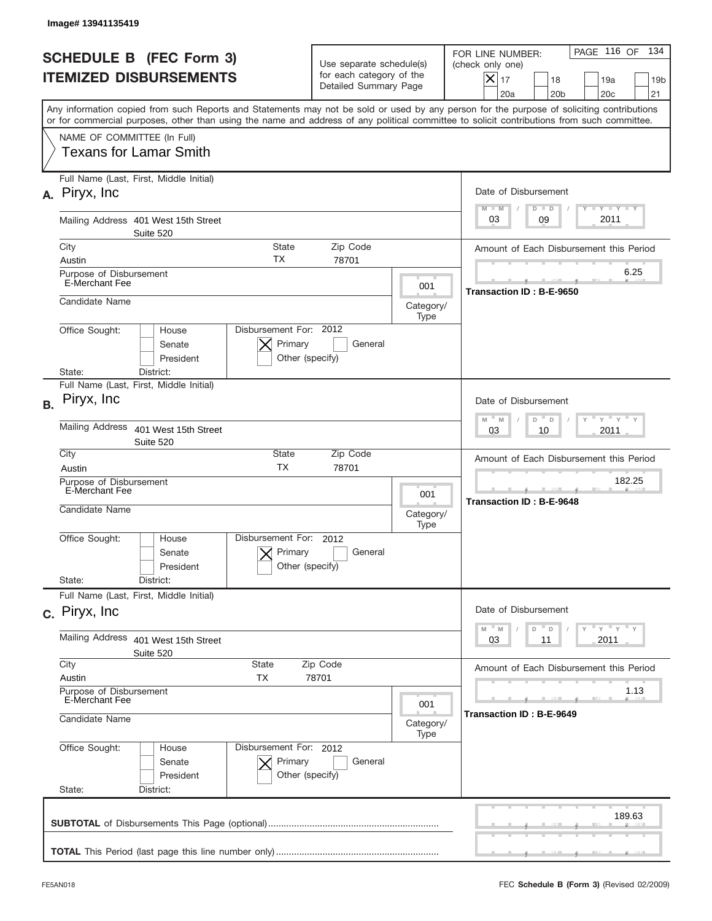|           | Image# 13941135419                                                                                                                                                                                                                                                                      |                            |                                                                               |                          |                                                                                                                                                            |
|-----------|-----------------------------------------------------------------------------------------------------------------------------------------------------------------------------------------------------------------------------------------------------------------------------------------|----------------------------|-------------------------------------------------------------------------------|--------------------------|------------------------------------------------------------------------------------------------------------------------------------------------------------|
|           | <b>SCHEDULE B (FEC Form 3)</b><br><b>ITEMIZED DISBURSEMENTS</b>                                                                                                                                                                                                                         |                            | Use separate schedule(s)<br>for each category of the<br>Detailed Summary Page |                          | PAGE 116 OF<br>134<br>FOR LINE NUMBER:<br>(check only one)<br>$X _{17}$<br>18<br>19a<br>19 <sub>b</sub><br>20 <sub>c</sub><br>20a<br>20 <sub>b</sub><br>21 |
|           | Any information copied from such Reports and Statements may not be sold or used by any person for the purpose of soliciting contributions<br>or for commercial purposes, other than using the name and address of any political committee to solicit contributions from such committee. |                            |                                                                               |                          |                                                                                                                                                            |
|           | NAME OF COMMITTEE (In Full)<br><b>Texans for Lamar Smith</b>                                                                                                                                                                                                                            |                            |                                                                               |                          |                                                                                                                                                            |
|           | Full Name (Last, First, Middle Initial)<br>A. Piryx, Inc.                                                                                                                                                                                                                               |                            |                                                                               |                          | Date of Disbursement<br><b>TANK TANK</b><br>$M - M$<br>$D$ $D$                                                                                             |
|           | Mailing Address 401 West 15th Street<br>Suite 520                                                                                                                                                                                                                                       |                            |                                                                               |                          | 2011<br>03<br>09                                                                                                                                           |
|           | City<br>Austin                                                                                                                                                                                                                                                                          | State<br>ТX                | Zip Code<br>78701                                                             |                          | Amount of Each Disbursement this Period                                                                                                                    |
|           | Purpose of Disbursement<br><b>E-Merchant Fee</b>                                                                                                                                                                                                                                        |                            |                                                                               | 001                      | 6.25<br>Transaction ID: B-E-9650                                                                                                                           |
|           | Candidate Name                                                                                                                                                                                                                                                                          |                            |                                                                               | Category/<br>Type        |                                                                                                                                                            |
|           | Disbursement For: 2012<br>Office Sought:<br>House<br>Senate<br>President<br>State:<br>District:                                                                                                                                                                                         | Primary<br>Other (specify) | General                                                                       |                          |                                                                                                                                                            |
| <b>B.</b> | Full Name (Last, First, Middle Initial)<br>Piryx, Inc.                                                                                                                                                                                                                                  |                            |                                                                               |                          | Date of Disbursement                                                                                                                                       |
|           | <b>Mailing Address</b><br>401 West 15th Street<br>Suite 520                                                                                                                                                                                                                             |                            |                                                                               |                          | $\overline{Y}$ $\overline{Y}$ $\overline{Y}$ $\overline{Y}$ $\overline{Y}$<br>$M - M$<br>D<br>$\Box$<br>2011<br>03<br>10                                   |
|           | City<br>Austin                                                                                                                                                                                                                                                                          | State<br><b>TX</b>         | Zip Code<br>78701                                                             |                          | Amount of Each Disbursement this Period                                                                                                                    |
|           | Purpose of Disbursement<br>E-Merchant Fee<br>Candidate Name                                                                                                                                                                                                                             |                            |                                                                               | 001<br>Category/<br>Type | 182.25<br>Transaction ID: B-E-9648                                                                                                                         |
|           | Office Sought:<br>Disbursement For:<br>House<br>Senate<br>President                                                                                                                                                                                                                     | Primary<br>Other (specify) | 2012<br>General                                                               |                          |                                                                                                                                                            |
|           | State:<br>District:<br>Full Name (Last, First, Middle Initial)                                                                                                                                                                                                                          |                            |                                                                               |                          |                                                                                                                                                            |
|           | c. Piryx, Inc.                                                                                                                                                                                                                                                                          |                            |                                                                               |                          | Date of Disbursement<br>$=\frac{1}{\gamma}+\frac{1}{\gamma}+\frac{1}{\gamma}+\frac{1}{\gamma}$<br>$-M$<br>$\mathbb M$<br>D<br>Y.<br>D                      |
|           | Mailing Address<br>401 West 15th Street<br>Suite 520                                                                                                                                                                                                                                    |                            |                                                                               |                          | 03<br>2011<br>11                                                                                                                                           |
|           | City<br>State<br>Austin<br>ТX                                                                                                                                                                                                                                                           |                            | Zip Code<br>78701                                                             |                          | Amount of Each Disbursement this Period                                                                                                                    |
|           | Purpose of Disbursement<br>E-Merchant Fee<br>Candidate Name                                                                                                                                                                                                                             |                            |                                                                               | 001<br>Category/         | 1.13<br>Transaction ID : B-E-9649                                                                                                                          |
|           | Office Sought:<br>Disbursement For: 2012<br>House<br>Senate<br>President<br>State:<br>District:                                                                                                                                                                                         | Primary<br>Other (specify) | General                                                                       | Type                     |                                                                                                                                                            |
|           |                                                                                                                                                                                                                                                                                         |                            |                                                                               |                          | 189.63                                                                                                                                                     |
|           |                                                                                                                                                                                                                                                                                         |                            |                                                                               |                          |                                                                                                                                                            |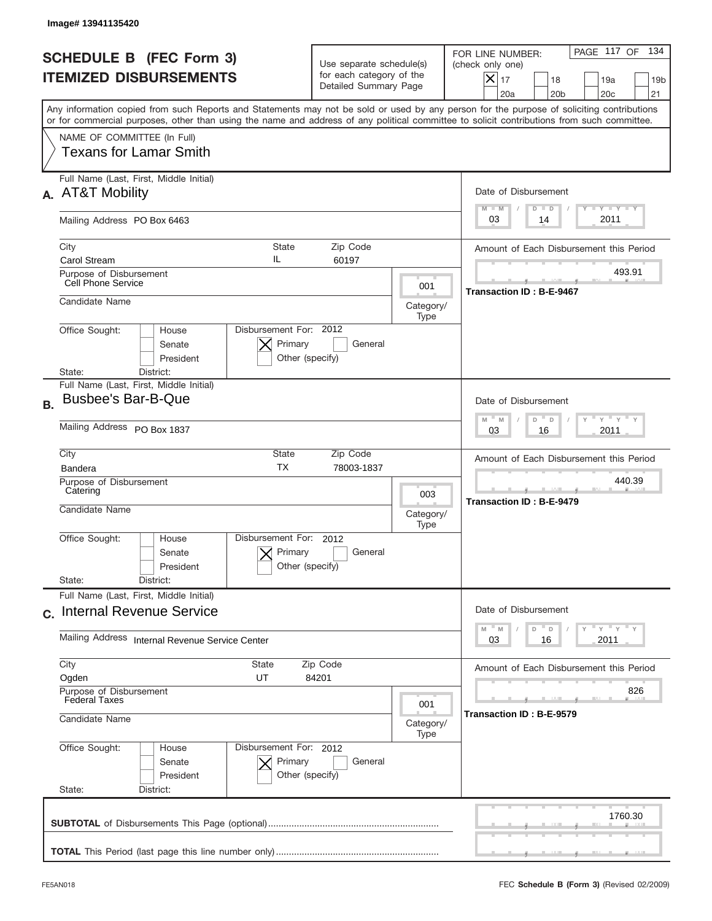|           | Image# 13941135420                                                                                                                                                                                                                                                                      |                                                                               |                   |                                                                                                                                                                 |
|-----------|-----------------------------------------------------------------------------------------------------------------------------------------------------------------------------------------------------------------------------------------------------------------------------------------|-------------------------------------------------------------------------------|-------------------|-----------------------------------------------------------------------------------------------------------------------------------------------------------------|
|           | <b>SCHEDULE B (FEC Form 3)</b><br><b>ITEMIZED DISBURSEMENTS</b>                                                                                                                                                                                                                         | Use separate schedule(s)<br>for each category of the<br>Detailed Summary Page |                   | PAGE 117 OF<br>134<br>FOR LINE NUMBER:<br>(check only one)<br>$\times$<br>17<br>18<br>19a<br>19 <sub>b</sub><br>20a<br>20 <sub>b</sub><br>20 <sub>c</sub><br>21 |
|           | Any information copied from such Reports and Statements may not be sold or used by any person for the purpose of soliciting contributions<br>or for commercial purposes, other than using the name and address of any political committee to solicit contributions from such committee. |                                                                               |                   |                                                                                                                                                                 |
|           | NAME OF COMMITTEE (In Full)<br><b>Texans for Lamar Smith</b>                                                                                                                                                                                                                            |                                                                               |                   |                                                                                                                                                                 |
| А.        | Full Name (Last, First, Middle Initial)<br><b>AT&amp;T Mobility</b>                                                                                                                                                                                                                     |                                                                               |                   | Date of Disbursement<br>$T - Y$ $T - Y$<br>$M - M$<br>$D$ $D$                                                                                                   |
|           | Mailing Address PO Box 6463                                                                                                                                                                                                                                                             |                                                                               |                   | 2011<br>03<br>14                                                                                                                                                |
|           | City<br><b>State</b><br>IL<br>Carol Stream                                                                                                                                                                                                                                              | Zip Code<br>60197                                                             |                   | Amount of Each Disbursement this Period                                                                                                                         |
|           | Purpose of Disbursement<br>Cell Phone Service                                                                                                                                                                                                                                           |                                                                               | 001               | 493.91<br>Transaction ID: B-E-9467                                                                                                                              |
|           | Candidate Name                                                                                                                                                                                                                                                                          |                                                                               | Category/<br>Type |                                                                                                                                                                 |
|           | Disbursement For: 2012<br>Office Sought:<br>House<br>Primary<br>Senate<br>Other (specify)<br>President<br>State:<br>District:                                                                                                                                                           | General                                                                       |                   |                                                                                                                                                                 |
| <b>B.</b> | Full Name (Last, First, Middle Initial)<br><b>Busbee's Bar-B-Que</b>                                                                                                                                                                                                                    |                                                                               |                   | Date of Disbursement                                                                                                                                            |
|           | Mailing Address PO Box 1837                                                                                                                                                                                                                                                             |                                                                               |                   | $\cdots$ $\gamma$ $\cdots$ $\gamma$ $\cdots$<br>$M - M$<br>D<br>D<br>2011<br>03<br>16                                                                           |
|           | City<br>State<br><b>TX</b><br><b>Bandera</b>                                                                                                                                                                                                                                            | Zip Code<br>78003-1837                                                        |                   | Amount of Each Disbursement this Period                                                                                                                         |
|           | Purpose of Disbursement<br>Catering<br>Candidate Name                                                                                                                                                                                                                                   |                                                                               | 003<br>Category/  | 440.39<br>Transaction ID: B-E-9479                                                                                                                              |
|           | Disbursement For: 2012<br>Office Sought:<br>House<br>Primary<br>Senate<br>Other (specify)<br>President                                                                                                                                                                                  | General                                                                       | Type              |                                                                                                                                                                 |
|           | State:<br>District:<br>Full Name (Last, First, Middle Initial)                                                                                                                                                                                                                          |                                                                               |                   |                                                                                                                                                                 |
|           | c. Internal Revenue Service<br>Mailing Address Internal Revenue Service Center                                                                                                                                                                                                          |                                                                               |                   | Date of Disbursement<br>≡ү ≡ү ≡ү<br>$M - M$<br>D<br>D<br>2011<br>03<br>16                                                                                       |
|           | City<br>State<br>Ogden<br>UT                                                                                                                                                                                                                                                            | Zip Code<br>84201                                                             |                   | Amount of Each Disbursement this Period                                                                                                                         |
|           | Purpose of Disbursement<br><b>Federal Taxes</b><br>Candidate Name                                                                                                                                                                                                                       |                                                                               | 001<br>Category/  | 826<br>Transaction ID: B-E-9579                                                                                                                                 |
|           | Office Sought:<br>Disbursement For: 2012<br>House<br>Primary<br>Senate<br>President<br>Other (specify)<br>State:<br>District:                                                                                                                                                           | General                                                                       | Type              |                                                                                                                                                                 |
|           |                                                                                                                                                                                                                                                                                         |                                                                               |                   | 1760.30                                                                                                                                                         |
|           |                                                                                                                                                                                                                                                                                         |                                                                               |                   |                                                                                                                                                                 |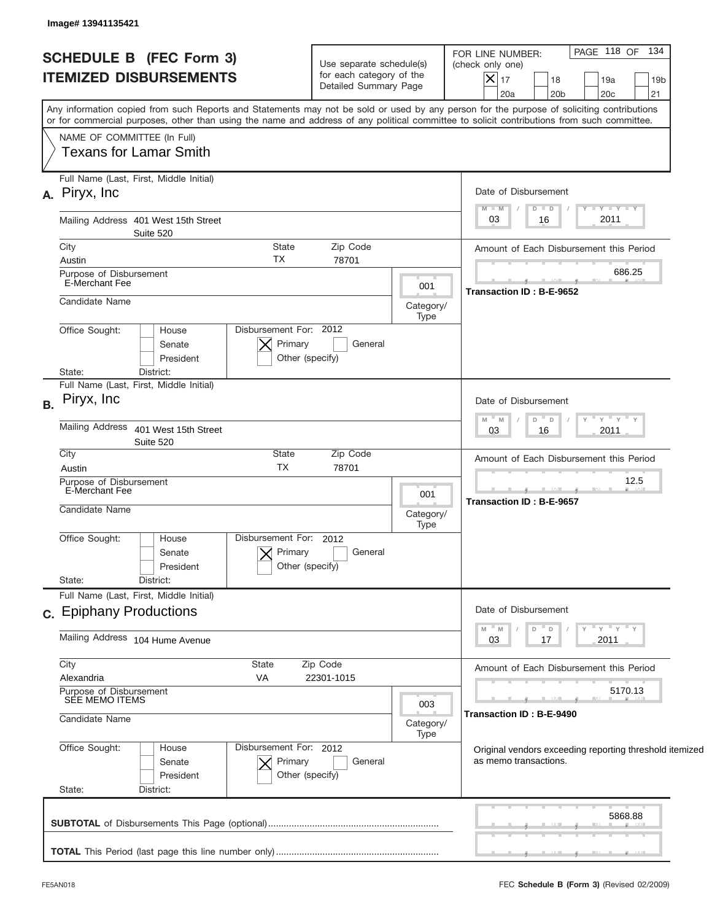|                                           | <b>SCHEDULE B (FEC Form 3)</b><br><b>ITEMIZED DISBURSEMENTS</b>                                         |                                                      | Use separate schedule(s)<br>for each category of the<br>Detailed Summary Page |                          | PAGE 118 OF 134<br>FOR LINE NUMBER:<br>(check only one)<br>$ \boldsymbol{\mathsf{X}} $<br>17<br>18<br>19a<br>19 <sub>b</sub><br>21<br>20a<br>20 <sub>b</sub><br>20 <sub>c</sub>                                                                                                         |
|-------------------------------------------|---------------------------------------------------------------------------------------------------------|------------------------------------------------------|-------------------------------------------------------------------------------|--------------------------|-----------------------------------------------------------------------------------------------------------------------------------------------------------------------------------------------------------------------------------------------------------------------------------------|
|                                           |                                                                                                         |                                                      |                                                                               |                          | Any information copied from such Reports and Statements may not be sold or used by any person for the purpose of soliciting contributions<br>or for commercial purposes, other than using the name and address of any political committee to solicit contributions from such committee. |
| NAME OF COMMITTEE (In Full)               | <b>Texans for Lamar Smith</b>                                                                           |                                                      |                                                                               |                          |                                                                                                                                                                                                                                                                                         |
| A. Piryx, Inc.                            | Full Name (Last, First, Middle Initial)                                                                 |                                                      |                                                                               |                          | Date of Disbursement                                                                                                                                                                                                                                                                    |
|                                           | Mailing Address 401 West 15th Street<br>Suite 520                                                       |                                                      |                                                                               |                          | $T$ $Y$ $Y$ $Y$ $Y$<br>$M - M$<br>$D$ $D$<br>2011<br>03<br>16                                                                                                                                                                                                                           |
| City                                      |                                                                                                         | State                                                | Zip Code                                                                      |                          | Amount of Each Disbursement this Period                                                                                                                                                                                                                                                 |
| Austin<br>Purpose of Disbursement         |                                                                                                         | TX                                                   | 78701                                                                         |                          | 686.25                                                                                                                                                                                                                                                                                  |
| E-Merchant Fee<br>Candidate Name          |                                                                                                         |                                                      |                                                                               | 001<br>Category/         | Transaction ID: B-E-9652                                                                                                                                                                                                                                                                |
| Office Sought:                            | Type<br>Disbursement For: 2012<br>House<br>Primary<br>General<br>Senate<br>Other (specify)<br>President |                                                      |                                                                               |                          |                                                                                                                                                                                                                                                                                         |
| State:                                    | District:<br>Full Name (Last, First, Middle Initial)                                                    |                                                      |                                                                               |                          |                                                                                                                                                                                                                                                                                         |
| Piryx, Inc.<br><b>B.</b>                  |                                                                                                         |                                                      |                                                                               |                          | Date of Disbursement                                                                                                                                                                                                                                                                    |
| Mailing Address                           | 401 West 15th Street<br>Suite 520                                                                       |                                                      |                                                                               |                          | " γ " γ " γ<br>$- M$<br>$D$ $D$<br>M<br>2011<br>03<br>16                                                                                                                                                                                                                                |
| City<br>Austin                            |                                                                                                         | State<br><b>TX</b>                                   | Zip Code<br>78701                                                             |                          | Amount of Each Disbursement this Period                                                                                                                                                                                                                                                 |
| Purpose of Disbursement                   |                                                                                                         |                                                      |                                                                               |                          | 12.5                                                                                                                                                                                                                                                                                    |
| E-Merchant Fee<br>Candidate Name          |                                                                                                         |                                                      |                                                                               | 001<br>Category/<br>Type | <b>Transaction ID: B-E-9657</b>                                                                                                                                                                                                                                                         |
| Office Sought:<br>State:                  | House<br>Senate<br>President<br>District:                                                               | Disbursement For: 2012<br>Primary<br>Other (specify) | General                                                                       |                          |                                                                                                                                                                                                                                                                                         |
|                                           | Full Name (Last, First, Middle Initial)                                                                 |                                                      |                                                                               |                          |                                                                                                                                                                                                                                                                                         |
| c. Epiphany Productions                   |                                                                                                         |                                                      |                                                                               |                          | Date of Disbursement                                                                                                                                                                                                                                                                    |
|                                           | Mailing Address 104 Hume Avenue                                                                         |                                                      |                                                                               |                          | ≡ γ ≡ γ ≡ γ<br>- M<br>M<br>D<br>D<br>03<br>2011<br>17                                                                                                                                                                                                                                   |
| City<br>Alexandria                        |                                                                                                         | State<br>VA                                          | Zip Code<br>22301-1015                                                        |                          | Amount of Each Disbursement this Period                                                                                                                                                                                                                                                 |
| Purpose of Disbursement<br>SEE MEMO ITEMS |                                                                                                         |                                                      |                                                                               |                          | 5170.13                                                                                                                                                                                                                                                                                 |
| Candidate Name                            |                                                                                                         |                                                      |                                                                               | 003<br>Category/<br>Type | Transaction ID: B-E-9490                                                                                                                                                                                                                                                                |
| Office Sought:                            | House<br>Senate<br>President                                                                            | Disbursement For: 2012<br>Primary<br>Other (specify) | General                                                                       |                          | Original vendors exceeding reporting threshold itemized<br>as memo transactions.                                                                                                                                                                                                        |
| State:                                    | District:                                                                                               |                                                      |                                                                               |                          |                                                                                                                                                                                                                                                                                         |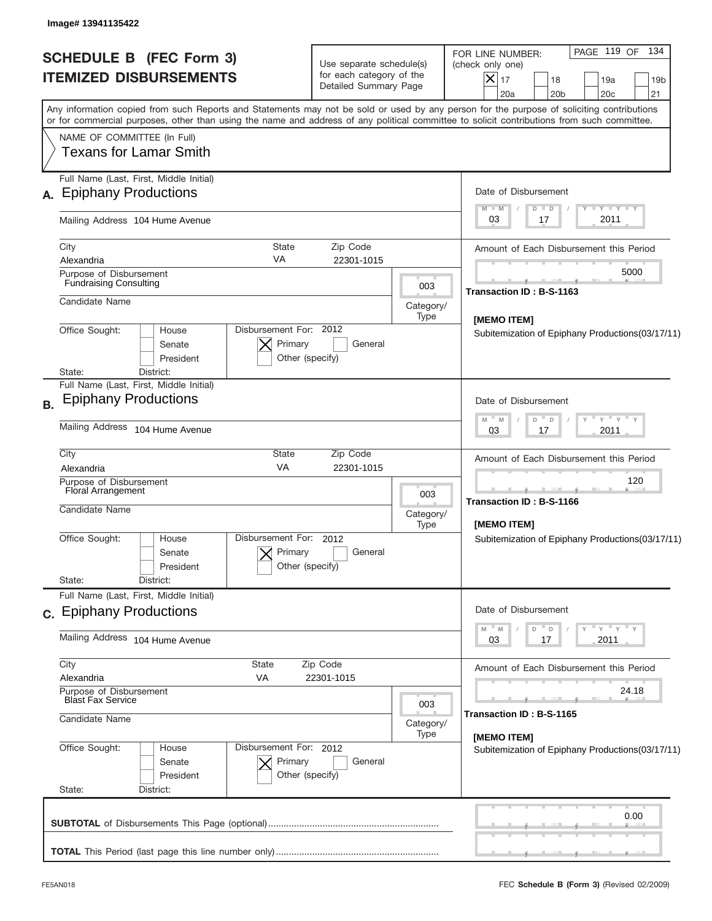| Image# 13941135422<br><b>SCHEDULE B (FEC Form 3)</b><br><b>ITEMIZED DISBURSEMENTS</b>                                                                                                                                                                                                    |                                                                            | Use separate schedule(s)<br>for each category of the<br>Detailed Summary Page |                          | 134<br>PAGE 119 OF<br>FOR LINE NUMBER:<br>(check only one)<br>X<br>17<br>18<br>19a<br>19 <sub>b</sub><br>21<br>20a<br>20 <sub>b</sub><br>20 <sub>c</sub>                                                                                                                                |
|------------------------------------------------------------------------------------------------------------------------------------------------------------------------------------------------------------------------------------------------------------------------------------------|----------------------------------------------------------------------------|-------------------------------------------------------------------------------|--------------------------|-----------------------------------------------------------------------------------------------------------------------------------------------------------------------------------------------------------------------------------------------------------------------------------------|
| NAME OF COMMITTEE (In Full)<br><b>Texans for Lamar Smith</b>                                                                                                                                                                                                                             |                                                                            |                                                                               |                          | Any information copied from such Reports and Statements may not be sold or used by any person for the purpose of soliciting contributions<br>or for commercial purposes, other than using the name and address of any political committee to solicit contributions from such committee. |
| Full Name (Last, First, Middle Initial)<br>A. Epiphany Productions<br>Mailing Address 104 Hume Avenue                                                                                                                                                                                    |                                                                            |                                                                               |                          | Date of Disbursement<br>Y TY TY TY<br>$M - M$<br>$D$ $D$<br>2011<br>03<br>17                                                                                                                                                                                                            |
| City<br>Alexandria<br>Purpose of Disbursement<br><b>Fundraising Consulting</b><br>Candidate Name<br>Office Sought:<br>House<br>Senate<br>President<br>District:<br>State:                                                                                                                | <b>State</b><br>VA<br>Disbursement For: 2012<br>Primary<br>Other (specify) | Zip Code<br>22301-1015<br>General                                             | 003<br>Category/<br>Type | Amount of Each Disbursement this Period<br>5000<br>Transaction ID: B-S-1163<br>[MEMO ITEM]<br>Subitemization of Epiphany Productions(03/17/11)                                                                                                                                          |
| Full Name (Last, First, Middle Initial)<br><b>Epiphany Productions</b><br><b>B.</b><br>Mailing Address 104 Hume Avenue<br>City<br>Alexandria<br>Purpose of Disbursement<br>Floral Arrangement<br>Candidate Name<br>Office Sought:<br>House<br>Senate<br>President<br>State:<br>District: | State<br>VA<br>Disbursement For:<br>Primary<br>Other (specify)             | Zip Code<br>22301-1015<br>2012<br>General                                     | 003<br>Category/<br>Type | Date of Disbursement<br>$Y$ $Y$ $Y$ $Y$<br>M<br>M<br>D<br>$\Box$<br>2011<br>03<br>17<br>Amount of Each Disbursement this Period<br>120<br>__<br>Transaction ID: B-S-1166<br>[MEMO ITEM]<br>Subitemization of Epiphany Productions(03/17/11)                                             |
| Full Name (Last, First, Middle Initial)<br>c. Epiphany Productions<br>Mailing Address 104 Hume Avenue<br>City<br>Alexandria<br>Purpose of Disbursement<br><b>Blast Fax Service</b><br>Candidate Name<br>Office Sought:<br>House<br>Senate<br>President<br>State:<br>District:            | State<br>VA<br>Disbursement For: 2012<br>Primary<br>Other (specify)        | Zip Code<br>22301-1015<br>General                                             | 003<br>Category/<br>Type | Date of Disbursement<br>$-\gamma$ $-\gamma$ $-\gamma$<br>D<br>03<br>2011<br>17<br>Amount of Each Disbursement this Period<br>24.18<br>Transaction ID: B-S-1165<br>[MEMO ITEM]<br>Subitemization of Epiphany Productions(03/17/11)                                                       |
|                                                                                                                                                                                                                                                                                          |                                                                            |                                                                               |                          |                                                                                                                                                                                                                                                                                         |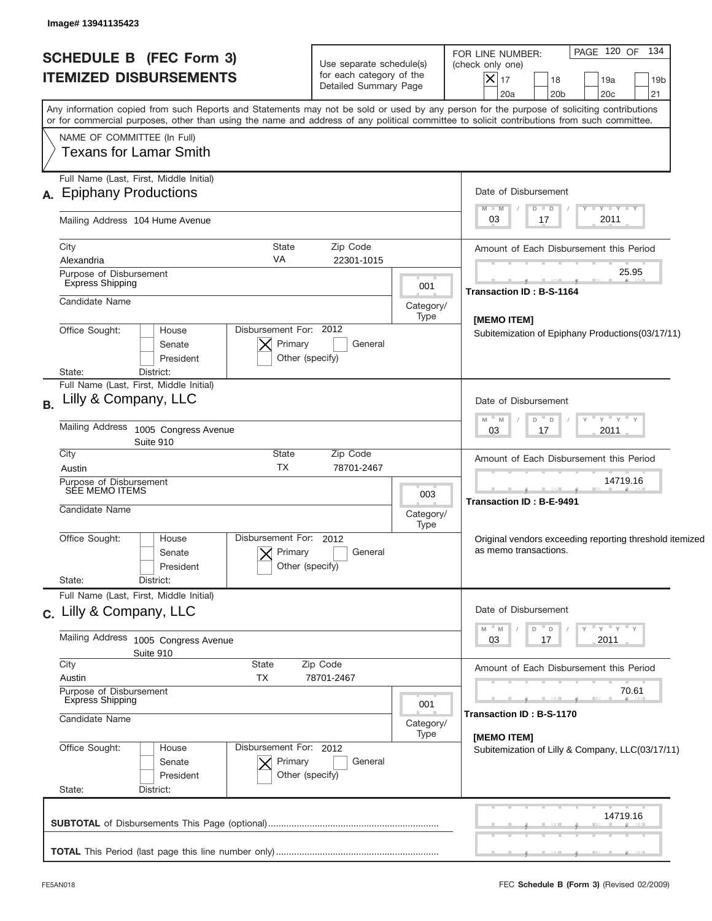| <b>SCHEDULE B (FEC Form 3)</b><br><b>ITEMIZED DISBURSEMENTS</b>                                                                                                                                                                                                                         | Use separate schedule(s)<br>for each category of the<br>Detailed Summary Page | PAGE 120 OF 134<br>FOR LINE NUMBER:<br>(check only one)<br>$ \mathsf{X} _{17}$<br>18<br>19a<br>19 <sub>b</sub><br>20a<br>20 <sub>b</sub><br>20c<br>21 |
|-----------------------------------------------------------------------------------------------------------------------------------------------------------------------------------------------------------------------------------------------------------------------------------------|-------------------------------------------------------------------------------|-------------------------------------------------------------------------------------------------------------------------------------------------------|
| Any information copied from such Reports and Statements may not be sold or used by any person for the purpose of soliciting contributions<br>or for commercial purposes, other than using the name and address of any political committee to solicit contributions from such committee. |                                                                               |                                                                                                                                                       |
| NAME OF COMMITTEE (In Full)<br><b>Texans for Lamar Smith</b>                                                                                                                                                                                                                            |                                                                               |                                                                                                                                                       |
| Full Name (Last, First, Middle Initial)<br>A. Epiphany Productions                                                                                                                                                                                                                      |                                                                               | Date of Disbursement                                                                                                                                  |
| Mailing Address 104 Hume Avenue                                                                                                                                                                                                                                                         |                                                                               | $T$ $Y$ $T$ $Y$ $T$ $Y$<br>$M - M$<br>$D$ $D$<br>2011<br>03<br>17                                                                                     |
| City<br><b>State</b><br>VA<br>Alexandria                                                                                                                                                                                                                                                | Zip Code<br>22301-1015                                                        | Amount of Each Disbursement this Period                                                                                                               |
| Purpose of Disbursement<br><b>Express Shipping</b>                                                                                                                                                                                                                                      | 001                                                                           | 25.95<br><b>Transaction ID: B-S-1164</b>                                                                                                              |
| Candidate Name                                                                                                                                                                                                                                                                          | Category/<br>Type                                                             | [MEMO ITEM]                                                                                                                                           |
| Disbursement For: 2012<br>Office Sought:<br>House<br>Primary<br>Senate<br>President<br>Other (specify)<br>District:<br>State:                                                                                                                                                           | Subitemization of Epiphany Productions (03/17/11)                             |                                                                                                                                                       |
| Full Name (Last, First, Middle Initial)<br>Lilly & Company, LLC<br><b>B.</b>                                                                                                                                                                                                            |                                                                               | Date of Disbursement                                                                                                                                  |
| Mailing Address<br>1005 Congress Avenue<br>Suite 910                                                                                                                                                                                                                                    | – ү – ү – ү<br>$M - M$<br>D<br>$\Box$<br>2011<br>03<br>17                     |                                                                                                                                                       |
| City<br>State<br><b>TX</b><br>Austin                                                                                                                                                                                                                                                    | Zip Code<br>78701-2467                                                        | Amount of Each Disbursement this Period                                                                                                               |
| Purpose of Disbursement<br>SEE MEMO ITEMS<br>Candidate Name                                                                                                                                                                                                                             | 003<br>Category/                                                              | 14719.16<br><b>Transaction ID: B-E-9491</b>                                                                                                           |
| Disbursement For:<br>Office Sought:<br>House<br>Primary<br>Senate<br>President<br>State:<br>District:                                                                                                                                                                                   | Type<br>2012<br>General<br>Other (specify)                                    | Original vendors exceeding reporting threshold itemized<br>as memo transactions.                                                                      |
| Full Name (Last, First, Middle Initial)<br>c. Lilly & Company, LLC                                                                                                                                                                                                                      |                                                                               | Date of Disbursement                                                                                                                                  |
| Mailing Address 1005 Congress Avenue<br>Suite 910                                                                                                                                                                                                                                       |                                                                               | " γ " γ " γ<br>" M<br>D<br>Υ<br>D<br>03<br>2011<br>17                                                                                                 |
| City<br>State<br>Austin<br>TX                                                                                                                                                                                                                                                           | Zip Code<br>78701-2467                                                        | Amount of Each Disbursement this Period                                                                                                               |
| Purpose of Disbursement<br><b>Express Shipping</b><br>Candidate Name                                                                                                                                                                                                                    | 001<br>Category/                                                              | 70.61<br>Transaction ID: B-S-1170                                                                                                                     |
| Office Sought:<br>Disbursement For: 2012<br>House<br>Primary<br>Senate<br>President<br>State:<br>District:                                                                                                                                                                              | Type<br>General<br>Other (specify)                                            | [MEMO ITEM]<br>Subitemization of Lilly & Company, LLC(03/17/11)                                                                                       |
|                                                                                                                                                                                                                                                                                         |                                                                               | 14719.16                                                                                                                                              |
|                                                                                                                                                                                                                                                                                         |                                                                               |                                                                                                                                                       |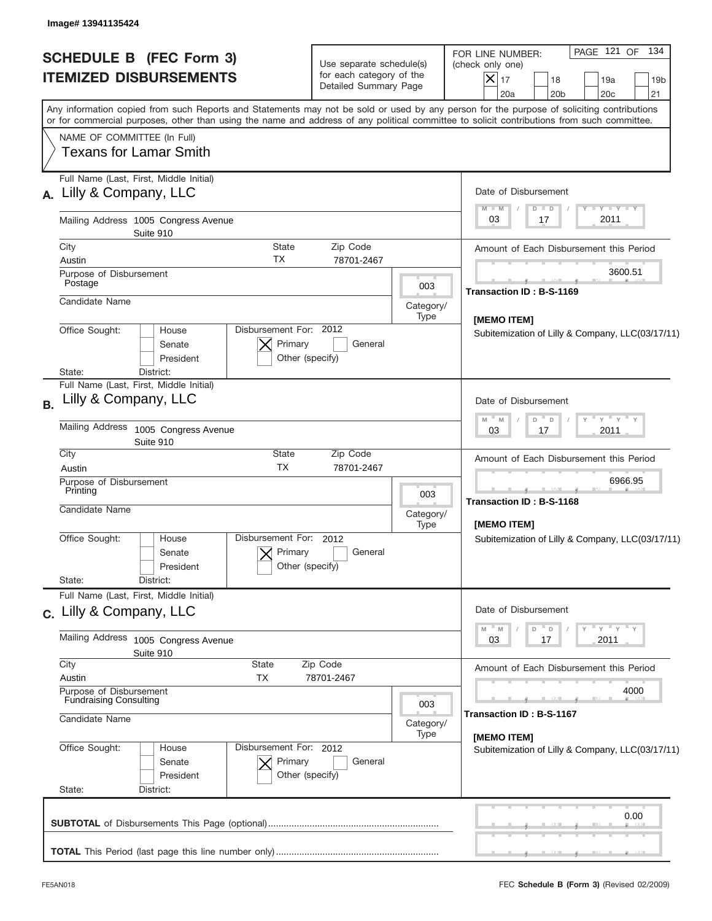|           | <b>SCHEDULE B</b> (FEC Form 3)<br><b>ITEMIZED DISBURSEMENTS</b>                                                                                                                                                                                                                         |                                                      | Use separate schedule(s)<br>for each category of the<br>Detailed Summary Page |                          |  | FOR LINE NUMBER:<br>(check only one)<br>$ \boldsymbol{\times} $<br>17<br>20a | 18<br>20 <sub>b</sub> | PAGE 121 OF 134 | 19a<br>20 <sub>c</sub>  | 19 <sub>b</sub><br>21 |
|-----------|-----------------------------------------------------------------------------------------------------------------------------------------------------------------------------------------------------------------------------------------------------------------------------------------|------------------------------------------------------|-------------------------------------------------------------------------------|--------------------------|--|------------------------------------------------------------------------------|-----------------------|-----------------|-------------------------|-----------------------|
|           | Any information copied from such Reports and Statements may not be sold or used by any person for the purpose of soliciting contributions<br>or for commercial purposes, other than using the name and address of any political committee to solicit contributions from such committee. |                                                      |                                                                               |                          |  |                                                                              |                       |                 |                         |                       |
|           | NAME OF COMMITTEE (In Full)<br>Texans for Lamar Smith                                                                                                                                                                                                                                   |                                                      |                                                                               |                          |  |                                                                              |                       |                 |                         |                       |
|           | Full Name (Last, First, Middle Initial)<br>A. Lilly & Company, LLC                                                                                                                                                                                                                      |                                                      |                                                                               |                          |  | Date of Disbursement                                                         |                       |                 |                         |                       |
|           | Mailing Address 1005 Congress Avenue<br>Suite 910                                                                                                                                                                                                                                       |                                                      |                                                                               |                          |  | $M - M$<br>03                                                                | $D$ $D$<br>17         |                 | $T - Y = T - Y$<br>2011 |                       |
|           | City                                                                                                                                                                                                                                                                                    | State                                                | Zip Code                                                                      |                          |  | Amount of Each Disbursement this Period                                      |                       |                 |                         |                       |
|           | Austin<br>Purpose of Disbursement<br>Postage                                                                                                                                                                                                                                            | ТX                                                   | 78701-2467                                                                    | 003                      |  |                                                                              |                       |                 | 3600.51                 |                       |
|           | Candidate Name                                                                                                                                                                                                                                                                          |                                                      |                                                                               | Category/<br>Type        |  | Transaction ID: B-S-1169                                                     |                       |                 |                         |                       |
|           | Office Sought:<br>House<br>Senate<br>President                                                                                                                                                                                                                                          | Disbursement For: 2012<br>Primary<br>Other (specify) | General                                                                       |                          |  | [MEMO ITEM]<br>Subitemization of Lilly & Company, LLC(03/17/11)              |                       |                 |                         |                       |
|           | District:<br>State:<br>Full Name (Last, First, Middle Initial)<br>Lilly & Company, LLC                                                                                                                                                                                                  |                                                      |                                                                               |                          |  |                                                                              |                       |                 |                         |                       |
| <b>B.</b> |                                                                                                                                                                                                                                                                                         |                                                      |                                                                               |                          |  | Date of Disbursement<br>M<br>M                                               | D<br>$\Box$           |                 | $Y$ $Y$ $Y$ $Y$         |                       |
|           | Mailing Address<br>1005 Congress Avenue<br>Suite 910                                                                                                                                                                                                                                    |                                                      |                                                                               |                          |  | 03                                                                           | 17                    |                 | 2011                    |                       |
|           | City<br>Austin                                                                                                                                                                                                                                                                          | State<br><b>TX</b>                                   | Zip Code<br>78701-2467                                                        |                          |  | Amount of Each Disbursement this Period                                      |                       |                 |                         |                       |
|           | Purpose of Disbursement<br>Printing                                                                                                                                                                                                                                                     |                                                      |                                                                               | 003                      |  |                                                                              |                       |                 | 6966.95                 |                       |
|           | Candidate Name                                                                                                                                                                                                                                                                          |                                                      |                                                                               | Category/<br>Type        |  | Transaction ID: B-S-1168<br>[MEMO ITEM]                                      |                       |                 |                         |                       |
|           | Office Sought:<br>House<br>Senate<br>President                                                                                                                                                                                                                                          | Disbursement For:<br>Primary<br>Other (specify)      | 2012<br>General                                                               |                          |  | Subitemization of Lilly & Company, LLC(03/17/11)                             |                       |                 |                         |                       |
|           | State:<br>District:<br>Full Name (Last, First, Middle Initial)                                                                                                                                                                                                                          |                                                      |                                                                               |                          |  |                                                                              |                       |                 |                         |                       |
|           | c. Lilly & Company, LLC                                                                                                                                                                                                                                                                 |                                                      |                                                                               |                          |  | Date of Disbursement                                                         |                       |                 |                         |                       |
|           | Mailing Address<br>1005 Congress Avenue<br>Suite 910                                                                                                                                                                                                                                    |                                                      |                                                                               |                          |  | 03                                                                           | D<br>17               |                 | ≡ γ ≡ γ ≡ γ<br>2011     |                       |
|           | City<br>State<br>Austin<br>TX                                                                                                                                                                                                                                                           |                                                      | Zip Code<br>78701-2467                                                        |                          |  | Amount of Each Disbursement this Period                                      |                       |                 |                         |                       |
|           | Purpose of Disbursement<br><b>Fundraising Consulting</b>                                                                                                                                                                                                                                |                                                      |                                                                               |                          |  |                                                                              |                       |                 | 4000                    |                       |
|           | Candidate Name                                                                                                                                                                                                                                                                          |                                                      |                                                                               | 003<br>Category/<br>Type |  | Transaction ID: B-S-1167                                                     |                       |                 |                         |                       |
|           | Office Sought:<br>House<br>Senate<br>President<br>State:<br>District:                                                                                                                                                                                                                   | Disbursement For: 2012<br>Primary<br>Other (specify) | General                                                                       |                          |  | [MEMO ITEM]<br>Subitemization of Lilly & Company, LLC(03/17/11)              |                       |                 |                         |                       |
|           |                                                                                                                                                                                                                                                                                         |                                                      |                                                                               |                          |  |                                                                              |                       |                 |                         | 0.00                  |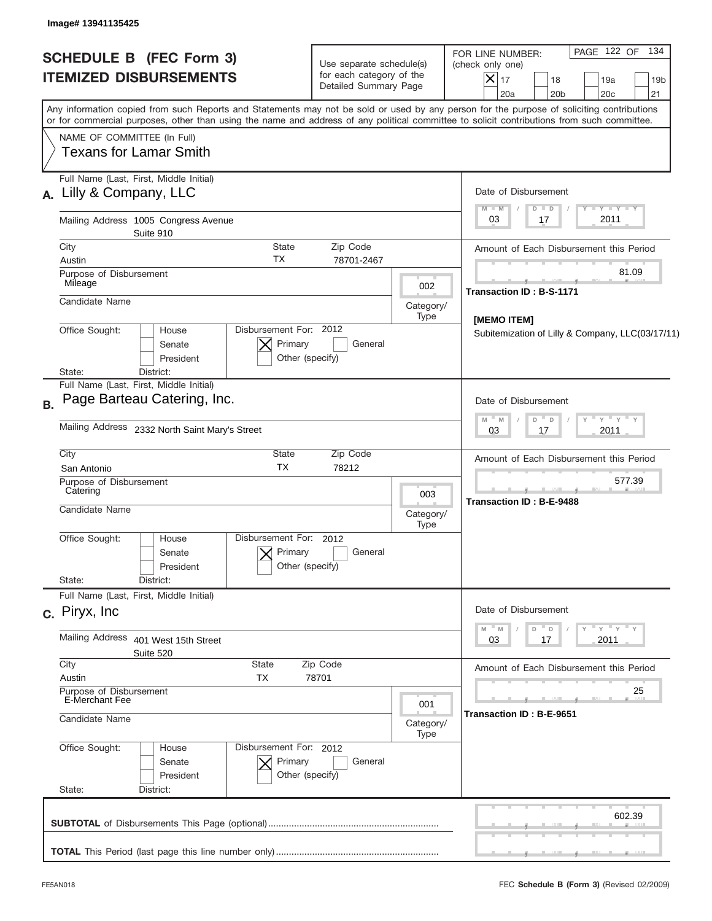| Image# 13941135425                                                                                                                                                                                                                                                                      |                                                                               |                          |                                                                                                                                                                   |  |  |
|-----------------------------------------------------------------------------------------------------------------------------------------------------------------------------------------------------------------------------------------------------------------------------------------|-------------------------------------------------------------------------------|--------------------------|-------------------------------------------------------------------------------------------------------------------------------------------------------------------|--|--|
| <b>SCHEDULE B (FEC Form 3)</b><br><b>ITEMIZED DISBURSEMENTS</b>                                                                                                                                                                                                                         | Use separate schedule(s)<br>for each category of the<br>Detailed Summary Page |                          | PAGE 122 OF 134<br>FOR LINE NUMBER:<br>(check only one)<br>$ \mathsf{X} _{17}$<br>18<br>19a<br>19 <sub>b</sub><br>20a<br>20 <sub>b</sub><br>20 <sub>c</sub><br>21 |  |  |
| Any information copied from such Reports and Statements may not be sold or used by any person for the purpose of soliciting contributions<br>or for commercial purposes, other than using the name and address of any political committee to solicit contributions from such committee. |                                                                               |                          |                                                                                                                                                                   |  |  |
| NAME OF COMMITTEE (In Full)<br><b>Texans for Lamar Smith</b>                                                                                                                                                                                                                            |                                                                               |                          |                                                                                                                                                                   |  |  |
| Full Name (Last, First, Middle Initial)                                                                                                                                                                                                                                                 |                                                                               |                          |                                                                                                                                                                   |  |  |
| A. Lilly & Company, LLC                                                                                                                                                                                                                                                                 |                                                                               |                          | Date of Disbursement<br>$T - Y$ $T - Y$<br>$M - M$<br>$D$ $D$                                                                                                     |  |  |
| Mailing Address 1005 Congress Avenue<br>Suite 910                                                                                                                                                                                                                                       |                                                                               |                          | 2011<br>03<br>17                                                                                                                                                  |  |  |
| City                                                                                                                                                                                                                                                                                    | <b>State</b><br>Zip Code<br>ТX                                                |                          | Amount of Each Disbursement this Period                                                                                                                           |  |  |
| Austin<br>Purpose of Disbursement<br>Mileage                                                                                                                                                                                                                                            | 78701-2467                                                                    | 002                      | 81.09<br><b>Transaction ID: B-S-1171</b>                                                                                                                          |  |  |
| Candidate Name                                                                                                                                                                                                                                                                          | Category/                                                                     |                          |                                                                                                                                                                   |  |  |
| Office Sought:<br>House<br>Senate<br>President                                                                                                                                                                                                                                          | Disbursement For: 2012<br>Primary<br>General<br>Other (specify)               | Type                     | [MEMO ITEM]<br>Subitemization of Lilly & Company, LLC(03/17/11)                                                                                                   |  |  |
| District:<br>State:<br>Full Name (Last, First, Middle Initial)                                                                                                                                                                                                                          |                                                                               |                          |                                                                                                                                                                   |  |  |
| Page Barteau Catering, Inc.<br><b>B.</b>                                                                                                                                                                                                                                                |                                                                               |                          | Date of Disbursement                                                                                                                                              |  |  |
| Mailing Address 2332 North Saint Mary's Street                                                                                                                                                                                                                                          |                                                                               |                          | $\vdash$ $\gamma$ $\vdash$ $\gamma$ $\vdash$ $\gamma$<br>M<br>$- M$<br>D<br>$-$ D<br>2011<br>03<br>17                                                             |  |  |
| City<br>San Antonio                                                                                                                                                                                                                                                                     | <b>State</b><br>Zip Code<br><b>TX</b><br>78212                                |                          | Amount of Each Disbursement this Period                                                                                                                           |  |  |
| Purpose of Disbursement<br>Catering                                                                                                                                                                                                                                                     | 003                                                                           | 577.39                   |                                                                                                                                                                   |  |  |
| Candidate Name                                                                                                                                                                                                                                                                          |                                                                               | Category/<br>Type        | <b>Transaction ID: B-E-9488</b>                                                                                                                                   |  |  |
| Disbursement For:<br>Office Sought:<br>House<br>Senate<br>President                                                                                                                                                                                                                     | 2012<br>Primary<br>General<br>Other (specify)                                 |                          |                                                                                                                                                                   |  |  |
| State:<br>District:<br>Full Name (Last, First, Middle Initial)                                                                                                                                                                                                                          |                                                                               |                          |                                                                                                                                                                   |  |  |
| c. Piryx, Inc.                                                                                                                                                                                                                                                                          |                                                                               |                          | Date of Disbursement                                                                                                                                              |  |  |
| Mailing Address<br>401 West 15th Street<br>Suite 520                                                                                                                                                                                                                                    |                                                                               |                          | $=\frac{1}{\gamma}$ $\frac{1}{\gamma}$ $\frac{1}{\gamma}$ $\frac{1}{\gamma}$<br>$-M$<br>M<br>D<br>03<br>2011<br>17                                                |  |  |
| City<br>State                                                                                                                                                                                                                                                                           | Zip Code                                                                      |                          | Amount of Each Disbursement this Period                                                                                                                           |  |  |
| Purpose of Disbursement<br>E-Merchant Fee                                                                                                                                                                                                                                               | 78701<br>Austin<br>ТX                                                         |                          |                                                                                                                                                                   |  |  |
| Candidate Name                                                                                                                                                                                                                                                                          | 001<br>Category/<br>Type                                                      | Transaction ID: B-E-9651 |                                                                                                                                                                   |  |  |
| Office Sought:<br>House<br>Senate<br>President<br>State:                                                                                                                                                                                                                                | Disbursement For: 2012<br>Primary<br>General<br>Other (specify)               |                          |                                                                                                                                                                   |  |  |
| District:                                                                                                                                                                                                                                                                               |                                                                               |                          |                                                                                                                                                                   |  |  |
|                                                                                                                                                                                                                                                                                         |                                                                               |                          | 602.39                                                                                                                                                            |  |  |
|                                                                                                                                                                                                                                                                                         |                                                                               |                          |                                                                                                                                                                   |  |  |
|                                                                                                                                                                                                                                                                                         |                                                                               |                          |                                                                                                                                                                   |  |  |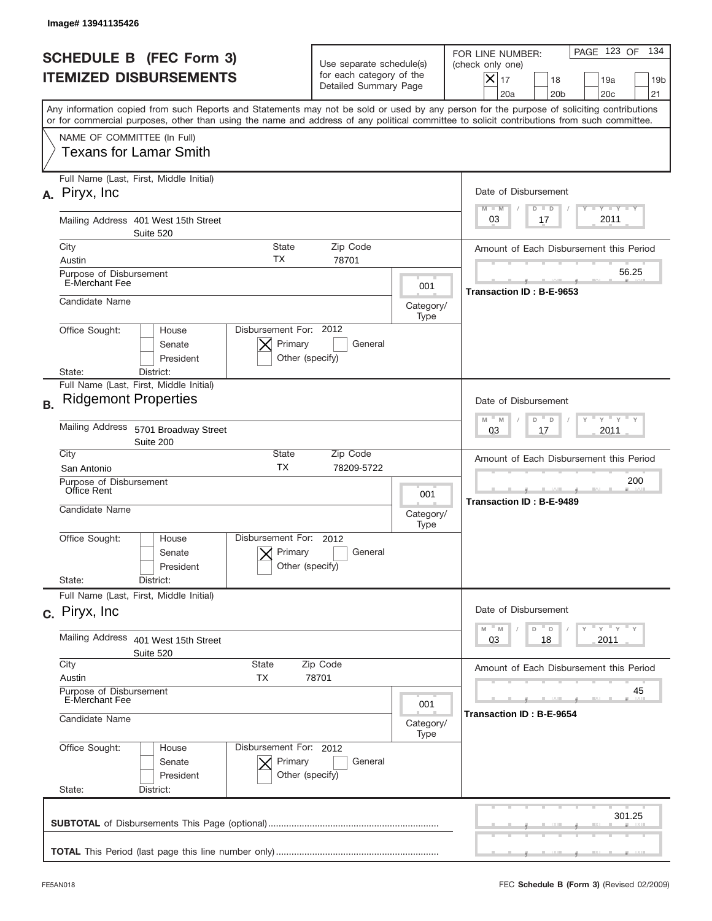|           | Image# 13941135426                                          |                                                                        |                                                      |                                                                               |                          |                                                                                                                                                                                                                                                                                         |
|-----------|-------------------------------------------------------------|------------------------------------------------------------------------|------------------------------------------------------|-------------------------------------------------------------------------------|--------------------------|-----------------------------------------------------------------------------------------------------------------------------------------------------------------------------------------------------------------------------------------------------------------------------------------|
|           |                                                             | <b>SCHEDULE B (FEC Form 3)</b><br><b>ITEMIZED DISBURSEMENTS</b>        |                                                      | Use separate schedule(s)<br>for each category of the<br>Detailed Summary Page |                          | 134<br>PAGE 123 OF<br>FOR LINE NUMBER:<br>(check only one)<br>$X _{17}$<br>18<br>19a<br>19 <sub>b</sub><br>20a<br>20 <sub>b</sub><br>20 <sub>c</sub><br>21                                                                                                                              |
|           |                                                             |                                                                        |                                                      |                                                                               |                          | Any information copied from such Reports and Statements may not be sold or used by any person for the purpose of soliciting contributions<br>or for commercial purposes, other than using the name and address of any political committee to solicit contributions from such committee. |
|           | NAME OF COMMITTEE (In Full)                                 | Texans for Lamar Smith                                                 |                                                      |                                                                               |                          |                                                                                                                                                                                                                                                                                         |
| А.        | Piryx, Inc.                                                 | Full Name (Last, First, Middle Initial)                                |                                                      |                                                                               |                          | Date of Disbursement<br><b>TANK TANK</b><br>$M - M$<br>$D$ $D$                                                                                                                                                                                                                          |
|           |                                                             | Mailing Address 401 West 15th Street<br>Suite 520                      |                                                      |                                                                               |                          | 2011<br>03<br>17                                                                                                                                                                                                                                                                        |
|           | City<br>Austin                                              |                                                                        | <b>State</b><br><b>TX</b>                            | Zip Code<br>78701                                                             |                          | Amount of Each Disbursement this Period                                                                                                                                                                                                                                                 |
|           | Purpose of Disbursement<br>E-Merchant Fee                   |                                                                        |                                                      |                                                                               | 001                      | 56.25<br>Transaction ID: B-E-9653                                                                                                                                                                                                                                                       |
|           | Candidate Name                                              |                                                                        |                                                      |                                                                               | Category/<br>Type        |                                                                                                                                                                                                                                                                                         |
|           | Office Sought:<br>State:                                    | House<br>Senate<br>President<br>District:                              | Disbursement For: 2012<br>Primary<br>Other (specify) | General                                                                       |                          |                                                                                                                                                                                                                                                                                         |
| <b>B.</b> |                                                             | Full Name (Last, First, Middle Initial)<br><b>Ridgemont Properties</b> |                                                      |                                                                               |                          | Date of Disbursement                                                                                                                                                                                                                                                                    |
|           | Mailing Address                                             | 5701 Broadway Street<br>Suite 200                                      |                                                      |                                                                               |                          | $\overline{Y}$ $\overline{Y}$ $\overline{Y}$ $\overline{Y}$ $\overline{Y}$<br>$M - M$<br>D<br>$\Box$<br>2011<br>03<br>17                                                                                                                                                                |
|           | City<br>San Antonio                                         |                                                                        | State<br><b>TX</b>                                   | Zip Code<br>78209-5722                                                        |                          | Amount of Each Disbursement this Period                                                                                                                                                                                                                                                 |
|           | Purpose of Disbursement<br>Office Rent<br>Candidate Name    |                                                                        |                                                      |                                                                               | 001<br>Category/<br>Type | 200<br>Transaction ID: B-E-9489                                                                                                                                                                                                                                                         |
|           | Office Sought:                                              | House<br>Senate<br>President                                           | Disbursement For: 2012<br>Primary<br>Other (specify) | General                                                                       |                          |                                                                                                                                                                                                                                                                                         |
|           | State:                                                      | District:<br>Full Name (Last, First, Middle Initial)                   |                                                      |                                                                               |                          |                                                                                                                                                                                                                                                                                         |
|           | c. Piryx, Inc.                                              |                                                                        |                                                      |                                                                               |                          | Date of Disbursement                                                                                                                                                                                                                                                                    |
|           | Mailing Address                                             | 401 West 15th Street<br>Suite 520                                      |                                                      |                                                                               |                          | $Y$ $Y$ $Y$ $Y$ $Y$<br>$M$ $M$<br>D<br>D<br>2011<br>03<br>18                                                                                                                                                                                                                            |
|           | City<br>Austin                                              |                                                                        | State<br>TX                                          | Zip Code<br>78701                                                             |                          | Amount of Each Disbursement this Period                                                                                                                                                                                                                                                 |
|           | Purpose of Disbursement<br>E-Merchant Fee<br>Candidate Name |                                                                        |                                                      |                                                                               |                          | 45<br>Transaction ID: B-E-9654                                                                                                                                                                                                                                                          |
|           | Office Sought:<br>State:                                    | House<br>Senate<br>President<br>District:                              | Disbursement For: 2012<br>Primary<br>Other (specify) | General                                                                       | Type                     |                                                                                                                                                                                                                                                                                         |
|           |                                                             |                                                                        |                                                      |                                                                               |                          | 301.25                                                                                                                                                                                                                                                                                  |
|           |                                                             |                                                                        |                                                      |                                                                               |                          |                                                                                                                                                                                                                                                                                         |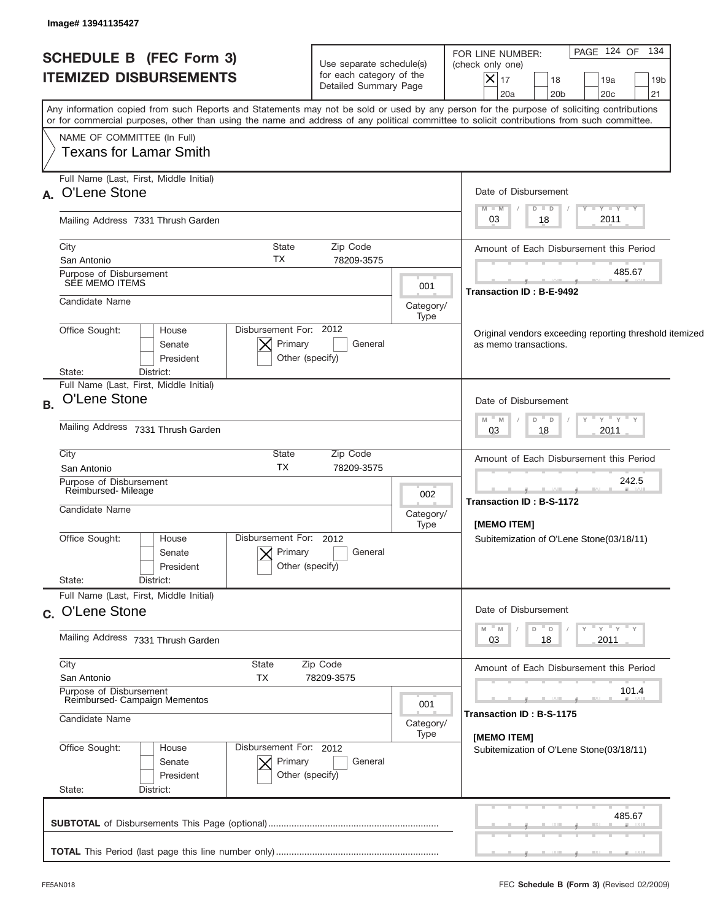| <b>SCHEDULE B (FEC Form 3)</b><br><b>ITEMIZED DISBURSEMENTS</b>       |                                                      | Use separate schedule(s)<br>for each category of the<br>Detailed Summary Page | PAGE 124 OF 134<br>FOR LINE NUMBER:<br>(check only one)<br>$ \boldsymbol{\mathsf{X}} $<br>17<br>18<br>19a<br>19 <sub>b</sub><br>20a<br>20 <sub>b</sub><br>20 <sub>c</sub><br>21                                                                                                         |
|-----------------------------------------------------------------------|------------------------------------------------------|-------------------------------------------------------------------------------|-----------------------------------------------------------------------------------------------------------------------------------------------------------------------------------------------------------------------------------------------------------------------------------------|
|                                                                       |                                                      |                                                                               | Any information copied from such Reports and Statements may not be sold or used by any person for the purpose of soliciting contributions<br>or for commercial purposes, other than using the name and address of any political committee to solicit contributions from such committee. |
| NAME OF COMMITTEE (In Full)<br><b>Texans for Lamar Smith</b>          |                                                      |                                                                               |                                                                                                                                                                                                                                                                                         |
| Full Name (Last, First, Middle Initial)<br>A. O'Lene Stone            |                                                      |                                                                               | Date of Disbursement                                                                                                                                                                                                                                                                    |
| Mailing Address 7331 Thrush Garden                                    |                                                      |                                                                               | $T - Y$ $T - Y$ $T - Y$<br>$M - M$<br>$D$ $D$<br>2011<br>03<br>18                                                                                                                                                                                                                       |
| City<br>San Antonio                                                   | State<br>Zip Code<br>TX<br>78209-3575                |                                                                               | Amount of Each Disbursement this Period                                                                                                                                                                                                                                                 |
| Purpose of Disbursement<br>SEE MEMO ITEMS                             |                                                      | 001                                                                           | 485.67<br>Transaction ID: B-E-9492                                                                                                                                                                                                                                                      |
| Candidate Name                                                        |                                                      | Category/<br>Type                                                             |                                                                                                                                                                                                                                                                                         |
| Office Sought:<br>House<br>Senate<br>President<br>District:<br>State: | Disbursement For: 2012<br>Primary<br>Other (specify) | General                                                                       | Original vendors exceeding reporting threshold itemized<br>as memo transactions.                                                                                                                                                                                                        |
| Full Name (Last, First, Middle Initial)<br>O'Lene Stone<br>B.         |                                                      |                                                                               | Date of Disbursement                                                                                                                                                                                                                                                                    |
| Mailing Address 7331 Thrush Garden                                    |                                                      |                                                                               | " γ " γ " γ<br>$- M$<br>$D$ $D$<br>M<br>2011<br>03<br>18                                                                                                                                                                                                                                |
| City<br>San Antonio                                                   | State<br>Zip Code<br><b>TX</b><br>78209-3575         |                                                                               | Amount of Each Disbursement this Period                                                                                                                                                                                                                                                 |
| Purpose of Disbursement<br>Reimbursed-Mileage<br>Candidate Name       |                                                      | 002<br>Category/                                                              | 242.5<br>Transaction ID: B-S-1172                                                                                                                                                                                                                                                       |
| Office Sought:<br>House<br>Senate<br>President<br>State:<br>District: | Disbursement For: 2012<br>Primary<br>Other (specify) | Type<br>General                                                               | [MEMO ITEM]<br>Subitemization of O'Lene Stone(03/18/11)                                                                                                                                                                                                                                 |
| Full Name (Last, First, Middle Initial)<br>c. O'Lene Stone            |                                                      |                                                                               | Date of Disbursement                                                                                                                                                                                                                                                                    |
| Mailing Address 7331 Thrush Garden                                    |                                                      |                                                                               | ≡ γ ≡ γ ≡ γ<br>M<br>M<br>D<br>03<br>2011<br>18                                                                                                                                                                                                                                          |
| City<br>San Antonio                                                   | State<br>Zip Code<br>TX<br>78209-3575                |                                                                               | Amount of Each Disbursement this Period                                                                                                                                                                                                                                                 |
| Purpose of Disbursement<br>Reimbursed- Campaign Mementos              |                                                      |                                                                               | 101.4<br>Transaction ID: B-S-1175                                                                                                                                                                                                                                                       |
| Candidate Name                                                        |                                                      | Category/<br>Type                                                             | [MEMO ITEM]                                                                                                                                                                                                                                                                             |
| Office Sought:<br>House<br>Senate<br>President<br>State:<br>District: | Disbursement For: 2012<br>Primary<br>Other (specify) | General                                                                       | Subitemization of O'Lene Stone(03/18/11)                                                                                                                                                                                                                                                |
|                                                                       |                                                      |                                                                               | 485.67                                                                                                                                                                                                                                                                                  |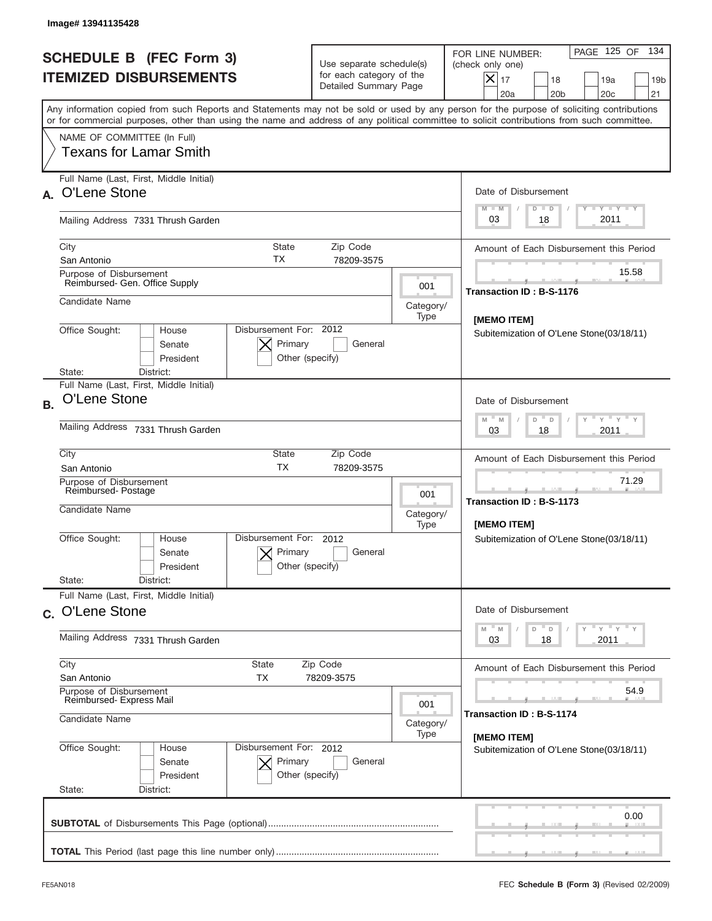|                                                                       | Image# 13941135428                                              |                                                      |                                                                               |                          |                                                                                                                                                                                                                                                                                         |
|-----------------------------------------------------------------------|-----------------------------------------------------------------|------------------------------------------------------|-------------------------------------------------------------------------------|--------------------------|-----------------------------------------------------------------------------------------------------------------------------------------------------------------------------------------------------------------------------------------------------------------------------------------|
|                                                                       | <b>SCHEDULE B (FEC Form 3)</b><br><b>ITEMIZED DISBURSEMENTS</b> |                                                      | Use separate schedule(s)<br>for each category of the<br>Detailed Summary Page |                          | 134<br>PAGE 125 OF<br>FOR LINE NUMBER:<br>(check only one)<br>$ \mathsf{X} _{17}$<br>18<br>19a<br>19 <sub>b</sub><br>20a<br>20 <sub>b</sub><br>20c<br>21                                                                                                                                |
|                                                                       |                                                                 |                                                      |                                                                               |                          | Any information copied from such Reports and Statements may not be sold or used by any person for the purpose of soliciting contributions<br>or for commercial purposes, other than using the name and address of any political committee to solicit contributions from such committee. |
|                                                                       | NAME OF COMMITTEE (In Full)<br>Texans for Lamar Smith           |                                                      |                                                                               |                          |                                                                                                                                                                                                                                                                                         |
| O'Lene Stone                                                          | Full Name (Last, First, Middle Initial)                         |                                                      |                                                                               |                          | Date of Disbursement<br>Y TY TY TY<br>$M - M$<br>$D$ $D$                                                                                                                                                                                                                                |
|                                                                       | Mailing Address 7331 Thrush Garden                              |                                                      |                                                                               |                          | 2011<br>03<br>18                                                                                                                                                                                                                                                                        |
| City<br>San Antonio                                                   |                                                                 | <b>State</b><br>ТX                                   | Zip Code<br>78209-3575                                                        |                          | Amount of Each Disbursement this Period                                                                                                                                                                                                                                                 |
|                                                                       | Purpose of Disbursement<br>Reimbursed- Gen. Office Supply       |                                                      |                                                                               | 001                      | 15.58<br>Transaction ID: B-S-1176                                                                                                                                                                                                                                                       |
| Candidate Name                                                        |                                                                 |                                                      |                                                                               | Category/<br>Type        | [MEMO ITEM]                                                                                                                                                                                                                                                                             |
| Office Sought:<br>State:                                              | House<br>Senate<br>President<br>District:                       | Disbursement For: 2012<br>Primary<br>Other (specify) | General                                                                       |                          | Subitemization of O'Lene Stone(03/18/11)                                                                                                                                                                                                                                                |
| O'Lene Stone<br><b>B.</b>                                             | Full Name (Last, First, Middle Initial)                         |                                                      |                                                                               |                          | Date of Disbursement<br>$\cdots$ $\gamma$ $\cdots$ $\gamma$ $\cdots$ $\gamma$<br>D<br>M<br>M<br>$\Box$                                                                                                                                                                                  |
| Mailing Address 7331 Thrush Garden                                    |                                                                 |                                                      |                                                                               |                          | 2011<br>03<br>18                                                                                                                                                                                                                                                                        |
| City<br>San Antonio                                                   |                                                                 | <b>State</b><br><b>TX</b>                            | Zip Code<br>78209-3575                                                        |                          | Amount of Each Disbursement this Period                                                                                                                                                                                                                                                 |
| Candidate Name                                                        | Purpose of Disbursement<br>Reimbursed-Postage                   |                                                      |                                                                               | 001<br>Category/<br>Type | 71.29<br><b>Transaction ID: B-S-1173</b><br>[MEMO ITEM]                                                                                                                                                                                                                                 |
| Office Sought:                                                        | House<br>Senate<br>President                                    | Disbursement For: 2012<br>Primary<br>Other (specify) | General                                                                       |                          | Subitemization of O'Lene Stone(03/18/11)                                                                                                                                                                                                                                                |
| State:                                                                | District:<br>Full Name (Last, First, Middle Initial)            |                                                      |                                                                               |                          |                                                                                                                                                                                                                                                                                         |
| c. O'Lene Stone                                                       |                                                                 |                                                      |                                                                               |                          | Date of Disbursement<br>$=\frac{1}{\gamma}+\frac{1}{\gamma}+\frac{1}{\gamma}+\frac{1}{\gamma}$<br>$M$ $M$<br>$\overline{\phantom{a}}$ D<br>D                                                                                                                                            |
|                                                                       | Mailing Address 7331 Thrush Garden                              |                                                      |                                                                               |                          | 2011<br>03<br>18                                                                                                                                                                                                                                                                        |
| City<br>San Antonio                                                   |                                                                 | State<br>ТX                                          | Zip Code<br>78209-3575                                                        |                          | Amount of Each Disbursement this Period                                                                                                                                                                                                                                                 |
| Purpose of Disbursement<br>Reimbursed- Express Mail<br>Candidate Name |                                                                 |                                                      |                                                                               | 001<br>Category/         | 54.9<br>Transaction ID: B-S-1174                                                                                                                                                                                                                                                        |
| Office Sought:<br>State:                                              | House<br>Senate<br>President<br>District:                       | Disbursement For: 2012<br>Primary<br>Other (specify) | General                                                                       | Type                     | [MEMO ITEM]<br>Subitemization of O'Lene Stone(03/18/11)                                                                                                                                                                                                                                 |
|                                                                       |                                                                 |                                                      |                                                                               |                          | 0.00                                                                                                                                                                                                                                                                                    |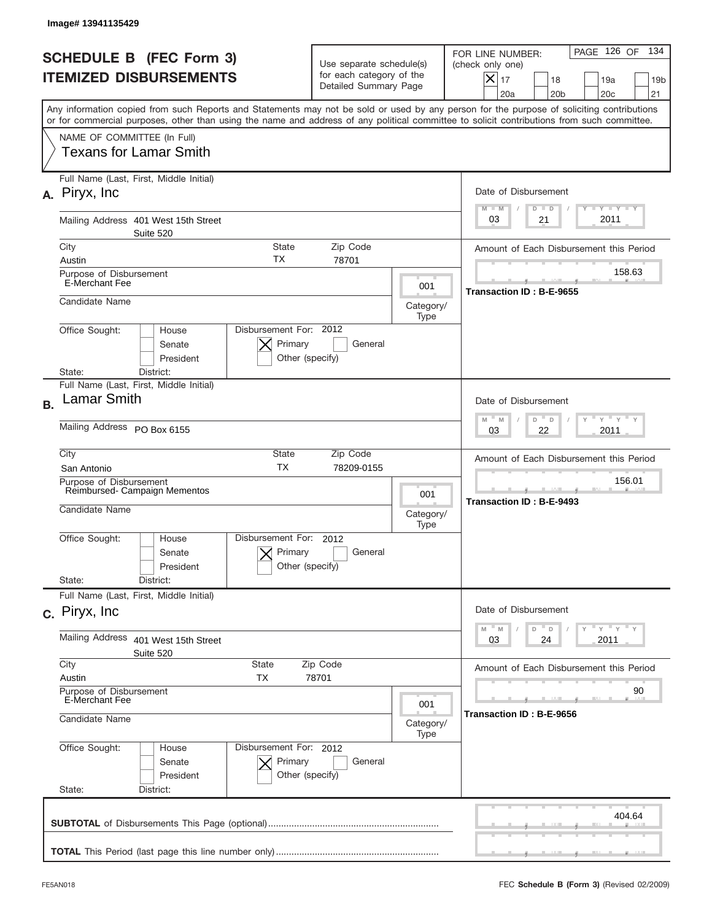|           | Image# 13941135429                                                                                                                                                                                                                                                                      |                                                                               |                          |                                                                                                                                                            |
|-----------|-----------------------------------------------------------------------------------------------------------------------------------------------------------------------------------------------------------------------------------------------------------------------------------------|-------------------------------------------------------------------------------|--------------------------|------------------------------------------------------------------------------------------------------------------------------------------------------------|
|           | <b>SCHEDULE B (FEC Form 3)</b><br><b>ITEMIZED DISBURSEMENTS</b>                                                                                                                                                                                                                         | Use separate schedule(s)<br>for each category of the<br>Detailed Summary Page |                          | 134<br>PAGE 126 OF<br>FOR LINE NUMBER:<br>(check only one)<br>$X _{17}$<br>18<br>19a<br>19 <sub>b</sub><br>20 <sub>c</sub><br>20a<br>20 <sub>b</sub><br>21 |
|           | Any information copied from such Reports and Statements may not be sold or used by any person for the purpose of soliciting contributions<br>or for commercial purposes, other than using the name and address of any political committee to solicit contributions from such committee. |                                                                               |                          |                                                                                                                                                            |
|           | NAME OF COMMITTEE (In Full)<br><b>Texans for Lamar Smith</b>                                                                                                                                                                                                                            |                                                                               |                          |                                                                                                                                                            |
|           | Full Name (Last, First, Middle Initial)<br>A. Piryx, Inc.                                                                                                                                                                                                                               |                                                                               |                          | Date of Disbursement<br><b>TANK TANK</b><br>$M - M$<br>$D$ $D$                                                                                             |
|           | Mailing Address 401 West 15th Street<br>Suite 520                                                                                                                                                                                                                                       |                                                                               |                          | 2011<br>03<br>21                                                                                                                                           |
|           | City<br><b>State</b><br>ТX<br>Austin                                                                                                                                                                                                                                                    | Zip Code<br>78701                                                             |                          | Amount of Each Disbursement this Period                                                                                                                    |
|           | Purpose of Disbursement<br><b>E-Merchant Fee</b>                                                                                                                                                                                                                                        |                                                                               | 001                      | 158.63<br>Transaction ID: B-E-9655                                                                                                                         |
|           | Candidate Name                                                                                                                                                                                                                                                                          |                                                                               | Category/<br>Type        |                                                                                                                                                            |
|           | Disbursement For: 2012<br>Office Sought:<br>House<br>Primary<br>Senate<br>President<br>Other (specify)<br>State:<br>District:                                                                                                                                                           | General                                                                       |                          |                                                                                                                                                            |
| <b>B.</b> | Full Name (Last, First, Middle Initial)<br>Lamar Smith                                                                                                                                                                                                                                  |                                                                               |                          | Date of Disbursement                                                                                                                                       |
|           | Mailing Address PO Box 6155                                                                                                                                                                                                                                                             |                                                                               |                          | $\cdots$ $\gamma$ $\cdots$ $\gamma$ $\cdots$<br>$M - M$<br>D<br>$\Box$<br>2011<br>03<br>22                                                                 |
|           | City<br>State<br><b>TX</b><br>San Antonio                                                                                                                                                                                                                                               | Zip Code<br>78209-0155                                                        |                          | Amount of Each Disbursement this Period                                                                                                                    |
|           | Purpose of Disbursement<br>Reimbursed-Campaign Mementos<br>Candidate Name                                                                                                                                                                                                               |                                                                               | 001<br>Category/<br>Type | 156.01<br>Transaction ID: B-E-9493                                                                                                                         |
|           | Office Sought:<br>Disbursement For:<br>House<br>Primary<br>Senate<br>Other (specify)<br>President                                                                                                                                                                                       | 2012<br>General                                                               |                          |                                                                                                                                                            |
|           | State:<br>District:<br>Full Name (Last, First, Middle Initial)                                                                                                                                                                                                                          |                                                                               |                          |                                                                                                                                                            |
|           | c. Piryx, Inc.                                                                                                                                                                                                                                                                          |                                                                               |                          | Date of Disbursement<br>≡ γ ≡ γ ≡ γ<br>$-M$<br>$\mathbb M$<br>D<br>D                                                                                       |
|           | Mailing Address<br>401 West 15th Street<br>Suite 520                                                                                                                                                                                                                                    |                                                                               |                          | 03<br>2011<br>24                                                                                                                                           |
|           | City<br>State<br>Austin<br>ТX                                                                                                                                                                                                                                                           | Zip Code<br>78701                                                             |                          | Amount of Each Disbursement this Period                                                                                                                    |
|           | Purpose of Disbursement<br>E-Merchant Fee<br>Candidate Name                                                                                                                                                                                                                             |                                                                               | 001<br>Category/         | 90<br>Transaction ID : B-E-9656                                                                                                                            |
|           | Office Sought:<br>Disbursement For: 2012<br>House<br>Senate<br>Primary<br>President<br>Other (specify)<br>State:<br>District:                                                                                                                                                           | General                                                                       | Type                     |                                                                                                                                                            |
|           |                                                                                                                                                                                                                                                                                         |                                                                               |                          | 404.64                                                                                                                                                     |
|           |                                                                                                                                                                                                                                                                                         |                                                                               |                          |                                                                                                                                                            |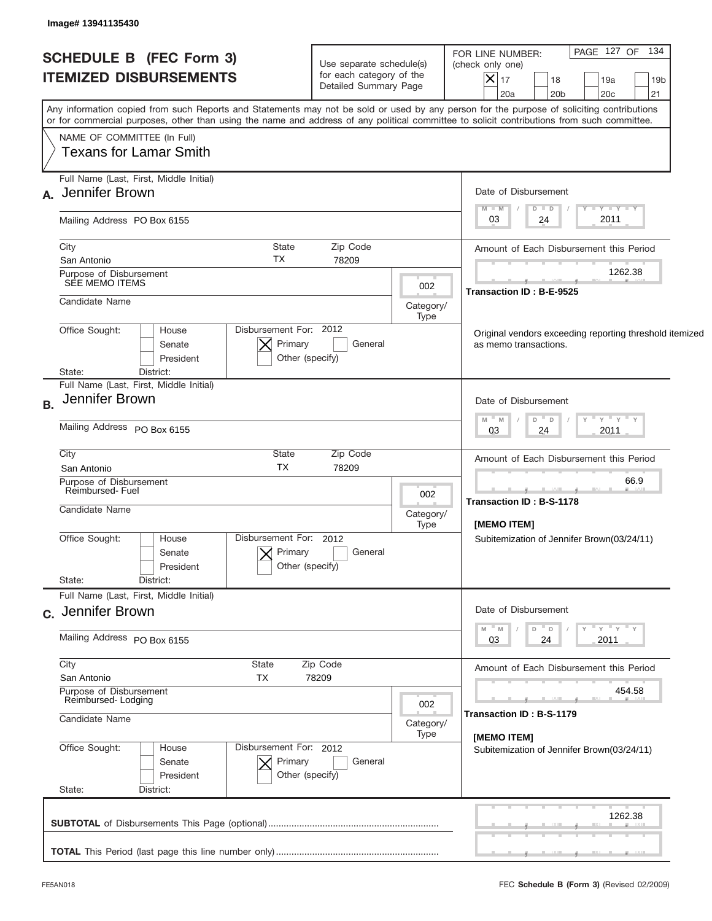| <b>SCHEDULE B (FEC Form 3)</b><br><b>ITEMIZED DISBURSEMENTS</b>                                                                                                                                                                                                                                                        | Use separate schedule(s)<br>for each category of the<br>Detailed Summary Page |                                                        | PAGE 127 OF 134<br>FOR LINE NUMBER:<br>(check only one)<br>$ \mathsf{X} _{17}$<br>18<br>19a<br>19 <sub>b</sub><br>20 <sub>b</sub><br>20 <sub>c</sub><br>21<br>20a |  |  |  |
|------------------------------------------------------------------------------------------------------------------------------------------------------------------------------------------------------------------------------------------------------------------------------------------------------------------------|-------------------------------------------------------------------------------|--------------------------------------------------------|-------------------------------------------------------------------------------------------------------------------------------------------------------------------|--|--|--|
| Any information copied from such Reports and Statements may not be sold or used by any person for the purpose of soliciting contributions<br>or for commercial purposes, other than using the name and address of any political committee to solicit contributions from such committee.<br>NAME OF COMMITTEE (In Full) |                                                                               |                                                        |                                                                                                                                                                   |  |  |  |
| <b>Texans for Lamar Smith</b>                                                                                                                                                                                                                                                                                          |                                                                               |                                                        |                                                                                                                                                                   |  |  |  |
| Full Name (Last, First, Middle Initial)<br>A. Jennifer Brown                                                                                                                                                                                                                                                           |                                                                               |                                                        | Date of Disbursement<br>$T$ $Y$ $T$ $Y$ $T$ $Y$<br>$M - M$<br>$D$ $D$                                                                                             |  |  |  |
| Mailing Address PO Box 6155                                                                                                                                                                                                                                                                                            |                                                                               |                                                        | 2011<br>24<br>03                                                                                                                                                  |  |  |  |
| City<br><b>State</b><br>TX<br>San Antonio                                                                                                                                                                                                                                                                              | Zip Code<br>78209                                                             |                                                        | Amount of Each Disbursement this Period                                                                                                                           |  |  |  |
| Purpose of Disbursement<br>SEE MEMO ITEMS                                                                                                                                                                                                                                                                              |                                                                               | 002                                                    | 1262.38<br>Transaction ID: B-E-9525                                                                                                                               |  |  |  |
| Candidate Name                                                                                                                                                                                                                                                                                                         |                                                                               | Category/<br>Type                                      |                                                                                                                                                                   |  |  |  |
| Disbursement For: 2012<br>Office Sought:<br>House<br>Primary<br>Senate<br>President<br>District:<br>State:                                                                                                                                                                                                             | General<br>Other (specify)                                                    |                                                        | Original vendors exceeding reporting threshold itemized<br>as memo transactions.                                                                                  |  |  |  |
| Full Name (Last, First, Middle Initial)<br>Jennifer Brown                                                                                                                                                                                                                                                              |                                                                               |                                                        | Date of Disbursement                                                                                                                                              |  |  |  |
| Mailing Address PO Box 6155                                                                                                                                                                                                                                                                                            |                                                                               | ≡ γ ≡ γ ≡ γ<br>- M<br>$D$ $D$<br>M<br>2011<br>03<br>24 |                                                                                                                                                                   |  |  |  |
| City<br>State<br><b>TX</b><br>San Antonio                                                                                                                                                                                                                                                                              | Zip Code<br>78209                                                             |                                                        | Amount of Each Disbursement this Period                                                                                                                           |  |  |  |
| Purpose of Disbursement<br>Reimbursed-Fuel                                                                                                                                                                                                                                                                             |                                                                               | 002                                                    | 66.9<br>Transaction ID: B-S-1178                                                                                                                                  |  |  |  |
| Candidate Name                                                                                                                                                                                                                                                                                                         |                                                                               | Category/<br>Type                                      | <b>IMEMO ITEMI</b>                                                                                                                                                |  |  |  |
| Disbursement For: 2012<br>Office Sought:<br>House<br>Primary<br>Senate<br>President<br>State:                                                                                                                                                                                                                          | General<br>Other (specify)                                                    |                                                        | Subitemization of Jennifer Brown(03/24/11)                                                                                                                        |  |  |  |
| District:<br>Full Name (Last, First, Middle Initial)                                                                                                                                                                                                                                                                   |                                                                               |                                                        |                                                                                                                                                                   |  |  |  |
| c. Jennifer Brown                                                                                                                                                                                                                                                                                                      |                                                                               |                                                        | Date of Disbursement<br>≡ γ ≡ γ ≡ γ<br>" M<br>D<br>M<br>$\Box$                                                                                                    |  |  |  |
| Mailing Address PO Box 6155                                                                                                                                                                                                                                                                                            |                                                                               | 03<br>2011<br>24                                       |                                                                                                                                                                   |  |  |  |
| City<br><b>State</b><br>San Antonio<br>TX                                                                                                                                                                                                                                                                              | Zip Code<br>78209                                                             |                                                        | Amount of Each Disbursement this Period                                                                                                                           |  |  |  |
| Purpose of Disbursement<br>Reimbursed-Lodging                                                                                                                                                                                                                                                                          |                                                                               | 002                                                    | 454.58                                                                                                                                                            |  |  |  |
| Candidate Name                                                                                                                                                                                                                                                                                                         |                                                                               | Category/<br>Type                                      | Transaction ID: B-S-1179<br>[MEMO ITEM]                                                                                                                           |  |  |  |
| Office Sought:<br>Disbursement For: 2012<br>House<br>Primary<br>Senate<br>President<br>State:<br>District:                                                                                                                                                                                                             | General<br>Other (specify)                                                    |                                                        | Subitemization of Jennifer Brown(03/24/11)                                                                                                                        |  |  |  |
|                                                                                                                                                                                                                                                                                                                        |                                                                               |                                                        | 1262.38                                                                                                                                                           |  |  |  |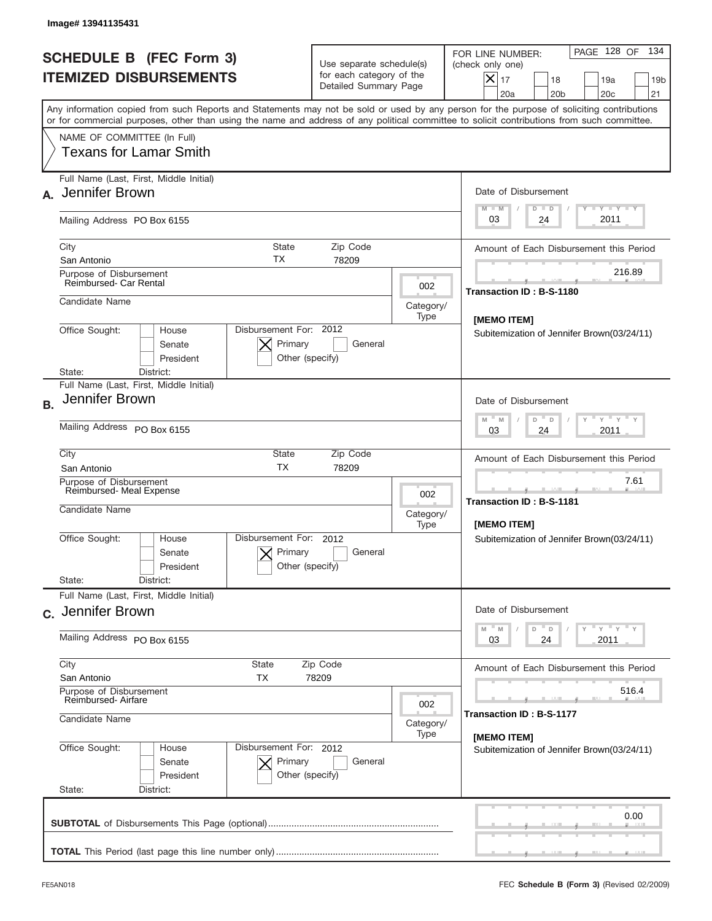|           | Image# 13941135431                                                                                                                                                                                                                                                                      |                                                      |                                                                               |                                                                                                                                                            |
|-----------|-----------------------------------------------------------------------------------------------------------------------------------------------------------------------------------------------------------------------------------------------------------------------------------------|------------------------------------------------------|-------------------------------------------------------------------------------|------------------------------------------------------------------------------------------------------------------------------------------------------------|
|           | <b>SCHEDULE B (FEC Form 3)</b><br><b>ITEMIZED DISBURSEMENTS</b>                                                                                                                                                                                                                         |                                                      | Use separate schedule(s)<br>for each category of the<br>Detailed Summary Page | 134<br>PAGE 128 OF<br>FOR LINE NUMBER:<br>(check only one)<br>$X _{17}$<br>18<br>19a<br>19 <sub>b</sub><br>20a<br>20 <sub>b</sub><br>20 <sub>c</sub><br>21 |
|           | Any information copied from such Reports and Statements may not be sold or used by any person for the purpose of soliciting contributions<br>or for commercial purposes, other than using the name and address of any political committee to solicit contributions from such committee. |                                                      |                                                                               |                                                                                                                                                            |
|           | NAME OF COMMITTEE (In Full)<br>Texans for Lamar Smith                                                                                                                                                                                                                                   |                                                      |                                                                               |                                                                                                                                                            |
|           | Full Name (Last, First, Middle Initial)<br>Jennifer Brown                                                                                                                                                                                                                               |                                                      |                                                                               | Date of Disbursement<br>Y TY TY TY<br>$M - M$                                                                                                              |
|           | Mailing Address PO Box 6155                                                                                                                                                                                                                                                             |                                                      |                                                                               | $D$ $D$<br>2011<br>03<br>24                                                                                                                                |
|           | City<br><b>State</b><br>ТX<br>San Antonio                                                                                                                                                                                                                                               | Zip Code<br>78209                                    |                                                                               | Amount of Each Disbursement this Period                                                                                                                    |
|           | Purpose of Disbursement<br>Reimbursed- Car Rental                                                                                                                                                                                                                                       |                                                      | 002                                                                           | 216.89<br>Transaction ID: B-S-1180                                                                                                                         |
|           | Candidate Name                                                                                                                                                                                                                                                                          |                                                      | Category/<br>Type                                                             | [MEMO ITEM]                                                                                                                                                |
|           | Disbursement For: 2012<br>Office Sought:<br>House<br>Primary<br>Senate<br>President<br>Other (specify)<br>State:<br>District:                                                                                                                                                           | Subitemization of Jennifer Brown(03/24/11)           |                                                                               |                                                                                                                                                            |
|           | Full Name (Last, First, Middle Initial)                                                                                                                                                                                                                                                 |                                                      |                                                                               |                                                                                                                                                            |
| <b>B.</b> | Jennifer Brown<br>Mailing Address PO Box 6155                                                                                                                                                                                                                                           |                                                      |                                                                               | Date of Disbursement<br>$\cdots$ $\gamma$ $\cdots$ $\gamma$ $\cdots$ $\gamma$<br>$M - M$<br>$D =$<br>D                                                     |
|           |                                                                                                                                                                                                                                                                                         |                                                      |                                                                               | 2011<br>03<br>24                                                                                                                                           |
|           | City<br>State<br><b>TX</b><br>San Antonio                                                                                                                                                                                                                                               | Zip Code<br>78209                                    |                                                                               | Amount of Each Disbursement this Period                                                                                                                    |
|           | Purpose of Disbursement<br>Reimbursed- Meal Expense<br>Candidate Name                                                                                                                                                                                                                   |                                                      | 002<br>Category/<br>Type                                                      | 7.61<br>Transaction ID: B-S-1181<br>[MEMO ITEM]                                                                                                            |
|           | Disbursement For:<br>Office Sought:<br>House<br>Senate<br>President                                                                                                                                                                                                                     | 2012<br>Primary<br>Other (specify)                   | General                                                                       | Subitemization of Jennifer Brown(03/24/11)                                                                                                                 |
|           | State:<br>District:<br>Full Name (Last, First, Middle Initial)                                                                                                                                                                                                                          |                                                      |                                                                               |                                                                                                                                                            |
|           | c. Jennifer Brown                                                                                                                                                                                                                                                                       |                                                      |                                                                               | Date of Disbursement<br>$\rightarrow$ $\rightarrow$ $\rightarrow$ $\rightarrow$ $\rightarrow$<br>D<br>M<br>M<br>D                                          |
|           | Mailing Address PO Box 6155                                                                                                                                                                                                                                                             | 2011<br>03<br>24                                     |                                                                               |                                                                                                                                                            |
|           | City<br>State<br>San Antonio<br>ТX                                                                                                                                                                                                                                                      | Zip Code<br>78209                                    |                                                                               | Amount of Each Disbursement this Period                                                                                                                    |
|           | Purpose of Disbursement<br>Reimbursed-Airfare<br>Candidate Name                                                                                                                                                                                                                         | 002                                                  | 516.4<br>Transaction ID: B-S-1177                                             |                                                                                                                                                            |
|           |                                                                                                                                                                                                                                                                                         | Category/<br>Type                                    | [MEMO ITEM]                                                                   |                                                                                                                                                            |
|           | Office Sought:<br>House<br>Senate<br>President<br>State:<br>District:                                                                                                                                                                                                                   | Disbursement For: 2012<br>Primary<br>Other (specify) | General                                                                       | Subitemization of Jennifer Brown(03/24/11)                                                                                                                 |
|           |                                                                                                                                                                                                                                                                                         |                                                      |                                                                               | 0.00                                                                                                                                                       |
|           |                                                                                                                                                                                                                                                                                         |                                                      |                                                                               |                                                                                                                                                            |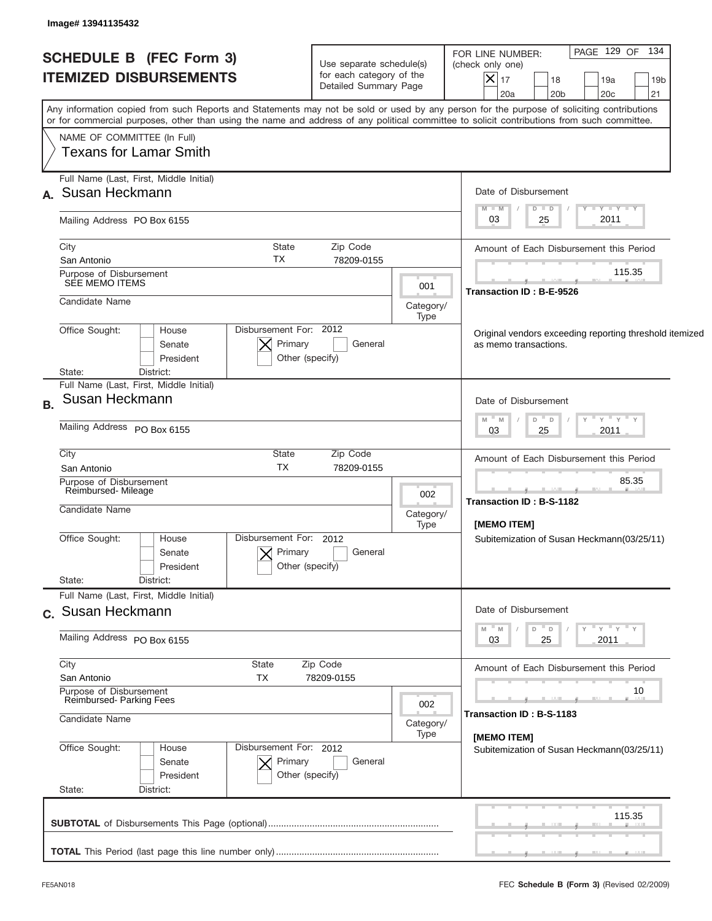| <b>SCHEDULE B (FEC Form 3)</b><br><b>ITEMIZED DISBURSEMENTS</b>                                                                                                                                                                                                                         |                                                      | Use separate schedule(s)<br>for each category of the<br>Detailed Summary Page |                   | FOR LINE NUMBER:<br>(check only one)<br>$\vert\mathsf{X}\vert$ | 17<br>20a                                                 | 18<br>20 <sub>b</sub>                                                            |  | PAGE 129 OF 134<br>19a<br>20 <sub>c</sub> | 19 <sub>b</sub><br>21 |
|-----------------------------------------------------------------------------------------------------------------------------------------------------------------------------------------------------------------------------------------------------------------------------------------|------------------------------------------------------|-------------------------------------------------------------------------------|-------------------|----------------------------------------------------------------|-----------------------------------------------------------|----------------------------------------------------------------------------------|--|-------------------------------------------|-----------------------|
| Any information copied from such Reports and Statements may not be sold or used by any person for the purpose of soliciting contributions<br>or for commercial purposes, other than using the name and address of any political committee to solicit contributions from such committee. |                                                      |                                                                               |                   |                                                                |                                                           |                                                                                  |  |                                           |                       |
| NAME OF COMMITTEE (In Full)<br><b>Texans for Lamar Smith</b>                                                                                                                                                                                                                            |                                                      |                                                                               |                   |                                                                |                                                           |                                                                                  |  |                                           |                       |
| Full Name (Last, First, Middle Initial)<br>A. Susan Heckmann                                                                                                                                                                                                                            |                                                      |                                                                               |                   |                                                                |                                                           | Date of Disbursement                                                             |  |                                           |                       |
| Mailing Address PO Box 6155                                                                                                                                                                                                                                                             |                                                      |                                                                               |                   |                                                                | $M - M$<br>03                                             | $D$ $D$<br>25                                                                    |  | $T$ $Y$ $T$ $Y$ $T$ $Y$<br>2011           |                       |
| City<br>San Antonio                                                                                                                                                                                                                                                                     | State<br>TX                                          | Zip Code<br>78209-0155                                                        |                   |                                                                |                                                           | Amount of Each Disbursement this Period                                          |  |                                           |                       |
| Purpose of Disbursement<br>SEE MEMO ITEMS                                                                                                                                                                                                                                               |                                                      |                                                                               | 001               |                                                                |                                                           | <b>Transaction ID: B-E-9526</b>                                                  |  | 115.35                                    |                       |
| Candidate Name                                                                                                                                                                                                                                                                          |                                                      |                                                                               | Category/<br>Type |                                                                |                                                           |                                                                                  |  |                                           |                       |
| Office Sought:<br>House<br>Senate<br>President<br>District:                                                                                                                                                                                                                             | Disbursement For: 2012<br>Primary<br>Other (specify) | General                                                                       |                   |                                                                |                                                           | Original vendors exceeding reporting threshold itemized<br>as memo transactions. |  |                                           |                       |
| State:<br>Full Name (Last, First, Middle Initial)                                                                                                                                                                                                                                       |                                                      |                                                                               |                   |                                                                |                                                           |                                                                                  |  |                                           |                       |
| Susan Heckmann<br><b>B.</b>                                                                                                                                                                                                                                                             |                                                      |                                                                               |                   |                                                                | $- M$                                                     | Date of Disbursement<br>$D$ $D$                                                  |  | " γ " γ " γ                               |                       |
| Mailing Address PO Box 6155                                                                                                                                                                                                                                                             |                                                      |                                                                               |                   | M                                                              | 03                                                        | 25                                                                               |  | 2011                                      |                       |
| City<br>San Antonio                                                                                                                                                                                                                                                                     | State<br><b>TX</b>                                   | Zip Code<br>78209-0155                                                        |                   | Amount of Each Disbursement this Period                        |                                                           |                                                                                  |  |                                           |                       |
| Purpose of Disbursement<br>Reimbursed-Mileage                                                                                                                                                                                                                                           |                                                      |                                                                               |                   |                                                                | 85.35<br>Transaction ID: B-S-1182                         |                                                                                  |  |                                           |                       |
| Candidate Name                                                                                                                                                                                                                                                                          |                                                      |                                                                               |                   |                                                                | [MEMO ITEM]                                               |                                                                                  |  |                                           |                       |
| Office Sought:<br>House<br>Senate<br>President                                                                                                                                                                                                                                          | Disbursement For: 2012<br>Primary<br>Other (specify) | General                                                                       | Type              |                                                                |                                                           | Subitemization of Susan Heckmann(03/25/11)                                       |  |                                           |                       |
| State:<br>District:<br>Full Name (Last, First, Middle Initial)                                                                                                                                                                                                                          |                                                      |                                                                               |                   |                                                                |                                                           |                                                                                  |  |                                           |                       |
| c. Susan Heckmann                                                                                                                                                                                                                                                                       |                                                      |                                                                               |                   |                                                                |                                                           | Date of Disbursement                                                             |  |                                           |                       |
| Mailing Address PO Box 6155                                                                                                                                                                                                                                                             |                                                      | M                                                                             | M<br>03           | D<br>D<br>25                                                   |                                                           | ≡ γ ≡ γ ≡ γ<br>2011                                                              |  |                                           |                       |
| City<br>San Antonio                                                                                                                                                                                                                                                                     | State<br>ТX                                          | Zip Code<br>78209-0155                                                        |                   |                                                                |                                                           | Amount of Each Disbursement this Period                                          |  |                                           |                       |
| Purpose of Disbursement<br>Reimbursed-Parking Fees                                                                                                                                                                                                                                      |                                                      |                                                                               |                   | 002                                                            |                                                           |                                                                                  |  |                                           | 10                    |
| Candidate Name                                                                                                                                                                                                                                                                          |                                                      |                                                                               |                   |                                                                |                                                           | Transaction ID: B-S-1183                                                         |  |                                           |                       |
| Office Sought:<br>House<br>Senate<br>President<br>State:<br>District:                                                                                                                                                                                                                   | Disbursement For: 2012<br>Primary<br>Other (specify) | General                                                                       |                   |                                                                | [MEMO ITEM]<br>Subitemization of Susan Heckmann(03/25/11) |                                                                                  |  |                                           |                       |
|                                                                                                                                                                                                                                                                                         |                                                      |                                                                               |                   |                                                                |                                                           |                                                                                  |  | 115.35                                    |                       |
|                                                                                                                                                                                                                                                                                         |                                                      |                                                                               |                   |                                                                |                                                           |                                                                                  |  |                                           |                       |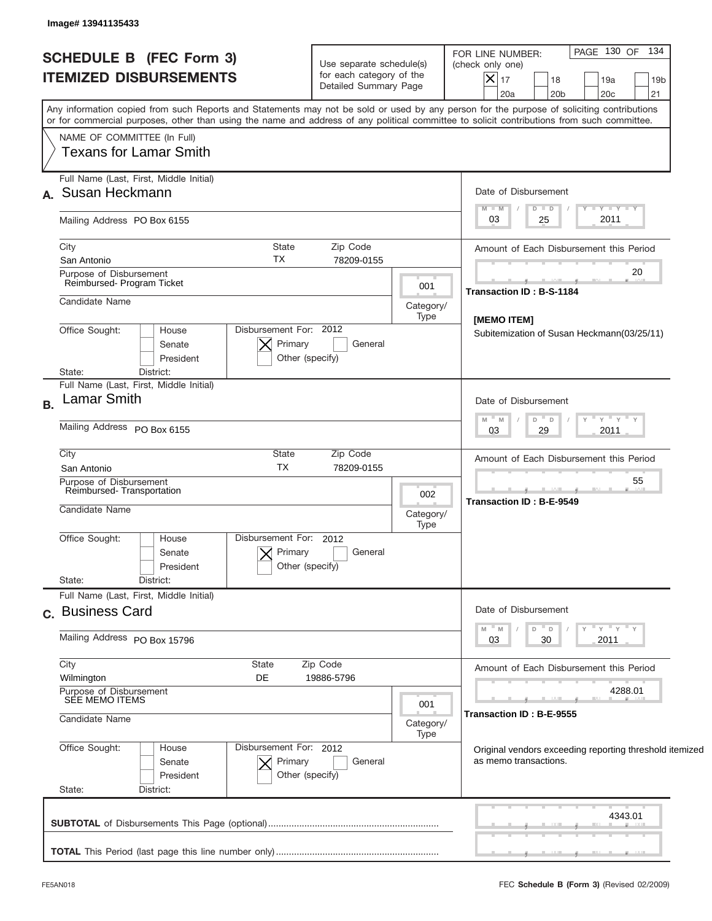| <b>SCHEDULE B (FEC Form 3)</b><br><b>ITEMIZED DISBURSEMENTS</b>            | Use separate schedule(s)<br>for each category of the<br>Detailed Summary Page |                   | PAGE 130 OF 134<br>FOR LINE NUMBER:<br>(check only one)<br>$ \mathsf{X} _{17}$<br>18<br>19a<br>19 <sub>b</sub><br>21<br>20a<br>20 <sub>b</sub><br>20c                                                                                                                                   |
|----------------------------------------------------------------------------|-------------------------------------------------------------------------------|-------------------|-----------------------------------------------------------------------------------------------------------------------------------------------------------------------------------------------------------------------------------------------------------------------------------------|
|                                                                            |                                                                               |                   | Any information copied from such Reports and Statements may not be sold or used by any person for the purpose of soliciting contributions<br>or for commercial purposes, other than using the name and address of any political committee to solicit contributions from such committee. |
| NAME OF COMMITTEE (In Full)<br><b>Texans for Lamar Smith</b>               |                                                                               |                   |                                                                                                                                                                                                                                                                                         |
| Full Name (Last, First, Middle Initial)<br>A. Susan Heckmann               |                                                                               |                   | Date of Disbursement                                                                                                                                                                                                                                                                    |
| Mailing Address PO Box 6155                                                |                                                                               |                   | $T$ $Y$ $T$ $Y$ $T$ $Y$<br>$M - M$<br>$D$ $D$<br>2011<br>25<br>03                                                                                                                                                                                                                       |
| City<br>San Antonio                                                        | <b>State</b><br>Zip Code<br>TX<br>78209-0155                                  |                   | Amount of Each Disbursement this Period                                                                                                                                                                                                                                                 |
| Purpose of Disbursement<br>Reimbursed- Program Ticket                      |                                                                               | 001               | 20<br>Transaction ID: B-S-1184                                                                                                                                                                                                                                                          |
| Candidate Name                                                             |                                                                               | Category/<br>Type | [MEMO ITEM]                                                                                                                                                                                                                                                                             |
| Office Sought:<br>House<br>Senate<br>President<br>State:<br>District:      | Disbursement For: 2012<br>Primary<br>General<br>Other (specify)               |                   | Subitemization of Susan Heckmann(03/25/11)                                                                                                                                                                                                                                              |
| Full Name (Last, First, Middle Initial)<br><b>Lamar Smith</b><br><b>B.</b> |                                                                               |                   | Date of Disbursement                                                                                                                                                                                                                                                                    |
| Mailing Address PO Box 6155                                                |                                                                               |                   | ≡ γ ≡ γ ≡ γ<br>$D$ $D$<br>- M<br>M<br>2011<br>03<br>29                                                                                                                                                                                                                                  |
| City<br>San Antonio                                                        | State<br>Zip Code<br><b>TX</b><br>78209-0155                                  |                   | Amount of Each Disbursement this Period                                                                                                                                                                                                                                                 |
| Purpose of Disbursement<br>Reimbursed-Transportation<br>Candidate Name     |                                                                               | 002               | 55<br><b>Transaction ID: B-E-9549</b>                                                                                                                                                                                                                                                   |
|                                                                            |                                                                               | Category/<br>Type |                                                                                                                                                                                                                                                                                         |
| Office Sought:<br>House<br>Senate<br>President<br>State:<br>District:      | Disbursement For: 2012<br>Primary<br>General<br>Other (specify)               |                   |                                                                                                                                                                                                                                                                                         |
| Full Name (Last, First, Middle Initial)<br>c. Business Card                |                                                                               |                   | Date of Disbursement                                                                                                                                                                                                                                                                    |
| Mailing Address PO Box 15796                                               |                                                                               |                   | ≡ γ ≡ γ ≡ γ<br>$- M$<br>D<br>M<br>$\Box$<br>03<br>2011<br>30                                                                                                                                                                                                                            |
| City<br>Wilmington                                                         | <b>State</b><br>Zip Code<br>DE<br>19886-5796                                  |                   | Amount of Each Disbursement this Period                                                                                                                                                                                                                                                 |
| Purpose of Disbursement<br>SEE MEMO ITEMS                                  |                                                                               | 001               | 4288.01                                                                                                                                                                                                                                                                                 |
| Candidate Name                                                             |                                                                               | Category/<br>Type | Transaction ID: B-E-9555                                                                                                                                                                                                                                                                |
| Office Sought:<br>House<br>Senate<br>President<br>State:<br>District:      | Disbursement For: 2012<br>Primary<br>General<br>Other (specify)               |                   | Original vendors exceeding reporting threshold itemized<br>as memo transactions.                                                                                                                                                                                                        |
|                                                                            |                                                                               |                   | 4343.01                                                                                                                                                                                                                                                                                 |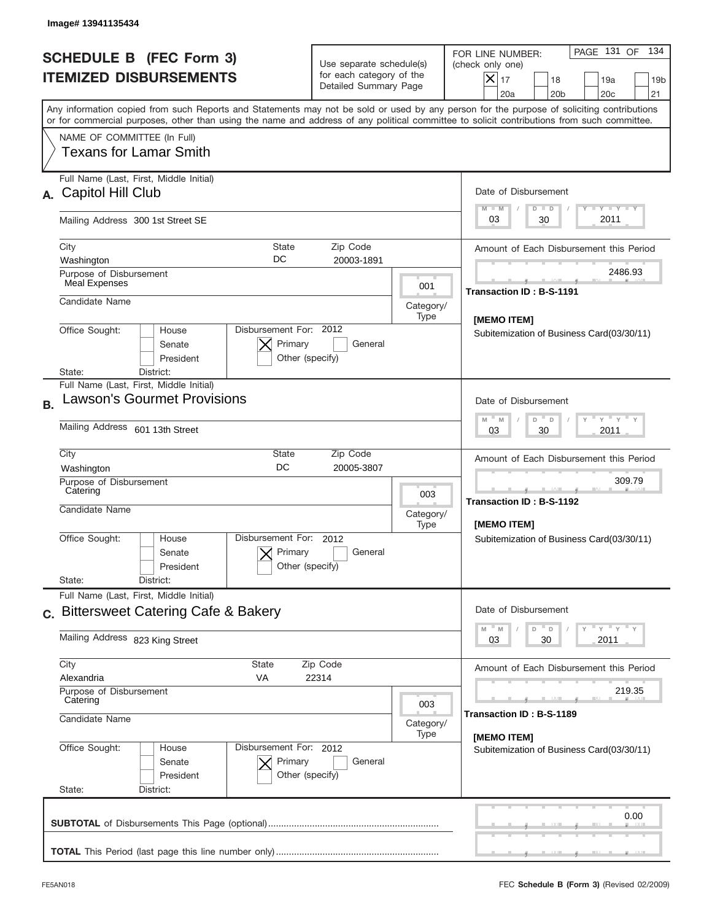| Image# 13941135434                                                                                                                                                                                                                                                                      |                                                                               |                                    |                                                                                                                                                            |
|-----------------------------------------------------------------------------------------------------------------------------------------------------------------------------------------------------------------------------------------------------------------------------------------|-------------------------------------------------------------------------------|------------------------------------|------------------------------------------------------------------------------------------------------------------------------------------------------------|
| <b>SCHEDULE B (FEC Form 3)</b><br><b>ITEMIZED DISBURSEMENTS</b>                                                                                                                                                                                                                         | Use separate schedule(s)<br>for each category of the<br>Detailed Summary Page |                                    | PAGE 131 OF<br>134<br>FOR LINE NUMBER:<br>(check only one)<br>$X _{17}$<br>18<br>19a<br>19 <sub>b</sub><br>20a<br>20 <sub>b</sub><br>20 <sub>c</sub><br>21 |
| Any information copied from such Reports and Statements may not be sold or used by any person for the purpose of soliciting contributions<br>or for commercial purposes, other than using the name and address of any political committee to solicit contributions from such committee. |                                                                               |                                    |                                                                                                                                                            |
| NAME OF COMMITTEE (In Full)<br>Texans for Lamar Smith                                                                                                                                                                                                                                   |                                                                               |                                    |                                                                                                                                                            |
| Full Name (Last, First, Middle Initial)<br>A. Capitol Hill Club                                                                                                                                                                                                                         |                                                                               |                                    | Date of Disbursement<br>Y FY FY FY<br>$M - M$<br>$D$ $D$                                                                                                   |
| Mailing Address 300 1st Street SE                                                                                                                                                                                                                                                       |                                                                               |                                    | 2011<br>30<br>03                                                                                                                                           |
| City<br><b>State</b><br>DC<br>Washington                                                                                                                                                                                                                                                | Zip Code<br>20003-1891                                                        |                                    | Amount of Each Disbursement this Period                                                                                                                    |
| Purpose of Disbursement<br>Meal Expenses                                                                                                                                                                                                                                                |                                                                               | 001                                | 2486.93<br><b>Transaction ID: B-S-1191</b>                                                                                                                 |
| Candidate Name                                                                                                                                                                                                                                                                          |                                                                               | Category/<br>Type                  | <b>IMEMO ITEM1</b>                                                                                                                                         |
| Disbursement For: 2012<br>Office Sought:<br>House<br>Senate<br>President                                                                                                                                                                                                                | Primary<br>General<br>Other (specify)                                         |                                    | Subitemization of Business Card(03/30/11)                                                                                                                  |
| District:<br>State:<br>Full Name (Last, First, Middle Initial)                                                                                                                                                                                                                          |                                                                               |                                    |                                                                                                                                                            |
| <b>Lawson's Gourmet Provisions</b><br><b>B.</b>                                                                                                                                                                                                                                         |                                                                               |                                    | Date of Disbursement<br>γ " γ " γ " γ<br>$M - M$<br>D<br>$\Box$                                                                                            |
| Mailing Address 601 13th Street                                                                                                                                                                                                                                                         |                                                                               |                                    | 2011<br>03<br>30                                                                                                                                           |
| City<br><b>State</b><br>DC<br>Washington                                                                                                                                                                                                                                                | Zip Code<br>20005-3807                                                        |                                    | Amount of Each Disbursement this Period                                                                                                                    |
| Purpose of Disbursement<br>Catering<br>Candidate Name                                                                                                                                                                                                                                   |                                                                               | 003<br>Category/                   | 309.79<br>__<br>Transaction ID: B-S-1192                                                                                                                   |
| Disbursement For:<br>Office Sought:<br>House<br>Senate<br>President<br>State:<br>District:                                                                                                                                                                                              | 2012<br>Primary<br>General<br>Other (specify)                                 | Type                               | [MEMO ITEM]<br>Subitemization of Business Card(03/30/11)                                                                                                   |
| Full Name (Last, First, Middle Initial)                                                                                                                                                                                                                                                 |                                                                               |                                    |                                                                                                                                                            |
| c. Bittersweet Catering Cafe & Bakery                                                                                                                                                                                                                                                   |                                                                               |                                    | Date of Disbursement<br>γ <sup>=</sup> γ <sup>=</sup> γ <sup>=</sup> γ<br>M<br>D<br>M<br>D                                                                 |
| Mailing Address 823 King Street                                                                                                                                                                                                                                                         |                                                                               |                                    | 2011<br>03<br>30                                                                                                                                           |
| City<br><b>State</b><br>Alexandria<br>VA                                                                                                                                                                                                                                                | Zip Code<br>22314                                                             |                                    | Amount of Each Disbursement this Period                                                                                                                    |
| Purpose of Disbursement<br>Catering                                                                                                                                                                                                                                                     | 003                                                                           | 219.35<br>Transaction ID: B-S-1189 |                                                                                                                                                            |
| Candidate Name                                                                                                                                                                                                                                                                          | Category/<br>Type                                                             | [MEMO ITEM]                        |                                                                                                                                                            |
| Office Sought:<br>Disbursement For: 2012<br>House<br>Senate<br>President<br>State:<br>District:                                                                                                                                                                                         | Primary<br>General<br>Other (specify)                                         |                                    | Subitemization of Business Card(03/30/11)                                                                                                                  |
|                                                                                                                                                                                                                                                                                         |                                                                               |                                    | 0.00                                                                                                                                                       |
|                                                                                                                                                                                                                                                                                         |                                                                               |                                    |                                                                                                                                                            |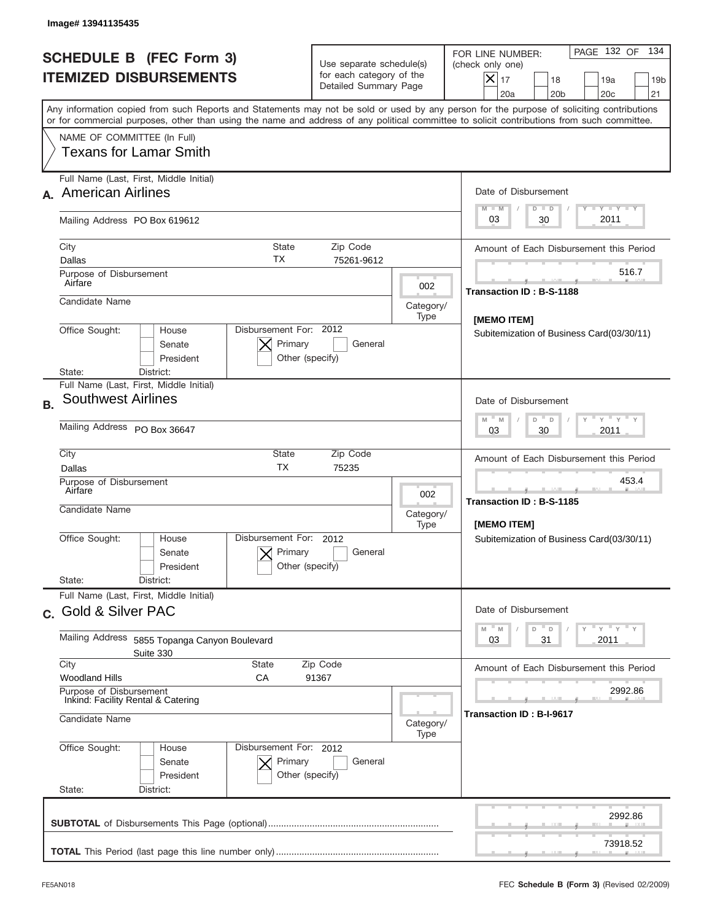| Image# 13941135435                                                                                                                                                                                                                                                                      |                                                                               |                                                                                                                                                         |
|-----------------------------------------------------------------------------------------------------------------------------------------------------------------------------------------------------------------------------------------------------------------------------------------|-------------------------------------------------------------------------------|---------------------------------------------------------------------------------------------------------------------------------------------------------|
| <b>SCHEDULE B (FEC Form 3)</b><br><b>ITEMIZED DISBURSEMENTS</b>                                                                                                                                                                                                                         | Use separate schedule(s)<br>for each category of the<br>Detailed Summary Page | PAGE 132 OF 134<br>FOR LINE NUMBER:<br>(check only one)<br>$X _{17}$<br>18<br>19a<br>19 <sub>b</sub><br>20a<br>20 <sub>b</sub><br>20 <sub>c</sub><br>21 |
| Any information copied from such Reports and Statements may not be sold or used by any person for the purpose of soliciting contributions<br>or for commercial purposes, other than using the name and address of any political committee to solicit contributions from such committee. |                                                                               |                                                                                                                                                         |
| NAME OF COMMITTEE (In Full)<br>Texans for Lamar Smith                                                                                                                                                                                                                                   |                                                                               |                                                                                                                                                         |
| Full Name (Last, First, Middle Initial)<br>A. American Airlines                                                                                                                                                                                                                         |                                                                               | Date of Disbursement<br>Y TY TY TY<br>$M - M$<br>$D$ $D$                                                                                                |
| Mailing Address PO Box 619612                                                                                                                                                                                                                                                           |                                                                               | 2011<br>03<br>30                                                                                                                                        |
| City<br><b>State</b><br>ТX<br>Dallas                                                                                                                                                                                                                                                    | Zip Code<br>75261-9612                                                        | Amount of Each Disbursement this Period                                                                                                                 |
| Purpose of Disbursement<br>Airfare                                                                                                                                                                                                                                                      | 002                                                                           | 516.7<br>Transaction ID: B-S-1188                                                                                                                       |
| Candidate Name                                                                                                                                                                                                                                                                          | Category/<br>Type                                                             | [MEMO ITEM]                                                                                                                                             |
| Disbursement For: 2012<br>Office Sought:<br>House<br>Primary<br>Senate<br>President<br>District:<br>State:                                                                                                                                                                              | General<br>Other (specify)                                                    | Subitemization of Business Card(03/30/11)                                                                                                               |
| Full Name (Last, First, Middle Initial)<br><b>Southwest Airlines</b><br><b>B.</b>                                                                                                                                                                                                       |                                                                               | Date of Disbursement                                                                                                                                    |
| Mailing Address PO Box 36647                                                                                                                                                                                                                                                            |                                                                               | Y Y Y Y Y<br>$M - M$<br>$D$ <sup><math>-</math></sup><br>$\Box$<br>2011<br>03<br>30                                                                     |
| City<br>State<br><b>TX</b><br>Dallas                                                                                                                                                                                                                                                    | Zip Code<br>75235                                                             | Amount of Each Disbursement this Period                                                                                                                 |
| Purpose of Disbursement<br>Airfare<br>Candidate Name                                                                                                                                                                                                                                    | 002<br>Category/<br>Type                                                      | 453.4<br>Transaction ID: B-S-1185<br><b>IMEMO ITEMI</b>                                                                                                 |
| Disbursement For:<br>Office Sought:<br>House<br>Primary<br>Senate<br>President<br>State:<br>District:                                                                                                                                                                                   | 2012<br>General<br>Other (specify)                                            | Subitemization of Business Card(03/30/11)                                                                                                               |
| Full Name (Last, First, Middle Initial)                                                                                                                                                                                                                                                 |                                                                               |                                                                                                                                                         |
| c. Gold & Silver PAC                                                                                                                                                                                                                                                                    |                                                                               | Date of Disbursement<br>$-\gamma + \gamma - \gamma$<br>D<br>M<br>${\mathbb M}$<br>D                                                                     |
| Mailing Address<br>5855 Topanga Canyon Boulevard<br>Suite 330                                                                                                                                                                                                                           |                                                                               | 2011<br>03<br>31                                                                                                                                        |
| City<br><b>State</b><br>Woodland Hills<br>СA                                                                                                                                                                                                                                            | Zip Code<br>91367                                                             | Amount of Each Disbursement this Period                                                                                                                 |
| Purpose of Disbursement<br>Inkind: Facility Rental & Catering<br>Candidate Name                                                                                                                                                                                                         | Category/                                                                     | 2992.86<br>Transaction ID: B-I-9617                                                                                                                     |
| Office Sought:<br>Disbursement For: 2012<br>House<br>Primary<br>Senate<br>President<br>State:<br>District:                                                                                                                                                                              | Type<br>General<br>Other (specify)                                            |                                                                                                                                                         |
|                                                                                                                                                                                                                                                                                         |                                                                               | 2992.86                                                                                                                                                 |
|                                                                                                                                                                                                                                                                                         |                                                                               | 73918.52                                                                                                                                                |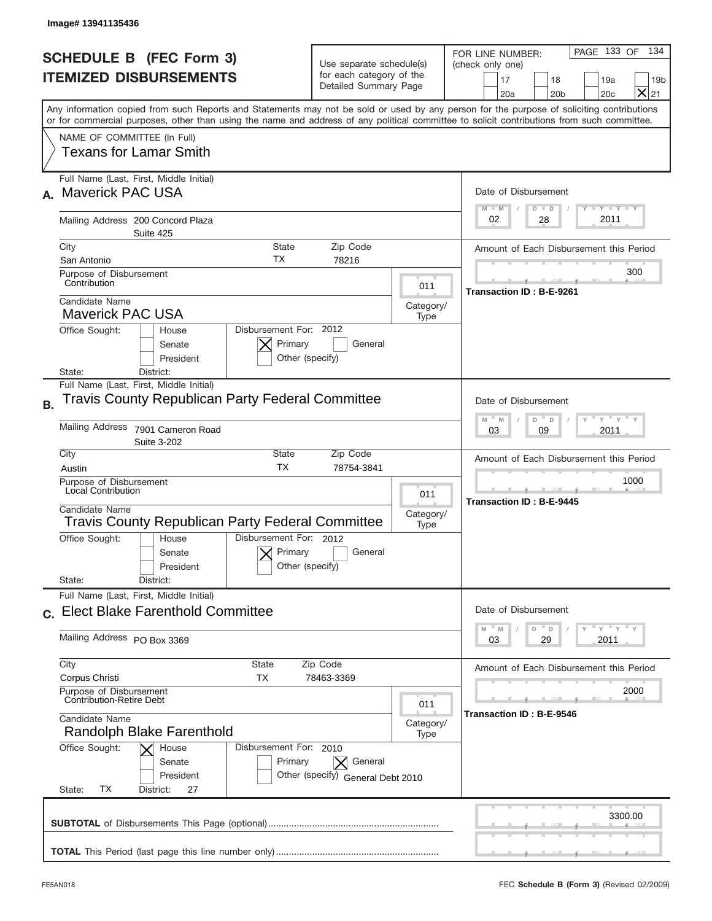|           | Image# 13941135436                                                                                                                                                                                                                                                                      |                                                                               |                          |                                                                                                                                                                 |  |
|-----------|-----------------------------------------------------------------------------------------------------------------------------------------------------------------------------------------------------------------------------------------------------------------------------------------|-------------------------------------------------------------------------------|--------------------------|-----------------------------------------------------------------------------------------------------------------------------------------------------------------|--|
|           | <b>SCHEDULE B (FEC Form 3)</b><br><b>ITEMIZED DISBURSEMENTS</b>                                                                                                                                                                                                                         | Use separate schedule(s)<br>for each category of the<br>Detailed Summary Page |                          | PAGE 133 OF<br>134<br>FOR LINE NUMBER:<br>(check only one)<br>17<br>18<br>19a<br>19 <sub>b</sub><br>$\times$<br>20 <sub>b</sub><br>20 <sub>c</sub><br>21<br>20a |  |
|           | Any information copied from such Reports and Statements may not be sold or used by any person for the purpose of soliciting contributions<br>or for commercial purposes, other than using the name and address of any political committee to solicit contributions from such committee. |                                                                               |                          |                                                                                                                                                                 |  |
|           | NAME OF COMMITTEE (In Full)<br>Texans for Lamar Smith                                                                                                                                                                                                                                   |                                                                               |                          |                                                                                                                                                                 |  |
|           | Full Name (Last, First, Middle Initial)<br><b>Maverick PAC USA</b>                                                                                                                                                                                                                      |                                                                               |                          | Date of Disbursement<br>$T - Y$ $T - Y$ $T - Y$<br>$M - M$<br>$D$ $D$                                                                                           |  |
|           | Mailing Address 200 Concord Plaza<br>Suite 425                                                                                                                                                                                                                                          |                                                                               |                          | 2011<br>02<br>28                                                                                                                                                |  |
|           | City<br>State<br>ТX<br>San Antonio                                                                                                                                                                                                                                                      | Zip Code<br>78216                                                             |                          | Amount of Each Disbursement this Period                                                                                                                         |  |
|           | Purpose of Disbursement<br>Contribution<br>011                                                                                                                                                                                                                                          |                                                                               |                          | 300<br>Transaction ID: B-E-9261                                                                                                                                 |  |
|           | Candidate Name<br><b>Maverick PAC USA</b>                                                                                                                                                                                                                                               |                                                                               | Category/<br>Type        |                                                                                                                                                                 |  |
|           | Disbursement For: 2012<br>Office Sought:<br>House<br>Primary<br>Senate<br>President<br>District:<br>State:                                                                                                                                                                              | General<br>Other (specify)                                                    |                          |                                                                                                                                                                 |  |
| <b>B.</b> | Full Name (Last, First, Middle Initial)<br><b>Travis County Republican Party Federal Committee</b>                                                                                                                                                                                      |                                                                               |                          | Date of Disbursement                                                                                                                                            |  |
|           | Mailing Address<br>7901 Cameron Road<br>Suite 3-202                                                                                                                                                                                                                                     |                                                                               |                          | ≡ γ ≡ γ ≡<br>$M - M$<br>D<br>D<br>2011<br>03<br>09                                                                                                              |  |
|           | City<br>State<br><b>TX</b><br>Austin                                                                                                                                                                                                                                                    | Zip Code<br>78754-3841                                                        |                          | Amount of Each Disbursement this Period                                                                                                                         |  |
|           | Purpose of Disbursement<br><b>Local Contribution</b><br>Candidate Name<br><b>Travis County Republican Party Federal Committee</b>                                                                                                                                                       |                                                                               | 011<br>Category/<br>Type | 1000<br>Transaction ID: B-E-9445                                                                                                                                |  |
|           | Disbursement For: 2012<br>Office Sought:<br>House<br>Primary<br>Senate<br>President                                                                                                                                                                                                     | General<br>Other (specify)                                                    |                          |                                                                                                                                                                 |  |
|           | State:<br>District:<br>Full Name (Last, First, Middle Initial)                                                                                                                                                                                                                          |                                                                               |                          |                                                                                                                                                                 |  |
|           | c. Elect Blake Farenthold Committee                                                                                                                                                                                                                                                     |                                                                               |                          | Date of Disbursement<br>$y = \sqrt{1 + (1 - \lambda)^2}$<br>$-M$<br>M<br>D<br>D                                                                                 |  |
|           | Mailing Address PO Box 3369                                                                                                                                                                                                                                                             |                                                                               |                          | 2011<br>03<br>29                                                                                                                                                |  |
|           | City<br>State<br>Zip Code<br>Corpus Christi<br>ТX<br>78463-3369                                                                                                                                                                                                                         |                                                                               |                          | Amount of Each Disbursement this Period                                                                                                                         |  |
|           | Purpose of Disbursement<br><b>Contribution-Retire Debt</b><br>011                                                                                                                                                                                                                       |                                                                               |                          | 2000                                                                                                                                                            |  |
|           | Candidate Name<br>Category/<br>Randolph Blake Farenthold<br>Type                                                                                                                                                                                                                        |                                                                               |                          | Transaction ID: B-E-9546                                                                                                                                        |  |
|           | Office Sought:<br>Disbursement For: 2010<br>House<br>Primary<br>Senate<br>President<br>ТX<br>State:<br>District:<br>27                                                                                                                                                                  | General<br>Other (specify) General Debt 2010                                  |                          |                                                                                                                                                                 |  |
|           |                                                                                                                                                                                                                                                                                         |                                                                               | 3300.00                  |                                                                                                                                                                 |  |
|           |                                                                                                                                                                                                                                                                                         |                                                                               |                          |                                                                                                                                                                 |  |